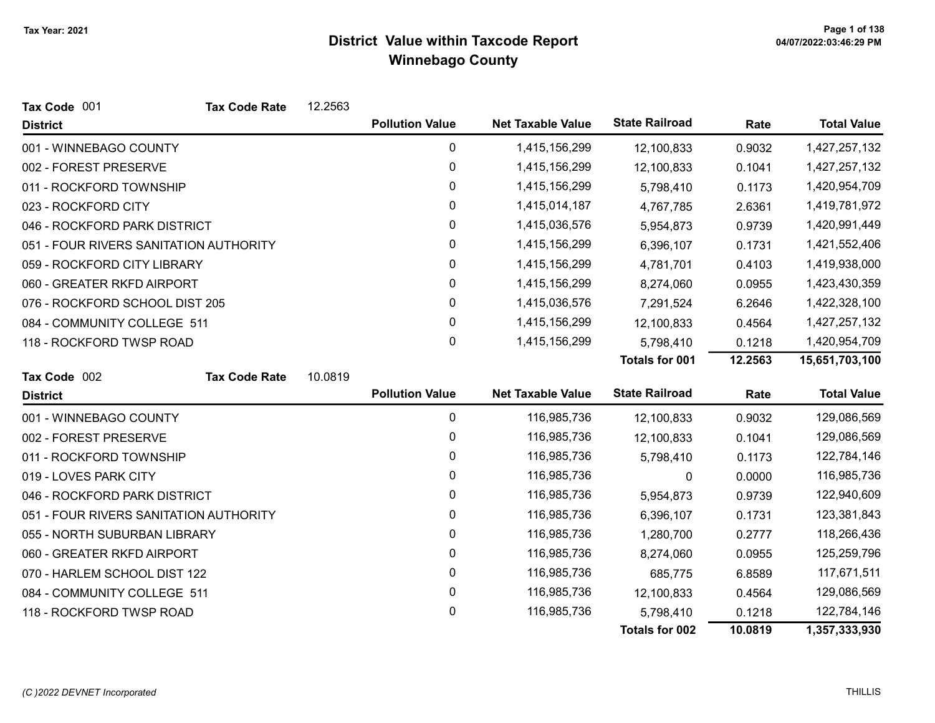| Tax Code 001                           | <b>Tax Code Rate</b> | 12.2563 |                        |                          |                       |         |                    |
|----------------------------------------|----------------------|---------|------------------------|--------------------------|-----------------------|---------|--------------------|
| <b>District</b>                        |                      |         | <b>Pollution Value</b> | <b>Net Taxable Value</b> | <b>State Railroad</b> | Rate    | <b>Total Value</b> |
| 001 - WINNEBAGO COUNTY                 |                      |         | 0                      | 1,415,156,299            | 12,100,833            | 0.9032  | 1,427,257,132      |
| 002 - FOREST PRESERVE                  |                      |         | 0                      | 1,415,156,299            | 12,100,833            | 0.1041  | 1,427,257,132      |
| 011 - ROCKFORD TOWNSHIP                |                      |         | 0                      | 1,415,156,299            | 5,798,410             | 0.1173  | 1,420,954,709      |
| 023 - ROCKFORD CITY                    |                      |         | 0                      | 1,415,014,187            | 4,767,785             | 2.6361  | 1,419,781,972      |
| 046 - ROCKFORD PARK DISTRICT           |                      |         | 0                      | 1,415,036,576            | 5,954,873             | 0.9739  | 1,420,991,449      |
| 051 - FOUR RIVERS SANITATION AUTHORITY |                      |         | 0                      | 1,415,156,299            | 6,396,107             | 0.1731  | 1,421,552,406      |
| 059 - ROCKFORD CITY LIBRARY            |                      |         | 0                      | 1,415,156,299            | 4,781,701             | 0.4103  | 1,419,938,000      |
| 060 - GREATER RKFD AIRPORT             |                      |         | 0                      | 1,415,156,299            | 8,274,060             | 0.0955  | 1,423,430,359      |
| 076 - ROCKFORD SCHOOL DIST 205         |                      |         | $\mathbf 0$            | 1,415,036,576            | 7,291,524             | 6.2646  | 1,422,328,100      |
| 084 - COMMUNITY COLLEGE 511            |                      |         | 0                      | 1,415,156,299            | 12,100,833            | 0.4564  | 1,427,257,132      |
| 118 - ROCKFORD TWSP ROAD               |                      |         | 0                      | 1,415,156,299            | 5,798,410             | 0.1218  | 1,420,954,709      |
|                                        |                      |         |                        |                          | <b>Totals for 001</b> | 12.2563 | 15,651,703,100     |
| Tax Code 002                           | <b>Tax Code Rate</b> | 10.0819 |                        |                          |                       |         |                    |
| <b>District</b>                        |                      |         | <b>Pollution Value</b> | <b>Net Taxable Value</b> | <b>State Railroad</b> | Rate    | <b>Total Value</b> |
| 001 - WINNEBAGO COUNTY                 |                      |         | 0                      | 116,985,736              | 12,100,833            | 0.9032  | 129,086,569        |
| 002 - FOREST PRESERVE                  |                      |         | 0                      | 116,985,736              | 12,100,833            | 0.1041  | 129,086,569        |
| 011 - ROCKFORD TOWNSHIP                |                      |         | 0                      | 116,985,736              | 5,798,410             | 0.1173  | 122,784,146        |
| 019 - LOVES PARK CITY                  |                      |         | 0                      | 116,985,736              | 0                     | 0.0000  | 116,985,736        |
| 046 - ROCKFORD PARK DISTRICT           |                      |         | 0                      | 116,985,736              | 5,954,873             | 0.9739  | 122,940,609        |
| 051 - FOUR RIVERS SANITATION AUTHORITY |                      |         | 0                      | 116,985,736              | 6,396,107             | 0.1731  | 123,381,843        |
| 055 - NORTH SUBURBAN LIBRARY           |                      |         | 0                      | 116,985,736              | 1,280,700             | 0.2777  | 118,266,436        |
| 060 - GREATER RKFD AIRPORT             |                      |         | 0                      | 116,985,736              | 8,274,060             | 0.0955  | 125,259,796        |
| 070 - HARLEM SCHOOL DIST 122           |                      |         | 0                      | 116,985,736              | 685,775               | 6.8589  | 117,671,511        |
| 084 - COMMUNITY COLLEGE 511            |                      |         | 0                      | 116,985,736              | 12,100,833            | 0.4564  | 129,086,569        |
| 118 - ROCKFORD TWSP ROAD               |                      |         | $\mathbf 0$            | 116,985,736              | 5,798,410             | 0.1218  | 122,784,146        |
|                                        |                      |         |                        |                          | <b>Totals for 002</b> | 10.0819 | 1,357,333,930      |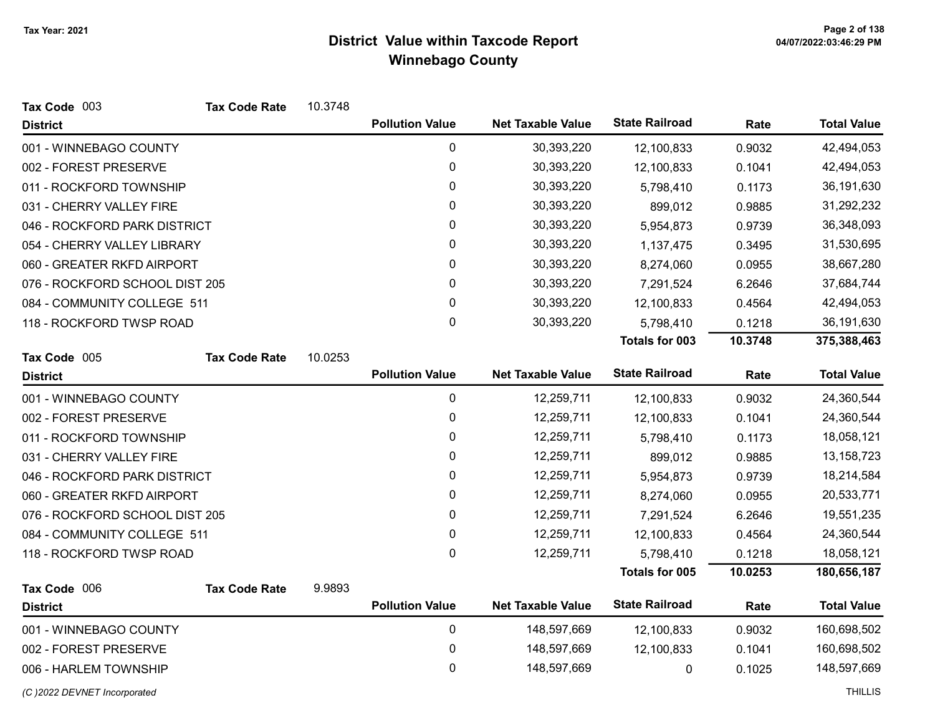| Tax Code 003                   | <b>Tax Code Rate</b> | 10.3748 |                        |                          |                       |         |                    |
|--------------------------------|----------------------|---------|------------------------|--------------------------|-----------------------|---------|--------------------|
| <b>District</b>                |                      |         | <b>Pollution Value</b> | <b>Net Taxable Value</b> | <b>State Railroad</b> | Rate    | <b>Total Value</b> |
| 001 - WINNEBAGO COUNTY         |                      |         | 0                      | 30,393,220               | 12,100,833            | 0.9032  | 42,494,053         |
| 002 - FOREST PRESERVE          |                      |         | 0                      | 30,393,220               | 12,100,833            | 0.1041  | 42,494,053         |
| 011 - ROCKFORD TOWNSHIP        |                      |         | 0                      | 30,393,220               | 5,798,410             | 0.1173  | 36,191,630         |
| 031 - CHERRY VALLEY FIRE       |                      |         | 0                      | 30,393,220               | 899,012               | 0.9885  | 31,292,232         |
| 046 - ROCKFORD PARK DISTRICT   |                      |         | 0                      | 30,393,220               | 5,954,873             | 0.9739  | 36,348,093         |
| 054 - CHERRY VALLEY LIBRARY    |                      |         | 0                      | 30,393,220               | 1,137,475             | 0.3495  | 31,530,695         |
| 060 - GREATER RKFD AIRPORT     |                      |         | 0                      | 30,393,220               | 8,274,060             | 0.0955  | 38,667,280         |
| 076 - ROCKFORD SCHOOL DIST 205 |                      |         | 0                      | 30,393,220               | 7,291,524             | 6.2646  | 37,684,744         |
| 084 - COMMUNITY COLLEGE 511    |                      |         | 0                      | 30,393,220               | 12,100,833            | 0.4564  | 42,494,053         |
| 118 - ROCKFORD TWSP ROAD       |                      |         | 0                      | 30,393,220               | 5,798,410             | 0.1218  | 36,191,630         |
|                                |                      |         |                        |                          | Totals for 003        | 10.3748 | 375,388,463        |
| Tax Code 005                   | <b>Tax Code Rate</b> | 10.0253 |                        |                          |                       |         |                    |
| <b>District</b>                |                      |         | <b>Pollution Value</b> | <b>Net Taxable Value</b> | <b>State Railroad</b> | Rate    | <b>Total Value</b> |
| 001 - WINNEBAGO COUNTY         |                      |         | $\pmb{0}$              | 12,259,711               | 12,100,833            | 0.9032  | 24,360,544         |
| 002 - FOREST PRESERVE          |                      |         | 0                      | 12,259,711               | 12,100,833            | 0.1041  | 24,360,544         |
| 011 - ROCKFORD TOWNSHIP        |                      |         | 0                      | 12,259,711               | 5,798,410             | 0.1173  | 18,058,121         |
| 031 - CHERRY VALLEY FIRE       |                      |         | 0                      | 12,259,711               | 899,012               | 0.9885  | 13, 158, 723       |
| 046 - ROCKFORD PARK DISTRICT   |                      |         | 0                      | 12,259,711               | 5,954,873             | 0.9739  | 18,214,584         |
| 060 - GREATER RKFD AIRPORT     |                      |         | 0                      | 12,259,711               | 8,274,060             | 0.0955  | 20,533,771         |
| 076 - ROCKFORD SCHOOL DIST 205 |                      |         | 0                      | 12,259,711               | 7,291,524             | 6.2646  | 19,551,235         |
| 084 - COMMUNITY COLLEGE 511    |                      |         | 0                      | 12,259,711               | 12,100,833            | 0.4564  | 24,360,544         |
| 118 - ROCKFORD TWSP ROAD       |                      |         | 0                      | 12,259,711               | 5,798,410             | 0.1218  | 18,058,121         |
|                                |                      |         |                        |                          | Totals for 005        | 10.0253 | 180,656,187        |
| Tax Code 006                   | <b>Tax Code Rate</b> | 9.9893  |                        |                          |                       |         |                    |
| <b>District</b>                |                      |         | <b>Pollution Value</b> | <b>Net Taxable Value</b> | <b>State Railroad</b> | Rate    | <b>Total Value</b> |
| 001 - WINNEBAGO COUNTY         |                      |         | $\pmb{0}$              | 148,597,669              | 12,100,833            | 0.9032  | 160,698,502        |
| 002 - FOREST PRESERVE          |                      |         | 0                      | 148,597,669              | 12,100,833            | 0.1041  | 160,698,502        |
| 006 - HARLEM TOWNSHIP          |                      |         | 0                      | 148,597,669              | 0                     | 0.1025  | 148,597,669        |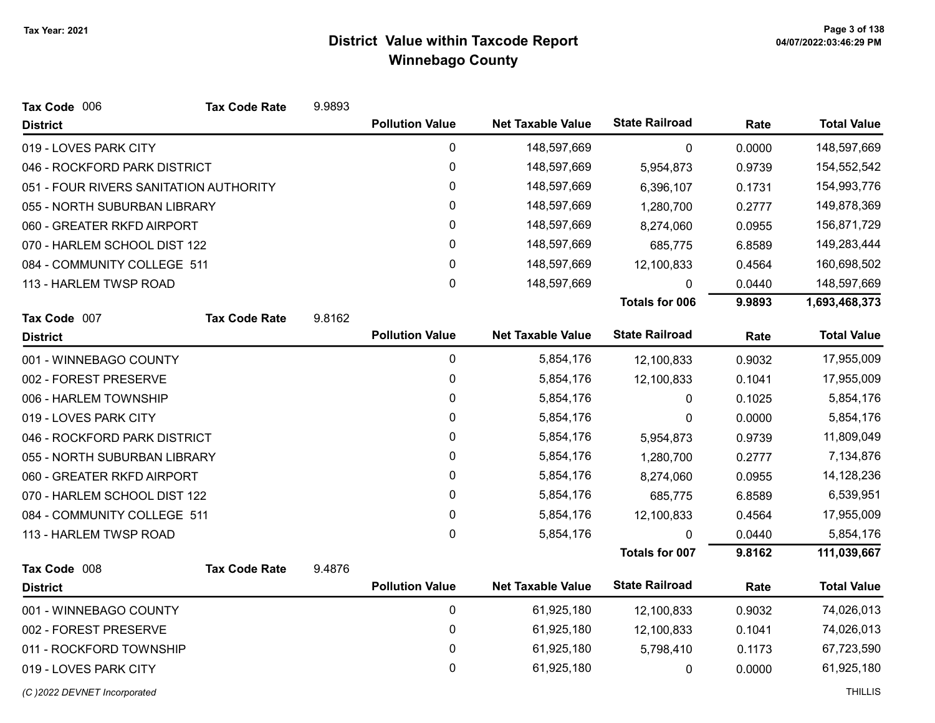| Tax Code 006                           | <b>Tax Code Rate</b> | 9.9893 |                        |                          |                       |        |                    |
|----------------------------------------|----------------------|--------|------------------------|--------------------------|-----------------------|--------|--------------------|
| <b>District</b>                        |                      |        | <b>Pollution Value</b> | <b>Net Taxable Value</b> | <b>State Railroad</b> | Rate   | <b>Total Value</b> |
| 019 - LOVES PARK CITY                  |                      |        | $\pmb{0}$              | 148,597,669              | 0                     | 0.0000 | 148,597,669        |
| 046 - ROCKFORD PARK DISTRICT           |                      |        | $\pmb{0}$              | 148,597,669              | 5,954,873             | 0.9739 | 154,552,542        |
| 051 - FOUR RIVERS SANITATION AUTHORITY |                      |        | 0                      | 148,597,669              | 6,396,107             | 0.1731 | 154,993,776        |
| 055 - NORTH SUBURBAN LIBRARY           |                      |        | 0                      | 148,597,669              | 1,280,700             | 0.2777 | 149,878,369        |
| 060 - GREATER RKFD AIRPORT             |                      |        | 0                      | 148,597,669              | 8,274,060             | 0.0955 | 156,871,729        |
| 070 - HARLEM SCHOOL DIST 122           |                      |        | 0                      | 148,597,669              | 685,775               | 6.8589 | 149,283,444        |
| 084 - COMMUNITY COLLEGE 511            |                      |        | $\mathbf 0$            | 148,597,669              | 12,100,833            | 0.4564 | 160,698,502        |
| 113 - HARLEM TWSP ROAD                 |                      |        | 0                      | 148,597,669              | U                     | 0.0440 | 148,597,669        |
|                                        |                      |        |                        |                          | <b>Totals for 006</b> | 9.9893 | 1,693,468,373      |
| Tax Code 007                           | <b>Tax Code Rate</b> | 9.8162 |                        |                          |                       |        |                    |
| <b>District</b>                        |                      |        | <b>Pollution Value</b> | <b>Net Taxable Value</b> | <b>State Railroad</b> | Rate   | <b>Total Value</b> |
| 001 - WINNEBAGO COUNTY                 |                      |        | 0                      | 5,854,176                | 12,100,833            | 0.9032 | 17,955,009         |
| 002 - FOREST PRESERVE                  |                      |        | 0                      | 5,854,176                | 12,100,833            | 0.1041 | 17,955,009         |
| 006 - HARLEM TOWNSHIP                  |                      |        | 0                      | 5,854,176                | 0                     | 0.1025 | 5,854,176          |
| 019 - LOVES PARK CITY                  |                      |        | 0                      | 5,854,176                | 0                     | 0.0000 | 5,854,176          |
| 046 - ROCKFORD PARK DISTRICT           |                      |        | 0                      | 5,854,176                | 5,954,873             | 0.9739 | 11,809,049         |
| 055 - NORTH SUBURBAN LIBRARY           |                      |        | 0                      | 5,854,176                | 1,280,700             | 0.2777 | 7,134,876          |
| 060 - GREATER RKFD AIRPORT             |                      |        | 0                      | 5,854,176                | 8,274,060             | 0.0955 | 14,128,236         |
| 070 - HARLEM SCHOOL DIST 122           |                      |        | 0                      | 5,854,176                | 685,775               | 6.8589 | 6,539,951          |
| 084 - COMMUNITY COLLEGE 511            |                      |        | 0                      | 5,854,176                | 12,100,833            | 0.4564 | 17,955,009         |
| 113 - HARLEM TWSP ROAD                 |                      |        | 0                      | 5,854,176                | 0                     | 0.0440 | 5,854,176          |
|                                        |                      |        |                        |                          | <b>Totals for 007</b> | 9.8162 | 111,039,667        |
| Tax Code 008                           | <b>Tax Code Rate</b> | 9.4876 |                        |                          |                       |        |                    |
| <b>District</b>                        |                      |        | <b>Pollution Value</b> | <b>Net Taxable Value</b> | <b>State Railroad</b> | Rate   | <b>Total Value</b> |
| 001 - WINNEBAGO COUNTY                 |                      |        | 0                      | 61,925,180               | 12,100,833            | 0.9032 | 74,026,013         |
| 002 - FOREST PRESERVE                  |                      |        | 0                      | 61,925,180               | 12,100,833            | 0.1041 | 74,026,013         |
| 011 - ROCKFORD TOWNSHIP                |                      |        | $\pmb{0}$              | 61,925,180               | 5,798,410             | 0.1173 | 67,723,590         |
| 019 - LOVES PARK CITY                  |                      |        | 0                      | 61,925,180               | 0                     | 0.0000 | 61,925,180         |
|                                        |                      |        |                        |                          |                       |        |                    |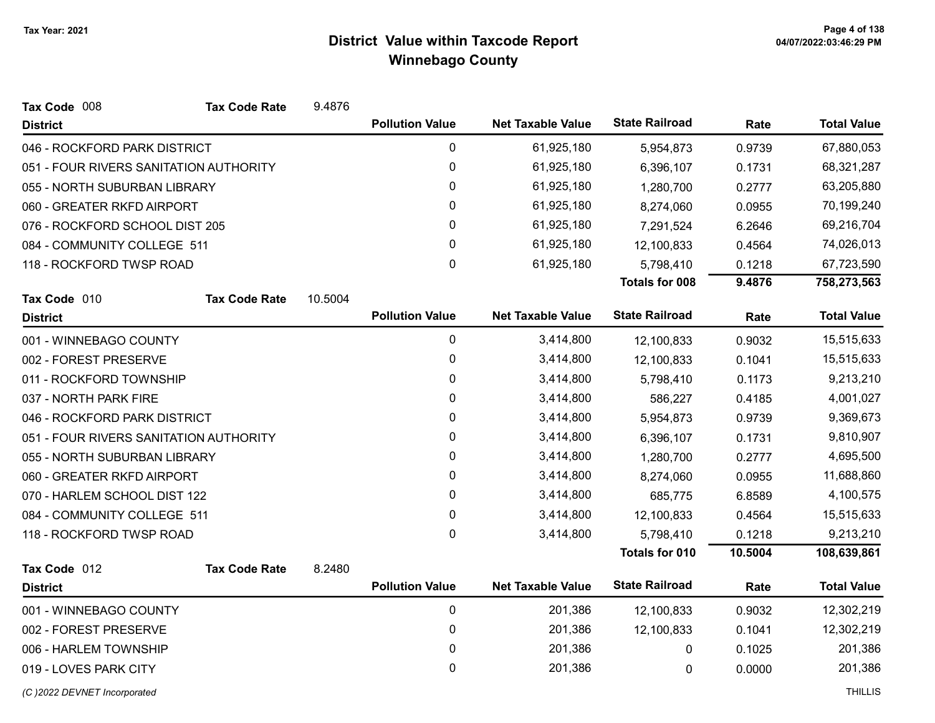| Tax Code 008                           | <b>Tax Code Rate</b> | 9.4876  |                        |                          |                       |         |                    |
|----------------------------------------|----------------------|---------|------------------------|--------------------------|-----------------------|---------|--------------------|
| <b>District</b>                        |                      |         | <b>Pollution Value</b> | <b>Net Taxable Value</b> | <b>State Railroad</b> | Rate    | <b>Total Value</b> |
| 046 - ROCKFORD PARK DISTRICT           |                      |         | 0                      | 61,925,180               | 5,954,873             | 0.9739  | 67,880,053         |
| 051 - FOUR RIVERS SANITATION AUTHORITY |                      |         | 0                      | 61,925,180               | 6,396,107             | 0.1731  | 68,321,287         |
| 055 - NORTH SUBURBAN LIBRARY           |                      |         | $\pmb{0}$              | 61,925,180               | 1,280,700             | 0.2777  | 63,205,880         |
| 060 - GREATER RKFD AIRPORT             |                      |         | $\mathbf{0}$           | 61,925,180               | 8,274,060             | 0.0955  | 70,199,240         |
| 076 - ROCKFORD SCHOOL DIST 205         |                      |         | $\pmb{0}$              | 61,925,180               | 7,291,524             | 6.2646  | 69,216,704         |
| 084 - COMMUNITY COLLEGE 511            |                      |         | 0                      | 61,925,180               | 12,100,833            | 0.4564  | 74,026,013         |
| 118 - ROCKFORD TWSP ROAD               |                      |         | $\pmb{0}$              | 61,925,180               | 5,798,410             | 0.1218  | 67,723,590         |
|                                        |                      |         |                        |                          | <b>Totals for 008</b> | 9.4876  | 758,273,563        |
| Tax Code 010                           | <b>Tax Code Rate</b> | 10.5004 |                        |                          |                       |         |                    |
| <b>District</b>                        |                      |         | <b>Pollution Value</b> | <b>Net Taxable Value</b> | <b>State Railroad</b> | Rate    | <b>Total Value</b> |
| 001 - WINNEBAGO COUNTY                 |                      |         | $\mathbf 0$            | 3,414,800                | 12,100,833            | 0.9032  | 15,515,633         |
| 002 - FOREST PRESERVE                  |                      |         | 0                      | 3,414,800                | 12,100,833            | 0.1041  | 15,515,633         |
| 011 - ROCKFORD TOWNSHIP                |                      |         | $\mathbf 0$            | 3,414,800                | 5,798,410             | 0.1173  | 9,213,210          |
| 037 - NORTH PARK FIRE                  |                      |         | 0                      | 3,414,800                | 586,227               | 0.4185  | 4,001,027          |
| 046 - ROCKFORD PARK DISTRICT           |                      |         | 0                      | 3,414,800                | 5,954,873             | 0.9739  | 9,369,673          |
| 051 - FOUR RIVERS SANITATION AUTHORITY |                      |         | 0                      | 3,414,800                | 6,396,107             | 0.1731  | 9,810,907          |
| 055 - NORTH SUBURBAN LIBRARY           |                      |         | 0                      | 3,414,800                | 1,280,700             | 0.2777  | 4,695,500          |
| 060 - GREATER RKFD AIRPORT             |                      |         | 0                      | 3,414,800                | 8,274,060             | 0.0955  | 11,688,860         |
| 070 - HARLEM SCHOOL DIST 122           |                      |         | 0                      | 3,414,800                | 685,775               | 6.8589  | 4,100,575          |
| 084 - COMMUNITY COLLEGE 511            |                      |         | 0                      | 3,414,800                | 12,100,833            | 0.4564  | 15,515,633         |
| 118 - ROCKFORD TWSP ROAD               |                      |         | $\mathbf{0}$           | 3,414,800                | 5,798,410             | 0.1218  | 9,213,210          |
|                                        |                      |         |                        |                          | Totals for 010        | 10.5004 | 108,639,861        |
| Tax Code 012                           | <b>Tax Code Rate</b> | 8.2480  |                        |                          |                       |         |                    |
| <b>District</b>                        |                      |         | <b>Pollution Value</b> | <b>Net Taxable Value</b> | <b>State Railroad</b> | Rate    | <b>Total Value</b> |
| 001 - WINNEBAGO COUNTY                 |                      |         | 0                      | 201,386                  | 12,100,833            | 0.9032  | 12,302,219         |
| 002 - FOREST PRESERVE                  |                      |         | $\pmb{0}$              | 201,386                  | 12,100,833            | 0.1041  | 12,302,219         |
| 006 - HARLEM TOWNSHIP                  |                      |         | 0                      | 201,386                  | 0                     | 0.1025  | 201,386            |
| 019 - LOVES PARK CITY                  |                      |         | $\mathbf 0$            | 201,386                  | 0                     | 0.0000  | 201,386            |
|                                        |                      |         |                        |                          |                       |         |                    |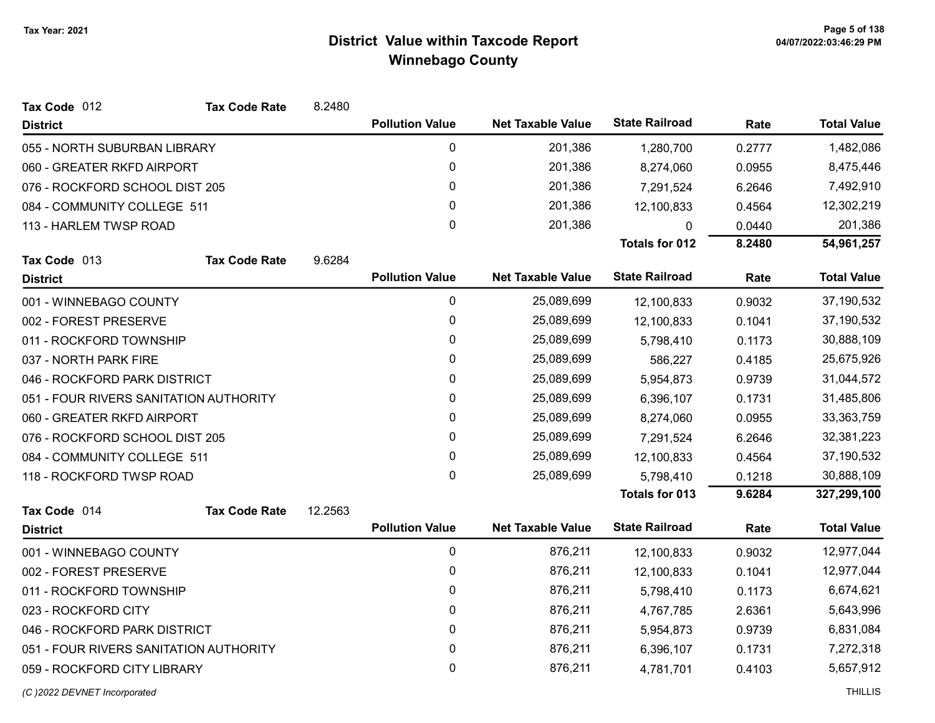| Tax Code 012                           | <b>Tax Code Rate</b>       | 8.2480  |                        |                          |                       |        |                    |
|----------------------------------------|----------------------------|---------|------------------------|--------------------------|-----------------------|--------|--------------------|
| <b>District</b>                        |                            |         | <b>Pollution Value</b> | <b>Net Taxable Value</b> | <b>State Railroad</b> | Rate   | <b>Total Value</b> |
| 055 - NORTH SUBURBAN LIBRARY           |                            |         | 0                      | 201,386                  | 1,280,700             | 0.2777 | 1,482,086          |
|                                        | 060 - GREATER RKFD AIRPORT |         | 0                      | 201,386                  | 8,274,060             | 0.0955 | 8,475,446          |
| 076 - ROCKFORD SCHOOL DIST 205         |                            |         | 0                      | 201,386                  | 7,291,524             | 6.2646 | 7,492,910          |
| 084 - COMMUNITY COLLEGE 511            |                            |         | 0                      | 201,386                  | 12,100,833            | 0.4564 | 12,302,219         |
| 113 - HARLEM TWSP ROAD                 |                            |         | $\mathbf 0$            | 201,386                  | 0                     | 0.0440 | 201,386            |
|                                        |                            |         |                        |                          | <b>Totals for 012</b> | 8.2480 | 54,961,257         |
| Tax Code 013                           | <b>Tax Code Rate</b>       | 9.6284  |                        |                          |                       |        |                    |
| <b>District</b>                        |                            |         | <b>Pollution Value</b> | <b>Net Taxable Value</b> | <b>State Railroad</b> | Rate   | <b>Total Value</b> |
| 001 - WINNEBAGO COUNTY                 |                            |         | $\mathbf 0$            | 25,089,699               | 12,100,833            | 0.9032 | 37,190,532         |
| 002 - FOREST PRESERVE                  |                            |         | 0                      | 25,089,699               | 12,100,833            | 0.1041 | 37,190,532         |
| 011 - ROCKFORD TOWNSHIP                |                            |         | $\mathbf 0$            | 25,089,699               | 5,798,410             | 0.1173 | 30,888,109         |
| 037 - NORTH PARK FIRE                  |                            |         | 0                      | 25,089,699               | 586,227               | 0.4185 | 25,675,926         |
| 046 - ROCKFORD PARK DISTRICT           |                            |         | 0                      | 25,089,699               | 5,954,873             | 0.9739 | 31,044,572         |
| 051 - FOUR RIVERS SANITATION AUTHORITY |                            |         | 0                      | 25,089,699               | 6,396,107             | 0.1731 | 31,485,806         |
| 060 - GREATER RKFD AIRPORT             |                            |         | 0                      | 25,089,699               | 8,274,060             | 0.0955 | 33,363,759         |
| 076 - ROCKFORD SCHOOL DIST 205         |                            |         | 0                      | 25,089,699               | 7,291,524             | 6.2646 | 32,381,223         |
| 084 - COMMUNITY COLLEGE 511            |                            |         | 0                      | 25,089,699               | 12,100,833            | 0.4564 | 37,190,532         |
| 118 - ROCKFORD TWSP ROAD               |                            |         | 0                      | 25,089,699               | 5,798,410             | 0.1218 | 30,888,109         |
|                                        |                            |         |                        |                          | <b>Totals for 013</b> | 9.6284 | 327,299,100        |
| Tax Code 014                           | <b>Tax Code Rate</b>       | 12.2563 |                        |                          |                       |        |                    |
| <b>District</b>                        |                            |         | <b>Pollution Value</b> | <b>Net Taxable Value</b> | <b>State Railroad</b> | Rate   | <b>Total Value</b> |
| 001 - WINNEBAGO COUNTY                 |                            |         | $\mathbf 0$            | 876,211                  | 12,100,833            | 0.9032 | 12,977,044         |
| 002 - FOREST PRESERVE                  |                            |         | 0                      | 876,211                  | 12,100,833            | 0.1041 | 12,977,044         |
| 011 - ROCKFORD TOWNSHIP                |                            |         | 0                      | 876,211                  | 5,798,410             | 0.1173 | 6,674,621          |
| 023 - ROCKFORD CITY                    |                            |         | $\mathbf{0}$           | 876,211                  | 4,767,785             | 2.6361 | 5,643,996          |
| 046 - ROCKFORD PARK DISTRICT           |                            |         | 0                      | 876,211                  | 5,954,873             | 0.9739 | 6,831,084          |
| 051 - FOUR RIVERS SANITATION AUTHORITY |                            |         | 0                      | 876,211                  | 6,396,107             | 0.1731 | 7,272,318          |
| 059 - ROCKFORD CITY LIBRARY            |                            |         | 0                      | 876,211                  | 4,781,701             | 0.4103 | 5,657,912          |
|                                        |                            |         |                        |                          |                       |        |                    |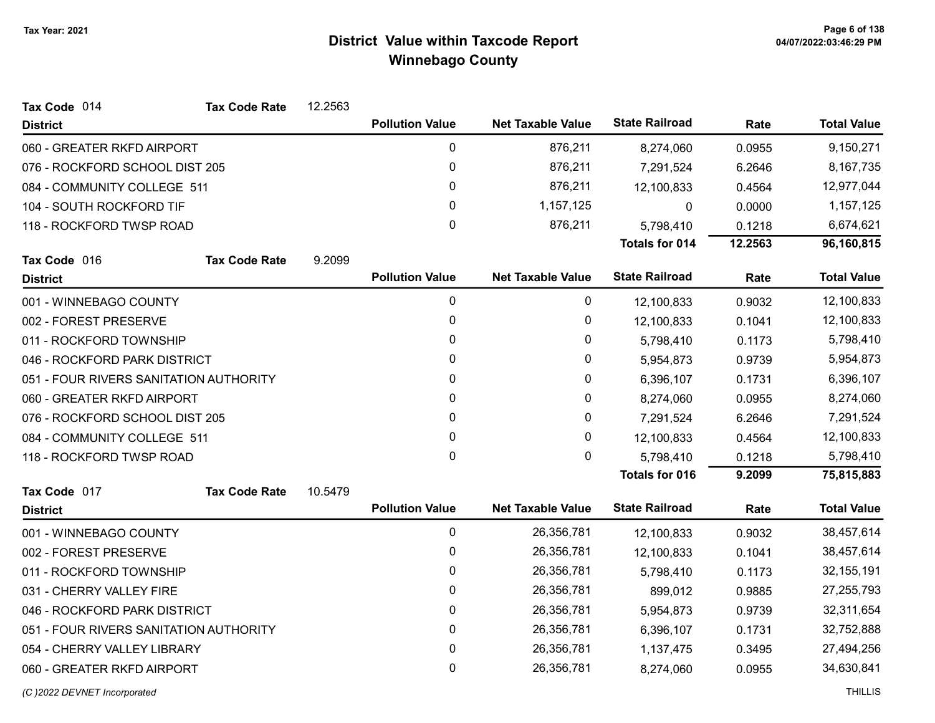| Tax Code 014                           | <b>Tax Code Rate</b> | 12.2563 |                        |                          |                       |         |                    |
|----------------------------------------|----------------------|---------|------------------------|--------------------------|-----------------------|---------|--------------------|
| <b>District</b>                        |                      |         | <b>Pollution Value</b> | <b>Net Taxable Value</b> | <b>State Railroad</b> | Rate    | <b>Total Value</b> |
| 060 - GREATER RKFD AIRPORT             |                      |         | 0                      | 876,211                  | 8,274,060             | 0.0955  | 9,150,271          |
| 076 - ROCKFORD SCHOOL DIST 205         |                      |         | 0                      | 876,211                  | 7,291,524             | 6.2646  | 8,167,735          |
| 084 - COMMUNITY COLLEGE 511            |                      |         | $\pmb{0}$              | 876,211                  | 12,100,833            | 0.4564  | 12,977,044         |
| 104 - SOUTH ROCKFORD TIF               |                      |         | 0                      | 1,157,125                | 0                     | 0.0000  | 1,157,125          |
| 118 - ROCKFORD TWSP ROAD               |                      |         | $\pmb{0}$              | 876,211                  | 5,798,410             | 0.1218  | 6,674,621          |
|                                        |                      |         |                        |                          | <b>Totals for 014</b> | 12.2563 | 96,160,815         |
| Tax Code 016                           | <b>Tax Code Rate</b> | 9.2099  |                        |                          |                       |         |                    |
| <b>District</b>                        |                      |         | <b>Pollution Value</b> | <b>Net Taxable Value</b> | <b>State Railroad</b> | Rate    | <b>Total Value</b> |
| 001 - WINNEBAGO COUNTY                 |                      |         | 0                      | 0                        | 12,100,833            | 0.9032  | 12,100,833         |
| 002 - FOREST PRESERVE                  |                      |         | 0                      | 0                        | 12,100,833            | 0.1041  | 12,100,833         |
| 011 - ROCKFORD TOWNSHIP                |                      |         | 0                      | 0                        | 5,798,410             | 0.1173  | 5,798,410          |
| 046 - ROCKFORD PARK DISTRICT           |                      |         | 0                      | 0                        | 5,954,873             | 0.9739  | 5,954,873          |
| 051 - FOUR RIVERS SANITATION AUTHORITY |                      |         | 0                      | 0                        | 6,396,107             | 0.1731  | 6,396,107          |
| 060 - GREATER RKFD AIRPORT             |                      |         | 0                      | 0                        | 8,274,060             | 0.0955  | 8,274,060          |
| 076 - ROCKFORD SCHOOL DIST 205         |                      |         | 0                      | 0                        | 7,291,524             | 6.2646  | 7,291,524          |
| 084 - COMMUNITY COLLEGE 511            |                      |         | 0                      | 0                        | 12,100,833            | 0.4564  | 12,100,833         |
| 118 - ROCKFORD TWSP ROAD               |                      |         | $\mathbf 0$            | 0                        | 5,798,410             | 0.1218  | 5,798,410          |
|                                        |                      |         |                        |                          | <b>Totals for 016</b> | 9.2099  | 75,815,883         |
| Tax Code 017                           | <b>Tax Code Rate</b> | 10.5479 |                        |                          |                       |         |                    |
| <b>District</b>                        |                      |         | <b>Pollution Value</b> | <b>Net Taxable Value</b> | <b>State Railroad</b> | Rate    | <b>Total Value</b> |
| 001 - WINNEBAGO COUNTY                 |                      |         | $\pmb{0}$              | 26,356,781               | 12,100,833            | 0.9032  | 38,457,614         |
| 002 - FOREST PRESERVE                  |                      |         | $\pmb{0}$              | 26,356,781               | 12,100,833            | 0.1041  | 38,457,614         |
| 011 - ROCKFORD TOWNSHIP                |                      |         | $\pmb{0}$              | 26,356,781               | 5,798,410             | 0.1173  | 32, 155, 191       |
| 031 - CHERRY VALLEY FIRE               |                      |         | 0                      | 26,356,781               | 899,012               | 0.9885  | 27,255,793         |
| 046 - ROCKFORD PARK DISTRICT           |                      |         | 0                      | 26,356,781               | 5,954,873             | 0.9739  | 32,311,654         |
| 051 - FOUR RIVERS SANITATION AUTHORITY |                      |         | $\pmb{0}$              | 26,356,781               | 6,396,107             | 0.1731  | 32,752,888         |
| 054 - CHERRY VALLEY LIBRARY            |                      |         | 0                      | 26,356,781               | 1,137,475             | 0.3495  | 27,494,256         |
| 060 - GREATER RKFD AIRPORT             |                      |         | $\mathbf 0$            | 26,356,781               | 8,274,060             | 0.0955  | 34,630,841         |
|                                        |                      |         |                        |                          |                       |         |                    |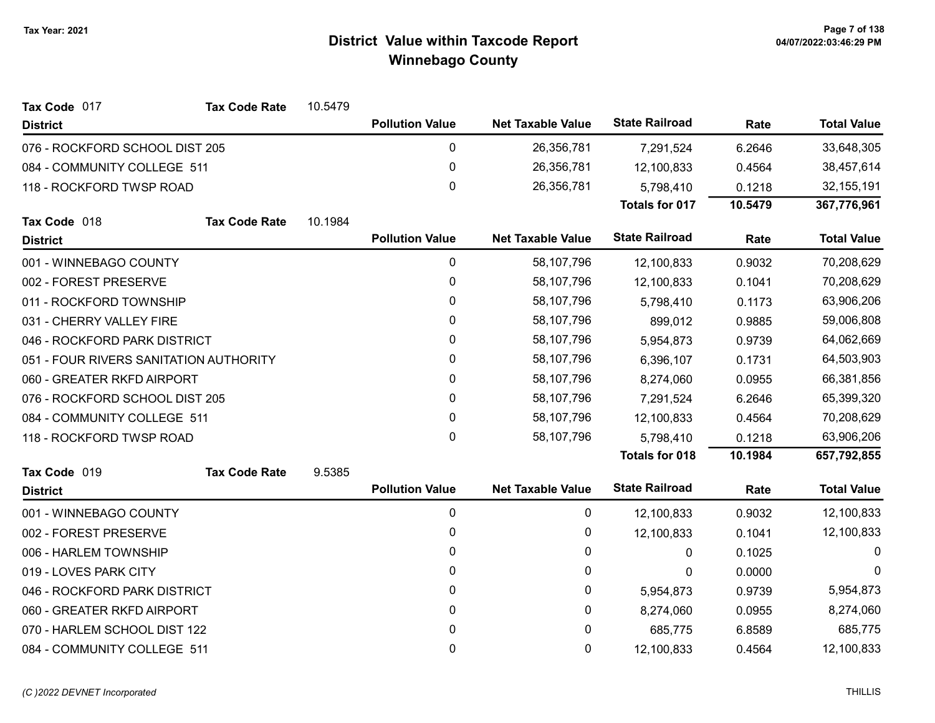| Tax Code 017                           | <b>Tax Code Rate</b> | 10.5479 |                        |                          |                       |         |                    |
|----------------------------------------|----------------------|---------|------------------------|--------------------------|-----------------------|---------|--------------------|
| <b>District</b>                        |                      |         | <b>Pollution Value</b> | <b>Net Taxable Value</b> | <b>State Railroad</b> | Rate    | <b>Total Value</b> |
| 076 - ROCKFORD SCHOOL DIST 205         |                      |         | 0                      | 26,356,781               | 7,291,524             | 6.2646  | 33,648,305         |
| 084 - COMMUNITY COLLEGE 511            |                      |         | 0                      | 26,356,781               | 12,100,833            | 0.4564  | 38,457,614         |
| 118 - ROCKFORD TWSP ROAD               |                      |         | 0                      | 26,356,781               | 5,798,410             | 0.1218  | 32, 155, 191       |
|                                        |                      |         |                        |                          | <b>Totals for 017</b> | 10.5479 | 367,776,961        |
| Tax Code 018                           | <b>Tax Code Rate</b> | 10.1984 |                        |                          |                       |         |                    |
| <b>District</b>                        |                      |         | <b>Pollution Value</b> | <b>Net Taxable Value</b> | <b>State Railroad</b> | Rate    | <b>Total Value</b> |
| 001 - WINNEBAGO COUNTY                 |                      |         | 0                      | 58,107,796               | 12,100,833            | 0.9032  | 70,208,629         |
| 002 - FOREST PRESERVE                  |                      |         | 0                      | 58,107,796               | 12,100,833            | 0.1041  | 70,208,629         |
| 011 - ROCKFORD TOWNSHIP                |                      |         | 0                      | 58,107,796               | 5,798,410             | 0.1173  | 63,906,206         |
| 031 - CHERRY VALLEY FIRE               |                      |         | 0                      | 58,107,796               | 899,012               | 0.9885  | 59,006,808         |
| 046 - ROCKFORD PARK DISTRICT           |                      |         | 0                      | 58,107,796               | 5,954,873             | 0.9739  | 64,062,669         |
| 051 - FOUR RIVERS SANITATION AUTHORITY |                      |         | 0                      | 58,107,796               | 6,396,107             | 0.1731  | 64,503,903         |
| 060 - GREATER RKFD AIRPORT             |                      |         | 0                      | 58,107,796               | 8,274,060             | 0.0955  | 66,381,856         |
| 076 - ROCKFORD SCHOOL DIST 205         |                      |         | 0                      | 58,107,796               | 7,291,524             | 6.2646  | 65,399,320         |
| 084 - COMMUNITY COLLEGE 511            |                      |         | 0                      | 58,107,796               | 12,100,833            | 0.4564  | 70,208,629         |
| 118 - ROCKFORD TWSP ROAD               |                      |         | 0                      | 58,107,796               | 5,798,410             | 0.1218  | 63,906,206         |
|                                        |                      |         |                        |                          | <b>Totals for 018</b> | 10.1984 | 657,792,855        |
| Tax Code 019                           | <b>Tax Code Rate</b> | 9.5385  |                        |                          |                       |         |                    |
| <b>District</b>                        |                      |         | <b>Pollution Value</b> | <b>Net Taxable Value</b> | <b>State Railroad</b> | Rate    | <b>Total Value</b> |
| 001 - WINNEBAGO COUNTY                 |                      |         | 0                      | 0                        | 12,100,833            | 0.9032  | 12,100,833         |
| 002 - FOREST PRESERVE                  |                      |         | 0                      | 0                        | 12,100,833            | 0.1041  | 12,100,833         |
| 006 - HARLEM TOWNSHIP                  |                      |         | $\mathbf{0}$           | 0                        | 0                     | 0.1025  | $\Omega$           |
| 019 - LOVES PARK CITY                  |                      |         | $\mathbf{0}$           | 0                        | 0                     | 0.0000  | $\Omega$           |
| 046 - ROCKFORD PARK DISTRICT           |                      |         | 0                      | 0                        | 5,954,873             | 0.9739  | 5,954,873          |
| 060 - GREATER RKFD AIRPORT             |                      |         | 0                      | 0                        | 8,274,060             | 0.0955  | 8,274,060          |
| 070 - HARLEM SCHOOL DIST 122           |                      |         | 0                      | 0                        | 685,775               | 6.8589  | 685,775            |
| 084 - COMMUNITY COLLEGE 511            |                      |         | 0                      | 0                        | 12,100,833            | 0.4564  | 12,100,833         |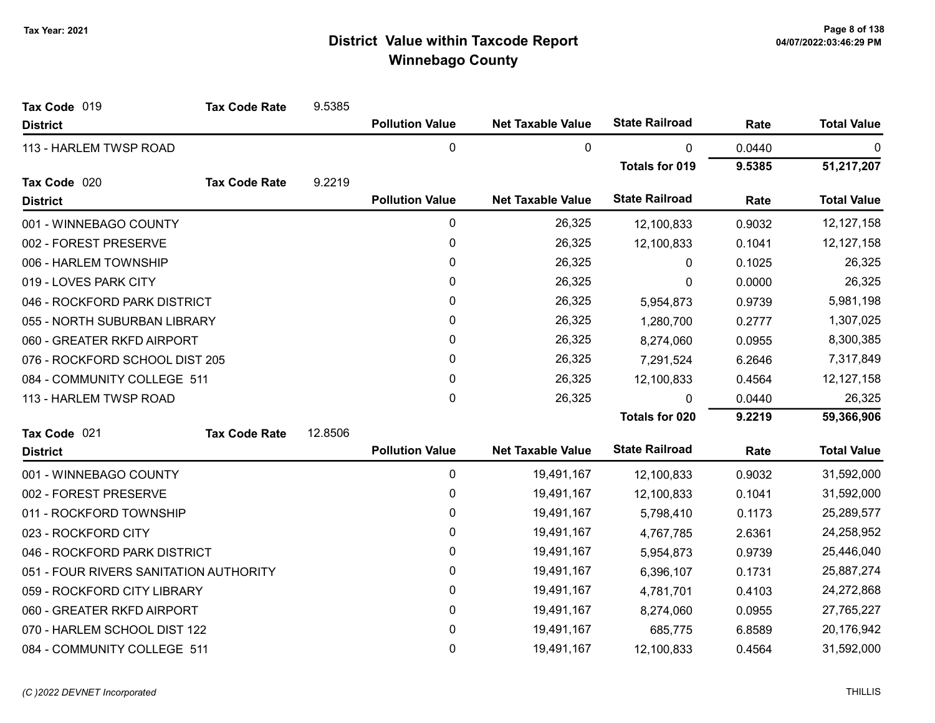| Tax Code 019                           | <b>Tax Code Rate</b> | 9.5385  |                        |                          |                       |        |                    |
|----------------------------------------|----------------------|---------|------------------------|--------------------------|-----------------------|--------|--------------------|
| <b>District</b>                        |                      |         | <b>Pollution Value</b> | <b>Net Taxable Value</b> | <b>State Railroad</b> | Rate   | <b>Total Value</b> |
| 113 - HARLEM TWSP ROAD                 |                      |         | 0                      | 0                        | 0                     | 0.0440 | 0                  |
|                                        |                      |         |                        |                          | <b>Totals for 019</b> | 9.5385 | 51,217,207         |
| Tax Code 020                           | <b>Tax Code Rate</b> | 9.2219  |                        |                          |                       |        |                    |
| <b>District</b>                        |                      |         | <b>Pollution Value</b> | <b>Net Taxable Value</b> | <b>State Railroad</b> | Rate   | <b>Total Value</b> |
| 001 - WINNEBAGO COUNTY                 |                      |         | 0                      | 26,325                   | 12,100,833            | 0.9032 | 12, 127, 158       |
| 002 - FOREST PRESERVE                  |                      |         | 0                      | 26,325                   | 12,100,833            | 0.1041 | 12, 127, 158       |
| 006 - HARLEM TOWNSHIP                  |                      |         | 0                      | 26,325                   | 0                     | 0.1025 | 26,325             |
| 019 - LOVES PARK CITY                  |                      |         | 0                      | 26,325                   | 0                     | 0.0000 | 26,325             |
| 046 - ROCKFORD PARK DISTRICT           |                      |         | 0                      | 26,325                   | 5,954,873             | 0.9739 | 5,981,198          |
| 055 - NORTH SUBURBAN LIBRARY           |                      |         | 0                      | 26,325                   | 1,280,700             | 0.2777 | 1,307,025          |
| 060 - GREATER RKFD AIRPORT             |                      |         | 0                      | 26,325                   | 8,274,060             | 0.0955 | 8,300,385          |
| 076 - ROCKFORD SCHOOL DIST 205         |                      |         | 0                      | 26,325                   | 7,291,524             | 6.2646 | 7,317,849          |
| 084 - COMMUNITY COLLEGE 511            |                      |         | 0                      | 26,325                   | 12,100,833            | 0.4564 | 12, 127, 158       |
| 113 - HARLEM TWSP ROAD                 |                      |         | 0                      | 26,325                   | 0                     | 0.0440 | 26,325             |
|                                        |                      |         |                        |                          | <b>Totals for 020</b> | 9.2219 | 59,366,906         |
| Tax Code 021                           | <b>Tax Code Rate</b> | 12.8506 |                        |                          |                       |        |                    |
| <b>District</b>                        |                      |         | <b>Pollution Value</b> | <b>Net Taxable Value</b> | <b>State Railroad</b> | Rate   | <b>Total Value</b> |
| 001 - WINNEBAGO COUNTY                 |                      |         | 0                      | 19,491,167               | 12,100,833            | 0.9032 | 31,592,000         |
| 002 - FOREST PRESERVE                  |                      |         | 0                      | 19,491,167               | 12,100,833            | 0.1041 | 31,592,000         |
| 011 - ROCKFORD TOWNSHIP                |                      |         | 0                      | 19,491,167               | 5,798,410             | 0.1173 | 25,289,577         |
| 023 - ROCKFORD CITY                    |                      |         | 0                      | 19,491,167               | 4,767,785             | 2.6361 | 24,258,952         |
| 046 - ROCKFORD PARK DISTRICT           |                      |         | 0                      | 19,491,167               | 5,954,873             | 0.9739 | 25,446,040         |
| 051 - FOUR RIVERS SANITATION AUTHORITY |                      |         | 0                      | 19,491,167               | 6,396,107             | 0.1731 | 25,887,274         |
| 059 - ROCKFORD CITY LIBRARY            |                      |         | 0                      | 19,491,167               | 4,781,701             | 0.4103 | 24,272,868         |
| 060 - GREATER RKFD AIRPORT             |                      |         | 0                      | 19,491,167               | 8,274,060             | 0.0955 | 27,765,227         |
| 070 - HARLEM SCHOOL DIST 122           |                      |         | 0                      | 19,491,167               | 685,775               | 6.8589 | 20,176,942         |
| 084 - COMMUNITY COLLEGE 511            |                      |         | 0                      | 19,491,167               | 12,100,833            | 0.4564 | 31,592,000         |

#### (C)2022 DEVNET Incorporated THILLIS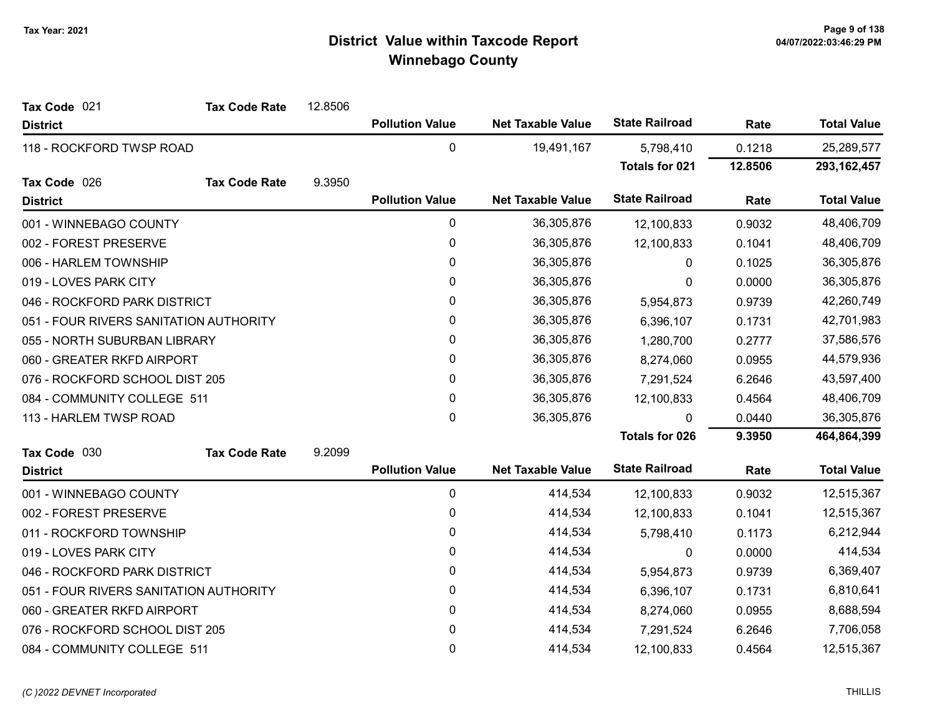| Tax Code 021                           | <b>Tax Code Rate</b> | 12.8506 |                        |                          |                       |         |                    |
|----------------------------------------|----------------------|---------|------------------------|--------------------------|-----------------------|---------|--------------------|
| <b>District</b>                        |                      |         | <b>Pollution Value</b> | <b>Net Taxable Value</b> | <b>State Railroad</b> | Rate    | <b>Total Value</b> |
| 118 - ROCKFORD TWSP ROAD               |                      |         | $\mathbf 0$            | 19,491,167               | 5,798,410             | 0.1218  | 25,289,577         |
|                                        |                      |         |                        |                          | <b>Totals for 021</b> | 12.8506 | 293, 162, 457      |
| Tax Code 026                           | <b>Tax Code Rate</b> | 9.3950  |                        |                          |                       |         |                    |
| <b>District</b>                        |                      |         | <b>Pollution Value</b> | <b>Net Taxable Value</b> | <b>State Railroad</b> | Rate    | <b>Total Value</b> |
| 001 - WINNEBAGO COUNTY                 |                      |         | $\pmb{0}$              | 36,305,876               | 12,100,833            | 0.9032  | 48,406,709         |
| 002 - FOREST PRESERVE                  |                      |         | 0                      | 36,305,876               | 12,100,833            | 0.1041  | 48,406,709         |
| 006 - HARLEM TOWNSHIP                  |                      |         | $\pmb{0}$              | 36,305,876               | 0                     | 0.1025  | 36,305,876         |
| 019 - LOVES PARK CITY                  |                      |         | $\mathbf{0}$           | 36,305,876               | 0                     | 0.0000  | 36,305,876         |
| 046 - ROCKFORD PARK DISTRICT           |                      |         | 0                      | 36,305,876               | 5,954,873             | 0.9739  | 42,260,749         |
| 051 - FOUR RIVERS SANITATION AUTHORITY |                      |         | 0                      | 36,305,876               | 6,396,107             | 0.1731  | 42,701,983         |
| 055 - NORTH SUBURBAN LIBRARY           |                      |         | 0                      | 36,305,876               | 1,280,700             | 0.2777  | 37,586,576         |
| 060 - GREATER RKFD AIRPORT             |                      |         | $\pmb{0}$              | 36,305,876               | 8,274,060             | 0.0955  | 44,579,936         |
| 076 - ROCKFORD SCHOOL DIST 205         |                      |         | 0                      | 36,305,876               | 7,291,524             | 6.2646  | 43,597,400         |
| 084 - COMMUNITY COLLEGE 511            |                      |         | 0                      | 36,305,876               | 12,100,833            | 0.4564  | 48,406,709         |
| 113 - HARLEM TWSP ROAD                 |                      |         | $\mathbf 0$            | 36,305,876               | 0                     | 0.0440  | 36,305,876         |
|                                        |                      |         |                        |                          | <b>Totals for 026</b> | 9.3950  | 464,864,399        |
| Tax Code 030                           | <b>Tax Code Rate</b> | 9.2099  |                        |                          |                       |         |                    |
| <b>District</b>                        |                      |         | <b>Pollution Value</b> | <b>Net Taxable Value</b> | <b>State Railroad</b> | Rate    | <b>Total Value</b> |
| 001 - WINNEBAGO COUNTY                 |                      |         | $\pmb{0}$              | 414,534                  | 12,100,833            | 0.9032  | 12,515,367         |
| 002 - FOREST PRESERVE                  |                      |         | 0                      | 414,534                  | 12,100,833            | 0.1041  | 12,515,367         |
| 011 - ROCKFORD TOWNSHIP                |                      |         | 0                      | 414,534                  | 5,798,410             | 0.1173  | 6,212,944          |
| 019 - LOVES PARK CITY                  |                      |         | $\mathbf{0}$           | 414,534                  | 0                     | 0.0000  | 414,534            |
| 046 - ROCKFORD PARK DISTRICT           |                      |         | $\mathbf{0}$           | 414,534                  | 5,954,873             | 0.9739  | 6,369,407          |
| 051 - FOUR RIVERS SANITATION AUTHORITY |                      |         | $\pmb{0}$              | 414,534                  | 6,396,107             | 0.1731  | 6,810,641          |
| 060 - GREATER RKFD AIRPORT             |                      |         | 0                      | 414,534                  | 8,274,060             | 0.0955  | 8,688,594          |
| 076 - ROCKFORD SCHOOL DIST 205         |                      |         | 0                      | 414,534                  | 7,291,524             | 6.2646  | 7,706,058          |
| 084 - COMMUNITY COLLEGE 511            |                      |         | 0                      | 414,534                  | 12,100,833            | 0.4564  | 12,515,367         |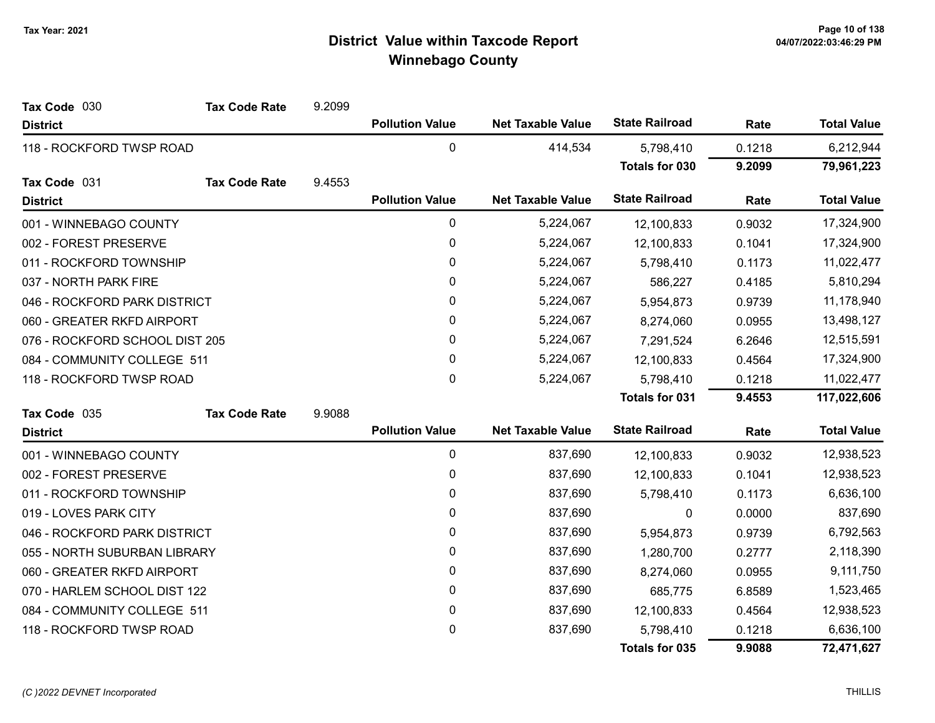| Tax Code 030                   | <b>Tax Code Rate</b> | 9.2099 |                        |                          |                       |        |                    |
|--------------------------------|----------------------|--------|------------------------|--------------------------|-----------------------|--------|--------------------|
| <b>District</b>                |                      |        | <b>Pollution Value</b> | <b>Net Taxable Value</b> | <b>State Railroad</b> | Rate   | <b>Total Value</b> |
| 118 - ROCKFORD TWSP ROAD       |                      |        | 0                      | 414,534                  | 5,798,410             | 0.1218 | 6,212,944          |
|                                |                      |        |                        |                          | <b>Totals for 030</b> | 9.2099 | 79,961,223         |
| Tax Code 031                   | <b>Tax Code Rate</b> | 9.4553 |                        |                          |                       |        |                    |
| <b>District</b>                |                      |        | <b>Pollution Value</b> | <b>Net Taxable Value</b> | <b>State Railroad</b> | Rate   | <b>Total Value</b> |
| 001 - WINNEBAGO COUNTY         |                      |        | $\pmb{0}$              | 5,224,067                | 12,100,833            | 0.9032 | 17,324,900         |
| 002 - FOREST PRESERVE          |                      |        | 0                      | 5,224,067                | 12,100,833            | 0.1041 | 17,324,900         |
| 011 - ROCKFORD TOWNSHIP        |                      |        | 0                      | 5,224,067                | 5,798,410             | 0.1173 | 11,022,477         |
| 037 - NORTH PARK FIRE          |                      |        | $\mathbf{0}$           | 5,224,067                | 586,227               | 0.4185 | 5,810,294          |
| 046 - ROCKFORD PARK DISTRICT   |                      |        | 0                      | 5,224,067                | 5,954,873             | 0.9739 | 11,178,940         |
| 060 - GREATER RKFD AIRPORT     |                      |        | 0                      | 5,224,067                | 8,274,060             | 0.0955 | 13,498,127         |
| 076 - ROCKFORD SCHOOL DIST 205 |                      |        | 0                      | 5,224,067                | 7,291,524             | 6.2646 | 12,515,591         |
| 084 - COMMUNITY COLLEGE 511    |                      |        | $\pmb{0}$              | 5,224,067                | 12,100,833            | 0.4564 | 17,324,900         |
| 118 - ROCKFORD TWSP ROAD       |                      |        | $\mathbf{0}$           | 5,224,067                | 5,798,410             | 0.1218 | 11,022,477         |
|                                |                      |        |                        |                          | <b>Totals for 031</b> | 9.4553 | 117,022,606        |
| Tax Code 035                   | <b>Tax Code Rate</b> | 9.9088 |                        |                          |                       |        |                    |
| <b>District</b>                |                      |        | <b>Pollution Value</b> | <b>Net Taxable Value</b> | <b>State Railroad</b> | Rate   | <b>Total Value</b> |
| 001 - WINNEBAGO COUNTY         |                      |        | $\pmb{0}$              | 837,690                  | 12,100,833            | 0.9032 | 12,938,523         |
| 002 - FOREST PRESERVE          |                      |        | 0                      | 837,690                  | 12,100,833            | 0.1041 | 12,938,523         |
| 011 - ROCKFORD TOWNSHIP        |                      |        | 0                      | 837,690                  | 5,798,410             | 0.1173 | 6,636,100          |
| 019 - LOVES PARK CITY          |                      |        | $\mathbf{0}$           | 837,690                  | 0                     | 0.0000 | 837,690            |
| 046 - ROCKFORD PARK DISTRICT   |                      |        | 0                      | 837,690                  | 5,954,873             | 0.9739 | 6,792,563          |
| 055 - NORTH SUBURBAN LIBRARY   |                      |        | 0                      | 837,690                  | 1,280,700             | 0.2777 | 2,118,390          |
| 060 - GREATER RKFD AIRPORT     |                      |        | 0                      | 837,690                  | 8,274,060             | 0.0955 | 9,111,750          |
| 070 - HARLEM SCHOOL DIST 122   |                      |        | 0                      | 837,690                  | 685,775               | 6.8589 | 1,523,465          |
| 084 - COMMUNITY COLLEGE 511    |                      |        | 0                      | 837,690                  | 12,100,833            | 0.4564 | 12,938,523         |
| 118 - ROCKFORD TWSP ROAD       |                      |        | 0                      | 837,690                  | 5,798,410             | 0.1218 | 6,636,100          |
|                                |                      |        |                        |                          | <b>Totals for 035</b> | 9.9088 | 72,471,627         |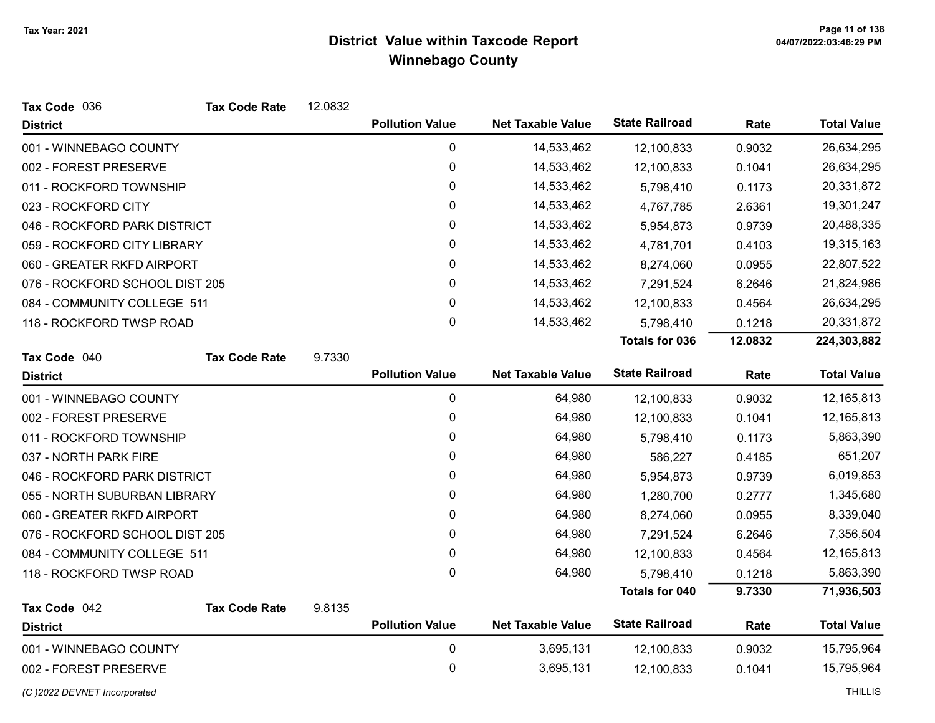| Tax Code 036                   | <b>Tax Code Rate</b> | 12.0832 |                        |                          |                       |         |                    |
|--------------------------------|----------------------|---------|------------------------|--------------------------|-----------------------|---------|--------------------|
| <b>District</b>                |                      |         | <b>Pollution Value</b> | <b>Net Taxable Value</b> | <b>State Railroad</b> | Rate    | <b>Total Value</b> |
| 001 - WINNEBAGO COUNTY         |                      |         | 0                      | 14,533,462               | 12,100,833            | 0.9032  | 26,634,295         |
| 002 - FOREST PRESERVE          |                      |         | 0                      | 14,533,462               | 12,100,833            | 0.1041  | 26,634,295         |
| 011 - ROCKFORD TOWNSHIP        |                      |         | $\pmb{0}$              | 14,533,462               | 5,798,410             | 0.1173  | 20,331,872         |
| 023 - ROCKFORD CITY            |                      |         | 0                      | 14,533,462               | 4,767,785             | 2.6361  | 19,301,247         |
| 046 - ROCKFORD PARK DISTRICT   |                      |         | $\pmb{0}$              | 14,533,462               | 5,954,873             | 0.9739  | 20,488,335         |
| 059 - ROCKFORD CITY LIBRARY    |                      |         | 0                      | 14,533,462               | 4,781,701             | 0.4103  | 19,315,163         |
| 060 - GREATER RKFD AIRPORT     |                      |         | $\pmb{0}$              | 14,533,462               | 8,274,060             | 0.0955  | 22,807,522         |
| 076 - ROCKFORD SCHOOL DIST 205 |                      |         | 0                      | 14,533,462               | 7,291,524             | 6.2646  | 21,824,986         |
| 084 - COMMUNITY COLLEGE 511    |                      |         | $\mathbf 0$            | 14,533,462               | 12,100,833            | 0.4564  | 26,634,295         |
| 118 - ROCKFORD TWSP ROAD       |                      |         | $\mathbf{0}$           | 14,533,462               | 5,798,410             | 0.1218  | 20,331,872         |
|                                |                      |         |                        |                          | <b>Totals for 036</b> | 12.0832 | 224,303,882        |
| Tax Code 040                   | <b>Tax Code Rate</b> | 9.7330  |                        |                          |                       |         |                    |
| <b>District</b>                |                      |         | <b>Pollution Value</b> | <b>Net Taxable Value</b> | <b>State Railroad</b> | Rate    | <b>Total Value</b> |
| 001 - WINNEBAGO COUNTY         |                      |         | 0                      | 64,980                   | 12,100,833            | 0.9032  | 12,165,813         |
| 002 - FOREST PRESERVE          |                      |         | 0                      | 64,980                   | 12,100,833            | 0.1041  | 12,165,813         |
| 011 - ROCKFORD TOWNSHIP        |                      |         | $\pmb{0}$              | 64,980                   | 5,798,410             | 0.1173  | 5,863,390          |
| 037 - NORTH PARK FIRE          |                      |         | 0                      | 64,980                   | 586,227               | 0.4185  | 651,207            |
| 046 - ROCKFORD PARK DISTRICT   |                      |         | $\pmb{0}$              | 64,980                   | 5,954,873             | 0.9739  | 6,019,853          |
| 055 - NORTH SUBURBAN LIBRARY   |                      |         | $\mathbf{0}$           | 64,980                   | 1,280,700             | 0.2777  | 1,345,680          |
| 060 - GREATER RKFD AIRPORT     |                      |         | 0                      | 64,980                   | 8,274,060             | 0.0955  | 8,339,040          |
| 076 - ROCKFORD SCHOOL DIST 205 |                      |         | $\mathbf{0}$           | 64,980                   | 7,291,524             | 6.2646  | 7,356,504          |
| 084 - COMMUNITY COLLEGE 511    |                      |         | $\mathbf 0$            | 64,980                   | 12,100,833            | 0.4564  | 12,165,813         |
| 118 - ROCKFORD TWSP ROAD       |                      |         | $\mathbf 0$            | 64,980                   | 5,798,410             | 0.1218  | 5,863,390          |
|                                |                      |         |                        |                          | Totals for 040        | 9.7330  | 71,936,503         |
| Tax Code 042                   | <b>Tax Code Rate</b> | 9.8135  |                        |                          |                       |         |                    |
| <b>District</b>                |                      |         | <b>Pollution Value</b> | <b>Net Taxable Value</b> | <b>State Railroad</b> | Rate    | <b>Total Value</b> |
| 001 - WINNEBAGO COUNTY         |                      |         | 0                      | 3,695,131                | 12,100,833            | 0.9032  | 15,795,964         |
| 002 - FOREST PRESERVE          |                      |         | $\mathbf 0$            | 3,695,131                | 12,100,833            | 0.1041  | 15,795,964         |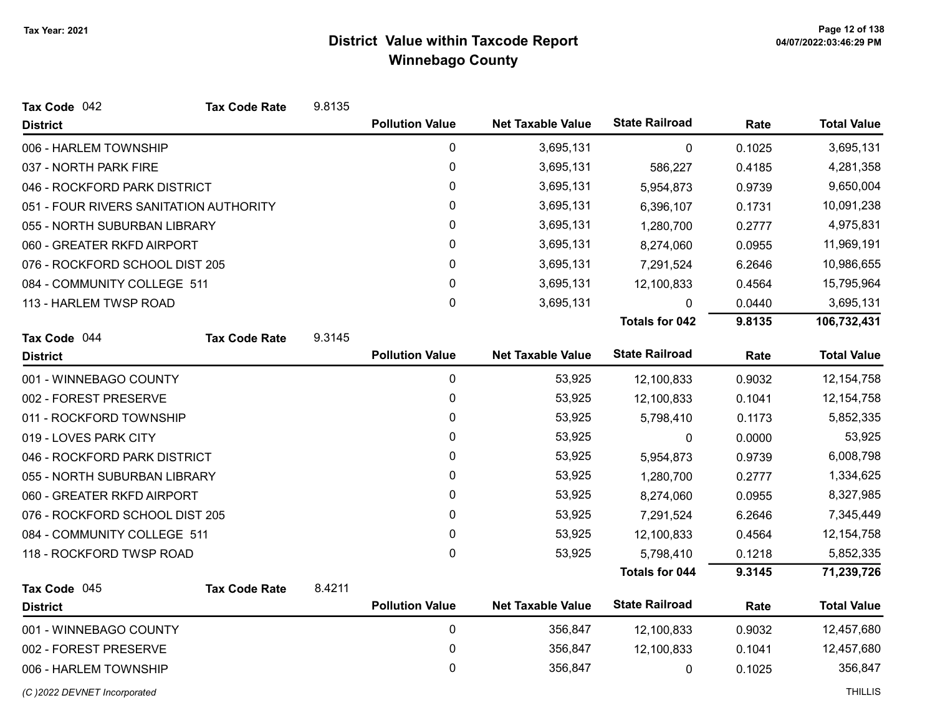| Tax Code 042                           | <b>Tax Code Rate</b> | 9.8135 |                        |                          |                       |        |                    |
|----------------------------------------|----------------------|--------|------------------------|--------------------------|-----------------------|--------|--------------------|
| <b>District</b>                        |                      |        | <b>Pollution Value</b> | <b>Net Taxable Value</b> | <b>State Railroad</b> | Rate   | <b>Total Value</b> |
| 006 - HARLEM TOWNSHIP                  |                      |        | $\mathbf{0}$           | 3,695,131                | 0                     | 0.1025 | 3,695,131          |
| 037 - NORTH PARK FIRE                  |                      |        | 0                      | 3,695,131                | 586,227               | 0.4185 | 4,281,358          |
| 046 - ROCKFORD PARK DISTRICT           |                      |        | 0                      | 3,695,131                | 5,954,873             | 0.9739 | 9,650,004          |
| 051 - FOUR RIVERS SANITATION AUTHORITY |                      |        | 0                      | 3,695,131                | 6,396,107             | 0.1731 | 10,091,238         |
| 055 - NORTH SUBURBAN LIBRARY           |                      |        | 0                      | 3,695,131                | 1,280,700             | 0.2777 | 4,975,831          |
| 060 - GREATER RKFD AIRPORT             |                      |        | 0                      | 3,695,131                | 8,274,060             | 0.0955 | 11,969,191         |
| 076 - ROCKFORD SCHOOL DIST 205         |                      |        | 0                      | 3,695,131                | 7,291,524             | 6.2646 | 10,986,655         |
| 084 - COMMUNITY COLLEGE 511            |                      |        | 0                      | 3,695,131                | 12,100,833            | 0.4564 | 15,795,964         |
| 113 - HARLEM TWSP ROAD                 |                      |        | 0                      | 3,695,131                | 0                     | 0.0440 | 3,695,131          |
|                                        |                      |        |                        |                          | <b>Totals for 042</b> | 9.8135 | 106,732,431        |
| Tax Code 044                           | <b>Tax Code Rate</b> | 9.3145 |                        |                          |                       |        |                    |
| <b>District</b>                        |                      |        | <b>Pollution Value</b> | <b>Net Taxable Value</b> | <b>State Railroad</b> | Rate   | <b>Total Value</b> |
| 001 - WINNEBAGO COUNTY                 |                      |        | $\pmb{0}$              | 53,925                   | 12,100,833            | 0.9032 | 12, 154, 758       |
| 002 - FOREST PRESERVE                  |                      |        | $\pmb{0}$              | 53,925                   | 12,100,833            | 0.1041 | 12, 154, 758       |
| 011 - ROCKFORD TOWNSHIP                |                      |        | 0                      | 53,925                   | 5,798,410             | 0.1173 | 5,852,335          |
| 019 - LOVES PARK CITY                  |                      |        | 0                      | 53,925                   | 0                     | 0.0000 | 53,925             |
| 046 - ROCKFORD PARK DISTRICT           |                      |        | 0                      | 53,925                   | 5,954,873             | 0.9739 | 6,008,798          |
| 055 - NORTH SUBURBAN LIBRARY           |                      |        | 0                      | 53,925                   | 1,280,700             | 0.2777 | 1,334,625          |
| 060 - GREATER RKFD AIRPORT             |                      |        | 0                      | 53,925                   | 8,274,060             | 0.0955 | 8,327,985          |
| 076 - ROCKFORD SCHOOL DIST 205         |                      |        | 0                      | 53,925                   | 7,291,524             | 6.2646 | 7,345,449          |
| 084 - COMMUNITY COLLEGE 511            |                      |        | 0                      | 53,925                   | 12,100,833            | 0.4564 | 12, 154, 758       |
| 118 - ROCKFORD TWSP ROAD               |                      |        | 0                      | 53,925                   | 5,798,410             | 0.1218 | 5,852,335          |
|                                        |                      |        |                        |                          | <b>Totals for 044</b> | 9.3145 | 71,239,726         |
| Tax Code 045                           | <b>Tax Code Rate</b> | 8.4211 |                        |                          |                       |        |                    |
| <b>District</b>                        |                      |        | <b>Pollution Value</b> | <b>Net Taxable Value</b> | <b>State Railroad</b> | Rate   | <b>Total Value</b> |
| 001 - WINNEBAGO COUNTY                 |                      |        | $\pmb{0}$              | 356,847                  | 12,100,833            | 0.9032 | 12,457,680         |
| 002 - FOREST PRESERVE                  |                      |        | 0                      | 356,847                  | 12,100,833            | 0.1041 | 12,457,680         |
| 006 - HARLEM TOWNSHIP                  |                      |        | 0                      | 356,847                  | 0                     | 0.1025 | 356,847            |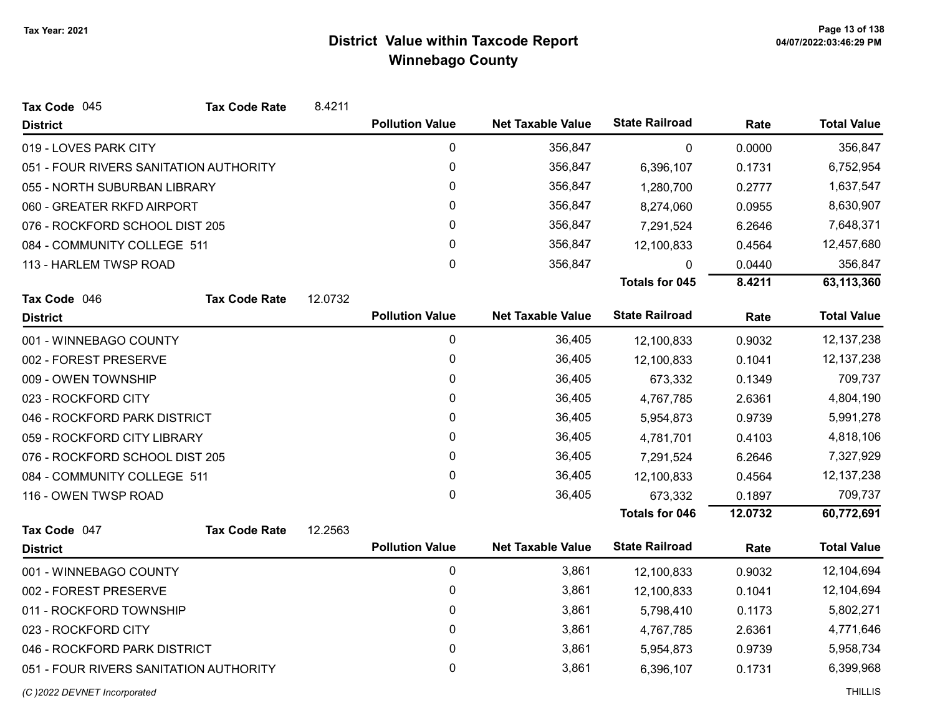| Tax Code 045<br><b>Tax Code Rate</b>   | 8.4211  |                        |                          |                       |         |                    |
|----------------------------------------|---------|------------------------|--------------------------|-----------------------|---------|--------------------|
| <b>District</b>                        |         | <b>Pollution Value</b> | <b>Net Taxable Value</b> | <b>State Railroad</b> | Rate    | <b>Total Value</b> |
| 019 - LOVES PARK CITY                  |         | 0                      | 356,847                  | 0                     | 0.0000  | 356,847            |
| 051 - FOUR RIVERS SANITATION AUTHORITY |         | 0                      | 356,847                  | 6,396,107             | 0.1731  | 6,752,954          |
| 055 - NORTH SUBURBAN LIBRARY           |         | 0                      | 356,847                  | 1,280,700             | 0.2777  | 1,637,547          |
| 060 - GREATER RKFD AIRPORT             |         | 0                      | 356,847                  | 8,274,060             | 0.0955  | 8,630,907          |
| 076 - ROCKFORD SCHOOL DIST 205         |         | 0                      | 356,847                  | 7,291,524             | 6.2646  | 7,648,371          |
| 084 - COMMUNITY COLLEGE 511            |         | 0                      | 356,847                  | 12,100,833            | 0.4564  | 12,457,680         |
| 113 - HARLEM TWSP ROAD                 |         | $\mathbf 0$            | 356,847                  | $\mathbf{0}$          | 0.0440  | 356,847            |
|                                        |         |                        |                          | <b>Totals for 045</b> | 8.4211  | 63,113,360         |
| Tax Code 046<br><b>Tax Code Rate</b>   | 12.0732 |                        |                          |                       |         |                    |
| <b>District</b>                        |         | <b>Pollution Value</b> | <b>Net Taxable Value</b> | <b>State Railroad</b> | Rate    | <b>Total Value</b> |
| 001 - WINNEBAGO COUNTY                 |         | 0                      | 36,405                   | 12,100,833            | 0.9032  | 12, 137, 238       |
| 002 - FOREST PRESERVE                  |         | 0                      | 36,405                   | 12,100,833            | 0.1041  | 12, 137, 238       |
| 009 - OWEN TOWNSHIP                    |         | 0                      | 36,405                   | 673,332               | 0.1349  | 709,737            |
| 023 - ROCKFORD CITY                    |         | 0                      | 36,405                   | 4,767,785             | 2.6361  | 4,804,190          |
| 046 - ROCKFORD PARK DISTRICT           |         | 0                      | 36,405                   | 5,954,873             | 0.9739  | 5,991,278          |
| 059 - ROCKFORD CITY LIBRARY            |         | 0                      | 36,405                   | 4,781,701             | 0.4103  | 4,818,106          |
| 076 - ROCKFORD SCHOOL DIST 205         |         | 0                      | 36,405                   | 7,291,524             | 6.2646  | 7,327,929          |
| 084 - COMMUNITY COLLEGE 511            |         | 0                      | 36,405                   | 12,100,833            | 0.4564  | 12, 137, 238       |
| 116 - OWEN TWSP ROAD                   |         | $\mathbf{0}$           | 36,405                   | 673,332               | 0.1897  | 709,737            |
|                                        |         |                        |                          | <b>Totals for 046</b> | 12.0732 | 60,772,691         |
| Tax Code 047<br><b>Tax Code Rate</b>   | 12.2563 |                        |                          |                       |         |                    |
| <b>District</b>                        |         | <b>Pollution Value</b> | <b>Net Taxable Value</b> | <b>State Railroad</b> | Rate    | <b>Total Value</b> |
| 001 - WINNEBAGO COUNTY                 |         | $\mathbf 0$            | 3,861                    | 12,100,833            | 0.9032  | 12,104,694         |
| 002 - FOREST PRESERVE                  |         | 0                      | 3,861                    | 12,100,833            | 0.1041  | 12,104,694         |
| 011 - ROCKFORD TOWNSHIP                |         | 0                      | 3,861                    | 5,798,410             | 0.1173  | 5,802,271          |
| 023 - ROCKFORD CITY                    |         | 0                      | 3,861                    | 4,767,785             | 2.6361  | 4,771,646          |
| 046 - ROCKFORD PARK DISTRICT           |         | 0                      | 3,861                    | 5,954,873             | 0.9739  | 5,958,734          |
| 051 - FOUR RIVERS SANITATION AUTHORITY |         | 0                      | 3,861                    | 6,396,107             | 0.1731  | 6,399,968          |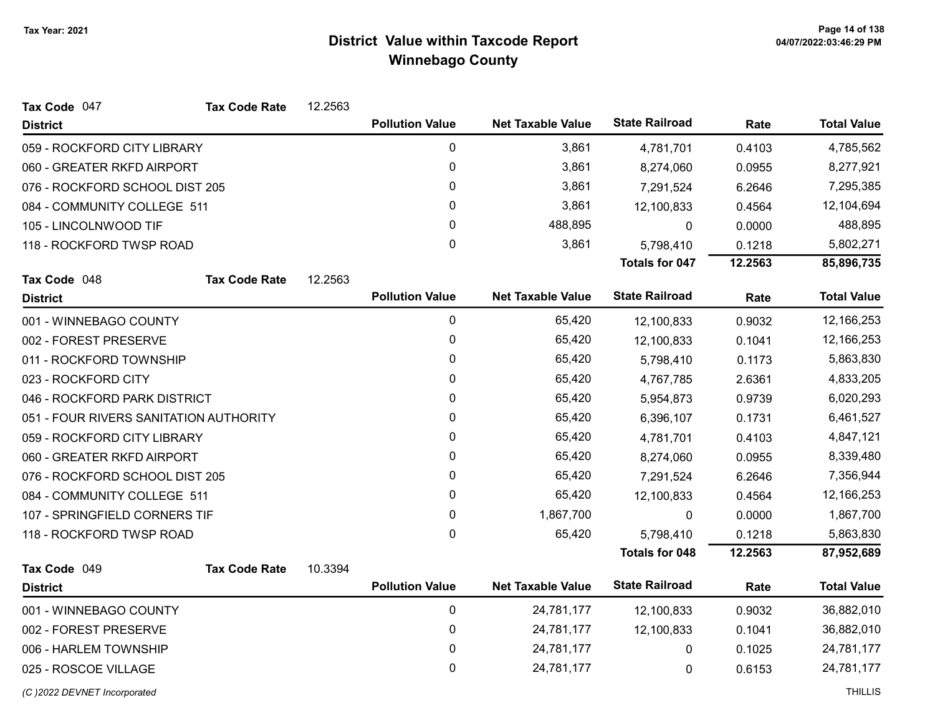| Tax Code 047                           | <b>Tax Code Rate</b> | 12.2563 |                        |                          |                       |         |                    |
|----------------------------------------|----------------------|---------|------------------------|--------------------------|-----------------------|---------|--------------------|
| <b>District</b>                        |                      |         | <b>Pollution Value</b> | <b>Net Taxable Value</b> | <b>State Railroad</b> | Rate    | <b>Total Value</b> |
| 059 - ROCKFORD CITY LIBRARY            |                      |         | $\pmb{0}$              | 3,861                    | 4,781,701             | 0.4103  | 4,785,562          |
| 060 - GREATER RKFD AIRPORT             |                      |         | 0                      | 3,861                    | 8,274,060             | 0.0955  | 8,277,921          |
| 076 - ROCKFORD SCHOOL DIST 205         |                      |         | 0                      | 3,861                    | 7,291,524             | 6.2646  | 7,295,385          |
| 084 - COMMUNITY COLLEGE 511            |                      |         | 0                      | 3,861                    | 12,100,833            | 0.4564  | 12,104,694         |
| 105 - LINCOLNWOOD TIF                  |                      |         | 0                      | 488,895                  | $\Omega$              | 0.0000  | 488,895            |
| 118 - ROCKFORD TWSP ROAD               |                      |         | 0                      | 3,861                    | 5,798,410             | 0.1218  | 5,802,271          |
|                                        |                      |         |                        |                          | <b>Totals for 047</b> | 12.2563 | 85,896,735         |
| Tax Code 048                           | <b>Tax Code Rate</b> | 12.2563 |                        |                          |                       |         |                    |
| <b>District</b>                        |                      |         | <b>Pollution Value</b> | <b>Net Taxable Value</b> | <b>State Railroad</b> | Rate    | <b>Total Value</b> |
| 001 - WINNEBAGO COUNTY                 |                      |         | $\pmb{0}$              | 65,420                   | 12,100,833            | 0.9032  | 12,166,253         |
| 002 - FOREST PRESERVE                  |                      |         | 0                      | 65,420                   | 12,100,833            | 0.1041  | 12,166,253         |
| 011 - ROCKFORD TOWNSHIP                |                      |         | 0                      | 65,420                   | 5,798,410             | 0.1173  | 5,863,830          |
| 023 - ROCKFORD CITY                    |                      |         | 0                      | 65,420                   | 4,767,785             | 2.6361  | 4,833,205          |
| 046 - ROCKFORD PARK DISTRICT           |                      |         | 0                      | 65,420                   | 5,954,873             | 0.9739  | 6,020,293          |
| 051 - FOUR RIVERS SANITATION AUTHORITY |                      |         | $\mathbf{0}$           | 65,420                   | 6,396,107             | 0.1731  | 6,461,527          |
| 059 - ROCKFORD CITY LIBRARY            |                      |         | 0                      | 65,420                   | 4,781,701             | 0.4103  | 4,847,121          |
| 060 - GREATER RKFD AIRPORT             |                      |         | 0                      | 65,420                   | 8,274,060             | 0.0955  | 8,339,480          |
| 076 - ROCKFORD SCHOOL DIST 205         |                      |         | 0                      | 65,420                   | 7,291,524             | 6.2646  | 7,356,944          |
| 084 - COMMUNITY COLLEGE 511            |                      |         | 0                      | 65,420                   | 12,100,833            | 0.4564  | 12,166,253         |
| 107 - SPRINGFIELD CORNERS TIF          |                      |         | 0                      | 1,867,700                | 0                     | 0.0000  | 1,867,700          |
| 118 - ROCKFORD TWSP ROAD               |                      |         | 0                      | 65,420                   | 5,798,410             | 0.1218  | 5,863,830          |
|                                        |                      |         |                        |                          | <b>Totals for 048</b> | 12.2563 | 87,952,689         |
| Tax Code 049                           | <b>Tax Code Rate</b> | 10.3394 |                        |                          |                       |         |                    |
| <b>District</b>                        |                      |         | <b>Pollution Value</b> | <b>Net Taxable Value</b> | <b>State Railroad</b> | Rate    | <b>Total Value</b> |
| 001 - WINNEBAGO COUNTY                 |                      |         | 0                      | 24,781,177               | 12,100,833            | 0.9032  | 36,882,010         |
| 002 - FOREST PRESERVE                  |                      |         | 0                      | 24,781,177               | 12,100,833            | 0.1041  | 36,882,010         |
| 006 - HARLEM TOWNSHIP                  |                      |         | 0                      | 24,781,177               | 0                     | 0.1025  | 24,781,177         |

0 25 - ROSCOE VILLAGE 24,781,177 0 24,781,177 0 25 - ROSCOE VILLAGE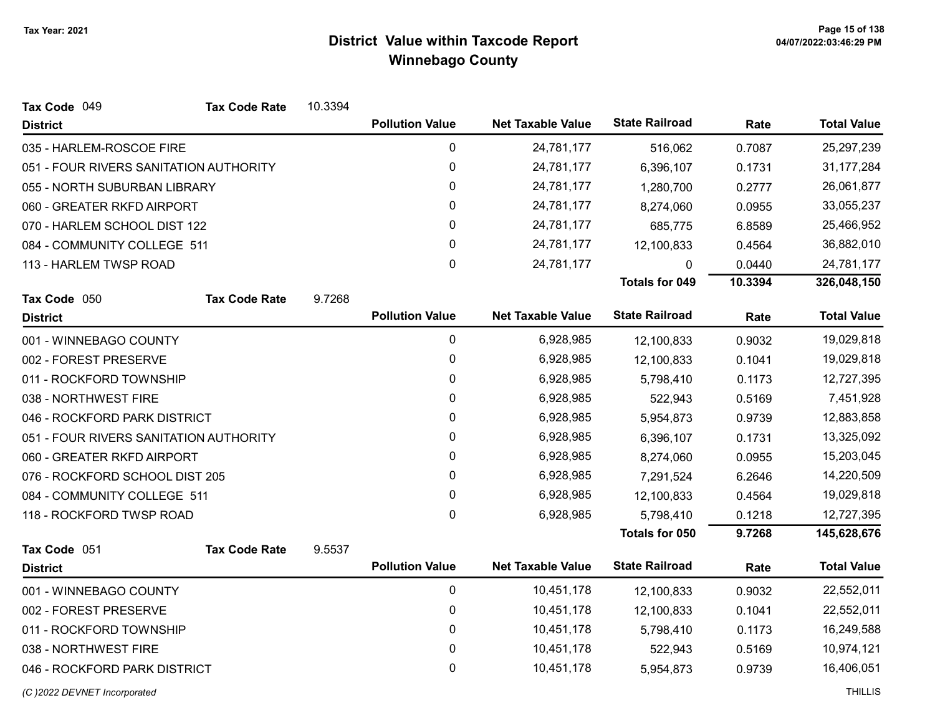| Tax Code 049                           | <b>Tax Code Rate</b> | 10.3394 |                        |                          |                       |         |                    |
|----------------------------------------|----------------------|---------|------------------------|--------------------------|-----------------------|---------|--------------------|
| <b>District</b>                        |                      |         | <b>Pollution Value</b> | <b>Net Taxable Value</b> | <b>State Railroad</b> | Rate    | <b>Total Value</b> |
| 035 - HARLEM-ROSCOE FIRE               |                      |         | $\pmb{0}$              | 24,781,177               | 516,062               | 0.7087  | 25,297,239         |
| 051 - FOUR RIVERS SANITATION AUTHORITY |                      |         | $\pmb{0}$              | 24,781,177               | 6,396,107             | 0.1731  | 31,177,284         |
| 055 - NORTH SUBURBAN LIBRARY           |                      |         | 0                      | 24,781,177               | 1,280,700             | 0.2777  | 26,061,877         |
| 060 - GREATER RKFD AIRPORT             |                      |         | 0                      | 24,781,177               | 8,274,060             | 0.0955  | 33,055,237         |
| 070 - HARLEM SCHOOL DIST 122           |                      |         | 0                      | 24,781,177               | 685,775               | 6.8589  | 25,466,952         |
| 084 - COMMUNITY COLLEGE 511            |                      |         | 0                      | 24,781,177               | 12,100,833            | 0.4564  | 36,882,010         |
| 113 - HARLEM TWSP ROAD                 |                      |         | $\mathbf 0$            | 24,781,177               | <sup>0</sup>          | 0.0440  | 24,781,177         |
|                                        |                      |         |                        |                          | <b>Totals for 049</b> | 10.3394 | 326,048,150        |
| Tax Code 050                           | <b>Tax Code Rate</b> | 9.7268  |                        |                          |                       |         |                    |
| <b>District</b>                        |                      |         | <b>Pollution Value</b> | <b>Net Taxable Value</b> | <b>State Railroad</b> | Rate    | <b>Total Value</b> |
| 001 - WINNEBAGO COUNTY                 |                      |         | $\pmb{0}$              | 6,928,985                | 12,100,833            | 0.9032  | 19,029,818         |
| 002 - FOREST PRESERVE                  |                      |         | 0                      | 6,928,985                | 12,100,833            | 0.1041  | 19,029,818         |
| 011 - ROCKFORD TOWNSHIP                |                      |         | $\pmb{0}$              | 6,928,985                | 5,798,410             | 0.1173  | 12,727,395         |
| 038 - NORTHWEST FIRE                   |                      |         | 0                      | 6,928,985                | 522,943               | 0.5169  | 7,451,928          |
| 046 - ROCKFORD PARK DISTRICT           |                      |         | 0                      | 6,928,985                | 5,954,873             | 0.9739  | 12,883,858         |
| 051 - FOUR RIVERS SANITATION AUTHORITY |                      |         | $\pmb{0}$              | 6,928,985                | 6,396,107             | 0.1731  | 13,325,092         |
| 060 - GREATER RKFD AIRPORT             |                      |         | $\pmb{0}$              | 6,928,985                | 8,274,060             | 0.0955  | 15,203,045         |
| 076 - ROCKFORD SCHOOL DIST 205         |                      |         | $\pmb{0}$              | 6,928,985                | 7,291,524             | 6.2646  | 14,220,509         |
| 084 - COMMUNITY COLLEGE 511            |                      |         | $\pmb{0}$              | 6,928,985                | 12,100,833            | 0.4564  | 19,029,818         |
| 118 - ROCKFORD TWSP ROAD               |                      |         | $\mathbf 0$            | 6,928,985                | 5,798,410             | 0.1218  | 12,727,395         |
|                                        |                      |         |                        |                          | Totals for 050        | 9.7268  | 145,628,676        |
| Tax Code 051                           | <b>Tax Code Rate</b> | 9.5537  |                        |                          |                       |         |                    |
| <b>District</b>                        |                      |         | <b>Pollution Value</b> | <b>Net Taxable Value</b> | <b>State Railroad</b> | Rate    | <b>Total Value</b> |
| 001 - WINNEBAGO COUNTY                 |                      |         | $\pmb{0}$              | 10,451,178               | 12,100,833            | 0.9032  | 22,552,011         |
| 002 - FOREST PRESERVE                  |                      |         | 0                      | 10,451,178               | 12,100,833            | 0.1041  | 22,552,011         |
| 011 - ROCKFORD TOWNSHIP                |                      |         | $\pmb{0}$              | 10,451,178               | 5,798,410             | 0.1173  | 16,249,588         |
| 038 - NORTHWEST FIRE                   |                      |         | 0                      | 10,451,178               | 522,943               | 0.5169  | 10,974,121         |
| 046 - ROCKFORD PARK DISTRICT           |                      |         | $\mathbf 0$            | 10,451,178               | 5,954,873             | 0.9739  | 16,406,051         |
|                                        |                      |         |                        |                          |                       |         |                    |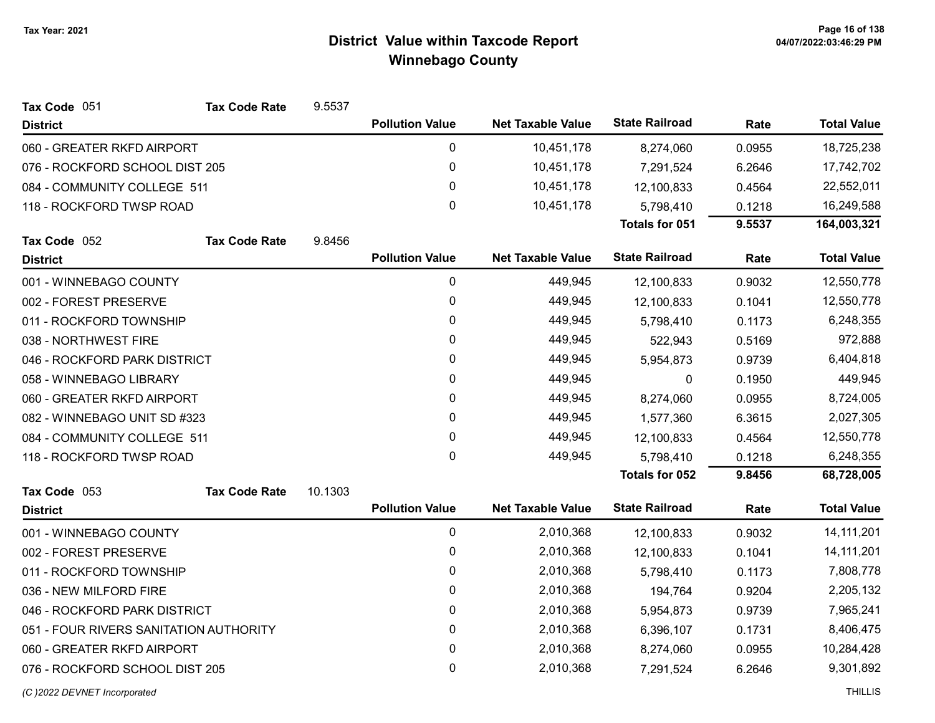| Tax Code 051                           | <b>Tax Code Rate</b> | 9.5537  |                        |                          |                       |        |                    |
|----------------------------------------|----------------------|---------|------------------------|--------------------------|-----------------------|--------|--------------------|
| <b>District</b>                        |                      |         | <b>Pollution Value</b> | <b>Net Taxable Value</b> | <b>State Railroad</b> | Rate   | <b>Total Value</b> |
| 060 - GREATER RKFD AIRPORT             |                      |         | 0                      | 10,451,178               | 8,274,060             | 0.0955 | 18,725,238         |
| 076 - ROCKFORD SCHOOL DIST 205         |                      |         | 0                      | 10,451,178               | 7,291,524             | 6.2646 | 17,742,702         |
| 084 - COMMUNITY COLLEGE 511            |                      |         | 0                      | 10,451,178               | 12,100,833            | 0.4564 | 22,552,011         |
| 118 - ROCKFORD TWSP ROAD               |                      |         | 0                      | 10,451,178               | 5,798,410             | 0.1218 | 16,249,588         |
|                                        |                      |         |                        |                          | Totals for 051        | 9.5537 | 164,003,321        |
| Tax Code 052                           | <b>Tax Code Rate</b> | 9.8456  |                        |                          |                       |        |                    |
| <b>District</b>                        |                      |         | <b>Pollution Value</b> | <b>Net Taxable Value</b> | <b>State Railroad</b> | Rate   | <b>Total Value</b> |
| 001 - WINNEBAGO COUNTY                 |                      |         | 0                      | 449,945                  | 12,100,833            | 0.9032 | 12,550,778         |
| 002 - FOREST PRESERVE                  |                      |         | 0                      | 449,945                  | 12,100,833            | 0.1041 | 12,550,778         |
| 011 - ROCKFORD TOWNSHIP                |                      |         | 0                      | 449,945                  | 5,798,410             | 0.1173 | 6,248,355          |
| 038 - NORTHWEST FIRE                   |                      |         | 0                      | 449,945                  | 522,943               | 0.5169 | 972,888            |
| 046 - ROCKFORD PARK DISTRICT           |                      |         | 0                      | 449,945                  | 5,954,873             | 0.9739 | 6,404,818          |
| 058 - WINNEBAGO LIBRARY                |                      |         | 0                      | 449,945                  | 0                     | 0.1950 | 449,945            |
| 060 - GREATER RKFD AIRPORT             |                      |         | $\mathbf{0}$           | 449,945                  | 8,274,060             | 0.0955 | 8,724,005          |
| 082 - WINNEBAGO UNIT SD #323           |                      |         | 0                      | 449,945                  | 1,577,360             | 6.3615 | 2,027,305          |
| 084 - COMMUNITY COLLEGE 511            |                      |         | 0                      | 449,945                  | 12,100,833            | 0.4564 | 12,550,778         |
| 118 - ROCKFORD TWSP ROAD               |                      |         | 0                      | 449,945                  | 5,798,410             | 0.1218 | 6,248,355          |
|                                        |                      |         |                        |                          | Totals for 052        | 9.8456 | 68,728,005         |
| Tax Code 053                           | <b>Tax Code Rate</b> | 10.1303 |                        |                          |                       |        |                    |
| <b>District</b>                        |                      |         | <b>Pollution Value</b> | <b>Net Taxable Value</b> | <b>State Railroad</b> | Rate   | <b>Total Value</b> |
| 001 - WINNEBAGO COUNTY                 |                      |         | 0                      | 2,010,368                | 12,100,833            | 0.9032 | 14, 111, 201       |
| 002 - FOREST PRESERVE                  |                      |         | 0                      | 2,010,368                | 12,100,833            | 0.1041 | 14, 111, 201       |
| 011 - ROCKFORD TOWNSHIP                |                      |         | 0                      | 2,010,368                | 5,798,410             | 0.1173 | 7,808,778          |
| 036 - NEW MILFORD FIRE                 |                      |         | 0                      | 2,010,368                | 194,764               | 0.9204 | 2,205,132          |
| 046 - ROCKFORD PARK DISTRICT           |                      |         | 0                      | 2,010,368                | 5,954,873             | 0.9739 | 7,965,241          |
| 051 - FOUR RIVERS SANITATION AUTHORITY |                      |         | 0                      | 2,010,368                | 6,396,107             | 0.1731 | 8,406,475          |
| 060 - GREATER RKFD AIRPORT             |                      |         | 0                      | 2,010,368                | 8,274,060             | 0.0955 | 10,284,428         |
| 076 - ROCKFORD SCHOOL DIST 205         |                      |         | 0                      | 2,010,368                | 7,291,524             | 6.2646 | 9,301,892          |
| (C) 2022 DEVNET Incorporated           |                      |         |                        |                          |                       |        | <b>THILLIS</b>     |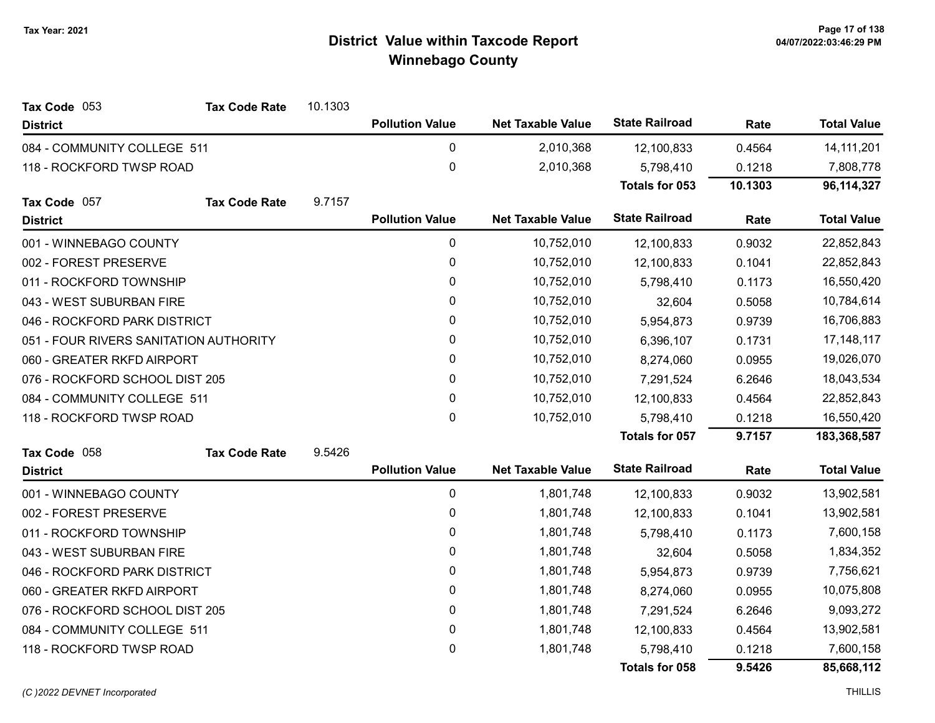| Tax Code 053                           | <b>Tax Code Rate</b> | 10.1303 |                        |                          |                       |         |                    |
|----------------------------------------|----------------------|---------|------------------------|--------------------------|-----------------------|---------|--------------------|
| <b>District</b>                        |                      |         | <b>Pollution Value</b> | <b>Net Taxable Value</b> | <b>State Railroad</b> | Rate    | <b>Total Value</b> |
| 084 - COMMUNITY COLLEGE 511            |                      |         | 0                      | 2,010,368                | 12,100,833            | 0.4564  | 14, 111, 201       |
| 118 - ROCKFORD TWSP ROAD               |                      |         | $\mathbf 0$            | 2,010,368                | 5,798,410             | 0.1218  | 7,808,778          |
|                                        |                      |         |                        |                          | Totals for 053        | 10.1303 | 96, 114, 327       |
| Tax Code 057                           | <b>Tax Code Rate</b> | 9.7157  |                        |                          |                       |         |                    |
| <b>District</b>                        |                      |         | <b>Pollution Value</b> | <b>Net Taxable Value</b> | <b>State Railroad</b> | Rate    | <b>Total Value</b> |
| 001 - WINNEBAGO COUNTY                 |                      |         | $\pmb{0}$              | 10,752,010               | 12,100,833            | 0.9032  | 22,852,843         |
| 002 - FOREST PRESERVE                  |                      |         | 0                      | 10,752,010               | 12,100,833            | 0.1041  | 22,852,843         |
| 011 - ROCKFORD TOWNSHIP                |                      |         | 0                      | 10,752,010               | 5,798,410             | 0.1173  | 16,550,420         |
| 043 - WEST SUBURBAN FIRE               |                      |         | $\pmb{0}$              | 10,752,010               | 32,604                | 0.5058  | 10,784,614         |
| 046 - ROCKFORD PARK DISTRICT           |                      |         | 0                      | 10,752,010               | 5,954,873             | 0.9739  | 16,706,883         |
| 051 - FOUR RIVERS SANITATION AUTHORITY |                      |         | 0                      | 10,752,010               | 6,396,107             | 0.1731  | 17, 148, 117       |
| 060 - GREATER RKFD AIRPORT             |                      |         | $\pmb{0}$              | 10,752,010               | 8,274,060             | 0.0955  | 19,026,070         |
| 076 - ROCKFORD SCHOOL DIST 205         |                      |         | 0                      | 10,752,010               | 7,291,524             | 6.2646  | 18,043,534         |
| 084 - COMMUNITY COLLEGE 511            |                      |         | 0                      | 10,752,010               | 12,100,833            | 0.4564  | 22,852,843         |
| 118 - ROCKFORD TWSP ROAD               |                      |         | $\mathbf{0}$           | 10,752,010               | 5,798,410             | 0.1218  | 16,550,420         |
|                                        |                      |         |                        |                          | <b>Totals for 057</b> | 9.7157  | 183,368,587        |
| Tax Code 058                           | <b>Tax Code Rate</b> | 9.5426  |                        |                          |                       |         |                    |
| <b>District</b>                        |                      |         | <b>Pollution Value</b> | <b>Net Taxable Value</b> | <b>State Railroad</b> | Rate    | <b>Total Value</b> |
| 001 - WINNEBAGO COUNTY                 |                      |         | 0                      | 1,801,748                | 12,100,833            | 0.9032  | 13,902,581         |
| 002 - FOREST PRESERVE                  |                      |         | $\pmb{0}$              | 1,801,748                | 12,100,833            | 0.1041  | 13,902,581         |
| 011 - ROCKFORD TOWNSHIP                |                      |         | 0                      | 1,801,748                | 5,798,410             | 0.1173  | 7,600,158          |
| 043 - WEST SUBURBAN FIRE               |                      |         | 0                      | 1,801,748                | 32,604                | 0.5058  | 1,834,352          |
| 046 - ROCKFORD PARK DISTRICT           |                      |         | 0                      | 1,801,748                | 5,954,873             | 0.9739  | 7,756,621          |
| 060 - GREATER RKFD AIRPORT             |                      |         | $\pmb{0}$              | 1,801,748                | 8,274,060             | 0.0955  | 10,075,808         |
| 076 - ROCKFORD SCHOOL DIST 205         |                      |         | 0                      | 1,801,748                | 7,291,524             | 6.2646  | 9,093,272          |
| 084 - COMMUNITY COLLEGE 511            |                      |         | $\pmb{0}$              | 1,801,748                | 12,100,833            | 0.4564  | 13,902,581         |
| 118 - ROCKFORD TWSP ROAD               |                      |         | $\mathbf 0$            | 1,801,748                | 5,798,410             | 0.1218  | 7,600,158          |
|                                        |                      |         |                        |                          | <b>Totals for 058</b> | 9.5426  | 85,668,112         |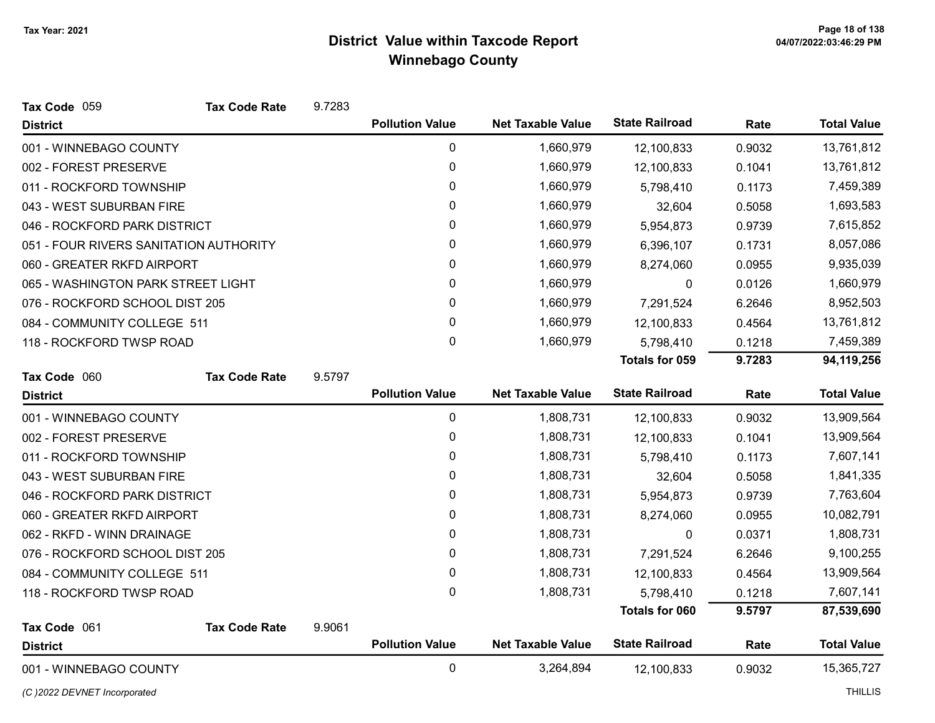| Tax Code 059                           | <b>Tax Code Rate</b> | 9.7283 |                        |                          |                       |        |                    |
|----------------------------------------|----------------------|--------|------------------------|--------------------------|-----------------------|--------|--------------------|
| <b>District</b>                        |                      |        | <b>Pollution Value</b> | <b>Net Taxable Value</b> | <b>State Railroad</b> | Rate   | <b>Total Value</b> |
| 001 - WINNEBAGO COUNTY                 |                      |        | $\pmb{0}$              | 1,660,979                | 12,100,833            | 0.9032 | 13,761,812         |
| 002 - FOREST PRESERVE                  |                      |        | 0                      | 1,660,979                | 12,100,833            | 0.1041 | 13,761,812         |
| 011 - ROCKFORD TOWNSHIP                |                      |        | 0                      | 1,660,979                | 5,798,410             | 0.1173 | 7,459,389          |
| 043 - WEST SUBURBAN FIRE               |                      |        | 0                      | 1,660,979                | 32,604                | 0.5058 | 1,693,583          |
| 046 - ROCKFORD PARK DISTRICT           |                      |        | 0                      | 1,660,979                | 5,954,873             | 0.9739 | 7,615,852          |
| 051 - FOUR RIVERS SANITATION AUTHORITY |                      |        | 0                      | 1,660,979                | 6,396,107             | 0.1731 | 8,057,086          |
| 060 - GREATER RKFD AIRPORT             |                      |        | 0                      | 1,660,979                | 8,274,060             | 0.0955 | 9,935,039          |
| 065 - WASHINGTON PARK STREET LIGHT     |                      |        | 0                      | 1,660,979                | 0                     | 0.0126 | 1,660,979          |
| 076 - ROCKFORD SCHOOL DIST 205         |                      |        | 0                      | 1,660,979                | 7,291,524             | 6.2646 | 8,952,503          |
| 084 - COMMUNITY COLLEGE 511            |                      |        | 0                      | 1,660,979                | 12,100,833            | 0.4564 | 13,761,812         |
| 118 - ROCKFORD TWSP ROAD               |                      |        | 0                      | 1,660,979                | 5,798,410             | 0.1218 | 7,459,389          |
|                                        |                      |        |                        |                          | Totals for 059        | 9.7283 | 94,119,256         |
| Tax Code 060                           | <b>Tax Code Rate</b> | 9.5797 |                        |                          |                       |        |                    |
| <b>District</b>                        |                      |        | <b>Pollution Value</b> | <b>Net Taxable Value</b> | <b>State Railroad</b> | Rate   | <b>Total Value</b> |
| 001 - WINNEBAGO COUNTY                 |                      |        | $\mathbf 0$            | 1,808,731                | 12,100,833            | 0.9032 | 13,909,564         |
| 002 - FOREST PRESERVE                  |                      |        | 0                      | 1,808,731                | 12,100,833            | 0.1041 | 13,909,564         |
| 011 - ROCKFORD TOWNSHIP                |                      |        | 0                      | 1,808,731                | 5,798,410             | 0.1173 | 7,607,141          |
| 043 - WEST SUBURBAN FIRE               |                      |        | 0                      | 1,808,731                | 32,604                | 0.5058 | 1,841,335          |
| 046 - ROCKFORD PARK DISTRICT           |                      |        | 0                      | 1,808,731                | 5,954,873             | 0.9739 | 7,763,604          |
| 060 - GREATER RKFD AIRPORT             |                      |        | 0                      | 1,808,731                | 8,274,060             | 0.0955 | 10,082,791         |
| 062 - RKFD - WINN DRAINAGE             |                      |        | 0                      | 1,808,731                | 0                     | 0.0371 | 1,808,731          |
| 076 - ROCKFORD SCHOOL DIST 205         |                      |        | $\mathbf 0$            | 1,808,731                | 7,291,524             | 6.2646 | 9,100,255          |
| 084 - COMMUNITY COLLEGE 511            |                      |        | 0                      | 1,808,731                | 12,100,833            | 0.4564 | 13,909,564         |
| 118 - ROCKFORD TWSP ROAD               |                      |        | 0                      | 1,808,731                | 5,798,410             | 0.1218 | 7,607,141          |
|                                        |                      |        |                        |                          | Totals for 060        | 9.5797 | 87,539,690         |
| Tax Code 061                           | <b>Tax Code Rate</b> | 9.9061 |                        |                          | <b>State Railroad</b> |        |                    |
| <b>District</b>                        |                      |        | <b>Pollution Value</b> | <b>Net Taxable Value</b> |                       | Rate   | <b>Total Value</b> |
| 001 - WINNEBAGO COUNTY                 |                      |        | $\mathbf 0$            | 3,264,894                | 12,100,833            | 0.9032 | 15,365,727         |

#### (C)2022 DEVNET Incorporated THILLIS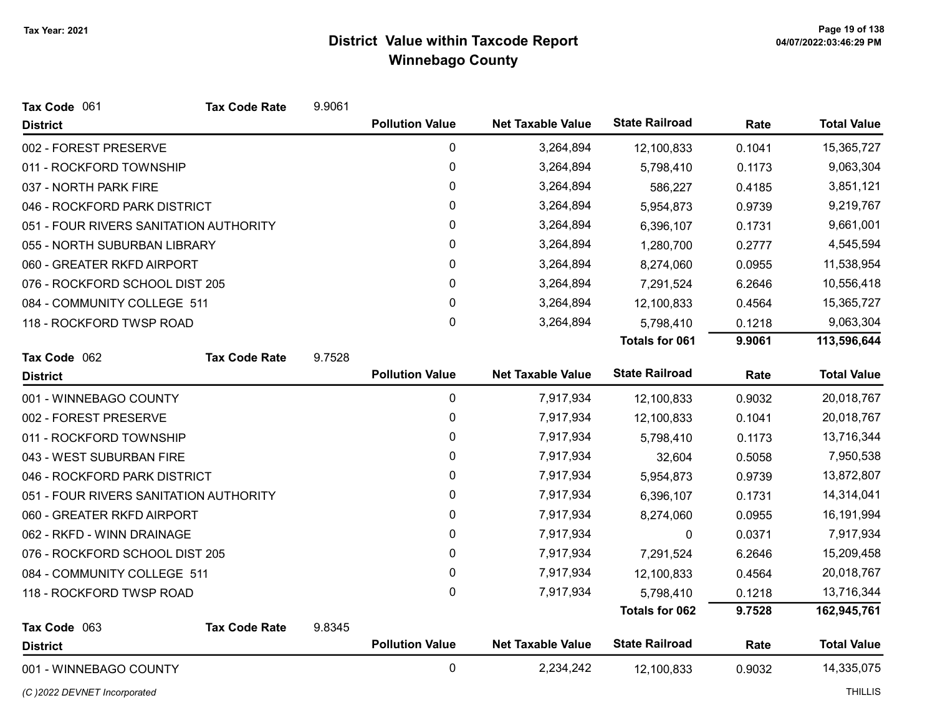| Tax Code 061                           | <b>Tax Code Rate</b> | 9.9061 |                        |                          |                       |        |                    |
|----------------------------------------|----------------------|--------|------------------------|--------------------------|-----------------------|--------|--------------------|
| <b>District</b>                        |                      |        | <b>Pollution Value</b> | <b>Net Taxable Value</b> | <b>State Railroad</b> | Rate   | <b>Total Value</b> |
| 002 - FOREST PRESERVE                  |                      |        | $\mathbf 0$            | 3,264,894                | 12,100,833            | 0.1041 | 15,365,727         |
| 011 - ROCKFORD TOWNSHIP                |                      |        | 0                      | 3,264,894                | 5,798,410             | 0.1173 | 9,063,304          |
| 037 - NORTH PARK FIRE                  |                      |        | $\pmb{0}$              | 3,264,894                | 586,227               | 0.4185 | 3,851,121          |
| 046 - ROCKFORD PARK DISTRICT           |                      |        | 0                      | 3,264,894                | 5,954,873             | 0.9739 | 9,219,767          |
| 051 - FOUR RIVERS SANITATION AUTHORITY |                      |        | 0                      | 3,264,894                | 6,396,107             | 0.1731 | 9,661,001          |
| 055 - NORTH SUBURBAN LIBRARY           |                      |        | 0                      | 3,264,894                | 1,280,700             | 0.2777 | 4,545,594          |
| 060 - GREATER RKFD AIRPORT             |                      |        | $\mathbf{0}$           | 3,264,894                | 8,274,060             | 0.0955 | 11,538,954         |
| 076 - ROCKFORD SCHOOL DIST 205         |                      |        | $\mathbf 0$            | 3,264,894                | 7,291,524             | 6.2646 | 10,556,418         |
| 084 - COMMUNITY COLLEGE 511            |                      |        | 0                      | 3,264,894                | 12,100,833            | 0.4564 | 15,365,727         |
| 118 - ROCKFORD TWSP ROAD               |                      |        | $\mathbf 0$            | 3,264,894                | 5,798,410             | 0.1218 | 9,063,304          |
|                                        |                      |        |                        |                          | <b>Totals for 061</b> | 9.9061 | 113,596,644        |
| Tax Code 062                           | <b>Tax Code Rate</b> | 9.7528 |                        |                          |                       |        |                    |
| <b>District</b>                        |                      |        | <b>Pollution Value</b> | <b>Net Taxable Value</b> | <b>State Railroad</b> | Rate   | <b>Total Value</b> |
| 001 - WINNEBAGO COUNTY                 |                      |        | $\mathbf 0$            | 7,917,934                | 12,100,833            | 0.9032 | 20,018,767         |
| 002 - FOREST PRESERVE                  |                      |        | 0                      | 7,917,934                | 12,100,833            | 0.1041 | 20,018,767         |
| 011 - ROCKFORD TOWNSHIP                |                      |        | 0                      | 7,917,934                | 5,798,410             | 0.1173 | 13,716,344         |
| 043 - WEST SUBURBAN FIRE               |                      |        | 0                      | 7,917,934                | 32,604                | 0.5058 | 7,950,538          |
| 046 - ROCKFORD PARK DISTRICT           |                      |        | 0                      | 7,917,934                | 5,954,873             | 0.9739 | 13,872,807         |
| 051 - FOUR RIVERS SANITATION AUTHORITY |                      |        | 0                      | 7,917,934                | 6,396,107             | 0.1731 | 14,314,041         |
| 060 - GREATER RKFD AIRPORT             |                      |        | $\pmb{0}$              | 7,917,934                | 8,274,060             | 0.0955 | 16,191,994         |
| 062 - RKFD - WINN DRAINAGE             |                      |        | 0                      | 7,917,934                | $\mathbf{0}$          | 0.0371 | 7,917,934          |
| 076 - ROCKFORD SCHOOL DIST 205         |                      |        | 0                      | 7,917,934                | 7,291,524             | 6.2646 | 15,209,458         |
| 084 - COMMUNITY COLLEGE 511            |                      |        | 0                      | 7,917,934                | 12,100,833            | 0.4564 | 20,018,767         |
| 118 - ROCKFORD TWSP ROAD               |                      |        | 0                      | 7,917,934                | 5,798,410             | 0.1218 | 13,716,344         |
|                                        |                      |        |                        |                          | <b>Totals for 062</b> | 9.7528 | 162,945,761        |
| Tax Code 063                           | <b>Tax Code Rate</b> | 9.8345 |                        |                          |                       |        |                    |
| <b>District</b>                        |                      |        | <b>Pollution Value</b> | <b>Net Taxable Value</b> | <b>State Railroad</b> | Rate   | <b>Total Value</b> |
| 001 - WINNEBAGO COUNTY                 |                      |        | $\mathbf 0$            | 2,234,242                | 12,100,833            | 0.9032 | 14,335,075         |
| (C) 2022 DEVNET Incorporated           |                      |        |                        |                          |                       |        | <b>THILLIS</b>     |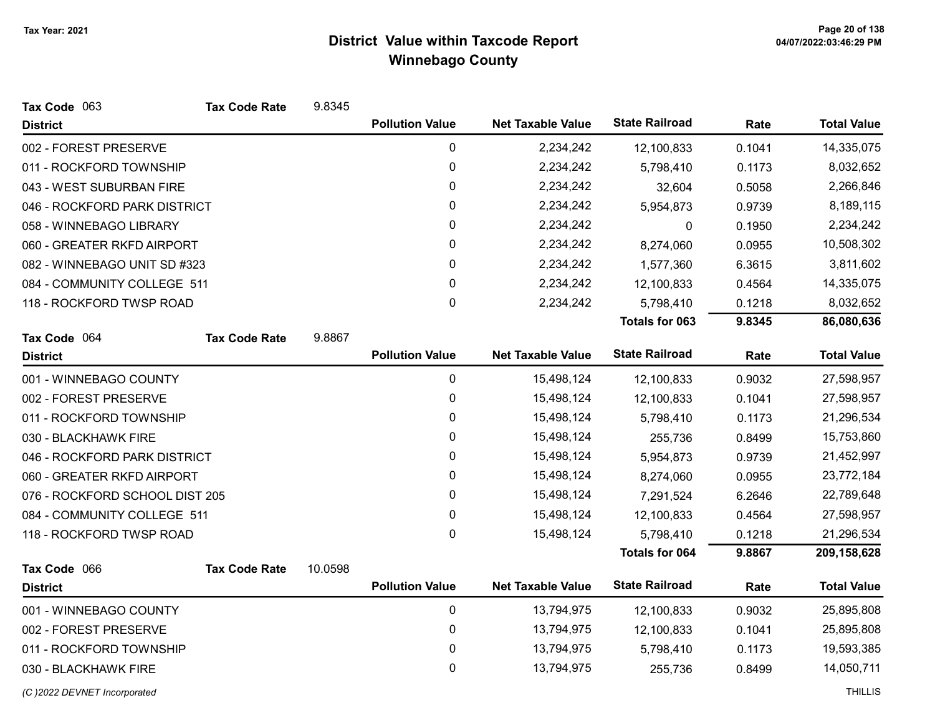| Tax Code 063                   | <b>Tax Code Rate</b> | 9.8345  |                        |                          |                       |        |                    |
|--------------------------------|----------------------|---------|------------------------|--------------------------|-----------------------|--------|--------------------|
| <b>District</b>                |                      |         | <b>Pollution Value</b> | <b>Net Taxable Value</b> | <b>State Railroad</b> | Rate   | <b>Total Value</b> |
| 002 - FOREST PRESERVE          |                      |         | 0                      | 2,234,242                | 12,100,833            | 0.1041 | 14,335,075         |
| 011 - ROCKFORD TOWNSHIP        |                      |         | 0                      | 2,234,242                | 5,798,410             | 0.1173 | 8,032,652          |
| 043 - WEST SUBURBAN FIRE       |                      |         | $\pmb{0}$              | 2,234,242                | 32,604                | 0.5058 | 2,266,846          |
| 046 - ROCKFORD PARK DISTRICT   |                      |         | 0                      | 2,234,242                | 5,954,873             | 0.9739 | 8,189,115          |
| 058 - WINNEBAGO LIBRARY        |                      |         | 0                      | 2,234,242                | 0                     | 0.1950 | 2,234,242          |
| 060 - GREATER RKFD AIRPORT     |                      |         | 0                      | 2,234,242                | 8,274,060             | 0.0955 | 10,508,302         |
| 082 - WINNEBAGO UNIT SD #323   |                      |         | 0                      | 2,234,242                | 1,577,360             | 6.3615 | 3,811,602          |
| 084 - COMMUNITY COLLEGE 511    |                      |         | $\pmb{0}$              | 2,234,242                | 12,100,833            | 0.4564 | 14,335,075         |
| 118 - ROCKFORD TWSP ROAD       |                      |         | $\mathbf 0$            | 2,234,242                | 5,798,410             | 0.1218 | 8,032,652          |
|                                |                      |         |                        |                          | <b>Totals for 063</b> | 9.8345 | 86,080,636         |
| Tax Code 064                   | <b>Tax Code Rate</b> | 9.8867  |                        |                          |                       |        |                    |
| <b>District</b>                |                      |         | <b>Pollution Value</b> | <b>Net Taxable Value</b> | <b>State Railroad</b> | Rate   | <b>Total Value</b> |
| 001 - WINNEBAGO COUNTY         |                      |         | 0                      | 15,498,124               | 12,100,833            | 0.9032 | 27,598,957         |
| 002 - FOREST PRESERVE          |                      |         | 0                      | 15,498,124               | 12,100,833            | 0.1041 | 27,598,957         |
| 011 - ROCKFORD TOWNSHIP        |                      |         | 0                      | 15,498,124               | 5,798,410             | 0.1173 | 21,296,534         |
| 030 - BLACKHAWK FIRE           |                      |         | 0                      | 15,498,124               | 255,736               | 0.8499 | 15,753,860         |
| 046 - ROCKFORD PARK DISTRICT   |                      |         | 0                      | 15,498,124               | 5,954,873             | 0.9739 | 21,452,997         |
| 060 - GREATER RKFD AIRPORT     |                      |         | 0                      | 15,498,124               | 8,274,060             | 0.0955 | 23,772,184         |
| 076 - ROCKFORD SCHOOL DIST 205 |                      |         | 0                      | 15,498,124               | 7,291,524             | 6.2646 | 22,789,648         |
| 084 - COMMUNITY COLLEGE 511    |                      |         | $\mathbf 0$            | 15,498,124               | 12,100,833            | 0.4564 | 27,598,957         |
| 118 - ROCKFORD TWSP ROAD       |                      |         | $\mathbf{0}$           | 15,498,124               | 5,798,410             | 0.1218 | 21,296,534         |
|                                |                      |         |                        |                          | <b>Totals for 064</b> | 9.8867 | 209,158,628        |
| Tax Code 066                   | <b>Tax Code Rate</b> | 10.0598 |                        |                          |                       |        |                    |
| <b>District</b>                |                      |         | <b>Pollution Value</b> | <b>Net Taxable Value</b> | <b>State Railroad</b> | Rate   | <b>Total Value</b> |
| 001 - WINNEBAGO COUNTY         |                      |         | $\mathbf 0$            | 13,794,975               | 12,100,833            | 0.9032 | 25,895,808         |
| 002 - FOREST PRESERVE          |                      |         | 0                      | 13,794,975               | 12,100,833            | 0.1041 | 25,895,808         |
| 011 - ROCKFORD TOWNSHIP        |                      |         | 0                      | 13,794,975               | 5,798,410             | 0.1173 | 19,593,385         |
| 030 - BLACKHAWK FIRE           |                      |         | 0                      | 13,794,975               | 255,736               | 0.8499 | 14,050,711         |
| (C) 2022 DEVNET Incorporated   |                      |         |                        |                          |                       |        | <b>THILLIS</b>     |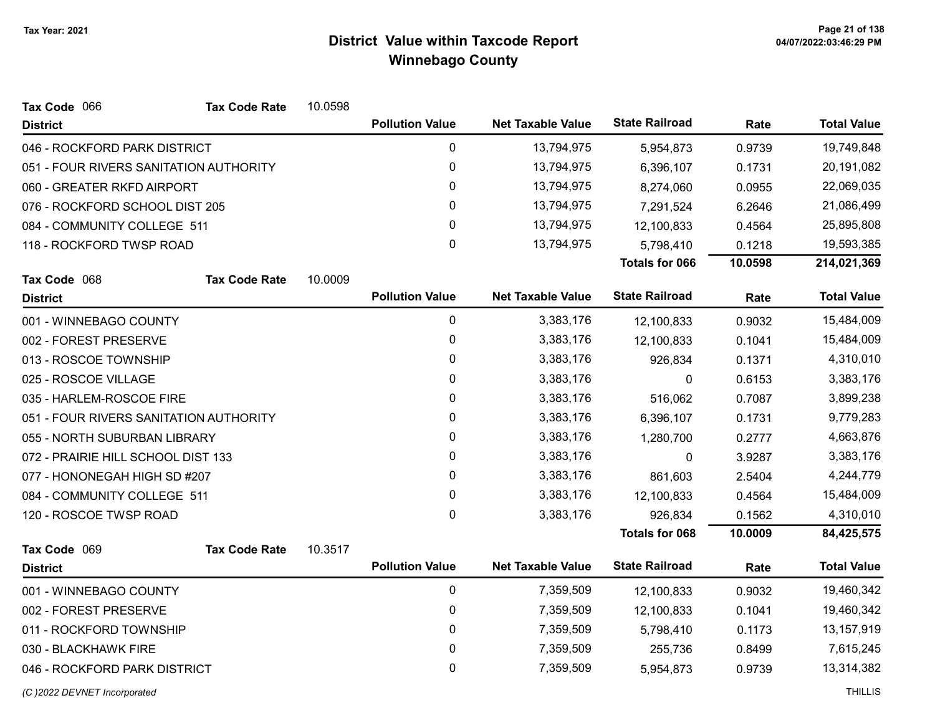| Tax Code 066                           | <b>Tax Code Rate</b> | 10.0598 |                        |                          |                       |         |                    |
|----------------------------------------|----------------------|---------|------------------------|--------------------------|-----------------------|---------|--------------------|
| <b>District</b>                        |                      |         | <b>Pollution Value</b> | <b>Net Taxable Value</b> | <b>State Railroad</b> | Rate    | <b>Total Value</b> |
| 046 - ROCKFORD PARK DISTRICT           |                      |         | 0                      | 13,794,975               | 5,954,873             | 0.9739  | 19,749,848         |
| 051 - FOUR RIVERS SANITATION AUTHORITY |                      |         | 0                      | 13,794,975               | 6,396,107             | 0.1731  | 20,191,082         |
| 060 - GREATER RKFD AIRPORT             |                      |         | 0                      | 13,794,975               | 8,274,060             | 0.0955  | 22,069,035         |
| 076 - ROCKFORD SCHOOL DIST 205         |                      |         | $\pmb{0}$              | 13,794,975               | 7,291,524             | 6.2646  | 21,086,499         |
| 084 - COMMUNITY COLLEGE 511            |                      |         | 0                      | 13,794,975               | 12,100,833            | 0.4564  | 25,895,808         |
| 118 - ROCKFORD TWSP ROAD               |                      |         | 0                      | 13,794,975               | 5,798,410             | 0.1218  | 19,593,385         |
|                                        |                      |         |                        |                          | <b>Totals for 066</b> | 10.0598 | 214,021,369        |
| Tax Code 068                           | <b>Tax Code Rate</b> | 10.0009 |                        |                          |                       |         |                    |
| <b>District</b>                        |                      |         | <b>Pollution Value</b> | <b>Net Taxable Value</b> | <b>State Railroad</b> | Rate    | <b>Total Value</b> |
| 001 - WINNEBAGO COUNTY                 |                      |         | $\pmb{0}$              | 3,383,176                | 12,100,833            | 0.9032  | 15,484,009         |
| 002 - FOREST PRESERVE                  |                      |         | $\pmb{0}$              | 3,383,176                | 12,100,833            | 0.1041  | 15,484,009         |
| 013 - ROSCOE TOWNSHIP                  |                      |         | $\pmb{0}$              | 3,383,176                | 926,834               | 0.1371  | 4,310,010          |
| 025 - ROSCOE VILLAGE                   |                      |         | 0                      | 3,383,176                | 0                     | 0.6153  | 3,383,176          |
| 035 - HARLEM-ROSCOE FIRE               |                      |         | 0                      | 3,383,176                | 516,062               | 0.7087  | 3,899,238          |
| 051 - FOUR RIVERS SANITATION AUTHORITY |                      |         | 0                      | 3,383,176                | 6,396,107             | 0.1731  | 9,779,283          |
| 055 - NORTH SUBURBAN LIBRARY           |                      |         | $\pmb{0}$              | 3,383,176                | 1,280,700             | 0.2777  | 4,663,876          |
| 072 - PRAIRIE HILL SCHOOL DIST 133     |                      |         | $\mathbf{0}$           | 3,383,176                | 0                     | 3.9287  | 3,383,176          |
| 077 - HONONEGAH HIGH SD #207           |                      |         | 0                      | 3,383,176                | 861,603               | 2.5404  | 4,244,779          |
| 084 - COMMUNITY COLLEGE 511            |                      |         | 0                      | 3,383,176                | 12,100,833            | 0.4564  | 15,484,009         |
| 120 - ROSCOE TWSP ROAD                 |                      |         | $\boldsymbol{0}$       | 3,383,176                | 926,834               | 0.1562  | 4,310,010          |
|                                        |                      |         |                        |                          | <b>Totals for 068</b> | 10.0009 | 84,425,575         |
| Tax Code 069                           | <b>Tax Code Rate</b> | 10.3517 |                        |                          |                       |         |                    |
| <b>District</b>                        |                      |         | <b>Pollution Value</b> | <b>Net Taxable Value</b> | <b>State Railroad</b> | Rate    | <b>Total Value</b> |
| 001 - WINNEBAGO COUNTY                 |                      |         | 0                      | 7,359,509                | 12,100,833            | 0.9032  | 19,460,342         |
| 002 - FOREST PRESERVE                  |                      |         | 0                      | 7,359,509                | 12,100,833            | 0.1041  | 19,460,342         |
| 011 - ROCKFORD TOWNSHIP                |                      |         | 0                      | 7,359,509                | 5,798,410             | 0.1173  | 13,157,919         |
| 030 - BLACKHAWK FIRE                   |                      |         | 0                      | 7,359,509                | 255,736               | 0.8499  | 7,615,245          |
| 046 - ROCKFORD PARK DISTRICT           |                      |         | 0                      | 7,359,509                | 5,954,873             | 0.9739  | 13,314,382         |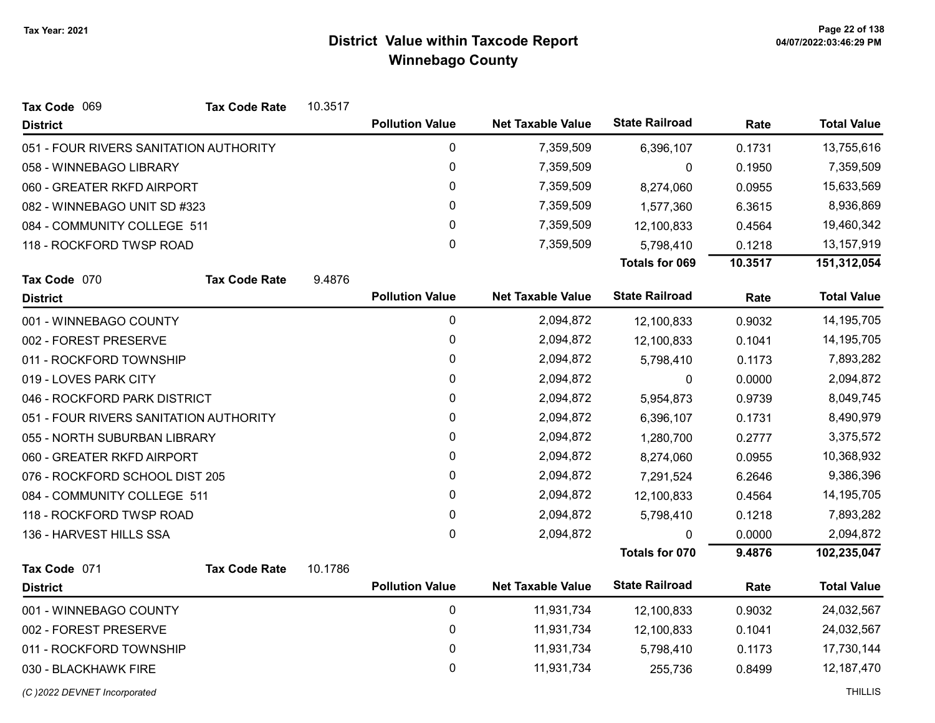| Tax Code 069                           | <b>Tax Code Rate</b> | 10.3517 |                        |                          |                       |         |                    |
|----------------------------------------|----------------------|---------|------------------------|--------------------------|-----------------------|---------|--------------------|
| <b>District</b>                        |                      |         | <b>Pollution Value</b> | <b>Net Taxable Value</b> | <b>State Railroad</b> | Rate    | <b>Total Value</b> |
| 051 - FOUR RIVERS SANITATION AUTHORITY |                      |         | $\mathbf 0$            | 7,359,509                | 6,396,107             | 0.1731  | 13,755,616         |
| 058 - WINNEBAGO LIBRARY                |                      |         | 0                      | 7,359,509                | 0                     | 0.1950  | 7,359,509          |
| 060 - GREATER RKFD AIRPORT             |                      |         | $\pmb{0}$              | 7,359,509                | 8,274,060             | 0.0955  | 15,633,569         |
| 082 - WINNEBAGO UNIT SD #323           |                      |         | 0                      | 7,359,509                | 1,577,360             | 6.3615  | 8,936,869          |
| 084 - COMMUNITY COLLEGE 511            |                      |         | 0                      | 7,359,509                | 12,100,833            | 0.4564  | 19,460,342         |
| 118 - ROCKFORD TWSP ROAD               |                      |         | $\mathbf 0$            | 7,359,509                | 5,798,410             | 0.1218  | 13,157,919         |
|                                        |                      |         |                        |                          | Totals for 069        | 10.3517 | 151,312,054        |
| Tax Code 070                           | <b>Tax Code Rate</b> | 9.4876  |                        |                          |                       |         |                    |
| <b>District</b>                        |                      |         | <b>Pollution Value</b> | <b>Net Taxable Value</b> | <b>State Railroad</b> | Rate    | <b>Total Value</b> |
| 001 - WINNEBAGO COUNTY                 |                      |         | $\pmb{0}$              | 2,094,872                | 12,100,833            | 0.9032  | 14,195,705         |
| 002 - FOREST PRESERVE                  |                      |         | 0                      | 2,094,872                | 12,100,833            | 0.1041  | 14,195,705         |
| 011 - ROCKFORD TOWNSHIP                |                      |         | 0                      | 2,094,872                | 5,798,410             | 0.1173  | 7,893,282          |
| 019 - LOVES PARK CITY                  |                      |         | 0                      | 2,094,872                | 0                     | 0.0000  | 2,094,872          |
| 046 - ROCKFORD PARK DISTRICT           |                      |         | 0                      | 2,094,872                | 5,954,873             | 0.9739  | 8,049,745          |
| 051 - FOUR RIVERS SANITATION AUTHORITY |                      |         | $\pmb{0}$              | 2,094,872                | 6,396,107             | 0.1731  | 8,490,979          |
| 055 - NORTH SUBURBAN LIBRARY           |                      |         | 0                      | 2,094,872                | 1,280,700             | 0.2777  | 3,375,572          |
| 060 - GREATER RKFD AIRPORT             |                      |         | 0                      | 2,094,872                | 8,274,060             | 0.0955  | 10,368,932         |
| 076 - ROCKFORD SCHOOL DIST 205         |                      |         | 0                      | 2,094,872                | 7,291,524             | 6.2646  | 9,386,396          |
| 084 - COMMUNITY COLLEGE 511            |                      |         | 0                      | 2,094,872                | 12,100,833            | 0.4564  | 14,195,705         |
| 118 - ROCKFORD TWSP ROAD               |                      |         | $\pmb{0}$              | 2,094,872                | 5,798,410             | 0.1218  | 7,893,282          |
| 136 - HARVEST HILLS SSA                |                      |         | 0                      | 2,094,872                | $\Omega$              | 0.0000  | 2,094,872          |
|                                        |                      |         |                        |                          | <b>Totals for 070</b> | 9.4876  | 102,235,047        |
| Tax Code 071                           | <b>Tax Code Rate</b> | 10.1786 |                        |                          |                       |         |                    |
| <b>District</b>                        |                      |         | <b>Pollution Value</b> | <b>Net Taxable Value</b> | <b>State Railroad</b> | Rate    | <b>Total Value</b> |
| 001 - WINNEBAGO COUNTY                 |                      |         | 0                      | 11,931,734               | 12,100,833            | 0.9032  | 24,032,567         |
| 002 - FOREST PRESERVE                  |                      |         | 0                      | 11,931,734               | 12,100,833            | 0.1041  | 24,032,567         |
| 011 - ROCKFORD TOWNSHIP                |                      |         | 0                      | 11,931,734               | 5,798,410             | 0.1173  | 17,730,144         |

030 - BLACKHAWK FIRE 255,736 0.8499 12,187,470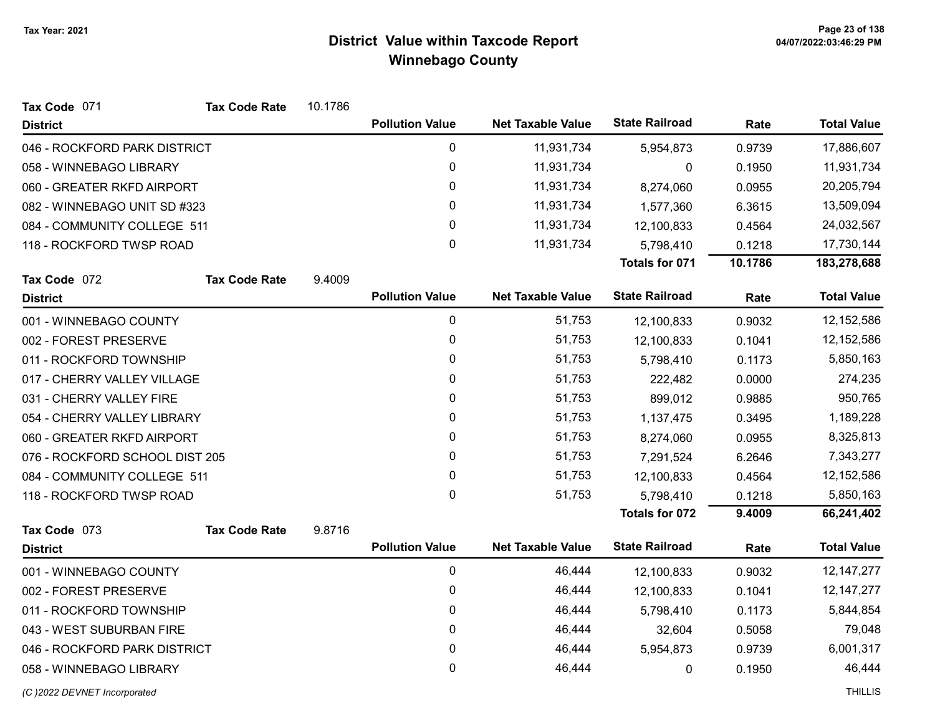| Tax Code 071                   | <b>Tax Code Rate</b> | 10.1786 |                        |                          |                       |         |                    |
|--------------------------------|----------------------|---------|------------------------|--------------------------|-----------------------|---------|--------------------|
| <b>District</b>                |                      |         | <b>Pollution Value</b> | <b>Net Taxable Value</b> | <b>State Railroad</b> | Rate    | <b>Total Value</b> |
| 046 - ROCKFORD PARK DISTRICT   |                      |         | 0                      | 11,931,734               | 5,954,873             | 0.9739  | 17,886,607         |
| 058 - WINNEBAGO LIBRARY        |                      |         | 0                      | 11,931,734               | 0                     | 0.1950  | 11,931,734         |
| 060 - GREATER RKFD AIRPORT     |                      |         | 0                      | 11,931,734               | 8,274,060             | 0.0955  | 20,205,794         |
| 082 - WINNEBAGO UNIT SD #323   |                      |         | 0                      | 11,931,734               | 1,577,360             | 6.3615  | 13,509,094         |
| 084 - COMMUNITY COLLEGE 511    |                      |         | 0                      | 11,931,734               | 12,100,833            | 0.4564  | 24,032,567         |
| 118 - ROCKFORD TWSP ROAD       |                      |         | 0                      | 11,931,734               | 5,798,410             | 0.1218  | 17,730,144         |
|                                |                      |         |                        |                          | Totals for 071        | 10.1786 | 183,278,688        |
| Tax Code 072                   | <b>Tax Code Rate</b> | 9.4009  |                        |                          |                       |         |                    |
| <b>District</b>                |                      |         | <b>Pollution Value</b> | <b>Net Taxable Value</b> | <b>State Railroad</b> | Rate    | <b>Total Value</b> |
| 001 - WINNEBAGO COUNTY         |                      |         | $\mathbf 0$            | 51,753                   | 12,100,833            | 0.9032  | 12,152,586         |
| 002 - FOREST PRESERVE          |                      |         | 0                      | 51,753                   | 12,100,833            | 0.1041  | 12,152,586         |
| 011 - ROCKFORD TOWNSHIP        |                      |         | 0                      | 51,753                   | 5,798,410             | 0.1173  | 5,850,163          |
| 017 - CHERRY VALLEY VILLAGE    |                      |         | 0                      | 51,753                   | 222,482               | 0.0000  | 274,235            |
| 031 - CHERRY VALLEY FIRE       |                      |         | 0                      | 51,753                   | 899,012               | 0.9885  | 950,765            |
| 054 - CHERRY VALLEY LIBRARY    |                      |         | 0                      | 51,753                   | 1,137,475             | 0.3495  | 1,189,228          |
| 060 - GREATER RKFD AIRPORT     |                      |         | 0                      | 51,753                   | 8,274,060             | 0.0955  | 8,325,813          |
| 076 - ROCKFORD SCHOOL DIST 205 |                      |         | 0                      | 51,753                   | 7,291,524             | 6.2646  | 7,343,277          |
| 084 - COMMUNITY COLLEGE 511    |                      |         | 0                      | 51,753                   | 12,100,833            | 0.4564  | 12,152,586         |
| 118 - ROCKFORD TWSP ROAD       |                      |         | 0                      | 51,753                   | 5,798,410             | 0.1218  | 5,850,163          |
|                                |                      |         |                        |                          | <b>Totals for 072</b> | 9.4009  | 66,241,402         |
| Tax Code 073                   | <b>Tax Code Rate</b> | 9.8716  |                        |                          |                       |         |                    |
| <b>District</b>                |                      |         | <b>Pollution Value</b> | <b>Net Taxable Value</b> | <b>State Railroad</b> | Rate    | <b>Total Value</b> |
| 001 - WINNEBAGO COUNTY         |                      |         | 0                      | 46,444                   | 12,100,833            | 0.9032  | 12, 147, 277       |
| 002 - FOREST PRESERVE          |                      |         | 0                      | 46,444                   | 12,100,833            | 0.1041  | 12, 147, 277       |
| 011 - ROCKFORD TOWNSHIP        |                      |         | 0                      | 46,444                   | 5,798,410             | 0.1173  | 5,844,854          |
| 043 - WEST SUBURBAN FIRE       |                      |         | 0                      | 46,444                   | 32,604                | 0.5058  | 79,048             |
| 046 - ROCKFORD PARK DISTRICT   |                      |         | 0                      | 46,444                   | 5,954,873             | 0.9739  | 6,001,317          |
| 058 - WINNEBAGO LIBRARY        |                      |         | 0                      | 46,444                   | 0                     | 0.1950  | 46,444             |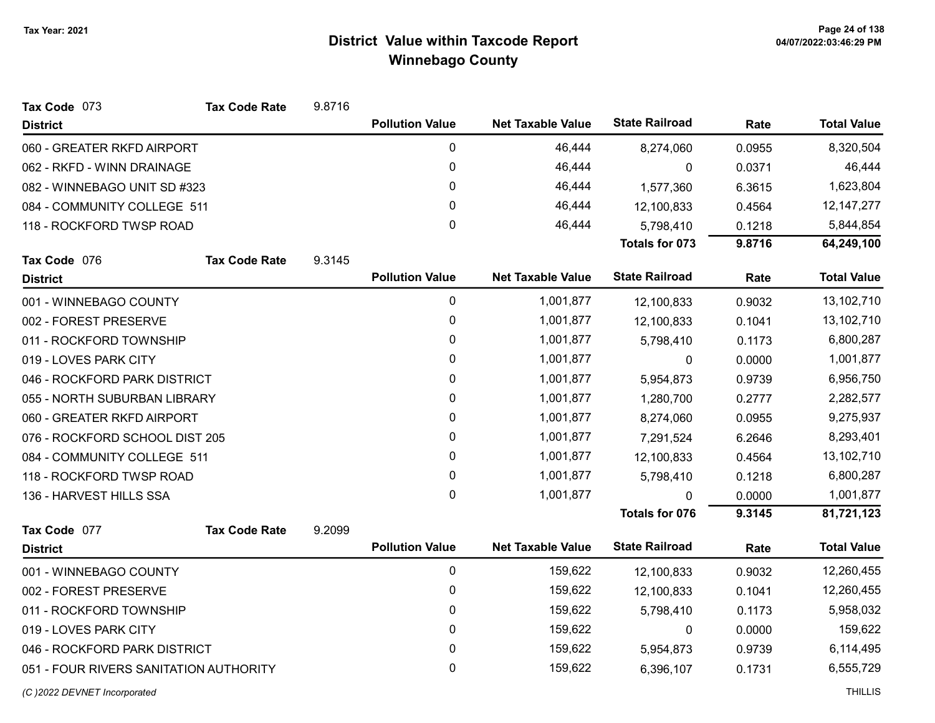| Tax Code 073                           | <b>Tax Code Rate</b> | 9.8716 |                        |                          |                       |        |                    |
|----------------------------------------|----------------------|--------|------------------------|--------------------------|-----------------------|--------|--------------------|
| <b>District</b>                        |                      |        | <b>Pollution Value</b> | <b>Net Taxable Value</b> | <b>State Railroad</b> | Rate   | <b>Total Value</b> |
| 060 - GREATER RKFD AIRPORT             |                      |        | 0                      | 46,444                   | 8,274,060             | 0.0955 | 8,320,504          |
| 062 - RKFD - WINN DRAINAGE             |                      |        | 0                      | 46,444                   | 0                     | 0.0371 | 46,444             |
| 082 - WINNEBAGO UNIT SD #323           |                      |        | $\mathbf 0$            | 46,444                   | 1,577,360             | 6.3615 | 1,623,804          |
| 084 - COMMUNITY COLLEGE 511            |                      |        | 0                      | 46,444                   | 12,100,833            | 0.4564 | 12, 147, 277       |
| 118 - ROCKFORD TWSP ROAD               |                      |        | $\pmb{0}$              | 46,444                   | 5,798,410             | 0.1218 | 5,844,854          |
|                                        |                      |        |                        |                          | <b>Totals for 073</b> | 9.8716 | 64,249,100         |
| Tax Code 076                           | <b>Tax Code Rate</b> | 9.3145 |                        |                          |                       |        |                    |
| <b>District</b>                        |                      |        | <b>Pollution Value</b> | <b>Net Taxable Value</b> | <b>State Railroad</b> | Rate   | <b>Total Value</b> |
| 001 - WINNEBAGO COUNTY                 |                      |        | 0                      | 1,001,877                | 12,100,833            | 0.9032 | 13,102,710         |
| 002 - FOREST PRESERVE                  |                      |        | 0                      | 1,001,877                | 12,100,833            | 0.1041 | 13,102,710         |
| 011 - ROCKFORD TOWNSHIP                |                      |        | 0                      | 1,001,877                | 5,798,410             | 0.1173 | 6,800,287          |
| 019 - LOVES PARK CITY                  |                      |        | 0                      | 1,001,877                | 0                     | 0.0000 | 1,001,877          |
| 046 - ROCKFORD PARK DISTRICT           |                      |        | 0                      | 1,001,877                | 5,954,873             | 0.9739 | 6,956,750          |
| 055 - NORTH SUBURBAN LIBRARY           |                      |        | 0                      | 1,001,877                | 1,280,700             | 0.2777 | 2,282,577          |
| 060 - GREATER RKFD AIRPORT             |                      |        | 0                      | 1,001,877                | 8,274,060             | 0.0955 | 9,275,937          |
| 076 - ROCKFORD SCHOOL DIST 205         |                      |        | 0                      | 1,001,877                | 7,291,524             | 6.2646 | 8,293,401          |
| 084 - COMMUNITY COLLEGE 511            |                      |        | 0                      | 1,001,877                | 12,100,833            | 0.4564 | 13,102,710         |
| 118 - ROCKFORD TWSP ROAD               |                      |        | $\pmb{0}$              | 1,001,877                | 5,798,410             | 0.1218 | 6,800,287          |
| 136 - HARVEST HILLS SSA                |                      |        | $\mathbf 0$            | 1,001,877                | $\Omega$              | 0.0000 | 1,001,877          |
|                                        |                      |        |                        |                          | <b>Totals for 076</b> | 9.3145 | 81,721,123         |
| Tax Code 077                           | <b>Tax Code Rate</b> | 9.2099 |                        |                          |                       |        |                    |
| <b>District</b>                        |                      |        | <b>Pollution Value</b> | <b>Net Taxable Value</b> | <b>State Railroad</b> | Rate   | <b>Total Value</b> |
| 001 - WINNEBAGO COUNTY                 |                      |        | $\mathbf 0$            | 159,622                  | 12,100,833            | 0.9032 | 12,260,455         |
| 002 - FOREST PRESERVE                  |                      |        | 0                      | 159,622                  | 12,100,833            | 0.1041 | 12,260,455         |
| 011 - ROCKFORD TOWNSHIP                |                      |        | 0                      | 159,622                  | 5,798,410             | 0.1173 | 5,958,032          |
| 019 - LOVES PARK CITY                  |                      |        | 0                      | 159,622                  | 0                     | 0.0000 | 159,622            |
| 046 - ROCKFORD PARK DISTRICT           |                      |        | 0                      | 159,622                  | 5,954,873             | 0.9739 | 6,114,495          |
| 051 - FOUR RIVERS SANITATION AUTHORITY |                      |        | 0                      | 159,622                  | 6,396,107             | 0.1731 | 6,555,729          |
|                                        |                      |        |                        |                          |                       |        |                    |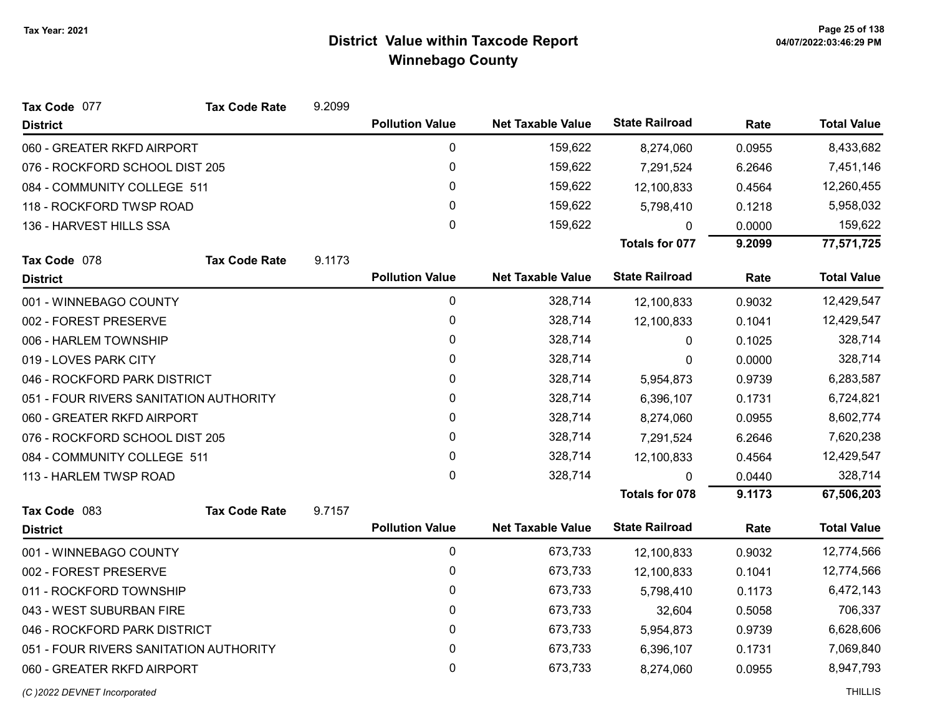| Tax Code 077                           | <b>Tax Code Rate</b> | 9.2099 |                        |                          |                       |        |                    |
|----------------------------------------|----------------------|--------|------------------------|--------------------------|-----------------------|--------|--------------------|
| <b>District</b>                        |                      |        | <b>Pollution Value</b> | <b>Net Taxable Value</b> | <b>State Railroad</b> | Rate   | <b>Total Value</b> |
| 060 - GREATER RKFD AIRPORT             |                      |        | 0                      | 159,622                  | 8,274,060             | 0.0955 | 8,433,682          |
| 076 - ROCKFORD SCHOOL DIST 205         |                      |        | 0                      | 159,622                  | 7,291,524             | 6.2646 | 7,451,146          |
| 084 - COMMUNITY COLLEGE 511            |                      |        | 0                      | 159,622                  | 12,100,833            | 0.4564 | 12,260,455         |
| 118 - ROCKFORD TWSP ROAD               |                      |        | $\mathbf{0}$           | 159,622                  | 5,798,410             | 0.1218 | 5,958,032          |
| 136 - HARVEST HILLS SSA                |                      |        | $\mathbf 0$            | 159,622                  | $\Omega$              | 0.0000 | 159,622            |
|                                        |                      |        |                        |                          | <b>Totals for 077</b> | 9.2099 | 77,571,725         |
| Tax Code 078                           | <b>Tax Code Rate</b> | 9.1173 |                        |                          |                       |        |                    |
| <b>District</b>                        |                      |        | <b>Pollution Value</b> | <b>Net Taxable Value</b> | <b>State Railroad</b> | Rate   | <b>Total Value</b> |
| 001 - WINNEBAGO COUNTY                 |                      |        | $\mathbf 0$            | 328,714                  | 12,100,833            | 0.9032 | 12,429,547         |
| 002 - FOREST PRESERVE                  |                      |        | 0                      | 328,714                  | 12,100,833            | 0.1041 | 12,429,547         |
| 006 - HARLEM TOWNSHIP                  |                      |        | 0                      | 328,714                  | 0                     | 0.1025 | 328,714            |
| 019 - LOVES PARK CITY                  |                      |        | $\mathbf{0}$           | 328,714                  | 0                     | 0.0000 | 328,714            |
| 046 - ROCKFORD PARK DISTRICT           |                      |        | $\mathbf 0$            | 328,714                  | 5,954,873             | 0.9739 | 6,283,587          |
| 051 - FOUR RIVERS SANITATION AUTHORITY |                      |        | 0                      | 328,714                  | 6,396,107             | 0.1731 | 6,724,821          |
| 060 - GREATER RKFD AIRPORT             |                      |        | $\mathbf{0}$           | 328,714                  | 8,274,060             | 0.0955 | 8,602,774          |
| 076 - ROCKFORD SCHOOL DIST 205         |                      |        | 0                      | 328,714                  | 7,291,524             | 6.2646 | 7,620,238          |
| 084 - COMMUNITY COLLEGE 511            |                      |        | 0                      | 328,714                  | 12,100,833            | 0.4564 | 12,429,547         |
| 113 - HARLEM TWSP ROAD                 |                      |        | 0                      | 328,714                  | $\Omega$              | 0.0440 | 328,714            |
|                                        |                      |        |                        |                          | <b>Totals for 078</b> | 9.1173 | 67,506,203         |
| Tax Code 083                           | <b>Tax Code Rate</b> | 9.7157 |                        |                          |                       |        |                    |
| <b>District</b>                        |                      |        | <b>Pollution Value</b> | <b>Net Taxable Value</b> | <b>State Railroad</b> | Rate   | <b>Total Value</b> |
| 001 - WINNEBAGO COUNTY                 |                      |        | $\pmb{0}$              | 673,733                  | 12,100,833            | 0.9032 | 12,774,566         |
| 002 - FOREST PRESERVE                  |                      |        | 0                      | 673,733                  | 12,100,833            | 0.1041 | 12,774,566         |
| 011 - ROCKFORD TOWNSHIP                |                      |        | 0                      | 673,733                  | 5,798,410             | 0.1173 | 6,472,143          |
| 043 - WEST SUBURBAN FIRE               |                      |        | $\mathbf{0}$           | 673,733                  | 32,604                | 0.5058 | 706,337            |
| 046 - ROCKFORD PARK DISTRICT           |                      |        | 0                      | 673,733                  | 5,954,873             | 0.9739 | 6,628,606          |
| 051 - FOUR RIVERS SANITATION AUTHORITY |                      |        | 0                      | 673,733                  | 6,396,107             | 0.1731 | 7,069,840          |
| 060 - GREATER RKFD AIRPORT             |                      |        | 0                      | 673,733                  | 8,274,060             | 0.0955 | 8,947,793          |
|                                        |                      |        |                        |                          |                       |        |                    |

(C)2022 DEVNET Incorporated THILLIS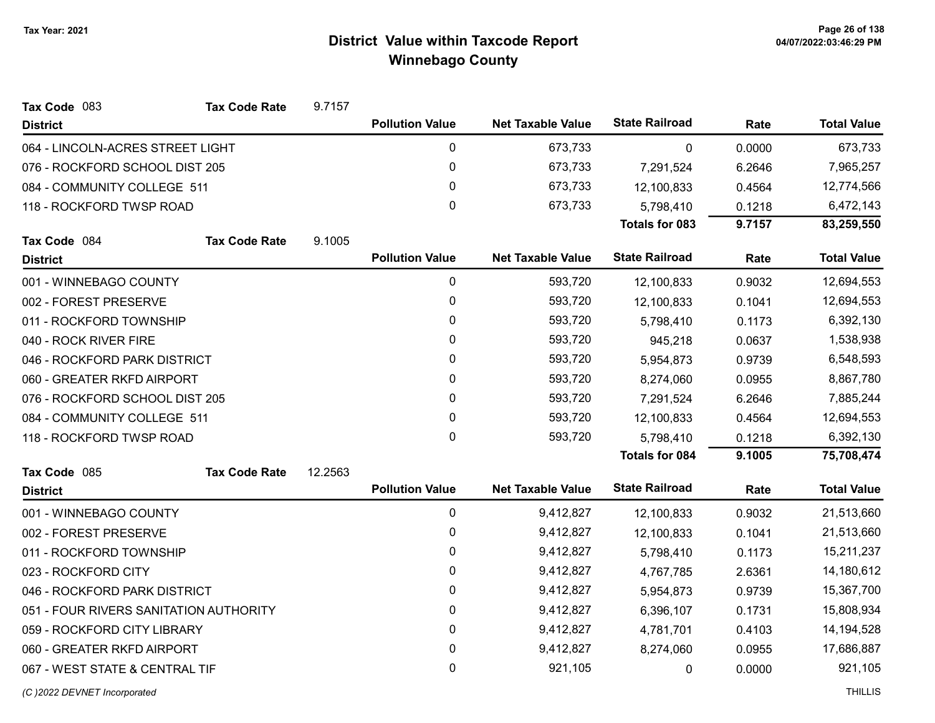| <b>Tax Code Rate</b><br>Tax Code 083   | 9.7157  |                        |                          |                       |           |                    |
|----------------------------------------|---------|------------------------|--------------------------|-----------------------|-----------|--------------------|
| <b>District</b>                        |         | <b>Pollution Value</b> | <b>Net Taxable Value</b> | <b>State Railroad</b> | Rate      | <b>Total Value</b> |
| 064 - LINCOLN-ACRES STREET LIGHT       |         | $\pmb{0}$              | 673,733                  | 0                     | 0.0000    | 673,733            |
| 076 - ROCKFORD SCHOOL DIST 205         |         | $\pmb{0}$              | 673,733                  | 7,291,524             | 6.2646    | 7,965,257          |
| 084 - COMMUNITY COLLEGE 511            |         | 0                      | 673,733                  | 12,100,833            | 0.4564    | 12,774,566         |
| 118 - ROCKFORD TWSP ROAD               |         | $\mathbf 0$            | 673,733                  | 5,798,410             | 0.1218    | 6,472,143          |
|                                        |         |                        |                          | <b>Totals for 083</b> | 9.7157    | 83,259,550         |
| Tax Code 084<br><b>Tax Code Rate</b>   | 9.1005  |                        |                          |                       |           |                    |
| <b>District</b>                        |         | <b>Pollution Value</b> | <b>Net Taxable Value</b> | <b>State Railroad</b> | Rate      | <b>Total Value</b> |
| 001 - WINNEBAGO COUNTY                 |         | $\pmb{0}$              | 593,720                  | 12,100,833            | 0.9032    | 12,694,553         |
| 002 - FOREST PRESERVE                  |         | $\pmb{0}$              | 593,720                  | 12,100,833            | 0.1041    | 12,694,553         |
| 011 - ROCKFORD TOWNSHIP                |         | 0                      | 593,720                  | 5,798,410             | 0.1173    | 6,392,130          |
| 040 - ROCK RIVER FIRE                  |         | $\pmb{0}$              | 593,720                  | 945,218               | 0.0637    | 1,538,938          |
| 046 - ROCKFORD PARK DISTRICT           | 0       | 593,720                | 5,954,873                | 0.9739                | 6,548,593 |                    |
| 060 - GREATER RKFD AIRPORT             |         | $\pmb{0}$              | 593,720                  | 8,274,060             | 0.0955    | 8,867,780          |
| 076 - ROCKFORD SCHOOL DIST 205         |         |                        | 593,720                  | 7,291,524             | 6.2646    | 7,885,244          |
| 084 - COMMUNITY COLLEGE 511            |         | $\pmb{0}$              | 593,720                  | 12,100,833            | 0.4564    | 12,694,553         |
| 118 - ROCKFORD TWSP ROAD               |         | 0                      | 593,720                  | 5,798,410             | 0.1218    | 6,392,130          |
|                                        |         |                        |                          | <b>Totals for 084</b> | 9.1005    | 75,708,474         |
| Tax Code 085<br><b>Tax Code Rate</b>   | 12.2563 |                        |                          |                       |           |                    |
| <b>District</b>                        |         | <b>Pollution Value</b> | <b>Net Taxable Value</b> | <b>State Railroad</b> | Rate      | <b>Total Value</b> |
| 001 - WINNEBAGO COUNTY                 |         | 0                      | 9,412,827                | 12,100,833            | 0.9032    | 21,513,660         |
| 002 - FOREST PRESERVE                  |         | 0                      | 9,412,827                | 12,100,833            | 0.1041    | 21,513,660         |
| 011 - ROCKFORD TOWNSHIP                |         | $\pmb{0}$              | 9,412,827                | 5,798,410             | 0.1173    | 15,211,237         |
| 023 - ROCKFORD CITY                    |         | 0                      | 9,412,827                | 4,767,785             | 2.6361    | 14,180,612         |
| 046 - ROCKFORD PARK DISTRICT           |         | $\mathbf 0$            | 9,412,827                | 5,954,873             | 0.9739    | 15,367,700         |
| 051 - FOUR RIVERS SANITATION AUTHORITY |         | 0                      | 9,412,827                | 6,396,107             | 0.1731    | 15,808,934         |
| 059 - ROCKFORD CITY LIBRARY            |         | $\pmb{0}$              | 9,412,827                | 4,781,701             | 0.4103    | 14,194,528         |
| 060 - GREATER RKFD AIRPORT             |         | $\pmb{0}$              | 9,412,827                | 8,274,060             | 0.0955    | 17,686,887         |
| 067 - WEST STATE & CENTRAL TIF         |         | $\mathbf 0$            | 921,105                  | 0                     | 0.0000    | 921,105            |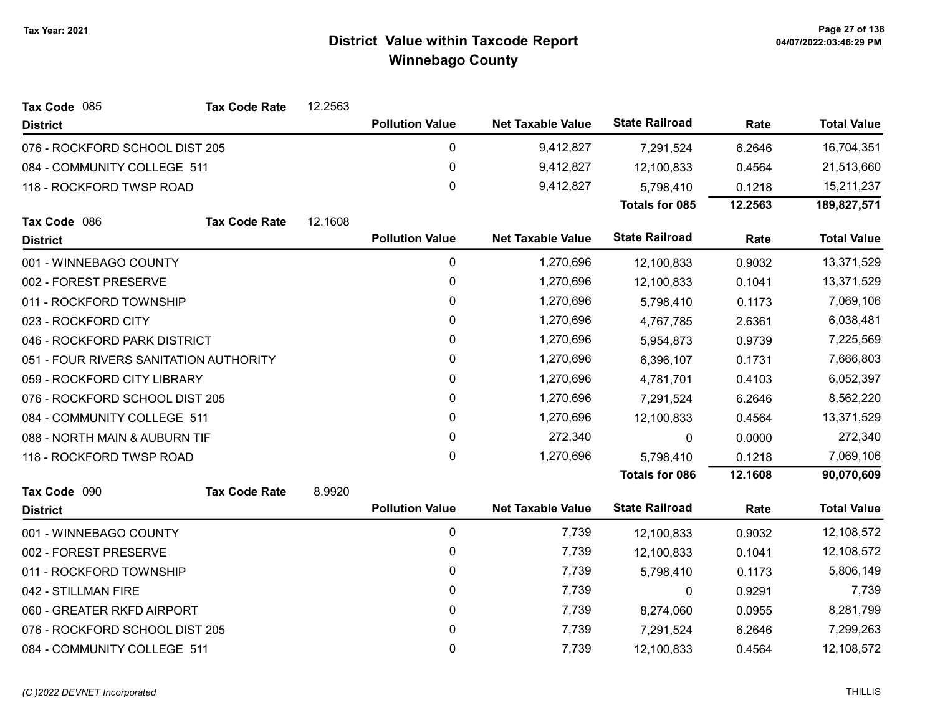| Tax Code 085                           | <b>Tax Code Rate</b> | 12.2563 |                        |                          |                       |         |                    |
|----------------------------------------|----------------------|---------|------------------------|--------------------------|-----------------------|---------|--------------------|
| <b>District</b>                        |                      |         | <b>Pollution Value</b> | <b>Net Taxable Value</b> | <b>State Railroad</b> | Rate    | <b>Total Value</b> |
| 076 - ROCKFORD SCHOOL DIST 205         |                      |         | 0                      | 9,412,827                | 7,291,524             | 6.2646  | 16,704,351         |
| 084 - COMMUNITY COLLEGE 511            |                      |         | 0                      | 9,412,827                | 12,100,833            | 0.4564  | 21,513,660         |
| 118 - ROCKFORD TWSP ROAD               |                      |         | 0                      | 9,412,827                | 5,798,410             | 0.1218  | 15,211,237         |
|                                        |                      |         |                        |                          | <b>Totals for 085</b> | 12.2563 | 189,827,571        |
| Tax Code 086                           | <b>Tax Code Rate</b> | 12.1608 |                        |                          |                       |         |                    |
| <b>District</b>                        |                      |         | <b>Pollution Value</b> | <b>Net Taxable Value</b> | <b>State Railroad</b> | Rate    | <b>Total Value</b> |
| 001 - WINNEBAGO COUNTY                 |                      |         | 0                      | 1,270,696                | 12,100,833            | 0.9032  | 13,371,529         |
| 002 - FOREST PRESERVE                  |                      |         | 0                      | 1,270,696                | 12,100,833            | 0.1041  | 13,371,529         |
| 011 - ROCKFORD TOWNSHIP                |                      |         | 0                      | 1,270,696                | 5,798,410             | 0.1173  | 7,069,106          |
| 023 - ROCKFORD CITY                    |                      |         | $\mathbf{0}$           | 1,270,696                | 4,767,785             | 2.6361  | 6,038,481          |
| 046 - ROCKFORD PARK DISTRICT           |                      |         | 0                      | 1,270,696                | 5,954,873             | 0.9739  | 7,225,569          |
| 051 - FOUR RIVERS SANITATION AUTHORITY |                      |         | 0                      | 1,270,696                | 6,396,107             | 0.1731  | 7,666,803          |
| 059 - ROCKFORD CITY LIBRARY            |                      |         | 0                      | 1,270,696                | 4,781,701             | 0.4103  | 6,052,397          |
| 076 - ROCKFORD SCHOOL DIST 205         |                      |         | 0                      | 1,270,696                | 7,291,524             | 6.2646  | 8,562,220          |
| 084 - COMMUNITY COLLEGE 511            |                      |         | $\mathbf{0}$           | 1,270,696                | 12,100,833            | 0.4564  | 13,371,529         |
| 088 - NORTH MAIN & AUBURN TIF          |                      |         | 0                      | 272,340                  | $\Omega$              | 0.0000  | 272,340            |
| 118 - ROCKFORD TWSP ROAD               |                      |         | 0                      | 1,270,696                | 5,798,410             | 0.1218  | 7,069,106          |
|                                        |                      |         |                        |                          | <b>Totals for 086</b> | 12.1608 | 90,070,609         |
| Tax Code 090                           | <b>Tax Code Rate</b> | 8.9920  |                        |                          |                       |         |                    |
| <b>District</b>                        |                      |         | <b>Pollution Value</b> | <b>Net Taxable Value</b> | <b>State Railroad</b> | Rate    | <b>Total Value</b> |
| 001 - WINNEBAGO COUNTY                 |                      |         | 0                      | 7,739                    | 12,100,833            | 0.9032  | 12,108,572         |
| 002 - FOREST PRESERVE                  |                      |         | 0                      | 7,739                    | 12,100,833            | 0.1041  | 12,108,572         |
| 011 - ROCKFORD TOWNSHIP                |                      |         | 0                      | 7,739                    | 5,798,410             | 0.1173  | 5,806,149          |
| 042 - STILLMAN FIRE                    |                      |         | 0                      | 7,739                    | $\pmb{0}$             | 0.9291  | 7,739              |
| 060 - GREATER RKFD AIRPORT             |                      |         | 0                      | 7,739                    | 8,274,060             | 0.0955  | 8,281,799          |
| 076 - ROCKFORD SCHOOL DIST 205         |                      |         | 0                      | 7,739                    | 7,291,524             | 6.2646  | 7,299,263          |
| 084 - COMMUNITY COLLEGE 511            |                      |         | 0                      | 7,739                    | 12,100,833            | 0.4564  | 12,108,572         |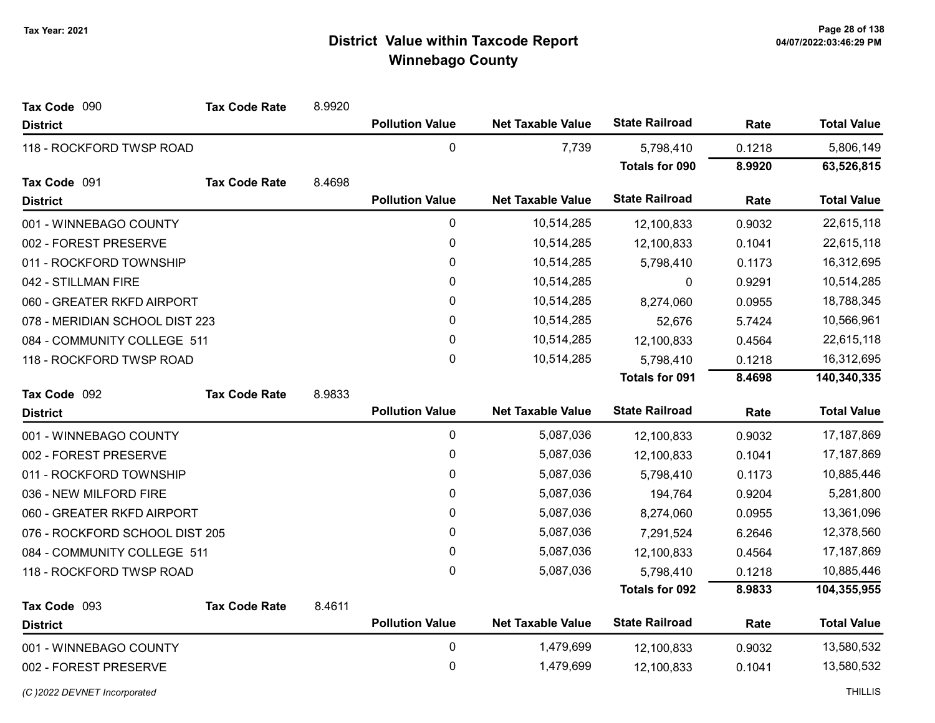| Tax Code 090                   | <b>Tax Code Rate</b> | 8.9920 |                        |                          |                       |        |                    |
|--------------------------------|----------------------|--------|------------------------|--------------------------|-----------------------|--------|--------------------|
| <b>District</b>                |                      |        | <b>Pollution Value</b> | <b>Net Taxable Value</b> | <b>State Railroad</b> | Rate   | <b>Total Value</b> |
| 118 - ROCKFORD TWSP ROAD       |                      |        | $\pmb{0}$              | 7,739                    | 5,798,410             | 0.1218 | 5,806,149          |
|                                |                      |        |                        |                          | <b>Totals for 090</b> | 8.9920 | 63,526,815         |
| Tax Code 091                   | <b>Tax Code Rate</b> | 8.4698 |                        |                          |                       |        |                    |
| <b>District</b>                |                      |        | <b>Pollution Value</b> | <b>Net Taxable Value</b> | <b>State Railroad</b> | Rate   | <b>Total Value</b> |
| 001 - WINNEBAGO COUNTY         |                      |        | 0                      | 10,514,285               | 12,100,833            | 0.9032 | 22,615,118         |
| 002 - FOREST PRESERVE          |                      |        | $\pmb{0}$              | 10,514,285               | 12,100,833            | 0.1041 | 22,615,118         |
| 011 - ROCKFORD TOWNSHIP        |                      |        | $\pmb{0}$              | 10,514,285               | 5,798,410             | 0.1173 | 16,312,695         |
| 042 - STILLMAN FIRE            |                      |        | 0                      | 10,514,285               | 0                     | 0.9291 | 10,514,285         |
| 060 - GREATER RKFD AIRPORT     |                      |        | 0                      | 10,514,285               | 8,274,060             | 0.0955 | 18,788,345         |
| 078 - MERIDIAN SCHOOL DIST 223 |                      |        | $\pmb{0}$              | 10,514,285               | 52,676                | 5.7424 | 10,566,961         |
| 084 - COMMUNITY COLLEGE 511    |                      |        | $\pmb{0}$              | 10,514,285               | 12,100,833            | 0.4564 | 22,615,118         |
| 118 - ROCKFORD TWSP ROAD       |                      |        | 0                      | 10,514,285               | 5,798,410             | 0.1218 | 16,312,695         |
|                                |                      |        |                        |                          | <b>Totals for 091</b> | 8.4698 | 140,340,335        |
| Tax Code 092                   | <b>Tax Code Rate</b> | 8.9833 |                        |                          |                       |        |                    |
| <b>District</b>                |                      |        | <b>Pollution Value</b> | <b>Net Taxable Value</b> | <b>State Railroad</b> | Rate   | <b>Total Value</b> |
| 001 - WINNEBAGO COUNTY         |                      |        | $\pmb{0}$              | 5,087,036                | 12,100,833            | 0.9032 | 17,187,869         |
| 002 - FOREST PRESERVE          |                      |        | $\pmb{0}$              | 5,087,036                | 12,100,833            | 0.1041 | 17,187,869         |
| 011 - ROCKFORD TOWNSHIP        |                      |        | 0                      | 5,087,036                | 5,798,410             | 0.1173 | 10,885,446         |
| 036 - NEW MILFORD FIRE         |                      |        | $\pmb{0}$              | 5,087,036                | 194,764               | 0.9204 | 5,281,800          |
| 060 - GREATER RKFD AIRPORT     |                      |        | 0                      | 5,087,036                | 8,274,060             | 0.0955 | 13,361,096         |
| 076 - ROCKFORD SCHOOL DIST 205 |                      |        | $\pmb{0}$              | 5,087,036                | 7,291,524             | 6.2646 | 12,378,560         |
| 084 - COMMUNITY COLLEGE 511    |                      |        | 0                      | 5,087,036                | 12,100,833            | 0.4564 | 17,187,869         |
| 118 - ROCKFORD TWSP ROAD       |                      |        | $\pmb{0}$              | 5,087,036                | 5,798,410             | 0.1218 | 10,885,446         |
|                                |                      |        |                        |                          | <b>Totals for 092</b> | 8.9833 | 104,355,955        |
| Tax Code 093                   | <b>Tax Code Rate</b> | 8.4611 |                        |                          |                       |        |                    |
| <b>District</b>                |                      |        | <b>Pollution Value</b> | <b>Net Taxable Value</b> | <b>State Railroad</b> | Rate   | <b>Total Value</b> |
| 001 - WINNEBAGO COUNTY         |                      |        | 0                      | 1,479,699                | 12,100,833            | 0.9032 | 13,580,532         |
| 002 - FOREST PRESERVE          |                      |        | $\pmb{0}$              | 1,479,699                | 12,100,833            | 0.1041 | 13,580,532         |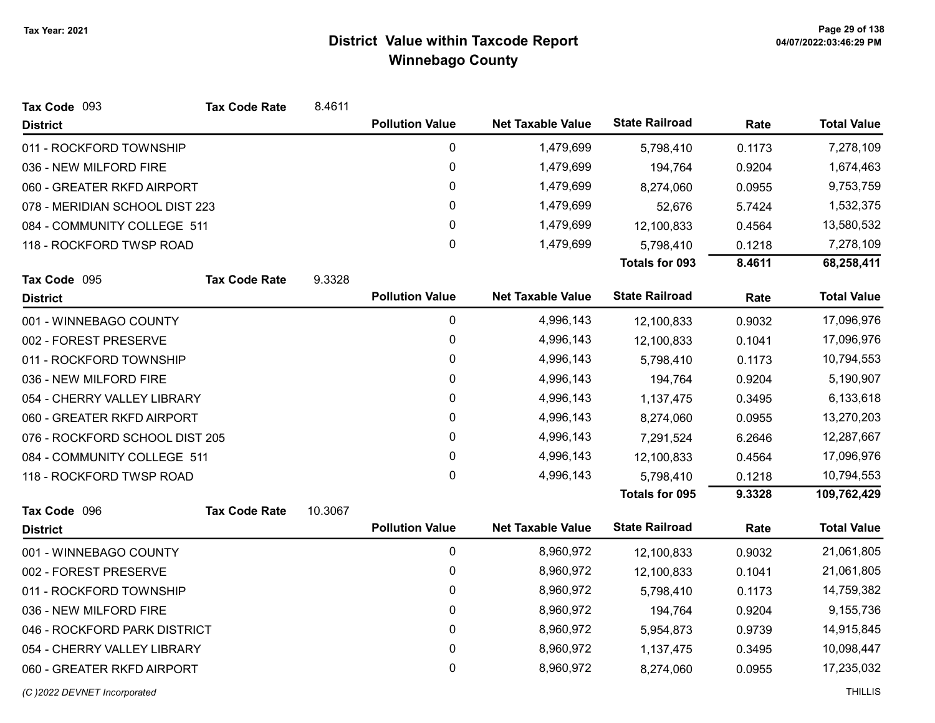| Tax Code 093                   | <b>Tax Code Rate</b> | 8.4611  |                        |                          |                       |        |                    |
|--------------------------------|----------------------|---------|------------------------|--------------------------|-----------------------|--------|--------------------|
| <b>District</b>                |                      |         | <b>Pollution Value</b> | <b>Net Taxable Value</b> | <b>State Railroad</b> | Rate   | <b>Total Value</b> |
| 011 - ROCKFORD TOWNSHIP        |                      |         | $\pmb{0}$              | 1,479,699                | 5,798,410             | 0.1173 | 7,278,109          |
| 036 - NEW MILFORD FIRE         |                      |         | 0                      | 1,479,699                | 194,764               | 0.9204 | 1,674,463          |
| 060 - GREATER RKFD AIRPORT     |                      |         | 0                      | 1,479,699                | 8,274,060             | 0.0955 | 9,753,759          |
| 078 - MERIDIAN SCHOOL DIST 223 |                      |         | 0                      | 1,479,699                | 52,676                | 5.7424 | 1,532,375          |
| 084 - COMMUNITY COLLEGE 511    |                      |         | 0                      | 1,479,699                | 12,100,833            | 0.4564 | 13,580,532         |
| 118 - ROCKFORD TWSP ROAD       |                      |         | 0                      | 1,479,699                | 5,798,410             | 0.1218 | 7,278,109          |
|                                |                      |         |                        |                          | <b>Totals for 093</b> | 8.4611 | 68,258,411         |
| Tax Code 095                   | <b>Tax Code Rate</b> | 9.3328  |                        |                          |                       |        |                    |
| <b>District</b>                |                      |         | <b>Pollution Value</b> | <b>Net Taxable Value</b> | <b>State Railroad</b> | Rate   | <b>Total Value</b> |
| 001 - WINNEBAGO COUNTY         |                      |         | 0                      | 4,996,143                | 12,100,833            | 0.9032 | 17,096,976         |
| 002 - FOREST PRESERVE          |                      |         | 0                      | 4,996,143                | 12,100,833            | 0.1041 | 17,096,976         |
| 011 - ROCKFORD TOWNSHIP        |                      |         | 0                      | 4,996,143                | 5,798,410             | 0.1173 | 10,794,553         |
| 036 - NEW MILFORD FIRE         |                      |         | 0                      | 4,996,143                | 194,764               | 0.9204 | 5,190,907          |
| 054 - CHERRY VALLEY LIBRARY    |                      |         | 0                      | 4,996,143                | 1,137,475             | 0.3495 | 6,133,618          |
| 060 - GREATER RKFD AIRPORT     |                      |         | 0                      | 4,996,143                | 8,274,060             | 0.0955 | 13,270,203         |
| 076 - ROCKFORD SCHOOL DIST 205 |                      |         | 0                      | 4,996,143                | 7,291,524             | 6.2646 | 12,287,667         |
| 084 - COMMUNITY COLLEGE 511    |                      |         | 0                      | 4,996,143                | 12,100,833            | 0.4564 | 17,096,976         |
| 118 - ROCKFORD TWSP ROAD       |                      |         | $\mathbf 0$            | 4,996,143                | 5,798,410             | 0.1218 | 10,794,553         |
|                                |                      |         |                        |                          | Totals for 095        | 9.3328 | 109,762,429        |
| Tax Code 096                   | <b>Tax Code Rate</b> | 10.3067 |                        |                          |                       |        |                    |
| <b>District</b>                |                      |         | <b>Pollution Value</b> | <b>Net Taxable Value</b> | <b>State Railroad</b> | Rate   | <b>Total Value</b> |
| 001 - WINNEBAGO COUNTY         |                      |         | $\pmb{0}$              | 8,960,972                | 12,100,833            | 0.9032 | 21,061,805         |
| 002 - FOREST PRESERVE          |                      |         | 0                      | 8,960,972                | 12,100,833            | 0.1041 | 21,061,805         |
| 011 - ROCKFORD TOWNSHIP        |                      |         | 0                      | 8,960,972                | 5,798,410             | 0.1173 | 14,759,382         |
| 036 - NEW MILFORD FIRE         |                      |         | 0                      | 8,960,972                | 194,764               | 0.9204 | 9,155,736          |
| 046 - ROCKFORD PARK DISTRICT   |                      |         | 0                      | 8,960,972                | 5,954,873             | 0.9739 | 14,915,845         |
| 054 - CHERRY VALLEY LIBRARY    |                      |         | 0                      | 8,960,972                | 1,137,475             | 0.3495 | 10,098,447         |
| 060 - GREATER RKFD AIRPORT     |                      |         | 0                      | 8,960,972                | 8,274,060             | 0.0955 | 17,235,032         |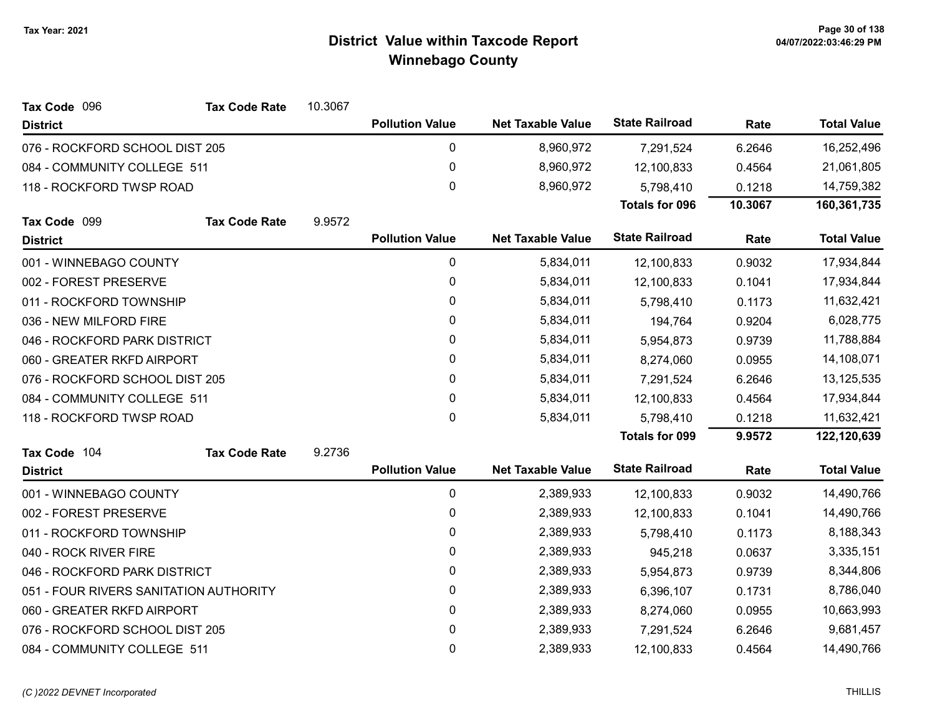| Tax Code 096                           | <b>Tax Code Rate</b> | 10.3067 |                        |                          |                       |         |                    |
|----------------------------------------|----------------------|---------|------------------------|--------------------------|-----------------------|---------|--------------------|
| <b>District</b>                        |                      |         | <b>Pollution Value</b> | <b>Net Taxable Value</b> | <b>State Railroad</b> | Rate    | <b>Total Value</b> |
| 076 - ROCKFORD SCHOOL DIST 205         |                      |         | 0                      | 8,960,972                | 7,291,524             | 6.2646  | 16,252,496         |
| 084 - COMMUNITY COLLEGE 511            |                      |         | $\pmb{0}$              | 8,960,972                | 12,100,833            | 0.4564  | 21,061,805         |
| 118 - ROCKFORD TWSP ROAD               |                      |         | $\mathbf 0$            | 8,960,972                | 5,798,410             | 0.1218  | 14,759,382         |
|                                        |                      |         |                        |                          | <b>Totals for 096</b> | 10.3067 | 160,361,735        |
| Tax Code 099                           | <b>Tax Code Rate</b> | 9.9572  |                        |                          |                       |         |                    |
| <b>District</b>                        |                      |         | <b>Pollution Value</b> | <b>Net Taxable Value</b> | <b>State Railroad</b> | Rate    | <b>Total Value</b> |
| 001 - WINNEBAGO COUNTY                 |                      |         | $\pmb{0}$              | 5,834,011                | 12,100,833            | 0.9032  | 17,934,844         |
| 002 - FOREST PRESERVE                  |                      |         | 0                      | 5,834,011                | 12,100,833            | 0.1041  | 17,934,844         |
| 011 - ROCKFORD TOWNSHIP                |                      |         | $\pmb{0}$              | 5,834,011                | 5,798,410             | 0.1173  | 11,632,421         |
| 036 - NEW MILFORD FIRE                 |                      |         | 0                      | 5,834,011                | 194,764               | 0.9204  | 6,028,775          |
| 046 - ROCKFORD PARK DISTRICT           |                      |         | 0                      | 5,834,011                | 5,954,873             | 0.9739  | 11,788,884         |
| 060 - GREATER RKFD AIRPORT             |                      |         | 0                      | 5,834,011                | 8,274,060             | 0.0955  | 14,108,071         |
| 076 - ROCKFORD SCHOOL DIST 205         |                      |         | 0                      | 5,834,011                | 7,291,524             | 6.2646  | 13,125,535         |
| 084 - COMMUNITY COLLEGE 511            |                      |         | $\pmb{0}$              | 5,834,011                | 12,100,833            | 0.4564  | 17,934,844         |
| 118 - ROCKFORD TWSP ROAD               |                      |         | $\mathbf{0}$           | 5,834,011                | 5,798,410             | 0.1218  | 11,632,421         |
|                                        |                      |         |                        |                          | <b>Totals for 099</b> | 9.9572  | 122,120,639        |
| Tax Code 104                           | <b>Tax Code Rate</b> | 9.2736  |                        |                          |                       |         |                    |
| <b>District</b>                        |                      |         | <b>Pollution Value</b> | <b>Net Taxable Value</b> | <b>State Railroad</b> | Rate    | <b>Total Value</b> |
| 001 - WINNEBAGO COUNTY                 |                      |         | 0                      | 2,389,933                | 12,100,833            | 0.9032  | 14,490,766         |
| 002 - FOREST PRESERVE                  |                      |         | 0                      | 2,389,933                | 12,100,833            | 0.1041  | 14,490,766         |
| 011 - ROCKFORD TOWNSHIP                |                      |         | 0                      | 2,389,933                | 5,798,410             | 0.1173  | 8,188,343          |
| 040 - ROCK RIVER FIRE                  |                      |         | 0                      | 2,389,933                | 945,218               | 0.0637  | 3,335,151          |
| 046 - ROCKFORD PARK DISTRICT           |                      |         | 0                      | 2,389,933                | 5,954,873             | 0.9739  | 8,344,806          |
| 051 - FOUR RIVERS SANITATION AUTHORITY |                      |         | $\pmb{0}$              | 2,389,933                | 6,396,107             | 0.1731  | 8,786,040          |
| 060 - GREATER RKFD AIRPORT             |                      |         | 0                      | 2,389,933                | 8,274,060             | 0.0955  | 10,663,993         |
| 076 - ROCKFORD SCHOOL DIST 205         |                      |         | 0                      | 2,389,933                | 7,291,524             | 6.2646  | 9,681,457          |
| 084 - COMMUNITY COLLEGE 511            |                      |         | $\mathbf 0$            | 2,389,933                | 12,100,833            | 0.4564  | 14,490,766         |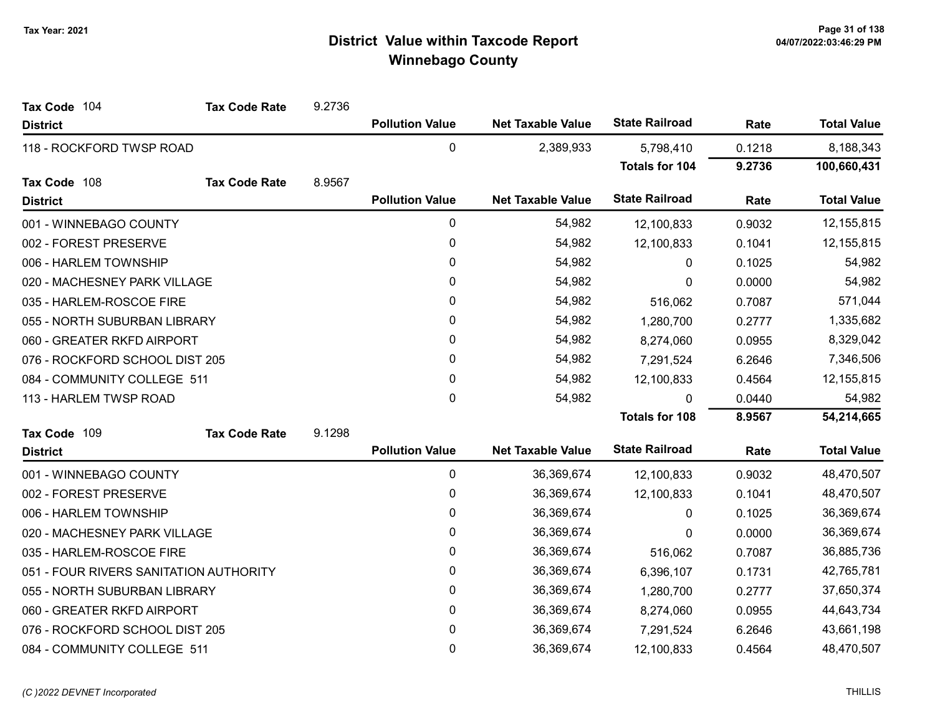| Tax Code 104                           | <b>Tax Code Rate</b> | 9.2736 |                        |                          |                       |        |                    |
|----------------------------------------|----------------------|--------|------------------------|--------------------------|-----------------------|--------|--------------------|
| <b>District</b>                        |                      |        | <b>Pollution Value</b> | <b>Net Taxable Value</b> | <b>State Railroad</b> | Rate   | <b>Total Value</b> |
| 118 - ROCKFORD TWSP ROAD               |                      |        | 0                      | 2,389,933                | 5,798,410             | 0.1218 | 8,188,343          |
|                                        |                      |        |                        |                          | Totals for 104        | 9.2736 | 100,660,431        |
| Tax Code 108                           | <b>Tax Code Rate</b> | 8.9567 |                        |                          |                       |        |                    |
| <b>District</b>                        |                      |        | <b>Pollution Value</b> | <b>Net Taxable Value</b> | <b>State Railroad</b> | Rate   | <b>Total Value</b> |
| 001 - WINNEBAGO COUNTY                 |                      |        | 0                      | 54,982                   | 12,100,833            | 0.9032 | 12, 155, 815       |
| 002 - FOREST PRESERVE                  |                      |        | 0                      | 54,982                   | 12,100,833            | 0.1041 | 12, 155, 815       |
| 006 - HARLEM TOWNSHIP                  |                      |        | 0                      | 54,982                   | 0                     | 0.1025 | 54,982             |
| 020 - MACHESNEY PARK VILLAGE           |                      |        | 0                      | 54,982                   | 0                     | 0.0000 | 54,982             |
| 035 - HARLEM-ROSCOE FIRE               |                      |        | 0                      | 54,982                   | 516,062               | 0.7087 | 571,044            |
| 055 - NORTH SUBURBAN LIBRARY           |                      |        | 0                      | 54,982                   | 1,280,700             | 0.2777 | 1,335,682          |
| 060 - GREATER RKFD AIRPORT             |                      |        | 0                      | 54,982                   | 8,274,060             | 0.0955 | 8,329,042          |
| 076 - ROCKFORD SCHOOL DIST 205         |                      |        | 0                      | 54,982                   | 7,291,524             | 6.2646 | 7,346,506          |
| 084 - COMMUNITY COLLEGE 511            |                      |        | $\mathbf{0}$           | 54,982                   | 12,100,833            | 0.4564 | 12, 155, 815       |
| 113 - HARLEM TWSP ROAD                 |                      |        | 0                      | 54,982                   | $\Omega$              | 0.0440 | 54,982             |
|                                        |                      |        |                        |                          | <b>Totals for 108</b> | 8.9567 | 54,214,665         |
| Tax Code 109                           | <b>Tax Code Rate</b> | 9.1298 |                        |                          |                       |        |                    |
| <b>District</b>                        |                      |        | <b>Pollution Value</b> | <b>Net Taxable Value</b> | <b>State Railroad</b> | Rate   | <b>Total Value</b> |
| 001 - WINNEBAGO COUNTY                 |                      |        | 0                      | 36,369,674               | 12,100,833            | 0.9032 | 48,470,507         |
| 002 - FOREST PRESERVE                  |                      |        | $\boldsymbol{0}$       | 36,369,674               | 12,100,833            | 0.1041 | 48,470,507         |
| 006 - HARLEM TOWNSHIP                  |                      |        | 0                      | 36,369,674               | $\mathbf{0}$          | 0.1025 | 36,369,674         |
| 020 - MACHESNEY PARK VILLAGE           |                      |        | 0                      | 36,369,674               | 0                     | 0.0000 | 36,369,674         |
| 035 - HARLEM-ROSCOE FIRE               |                      |        | 0                      | 36,369,674               | 516,062               | 0.7087 | 36,885,736         |
| 051 - FOUR RIVERS SANITATION AUTHORITY |                      |        | 0                      | 36,369,674               | 6,396,107             | 0.1731 | 42,765,781         |
| 055 - NORTH SUBURBAN LIBRARY           |                      |        | 0                      | 36,369,674               | 1,280,700             | 0.2777 | 37,650,374         |
| 060 - GREATER RKFD AIRPORT             |                      |        | 0                      | 36,369,674               | 8,274,060             | 0.0955 | 44,643,734         |
| 076 - ROCKFORD SCHOOL DIST 205         |                      |        | 0                      | 36,369,674               | 7,291,524             | 6.2646 | 43,661,198         |
| 084 - COMMUNITY COLLEGE 511            |                      |        | 0                      | 36,369,674               | 12,100,833            | 0.4564 | 48,470,507         |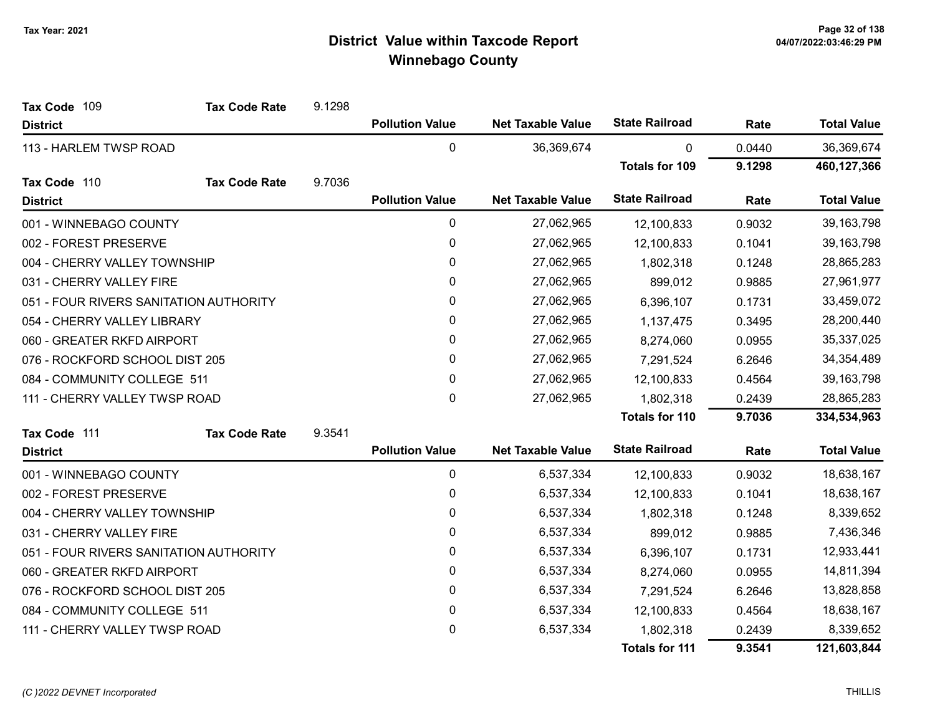| Tax Code 109                           | <b>Tax Code Rate</b>          | 9.1298 |                        |                          |                       |        |                    |
|----------------------------------------|-------------------------------|--------|------------------------|--------------------------|-----------------------|--------|--------------------|
| <b>District</b>                        |                               |        | <b>Pollution Value</b> | <b>Net Taxable Value</b> | <b>State Railroad</b> | Rate   | <b>Total Value</b> |
| 113 - HARLEM TWSP ROAD                 |                               |        | 0                      | 36,369,674               | 0                     | 0.0440 | 36,369,674         |
|                                        |                               |        |                        |                          | <b>Totals for 109</b> | 9.1298 | 460,127,366        |
| Tax Code 110                           | <b>Tax Code Rate</b>          | 9.7036 |                        |                          |                       |        |                    |
| <b>District</b>                        |                               |        | <b>Pollution Value</b> | <b>Net Taxable Value</b> | <b>State Railroad</b> | Rate   | <b>Total Value</b> |
| 001 - WINNEBAGO COUNTY                 |                               |        | 0                      | 27,062,965               | 12,100,833            | 0.9032 | 39, 163, 798       |
| 002 - FOREST PRESERVE                  |                               |        | 0                      | 27,062,965               | 12,100,833            | 0.1041 | 39,163,798         |
| 004 - CHERRY VALLEY TOWNSHIP           |                               |        | 0                      | 27,062,965               | 1,802,318             | 0.1248 | 28,865,283         |
| 031 - CHERRY VALLEY FIRE               |                               |        | 0                      | 27,062,965               | 899,012               | 0.9885 | 27,961,977         |
| 051 - FOUR RIVERS SANITATION AUTHORITY |                               |        | 0                      | 27,062,965               | 6,396,107             | 0.1731 | 33,459,072         |
| 054 - CHERRY VALLEY LIBRARY            |                               |        | 0                      | 27,062,965               | 1,137,475             | 0.3495 | 28,200,440         |
| 060 - GREATER RKFD AIRPORT             |                               |        | 0                      | 27,062,965               | 8,274,060             | 0.0955 | 35,337,025         |
| 076 - ROCKFORD SCHOOL DIST 205         |                               |        | 0                      | 27,062,965               | 7,291,524             | 6.2646 | 34,354,489         |
| 084 - COMMUNITY COLLEGE 511            |                               |        | 0                      | 27,062,965               | 12,100,833            | 0.4564 | 39, 163, 798       |
|                                        | 111 - CHERRY VALLEY TWSP ROAD |        | $\pmb{0}$              | 27,062,965               | 1,802,318             | 0.2439 | 28,865,283         |
|                                        |                               |        |                        |                          | <b>Totals for 110</b> | 9.7036 | 334,534,963        |
| Tax Code 111                           | <b>Tax Code Rate</b>          | 9.3541 |                        |                          |                       |        |                    |
| <b>District</b>                        |                               |        | <b>Pollution Value</b> | <b>Net Taxable Value</b> | <b>State Railroad</b> | Rate   | <b>Total Value</b> |
| 001 - WINNEBAGO COUNTY                 |                               |        | 0                      | 6,537,334                | 12,100,833            | 0.9032 | 18,638,167         |
| 002 - FOREST PRESERVE                  |                               |        | 0                      | 6,537,334                | 12,100,833            | 0.1041 | 18,638,167         |
| 004 - CHERRY VALLEY TOWNSHIP           |                               |        | 0                      | 6,537,334                | 1,802,318             | 0.1248 | 8,339,652          |
| 031 - CHERRY VALLEY FIRE               |                               |        | 0                      | 6,537,334                | 899,012               | 0.9885 | 7,436,346          |
| 051 - FOUR RIVERS SANITATION AUTHORITY |                               |        | 0                      | 6,537,334                | 6,396,107             | 0.1731 | 12,933,441         |
| 060 - GREATER RKFD AIRPORT             |                               |        | 0                      | 6,537,334                | 8,274,060             | 0.0955 | 14,811,394         |
| 076 - ROCKFORD SCHOOL DIST 205         |                               |        | 0                      | 6,537,334                | 7,291,524             | 6.2646 | 13,828,858         |
| 084 - COMMUNITY COLLEGE 511            |                               |        | 0                      | 6,537,334                | 12,100,833            | 0.4564 | 18,638,167         |
| 111 - CHERRY VALLEY TWSP ROAD          |                               |        | 0                      | 6,537,334                | 1,802,318             | 0.2439 | 8,339,652          |
|                                        |                               |        |                        |                          | <b>Totals for 111</b> | 9.3541 | 121,603,844        |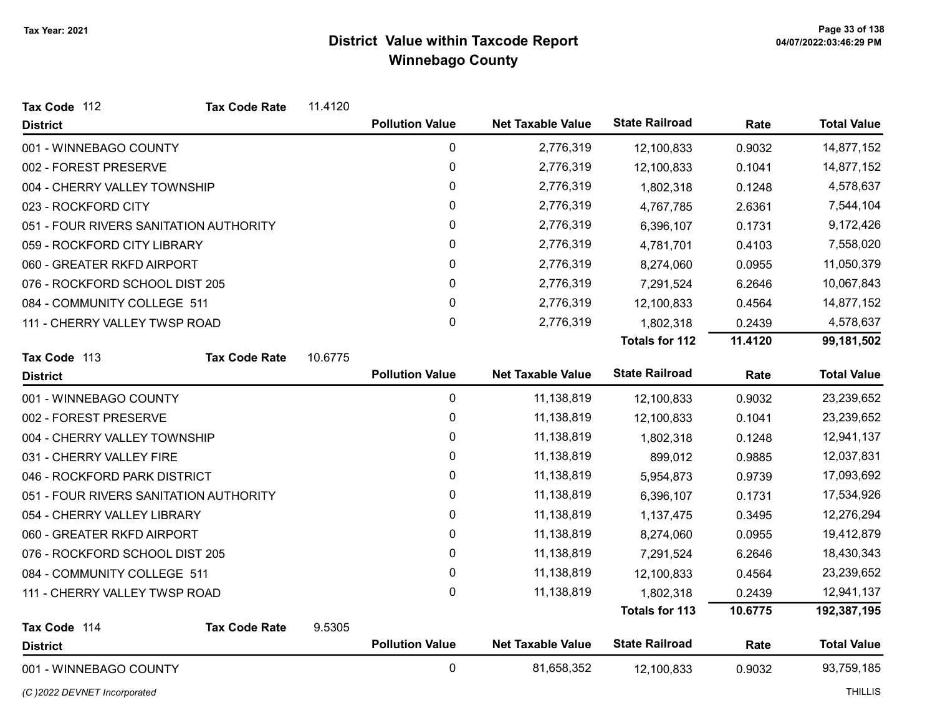| Tax Code 112                           | <b>Tax Code Rate</b> | 11.4120 |                        |                          |                       |         |                    |
|----------------------------------------|----------------------|---------|------------------------|--------------------------|-----------------------|---------|--------------------|
| <b>District</b>                        |                      |         | <b>Pollution Value</b> | <b>Net Taxable Value</b> | <b>State Railroad</b> | Rate    | <b>Total Value</b> |
| 001 - WINNEBAGO COUNTY                 |                      |         | 0                      | 2,776,319                | 12,100,833            | 0.9032  | 14,877,152         |
| 002 - FOREST PRESERVE                  |                      |         | 0                      | 2,776,319                | 12,100,833            | 0.1041  | 14,877,152         |
| 004 - CHERRY VALLEY TOWNSHIP           |                      |         | 0                      | 2,776,319                | 1,802,318             | 0.1248  | 4,578,637          |
| 023 - ROCKFORD CITY                    |                      |         | 0                      | 2,776,319                | 4,767,785             | 2.6361  | 7,544,104          |
| 051 - FOUR RIVERS SANITATION AUTHORITY |                      |         | 0                      | 2,776,319                | 6,396,107             | 0.1731  | 9,172,426          |
| 059 - ROCKFORD CITY LIBRARY            |                      |         | 0                      | 2,776,319                | 4,781,701             | 0.4103  | 7,558,020          |
| 060 - GREATER RKFD AIRPORT             |                      |         | 0                      | 2,776,319                | 8,274,060             | 0.0955  | 11,050,379         |
| 076 - ROCKFORD SCHOOL DIST 205         |                      |         | 0                      | 2,776,319                | 7,291,524             | 6.2646  | 10,067,843         |
| 084 - COMMUNITY COLLEGE 511            |                      |         | $\pmb{0}$              | 2,776,319                | 12,100,833            | 0.4564  | 14,877,152         |
| 111 - CHERRY VALLEY TWSP ROAD          |                      |         | $\mathbf 0$            | 2,776,319                | 1,802,318             | 0.2439  | 4,578,637          |
|                                        |                      |         |                        |                          | <b>Totals for 112</b> | 11.4120 | 99,181,502         |
| Tax Code 113                           | <b>Tax Code Rate</b> | 10.6775 |                        |                          |                       |         |                    |
| <b>District</b>                        |                      |         | <b>Pollution Value</b> | <b>Net Taxable Value</b> | <b>State Railroad</b> | Rate    | <b>Total Value</b> |
| 001 - WINNEBAGO COUNTY                 |                      |         | 0                      | 11,138,819               | 12,100,833            | 0.9032  | 23,239,652         |
| 002 - FOREST PRESERVE                  |                      |         | 0                      | 11,138,819               | 12,100,833            | 0.1041  | 23,239,652         |
| 004 - CHERRY VALLEY TOWNSHIP           |                      |         | 0                      | 11,138,819               | 1,802,318             | 0.1248  | 12,941,137         |
| 031 - CHERRY VALLEY FIRE               |                      |         | 0                      | 11,138,819               | 899,012               | 0.9885  | 12,037,831         |
| 046 - ROCKFORD PARK DISTRICT           |                      |         | $\pmb{0}$              | 11,138,819               | 5,954,873             | 0.9739  | 17,093,692         |
| 051 - FOUR RIVERS SANITATION AUTHORITY |                      |         | 0                      | 11,138,819               | 6,396,107             | 0.1731  | 17,534,926         |
| 054 - CHERRY VALLEY LIBRARY            |                      |         | $\mathbf 0$            | 11,138,819               | 1,137,475             | 0.3495  | 12,276,294         |
| 060 - GREATER RKFD AIRPORT             |                      |         | 0                      | 11,138,819               | 8,274,060             | 0.0955  | 19,412,879         |
| 076 - ROCKFORD SCHOOL DIST 205         |                      |         | 0                      | 11,138,819               | 7,291,524             | 6.2646  | 18,430,343         |
| 084 - COMMUNITY COLLEGE 511            |                      |         | 0                      | 11,138,819               | 12,100,833            | 0.4564  | 23,239,652         |
| 111 - CHERRY VALLEY TWSP ROAD          |                      |         | $\mathbf 0$            | 11,138,819               | 1,802,318             | 0.2439  | 12,941,137         |
|                                        |                      |         |                        |                          | <b>Totals for 113</b> | 10.6775 | 192,387,195        |
| Tax Code 114                           | <b>Tax Code Rate</b> | 9.5305  |                        |                          |                       |         |                    |
| <b>District</b>                        |                      |         | <b>Pollution Value</b> | <b>Net Taxable Value</b> | <b>State Railroad</b> | Rate    | <b>Total Value</b> |
| 001 - WINNEBAGO COUNTY                 |                      |         | $\mathbf 0$            | 81,658,352               | 12,100,833            | 0.9032  | 93,759,185         |

(C)2022 DEVNET Incorporated THILLIS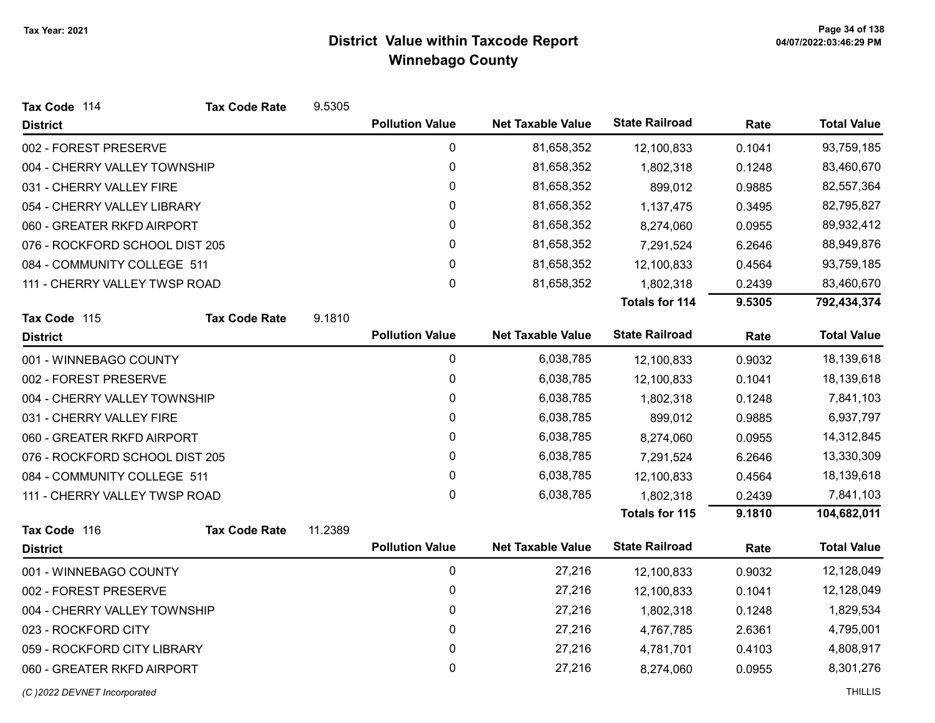| Tax Code 114                   | <b>Tax Code Rate</b>       | 9.5305  |                        |                          |                       |        |                    |
|--------------------------------|----------------------------|---------|------------------------|--------------------------|-----------------------|--------|--------------------|
| <b>District</b>                |                            |         | <b>Pollution Value</b> | <b>Net Taxable Value</b> | <b>State Railroad</b> | Rate   | <b>Total Value</b> |
| 002 - FOREST PRESERVE          |                            |         | 0                      | 81,658,352               | 12,100,833            | 0.1041 | 93,759,185         |
| 004 - CHERRY VALLEY TOWNSHIP   |                            |         | 0                      | 81,658,352               | 1,802,318             | 0.1248 | 83,460,670         |
| 031 - CHERRY VALLEY FIRE       |                            |         | $\pmb{0}$              | 81,658,352               | 899,012               | 0.9885 | 82,557,364         |
| 054 - CHERRY VALLEY LIBRARY    |                            |         | 0                      | 81,658,352               | 1,137,475             | 0.3495 | 82,795,827         |
|                                | 060 - GREATER RKFD AIRPORT |         | $\pmb{0}$              | 81,658,352               | 8,274,060             | 0.0955 | 89,932,412         |
| 076 - ROCKFORD SCHOOL DIST 205 |                            |         | 0                      | 81,658,352               | 7,291,524             | 6.2646 | 88,949,876         |
| 084 - COMMUNITY COLLEGE 511    |                            |         | 0                      | 81,658,352               | 12,100,833            | 0.4564 | 93,759,185         |
| 111 - CHERRY VALLEY TWSP ROAD  |                            |         | 0                      | 81,658,352               | 1,802,318             | 0.2439 | 83,460,670         |
|                                |                            |         |                        |                          | <b>Totals for 114</b> | 9.5305 | 792,434,374        |
| Tax Code 115                   | <b>Tax Code Rate</b>       | 9.1810  |                        |                          |                       |        |                    |
| <b>District</b>                |                            |         | <b>Pollution Value</b> | <b>Net Taxable Value</b> | <b>State Railroad</b> | Rate   | <b>Total Value</b> |
| 001 - WINNEBAGO COUNTY         |                            |         | 0                      | 6,038,785                | 12,100,833            | 0.9032 | 18,139,618         |
| 002 - FOREST PRESERVE          |                            |         | 0                      | 6,038,785                | 12,100,833            | 0.1041 | 18,139,618         |
| 004 - CHERRY VALLEY TOWNSHIP   |                            |         | 0                      | 6,038,785                | 1,802,318             | 0.1248 | 7,841,103          |
| 031 - CHERRY VALLEY FIRE       |                            |         | 0                      | 6,038,785                | 899,012               | 0.9885 | 6,937,797          |
| 060 - GREATER RKFD AIRPORT     |                            |         | 0                      | 6,038,785                | 8,274,060             | 0.0955 | 14,312,845         |
| 076 - ROCKFORD SCHOOL DIST 205 |                            |         | 0                      | 6,038,785                | 7,291,524             | 6.2646 | 13,330,309         |
| 084 - COMMUNITY COLLEGE 511    |                            |         | $\pmb{0}$              | 6,038,785                | 12,100,833            | 0.4564 | 18,139,618         |
| 111 - CHERRY VALLEY TWSP ROAD  |                            |         | $\mathbf 0$            | 6,038,785                | 1,802,318             | 0.2439 | 7,841,103          |
|                                |                            |         |                        |                          | <b>Totals for 115</b> | 9.1810 | 104,682,011        |
| Tax Code 116                   | <b>Tax Code Rate</b>       | 11.2389 |                        |                          |                       |        |                    |
| <b>District</b>                |                            |         | <b>Pollution Value</b> | <b>Net Taxable Value</b> | <b>State Railroad</b> | Rate   | <b>Total Value</b> |
| 001 - WINNEBAGO COUNTY         |                            |         | $\mathbf 0$            | 27,216                   | 12,100,833            | 0.9032 | 12,128,049         |
| 002 - FOREST PRESERVE          |                            |         | 0                      | 27,216                   | 12,100,833            | 0.1041 | 12,128,049         |
| 004 - CHERRY VALLEY TOWNSHIP   |                            |         | 0                      | 27,216                   | 1,802,318             | 0.1248 | 1,829,534          |
| 023 - ROCKFORD CITY            |                            |         | 0                      | 27,216                   | 4,767,785             | 2.6361 | 4,795,001          |
| 059 - ROCKFORD CITY LIBRARY    |                            |         | 0                      | 27,216                   | 4,781,701             | 0.4103 | 4,808,917          |
| 060 - GREATER RKFD AIRPORT     |                            |         | $\mathbf 0$            | 27,216                   | 8,274,060             | 0.0955 | 8,301,276          |
|                                |                            |         |                        |                          |                       |        |                    |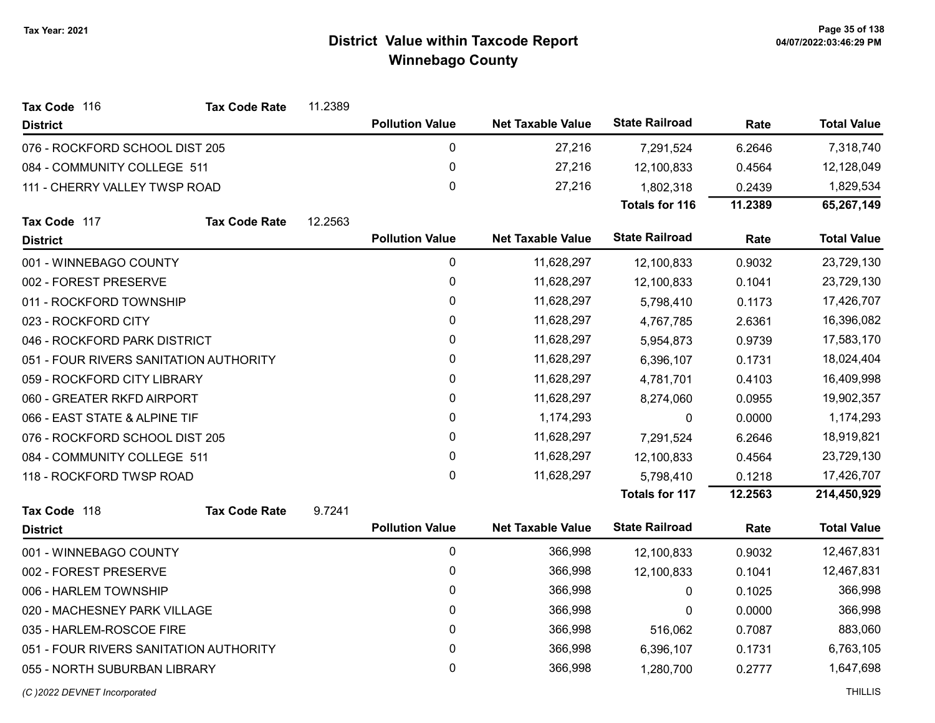| Tax Code 116                           | <b>Tax Code Rate</b> | 11.2389 |                        |                          |                       |         |                    |
|----------------------------------------|----------------------|---------|------------------------|--------------------------|-----------------------|---------|--------------------|
| <b>District</b>                        |                      |         | <b>Pollution Value</b> | <b>Net Taxable Value</b> | <b>State Railroad</b> | Rate    | <b>Total Value</b> |
| 076 - ROCKFORD SCHOOL DIST 205         |                      |         | $\pmb{0}$              | 27,216                   | 7,291,524             | 6.2646  | 7,318,740          |
| 084 - COMMUNITY COLLEGE 511            |                      |         | $\pmb{0}$              | 27,216                   | 12,100,833            | 0.4564  | 12,128,049         |
| 111 - CHERRY VALLEY TWSP ROAD          |                      |         | $\mathbf 0$            | 27,216                   | 1,802,318             | 0.2439  | 1,829,534          |
|                                        |                      |         |                        |                          | <b>Totals for 116</b> | 11.2389 | 65,267,149         |
| Tax Code 117                           | <b>Tax Code Rate</b> | 12.2563 |                        |                          |                       |         |                    |
| <b>District</b>                        |                      |         | <b>Pollution Value</b> | <b>Net Taxable Value</b> | <b>State Railroad</b> | Rate    | <b>Total Value</b> |
| 001 - WINNEBAGO COUNTY                 |                      |         | $\pmb{0}$              | 11,628,297               | 12,100,833            | 0.9032  | 23,729,130         |
| 002 - FOREST PRESERVE                  |                      |         | $\pmb{0}$              | 11,628,297               | 12,100,833            | 0.1041  | 23,729,130         |
| 011 - ROCKFORD TOWNSHIP                |                      |         | $\pmb{0}$              | 11,628,297               | 5,798,410             | 0.1173  | 17,426,707         |
| 023 - ROCKFORD CITY                    |                      |         | 0                      | 11,628,297               | 4,767,785             | 2.6361  | 16,396,082         |
| 046 - ROCKFORD PARK DISTRICT           |                      |         | $\pmb{0}$              | 11,628,297               | 5,954,873             | 0.9739  | 17,583,170         |
| 051 - FOUR RIVERS SANITATION AUTHORITY |                      |         | 0                      | 11,628,297               | 6,396,107             | 0.1731  | 18,024,404         |
| 059 - ROCKFORD CITY LIBRARY            |                      |         | $\pmb{0}$              | 11,628,297               | 4,781,701             | 0.4103  | 16,409,998         |
| 060 - GREATER RKFD AIRPORT             |                      |         | $\pmb{0}$              | 11,628,297               | 8,274,060             | 0.0955  | 19,902,357         |
| 066 - EAST STATE & ALPINE TIF          |                      |         | 0                      | 1,174,293                | 0                     | 0.0000  | 1,174,293          |
| 076 - ROCKFORD SCHOOL DIST 205         |                      |         | 0                      | 11,628,297               | 7,291,524             | 6.2646  | 18,919,821         |
| 084 - COMMUNITY COLLEGE 511            |                      |         | $\mathbf 0$            | 11,628,297               | 12,100,833            | 0.4564  | 23,729,130         |
| 118 - ROCKFORD TWSP ROAD               |                      |         | $\mathbf 0$            | 11,628,297               | 5,798,410             | 0.1218  | 17,426,707         |
|                                        |                      |         |                        |                          | <b>Totals for 117</b> | 12.2563 | 214,450,929        |
| Tax Code 118                           | <b>Tax Code Rate</b> | 9.7241  |                        |                          |                       |         |                    |
| <b>District</b>                        |                      |         | <b>Pollution Value</b> | <b>Net Taxable Value</b> | <b>State Railroad</b> | Rate    | <b>Total Value</b> |
| 001 - WINNEBAGO COUNTY                 |                      |         | $\pmb{0}$              | 366,998                  | 12,100,833            | 0.9032  | 12,467,831         |
| 002 - FOREST PRESERVE                  |                      |         | 0                      | 366,998                  | 12,100,833            | 0.1041  | 12,467,831         |
| 006 - HARLEM TOWNSHIP                  |                      |         | $\pmb{0}$              | 366,998                  | 0                     | 0.1025  | 366,998            |
| 020 - MACHESNEY PARK VILLAGE           |                      |         | 0                      | 366,998                  | 0                     | 0.0000  | 366,998            |
| 035 - HARLEM-ROSCOE FIRE               |                      |         | $\pmb{0}$              | 366,998                  | 516,062               | 0.7087  | 883,060            |
| 051 - FOUR RIVERS SANITATION AUTHORITY |                      |         | $\pmb{0}$              | 366,998                  | 6,396,107             | 0.1731  | 6,763,105          |
| 055 - NORTH SUBURBAN LIBRARY           |                      |         | $\mathbf 0$            | 366,998                  | 1,280,700             | 0.2777  | 1,647,698          |
|                                        |                      |         |                        |                          |                       |         |                    |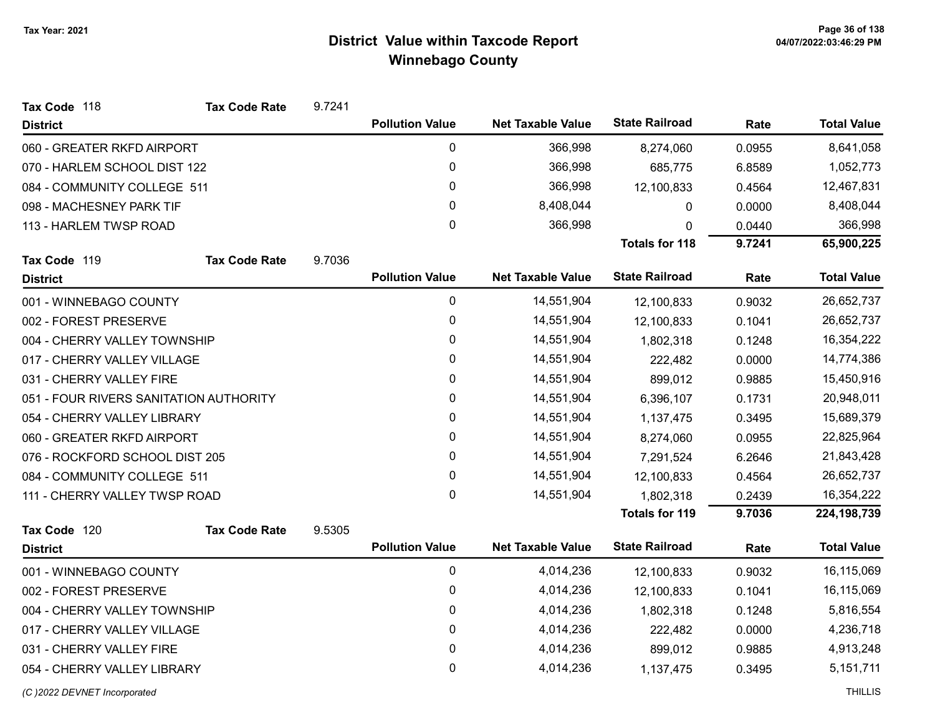| Tax Code 118                           | <b>Tax Code Rate</b> | 9.7241 |                        |                          |                       |        |                    |
|----------------------------------------|----------------------|--------|------------------------|--------------------------|-----------------------|--------|--------------------|
| <b>District</b>                        |                      |        | <b>Pollution Value</b> | <b>Net Taxable Value</b> | <b>State Railroad</b> | Rate   | <b>Total Value</b> |
| 060 - GREATER RKFD AIRPORT             |                      |        | 0                      | 366,998                  | 8,274,060             | 0.0955 | 8,641,058          |
| 070 - HARLEM SCHOOL DIST 122           |                      |        | 0                      | 366,998                  | 685,775               | 6.8589 | 1,052,773          |
| 084 - COMMUNITY COLLEGE 511            |                      |        | 0                      | 366,998                  | 12,100,833            | 0.4564 | 12,467,831         |
| 098 - MACHESNEY PARK TIF               |                      |        | $\mathbf{0}$           | 8,408,044                | 0                     | 0.0000 | 8,408,044          |
| 113 - HARLEM TWSP ROAD                 |                      |        | 0                      | 366,998                  | 0                     | 0.0440 | 366,998            |
|                                        |                      |        |                        |                          | <b>Totals for 118</b> | 9.7241 | 65,900,225         |
| Tax Code 119                           | <b>Tax Code Rate</b> | 9.7036 |                        |                          |                       |        |                    |
| <b>District</b>                        |                      |        | <b>Pollution Value</b> | <b>Net Taxable Value</b> | <b>State Railroad</b> | Rate   | <b>Total Value</b> |
| 001 - WINNEBAGO COUNTY                 |                      |        | 0                      | 14,551,904               | 12,100,833            | 0.9032 | 26,652,737         |
| 002 - FOREST PRESERVE                  |                      |        | 0                      | 14,551,904               | 12,100,833            | 0.1041 | 26,652,737         |
| 004 - CHERRY VALLEY TOWNSHIP           |                      |        | $\mathbf{0}$           | 14,551,904               | 1,802,318             | 0.1248 | 16,354,222         |
| 017 - CHERRY VALLEY VILLAGE            |                      |        | 0                      | 14,551,904               | 222,482               | 0.0000 | 14,774,386         |
| 031 - CHERRY VALLEY FIRE               |                      |        | 0                      | 14,551,904               | 899,012               | 0.9885 | 15,450,916         |
| 051 - FOUR RIVERS SANITATION AUTHORITY |                      |        | 0                      | 14,551,904               | 6,396,107             | 0.1731 | 20,948,011         |
| 054 - CHERRY VALLEY LIBRARY            |                      |        | 0                      | 14,551,904               | 1,137,475             | 0.3495 | 15,689,379         |
| 060 - GREATER RKFD AIRPORT             |                      |        | 0                      | 14,551,904               | 8,274,060             | 0.0955 | 22,825,964         |
| 076 - ROCKFORD SCHOOL DIST 205         |                      |        | 0                      | 14,551,904               | 7,291,524             | 6.2646 | 21,843,428         |
| 084 - COMMUNITY COLLEGE 511            |                      |        | 0                      | 14,551,904               | 12,100,833            | 0.4564 | 26,652,737         |
| 111 - CHERRY VALLEY TWSP ROAD          |                      |        | $\mathbf{0}$           | 14,551,904               | 1,802,318             | 0.2439 | 16,354,222         |
|                                        |                      |        |                        |                          | <b>Totals for 119</b> | 9.7036 | 224, 198, 739      |
| Tax Code 120                           | <b>Tax Code Rate</b> | 9.5305 |                        |                          |                       |        |                    |
| <b>District</b>                        |                      |        | <b>Pollution Value</b> | <b>Net Taxable Value</b> | <b>State Railroad</b> | Rate   | <b>Total Value</b> |
| 001 - WINNEBAGO COUNTY                 |                      |        | 0                      | 4,014,236                | 12,100,833            | 0.9032 | 16,115,069         |
| 002 - FOREST PRESERVE                  |                      |        | 0                      | 4,014,236                | 12,100,833            | 0.1041 | 16,115,069         |
| 004 - CHERRY VALLEY TOWNSHIP           |                      |        | 0                      | 4,014,236                | 1,802,318             | 0.1248 | 5,816,554          |
| 017 - CHERRY VALLEY VILLAGE            |                      |        | $\Omega$               | 4,014,236                | 222,482               | 0.0000 | 4,236,718          |
| 031 - CHERRY VALLEY FIRE               |                      |        | 0                      | 4,014,236                | 899,012               | 0.9885 | 4,913,248          |
| 054 - CHERRY VALLEY LIBRARY            |                      |        | 0                      | 4,014,236                | 1,137,475             | 0.3495 | 5,151,711          |
|                                        |                      |        |                        |                          |                       |        |                    |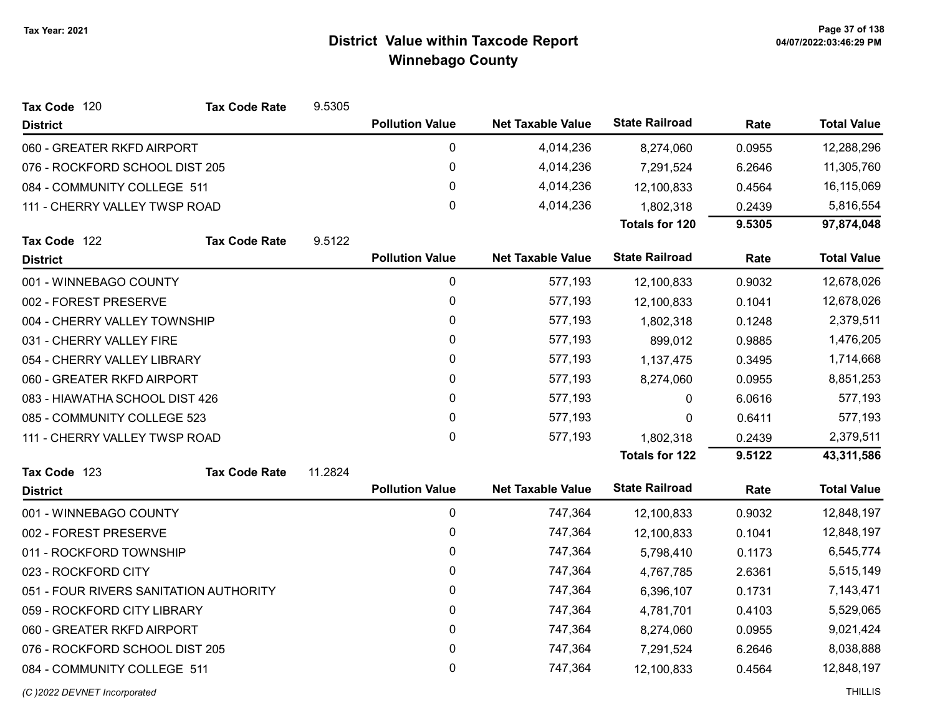| Tax Code 120                           | <b>Tax Code Rate</b> | 9.5305  |                        |                          |                       |        |                    |
|----------------------------------------|----------------------|---------|------------------------|--------------------------|-----------------------|--------|--------------------|
| <b>District</b>                        |                      |         | <b>Pollution Value</b> | <b>Net Taxable Value</b> | <b>State Railroad</b> | Rate   | <b>Total Value</b> |
| 060 - GREATER RKFD AIRPORT             |                      |         | 0                      | 4,014,236                | 8,274,060             | 0.0955 | 12,288,296         |
| 076 - ROCKFORD SCHOOL DIST 205         |                      |         | $\pmb{0}$              | 4,014,236                | 7,291,524             | 6.2646 | 11,305,760         |
| 084 - COMMUNITY COLLEGE 511            |                      |         | $\pmb{0}$              | 4,014,236                | 12,100,833            | 0.4564 | 16,115,069         |
| 111 - CHERRY VALLEY TWSP ROAD          |                      |         | $\mathbf 0$            | 4,014,236                | 1,802,318             | 0.2439 | 5,816,554          |
|                                        |                      |         |                        |                          | <b>Totals for 120</b> | 9.5305 | 97,874,048         |
| Tax Code 122                           | <b>Tax Code Rate</b> | 9.5122  |                        |                          |                       |        |                    |
| <b>District</b>                        |                      |         | <b>Pollution Value</b> | <b>Net Taxable Value</b> | <b>State Railroad</b> | Rate   | <b>Total Value</b> |
| 001 - WINNEBAGO COUNTY                 |                      |         | $\pmb{0}$              | 577,193                  | 12,100,833            | 0.9032 | 12,678,026         |
| 002 - FOREST PRESERVE                  |                      |         | $\pmb{0}$              | 577,193                  | 12,100,833            | 0.1041 | 12,678,026         |
| 004 - CHERRY VALLEY TOWNSHIP           |                      |         | 0                      | 577,193                  | 1,802,318             | 0.1248 | 2,379,511          |
| 031 - CHERRY VALLEY FIRE               |                      |         | $\mathbf 0$            | 577,193                  | 899,012               | 0.9885 | 1,476,205          |
| 054 - CHERRY VALLEY LIBRARY            |                      |         | $\mathbf 0$            | 577,193                  | 1,137,475             | 0.3495 | 1,714,668          |
| 060 - GREATER RKFD AIRPORT             |                      |         | $\pmb{0}$              | 577,193                  | 8,274,060             | 0.0955 | 8,851,253          |
| 083 - HIAWATHA SCHOOL DIST 426         |                      |         | 0                      | 577,193                  | 0                     | 6.0616 | 577,193            |
| 085 - COMMUNITY COLLEGE 523            |                      |         | $\pmb{0}$              | 577,193                  | 0                     | 0.6411 | 577,193            |
| 111 - CHERRY VALLEY TWSP ROAD          |                      |         | 0                      | 577,193                  | 1,802,318             | 0.2439 | 2,379,511          |
|                                        |                      |         |                        |                          | <b>Totals for 122</b> | 9.5122 | 43,311,586         |
| Tax Code 123                           | <b>Tax Code Rate</b> | 11.2824 |                        |                          |                       |        |                    |
| <b>District</b>                        |                      |         | <b>Pollution Value</b> | <b>Net Taxable Value</b> | <b>State Railroad</b> | Rate   | <b>Total Value</b> |
| 001 - WINNEBAGO COUNTY                 |                      |         | $\pmb{0}$              | 747,364                  | 12,100,833            | 0.9032 | 12,848,197         |
| 002 - FOREST PRESERVE                  |                      |         | 0                      | 747,364                  | 12,100,833            | 0.1041 | 12,848,197         |
| 011 - ROCKFORD TOWNSHIP                |                      |         | $\pmb{0}$              | 747,364                  | 5,798,410             | 0.1173 | 6,545,774          |
| 023 - ROCKFORD CITY                    |                      |         | $\mathbf{0}$           | 747,364                  | 4,767,785             | 2.6361 | 5,515,149          |
| 051 - FOUR RIVERS SANITATION AUTHORITY |                      |         | $\pmb{0}$              | 747,364                  | 6,396,107             | 0.1731 | 7,143,471          |
| 059 - ROCKFORD CITY LIBRARY            |                      |         | 0                      | 747,364                  | 4,781,701             | 0.4103 | 5,529,065          |
| 060 - GREATER RKFD AIRPORT             |                      |         | $\pmb{0}$              | 747,364                  | 8,274,060             | 0.0955 | 9,021,424          |
| 076 - ROCKFORD SCHOOL DIST 205         |                      |         | 0                      | 747,364                  | 7,291,524             | 6.2646 | 8,038,888          |
| 084 - COMMUNITY COLLEGE 511            |                      |         | $\mathbf 0$            | 747,364                  | 12,100,833            | 0.4564 | 12,848,197         |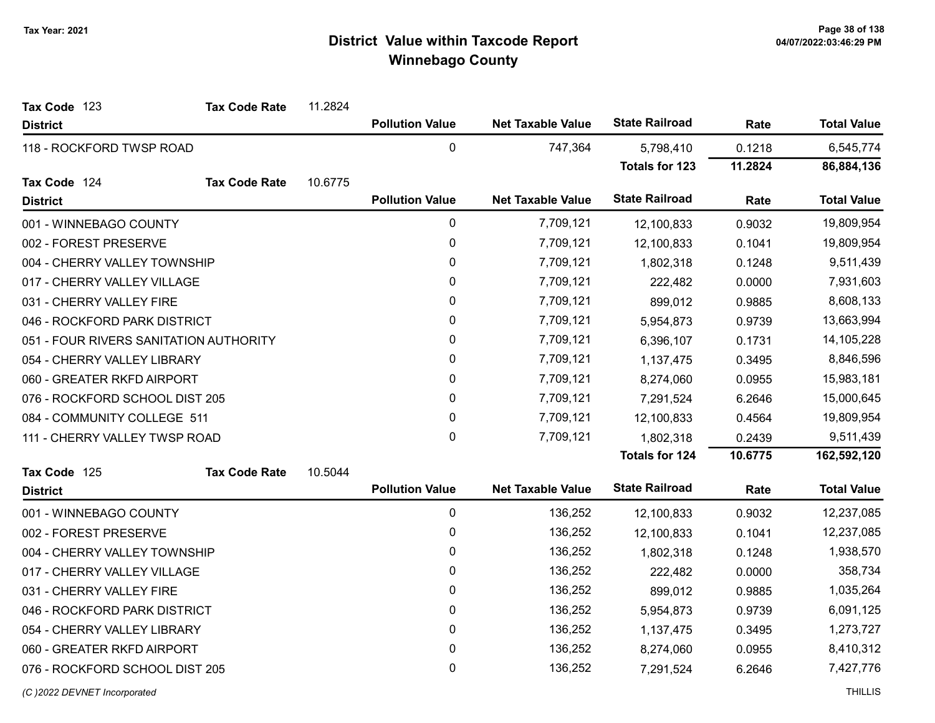| Tax Code 123                           | <b>Tax Code Rate</b> | 11.2824 |                        |                          |                       |         |                    |
|----------------------------------------|----------------------|---------|------------------------|--------------------------|-----------------------|---------|--------------------|
| <b>District</b>                        |                      |         | <b>Pollution Value</b> | <b>Net Taxable Value</b> | <b>State Railroad</b> | Rate    | <b>Total Value</b> |
| 118 - ROCKFORD TWSP ROAD               |                      |         | $\pmb{0}$              | 747,364                  | 5,798,410             | 0.1218  | 6,545,774          |
|                                        |                      |         |                        |                          | <b>Totals for 123</b> | 11.2824 | 86,884,136         |
| Tax Code 124                           | <b>Tax Code Rate</b> | 10.6775 |                        |                          |                       |         |                    |
| <b>District</b>                        |                      |         | <b>Pollution Value</b> | <b>Net Taxable Value</b> | <b>State Railroad</b> | Rate    | <b>Total Value</b> |
| 001 - WINNEBAGO COUNTY                 |                      |         | $\pmb{0}$              | 7,709,121                | 12,100,833            | 0.9032  | 19,809,954         |
| 002 - FOREST PRESERVE                  |                      |         | $\pmb{0}$              | 7,709,121                | 12,100,833            | 0.1041  | 19,809,954         |
| 004 - CHERRY VALLEY TOWNSHIP           |                      |         | $\mathbf 0$            | 7,709,121                | 1,802,318             | 0.1248  | 9,511,439          |
| 017 - CHERRY VALLEY VILLAGE            |                      |         | $\mathbf{0}$           | 7,709,121                | 222,482               | 0.0000  | 7,931,603          |
| 031 - CHERRY VALLEY FIRE               |                      |         | $\pmb{0}$              | 7,709,121                | 899,012               | 0.9885  | 8,608,133          |
| 046 - ROCKFORD PARK DISTRICT           |                      |         | 0                      | 7,709,121                | 5,954,873             | 0.9739  | 13,663,994         |
| 051 - FOUR RIVERS SANITATION AUTHORITY |                      |         | $\pmb{0}$              | 7,709,121                | 6,396,107             | 0.1731  | 14,105,228         |
| 054 - CHERRY VALLEY LIBRARY            |                      |         | 0                      | 7,709,121                | 1,137,475             | 0.3495  | 8,846,596          |
| 060 - GREATER RKFD AIRPORT             |                      |         | $\pmb{0}$              | 7,709,121                | 8,274,060             | 0.0955  | 15,983,181         |
| 076 - ROCKFORD SCHOOL DIST 205         |                      |         | $\pmb{0}$              | 7,709,121                | 7,291,524             | 6.2646  | 15,000,645         |
| 084 - COMMUNITY COLLEGE 511            |                      |         | $\mathbf 0$            | 7,709,121                | 12,100,833            | 0.4564  | 19,809,954         |
| 111 - CHERRY VALLEY TWSP ROAD          |                      |         | $\mathbf 0$            | 7,709,121                | 1,802,318             | 0.2439  | 9,511,439          |
|                                        |                      |         |                        |                          | Totals for 124        | 10.6775 | 162,592,120        |
| Tax Code 125                           | <b>Tax Code Rate</b> | 10.5044 |                        |                          |                       |         |                    |
| <b>District</b>                        |                      |         | <b>Pollution Value</b> | <b>Net Taxable Value</b> | <b>State Railroad</b> | Rate    | <b>Total Value</b> |
| 001 - WINNEBAGO COUNTY                 |                      |         | $\pmb{0}$              | 136,252                  | 12,100,833            | 0.9032  | 12,237,085         |
| 002 - FOREST PRESERVE                  |                      |         | 0                      | 136,252                  | 12,100,833            | 0.1041  | 12,237,085         |
| 004 - CHERRY VALLEY TOWNSHIP           |                      |         | $\pmb{0}$              | 136,252                  | 1,802,318             | 0.1248  | 1,938,570          |
| 017 - CHERRY VALLEY VILLAGE            |                      |         | 0                      | 136,252                  | 222,482               | 0.0000  | 358,734            |
| 031 - CHERRY VALLEY FIRE               |                      |         | 0                      | 136,252                  | 899,012               | 0.9885  | 1,035,264          |
| 046 - ROCKFORD PARK DISTRICT           |                      |         | 0                      | 136,252                  | 5,954,873             | 0.9739  | 6,091,125          |
| 054 - CHERRY VALLEY LIBRARY            |                      |         | $\mathbf 0$            | 136,252                  | 1,137,475             | 0.3495  | 1,273,727          |
| 060 - GREATER RKFD AIRPORT             |                      |         | 0                      | 136,252                  | 8,274,060             | 0.0955  | 8,410,312          |
| 076 - ROCKFORD SCHOOL DIST 205         |                      |         | 0                      | 136,252                  | 7,291,524             | 6.2646  | 7,427,776          |
|                                        |                      |         |                        |                          |                       |         |                    |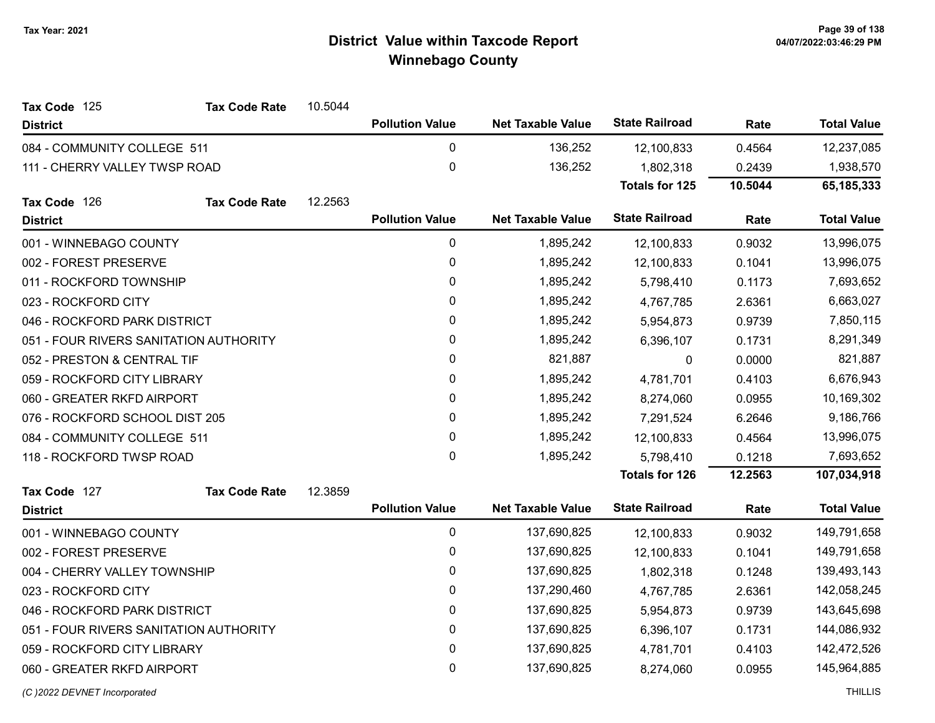| Tax Code 125                           | <b>Tax Code Rate</b> | 10.5044 |                        |                          |                       |         |                    |
|----------------------------------------|----------------------|---------|------------------------|--------------------------|-----------------------|---------|--------------------|
| <b>District</b>                        |                      |         | <b>Pollution Value</b> | <b>Net Taxable Value</b> | <b>State Railroad</b> | Rate    | <b>Total Value</b> |
| 084 - COMMUNITY COLLEGE 511            |                      |         | 0                      | 136,252                  | 12,100,833            | 0.4564  | 12,237,085         |
| 111 - CHERRY VALLEY TWSP ROAD          |                      |         | $\mathbf 0$            | 136,252                  | 1,802,318             | 0.2439  | 1,938,570          |
|                                        |                      |         |                        |                          | Totals for 125        | 10.5044 | 65, 185, 333       |
| Tax Code 126                           | <b>Tax Code Rate</b> | 12.2563 |                        |                          |                       |         |                    |
| <b>District</b>                        |                      |         | <b>Pollution Value</b> | <b>Net Taxable Value</b> | <b>State Railroad</b> | Rate    | <b>Total Value</b> |
| 001 - WINNEBAGO COUNTY                 |                      |         | 0                      | 1,895,242                | 12,100,833            | 0.9032  | 13,996,075         |
| 002 - FOREST PRESERVE                  |                      |         | $\pmb{0}$              | 1,895,242                | 12,100,833            | 0.1041  | 13,996,075         |
| 011 - ROCKFORD TOWNSHIP                |                      |         | 0                      | 1,895,242                | 5,798,410             | 0.1173  | 7,693,652          |
| 023 - ROCKFORD CITY                    |                      |         | $\mathbf 0$            | 1,895,242                | 4,767,785             | 2.6361  | 6,663,027          |
| 046 - ROCKFORD PARK DISTRICT           |                      |         | 0                      | 1,895,242                | 5,954,873             | 0.9739  | 7,850,115          |
| 051 - FOUR RIVERS SANITATION AUTHORITY |                      |         | 0                      | 1,895,242                | 6,396,107             | 0.1731  | 8,291,349          |
| 052 - PRESTON & CENTRAL TIF            |                      |         | 0                      | 821,887                  | 0                     | 0.0000  | 821,887            |
| 059 - ROCKFORD CITY LIBRARY            |                      |         | $\mathbf 0$            | 1,895,242                | 4,781,701             | 0.4103  | 6,676,943          |
| 060 - GREATER RKFD AIRPORT             |                      |         | 0                      | 1,895,242                | 8,274,060             | 0.0955  | 10,169,302         |
| 076 - ROCKFORD SCHOOL DIST 205         |                      |         | $\mathbf{0}$           | 1,895,242                | 7,291,524             | 6.2646  | 9,186,766          |
| 084 - COMMUNITY COLLEGE 511            |                      |         | 0                      | 1,895,242                | 12,100,833            | 0.4564  | 13,996,075         |
| 118 - ROCKFORD TWSP ROAD               |                      |         | $\mathbf 0$            | 1,895,242                | 5,798,410             | 0.1218  | 7,693,652          |
|                                        |                      |         |                        |                          | <b>Totals for 126</b> | 12.2563 | 107,034,918        |
| Tax Code 127                           | <b>Tax Code Rate</b> | 12.3859 |                        |                          |                       |         |                    |
| <b>District</b>                        |                      |         | <b>Pollution Value</b> | <b>Net Taxable Value</b> | <b>State Railroad</b> | Rate    | <b>Total Value</b> |
| 001 - WINNEBAGO COUNTY                 |                      |         | 0                      | 137,690,825              | 12,100,833            | 0.9032  | 149,791,658        |
| 002 - FOREST PRESERVE                  |                      |         | $\pmb{0}$              | 137,690,825              | 12,100,833            | 0.1041  | 149,791,658        |
| 004 - CHERRY VALLEY TOWNSHIP           |                      |         | 0                      | 137,690,825              | 1,802,318             | 0.1248  | 139,493,143        |
| 023 - ROCKFORD CITY                    |                      |         | 0                      | 137,290,460              | 4,767,785             | 2.6361  | 142,058,245        |
| 046 - ROCKFORD PARK DISTRICT           |                      |         | 0                      | 137,690,825              | 5,954,873             | 0.9739  | 143,645,698        |
| 051 - FOUR RIVERS SANITATION AUTHORITY |                      |         | $\mathbf 0$            | 137,690,825              | 6,396,107             | 0.1731  | 144,086,932        |
| 059 - ROCKFORD CITY LIBRARY            |                      |         | 0                      | 137,690,825              | 4,781,701             | 0.4103  | 142,472,526        |
| 060 - GREATER RKFD AIRPORT             |                      |         | 0                      | 137,690,825              | 8,274,060             | 0.0955  | 145,964,885        |
|                                        |                      |         |                        |                          |                       |         |                    |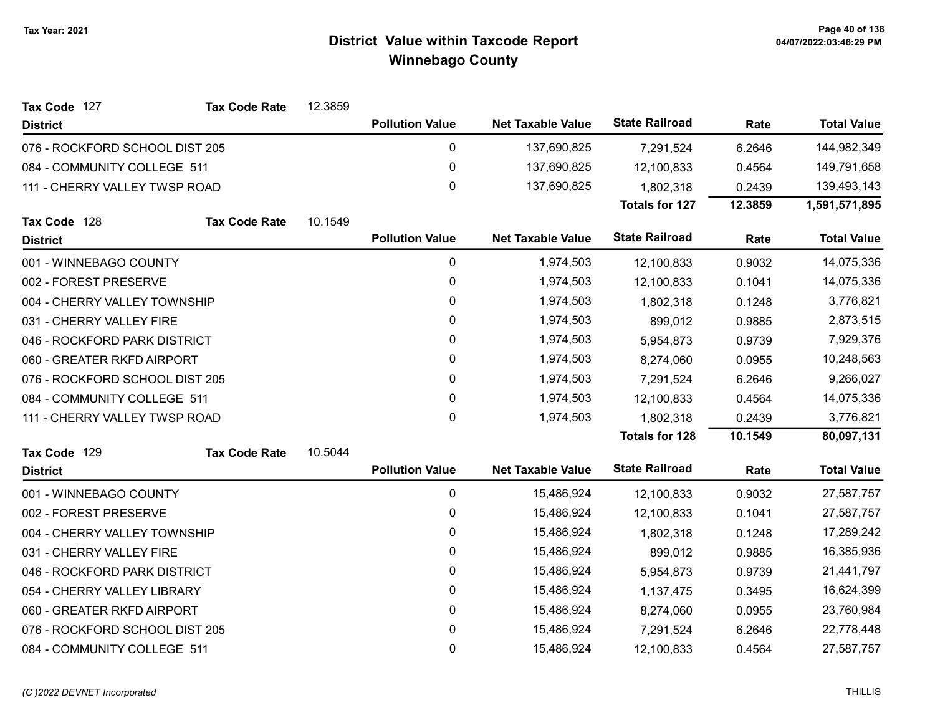| Tax Code 127                   | <b>Tax Code Rate</b> | 12.3859 |                        |                          |                       |         |                    |
|--------------------------------|----------------------|---------|------------------------|--------------------------|-----------------------|---------|--------------------|
| <b>District</b>                |                      |         | <b>Pollution Value</b> | <b>Net Taxable Value</b> | <b>State Railroad</b> | Rate    | <b>Total Value</b> |
| 076 - ROCKFORD SCHOOL DIST 205 |                      |         | 0                      | 137,690,825              | 7,291,524             | 6.2646  | 144,982,349        |
| 084 - COMMUNITY COLLEGE 511    |                      |         | $\mathbf 0$            | 137,690,825              | 12,100,833            | 0.4564  | 149,791,658        |
| 111 - CHERRY VALLEY TWSP ROAD  |                      |         | 0                      | 137,690,825              | 1,802,318             | 0.2439  | 139,493,143        |
|                                |                      |         |                        |                          | <b>Totals for 127</b> | 12.3859 | 1,591,571,895      |
| Tax Code 128                   | <b>Tax Code Rate</b> | 10.1549 |                        |                          |                       |         |                    |
| <b>District</b>                |                      |         | <b>Pollution Value</b> | <b>Net Taxable Value</b> | <b>State Railroad</b> | Rate    | <b>Total Value</b> |
| 001 - WINNEBAGO COUNTY         |                      |         | $\mathbf 0$            | 1,974,503                | 12,100,833            | 0.9032  | 14,075,336         |
| 002 - FOREST PRESERVE          |                      |         | 0                      | 1,974,503                | 12,100,833            | 0.1041  | 14,075,336         |
| 004 - CHERRY VALLEY TOWNSHIP   |                      |         | 0                      | 1,974,503                | 1,802,318             | 0.1248  | 3,776,821          |
| 031 - CHERRY VALLEY FIRE       |                      |         | 0                      | 1,974,503                | 899,012               | 0.9885  | 2,873,515          |
| 046 - ROCKFORD PARK DISTRICT   |                      |         | 0                      | 1,974,503                | 5,954,873             | 0.9739  | 7,929,376          |
| 060 - GREATER RKFD AIRPORT     |                      |         | 0                      | 1,974,503                | 8,274,060             | 0.0955  | 10,248,563         |
| 076 - ROCKFORD SCHOOL DIST 205 |                      |         | 0                      | 1,974,503                | 7,291,524             | 6.2646  | 9,266,027          |
| 084 - COMMUNITY COLLEGE 511    |                      |         | 0                      | 1,974,503                | 12,100,833            | 0.4564  | 14,075,336         |
| 111 - CHERRY VALLEY TWSP ROAD  |                      |         | 0                      | 1,974,503                | 1,802,318             | 0.2439  | 3,776,821          |
|                                |                      |         |                        |                          | <b>Totals for 128</b> | 10.1549 | 80,097,131         |
| Tax Code 129                   | <b>Tax Code Rate</b> | 10.5044 |                        |                          |                       |         |                    |
| <b>District</b>                |                      |         | <b>Pollution Value</b> | <b>Net Taxable Value</b> | <b>State Railroad</b> | Rate    | <b>Total Value</b> |
| 001 - WINNEBAGO COUNTY         |                      |         | 0                      | 15,486,924               | 12,100,833            | 0.9032  | 27,587,757         |
| 002 - FOREST PRESERVE          |                      |         | $\mathbf 0$            | 15,486,924               | 12,100,833            | 0.1041  | 27,587,757         |
| 004 - CHERRY VALLEY TOWNSHIP   |                      |         | 0                      | 15,486,924               | 1,802,318             | 0.1248  | 17,289,242         |
| 031 - CHERRY VALLEY FIRE       |                      |         | 0                      | 15,486,924               | 899,012               | 0.9885  | 16,385,936         |
| 046 - ROCKFORD PARK DISTRICT   |                      |         | 0                      | 15,486,924               | 5,954,873             | 0.9739  | 21,441,797         |
| 054 - CHERRY VALLEY LIBRARY    |                      |         | 0                      | 15,486,924               | 1,137,475             | 0.3495  | 16,624,399         |
| 060 - GREATER RKFD AIRPORT     |                      |         | $\mathbf 0$            | 15,486,924               | 8,274,060             | 0.0955  | 23,760,984         |
| 076 - ROCKFORD SCHOOL DIST 205 |                      |         | 0                      | 15,486,924               | 7,291,524             | 6.2646  | 22,778,448         |
| 084 - COMMUNITY COLLEGE 511    |                      |         | $\mathbf 0$            | 15,486,924               | 12,100,833            | 0.4564  | 27,587,757         |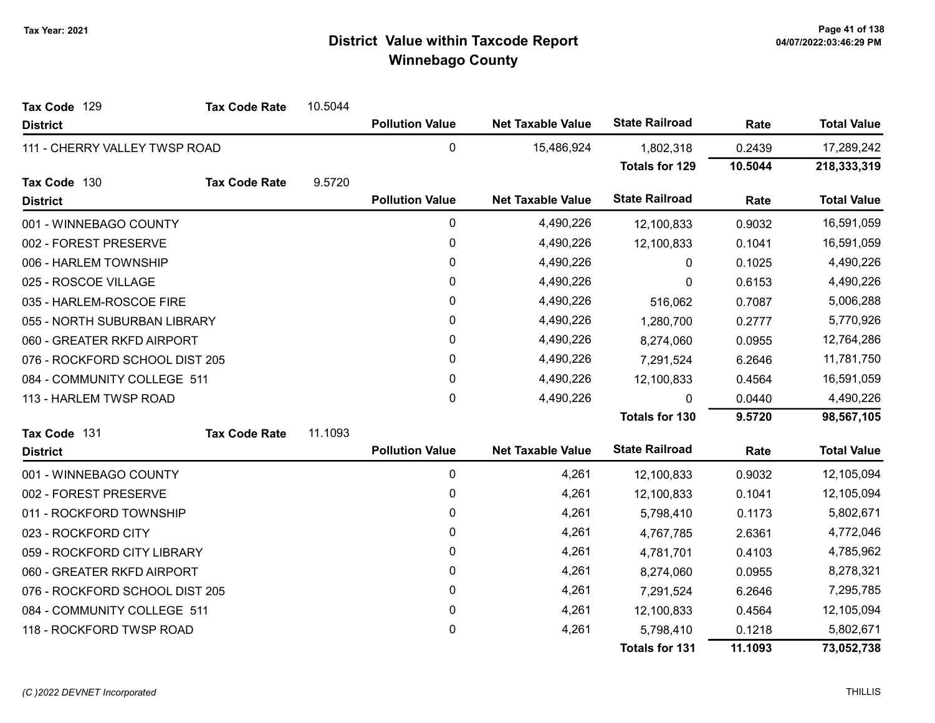| Tax Code 129                   | <b>Tax Code Rate</b> | 10.5044   |                        |                          |                       |            |                    |
|--------------------------------|----------------------|-----------|------------------------|--------------------------|-----------------------|------------|--------------------|
| <b>District</b>                |                      |           | <b>Pollution Value</b> | <b>Net Taxable Value</b> | <b>State Railroad</b> | Rate       | <b>Total Value</b> |
| 111 - CHERRY VALLEY TWSP ROAD  |                      |           | $\pmb{0}$              | 15,486,924               | 1,802,318             | 0.2439     | 17,289,242         |
|                                |                      |           |                        |                          | <b>Totals for 129</b> | 10.5044    | 218,333,319        |
| Tax Code 130                   | <b>Tax Code Rate</b> | 9.5720    |                        |                          |                       |            |                    |
| <b>District</b>                |                      |           | <b>Pollution Value</b> | <b>Net Taxable Value</b> | <b>State Railroad</b> | Rate       | <b>Total Value</b> |
| 001 - WINNEBAGO COUNTY         |                      |           | 0                      | 4,490,226                | 12,100,833            | 0.9032     | 16,591,059         |
| 002 - FOREST PRESERVE          |                      |           | 0                      | 4,490,226                | 12,100,833            | 0.1041     | 16,591,059         |
| 006 - HARLEM TOWNSHIP          |                      |           | $\pmb{0}$              | 4,490,226                | 0                     | 0.1025     | 4,490,226          |
| 025 - ROSCOE VILLAGE           |                      |           | 0                      | 4,490,226                | $\Omega$              | 0.6153     | 4,490,226          |
| 035 - HARLEM-ROSCOE FIRE       |                      |           | $\pmb{0}$              | 4,490,226                | 516,062               | 0.7087     | 5,006,288          |
| 055 - NORTH SUBURBAN LIBRARY   |                      | 0         | 4,490,226              | 1,280,700                | 0.2777                | 5,770,926  |                    |
| 060 - GREATER RKFD AIRPORT     |                      | 0         | 4,490,226              | 8,274,060                | 0.0955                | 12,764,286 |                    |
| 076 - ROCKFORD SCHOOL DIST 205 |                      | $\pmb{0}$ | 4,490,226              | 7,291,524                | 6.2646                | 11,781,750 |                    |
| 084 - COMMUNITY COLLEGE 511    |                      |           | 0                      | 4,490,226                | 12,100,833            | 0.4564     | 16,591,059         |
| 113 - HARLEM TWSP ROAD         |                      |           | 0                      | 4,490,226                | $\Omega$              | 0.0440     | 4,490,226          |
|                                |                      |           |                        |                          | <b>Totals for 130</b> | 9.5720     | 98,567,105         |
| Tax Code 131                   | <b>Tax Code Rate</b> | 11.1093   |                        |                          |                       |            |                    |
| <b>District</b>                |                      |           | <b>Pollution Value</b> | <b>Net Taxable Value</b> | <b>State Railroad</b> | Rate       | <b>Total Value</b> |
| 001 - WINNEBAGO COUNTY         |                      |           | 0                      | 4,261                    | 12,100,833            | 0.9032     | 12,105,094         |
| 002 - FOREST PRESERVE          |                      |           | $\pmb{0}$              | 4,261                    | 12,100,833            | 0.1041     | 12,105,094         |
| 011 - ROCKFORD TOWNSHIP        |                      |           | $\pmb{0}$              | 4,261                    | 5,798,410             | 0.1173     | 5,802,671          |
| 023 - ROCKFORD CITY            |                      |           | 0                      | 4,261                    | 4,767,785             | 2.6361     | 4,772,046          |
| 059 - ROCKFORD CITY LIBRARY    |                      |           | 0                      | 4,261                    | 4,781,701             | 0.4103     | 4,785,962          |
| 060 - GREATER RKFD AIRPORT     |                      |           | 0                      | 4,261                    | 8,274,060             | 0.0955     | 8,278,321          |
| 076 - ROCKFORD SCHOOL DIST 205 |                      |           | 0                      | 4,261                    | 7,291,524             | 6.2646     | 7,295,785          |
| 084 - COMMUNITY COLLEGE 511    |                      |           | 0                      | 4,261                    | 12,100,833            | 0.4564     | 12,105,094         |
| 118 - ROCKFORD TWSP ROAD       |                      |           | 0                      | 4,261                    | 5,798,410             | 0.1218     | 5,802,671          |
|                                |                      |           |                        |                          | <b>Totals for 131</b> | 11.1093    | 73,052,738         |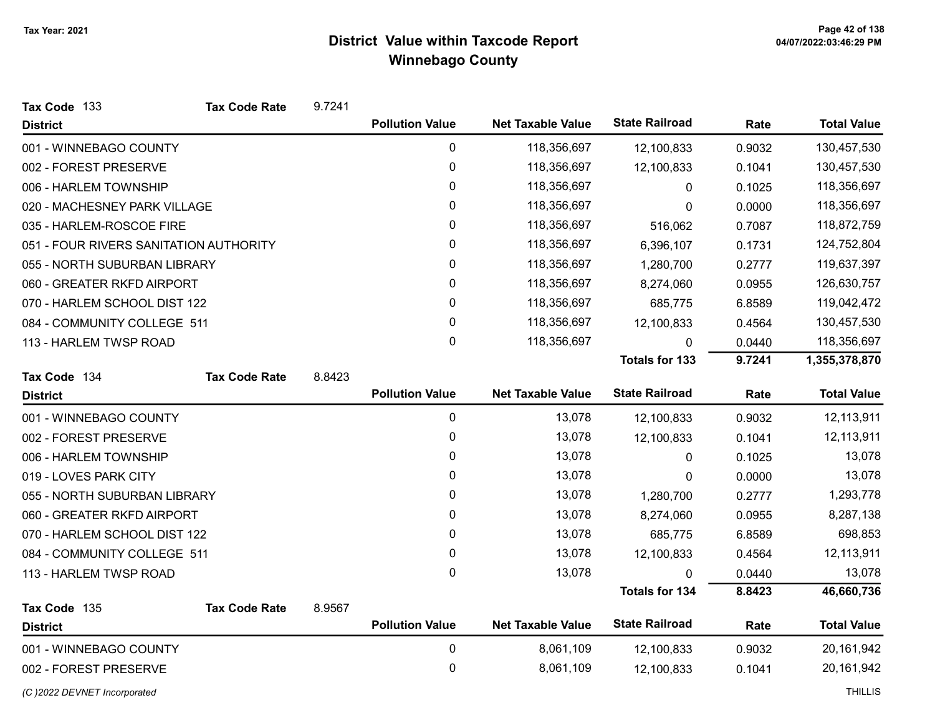| Tax Code 133                           | <b>Tax Code Rate</b> | 9.7241 |                        |                          |                       |        |                    |
|----------------------------------------|----------------------|--------|------------------------|--------------------------|-----------------------|--------|--------------------|
| <b>District</b>                        |                      |        | <b>Pollution Value</b> | <b>Net Taxable Value</b> | <b>State Railroad</b> | Rate   | <b>Total Value</b> |
| 001 - WINNEBAGO COUNTY                 |                      |        | 0                      | 118,356,697              | 12,100,833            | 0.9032 | 130,457,530        |
| 002 - FOREST PRESERVE                  |                      |        | $\mathbf 0$            | 118,356,697              | 12,100,833            | 0.1041 | 130,457,530        |
| 006 - HARLEM TOWNSHIP                  |                      |        | 0                      | 118,356,697              | $\mathbf{0}$          | 0.1025 | 118,356,697        |
| 020 - MACHESNEY PARK VILLAGE           |                      |        | 0                      | 118,356,697              | $\mathbf{0}$          | 0.0000 | 118,356,697        |
| 035 - HARLEM-ROSCOE FIRE               |                      |        | 0                      | 118,356,697              | 516,062               | 0.7087 | 118,872,759        |
| 051 - FOUR RIVERS SANITATION AUTHORITY |                      |        | 0                      | 118,356,697              | 6,396,107             | 0.1731 | 124,752,804        |
| 055 - NORTH SUBURBAN LIBRARY           |                      |        | 0                      | 118,356,697              | 1,280,700             | 0.2777 | 119,637,397        |
| 060 - GREATER RKFD AIRPORT             |                      |        | 0                      | 118,356,697              | 8,274,060             | 0.0955 | 126,630,757        |
| 070 - HARLEM SCHOOL DIST 122           |                      |        | 0                      | 118,356,697              | 685,775               | 6.8589 | 119,042,472        |
| 084 - COMMUNITY COLLEGE 511            |                      |        | 0                      | 118,356,697              | 12,100,833            | 0.4564 | 130,457,530        |
| 113 - HARLEM TWSP ROAD                 |                      |        | 0                      | 118,356,697              | $\mathbf{0}$          | 0.0440 | 118,356,697        |
|                                        |                      |        |                        |                          | <b>Totals for 133</b> | 9.7241 | 1,355,378,870      |
| Tax Code 134                           | <b>Tax Code Rate</b> | 8.8423 |                        |                          |                       |        |                    |
| <b>District</b>                        |                      |        | <b>Pollution Value</b> | <b>Net Taxable Value</b> | <b>State Railroad</b> | Rate   | <b>Total Value</b> |
| 001 - WINNEBAGO COUNTY                 |                      |        | $\mathbf 0$            | 13,078                   | 12,100,833            | 0.9032 | 12,113,911         |
| 002 - FOREST PRESERVE                  |                      |        | 0                      | 13,078                   | 12,100,833            | 0.1041 | 12,113,911         |
| 006 - HARLEM TOWNSHIP                  |                      |        | 0                      | 13,078                   | 0                     | 0.1025 | 13,078             |
| 019 - LOVES PARK CITY                  |                      |        | 0                      | 13,078                   | $\mathbf{0}$          | 0.0000 | 13,078             |
| 055 - NORTH SUBURBAN LIBRARY           |                      |        | $\mathbf{0}$           | 13,078                   | 1,280,700             | 0.2777 | 1,293,778          |
| 060 - GREATER RKFD AIRPORT             |                      |        | 0                      | 13,078                   | 8,274,060             | 0.0955 | 8,287,138          |
| 070 - HARLEM SCHOOL DIST 122           |                      |        | 0                      | 13,078                   | 685,775               | 6.8589 | 698,853            |
| 084 - COMMUNITY COLLEGE 511            |                      |        | 0                      | 13,078                   | 12,100,833            | 0.4564 | 12,113,911         |
| 113 - HARLEM TWSP ROAD                 |                      |        | $\mathbf{0}$           | 13,078                   | $\Omega$              | 0.0440 | 13,078             |
|                                        |                      |        |                        |                          | <b>Totals for 134</b> | 8.8423 | 46,660,736         |
| Tax Code 135                           | <b>Tax Code Rate</b> | 8.9567 |                        |                          | <b>State Railroad</b> |        |                    |
| <b>District</b>                        |                      |        | <b>Pollution Value</b> | <b>Net Taxable Value</b> |                       | Rate   | <b>Total Value</b> |
| 001 - WINNEBAGO COUNTY                 |                      |        | $\mathbf 0$            | 8,061,109                | 12,100,833            | 0.9032 | 20,161,942         |
| 002 - FOREST PRESERVE                  |                      |        | 0                      | 8,061,109                | 12,100,833            | 0.1041 | 20, 161, 942       |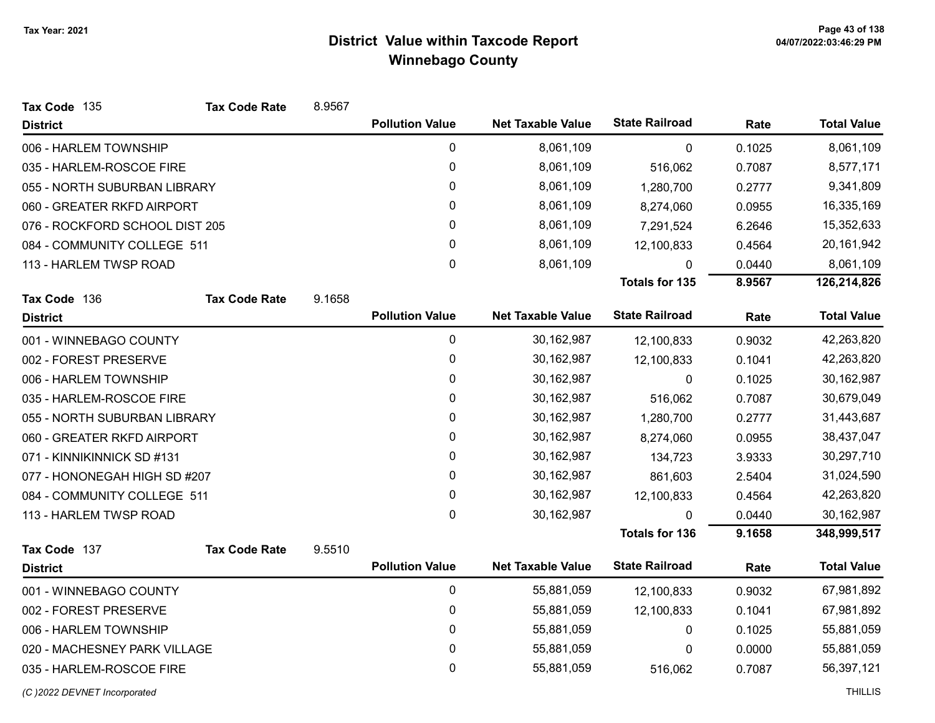| Tax Code 135                   | <b>Tax Code Rate</b> | 8.9567 |                        |                          |                       |        |                    |
|--------------------------------|----------------------|--------|------------------------|--------------------------|-----------------------|--------|--------------------|
| <b>District</b>                |                      |        | <b>Pollution Value</b> | <b>Net Taxable Value</b> | <b>State Railroad</b> | Rate   | <b>Total Value</b> |
| 006 - HARLEM TOWNSHIP          |                      |        | $\pmb{0}$              | 8,061,109                | 0                     | 0.1025 | 8,061,109          |
| 035 - HARLEM-ROSCOE FIRE       |                      |        | $\pmb{0}$              | 8,061,109                | 516,062               | 0.7087 | 8,577,171          |
| 055 - NORTH SUBURBAN LIBRARY   |                      |        | $\pmb{0}$              | 8,061,109                | 1,280,700             | 0.2777 | 9,341,809          |
| 060 - GREATER RKFD AIRPORT     |                      |        | $\pmb{0}$              | 8,061,109                | 8,274,060             | 0.0955 | 16,335,169         |
| 076 - ROCKFORD SCHOOL DIST 205 |                      |        | 0                      | 8,061,109                | 7,291,524             | 6.2646 | 15,352,633         |
| 084 - COMMUNITY COLLEGE 511    |                      |        | $\pmb{0}$              | 8,061,109                | 12,100,833            | 0.4564 | 20, 161, 942       |
| 113 - HARLEM TWSP ROAD         |                      |        | $\mathbf 0$            | 8,061,109                | U                     | 0.0440 | 8,061,109          |
|                                |                      |        |                        |                          | <b>Totals for 135</b> | 8.9567 | 126,214,826        |
| Tax Code 136                   | <b>Tax Code Rate</b> | 9.1658 |                        |                          |                       |        |                    |
| <b>District</b>                |                      |        | <b>Pollution Value</b> | <b>Net Taxable Value</b> | <b>State Railroad</b> | Rate   | <b>Total Value</b> |
| 001 - WINNEBAGO COUNTY         |                      |        | $\pmb{0}$              | 30, 162, 987             | 12,100,833            | 0.9032 | 42,263,820         |
| 002 - FOREST PRESERVE          |                      |        | $\pmb{0}$              | 30, 162, 987             | 12,100,833            | 0.1041 | 42,263,820         |
| 006 - HARLEM TOWNSHIP          |                      |        | $\pmb{0}$              | 30,162,987               | 0                     | 0.1025 | 30,162,987         |
| 035 - HARLEM-ROSCOE FIRE       |                      |        | 0                      | 30,162,987               | 516,062               | 0.7087 | 30,679,049         |
| 055 - NORTH SUBURBAN LIBRARY   |                      |        | $\pmb{0}$              | 30,162,987               | 1,280,700             | 0.2777 | 31,443,687         |
| 060 - GREATER RKFD AIRPORT     |                      |        | $\pmb{0}$              | 30,162,987               | 8,274,060             | 0.0955 | 38,437,047         |
| 071 - KINNIKINNICK SD #131     |                      |        | $\pmb{0}$              | 30,162,987               | 134,723               | 3.9333 | 30,297,710         |
| 077 - HONONEGAH HIGH SD #207   |                      |        | 0                      | 30,162,987               | 861,603               | 2.5404 | 31,024,590         |
| 084 - COMMUNITY COLLEGE 511    |                      |        | $\pmb{0}$              | 30,162,987               | 12,100,833            | 0.4564 | 42,263,820         |
| 113 - HARLEM TWSP ROAD         |                      |        | $\mathbf 0$            | 30,162,987               | 0                     | 0.0440 | 30,162,987         |
|                                |                      |        |                        |                          | <b>Totals for 136</b> | 9.1658 | 348,999,517        |
| Tax Code 137                   | <b>Tax Code Rate</b> | 9.5510 |                        |                          |                       |        |                    |
| <b>District</b>                |                      |        | <b>Pollution Value</b> | <b>Net Taxable Value</b> | <b>State Railroad</b> | Rate   | <b>Total Value</b> |
| 001 - WINNEBAGO COUNTY         |                      |        | $\pmb{0}$              | 55,881,059               | 12,100,833            | 0.9032 | 67,981,892         |
| 002 - FOREST PRESERVE          |                      |        | $\pmb{0}$              | 55,881,059               | 12,100,833            | 0.1041 | 67,981,892         |
| 006 - HARLEM TOWNSHIP          |                      |        | $\pmb{0}$              | 55,881,059               | 0                     | 0.1025 | 55,881,059         |
| 020 - MACHESNEY PARK VILLAGE   |                      |        | $\pmb{0}$              | 55,881,059               | 0                     | 0.0000 | 55,881,059         |
| 035 - HARLEM-ROSCOE FIRE       |                      |        | $\pmb{0}$              | 55,881,059               | 516,062               | 0.7087 | 56,397,121         |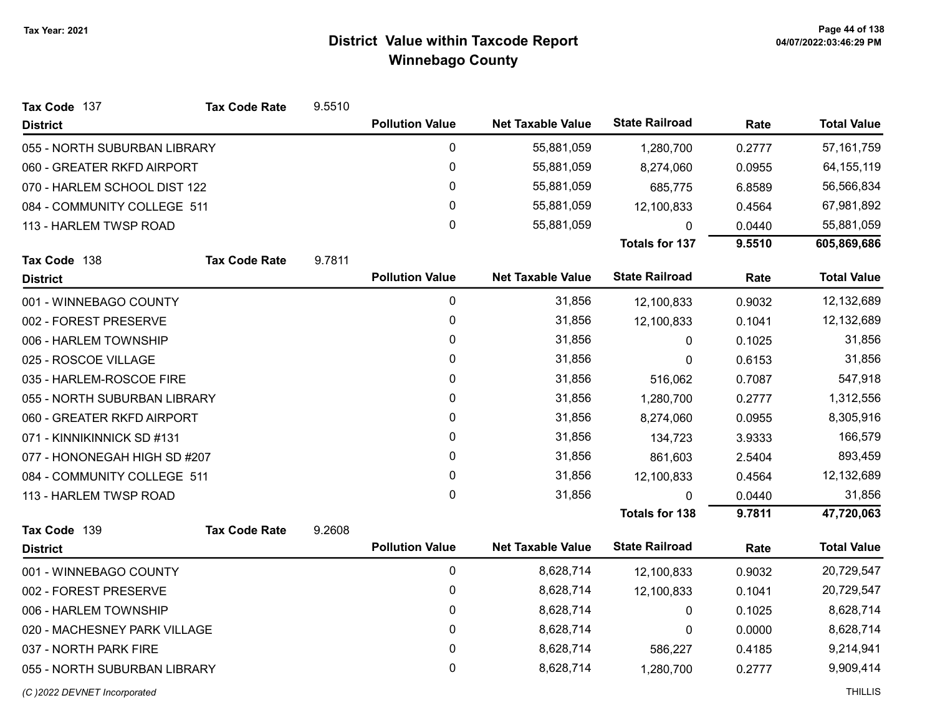| Tax Code 137                 | <b>Tax Code Rate</b> | 9.5510 |                        |                          |                       |        |                    |
|------------------------------|----------------------|--------|------------------------|--------------------------|-----------------------|--------|--------------------|
| <b>District</b>              |                      |        | <b>Pollution Value</b> | <b>Net Taxable Value</b> | <b>State Railroad</b> | Rate   | <b>Total Value</b> |
| 055 - NORTH SUBURBAN LIBRARY |                      |        | 0                      | 55,881,059               | 1,280,700             | 0.2777 | 57, 161, 759       |
| 060 - GREATER RKFD AIRPORT   |                      |        | 0                      | 55,881,059               | 8,274,060             | 0.0955 | 64, 155, 119       |
| 070 - HARLEM SCHOOL DIST 122 |                      |        | 0                      | 55,881,059               | 685,775               | 6.8589 | 56,566,834         |
| 084 - COMMUNITY COLLEGE 511  |                      |        | $\mathbf{0}$           | 55,881,059               | 12,100,833            | 0.4564 | 67,981,892         |
| 113 - HARLEM TWSP ROAD       |                      |        | 0                      | 55,881,059               | 0                     | 0.0440 | 55,881,059         |
|                              |                      |        |                        |                          | <b>Totals for 137</b> | 9.5510 | 605,869,686        |
| Tax Code 138                 | <b>Tax Code Rate</b> | 9.7811 |                        |                          |                       |        |                    |
| <b>District</b>              |                      |        | <b>Pollution Value</b> | <b>Net Taxable Value</b> | <b>State Railroad</b> | Rate   | <b>Total Value</b> |
| 001 - WINNEBAGO COUNTY       |                      |        | $\pmb{0}$              | 31,856                   | 12,100,833            | 0.9032 | 12,132,689         |
| 002 - FOREST PRESERVE        |                      |        | 0                      | 31,856                   | 12,100,833            | 0.1041 | 12,132,689         |
| 006 - HARLEM TOWNSHIP        |                      |        | 0                      | 31,856                   | 0                     | 0.1025 | 31,856             |
| 025 - ROSCOE VILLAGE         |                      |        | 0                      | 31,856                   | 0                     | 0.6153 | 31,856             |
| 035 - HARLEM-ROSCOE FIRE     |                      |        | 0                      | 31,856                   | 516,062               | 0.7087 | 547,918            |
| 055 - NORTH SUBURBAN LIBRARY |                      |        | 0                      | 31,856                   | 1,280,700             | 0.2777 | 1,312,556          |
| 060 - GREATER RKFD AIRPORT   |                      |        | 0                      | 31,856                   | 8,274,060             | 0.0955 | 8,305,916          |
| 071 - KINNIKINNICK SD #131   |                      |        | 0                      | 31,856                   | 134,723               | 3.9333 | 166,579            |
| 077 - HONONEGAH HIGH SD #207 |                      |        | 0                      | 31,856                   | 861,603               | 2.5404 | 893,459            |
| 084 - COMMUNITY COLLEGE 511  |                      |        | 0                      | 31,856                   | 12,100,833            | 0.4564 | 12,132,689         |
| 113 - HARLEM TWSP ROAD       |                      |        | 0                      | 31,856                   | $\mathbf{0}$          | 0.0440 | 31,856             |
|                              |                      |        |                        |                          | <b>Totals for 138</b> | 9.7811 | 47,720,063         |
| Tax Code 139                 | <b>Tax Code Rate</b> | 9.2608 |                        |                          |                       |        |                    |
| <b>District</b>              |                      |        | <b>Pollution Value</b> | <b>Net Taxable Value</b> | <b>State Railroad</b> | Rate   | <b>Total Value</b> |
| 001 - WINNEBAGO COUNTY       |                      |        | 0                      | 8,628,714                | 12,100,833            | 0.9032 | 20,729,547         |
| 002 - FOREST PRESERVE        |                      |        | 0                      | 8,628,714                | 12,100,833            | 0.1041 | 20,729,547         |
| 006 - HARLEM TOWNSHIP        |                      |        | 0                      | 8,628,714                | 0                     | 0.1025 | 8,628,714          |
| 020 - MACHESNEY PARK VILLAGE |                      |        | $\mathbf 0$            | 8,628,714                | 0                     | 0.0000 | 8,628,714          |
| 037 - NORTH PARK FIRE        |                      |        | 0                      | 8,628,714                | 586,227               | 0.4185 | 9,214,941          |
| 055 - NORTH SUBURBAN LIBRARY |                      |        | 0                      | 8,628,714                | 1,280,700             | 0.2777 | 9,909,414          |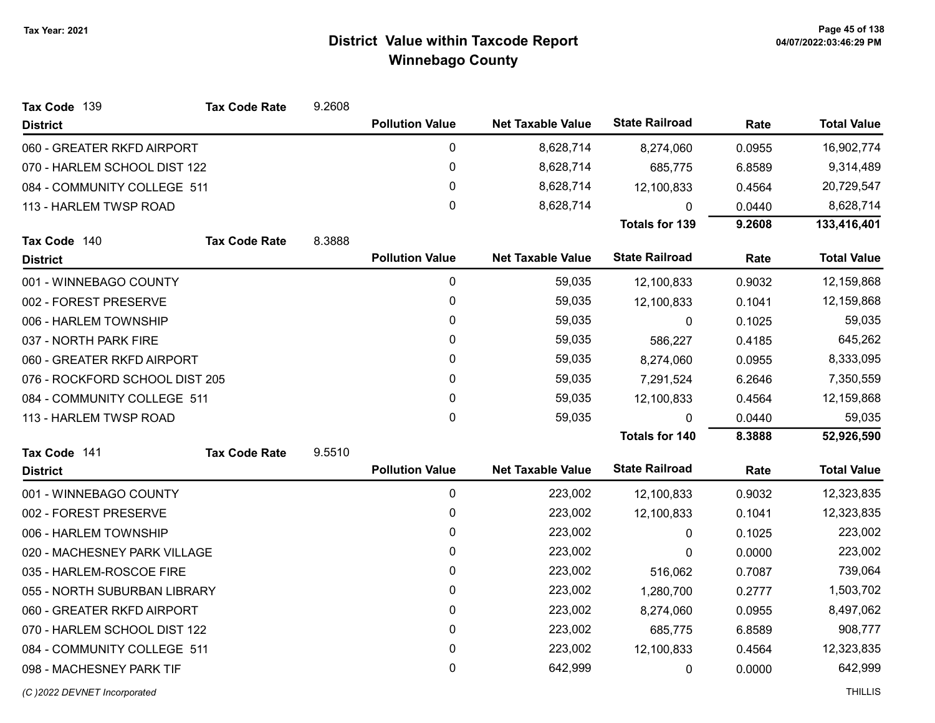| Tax Code 139                   | <b>Tax Code Rate</b> | 9.2608 |                        |                          |                       |            |                    |
|--------------------------------|----------------------|--------|------------------------|--------------------------|-----------------------|------------|--------------------|
| <b>District</b>                |                      |        | <b>Pollution Value</b> | <b>Net Taxable Value</b> | <b>State Railroad</b> | Rate       | <b>Total Value</b> |
| 060 - GREATER RKFD AIRPORT     |                      |        | $\pmb{0}$              | 8,628,714                | 8,274,060             | 0.0955     | 16,902,774         |
| 070 - HARLEM SCHOOL DIST 122   |                      |        | $\pmb{0}$              | 8,628,714                | 685,775               | 6.8589     | 9,314,489          |
| 084 - COMMUNITY COLLEGE 511    |                      | 0      | 8,628,714              | 12,100,833               | 0.4564                | 20,729,547 |                    |
| 113 - HARLEM TWSP ROAD         |                      |        | 0                      | 8,628,714                | 0                     | 0.0440     | 8,628,714          |
|                                |                      |        |                        |                          | <b>Totals for 139</b> | 9.2608     | 133,416,401        |
| Tax Code 140                   | <b>Tax Code Rate</b> | 8.3888 |                        |                          |                       |            |                    |
| <b>District</b>                |                      |        | <b>Pollution Value</b> | <b>Net Taxable Value</b> | <b>State Railroad</b> | Rate       | <b>Total Value</b> |
| 001 - WINNEBAGO COUNTY         |                      |        | 0                      | 59,035                   | 12,100,833            | 0.9032     | 12,159,868         |
| 002 - FOREST PRESERVE          |                      |        | $\mathbf 0$            | 59,035                   | 12,100,833            | 0.1041     | 12,159,868         |
| 006 - HARLEM TOWNSHIP          |                      |        | $\mathbf{0}$           | 59,035                   | $\mathbf{0}$          | 0.1025     | 59,035             |
| 037 - NORTH PARK FIRE          |                      |        | $\mathbf{0}$           | 59,035                   | 586,227               | 0.4185     | 645,262            |
| 060 - GREATER RKFD AIRPORT     |                      |        | $\mathbf{0}$           | 59,035                   | 8,274,060             | 0.0955     | 8,333,095          |
| 076 - ROCKFORD SCHOOL DIST 205 |                      |        | 0                      | 59,035                   | 7,291,524             | 6.2646     | 7,350,559          |
| 084 - COMMUNITY COLLEGE 511    |                      |        | $\mathbf{0}$           | 59,035                   | 12,100,833            | 0.4564     | 12,159,868         |
| 113 - HARLEM TWSP ROAD         |                      |        | $\mathbf{0}$           | 59,035                   | $\mathbf{0}$          | 0.0440     | 59,035             |
|                                |                      |        |                        |                          | <b>Totals for 140</b> | 8.3888     | 52,926,590         |
| Tax Code 141                   | <b>Tax Code Rate</b> | 9.5510 |                        |                          |                       |            |                    |
| <b>District</b>                |                      |        | <b>Pollution Value</b> | <b>Net Taxable Value</b> | <b>State Railroad</b> | Rate       | <b>Total Value</b> |
| 001 - WINNEBAGO COUNTY         |                      |        | 0                      | 223,002                  | 12,100,833            | 0.9032     | 12,323,835         |
| 002 - FOREST PRESERVE          |                      |        | $\mathbf 0$            | 223,002                  | 12,100,833            | 0.1041     | 12,323,835         |
| 006 - HARLEM TOWNSHIP          |                      |        | 0                      | 223,002                  | $\mathbf{0}$          | 0.1025     | 223,002            |
| 020 - MACHESNEY PARK VILLAGE   |                      |        | $\pmb{0}$              | 223,002                  | 0                     | 0.0000     | 223,002            |
| 035 - HARLEM-ROSCOE FIRE       |                      |        | 0                      | 223,002                  | 516,062               | 0.7087     | 739,064            |
| 055 - NORTH SUBURBAN LIBRARY   |                      |        | $\mathbf 0$            | 223,002                  | 1,280,700             | 0.2777     | 1,503,702          |
| 060 - GREATER RKFD AIRPORT     |                      |        | 0                      | 223,002                  | 8,274,060             | 0.0955     | 8,497,062          |
| 070 - HARLEM SCHOOL DIST 122   |                      |        | $\pmb{0}$              | 223,002                  | 685,775               | 6.8589     | 908,777            |
| 084 - COMMUNITY COLLEGE 511    |                      |        | 0                      | 223,002                  | 12,100,833            | 0.4564     | 12,323,835         |
| 098 - MACHESNEY PARK TIF       |                      |        | $\mathbf 0$            | 642,999                  | 0                     | 0.0000     | 642,999            |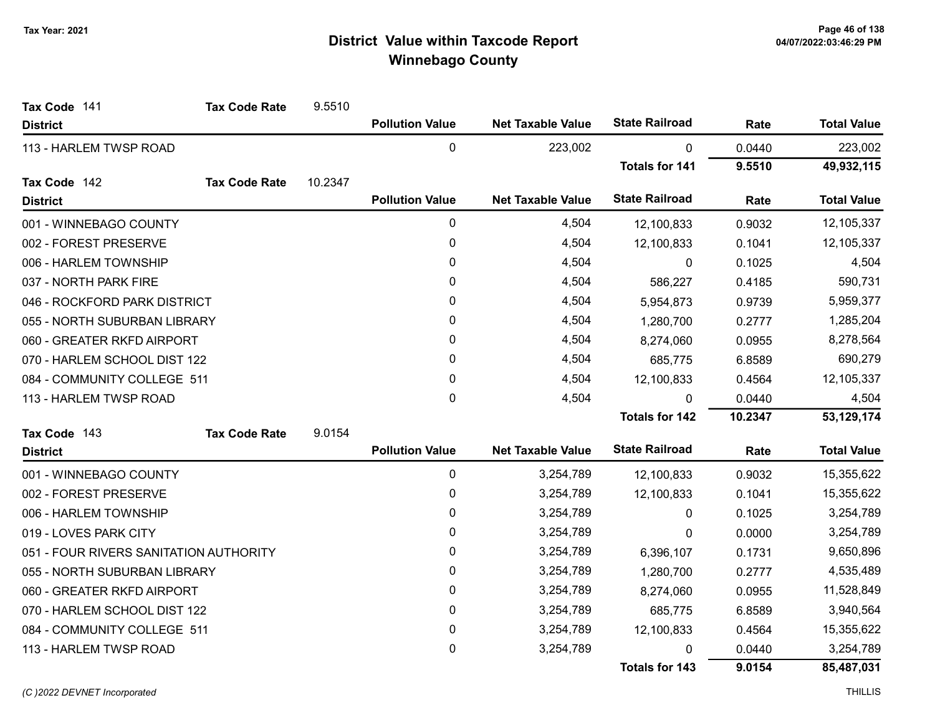| Tax Code 141                           | <b>Tax Code Rate</b> | 9.5510  |                        |                          |                       |         |                    |
|----------------------------------------|----------------------|---------|------------------------|--------------------------|-----------------------|---------|--------------------|
| <b>District</b>                        |                      |         | <b>Pollution Value</b> | <b>Net Taxable Value</b> | <b>State Railroad</b> | Rate    | <b>Total Value</b> |
| 113 - HARLEM TWSP ROAD                 |                      |         | 0                      | 223,002                  | $\mathbf{0}$          | 0.0440  | 223,002            |
|                                        |                      |         |                        |                          | <b>Totals for 141</b> | 9.5510  | 49,932,115         |
| Tax Code 142                           | <b>Tax Code Rate</b> | 10.2347 |                        |                          |                       |         |                    |
| <b>District</b>                        |                      |         | <b>Pollution Value</b> | <b>Net Taxable Value</b> | <b>State Railroad</b> | Rate    | <b>Total Value</b> |
| 001 - WINNEBAGO COUNTY                 |                      |         | 0                      | 4,504                    | 12,100,833            | 0.9032  | 12,105,337         |
| 002 - FOREST PRESERVE                  |                      |         | 0                      | 4,504                    | 12,100,833            | 0.1041  | 12,105,337         |
| 006 - HARLEM TOWNSHIP                  |                      |         | $\mathbf{0}$           | 4,504                    | $\Omega$              | 0.1025  | 4,504              |
| 037 - NORTH PARK FIRE                  |                      |         | 0                      | 4,504                    | 586,227               | 0.4185  | 590,731            |
| 046 - ROCKFORD PARK DISTRICT           |                      |         | 0                      | 4,504                    | 5,954,873             | 0.9739  | 5,959,377          |
| 055 - NORTH SUBURBAN LIBRARY           |                      |         | 0                      | 4,504                    | 1,280,700             | 0.2777  | 1,285,204          |
| 060 - GREATER RKFD AIRPORT             |                      |         | 0                      | 4,504                    | 8,274,060             | 0.0955  | 8,278,564          |
| 070 - HARLEM SCHOOL DIST 122           |                      | 0       | 4,504                  | 685,775                  | 6.8589                | 690,279 |                    |
| 084 - COMMUNITY COLLEGE 511            |                      |         | 0                      | 4,504                    | 12,100,833            | 0.4564  | 12,105,337         |
| 113 - HARLEM TWSP ROAD                 |                      |         | $\mathbf 0$            | 4,504                    | $\Omega$              | 0.0440  | 4,504              |
|                                        |                      |         |                        |                          | <b>Totals for 142</b> | 10.2347 | 53,129,174         |
| Tax Code 143                           | <b>Tax Code Rate</b> | 9.0154  |                        |                          |                       |         |                    |
| <b>District</b>                        |                      |         | <b>Pollution Value</b> | <b>Net Taxable Value</b> | <b>State Railroad</b> | Rate    | <b>Total Value</b> |
| 001 - WINNEBAGO COUNTY                 |                      |         | 0                      | 3,254,789                | 12,100,833            | 0.9032  | 15,355,622         |
| 002 - FOREST PRESERVE                  |                      |         | 0                      | 3,254,789                | 12,100,833            | 0.1041  | 15,355,622         |
| 006 - HARLEM TOWNSHIP                  |                      |         | $\pmb{0}$              | 3,254,789                | 0                     | 0.1025  | 3,254,789          |
| 019 - LOVES PARK CITY                  |                      |         | 0                      | 3,254,789                | 0                     | 0.0000  | 3,254,789          |
| 051 - FOUR RIVERS SANITATION AUTHORITY |                      |         | 0                      | 3,254,789                | 6,396,107             | 0.1731  | 9,650,896          |
| 055 - NORTH SUBURBAN LIBRARY           |                      |         | 0                      | 3,254,789                | 1,280,700             | 0.2777  | 4,535,489          |
| 060 - GREATER RKFD AIRPORT             |                      |         | $\pmb{0}$              | 3,254,789                | 8,274,060             | 0.0955  | 11,528,849         |
| 070 - HARLEM SCHOOL DIST 122           |                      |         | $\mathbf 0$            | 3,254,789                | 685,775               | 6.8589  | 3,940,564          |
| 084 - COMMUNITY COLLEGE 511            |                      |         | 0                      | 3,254,789                | 12,100,833            | 0.4564  | 15,355,622         |
| 113 - HARLEM TWSP ROAD                 |                      |         | $\mathbf 0$            | 3,254,789                | 0                     | 0.0440  | 3,254,789          |
|                                        |                      |         |                        |                          | <b>Totals for 143</b> | 9.0154  | 85,487,031         |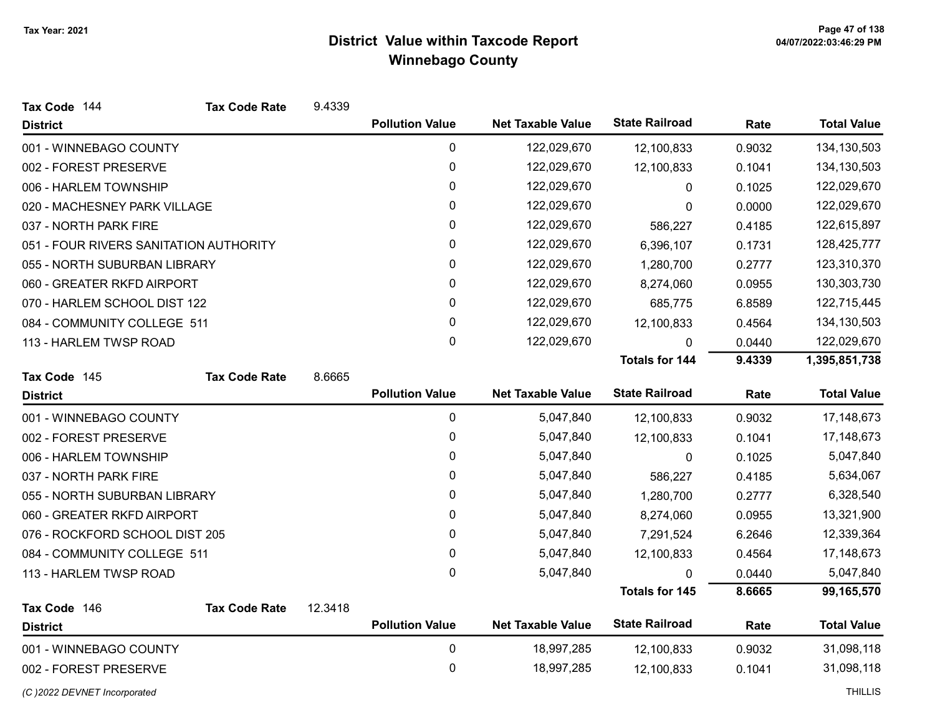| Tax Code 144                           | <b>Tax Code Rate</b> | 9.4339  |                        |                          |                       |        |                    |
|----------------------------------------|----------------------|---------|------------------------|--------------------------|-----------------------|--------|--------------------|
| <b>District</b>                        |                      |         | <b>Pollution Value</b> | <b>Net Taxable Value</b> | <b>State Railroad</b> | Rate   | <b>Total Value</b> |
| 001 - WINNEBAGO COUNTY                 |                      |         | 0                      | 122,029,670              | 12,100,833            | 0.9032 | 134,130,503        |
| 002 - FOREST PRESERVE                  |                      |         | 0                      | 122,029,670              | 12,100,833            | 0.1041 | 134,130,503        |
| 006 - HARLEM TOWNSHIP                  |                      |         | $\mathbf 0$            | 122,029,670              | 0                     | 0.1025 | 122,029,670        |
| 020 - MACHESNEY PARK VILLAGE           |                      |         | 0                      | 122,029,670              | 0                     | 0.0000 | 122,029,670        |
| 037 - NORTH PARK FIRE                  |                      |         | 0                      | 122,029,670              | 586,227               | 0.4185 | 122,615,897        |
| 051 - FOUR RIVERS SANITATION AUTHORITY |                      |         | 0                      | 122,029,670              | 6,396,107             | 0.1731 | 128,425,777        |
| 055 - NORTH SUBURBAN LIBRARY           |                      |         | 0                      | 122,029,670              | 1,280,700             | 0.2777 | 123,310,370        |
| 060 - GREATER RKFD AIRPORT             |                      |         | 0                      | 122,029,670              | 8,274,060             | 0.0955 | 130,303,730        |
| 070 - HARLEM SCHOOL DIST 122           |                      |         | 0                      | 122,029,670              | 685,775               | 6.8589 | 122,715,445        |
| 084 - COMMUNITY COLLEGE 511            |                      |         | $\pmb{0}$              | 122,029,670              | 12,100,833            | 0.4564 | 134,130,503        |
| 113 - HARLEM TWSP ROAD                 |                      |         | $\mathbf{0}$           | 122,029,670              | 0                     | 0.0440 | 122,029,670        |
|                                        |                      |         |                        |                          | <b>Totals for 144</b> | 9.4339 | 1,395,851,738      |
| Tax Code 145                           | <b>Tax Code Rate</b> | 8.6665  |                        |                          |                       |        |                    |
| <b>District</b>                        |                      |         | <b>Pollution Value</b> | <b>Net Taxable Value</b> | <b>State Railroad</b> | Rate   | <b>Total Value</b> |
| 001 - WINNEBAGO COUNTY                 |                      |         | $\mathbf 0$            | 5,047,840                | 12,100,833            | 0.9032 | 17,148,673         |
| 002 - FOREST PRESERVE                  |                      |         | 0                      | 5,047,840                | 12,100,833            | 0.1041 | 17,148,673         |
| 006 - HARLEM TOWNSHIP                  |                      |         | 0                      | 5,047,840                | 0                     | 0.1025 | 5,047,840          |
| 037 - NORTH PARK FIRE                  |                      |         | 0                      | 5,047,840                | 586,227               | 0.4185 | 5,634,067          |
| 055 - NORTH SUBURBAN LIBRARY           |                      |         | 0                      | 5,047,840                | 1,280,700             | 0.2777 | 6,328,540          |
| 060 - GREATER RKFD AIRPORT             |                      |         | $\pmb{0}$              | 5,047,840                | 8,274,060             | 0.0955 | 13,321,900         |
| 076 - ROCKFORD SCHOOL DIST 205         |                      |         | 0                      | 5,047,840                | 7,291,524             | 6.2646 | 12,339,364         |
| 084 - COMMUNITY COLLEGE 511            |                      |         | 0                      | 5,047,840                | 12,100,833            | 0.4564 | 17,148,673         |
| 113 - HARLEM TWSP ROAD                 |                      |         | 0                      | 5,047,840                |                       | 0.0440 | 5,047,840          |
|                                        |                      |         |                        |                          | <b>Totals for 145</b> | 8.6665 | 99,165,570         |
| Tax Code 146                           | <b>Tax Code Rate</b> | 12.3418 |                        |                          |                       |        |                    |
| <b>District</b>                        |                      |         | <b>Pollution Value</b> | <b>Net Taxable Value</b> | <b>State Railroad</b> | Rate   | <b>Total Value</b> |
| 001 - WINNEBAGO COUNTY                 |                      |         | $\mathbf 0$            | 18,997,285               | 12,100,833            | 0.9032 | 31,098,118         |
| 002 - FOREST PRESERVE                  |                      |         | 0                      | 18,997,285               | 12,100,833            | 0.1041 | 31,098,118         |
| (C) 2022 DEVNET Incorporated           |                      |         |                        |                          |                       |        | <b>THILLIS</b>     |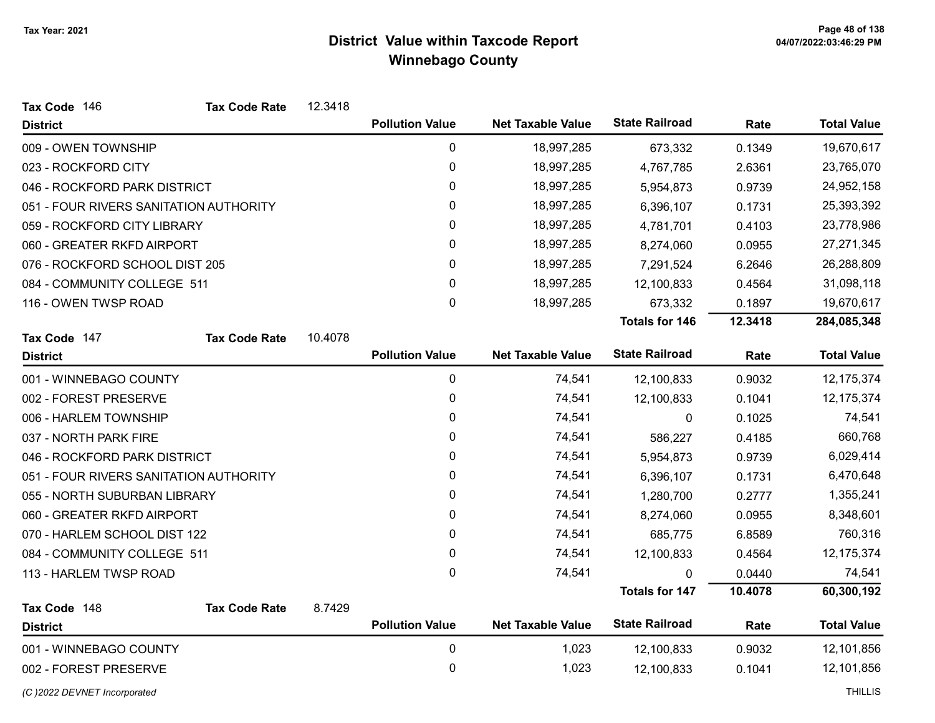| Tax Code 146                           | <b>Tax Code Rate</b> | 12.3418 |                        |                          |                       |         |                    |
|----------------------------------------|----------------------|---------|------------------------|--------------------------|-----------------------|---------|--------------------|
| <b>District</b>                        |                      |         | <b>Pollution Value</b> | <b>Net Taxable Value</b> | <b>State Railroad</b> | Rate    | <b>Total Value</b> |
| 009 - OWEN TOWNSHIP                    |                      |         | 0                      | 18,997,285               | 673,332               | 0.1349  | 19,670,617         |
| 023 - ROCKFORD CITY                    |                      |         | 0                      | 18,997,285               | 4,767,785             | 2.6361  | 23,765,070         |
| 046 - ROCKFORD PARK DISTRICT           |                      |         | 0                      | 18,997,285               | 5,954,873             | 0.9739  | 24,952,158         |
| 051 - FOUR RIVERS SANITATION AUTHORITY |                      |         | 0                      | 18,997,285               | 6,396,107             | 0.1731  | 25,393,392         |
| 059 - ROCKFORD CITY LIBRARY            |                      |         | $\pmb{0}$              | 18,997,285               | 4,781,701             | 0.4103  | 23,778,986         |
| 060 - GREATER RKFD AIRPORT             |                      |         | 0                      | 18,997,285               | 8,274,060             | 0.0955  | 27,271,345         |
| 076 - ROCKFORD SCHOOL DIST 205         |                      |         | 0                      | 18,997,285               | 7,291,524             | 6.2646  | 26,288,809         |
| 084 - COMMUNITY COLLEGE 511            |                      |         | 0                      | 18,997,285               | 12,100,833            | 0.4564  | 31,098,118         |
| 116 - OWEN TWSP ROAD                   |                      |         | 0                      | 18,997,285               | 673,332               | 0.1897  | 19,670,617         |
|                                        |                      |         |                        |                          | <b>Totals for 146</b> | 12.3418 | 284,085,348        |
| Tax Code 147                           | <b>Tax Code Rate</b> | 10.4078 |                        |                          |                       |         |                    |
| <b>District</b>                        |                      |         | <b>Pollution Value</b> | <b>Net Taxable Value</b> | <b>State Railroad</b> | Rate    | <b>Total Value</b> |
| 001 - WINNEBAGO COUNTY                 |                      |         | 0                      | 74,541                   | 12,100,833            | 0.9032  | 12,175,374         |
| 002 - FOREST PRESERVE                  |                      |         | 0                      | 74,541                   | 12,100,833            | 0.1041  | 12,175,374         |
| 006 - HARLEM TOWNSHIP                  |                      |         | $\pmb{0}$              | 74,541                   | 0                     | 0.1025  | 74,541             |
| 037 - NORTH PARK FIRE                  |                      |         | 0                      | 74,541                   | 586,227               | 0.4185  | 660,768            |
| 046 - ROCKFORD PARK DISTRICT           |                      |         | 0                      | 74,541                   | 5,954,873             | 0.9739  | 6,029,414          |
| 051 - FOUR RIVERS SANITATION AUTHORITY |                      |         | 0                      | 74,541                   | 6,396,107             | 0.1731  | 6,470,648          |
| 055 - NORTH SUBURBAN LIBRARY           |                      |         | 0                      | 74,541                   | 1,280,700             | 0.2777  | 1,355,241          |
| 060 - GREATER RKFD AIRPORT             |                      |         | 0                      | 74,541                   | 8,274,060             | 0.0955  | 8,348,601          |
| 070 - HARLEM SCHOOL DIST 122           |                      |         | 0                      | 74,541                   | 685,775               | 6.8589  | 760,316            |
| 084 - COMMUNITY COLLEGE 511            |                      |         | 0                      | 74,541                   | 12,100,833            | 0.4564  | 12,175,374         |
| 113 - HARLEM TWSP ROAD                 |                      |         | $\mathbf{0}$           | 74,541                   |                       | 0.0440  | 74,541             |
|                                        |                      |         |                        |                          | <b>Totals for 147</b> | 10.4078 | 60,300,192         |
| Tax Code 148                           | <b>Tax Code Rate</b> | 8.7429  |                        |                          |                       |         |                    |
| <b>District</b>                        |                      |         | <b>Pollution Value</b> | <b>Net Taxable Value</b> | <b>State Railroad</b> | Rate    | <b>Total Value</b> |
| 001 - WINNEBAGO COUNTY                 |                      |         | 0                      | 1,023                    | 12,100,833            | 0.9032  | 12,101,856         |
| 002 - FOREST PRESERVE                  |                      |         | 0                      | 1,023                    | 12,100,833            | 0.1041  | 12,101,856         |
| (C) 2022 DEVNET Incorporated           |                      |         |                        |                          |                       |         | <b>THILLIS</b>     |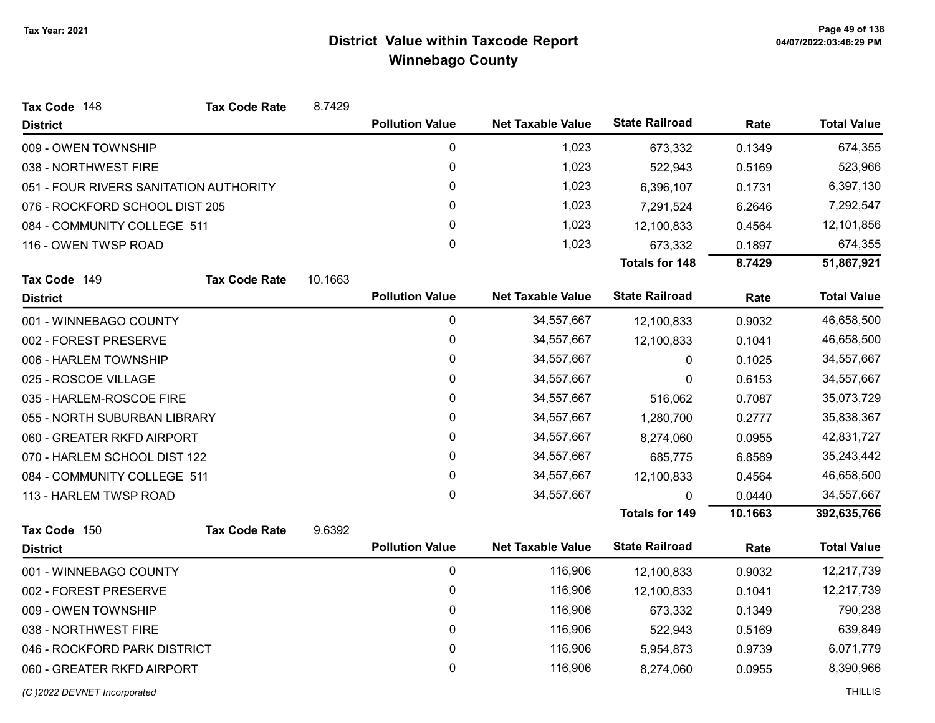| Tax Code 148                           | <b>Tax Code Rate</b> | 8.7429  |                        |                          |                       |         |                    |
|----------------------------------------|----------------------|---------|------------------------|--------------------------|-----------------------|---------|--------------------|
| <b>District</b>                        |                      |         | <b>Pollution Value</b> | <b>Net Taxable Value</b> | <b>State Railroad</b> | Rate    | <b>Total Value</b> |
| 009 - OWEN TOWNSHIP                    |                      |         | 0                      | 1,023                    | 673,332               | 0.1349  | 674,355            |
| 038 - NORTHWEST FIRE                   |                      |         | 0                      | 1,023                    | 522,943               | 0.5169  | 523,966            |
| 051 - FOUR RIVERS SANITATION AUTHORITY |                      |         | 0                      | 1,023                    | 6,396,107             | 0.1731  | 6,397,130          |
| 076 - ROCKFORD SCHOOL DIST 205         |                      |         | 0                      | 1,023                    | 7,291,524             | 6.2646  | 7,292,547          |
| 084 - COMMUNITY COLLEGE 511            |                      |         | 0                      | 1,023                    | 12,100,833            | 0.4564  | 12,101,856         |
| 116 - OWEN TWSP ROAD                   |                      |         | 0                      | 1,023                    | 673,332               | 0.1897  | 674,355            |
|                                        |                      |         |                        |                          | <b>Totals for 148</b> | 8.7429  | 51,867,921         |
| Tax Code 149                           | <b>Tax Code Rate</b> | 10.1663 |                        |                          |                       |         |                    |
| <b>District</b>                        |                      |         | <b>Pollution Value</b> | <b>Net Taxable Value</b> | <b>State Railroad</b> | Rate    | <b>Total Value</b> |
| 001 - WINNEBAGO COUNTY                 |                      |         | 0                      | 34,557,667               | 12,100,833            | 0.9032  | 46,658,500         |
| 002 - FOREST PRESERVE                  |                      |         | 0                      | 34,557,667               | 12,100,833            | 0.1041  | 46,658,500         |
| 006 - HARLEM TOWNSHIP                  |                      |         | 0                      | 34,557,667               | 0                     | 0.1025  | 34,557,667         |
| 025 - ROSCOE VILLAGE                   |                      |         | 0                      | 34,557,667               | 0                     | 0.6153  | 34,557,667         |
| 035 - HARLEM-ROSCOE FIRE               |                      |         | 0                      | 34,557,667               | 516,062               | 0.7087  | 35,073,729         |
| 055 - NORTH SUBURBAN LIBRARY           |                      |         | 0                      | 34,557,667               | 1,280,700             | 0.2777  | 35,838,367         |
| 060 - GREATER RKFD AIRPORT             |                      |         | 0                      | 34,557,667               | 8,274,060             | 0.0955  | 42,831,727         |
| 070 - HARLEM SCHOOL DIST 122           |                      |         | 0                      | 34,557,667               | 685,775               | 6.8589  | 35,243,442         |
| 084 - COMMUNITY COLLEGE 511            |                      |         | 0                      | 34,557,667               | 12,100,833            | 0.4564  | 46,658,500         |
| 113 - HARLEM TWSP ROAD                 |                      |         | 0                      | 34,557,667               | 0                     | 0.0440  | 34,557,667         |
|                                        |                      |         |                        |                          | <b>Totals for 149</b> | 10.1663 | 392,635,766        |
| Tax Code 150                           | <b>Tax Code Rate</b> | 9.6392  |                        |                          |                       |         |                    |
| <b>District</b>                        |                      |         | <b>Pollution Value</b> | <b>Net Taxable Value</b> | <b>State Railroad</b> | Rate    | <b>Total Value</b> |
| 001 - WINNEBAGO COUNTY                 |                      |         | 0                      | 116,906                  | 12,100,833            | 0.9032  | 12,217,739         |
| 002 - FOREST PRESERVE                  |                      |         | 0                      | 116,906                  | 12,100,833            | 0.1041  | 12,217,739         |
| 009 - OWEN TOWNSHIP                    |                      |         | 0                      | 116,906                  | 673,332               | 0.1349  | 790,238            |
| 038 - NORTHWEST FIRE                   |                      |         | 0                      | 116,906                  | 522,943               | 0.5169  | 639,849            |
| 046 - ROCKFORD PARK DISTRICT           |                      |         | 0                      | 116,906                  | 5,954,873             | 0.9739  | 6,071,779          |
| 060 - GREATER RKFD AIRPORT             |                      |         | 0                      | 116,906                  | 8,274,060             | 0.0955  | 8,390,966          |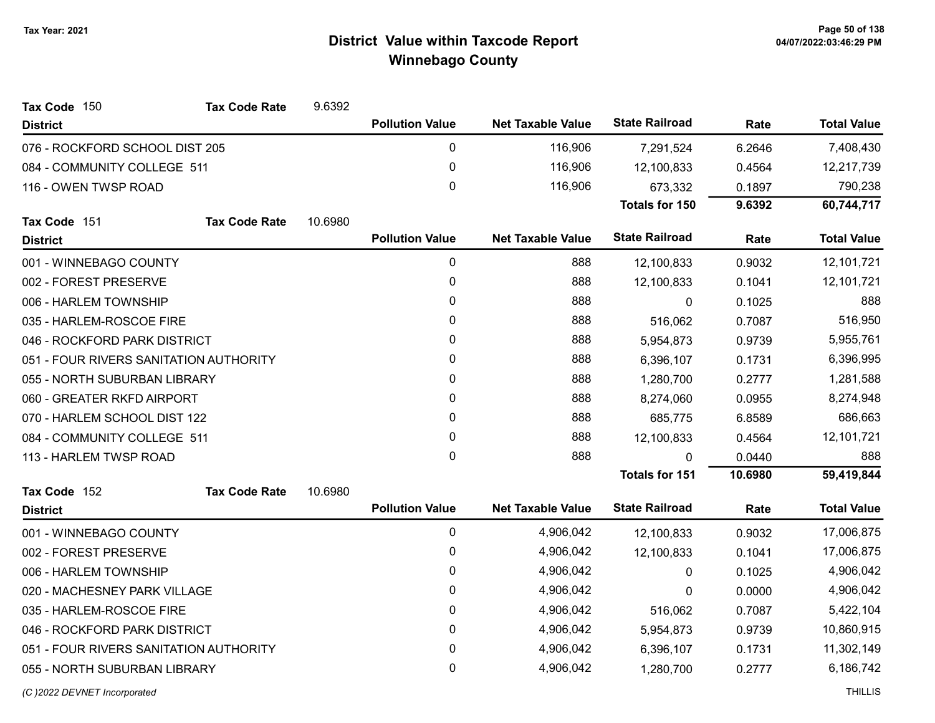| Tax Code 150                           | <b>Tax Code Rate</b> | 9.6392  |                        |                          |                       |         |                    |
|----------------------------------------|----------------------|---------|------------------------|--------------------------|-----------------------|---------|--------------------|
| <b>District</b>                        |                      |         | <b>Pollution Value</b> | <b>Net Taxable Value</b> | <b>State Railroad</b> | Rate    | <b>Total Value</b> |
| 076 - ROCKFORD SCHOOL DIST 205         |                      |         | $\pmb{0}$              | 116,906                  | 7,291,524             | 6.2646  | 7,408,430          |
| 084 - COMMUNITY COLLEGE 511            |                      |         | 0                      | 116,906                  | 12,100,833            | 0.4564  | 12,217,739         |
| 116 - OWEN TWSP ROAD                   |                      |         | $\mathbf 0$            | 116,906                  | 673,332               | 0.1897  | 790,238            |
|                                        |                      |         |                        |                          | <b>Totals for 150</b> | 9.6392  | 60,744,717         |
| Tax Code 151                           | <b>Tax Code Rate</b> | 10.6980 |                        |                          |                       |         |                    |
| <b>District</b>                        |                      |         | <b>Pollution Value</b> | <b>Net Taxable Value</b> | <b>State Railroad</b> | Rate    | <b>Total Value</b> |
| 001 - WINNEBAGO COUNTY                 |                      |         | 0                      | 888                      | 12,100,833            | 0.9032  | 12,101,721         |
| 002 - FOREST PRESERVE                  |                      |         | 0                      | 888                      | 12,100,833            | 0.1041  | 12,101,721         |
| 006 - HARLEM TOWNSHIP                  |                      |         | 0                      | 888                      | $\Omega$              | 0.1025  | 888                |
| 035 - HARLEM-ROSCOE FIRE               |                      |         | $\mathbf{0}$           | 888                      | 516,062               | 0.7087  | 516,950            |
| 046 - ROCKFORD PARK DISTRICT           |                      |         | 0                      | 888                      | 5,954,873             | 0.9739  | 5,955,761          |
| 051 - FOUR RIVERS SANITATION AUTHORITY |                      |         | 0                      | 888                      | 6,396,107             | 0.1731  | 6,396,995          |
| 055 - NORTH SUBURBAN LIBRARY           |                      |         | 0                      | 888                      | 1,280,700             | 0.2777  | 1,281,588          |
| 060 - GREATER RKFD AIRPORT             |                      |         | $\mathbf{0}$           | 888                      | 8,274,060             | 0.0955  | 8,274,948          |
| 070 - HARLEM SCHOOL DIST 122           |                      |         | $\mathbf{0}$           | 888                      | 685,775               | 6.8589  | 686,663            |
| 084 - COMMUNITY COLLEGE 511            |                      |         | 0                      | 888                      | 12,100,833            | 0.4564  | 12,101,721         |
| 113 - HARLEM TWSP ROAD                 |                      |         | $\mathbf{0}$           | 888                      | $\Omega$              | 0.0440  | 888                |
|                                        |                      |         |                        |                          | <b>Totals for 151</b> | 10.6980 | 59,419,844         |
| Tax Code 152                           | <b>Tax Code Rate</b> | 10.6980 |                        |                          |                       |         |                    |
| <b>District</b>                        |                      |         | <b>Pollution Value</b> | <b>Net Taxable Value</b> | <b>State Railroad</b> | Rate    | <b>Total Value</b> |
| 001 - WINNEBAGO COUNTY                 |                      |         | 0                      | 4,906,042                | 12,100,833            | 0.9032  | 17,006,875         |
| 002 - FOREST PRESERVE                  |                      |         | 0                      | 4,906,042                | 12,100,833            | 0.1041  | 17,006,875         |
| 006 - HARLEM TOWNSHIP                  |                      |         | 0                      | 4,906,042                | $\mathbf{0}$          | 0.1025  | 4,906,042          |
| 020 - MACHESNEY PARK VILLAGE           |                      |         | 0                      | 4,906,042                | 0                     | 0.0000  | 4,906,042          |
| 035 - HARLEM-ROSCOE FIRE               |                      |         | $\pmb{0}$              | 4,906,042                | 516,062               | 0.7087  | 5,422,104          |
| 046 - ROCKFORD PARK DISTRICT           |                      |         | $\mathbf{0}$           | 4,906,042                | 5,954,873             | 0.9739  | 10,860,915         |
| 051 - FOUR RIVERS SANITATION AUTHORITY |                      |         | 0                      | 4,906,042                | 6,396,107             | 0.1731  | 11,302,149         |
| 055 - NORTH SUBURBAN LIBRARY           |                      |         | 0                      | 4,906,042                | 1,280,700             | 0.2777  | 6,186,742          |
| (C) 2022 DEVNET Incorporated           |                      |         |                        |                          |                       |         | <b>THILLIS</b>     |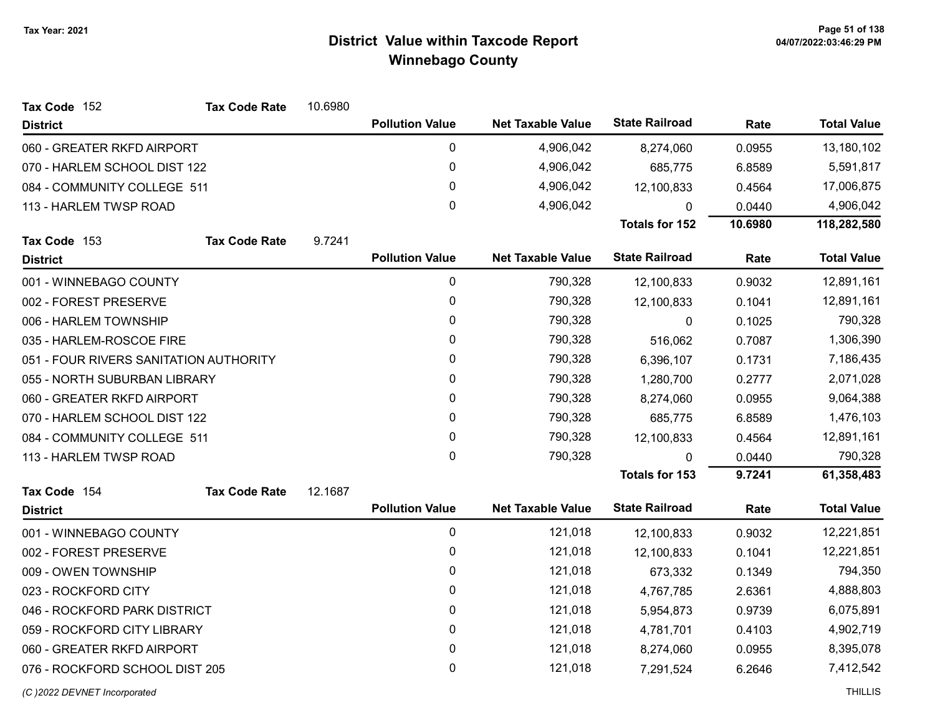| Tax Code 152                           | <b>Tax Code Rate</b> | 10.6980 |                        |                          |                       |         |                    |
|----------------------------------------|----------------------|---------|------------------------|--------------------------|-----------------------|---------|--------------------|
| <b>District</b>                        |                      |         | <b>Pollution Value</b> | <b>Net Taxable Value</b> | <b>State Railroad</b> | Rate    | <b>Total Value</b> |
| 060 - GREATER RKFD AIRPORT             |                      |         | 0                      | 4,906,042                | 8,274,060             | 0.0955  | 13,180,102         |
| 070 - HARLEM SCHOOL DIST 122           |                      |         | 0                      | 4,906,042                | 685,775               | 6.8589  | 5,591,817          |
| 084 - COMMUNITY COLLEGE 511            |                      |         | 0                      | 4,906,042                | 12,100,833            | 0.4564  | 17,006,875         |
| 113 - HARLEM TWSP ROAD                 |                      |         | $\mathbf{0}$           | 4,906,042                | 0                     | 0.0440  | 4,906,042          |
|                                        |                      |         |                        |                          | <b>Totals for 152</b> | 10.6980 | 118,282,580        |
| Tax Code 153                           | <b>Tax Code Rate</b> | 9.7241  |                        |                          |                       |         |                    |
| <b>District</b>                        |                      |         | <b>Pollution Value</b> | <b>Net Taxable Value</b> | <b>State Railroad</b> | Rate    | <b>Total Value</b> |
| 001 - WINNEBAGO COUNTY                 |                      |         | 0                      | 790,328                  | 12,100,833            | 0.9032  | 12,891,161         |
| 002 - FOREST PRESERVE                  |                      |         | 0                      | 790,328                  | 12,100,833            | 0.1041  | 12,891,161         |
| 006 - HARLEM TOWNSHIP                  |                      |         | 0                      | 790,328                  | 0                     | 0.1025  | 790,328            |
| 035 - HARLEM-ROSCOE FIRE               |                      |         | 0                      | 790,328                  | 516,062               | 0.7087  | 1,306,390          |
| 051 - FOUR RIVERS SANITATION AUTHORITY |                      |         | 0                      | 790,328                  | 6,396,107             | 0.1731  | 7,186,435          |
| 055 - NORTH SUBURBAN LIBRARY           |                      |         | 0                      | 790,328                  | 1,280,700             | 0.2777  | 2,071,028          |
| 060 - GREATER RKFD AIRPORT             |                      |         | 0                      | 790,328                  | 8,274,060             | 0.0955  | 9,064,388          |
| 070 - HARLEM SCHOOL DIST 122           |                      |         | 0                      | 790,328                  | 685,775               | 6.8589  | 1,476,103          |
| 084 - COMMUNITY COLLEGE 511            |                      |         | 0                      | 790,328                  | 12,100,833            | 0.4564  | 12,891,161         |
| 113 - HARLEM TWSP ROAD                 |                      |         | $\mathbf 0$            | 790,328                  | $\mathbf 0$           | 0.0440  | 790,328            |
|                                        |                      |         |                        |                          | <b>Totals for 153</b> | 9.7241  | 61,358,483         |
| Tax Code 154                           | <b>Tax Code Rate</b> | 12.1687 |                        |                          |                       |         |                    |
| <b>District</b>                        |                      |         | <b>Pollution Value</b> | <b>Net Taxable Value</b> | <b>State Railroad</b> | Rate    | <b>Total Value</b> |
| 001 - WINNEBAGO COUNTY                 |                      |         | 0                      | 121,018                  | 12,100,833            | 0.9032  | 12,221,851         |
| 002 - FOREST PRESERVE                  |                      |         | 0                      | 121,018                  | 12,100,833            | 0.1041  | 12,221,851         |
| 009 - OWEN TOWNSHIP                    |                      |         | 0                      | 121,018                  | 673,332               | 0.1349  | 794,350            |
| 023 - ROCKFORD CITY                    |                      |         | 0                      | 121,018                  | 4,767,785             | 2.6361  | 4,888,803          |
| 046 - ROCKFORD PARK DISTRICT           |                      |         | 0                      | 121,018                  | 5,954,873             | 0.9739  | 6,075,891          |
| 059 - ROCKFORD CITY LIBRARY            |                      |         | 0                      | 121,018                  | 4,781,701             | 0.4103  | 4,902,719          |
| 060 - GREATER RKFD AIRPORT             |                      |         | 0                      | 121,018                  | 8,274,060             | 0.0955  | 8,395,078          |
| 076 - ROCKFORD SCHOOL DIST 205         |                      |         | 0                      | 121,018                  | 7,291,524             | 6.2646  | 7,412,542          |
| (C) 2022 DEVNET Incorporated           |                      |         |                        |                          |                       |         | <b>THILLIS</b>     |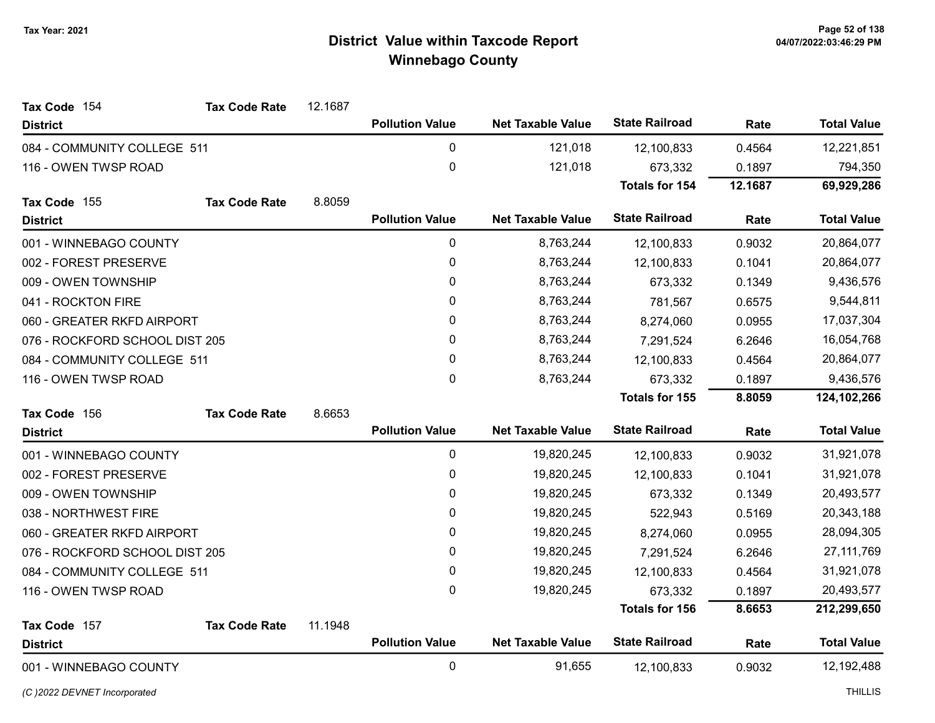| Tax Code 154                   | <b>Tax Code Rate</b> | 12.1687 |                        |                          |                       |         |                    |
|--------------------------------|----------------------|---------|------------------------|--------------------------|-----------------------|---------|--------------------|
| <b>District</b>                |                      |         | <b>Pollution Value</b> | <b>Net Taxable Value</b> | <b>State Railroad</b> | Rate    | <b>Total Value</b> |
| 084 - COMMUNITY COLLEGE 511    |                      |         | $\mathbf 0$            | 121,018                  | 12,100,833            | 0.4564  | 12,221,851         |
| 116 - OWEN TWSP ROAD           |                      |         | $\mathbf 0$            | 121,018                  | 673,332               | 0.1897  | 794,350            |
|                                |                      |         |                        |                          | <b>Totals for 154</b> | 12.1687 | 69,929,286         |
| Tax Code 155                   | <b>Tax Code Rate</b> | 8.8059  |                        |                          |                       |         |                    |
| <b>District</b>                |                      |         | <b>Pollution Value</b> | <b>Net Taxable Value</b> | <b>State Railroad</b> | Rate    | <b>Total Value</b> |
| 001 - WINNEBAGO COUNTY         |                      |         | 0                      | 8,763,244                | 12,100,833            | 0.9032  | 20,864,077         |
| 002 - FOREST PRESERVE          |                      |         | 0                      | 8,763,244                | 12,100,833            | 0.1041  | 20,864,077         |
| 009 - OWEN TOWNSHIP            |                      |         | 0                      | 8,763,244                | 673,332               | 0.1349  | 9,436,576          |
| 041 - ROCKTON FIRE             |                      |         | 0                      | 8,763,244                | 781,567               | 0.6575  | 9,544,811          |
| 060 - GREATER RKFD AIRPORT     |                      |         | 0                      | 8,763,244                | 8,274,060             | 0.0955  | 17,037,304         |
| 076 - ROCKFORD SCHOOL DIST 205 |                      |         | $\mathbf 0$            | 8,763,244                | 7,291,524             | 6.2646  | 16,054,768         |
| 084 - COMMUNITY COLLEGE 511    |                      |         | $\mathbf{0}$           | 8,763,244                | 12,100,833            | 0.4564  | 20,864,077         |
| 116 - OWEN TWSP ROAD           |                      |         | $\mathbf 0$            | 8,763,244                | 673,332               | 0.1897  | 9,436,576          |
|                                |                      |         |                        |                          | <b>Totals for 155</b> | 8.8059  | 124,102,266        |
| Tax Code 156                   | <b>Tax Code Rate</b> | 8.6653  |                        |                          |                       |         |                    |
| <b>District</b>                |                      |         | <b>Pollution Value</b> | <b>Net Taxable Value</b> | <b>State Railroad</b> | Rate    | <b>Total Value</b> |
| 001 - WINNEBAGO COUNTY         |                      |         | 0                      | 19,820,245               | 12,100,833            | 0.9032  | 31,921,078         |
| 002 - FOREST PRESERVE          |                      |         | 0                      | 19,820,245               | 12,100,833            | 0.1041  | 31,921,078         |
| 009 - OWEN TOWNSHIP            |                      |         | 0                      | 19,820,245               | 673,332               | 0.1349  | 20,493,577         |
| 038 - NORTHWEST FIRE           |                      |         | 0                      | 19,820,245               | 522,943               | 0.5169  | 20,343,188         |
| 060 - GREATER RKFD AIRPORT     |                      |         | 0                      | 19,820,245               | 8,274,060             | 0.0955  | 28,094,305         |
| 076 - ROCKFORD SCHOOL DIST 205 |                      |         | 0                      | 19,820,245               | 7,291,524             | 6.2646  | 27, 111, 769       |
| 084 - COMMUNITY COLLEGE 511    |                      |         | 0                      | 19,820,245               | 12,100,833            | 0.4564  | 31,921,078         |
| 116 - OWEN TWSP ROAD           |                      |         | $\mathbf 0$            | 19,820,245               | 673,332               | 0.1897  | 20,493,577         |
|                                |                      |         |                        |                          | <b>Totals for 156</b> | 8.6653  | 212,299,650        |
| Tax Code 157                   | <b>Tax Code Rate</b> | 11.1948 |                        |                          |                       |         |                    |
| <b>District</b>                |                      |         | <b>Pollution Value</b> | <b>Net Taxable Value</b> | <b>State Railroad</b> | Rate    | <b>Total Value</b> |
| 001 - WINNEBAGO COUNTY         |                      |         | $\mathbf 0$            | 91,655                   | 12,100,833            | 0.9032  | 12,192,488         |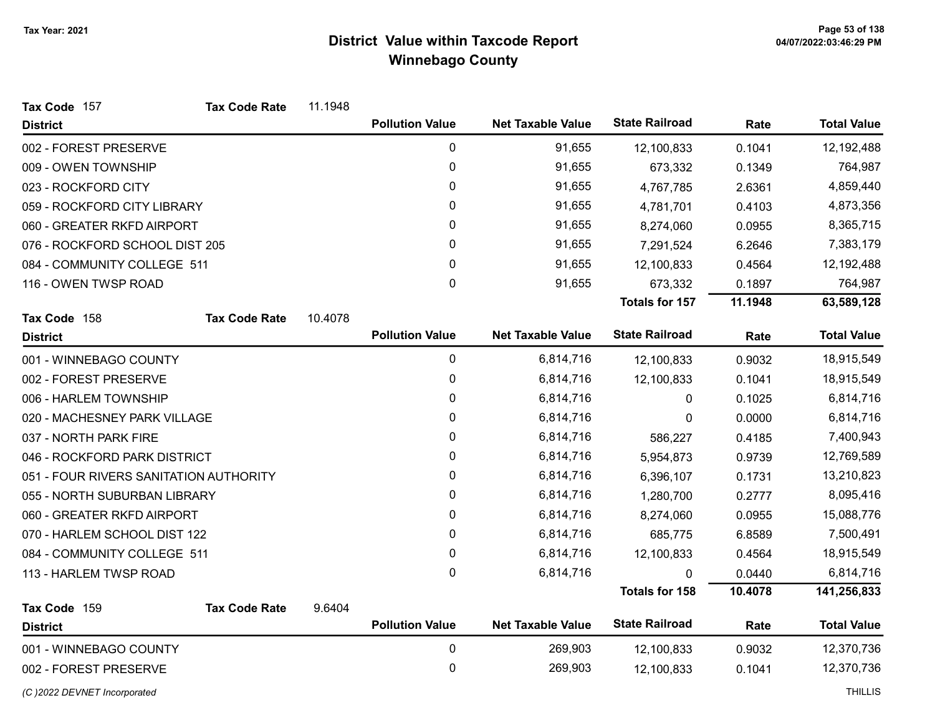| Tax Code 157                           | <b>Tax Code Rate</b> | 11.1948 |                        |                          |                       |         |                    |
|----------------------------------------|----------------------|---------|------------------------|--------------------------|-----------------------|---------|--------------------|
| <b>District</b>                        |                      |         | <b>Pollution Value</b> | <b>Net Taxable Value</b> | <b>State Railroad</b> | Rate    | <b>Total Value</b> |
| 002 - FOREST PRESERVE                  |                      |         | 0                      | 91,655                   | 12,100,833            | 0.1041  | 12,192,488         |
| 009 - OWEN TOWNSHIP                    |                      |         | 0                      | 91,655                   | 673,332               | 0.1349  | 764,987            |
| 023 - ROCKFORD CITY                    |                      |         | 0                      | 91,655                   | 4,767,785             | 2.6361  | 4,859,440          |
| 059 - ROCKFORD CITY LIBRARY            |                      |         | 0                      | 91,655                   | 4,781,701             | 0.4103  | 4,873,356          |
| 060 - GREATER RKFD AIRPORT             |                      |         | $\pmb{0}$              | 91,655                   | 8,274,060             | 0.0955  | 8,365,715          |
| 076 - ROCKFORD SCHOOL DIST 205         |                      |         | $\mathbf{0}$           | 91,655                   | 7,291,524             | 6.2646  | 7,383,179          |
| 084 - COMMUNITY COLLEGE 511            |                      |         | $\mathbf 0$            | 91,655                   | 12,100,833            | 0.4564  | 12,192,488         |
| 116 - OWEN TWSP ROAD                   |                      |         | 0                      | 91,655                   | 673,332               | 0.1897  | 764,987            |
|                                        |                      |         |                        |                          | <b>Totals for 157</b> | 11.1948 | 63,589,128         |
| Tax Code 158                           | <b>Tax Code Rate</b> | 10.4078 |                        |                          |                       |         |                    |
| <b>District</b>                        |                      |         | <b>Pollution Value</b> | <b>Net Taxable Value</b> | <b>State Railroad</b> | Rate    | <b>Total Value</b> |
| 001 - WINNEBAGO COUNTY                 |                      |         | 0                      | 6,814,716                | 12,100,833            | 0.9032  | 18,915,549         |
| 002 - FOREST PRESERVE                  |                      |         | 0                      | 6,814,716                | 12,100,833            | 0.1041  | 18,915,549         |
| 006 - HARLEM TOWNSHIP                  |                      |         | $\pmb{0}$              | 6,814,716                | 0                     | 0.1025  | 6,814,716          |
| 020 - MACHESNEY PARK VILLAGE           |                      |         | 0                      | 6,814,716                | 0                     | 0.0000  | 6,814,716          |
| 037 - NORTH PARK FIRE                  |                      |         | 0                      | 6,814,716                | 586,227               | 0.4185  | 7,400,943          |
| 046 - ROCKFORD PARK DISTRICT           |                      |         | 0                      | 6,814,716                | 5,954,873             | 0.9739  | 12,769,589         |
| 051 - FOUR RIVERS SANITATION AUTHORITY |                      |         | $\pmb{0}$              | 6,814,716                | 6,396,107             | 0.1731  | 13,210,823         |
| 055 - NORTH SUBURBAN LIBRARY           |                      |         | 0                      | 6,814,716                | 1,280,700             | 0.2777  | 8,095,416          |
| 060 - GREATER RKFD AIRPORT             |                      |         | 0                      | 6,814,716                | 8,274,060             | 0.0955  | 15,088,776         |
| 070 - HARLEM SCHOOL DIST 122           |                      |         | $\mathbf{0}$           | 6,814,716                | 685,775               | 6.8589  | 7,500,491          |
| 084 - COMMUNITY COLLEGE 511            |                      |         | $\mathbf 0$            | 6,814,716                | 12,100,833            | 0.4564  | 18,915,549         |
| 113 - HARLEM TWSP ROAD                 |                      |         | 0                      | 6,814,716                | 0                     | 0.0440  | 6,814,716          |
|                                        |                      |         |                        |                          | <b>Totals for 158</b> | 10.4078 | 141,256,833        |
| Tax Code 159                           | <b>Tax Code Rate</b> | 9.6404  |                        |                          |                       |         |                    |
| <b>District</b>                        |                      |         | <b>Pollution Value</b> | <b>Net Taxable Value</b> | <b>State Railroad</b> | Rate    | <b>Total Value</b> |
| 001 - WINNEBAGO COUNTY                 |                      |         | $\mathbf 0$            | 269,903                  | 12,100,833            | 0.9032  | 12,370,736         |
| 002 - FOREST PRESERVE                  |                      |         | $\mathbf 0$            | 269,903                  | 12,100,833            | 0.1041  | 12,370,736         |
|                                        |                      |         |                        |                          |                       |         |                    |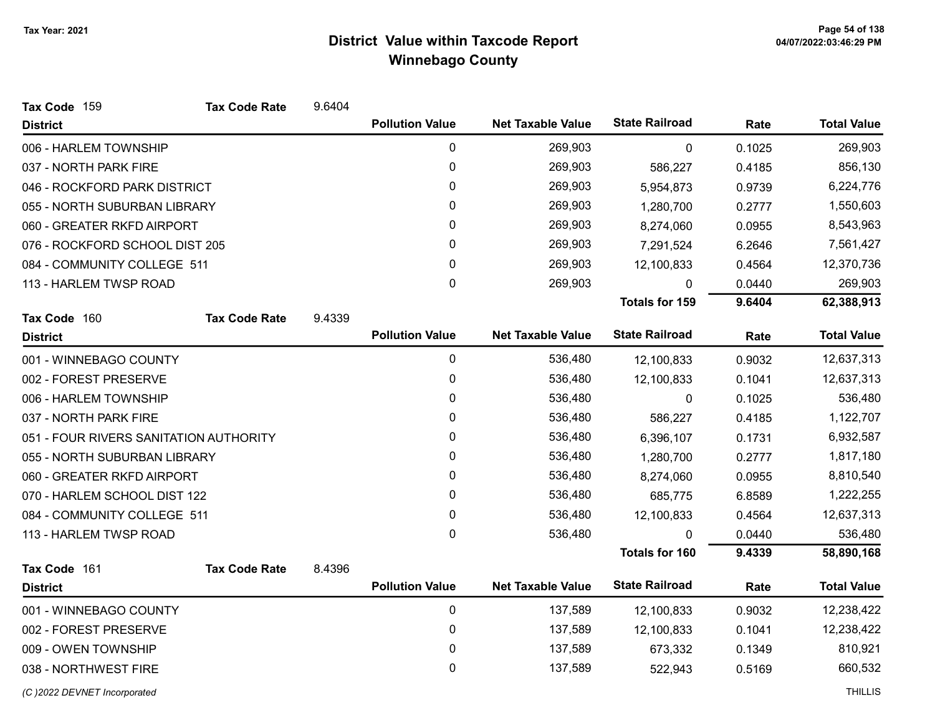| Tax Code 159                           | <b>Tax Code Rate</b> | 9.6404 |                        |                          |                       |        |                    |
|----------------------------------------|----------------------|--------|------------------------|--------------------------|-----------------------|--------|--------------------|
| <b>District</b>                        |                      |        | <b>Pollution Value</b> | <b>Net Taxable Value</b> | <b>State Railroad</b> | Rate   | <b>Total Value</b> |
| 006 - HARLEM TOWNSHIP                  |                      |        | 0                      | 269,903                  | 0                     | 0.1025 | 269,903            |
| 037 - NORTH PARK FIRE                  |                      |        | 0                      | 269,903                  | 586,227               | 0.4185 | 856,130            |
| 046 - ROCKFORD PARK DISTRICT           |                      |        | 0                      | 269,903                  | 5,954,873             | 0.9739 | 6,224,776          |
| 055 - NORTH SUBURBAN LIBRARY           |                      |        | 0                      | 269,903                  | 1,280,700             | 0.2777 | 1,550,603          |
| 060 - GREATER RKFD AIRPORT             |                      |        | 0                      | 269,903                  | 8,274,060             | 0.0955 | 8,543,963          |
| 076 - ROCKFORD SCHOOL DIST 205         |                      |        | 0                      | 269,903                  | 7,291,524             | 6.2646 | 7,561,427          |
| 084 - COMMUNITY COLLEGE 511            |                      |        | 0                      | 269,903                  | 12,100,833            | 0.4564 | 12,370,736         |
| 113 - HARLEM TWSP ROAD                 |                      |        | 0                      | 269,903                  | 0                     | 0.0440 | 269,903            |
|                                        |                      |        |                        |                          | <b>Totals for 159</b> | 9.6404 | 62,388,913         |
| Tax Code 160                           | <b>Tax Code Rate</b> | 9.4339 |                        |                          |                       |        |                    |
| <b>District</b>                        |                      |        | <b>Pollution Value</b> | <b>Net Taxable Value</b> | <b>State Railroad</b> | Rate   | <b>Total Value</b> |
| 001 - WINNEBAGO COUNTY                 |                      |        | $\pmb{0}$              | 536,480                  | 12,100,833            | 0.9032 | 12,637,313         |
| 002 - FOREST PRESERVE                  |                      |        | 0                      | 536,480                  | 12,100,833            | 0.1041 | 12,637,313         |
| 006 - HARLEM TOWNSHIP                  |                      |        | 0                      | 536,480                  | 0                     | 0.1025 | 536,480            |
| 037 - NORTH PARK FIRE                  |                      |        | 0                      | 536,480                  | 586,227               | 0.4185 | 1,122,707          |
| 051 - FOUR RIVERS SANITATION AUTHORITY |                      |        | 0                      | 536,480                  | 6,396,107             | 0.1731 | 6,932,587          |
| 055 - NORTH SUBURBAN LIBRARY           |                      |        | 0                      | 536,480                  | 1,280,700             | 0.2777 | 1,817,180          |
| 060 - GREATER RKFD AIRPORT             |                      |        | 0                      | 536,480                  | 8,274,060             | 0.0955 | 8,810,540          |
| 070 - HARLEM SCHOOL DIST 122           |                      |        | 0                      | 536,480                  | 685,775               | 6.8589 | 1,222,255          |
| 084 - COMMUNITY COLLEGE 511            |                      |        | 0                      | 536,480                  | 12,100,833            | 0.4564 | 12,637,313         |
| 113 - HARLEM TWSP ROAD                 |                      |        | 0                      | 536,480                  | 0                     | 0.0440 | 536,480            |
|                                        |                      |        |                        |                          | <b>Totals for 160</b> | 9.4339 | 58,890,168         |
| Tax Code 161                           | <b>Tax Code Rate</b> | 8.4396 |                        |                          |                       |        |                    |
| <b>District</b>                        |                      |        | <b>Pollution Value</b> | <b>Net Taxable Value</b> | <b>State Railroad</b> | Rate   | <b>Total Value</b> |
| 001 - WINNEBAGO COUNTY                 |                      |        | $\mathbf 0$            | 137,589                  | 12,100,833            | 0.9032 | 12,238,422         |
| 002 - FOREST PRESERVE                  |                      |        | 0                      | 137,589                  | 12,100,833            | 0.1041 | 12,238,422         |
| 009 - OWEN TOWNSHIP                    |                      |        | 0                      | 137,589                  | 673,332               | 0.1349 | 810,921            |
| 038 - NORTHWEST FIRE                   |                      |        | 0                      | 137,589                  | 522,943               | 0.5169 | 660,532            |
| (C) 2022 DEVNET Incorporated           |                      |        |                        |                          |                       |        | <b>THILLIS</b>     |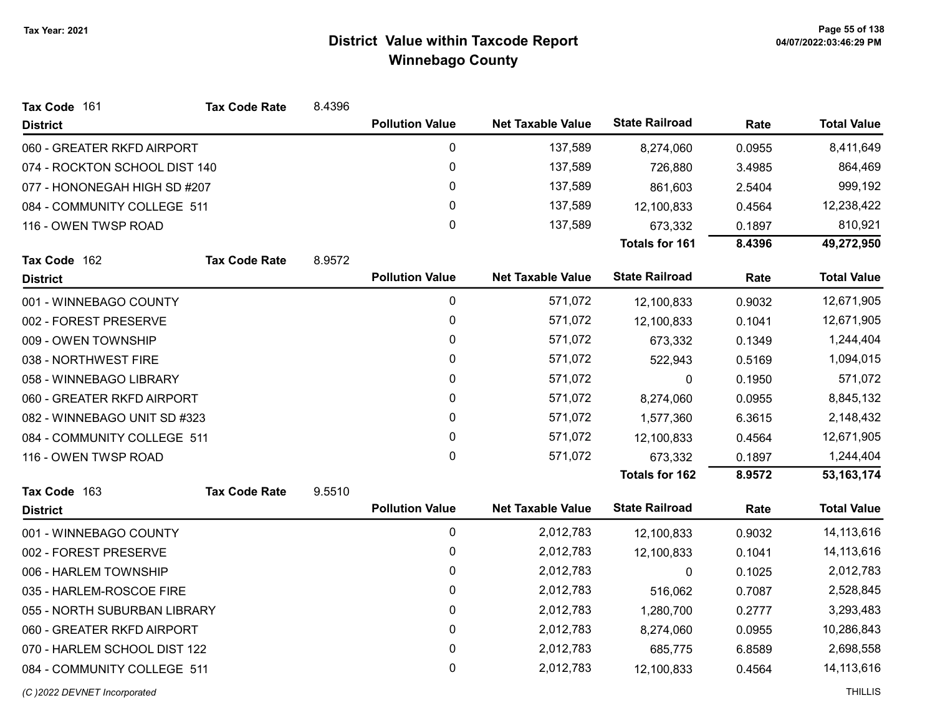| Tax Code 161                  | <b>Tax Code Rate</b> | 8.4396 |                        |                          |                       |        |                    |
|-------------------------------|----------------------|--------|------------------------|--------------------------|-----------------------|--------|--------------------|
| <b>District</b>               |                      |        | <b>Pollution Value</b> | <b>Net Taxable Value</b> | <b>State Railroad</b> | Rate   | <b>Total Value</b> |
| 060 - GREATER RKFD AIRPORT    |                      |        | $\pmb{0}$              | 137,589                  | 8,274,060             | 0.0955 | 8,411,649          |
| 074 - ROCKTON SCHOOL DIST 140 |                      |        | $\pmb{0}$              | 137,589                  | 726,880               | 3.4985 | 864,469            |
| 077 - HONONEGAH HIGH SD #207  |                      |        | 0                      | 137,589                  | 861,603               | 2.5404 | 999,192            |
| 084 - COMMUNITY COLLEGE 511   |                      |        | 0                      | 137,589                  | 12,100,833            | 0.4564 | 12,238,422         |
| 116 - OWEN TWSP ROAD          |                      |        | 0                      | 137,589                  | 673,332               | 0.1897 | 810,921            |
|                               |                      |        |                        |                          | <b>Totals for 161</b> | 8.4396 | 49,272,950         |
| Tax Code 162                  | <b>Tax Code Rate</b> | 8.9572 |                        |                          |                       |        |                    |
| <b>District</b>               |                      |        | <b>Pollution Value</b> | <b>Net Taxable Value</b> | <b>State Railroad</b> | Rate   | <b>Total Value</b> |
| 001 - WINNEBAGO COUNTY        |                      |        | 0                      | 571,072                  | 12,100,833            | 0.9032 | 12,671,905         |
| 002 - FOREST PRESERVE         |                      |        | 0                      | 571,072                  | 12,100,833            | 0.1041 | 12,671,905         |
| 009 - OWEN TOWNSHIP           |                      |        | 0                      | 571,072                  | 673,332               | 0.1349 | 1,244,404          |
| 038 - NORTHWEST FIRE          |                      |        | 0                      | 571,072                  | 522,943               | 0.5169 | 1,094,015          |
| 058 - WINNEBAGO LIBRARY       |                      |        | 0                      | 571,072                  | 0                     | 0.1950 | 571,072            |
| 060 - GREATER RKFD AIRPORT    |                      |        | 0                      | 571,072                  | 8,274,060             | 0.0955 | 8,845,132          |
| 082 - WINNEBAGO UNIT SD #323  |                      |        | 0                      | 571,072                  | 1,577,360             | 6.3615 | 2,148,432          |
| 084 - COMMUNITY COLLEGE 511   |                      |        | 0                      | 571,072                  | 12,100,833            | 0.4564 | 12,671,905         |
| 116 - OWEN TWSP ROAD          |                      |        | 0                      | 571,072                  | 673,332               | 0.1897 | 1,244,404          |
|                               |                      |        |                        |                          | <b>Totals for 162</b> | 8.9572 | 53, 163, 174       |
| Tax Code 163                  | <b>Tax Code Rate</b> | 9.5510 |                        |                          |                       |        |                    |
| <b>District</b>               |                      |        | <b>Pollution Value</b> | <b>Net Taxable Value</b> | <b>State Railroad</b> | Rate   | <b>Total Value</b> |
| 001 - WINNEBAGO COUNTY        |                      |        | $\pmb{0}$              | 2,012,783                | 12,100,833            | 0.9032 | 14,113,616         |
| 002 - FOREST PRESERVE         |                      |        | $\pmb{0}$              | 2,012,783                | 12,100,833            | 0.1041 | 14,113,616         |
| 006 - HARLEM TOWNSHIP         |                      |        | 0                      | 2,012,783                | 0                     | 0.1025 | 2,012,783          |
| 035 - HARLEM-ROSCOE FIRE      |                      |        | 0                      | 2,012,783                | 516,062               | 0.7087 | 2,528,845          |
| 055 - NORTH SUBURBAN LIBRARY  |                      |        | 0                      | 2,012,783                | 1,280,700             | 0.2777 | 3,293,483          |
| 060 - GREATER RKFD AIRPORT    |                      |        | 0                      | 2,012,783                | 8,274,060             | 0.0955 | 10,286,843         |
| 070 - HARLEM SCHOOL DIST 122  |                      |        | $\pmb{0}$              | 2,012,783                | 685,775               | 6.8589 | 2,698,558          |
| 084 - COMMUNITY COLLEGE 511   |                      |        | 0                      | 2,012,783                | 12,100,833            | 0.4564 | 14,113,616         |
| (C) 2022 DEVNET Incorporated  |                      |        |                        |                          |                       |        | <b>THILLIS</b>     |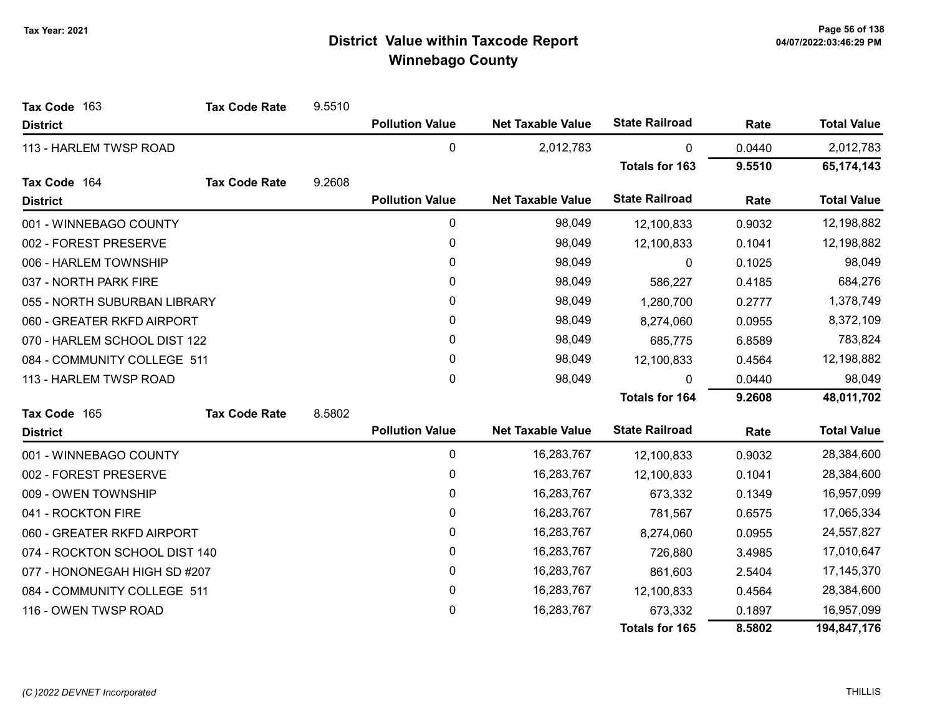| Tax Code 163                  | <b>Tax Code Rate</b> | 9.5510 |                        |                          |                       |        |                    |
|-------------------------------|----------------------|--------|------------------------|--------------------------|-----------------------|--------|--------------------|
| <b>District</b>               |                      |        | <b>Pollution Value</b> | <b>Net Taxable Value</b> | <b>State Railroad</b> | Rate   | <b>Total Value</b> |
| 113 - HARLEM TWSP ROAD        |                      |        | 0                      | 2,012,783                | 0                     | 0.0440 | 2,012,783          |
|                               |                      |        |                        |                          | <b>Totals for 163</b> | 9.5510 | 65,174,143         |
| Tax Code 164                  | <b>Tax Code Rate</b> | 9.2608 |                        |                          |                       |        |                    |
| <b>District</b>               |                      |        | <b>Pollution Value</b> | <b>Net Taxable Value</b> | <b>State Railroad</b> | Rate   | <b>Total Value</b> |
| 001 - WINNEBAGO COUNTY        |                      |        | 0                      | 98,049                   | 12,100,833            | 0.9032 | 12,198,882         |
| 002 - FOREST PRESERVE         |                      |        | 0                      | 98,049                   | 12,100,833            | 0.1041 | 12,198,882         |
| 006 - HARLEM TOWNSHIP         |                      |        | 0                      | 98,049                   | 0                     | 0.1025 | 98,049             |
| 037 - NORTH PARK FIRE         |                      |        | $\mathbf{0}$           | 98,049                   | 586,227               | 0.4185 | 684,276            |
| 055 - NORTH SUBURBAN LIBRARY  |                      |        | 0                      | 98,049                   | 1,280,700             | 0.2777 | 1,378,749          |
| 060 - GREATER RKFD AIRPORT    |                      |        | 0                      | 98,049                   | 8,274,060             | 0.0955 | 8,372,109          |
| 070 - HARLEM SCHOOL DIST 122  |                      |        | 0                      | 98,049                   | 685,775               | 6.8589 | 783,824            |
| 084 - COMMUNITY COLLEGE 511   |                      |        | 0                      | 98,049                   | 12,100,833            | 0.4564 | 12,198,882         |
| 113 - HARLEM TWSP ROAD        |                      |        | $\mathbf 0$            | 98,049                   | $\mathbf{0}$          | 0.0440 | 98,049             |
|                               |                      |        |                        |                          | <b>Totals for 164</b> | 9.2608 | 48,011,702         |
| Tax Code 165                  | <b>Tax Code Rate</b> | 8.5802 |                        |                          |                       |        |                    |
| <b>District</b>               |                      |        | <b>Pollution Value</b> | <b>Net Taxable Value</b> | <b>State Railroad</b> | Rate   | <b>Total Value</b> |
| 001 - WINNEBAGO COUNTY        |                      |        | 0                      | 16,283,767               | 12,100,833            | 0.9032 | 28,384,600         |
| 002 - FOREST PRESERVE         |                      |        | 0                      | 16,283,767               | 12,100,833            | 0.1041 | 28,384,600         |
| 009 - OWEN TOWNSHIP           |                      |        | 0                      | 16,283,767               | 673,332               | 0.1349 | 16,957,099         |
| 041 - ROCKTON FIRE            |                      |        | 0                      | 16,283,767               | 781,567               | 0.6575 | 17,065,334         |
| 060 - GREATER RKFD AIRPORT    |                      |        | 0                      | 16,283,767               | 8,274,060             | 0.0955 | 24,557,827         |
| 074 - ROCKTON SCHOOL DIST 140 |                      |        | 0                      | 16,283,767               | 726,880               | 3.4985 | 17,010,647         |
| 077 - HONONEGAH HIGH SD #207  |                      |        | 0                      | 16,283,767               | 861,603               | 2.5404 | 17,145,370         |
| 084 - COMMUNITY COLLEGE 511   |                      |        | 0                      | 16,283,767               | 12,100,833            | 0.4564 | 28,384,600         |
| 116 - OWEN TWSP ROAD          |                      |        | 0                      | 16,283,767               | 673,332               | 0.1897 | 16,957,099         |
|                               |                      |        |                        |                          | Totals for 165        | 8.5802 | 194,847,176        |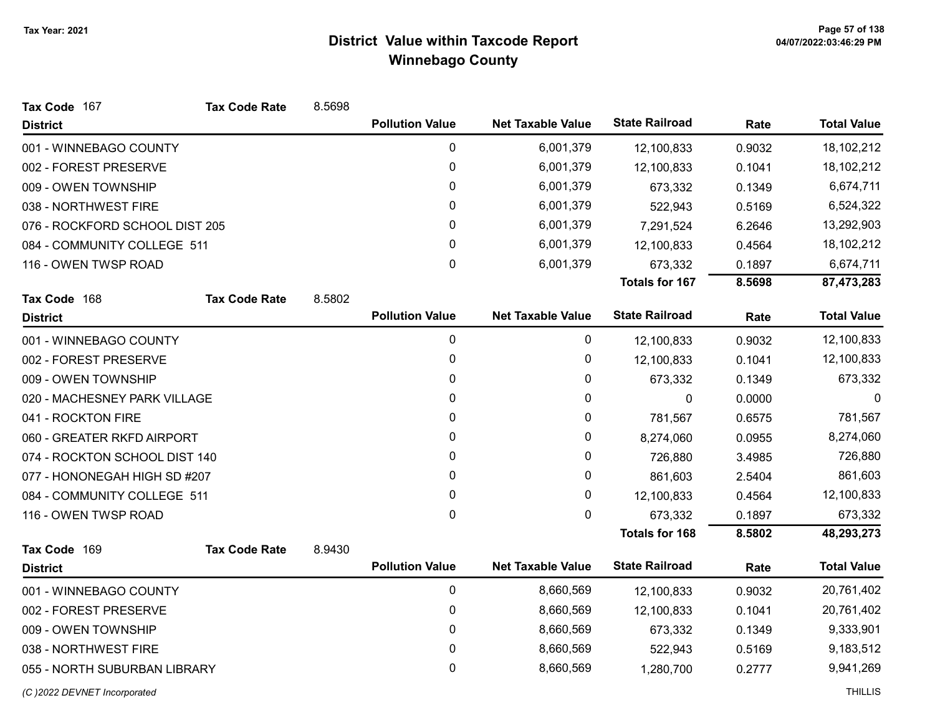| Tax Code 167                   | <b>Tax Code Rate</b> | 8.5698 |                        |                          |                       |        |                    |
|--------------------------------|----------------------|--------|------------------------|--------------------------|-----------------------|--------|--------------------|
| <b>District</b>                |                      |        | <b>Pollution Value</b> | <b>Net Taxable Value</b> | <b>State Railroad</b> | Rate   | <b>Total Value</b> |
| 001 - WINNEBAGO COUNTY         |                      |        | 0                      | 6,001,379                | 12,100,833            | 0.9032 | 18,102,212         |
| 002 - FOREST PRESERVE          |                      |        | 0                      | 6,001,379                | 12,100,833            | 0.1041 | 18,102,212         |
| 009 - OWEN TOWNSHIP            |                      |        | 0                      | 6,001,379                | 673,332               | 0.1349 | 6,674,711          |
| 038 - NORTHWEST FIRE           |                      |        | 0                      | 6,001,379                | 522,943               | 0.5169 | 6,524,322          |
| 076 - ROCKFORD SCHOOL DIST 205 |                      |        | 0                      | 6,001,379                | 7,291,524             | 6.2646 | 13,292,903         |
| 084 - COMMUNITY COLLEGE 511    |                      |        | 0                      | 6,001,379                | 12,100,833            | 0.4564 | 18,102,212         |
| 116 - OWEN TWSP ROAD           |                      |        | 0                      | 6,001,379                | 673,332               | 0.1897 | 6,674,711          |
|                                |                      |        |                        |                          | <b>Totals for 167</b> | 8.5698 | 87,473,283         |
| Tax Code 168                   | <b>Tax Code Rate</b> | 8.5802 |                        |                          |                       |        |                    |
| <b>District</b>                |                      |        | <b>Pollution Value</b> | <b>Net Taxable Value</b> | <b>State Railroad</b> | Rate   | <b>Total Value</b> |
| 001 - WINNEBAGO COUNTY         |                      |        | 0                      | 0                        | 12,100,833            | 0.9032 | 12,100,833         |
| 002 - FOREST PRESERVE          |                      |        | 0                      | 0                        | 12,100,833            | 0.1041 | 12,100,833         |
| 009 - OWEN TOWNSHIP            |                      |        | 0                      | 0                        | 673,332               | 0.1349 | 673,332            |
| 020 - MACHESNEY PARK VILLAGE   |                      |        | 0                      | 0                        | 0                     | 0.0000 | 0                  |
| 041 - ROCKTON FIRE             |                      |        | 0                      | 0                        | 781,567               | 0.6575 | 781,567            |
| 060 - GREATER RKFD AIRPORT     |                      |        | 0                      | 0                        | 8,274,060             | 0.0955 | 8,274,060          |
| 074 - ROCKTON SCHOOL DIST 140  |                      |        | 0                      | 0                        | 726,880               | 3.4985 | 726,880            |
| 077 - HONONEGAH HIGH SD #207   |                      |        | 0                      | 0                        | 861,603               | 2.5404 | 861,603            |
| 084 - COMMUNITY COLLEGE 511    |                      |        | 0                      | 0                        | 12,100,833            | 0.4564 | 12,100,833         |
| 116 - OWEN TWSP ROAD           |                      |        | 0                      | 0                        | 673,332               | 0.1897 | 673,332            |
|                                |                      |        |                        |                          | <b>Totals for 168</b> | 8.5802 | 48,293,273         |
| Tax Code 169                   | <b>Tax Code Rate</b> | 8.9430 |                        |                          |                       |        |                    |
| <b>District</b>                |                      |        | <b>Pollution Value</b> | <b>Net Taxable Value</b> | <b>State Railroad</b> | Rate   | <b>Total Value</b> |
| 001 - WINNEBAGO COUNTY         |                      |        | 0                      | 8,660,569                | 12,100,833            | 0.9032 | 20,761,402         |
| 002 - FOREST PRESERVE          |                      |        | 0                      | 8,660,569                | 12,100,833            | 0.1041 | 20,761,402         |
| 009 - OWEN TOWNSHIP            |                      |        | 0                      | 8,660,569                | 673,332               | 0.1349 | 9,333,901          |
| 038 - NORTHWEST FIRE           |                      |        | 0                      | 8,660,569                | 522,943               | 0.5169 | 9,183,512          |
| 055 - NORTH SUBURBAN LIBRARY   |                      |        | 0                      | 8,660,569                | 1,280,700             | 0.2777 | 9,941,269          |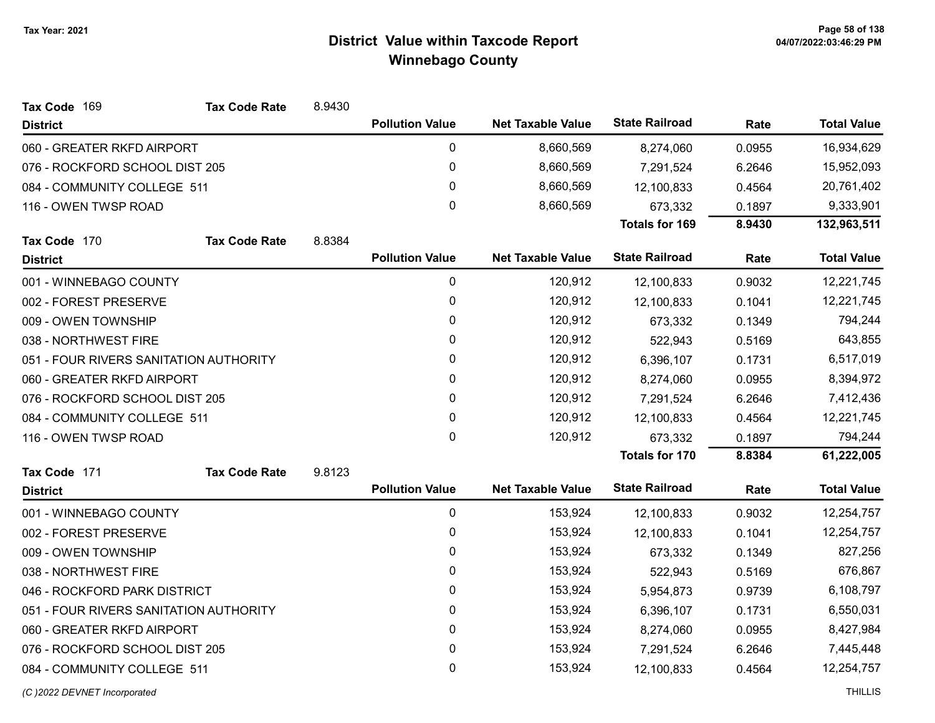| Tax Code 169                           | <b>Tax Code Rate</b> | 8.9430 |                        |                          |                       |        |                    |
|----------------------------------------|----------------------|--------|------------------------|--------------------------|-----------------------|--------|--------------------|
| <b>District</b>                        |                      |        | <b>Pollution Value</b> | <b>Net Taxable Value</b> | <b>State Railroad</b> | Rate   | <b>Total Value</b> |
| 060 - GREATER RKFD AIRPORT             |                      |        | 0                      | 8,660,569                | 8,274,060             | 0.0955 | 16,934,629         |
| 076 - ROCKFORD SCHOOL DIST 205         |                      |        | $\pmb{0}$              | 8,660,569                | 7,291,524             | 6.2646 | 15,952,093         |
| 084 - COMMUNITY COLLEGE 511            |                      |        | $\mathbf 0$            | 8,660,569                | 12,100,833            | 0.4564 | 20,761,402         |
| 116 - OWEN TWSP ROAD                   |                      |        | $\mathbf 0$            | 8,660,569                | 673,332               | 0.1897 | 9,333,901          |
|                                        |                      |        |                        |                          | <b>Totals for 169</b> | 8.9430 | 132,963,511        |
| Tax Code 170                           | <b>Tax Code Rate</b> | 8.8384 |                        |                          |                       |        |                    |
| <b>District</b>                        |                      |        | <b>Pollution Value</b> | <b>Net Taxable Value</b> | <b>State Railroad</b> | Rate   | <b>Total Value</b> |
| 001 - WINNEBAGO COUNTY                 |                      |        | $\pmb{0}$              | 120,912                  | 12,100,833            | 0.9032 | 12,221,745         |
| 002 - FOREST PRESERVE                  |                      |        | $\pmb{0}$              | 120,912                  | 12,100,833            | 0.1041 | 12,221,745         |
| 009 - OWEN TOWNSHIP                    |                      |        | 0                      | 120,912                  | 673,332               | 0.1349 | 794,244            |
| 038 - NORTHWEST FIRE                   |                      |        | 0                      | 120,912                  | 522,943               | 0.5169 | 643,855            |
| 051 - FOUR RIVERS SANITATION AUTHORITY |                      |        | 0                      | 120,912                  | 6,396,107             | 0.1731 | 6,517,019          |
| 060 - GREATER RKFD AIRPORT             |                      |        | $\mathbf 0$            | 120,912                  | 8,274,060             | 0.0955 | 8,394,972          |
| 076 - ROCKFORD SCHOOL DIST 205         |                      |        | $\mathbf 0$            | 120,912                  | 7,291,524             | 6.2646 | 7,412,436          |
| 084 - COMMUNITY COLLEGE 511            |                      |        | $\pmb{0}$              | 120,912                  | 12,100,833            | 0.4564 | 12,221,745         |
| 116 - OWEN TWSP ROAD                   |                      |        | $\mathbf 0$            | 120,912                  | 673,332               | 0.1897 | 794,244            |
|                                        |                      |        |                        |                          | <b>Totals for 170</b> | 8.8384 | 61,222,005         |
| Tax Code 171                           | <b>Tax Code Rate</b> | 9.8123 |                        |                          |                       |        |                    |
| <b>District</b>                        |                      |        | <b>Pollution Value</b> | <b>Net Taxable Value</b> | <b>State Railroad</b> | Rate   | <b>Total Value</b> |
| 001 - WINNEBAGO COUNTY                 |                      |        | $\mathbf 0$            | 153,924                  | 12,100,833            | 0.9032 | 12,254,757         |
| 002 - FOREST PRESERVE                  |                      |        | 0                      | 153,924                  | 12,100,833            | 0.1041 | 12,254,757         |
| 009 - OWEN TOWNSHIP                    |                      |        | $\pmb{0}$              | 153,924                  | 673,332               | 0.1349 | 827,256            |
| 038 - NORTHWEST FIRE                   |                      |        | 0                      | 153,924                  | 522,943               | 0.5169 | 676,867            |
| 046 - ROCKFORD PARK DISTRICT           |                      |        | $\mathbf 0$            | 153,924                  | 5,954,873             | 0.9739 | 6,108,797          |
| 051 - FOUR RIVERS SANITATION AUTHORITY |                      |        | 0                      | 153,924                  | 6,396,107             | 0.1731 | 6,550,031          |
| 060 - GREATER RKFD AIRPORT             |                      |        | $\pmb{0}$              | 153,924                  | 8,274,060             | 0.0955 | 8,427,984          |
| 076 - ROCKFORD SCHOOL DIST 205         |                      |        | $\pmb{0}$              | 153,924                  | 7,291,524             | 6.2646 | 7,445,448          |
| 084 - COMMUNITY COLLEGE 511            |                      |        | $\mathbf 0$            | 153,924                  | 12,100,833            | 0.4564 | 12,254,757         |
|                                        |                      |        |                        |                          |                       |        |                    |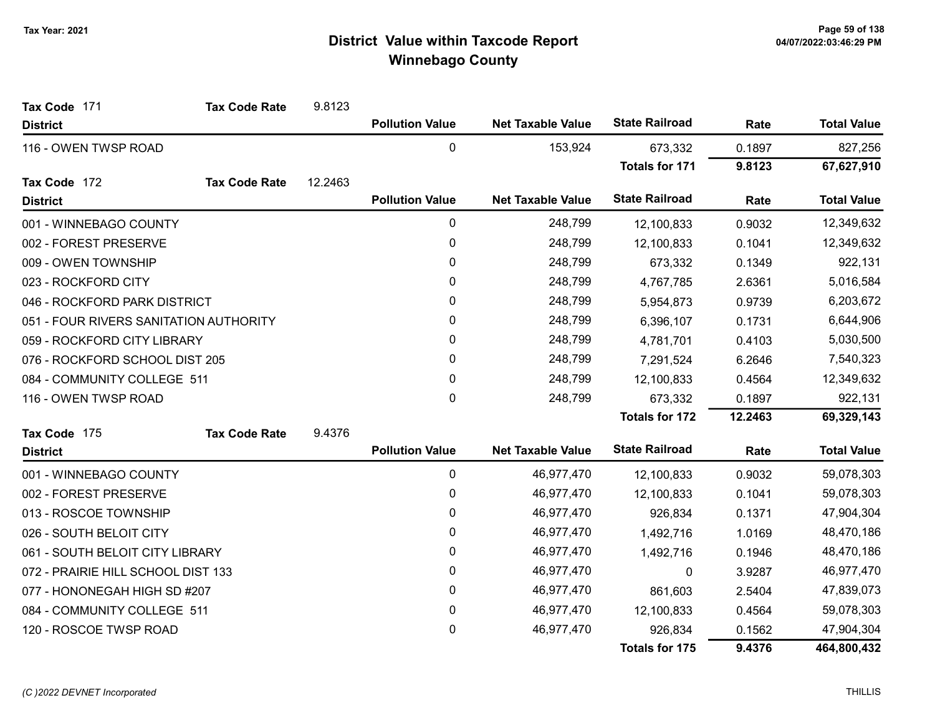| Tax Code 171                           | <b>Tax Code Rate</b> | 9.8123  |                        |                          |                       |         |                    |
|----------------------------------------|----------------------|---------|------------------------|--------------------------|-----------------------|---------|--------------------|
| <b>District</b>                        |                      |         | <b>Pollution Value</b> | <b>Net Taxable Value</b> | <b>State Railroad</b> | Rate    | <b>Total Value</b> |
| 116 - OWEN TWSP ROAD                   |                      |         | $\mathbf 0$            | 153,924                  | 673,332               | 0.1897  | 827,256            |
|                                        |                      |         |                        |                          | <b>Totals for 171</b> | 9.8123  | 67,627,910         |
| Tax Code 172                           | <b>Tax Code Rate</b> | 12.2463 |                        |                          |                       |         |                    |
| <b>District</b>                        |                      |         | <b>Pollution Value</b> | <b>Net Taxable Value</b> | <b>State Railroad</b> | Rate    | <b>Total Value</b> |
| 001 - WINNEBAGO COUNTY                 |                      |         | 0                      | 248,799                  | 12,100,833            | 0.9032  | 12,349,632         |
| 002 - FOREST PRESERVE                  |                      |         | 0                      | 248,799                  | 12,100,833            | 0.1041  | 12,349,632         |
| 009 - OWEN TOWNSHIP                    |                      |         | $\pmb{0}$              | 248,799                  | 673,332               | 0.1349  | 922,131            |
| 023 - ROCKFORD CITY                    |                      |         | $\mathbf{0}$           | 248,799                  | 4,767,785             | 2.6361  | 5,016,584          |
| 046 - ROCKFORD PARK DISTRICT           |                      |         | 0                      | 248,799                  | 5,954,873             | 0.9739  | 6,203,672          |
| 051 - FOUR RIVERS SANITATION AUTHORITY |                      |         | 0                      | 248,799                  | 6,396,107             | 0.1731  | 6,644,906          |
| 059 - ROCKFORD CITY LIBRARY            |                      |         | $\mathbf{0}$           | 248,799                  | 4,781,701             | 0.4103  | 5,030,500          |
| 076 - ROCKFORD SCHOOL DIST 205         |                      |         | 0                      | 248,799                  | 7,291,524             | 6.2646  | 7,540,323          |
| 084 - COMMUNITY COLLEGE 511            |                      |         | 0                      | 248,799                  | 12,100,833            | 0.4564  | 12,349,632         |
| 116 - OWEN TWSP ROAD                   |                      |         | $\mathbf 0$            | 248,799                  | 673,332               | 0.1897  | 922,131            |
|                                        |                      |         |                        |                          | <b>Totals for 172</b> | 12.2463 | 69,329,143         |
| Tax Code 175                           | <b>Tax Code Rate</b> | 9.4376  |                        |                          |                       |         |                    |
| <b>District</b>                        |                      |         | <b>Pollution Value</b> | <b>Net Taxable Value</b> | <b>State Railroad</b> | Rate    | <b>Total Value</b> |
| 001 - WINNEBAGO COUNTY                 |                      |         | 0                      | 46,977,470               | 12,100,833            | 0.9032  | 59,078,303         |
| 002 - FOREST PRESERVE                  |                      |         | 0                      | 46,977,470               | 12,100,833            | 0.1041  | 59,078,303         |
| 013 - ROSCOE TOWNSHIP                  |                      |         | 0                      | 46,977,470               | 926,834               | 0.1371  | 47,904,304         |
| 026 - SOUTH BELOIT CITY                |                      |         | 0                      | 46,977,470               | 1,492,716             | 1.0169  | 48,470,186         |
| 061 - SOUTH BELOIT CITY LIBRARY        |                      |         | 0                      | 46,977,470               | 1,492,716             | 0.1946  | 48,470,186         |
| 072 - PRAIRIE HILL SCHOOL DIST 133     |                      |         | 0                      | 46,977,470               | 0                     | 3.9287  | 46,977,470         |
| 077 - HONONEGAH HIGH SD #207           |                      |         | 0                      | 46,977,470               | 861,603               | 2.5404  | 47,839,073         |
| 084 - COMMUNITY COLLEGE 511            |                      |         | 0                      | 46,977,470               | 12,100,833            | 0.4564  | 59,078,303         |
| 120 - ROSCOE TWSP ROAD                 |                      |         | 0                      | 46,977,470               | 926,834               | 0.1562  | 47,904,304         |
|                                        |                      |         |                        |                          | <b>Totals for 175</b> | 9.4376  | 464,800,432        |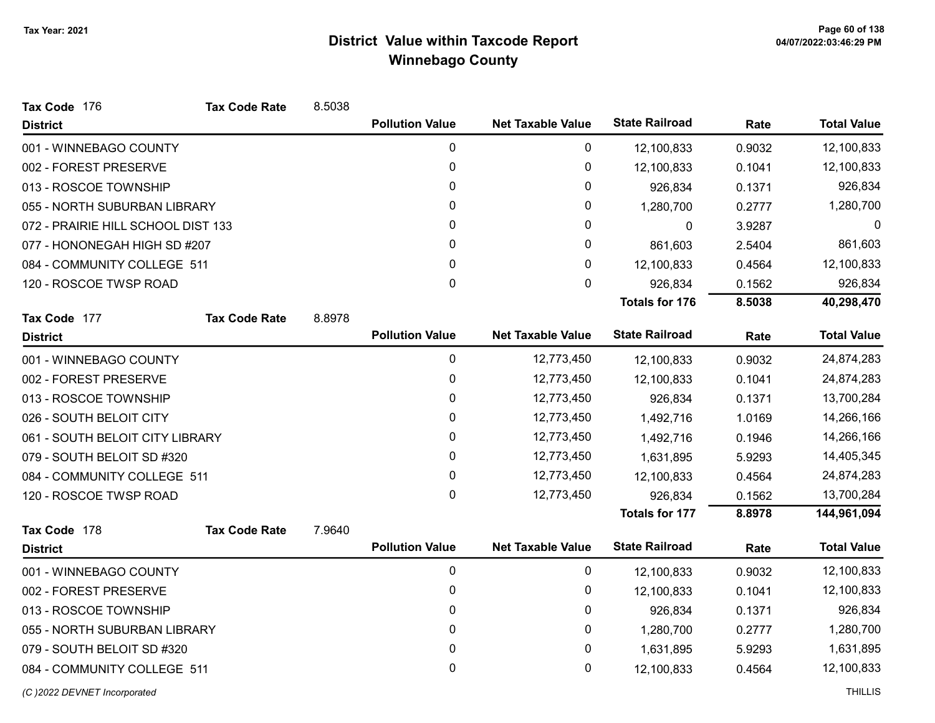| Tax Code 176                       | <b>Tax Code Rate</b> | 8.5038 |                        |                          |                       |        |                    |
|------------------------------------|----------------------|--------|------------------------|--------------------------|-----------------------|--------|--------------------|
| <b>District</b>                    |                      |        | <b>Pollution Value</b> | <b>Net Taxable Value</b> | <b>State Railroad</b> | Rate   | <b>Total Value</b> |
| 001 - WINNEBAGO COUNTY             |                      |        | 0                      | 0                        | 12,100,833            | 0.9032 | 12,100,833         |
| 002 - FOREST PRESERVE              |                      |        | 0                      | 0                        | 12,100,833            | 0.1041 | 12,100,833         |
| 013 - ROSCOE TOWNSHIP              |                      |        | 0                      | 0                        | 926,834               | 0.1371 | 926,834            |
| 055 - NORTH SUBURBAN LIBRARY       |                      |        | 0                      | 0                        | 1,280,700             | 0.2777 | 1,280,700          |
| 072 - PRAIRIE HILL SCHOOL DIST 133 |                      |        | 0                      | 0                        | 0                     | 3.9287 | 0                  |
| 077 - HONONEGAH HIGH SD #207       |                      |        | 0                      | 0                        | 861,603               | 2.5404 | 861,603            |
| 084 - COMMUNITY COLLEGE 511        |                      |        | 0                      | 0                        | 12,100,833            | 0.4564 | 12,100,833         |
| 120 - ROSCOE TWSP ROAD             |                      |        | 0                      | 0                        | 926,834               | 0.1562 | 926,834            |
|                                    |                      |        |                        |                          | <b>Totals for 176</b> | 8.5038 | 40,298,470         |
| Tax Code 177                       | <b>Tax Code Rate</b> | 8.8978 |                        |                          |                       |        |                    |
| <b>District</b>                    |                      |        | <b>Pollution Value</b> | <b>Net Taxable Value</b> | <b>State Railroad</b> | Rate   | <b>Total Value</b> |
| 001 - WINNEBAGO COUNTY             |                      |        | $\mathbf 0$            | 12,773,450               | 12,100,833            | 0.9032 | 24,874,283         |
| 002 - FOREST PRESERVE              |                      |        | 0                      | 12,773,450               | 12,100,833            | 0.1041 | 24,874,283         |
| 013 - ROSCOE TOWNSHIP              |                      |        | 0                      | 12,773,450               | 926,834               | 0.1371 | 13,700,284         |
| 026 - SOUTH BELOIT CITY            |                      |        | 0                      | 12,773,450               | 1,492,716             | 1.0169 | 14,266,166         |
| 061 - SOUTH BELOIT CITY LIBRARY    |                      |        | 0                      | 12,773,450               | 1,492,716             | 0.1946 | 14,266,166         |
| 079 - SOUTH BELOIT SD #320         |                      |        | 0                      | 12,773,450               | 1,631,895             | 5.9293 | 14,405,345         |
| 084 - COMMUNITY COLLEGE 511        |                      |        | 0                      | 12,773,450               | 12,100,833            | 0.4564 | 24,874,283         |
| 120 - ROSCOE TWSP ROAD             |                      |        | 0                      | 12,773,450               | 926,834               | 0.1562 | 13,700,284         |
|                                    |                      |        |                        |                          | <b>Totals for 177</b> | 8.8978 | 144,961,094        |
| Tax Code 178                       | <b>Tax Code Rate</b> | 7.9640 |                        |                          |                       |        |                    |
| <b>District</b>                    |                      |        | <b>Pollution Value</b> | <b>Net Taxable Value</b> | <b>State Railroad</b> | Rate   | <b>Total Value</b> |
| 001 - WINNEBAGO COUNTY             |                      |        | $\mathbf 0$            | 0                        | 12,100,833            | 0.9032 | 12,100,833         |
| 002 - FOREST PRESERVE              |                      |        | 0                      | 0                        | 12,100,833            | 0.1041 | 12,100,833         |
| 013 - ROSCOE TOWNSHIP              |                      |        | 0                      | 0                        | 926,834               | 0.1371 | 926,834            |
| 055 - NORTH SUBURBAN LIBRARY       |                      |        | 0                      | 0                        | 1,280,700             | 0.2777 | 1,280,700          |
| 079 - SOUTH BELOIT SD #320         |                      |        | 0                      | 0                        | 1,631,895             | 5.9293 | 1,631,895          |
| 084 - COMMUNITY COLLEGE 511        |                      |        | 0                      | 0                        | 12,100,833            | 0.4564 | 12,100,833         |
| (C) 2022 DEVNET Incorporated       |                      |        |                        |                          |                       |        | <b>THILLIS</b>     |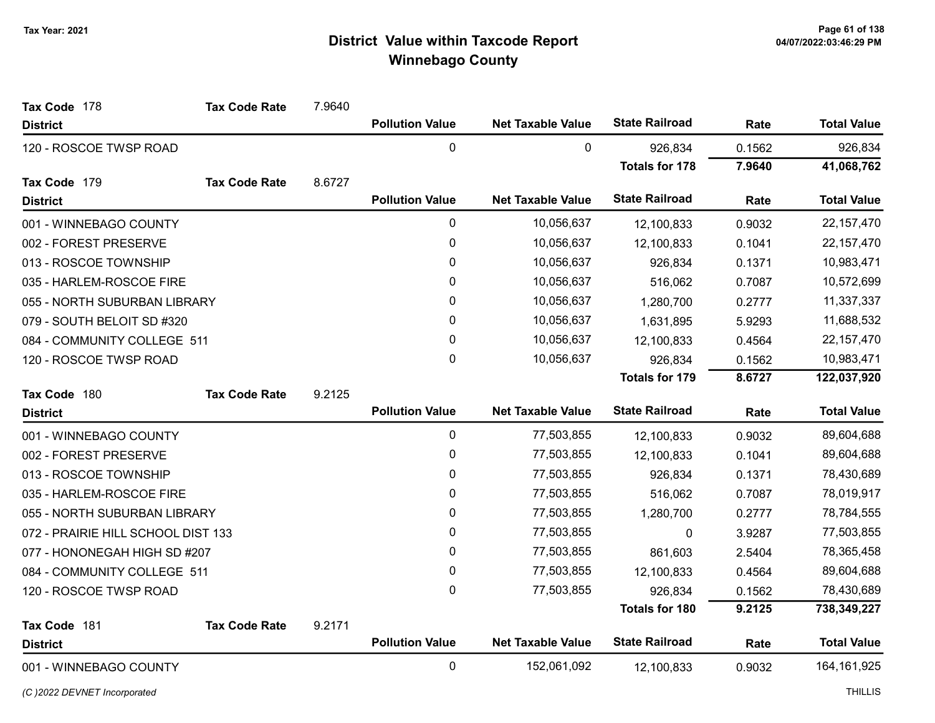| Tax Code 178                       | <b>Tax Code Rate</b> | 7.9640 |                        |                          |                       |        |                    |
|------------------------------------|----------------------|--------|------------------------|--------------------------|-----------------------|--------|--------------------|
| <b>District</b>                    |                      |        | <b>Pollution Value</b> | <b>Net Taxable Value</b> | <b>State Railroad</b> | Rate   | <b>Total Value</b> |
| 120 - ROSCOE TWSP ROAD             |                      |        | $\pmb{0}$              | 0                        | 926,834               | 0.1562 | 926,834            |
|                                    |                      |        |                        |                          | <b>Totals for 178</b> | 7.9640 | 41,068,762         |
| Tax Code 179                       | <b>Tax Code Rate</b> | 8.6727 |                        |                          |                       |        |                    |
| <b>District</b>                    |                      |        | <b>Pollution Value</b> | <b>Net Taxable Value</b> | <b>State Railroad</b> | Rate   | <b>Total Value</b> |
| 001 - WINNEBAGO COUNTY             |                      |        | $\pmb{0}$              | 10,056,637               | 12,100,833            | 0.9032 | 22, 157, 470       |
| 002 - FOREST PRESERVE              |                      |        | 0                      | 10,056,637               | 12,100,833            | 0.1041 | 22, 157, 470       |
| 013 - ROSCOE TOWNSHIP              |                      |        | 0                      | 10,056,637               | 926,834               | 0.1371 | 10,983,471         |
| 035 - HARLEM-ROSCOE FIRE           |                      |        | 0                      | 10,056,637               | 516,062               | 0.7087 | 10,572,699         |
| 055 - NORTH SUBURBAN LIBRARY       |                      |        | $\pmb{0}$              | 10,056,637               | 1,280,700             | 0.2777 | 11,337,337         |
| 079 - SOUTH BELOIT SD #320         |                      |        | $\mathbf{0}$           | 10,056,637               | 1,631,895             | 5.9293 | 11,688,532         |
| 084 - COMMUNITY COLLEGE 511        |                      |        | 0                      | 10,056,637               | 12,100,833            | 0.4564 | 22, 157, 470       |
| 120 - ROSCOE TWSP ROAD             |                      |        | $\mathbf 0$            | 10,056,637               | 926,834               | 0.1562 | 10,983,471         |
|                                    |                      |        |                        |                          | <b>Totals for 179</b> | 8.6727 | 122,037,920        |
| Tax Code 180                       | <b>Tax Code Rate</b> | 9.2125 |                        |                          |                       |        |                    |
| <b>District</b>                    |                      |        | <b>Pollution Value</b> | <b>Net Taxable Value</b> | <b>State Railroad</b> | Rate   | <b>Total Value</b> |
| 001 - WINNEBAGO COUNTY             |                      |        | $\pmb{0}$              | 77,503,855               | 12,100,833            | 0.9032 | 89,604,688         |
| 002 - FOREST PRESERVE              |                      |        | $\pmb{0}$              | 77,503,855               | 12,100,833            | 0.1041 | 89,604,688         |
| 013 - ROSCOE TOWNSHIP              |                      |        | 0                      | 77,503,855               | 926,834               | 0.1371 | 78,430,689         |
| 035 - HARLEM-ROSCOE FIRE           |                      |        | $\mathbf 0$            | 77,503,855               | 516,062               | 0.7087 | 78,019,917         |
| 055 - NORTH SUBURBAN LIBRARY       |                      |        | 0                      | 77,503,855               | 1,280,700             | 0.2777 | 78,784,555         |
| 072 - PRAIRIE HILL SCHOOL DIST 133 |                      |        | $\pmb{0}$              | 77,503,855               | 0                     | 3.9287 | 77,503,855         |
| 077 - HONONEGAH HIGH SD #207       |                      |        | $\mathbf{0}$           | 77,503,855               | 861,603               | 2.5404 | 78,365,458         |
| 084 - COMMUNITY COLLEGE 511        |                      |        | $\mathbf 0$            | 77,503,855               | 12,100,833            | 0.4564 | 89,604,688         |
| 120 - ROSCOE TWSP ROAD             |                      |        | $\mathbf 0$            | 77,503,855               | 926,834               | 0.1562 | 78,430,689         |
|                                    |                      |        |                        |                          | <b>Totals for 180</b> | 9.2125 | 738,349,227        |
| Tax Code 181                       | <b>Tax Code Rate</b> | 9.2171 |                        |                          |                       |        |                    |
| <b>District</b>                    |                      |        | <b>Pollution Value</b> | <b>Net Taxable Value</b> | <b>State Railroad</b> | Rate   | <b>Total Value</b> |
| 001 - WINNEBAGO COUNTY             |                      |        | $\pmb{0}$              | 152,061,092              | 12,100,833            | 0.9032 | 164, 161, 925      |

(C)2022 DEVNET Incorporated THILLIS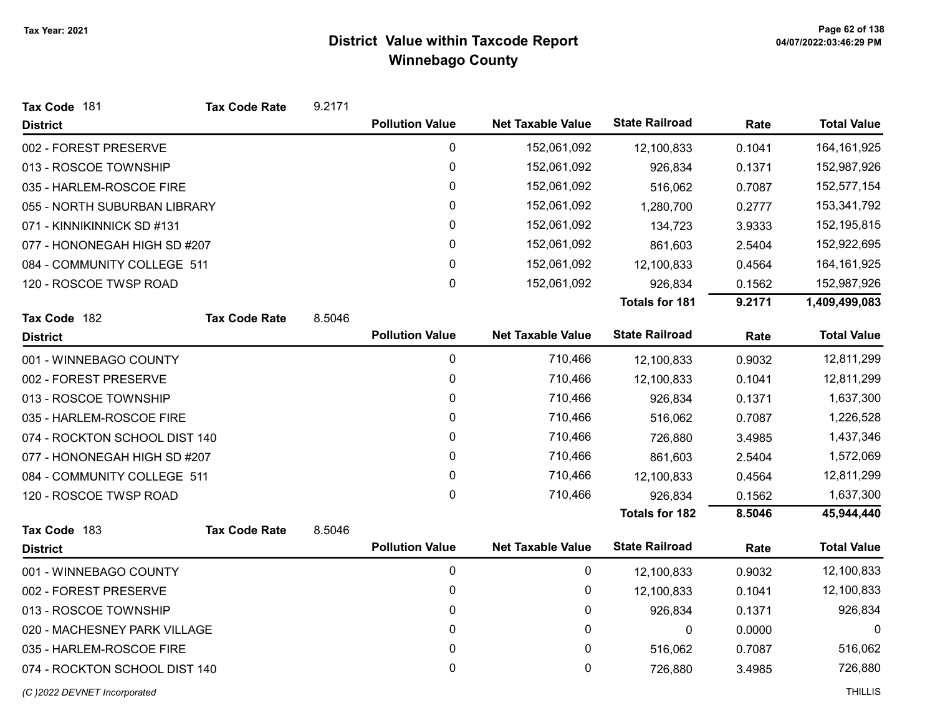| Tax Code 181                  | <b>Tax Code Rate</b> | 9.2171 |                        |                          |                       |        |                    |
|-------------------------------|----------------------|--------|------------------------|--------------------------|-----------------------|--------|--------------------|
| <b>District</b>               |                      |        | <b>Pollution Value</b> | <b>Net Taxable Value</b> | <b>State Railroad</b> | Rate   | <b>Total Value</b> |
| 002 - FOREST PRESERVE         |                      |        | 0                      | 152,061,092              | 12,100,833            | 0.1041 | 164, 161, 925      |
| 013 - ROSCOE TOWNSHIP         |                      |        | $\pmb{0}$              | 152,061,092              | 926,834               | 0.1371 | 152,987,926        |
| 035 - HARLEM-ROSCOE FIRE      |                      |        | 0                      | 152,061,092              | 516,062               | 0.7087 | 152,577,154        |
| 055 - NORTH SUBURBAN LIBRARY  |                      |        | 0                      | 152,061,092              | 1,280,700             | 0.2777 | 153,341,792        |
| 071 - KINNIKINNICK SD #131    |                      |        | 0                      | 152,061,092              | 134,723               | 3.9333 | 152,195,815        |
| 077 - HONONEGAH HIGH SD #207  |                      |        | 0                      | 152,061,092              | 861,603               | 2.5404 | 152,922,695        |
| 084 - COMMUNITY COLLEGE 511   |                      |        | 0                      | 152,061,092              | 12,100,833            | 0.4564 | 164, 161, 925      |
| 120 - ROSCOE TWSP ROAD        |                      |        | 0                      | 152,061,092              | 926,834               | 0.1562 | 152,987,926        |
|                               |                      |        |                        |                          | <b>Totals for 181</b> | 9.2171 | 1,409,499,083      |
| Tax Code 182                  | <b>Tax Code Rate</b> | 8.5046 |                        |                          |                       |        |                    |
| <b>District</b>               |                      |        | <b>Pollution Value</b> | <b>Net Taxable Value</b> | <b>State Railroad</b> | Rate   | <b>Total Value</b> |
| 001 - WINNEBAGO COUNTY        |                      |        | 0                      | 710,466                  | 12,100,833            | 0.9032 | 12,811,299         |
| 002 - FOREST PRESERVE         |                      |        | 0                      | 710,466                  | 12,100,833            | 0.1041 | 12,811,299         |
| 013 - ROSCOE TOWNSHIP         |                      |        | 0                      | 710,466                  | 926,834               | 0.1371 | 1,637,300          |
| 035 - HARLEM-ROSCOE FIRE      |                      |        | 0                      | 710,466                  | 516,062               | 0.7087 | 1,226,528          |
| 074 - ROCKTON SCHOOL DIST 140 |                      |        | 0                      | 710,466                  | 726,880               | 3.4985 | 1,437,346          |
| 077 - HONONEGAH HIGH SD #207  |                      |        | 0                      | 710,466                  | 861,603               | 2.5404 | 1,572,069          |
| 084 - COMMUNITY COLLEGE 511   |                      |        | 0                      | 710,466                  | 12,100,833            | 0.4564 | 12,811,299         |
| 120 - ROSCOE TWSP ROAD        |                      |        | 0                      | 710,466                  | 926,834               | 0.1562 | 1,637,300          |
|                               |                      |        |                        |                          | <b>Totals for 182</b> | 8.5046 | 45,944,440         |
| Tax Code 183                  | <b>Tax Code Rate</b> | 8.5046 |                        |                          |                       |        |                    |
| <b>District</b>               |                      |        | <b>Pollution Value</b> | <b>Net Taxable Value</b> | <b>State Railroad</b> | Rate   | <b>Total Value</b> |
| 001 - WINNEBAGO COUNTY        |                      |        | 0                      | 0                        | 12,100,833            | 0.9032 | 12,100,833         |
| 002 - FOREST PRESERVE         |                      |        | 0                      | 0                        | 12,100,833            | 0.1041 | 12,100,833         |
| 013 - ROSCOE TOWNSHIP         |                      |        | 0                      | 0                        | 926,834               | 0.1371 | 926,834            |
| 020 - MACHESNEY PARK VILLAGE  |                      |        | 0                      | 0                        | 0                     | 0.0000 | 0                  |
| 035 - HARLEM-ROSCOE FIRE      |                      |        | 0                      | 0                        | 516,062               | 0.7087 | 516,062            |
| 074 - ROCKTON SCHOOL DIST 140 |                      |        | $\mathbf 0$            | 0                        | 726,880               | 3.4985 | 726,880            |
| (C) 2022 DEVNET Incorporated  |                      |        |                        |                          |                       |        | <b>THILLIS</b>     |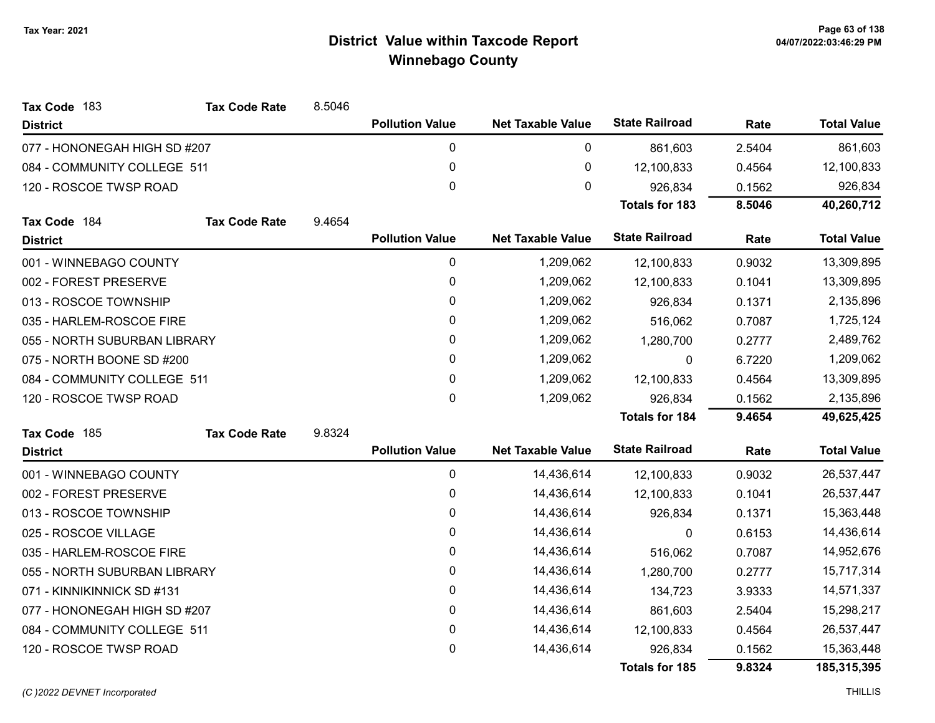| Tax Code 183                 | <b>Tax Code Rate</b> | 8.5046 |                        |                          |                       |        |                    |
|------------------------------|----------------------|--------|------------------------|--------------------------|-----------------------|--------|--------------------|
| <b>District</b>              |                      |        | <b>Pollution Value</b> | <b>Net Taxable Value</b> | <b>State Railroad</b> | Rate   | <b>Total Value</b> |
| 077 - HONONEGAH HIGH SD #207 |                      |        | 0                      | 0                        | 861,603               | 2.5404 | 861,603            |
| 084 - COMMUNITY COLLEGE 511  |                      |        | $\pmb{0}$              | $\pmb{0}$                | 12,100,833            | 0.4564 | 12,100,833         |
| 120 - ROSCOE TWSP ROAD       |                      |        | 0                      | $\mathbf 0$              | 926,834               | 0.1562 | 926,834            |
|                              |                      |        |                        |                          | <b>Totals for 183</b> | 8.5046 | 40,260,712         |
| Tax Code 184                 | <b>Tax Code Rate</b> | 9.4654 |                        |                          |                       |        |                    |
| <b>District</b>              |                      |        | <b>Pollution Value</b> | <b>Net Taxable Value</b> | <b>State Railroad</b> | Rate   | <b>Total Value</b> |
| 001 - WINNEBAGO COUNTY       |                      |        | $\pmb{0}$              | 1,209,062                | 12,100,833            | 0.9032 | 13,309,895         |
| 002 - FOREST PRESERVE        |                      |        | 0                      | 1,209,062                | 12,100,833            | 0.1041 | 13,309,895         |
| 013 - ROSCOE TOWNSHIP        |                      |        | 0                      | 1,209,062                | 926,834               | 0.1371 | 2,135,896          |
| 035 - HARLEM-ROSCOE FIRE     |                      |        | $\mathbf{0}$           | 1,209,062                | 516,062               | 0.7087 | 1,725,124          |
| 055 - NORTH SUBURBAN LIBRARY |                      |        | 0                      | 1,209,062                | 1,280,700             | 0.2777 | 2,489,762          |
| 075 - NORTH BOONE SD #200    |                      |        | 0                      | 1,209,062                | 0                     | 6.7220 | 1,209,062          |
| 084 - COMMUNITY COLLEGE 511  |                      |        | $\mathbf{0}$           | 1,209,062                | 12,100,833            | 0.4564 | 13,309,895         |
| 120 - ROSCOE TWSP ROAD       |                      |        | 0                      | 1,209,062                | 926,834               | 0.1562 | 2,135,896          |
|                              |                      |        |                        |                          | <b>Totals for 184</b> | 9.4654 | 49,625,425         |
| Tax Code 185                 | <b>Tax Code Rate</b> | 9.8324 |                        |                          |                       |        |                    |
| <b>District</b>              |                      |        | <b>Pollution Value</b> | <b>Net Taxable Value</b> | <b>State Railroad</b> | Rate   | <b>Total Value</b> |
| 001 - WINNEBAGO COUNTY       |                      |        | $\pmb{0}$              | 14,436,614               | 12,100,833            | 0.9032 | 26,537,447         |
| 002 - FOREST PRESERVE        |                      |        | $\pmb{0}$              | 14,436,614               | 12,100,833            | 0.1041 | 26,537,447         |
| 013 - ROSCOE TOWNSHIP        |                      |        | $\pmb{0}$              | 14,436,614               | 926,834               | 0.1371 | 15,363,448         |
| 025 - ROSCOE VILLAGE         |                      |        | 0                      | 14,436,614               | $\mathbf{0}$          | 0.6153 | 14,436,614         |
| 035 - HARLEM-ROSCOE FIRE     |                      |        | $\pmb{0}$              | 14,436,614               | 516,062               | 0.7087 | 14,952,676         |
| 055 - NORTH SUBURBAN LIBRARY |                      |        | 0                      | 14,436,614               | 1,280,700             | 0.2777 | 15,717,314         |
| 071 - KINNIKINNICK SD #131   |                      |        | $\pmb{0}$              | 14,436,614               | 134,723               | 3.9333 | 14,571,337         |
| 077 - HONONEGAH HIGH SD #207 |                      |        | 0                      | 14,436,614               | 861,603               | 2.5404 | 15,298,217         |
| 084 - COMMUNITY COLLEGE 511  |                      |        | $\pmb{0}$              | 14,436,614               | 12,100,833            | 0.4564 | 26,537,447         |
| 120 - ROSCOE TWSP ROAD       |                      |        | 0                      | 14,436,614               | 926,834               | 0.1562 | 15,363,448         |
|                              |                      |        |                        |                          | <b>Totals for 185</b> | 9.8324 | 185,315,395        |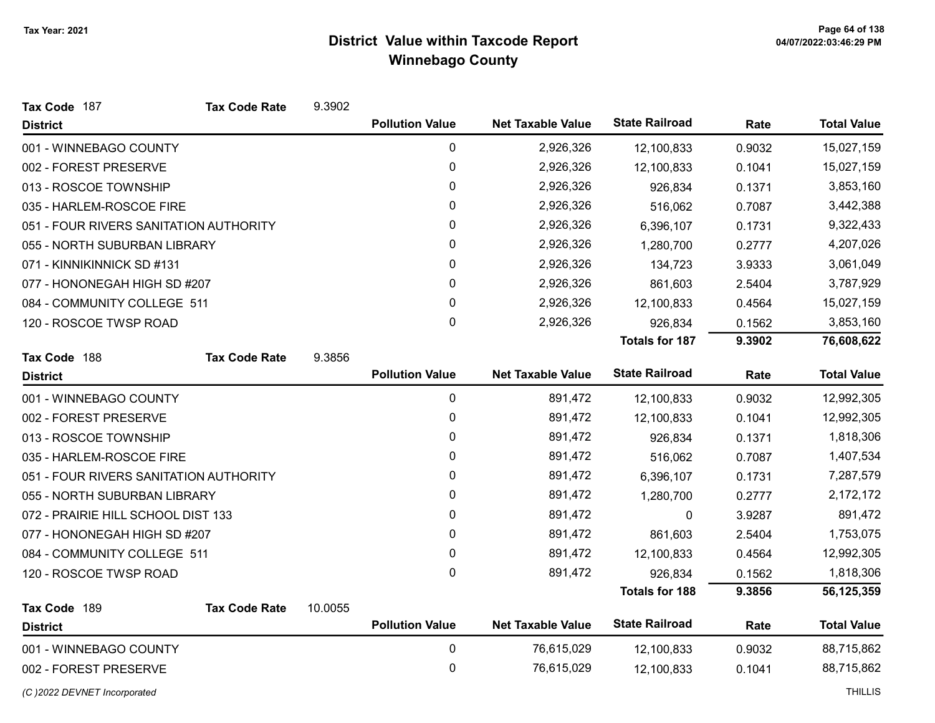| Tax Code 187                           | <b>Tax Code Rate</b> | 9.3902  |                        |                          |                       |        |                    |
|----------------------------------------|----------------------|---------|------------------------|--------------------------|-----------------------|--------|--------------------|
| <b>District</b>                        |                      |         | <b>Pollution Value</b> | <b>Net Taxable Value</b> | <b>State Railroad</b> | Rate   | <b>Total Value</b> |
| 001 - WINNEBAGO COUNTY                 |                      |         | 0                      | 2,926,326                | 12,100,833            | 0.9032 | 15,027,159         |
| 002 - FOREST PRESERVE                  |                      |         | 0                      | 2,926,326                | 12,100,833            | 0.1041 | 15,027,159         |
| 013 - ROSCOE TOWNSHIP                  |                      |         | 0                      | 2,926,326                | 926,834               | 0.1371 | 3,853,160          |
| 035 - HARLEM-ROSCOE FIRE               |                      |         | 0                      | 2,926,326                | 516,062               | 0.7087 | 3,442,388          |
| 051 - FOUR RIVERS SANITATION AUTHORITY |                      |         | 0                      | 2,926,326                | 6,396,107             | 0.1731 | 9,322,433          |
| 055 - NORTH SUBURBAN LIBRARY           |                      |         | 0                      | 2,926,326                | 1,280,700             | 0.2777 | 4,207,026          |
| 071 - KINNIKINNICK SD #131             |                      |         | 0                      | 2,926,326                | 134,723               | 3.9333 | 3,061,049          |
| 077 - HONONEGAH HIGH SD #207           |                      |         | $\mathbf{0}$           | 2,926,326                | 861,603               | 2.5404 | 3,787,929          |
| 084 - COMMUNITY COLLEGE 511            |                      |         | $\mathbf 0$            | 2,926,326                | 12,100,833            | 0.4564 | 15,027,159         |
| 120 - ROSCOE TWSP ROAD                 |                      |         | $\mathbf{0}$           | 2,926,326                | 926,834               | 0.1562 | 3,853,160          |
|                                        |                      |         |                        |                          | <b>Totals for 187</b> | 9.3902 | 76,608,622         |
| Tax Code 188                           | <b>Tax Code Rate</b> | 9.3856  |                        |                          |                       |        |                    |
| <b>District</b>                        |                      |         | <b>Pollution Value</b> | <b>Net Taxable Value</b> | <b>State Railroad</b> | Rate   | <b>Total Value</b> |
| 001 - WINNEBAGO COUNTY                 |                      |         | 0                      | 891,472                  | 12,100,833            | 0.9032 | 12,992,305         |
| 002 - FOREST PRESERVE                  |                      |         | 0                      | 891,472                  | 12,100,833            | 0.1041 | 12,992,305         |
| 013 - ROSCOE TOWNSHIP                  |                      |         | $\pmb{0}$              | 891,472                  | 926,834               | 0.1371 | 1,818,306          |
| 035 - HARLEM-ROSCOE FIRE               |                      |         | 0                      | 891,472                  | 516,062               | 0.7087 | 1,407,534          |
| 051 - FOUR RIVERS SANITATION AUTHORITY |                      |         | $\pmb{0}$              | 891,472                  | 6,396,107             | 0.1731 | 7,287,579          |
| 055 - NORTH SUBURBAN LIBRARY           |                      |         | $\mathbf{0}$           | 891,472                  | 1,280,700             | 0.2777 | 2,172,172          |
| 072 - PRAIRIE HILL SCHOOL DIST 133     |                      |         | 0                      | 891,472                  | 0                     | 3.9287 | 891,472            |
| 077 - HONONEGAH HIGH SD #207           |                      |         | $\mathbf{0}$           | 891,472                  | 861,603               | 2.5404 | 1,753,075          |
| 084 - COMMUNITY COLLEGE 511            |                      |         | $\mathbf 0$            | 891,472                  | 12,100,833            | 0.4564 | 12,992,305         |
| 120 - ROSCOE TWSP ROAD                 |                      |         | $\mathbf 0$            | 891,472                  | 926,834               | 0.1562 | 1,818,306          |
|                                        |                      |         |                        |                          | <b>Totals for 188</b> | 9.3856 | 56,125,359         |
| Tax Code 189                           | <b>Tax Code Rate</b> | 10.0055 |                        |                          |                       |        |                    |
| <b>District</b>                        |                      |         | <b>Pollution Value</b> | <b>Net Taxable Value</b> | <b>State Railroad</b> | Rate   | <b>Total Value</b> |
| 001 - WINNEBAGO COUNTY                 |                      |         | 0                      | 76,615,029               | 12,100,833            | 0.9032 | 88,715,862         |
| 002 - FOREST PRESERVE                  |                      |         | 0                      | 76,615,029               | 12,100,833            | 0.1041 | 88,715,862         |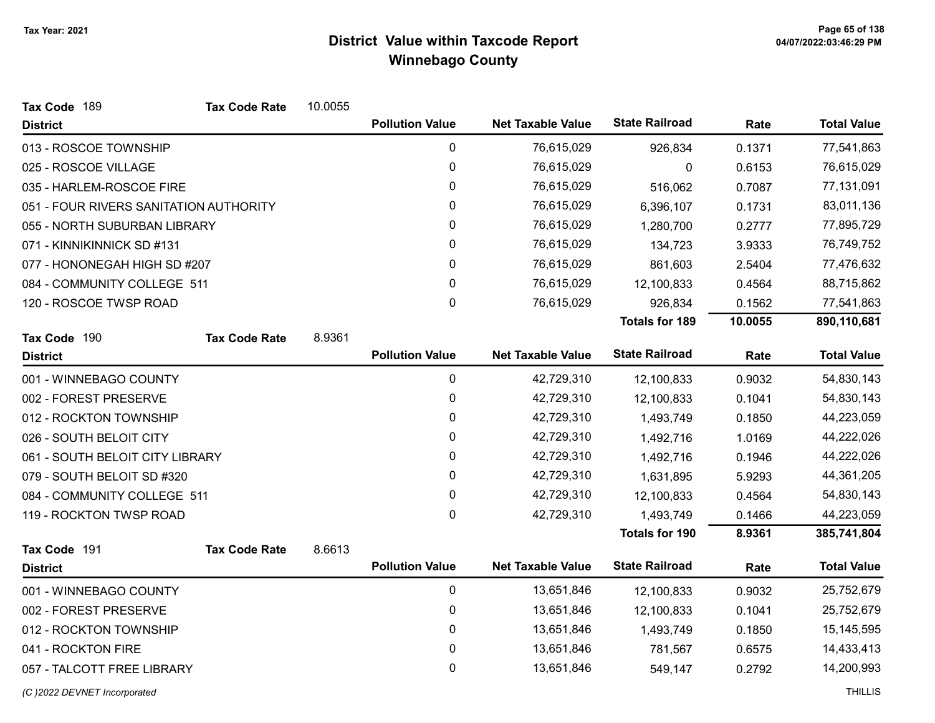| Tax Code 189<br><b>Tax Code Rate</b>   | 10.0055 |                        |                          |                       |         |                    |
|----------------------------------------|---------|------------------------|--------------------------|-----------------------|---------|--------------------|
| <b>District</b>                        |         | <b>Pollution Value</b> | <b>Net Taxable Value</b> | <b>State Railroad</b> | Rate    | <b>Total Value</b> |
| 013 - ROSCOE TOWNSHIP                  |         | $\mathbf 0$            | 76,615,029               | 926,834               | 0.1371  | 77,541,863         |
| 025 - ROSCOE VILLAGE                   |         | $\boldsymbol{0}$       | 76,615,029               | 0                     | 0.6153  | 76,615,029         |
| 035 - HARLEM-ROSCOE FIRE               |         | 0                      | 76,615,029               | 516,062               | 0.7087  | 77,131,091         |
| 051 - FOUR RIVERS SANITATION AUTHORITY |         | $\pmb{0}$              | 76,615,029               | 6,396,107             | 0.1731  | 83,011,136         |
| 055 - NORTH SUBURBAN LIBRARY           |         | 0                      | 76,615,029               | 1,280,700             | 0.2777  | 77,895,729         |
| 071 - KINNIKINNICK SD #131             |         | 0                      | 76,615,029               | 134,723               | 3.9333  | 76,749,752         |
| 077 - HONONEGAH HIGH SD #207           |         | 0                      | 76,615,029               | 861,603               | 2.5404  | 77,476,632         |
| 084 - COMMUNITY COLLEGE 511            |         | 0                      | 76,615,029               | 12,100,833            | 0.4564  | 88,715,862         |
| 120 - ROSCOE TWSP ROAD                 |         | $\mathbf 0$            | 76,615,029               | 926,834               | 0.1562  | 77,541,863         |
|                                        |         |                        |                          | <b>Totals for 189</b> | 10.0055 | 890,110,681        |
| Tax Code 190<br><b>Tax Code Rate</b>   | 8.9361  |                        |                          |                       |         |                    |
| <b>District</b>                        |         | <b>Pollution Value</b> | <b>Net Taxable Value</b> | <b>State Railroad</b> | Rate    | <b>Total Value</b> |
| 001 - WINNEBAGO COUNTY                 |         | $\mathbf 0$            | 42,729,310               | 12,100,833            | 0.9032  | 54,830,143         |
| 002 - FOREST PRESERVE                  |         | $\pmb{0}$              | 42,729,310               | 12,100,833            | 0.1041  | 54,830,143         |
| 012 - ROCKTON TOWNSHIP                 |         | 0                      | 42,729,310               | 1,493,749             | 0.1850  | 44,223,059         |
| 026 - SOUTH BELOIT CITY                |         | $\pmb{0}$              | 42,729,310               | 1,492,716             | 1.0169  | 44,222,026         |
| 061 - SOUTH BELOIT CITY LIBRARY        |         | $\pmb{0}$              | 42,729,310               | 1,492,716             | 0.1946  | 44,222,026         |
| 079 - SOUTH BELOIT SD #320             |         | 0                      | 42,729,310               | 1,631,895             | 5.9293  | 44,361,205         |
| 084 - COMMUNITY COLLEGE 511            |         | $\pmb{0}$              | 42,729,310               | 12,100,833            | 0.4564  | 54,830,143         |
| 119 - ROCKTON TWSP ROAD                |         | 0                      | 42,729,310               | 1,493,749             | 0.1466  | 44,223,059         |
|                                        |         |                        |                          | <b>Totals for 190</b> | 8.9361  | 385,741,804        |
| Tax Code 191<br><b>Tax Code Rate</b>   | 8.6613  |                        |                          |                       |         |                    |
| <b>District</b>                        |         | <b>Pollution Value</b> | <b>Net Taxable Value</b> | <b>State Railroad</b> | Rate    | <b>Total Value</b> |
| 001 - WINNEBAGO COUNTY                 |         | $\mathbf 0$            | 13,651,846               | 12,100,833            | 0.9032  | 25,752,679         |
| 002 - FOREST PRESERVE                  |         | $\pmb{0}$              | 13,651,846               | 12,100,833            | 0.1041  | 25,752,679         |
| 012 - ROCKTON TOWNSHIP                 |         | $\pmb{0}$              | 13,651,846               | 1,493,749             | 0.1850  | 15,145,595         |
| 041 - ROCKTON FIRE                     |         | 0                      | 13,651,846               | 781,567               | 0.6575  | 14,433,413         |
| 057 - TALCOTT FREE LIBRARY             |         | 0                      | 13,651,846               | 549,147               | 0.2792  | 14,200,993         |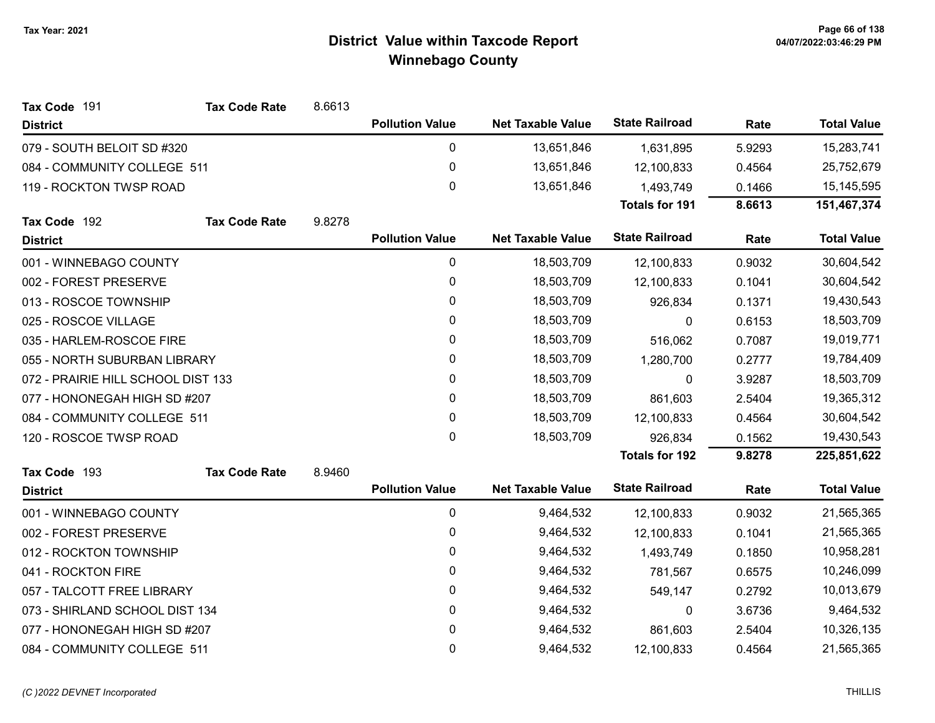| Tax Code 191                       | <b>Tax Code Rate</b> | 8.6613 |                        |                          |                       |        |                    |
|------------------------------------|----------------------|--------|------------------------|--------------------------|-----------------------|--------|--------------------|
| <b>District</b>                    |                      |        | <b>Pollution Value</b> | <b>Net Taxable Value</b> | <b>State Railroad</b> | Rate   | <b>Total Value</b> |
| 079 - SOUTH BELOIT SD #320         |                      |        | 0                      | 13,651,846               | 1,631,895             | 5.9293 | 15,283,741         |
| 084 - COMMUNITY COLLEGE 511        |                      |        | $\pmb{0}$              | 13,651,846               | 12,100,833            | 0.4564 | 25,752,679         |
| 119 - ROCKTON TWSP ROAD            |                      |        | 0                      | 13,651,846               | 1,493,749             | 0.1466 | 15,145,595         |
|                                    |                      |        |                        |                          | <b>Totals for 191</b> | 8.6613 | 151,467,374        |
| Tax Code 192                       | <b>Tax Code Rate</b> | 9.8278 |                        |                          |                       |        |                    |
| <b>District</b>                    |                      |        | <b>Pollution Value</b> | <b>Net Taxable Value</b> | <b>State Railroad</b> | Rate   | <b>Total Value</b> |
| 001 - WINNEBAGO COUNTY             |                      |        | 0                      | 18,503,709               | 12,100,833            | 0.9032 | 30,604,542         |
| 002 - FOREST PRESERVE              |                      |        | 0                      | 18,503,709               | 12,100,833            | 0.1041 | 30,604,542         |
| 013 - ROSCOE TOWNSHIP              |                      |        | 0                      | 18,503,709               | 926,834               | 0.1371 | 19,430,543         |
| 025 - ROSCOE VILLAGE               |                      |        | 0                      | 18,503,709               | 0                     | 0.6153 | 18,503,709         |
| 035 - HARLEM-ROSCOE FIRE           |                      |        | 0                      | 18,503,709               | 516,062               | 0.7087 | 19,019,771         |
| 055 - NORTH SUBURBAN LIBRARY       |                      |        | 0                      | 18,503,709               | 1,280,700             | 0.2777 | 19,784,409         |
| 072 - PRAIRIE HILL SCHOOL DIST 133 |                      |        | $\mathbf 0$            | 18,503,709               | 0                     | 3.9287 | 18,503,709         |
| 077 - HONONEGAH HIGH SD #207       |                      |        | 0                      | 18,503,709               | 861,603               | 2.5404 | 19,365,312         |
| 084 - COMMUNITY COLLEGE 511        |                      |        | 0                      | 18,503,709               | 12,100,833            | 0.4564 | 30,604,542         |
| 120 - ROSCOE TWSP ROAD             |                      |        | $\mathbf 0$            | 18,503,709               | 926,834               | 0.1562 | 19,430,543         |
|                                    |                      |        |                        |                          | <b>Totals for 192</b> | 9.8278 | 225,851,622        |
| Tax Code 193                       | <b>Tax Code Rate</b> | 8.9460 |                        |                          |                       |        |                    |
| <b>District</b>                    |                      |        | <b>Pollution Value</b> | <b>Net Taxable Value</b> | <b>State Railroad</b> | Rate   | <b>Total Value</b> |
| 001 - WINNEBAGO COUNTY             |                      |        | 0                      | 9,464,532                | 12,100,833            | 0.9032 | 21,565,365         |
| 002 - FOREST PRESERVE              |                      |        | 0                      | 9,464,532                | 12,100,833            | 0.1041 | 21,565,365         |
| 012 - ROCKTON TOWNSHIP             |                      |        | 0                      | 9,464,532                | 1,493,749             | 0.1850 | 10,958,281         |
| 041 - ROCKTON FIRE                 |                      |        | 0                      | 9,464,532                | 781,567               | 0.6575 | 10,246,099         |
| 057 - TALCOTT FREE LIBRARY         |                      |        | 0                      | 9,464,532                | 549,147               | 0.2792 | 10,013,679         |
| 073 - SHIRLAND SCHOOL DIST 134     |                      |        | 0                      | 9,464,532                | 0                     | 3.6736 | 9,464,532          |
| 077 - HONONEGAH HIGH SD #207       |                      |        | 0                      | 9,464,532                | 861,603               | 2.5404 | 10,326,135         |
| 084 - COMMUNITY COLLEGE 511        |                      |        | $\mathbf 0$            | 9,464,532                | 12,100,833            | 0.4564 | 21,565,365         |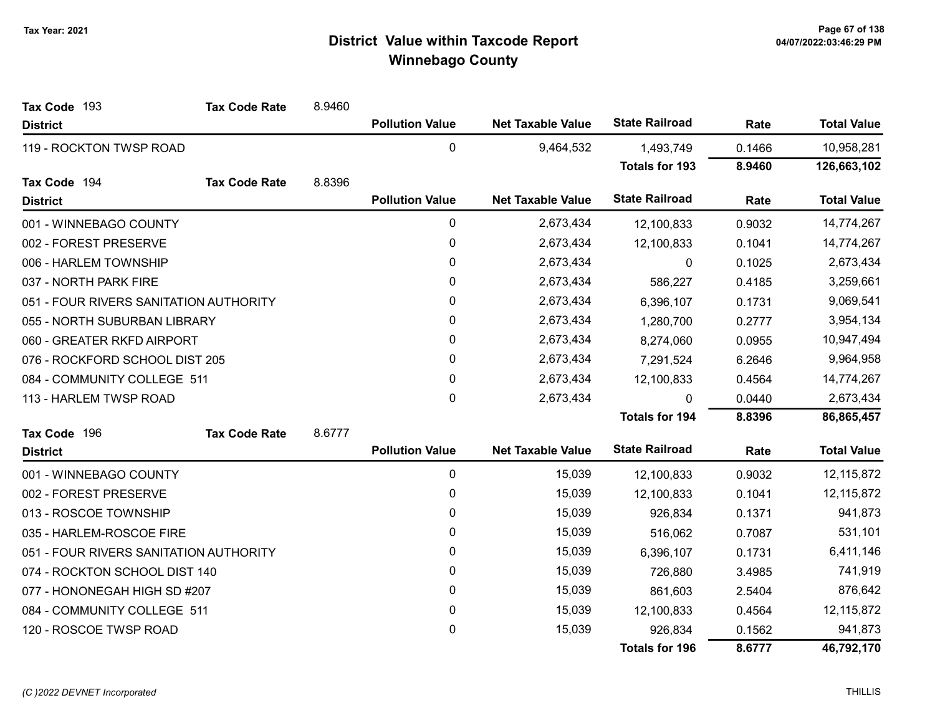| Tax Code 193                           | <b>Tax Code Rate</b> | 8.9460 |                        |                          |                       |        |                    |
|----------------------------------------|----------------------|--------|------------------------|--------------------------|-----------------------|--------|--------------------|
| <b>District</b>                        |                      |        | <b>Pollution Value</b> | <b>Net Taxable Value</b> | <b>State Railroad</b> | Rate   | <b>Total Value</b> |
| 119 - ROCKTON TWSP ROAD                |                      |        | 0                      | 9,464,532                | 1,493,749             | 0.1466 | 10,958,281         |
|                                        |                      |        |                        |                          | <b>Totals for 193</b> | 8.9460 | 126,663,102        |
| Tax Code 194                           | <b>Tax Code Rate</b> | 8.8396 |                        |                          |                       |        |                    |
| <b>District</b>                        |                      |        | <b>Pollution Value</b> | <b>Net Taxable Value</b> | <b>State Railroad</b> | Rate   | <b>Total Value</b> |
| 001 - WINNEBAGO COUNTY                 |                      |        | 0                      | 2,673,434                | 12,100,833            | 0.9032 | 14,774,267         |
| 002 - FOREST PRESERVE                  |                      |        | 0                      | 2,673,434                | 12,100,833            | 0.1041 | 14,774,267         |
| 006 - HARLEM TOWNSHIP                  |                      |        | $\pmb{0}$              | 2,673,434                | 0                     | 0.1025 | 2,673,434          |
| 037 - NORTH PARK FIRE                  |                      |        | 0                      | 2,673,434                | 586,227               | 0.4185 | 3,259,661          |
| 051 - FOUR RIVERS SANITATION AUTHORITY |                      |        | 0                      | 2,673,434                | 6,396,107             | 0.1731 | 9,069,541          |
| 055 - NORTH SUBURBAN LIBRARY           |                      |        | 0                      | 2,673,434                | 1,280,700             | 0.2777 | 3,954,134          |
| 060 - GREATER RKFD AIRPORT             |                      |        | 0                      | 2,673,434                | 8,274,060             | 0.0955 | 10,947,494         |
| 076 - ROCKFORD SCHOOL DIST 205         |                      |        | 0                      | 2,673,434                | 7,291,524             | 6.2646 | 9,964,958          |
| 084 - COMMUNITY COLLEGE 511            |                      |        | 0                      | 2,673,434                | 12,100,833            | 0.4564 | 14,774,267         |
| 113 - HARLEM TWSP ROAD                 |                      |        | $\pmb{0}$              | 2,673,434                | $\Omega$              | 0.0440 | 2,673,434          |
|                                        |                      |        |                        |                          | <b>Totals for 194</b> | 8.8396 | 86,865,457         |
| Tax Code 196                           | <b>Tax Code Rate</b> | 8.6777 |                        |                          |                       |        |                    |
| <b>District</b>                        |                      |        | <b>Pollution Value</b> | <b>Net Taxable Value</b> | <b>State Railroad</b> | Rate   | <b>Total Value</b> |
| 001 - WINNEBAGO COUNTY                 |                      |        | 0                      | 15,039                   | 12,100,833            | 0.9032 | 12,115,872         |
| 002 - FOREST PRESERVE                  |                      |        | 0                      | 15,039                   | 12,100,833            | 0.1041 | 12,115,872         |
| 013 - ROSCOE TOWNSHIP                  |                      |        | 0                      | 15,039                   | 926,834               | 0.1371 | 941,873            |
| 035 - HARLEM-ROSCOE FIRE               |                      |        | $\mathbf{0}$           | 15,039                   | 516,062               | 0.7087 | 531,101            |
| 051 - FOUR RIVERS SANITATION AUTHORITY |                      |        | $\mathbf{0}$           | 15,039                   | 6,396,107             | 0.1731 | 6,411,146          |
| 074 - ROCKTON SCHOOL DIST 140          |                      |        | $\mathbf{0}$           | 15,039                   | 726,880               | 3.4985 | 741,919            |
| 077 - HONONEGAH HIGH SD #207           |                      |        | 0                      | 15,039                   | 861,603               | 2.5404 | 876,642            |
| 084 - COMMUNITY COLLEGE 511            |                      |        | 0                      | 15,039                   | 12,100,833            | 0.4564 | 12,115,872         |
| 120 - ROSCOE TWSP ROAD                 |                      |        | 0                      | 15,039                   | 926,834               | 0.1562 | 941,873            |
|                                        |                      |        |                        |                          | <b>Totals for 196</b> | 8.6777 | 46,792,170         |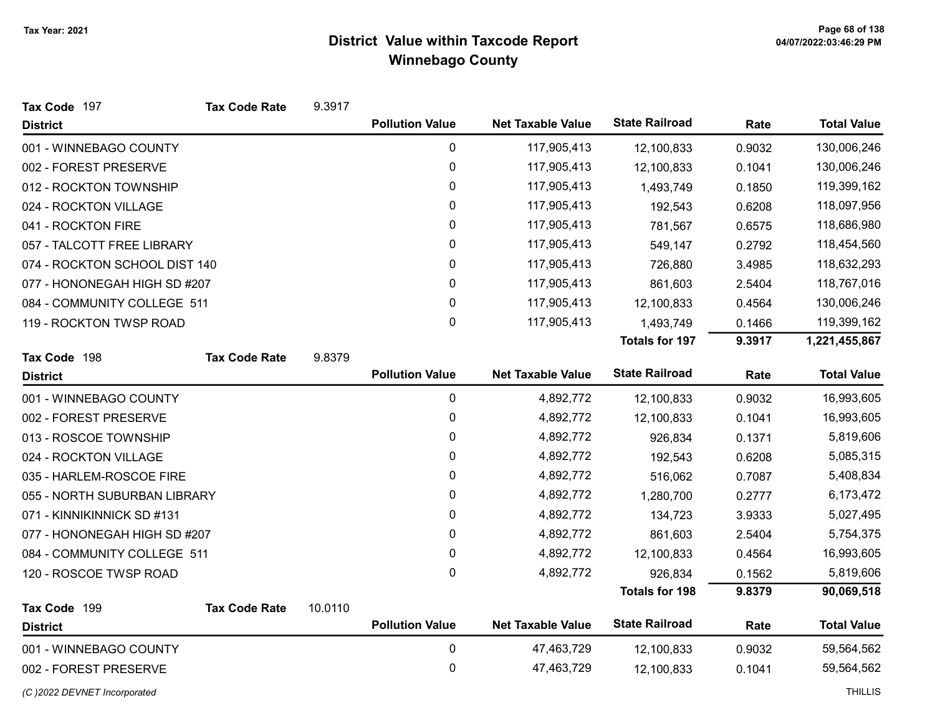| Tax Code 197                  | <b>Tax Code Rate</b> | 9.3917  |                        |                          |                       |        |                    |
|-------------------------------|----------------------|---------|------------------------|--------------------------|-----------------------|--------|--------------------|
| <b>District</b>               |                      |         | <b>Pollution Value</b> | <b>Net Taxable Value</b> | <b>State Railroad</b> | Rate   | <b>Total Value</b> |
| 001 - WINNEBAGO COUNTY        |                      |         | 0                      | 117,905,413              | 12,100,833            | 0.9032 | 130,006,246        |
| 002 - FOREST PRESERVE         |                      |         | 0                      | 117,905,413              | 12,100,833            | 0.1041 | 130,006,246        |
| 012 - ROCKTON TOWNSHIP        |                      |         | 0                      | 117,905,413              | 1,493,749             | 0.1850 | 119,399,162        |
| 024 - ROCKTON VILLAGE         |                      |         | 0                      | 117,905,413              | 192,543               | 0.6208 | 118,097,956        |
| 041 - ROCKTON FIRE            |                      |         | $\mathbf 0$            | 117,905,413              | 781,567               | 0.6575 | 118,686,980        |
| 057 - TALCOTT FREE LIBRARY    |                      |         | 0                      | 117,905,413              | 549,147               | 0.2792 | 118,454,560        |
| 074 - ROCKTON SCHOOL DIST 140 |                      |         | 0                      | 117,905,413              | 726,880               | 3.4985 | 118,632,293        |
| 077 - HONONEGAH HIGH SD #207  |                      |         | 0                      | 117,905,413              | 861,603               | 2.5404 | 118,767,016        |
| 084 - COMMUNITY COLLEGE 511   |                      |         | $\mathbf 0$            | 117,905,413              | 12,100,833            | 0.4564 | 130,006,246        |
| 119 - ROCKTON TWSP ROAD       |                      |         | $\mathbf{0}$           | 117,905,413              | 1,493,749             | 0.1466 | 119,399,162        |
|                               |                      |         |                        |                          | Totals for 197        | 9.3917 | 1,221,455,867      |
| Tax Code 198                  | <b>Tax Code Rate</b> | 9.8379  |                        |                          |                       |        |                    |
| <b>District</b>               |                      |         | <b>Pollution Value</b> | <b>Net Taxable Value</b> | <b>State Railroad</b> | Rate   | <b>Total Value</b> |
| 001 - WINNEBAGO COUNTY        |                      |         | 0                      | 4,892,772                | 12,100,833            | 0.9032 | 16,993,605         |
| 002 - FOREST PRESERVE         |                      |         | 0                      | 4,892,772                | 12,100,833            | 0.1041 | 16,993,605         |
| 013 - ROSCOE TOWNSHIP         |                      |         | $\pmb{0}$              | 4,892,772                | 926,834               | 0.1371 | 5,819,606          |
| 024 - ROCKTON VILLAGE         |                      |         | 0                      | 4,892,772                | 192,543               | 0.6208 | 5,085,315          |
| 035 - HARLEM-ROSCOE FIRE      |                      |         | $\mathbf 0$            | 4,892,772                | 516,062               | 0.7087 | 5,408,834          |
| 055 - NORTH SUBURBAN LIBRARY  |                      |         | 0                      | 4,892,772                | 1,280,700             | 0.2777 | 6,173,472          |
| 071 - KINNIKINNICK SD #131    |                      |         | 0                      | 4,892,772                | 134,723               | 3.9333 | 5,027,495          |
| 077 - HONONEGAH HIGH SD #207  |                      |         | 0                      | 4,892,772                | 861,603               | 2.5404 | 5,754,375          |
| 084 - COMMUNITY COLLEGE 511   |                      |         | $\mathbf 0$            | 4,892,772                | 12,100,833            | 0.4564 | 16,993,605         |
| 120 - ROSCOE TWSP ROAD        |                      |         | $\mathbf 0$            | 4,892,772                | 926,834               | 0.1562 | 5,819,606          |
|                               |                      |         |                        |                          | <b>Totals for 198</b> | 9.8379 | 90,069,518         |
| Tax Code 199                  | <b>Tax Code Rate</b> | 10.0110 | <b>Pollution Value</b> | <b>Net Taxable Value</b> | <b>State Railroad</b> | Rate   | <b>Total Value</b> |
| <b>District</b>               |                      |         |                        |                          |                       |        |                    |
| 001 - WINNEBAGO COUNTY        |                      |         | $\pmb{0}$              | 47,463,729               | 12,100,833            | 0.9032 | 59,564,562         |
| 002 - FOREST PRESERVE         |                      |         | $\mathbf 0$            | 47,463,729               | 12,100,833            | 0.1041 | 59,564,562         |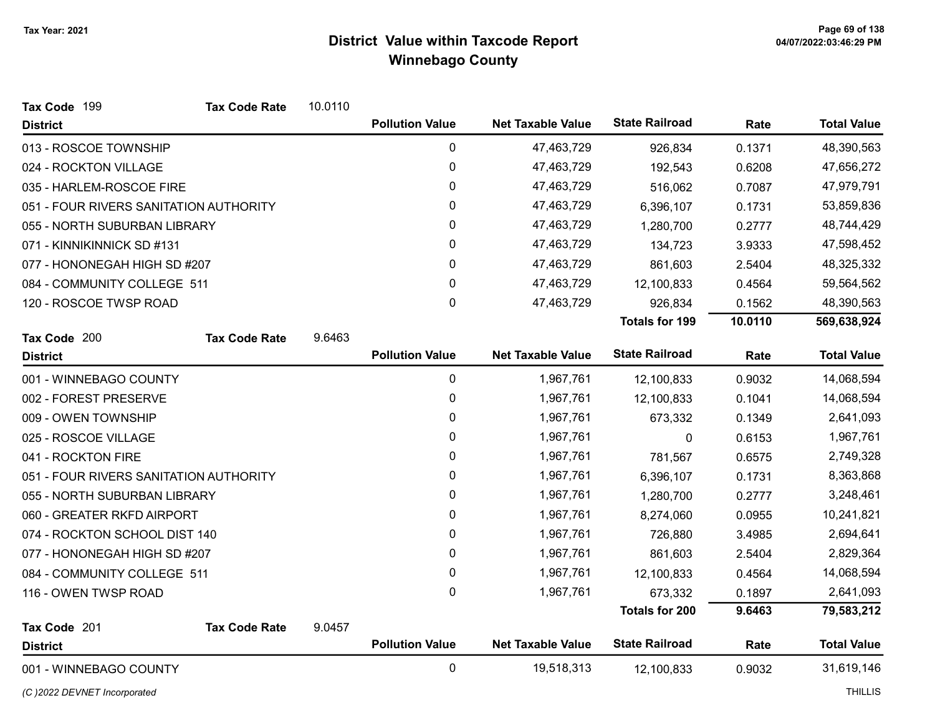| Tax Code 199                           | <b>Tax Code Rate</b> | 10.0110 |                        |                          |                       |         |                    |
|----------------------------------------|----------------------|---------|------------------------|--------------------------|-----------------------|---------|--------------------|
| <b>District</b>                        |                      |         | <b>Pollution Value</b> | <b>Net Taxable Value</b> | <b>State Railroad</b> | Rate    | <b>Total Value</b> |
| 013 - ROSCOE TOWNSHIP                  |                      |         | 0                      | 47,463,729               | 926,834               | 0.1371  | 48,390,563         |
| 024 - ROCKTON VILLAGE                  |                      |         | $\boldsymbol{0}$       | 47,463,729               | 192,543               | 0.6208  | 47,656,272         |
| 035 - HARLEM-ROSCOE FIRE               |                      |         | 0                      | 47,463,729               | 516,062               | 0.7087  | 47,979,791         |
| 051 - FOUR RIVERS SANITATION AUTHORITY |                      |         | 0                      | 47,463,729               | 6,396,107             | 0.1731  | 53,859,836         |
| 055 - NORTH SUBURBAN LIBRARY           |                      |         | 0                      | 47,463,729               | 1,280,700             | 0.2777  | 48,744,429         |
| 071 - KINNIKINNICK SD #131             |                      |         | 0                      | 47,463,729               | 134,723               | 3.9333  | 47,598,452         |
| 077 - HONONEGAH HIGH SD #207           |                      |         | 0                      | 47,463,729               | 861,603               | 2.5404  | 48,325,332         |
| 084 - COMMUNITY COLLEGE 511            |                      |         | 0                      | 47,463,729               | 12,100,833            | 0.4564  | 59,564,562         |
| 120 - ROSCOE TWSP ROAD                 |                      |         | 0                      | 47,463,729               | 926,834               | 0.1562  | 48,390,563         |
|                                        |                      |         |                        |                          | <b>Totals for 199</b> | 10.0110 | 569,638,924        |
| Tax Code 200                           | <b>Tax Code Rate</b> | 9.6463  |                        |                          |                       |         |                    |
| <b>District</b>                        |                      |         | <b>Pollution Value</b> | <b>Net Taxable Value</b> | <b>State Railroad</b> | Rate    | <b>Total Value</b> |
| 001 - WINNEBAGO COUNTY                 |                      |         | $\pmb{0}$              | 1,967,761                | 12,100,833            | 0.9032  | 14,068,594         |
| 002 - FOREST PRESERVE                  |                      |         | 0                      | 1,967,761                | 12,100,833            | 0.1041  | 14,068,594         |
| 009 - OWEN TOWNSHIP                    |                      |         | $\pmb{0}$              | 1,967,761                | 673,332               | 0.1349  | 2,641,093          |
| 025 - ROSCOE VILLAGE                   |                      |         | 0                      | 1,967,761                | 0                     | 0.6153  | 1,967,761          |
| 041 - ROCKTON FIRE                     |                      |         | 0                      | 1,967,761                | 781,567               | 0.6575  | 2,749,328          |
| 051 - FOUR RIVERS SANITATION AUTHORITY |                      |         | 0                      | 1,967,761                | 6,396,107             | 0.1731  | 8,363,868          |
| 055 - NORTH SUBURBAN LIBRARY           |                      |         | 0                      | 1,967,761                | 1,280,700             | 0.2777  | 3,248,461          |
| 060 - GREATER RKFD AIRPORT             |                      |         | 0                      | 1,967,761                | 8,274,060             | 0.0955  | 10,241,821         |
| 074 - ROCKTON SCHOOL DIST 140          |                      |         | 0                      | 1,967,761                | 726,880               | 3.4985  | 2,694,641          |
| 077 - HONONEGAH HIGH SD #207           |                      |         | $\pmb{0}$              | 1,967,761                | 861,603               | 2.5404  | 2,829,364          |
| 084 - COMMUNITY COLLEGE 511            |                      |         | $\pmb{0}$              | 1,967,761                | 12,100,833            | 0.4564  | 14,068,594         |
| 116 - OWEN TWSP ROAD                   |                      |         | 0                      | 1,967,761                | 673,332               | 0.1897  | 2,641,093          |
|                                        |                      |         |                        |                          | <b>Totals for 200</b> | 9.6463  | 79,583,212         |
| Tax Code 201                           | <b>Tax Code Rate</b> | 9.0457  |                        |                          |                       |         |                    |
| <b>District</b>                        |                      |         | <b>Pollution Value</b> | <b>Net Taxable Value</b> | <b>State Railroad</b> | Rate    | <b>Total Value</b> |
| 001 - WINNEBAGO COUNTY                 |                      |         | $\mathbf 0$            | 19,518,313               | 12,100,833            | 0.9032  | 31,619,146         |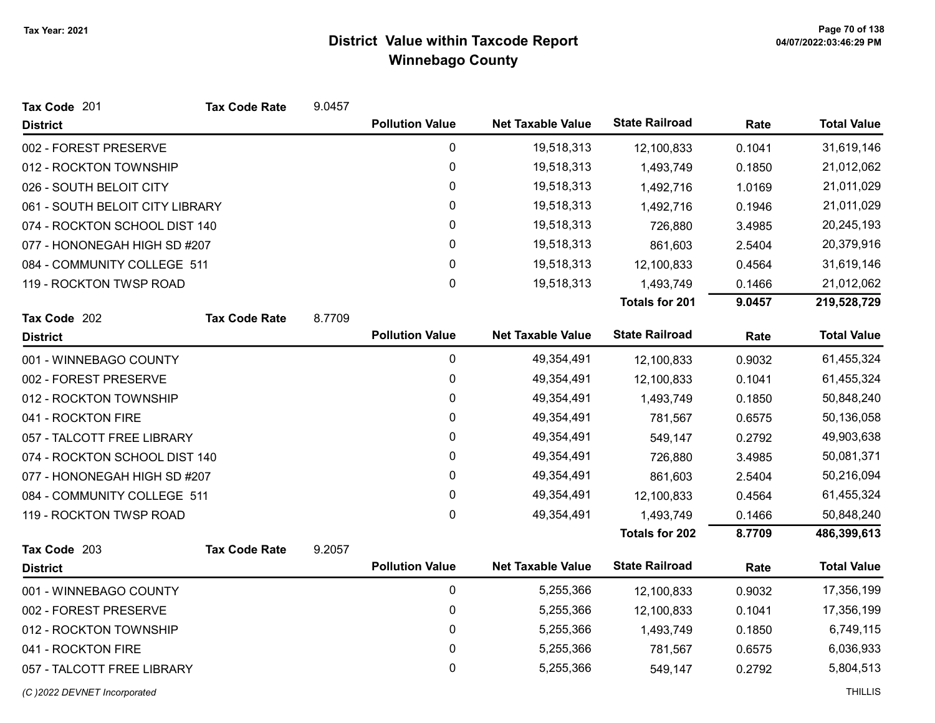| Tax Code 201                    | <b>Tax Code Rate</b> | 9.0457 |                        |                          |                       |        |                    |
|---------------------------------|----------------------|--------|------------------------|--------------------------|-----------------------|--------|--------------------|
| <b>District</b>                 |                      |        | <b>Pollution Value</b> | <b>Net Taxable Value</b> | <b>State Railroad</b> | Rate   | <b>Total Value</b> |
| 002 - FOREST PRESERVE           |                      |        | $\mathbf 0$            | 19,518,313               | 12,100,833            | 0.1041 | 31,619,146         |
| 012 - ROCKTON TOWNSHIP          |                      |        | 0                      | 19,518,313               | 1,493,749             | 0.1850 | 21,012,062         |
| 026 - SOUTH BELOIT CITY         |                      |        | 0                      | 19,518,313               | 1,492,716             | 1.0169 | 21,011,029         |
| 061 - SOUTH BELOIT CITY LIBRARY |                      |        | $\mathbf 0$            | 19,518,313               | 1,492,716             | 0.1946 | 21,011,029         |
| 074 - ROCKTON SCHOOL DIST 140   |                      |        | 0                      | 19,518,313               | 726,880               | 3.4985 | 20,245,193         |
| 077 - HONONEGAH HIGH SD #207    |                      |        | 0                      | 19,518,313               | 861,603               | 2.5404 | 20,379,916         |
| 084 - COMMUNITY COLLEGE 511     |                      |        | 0                      | 19,518,313               | 12,100,833            | 0.4564 | 31,619,146         |
| 119 - ROCKTON TWSP ROAD         |                      |        | $\mathbf 0$            | 19,518,313               | 1,493,749             | 0.1466 | 21,012,062         |
|                                 |                      |        |                        |                          | <b>Totals for 201</b> | 9.0457 | 219,528,729        |
| Tax Code 202                    | <b>Tax Code Rate</b> | 8.7709 |                        |                          |                       |        |                    |
| <b>District</b>                 |                      |        | <b>Pollution Value</b> | <b>Net Taxable Value</b> | <b>State Railroad</b> | Rate   | <b>Total Value</b> |
| 001 - WINNEBAGO COUNTY          |                      |        | $\mathbf 0$            | 49,354,491               | 12,100,833            | 0.9032 | 61,455,324         |
| 002 - FOREST PRESERVE           |                      |        | 0                      | 49,354,491               | 12,100,833            | 0.1041 | 61,455,324         |
| 012 - ROCKTON TOWNSHIP          |                      |        | $\mathbf 0$            | 49,354,491               | 1,493,749             | 0.1850 | 50,848,240         |
| 041 - ROCKTON FIRE              |                      |        | 0                      | 49,354,491               | 781,567               | 0.6575 | 50,136,058         |
| 057 - TALCOTT FREE LIBRARY      |                      |        | 0                      | 49,354,491               | 549,147               | 0.2792 | 49,903,638         |
| 074 - ROCKTON SCHOOL DIST 140   |                      |        | 0                      | 49,354,491               | 726,880               | 3.4985 | 50,081,371         |
| 077 - HONONEGAH HIGH SD #207    |                      |        | 0                      | 49,354,491               | 861,603               | 2.5404 | 50,216,094         |
| 084 - COMMUNITY COLLEGE 511     |                      |        | 0                      | 49,354,491               | 12,100,833            | 0.4564 | 61,455,324         |
| 119 - ROCKTON TWSP ROAD         |                      |        | 0                      | 49,354,491               | 1,493,749             | 0.1466 | 50,848,240         |
|                                 |                      |        |                        |                          | <b>Totals for 202</b> | 8.7709 | 486,399,613        |
| Tax Code 203                    | <b>Tax Code Rate</b> | 9.2057 |                        |                          |                       |        |                    |
| <b>District</b>                 |                      |        | <b>Pollution Value</b> | <b>Net Taxable Value</b> | <b>State Railroad</b> | Rate   | <b>Total Value</b> |
| 001 - WINNEBAGO COUNTY          |                      |        | $\mathbf 0$            | 5,255,366                | 12,100,833            | 0.9032 | 17,356,199         |
| 002 - FOREST PRESERVE           |                      |        | 0                      | 5,255,366                | 12,100,833            | 0.1041 | 17,356,199         |
| 012 - ROCKTON TOWNSHIP          |                      |        | $\pmb{0}$              | 5,255,366                | 1,493,749             | 0.1850 | 6,749,115          |
| 041 - ROCKTON FIRE              |                      |        | 0                      | 5,255,366                | 781,567               | 0.6575 | 6,036,933          |
| 057 - TALCOTT FREE LIBRARY      |                      |        | 0                      | 5,255,366                | 549,147               | 0.2792 | 5,804,513          |

(C)2022 DEVNET Incorporated THILLIS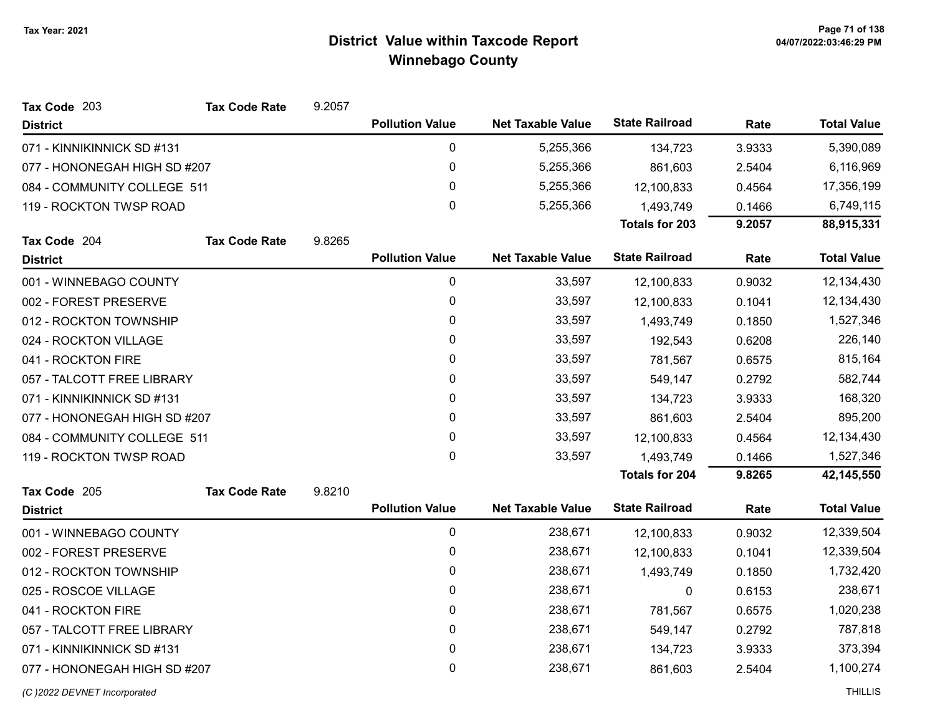| Tax Code 203                 | <b>Tax Code Rate</b> | 9.2057 |                        |                          |                       |        |                    |
|------------------------------|----------------------|--------|------------------------|--------------------------|-----------------------|--------|--------------------|
| <b>District</b>              |                      |        | <b>Pollution Value</b> | <b>Net Taxable Value</b> | <b>State Railroad</b> | Rate   | <b>Total Value</b> |
| 071 - KINNIKINNICK SD #131   |                      |        | 0                      | 5,255,366                | 134,723               | 3.9333 | 5,390,089          |
| 077 - HONONEGAH HIGH SD #207 |                      |        | 0                      | 5,255,366                | 861,603               | 2.5404 | 6,116,969          |
| 084 - COMMUNITY COLLEGE 511  |                      |        | 0                      | 5,255,366                | 12,100,833            | 0.4564 | 17,356,199         |
| 119 - ROCKTON TWSP ROAD      |                      |        | 0                      | 5,255,366                | 1,493,749             | 0.1466 | 6,749,115          |
|                              |                      |        |                        |                          | <b>Totals for 203</b> | 9.2057 | 88,915,331         |
| Tax Code 204                 | <b>Tax Code Rate</b> | 9.8265 |                        |                          |                       |        |                    |
| <b>District</b>              |                      |        | <b>Pollution Value</b> | <b>Net Taxable Value</b> | <b>State Railroad</b> | Rate   | <b>Total Value</b> |
| 001 - WINNEBAGO COUNTY       |                      |        | 0                      | 33,597                   | 12,100,833            | 0.9032 | 12,134,430         |
| 002 - FOREST PRESERVE        |                      |        | 0                      | 33,597                   | 12,100,833            | 0.1041 | 12,134,430         |
| 012 - ROCKTON TOWNSHIP       |                      |        | 0                      | 33,597                   | 1,493,749             | 0.1850 | 1,527,346          |
| 024 - ROCKTON VILLAGE        |                      |        | 0                      | 33,597                   | 192,543               | 0.6208 | 226,140            |
| 041 - ROCKTON FIRE           |                      |        | 0                      | 33,597                   | 781,567               | 0.6575 | 815,164            |
| 057 - TALCOTT FREE LIBRARY   |                      |        | 0                      | 33,597                   | 549,147               | 0.2792 | 582,744            |
| 071 - KINNIKINNICK SD #131   |                      |        | $\mathbf{0}$           | 33,597                   | 134,723               | 3.9333 | 168,320            |
| 077 - HONONEGAH HIGH SD #207 |                      |        | 0                      | 33,597                   | 861,603               | 2.5404 | 895,200            |
| 084 - COMMUNITY COLLEGE 511  |                      |        | 0                      | 33,597                   | 12,100,833            | 0.4564 | 12,134,430         |
| 119 - ROCKTON TWSP ROAD      |                      |        | $\mathbf{0}$           | 33,597                   | 1,493,749             | 0.1466 | 1,527,346          |
|                              |                      |        |                        |                          | <b>Totals for 204</b> | 9.8265 | 42,145,550         |
| Tax Code 205                 | <b>Tax Code Rate</b> | 9.8210 |                        |                          |                       |        |                    |
| <b>District</b>              |                      |        | <b>Pollution Value</b> | <b>Net Taxable Value</b> | <b>State Railroad</b> | Rate   | <b>Total Value</b> |
| 001 - WINNEBAGO COUNTY       |                      |        | 0                      | 238,671                  | 12,100,833            | 0.9032 | 12,339,504         |
| 002 - FOREST PRESERVE        |                      |        | 0                      | 238,671                  | 12,100,833            | 0.1041 | 12,339,504         |
| 012 - ROCKTON TOWNSHIP       |                      |        | 0                      | 238,671                  | 1,493,749             | 0.1850 | 1,732,420          |
| 025 - ROSCOE VILLAGE         |                      |        | 0                      | 238,671                  | 0                     | 0.6153 | 238,671            |
| 041 - ROCKTON FIRE           |                      |        | 0                      | 238,671                  | 781,567               | 0.6575 | 1,020,238          |
| 057 - TALCOTT FREE LIBRARY   |                      |        | 0                      | 238,671                  | 549,147               | 0.2792 | 787,818            |
| 071 - KINNIKINNICK SD #131   |                      |        | 0                      | 238,671                  | 134,723               | 3.9333 | 373,394            |
| 077 - HONONEGAH HIGH SD #207 |                      |        | 0                      | 238,671                  | 861,603               | 2.5404 | 1,100,274          |
| (C) 2022 DEVNET Incorporated |                      |        |                        |                          |                       |        | <b>THILLIS</b>     |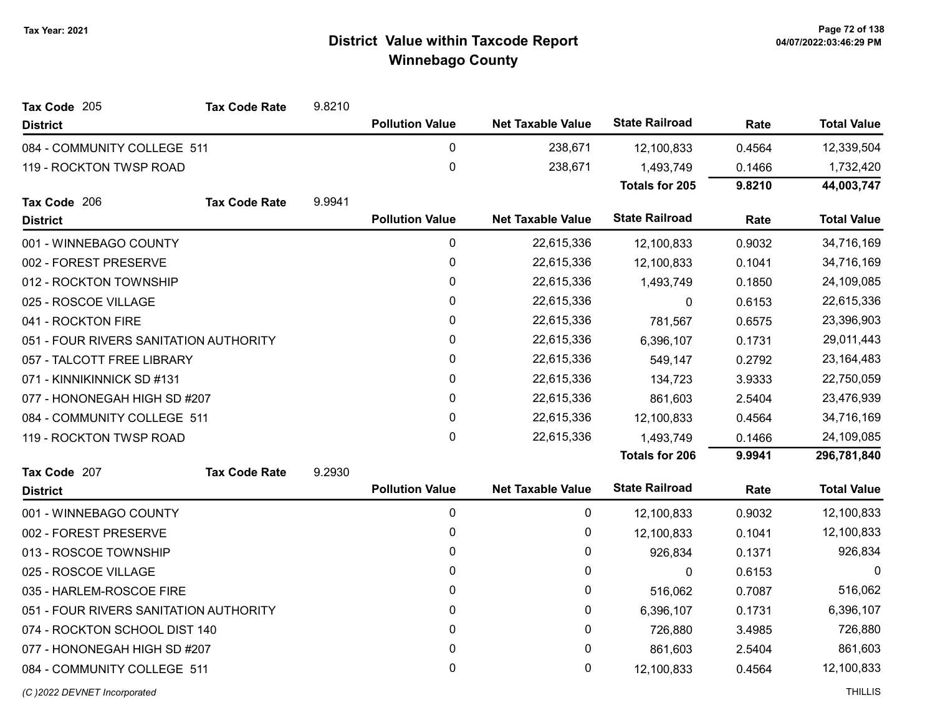| Tax Code 205                           | <b>Tax Code Rate</b> | 9.8210 |                        |                          |                       |        |                    |
|----------------------------------------|----------------------|--------|------------------------|--------------------------|-----------------------|--------|--------------------|
| <b>District</b>                        |                      |        | <b>Pollution Value</b> | <b>Net Taxable Value</b> | <b>State Railroad</b> | Rate   | <b>Total Value</b> |
| 084 - COMMUNITY COLLEGE 511            |                      |        | 0                      | 238,671                  | 12,100,833            | 0.4564 | 12,339,504         |
| 119 - ROCKTON TWSP ROAD                |                      |        | 0                      | 238,671                  | 1,493,749             | 0.1466 | 1,732,420          |
|                                        |                      |        |                        |                          | <b>Totals for 205</b> | 9.8210 | 44,003,747         |
| Tax Code 206                           | <b>Tax Code Rate</b> | 9.9941 |                        |                          |                       |        |                    |
| <b>District</b>                        |                      |        | <b>Pollution Value</b> | <b>Net Taxable Value</b> | <b>State Railroad</b> | Rate   | <b>Total Value</b> |
| 001 - WINNEBAGO COUNTY                 |                      |        | 0                      | 22,615,336               | 12,100,833            | 0.9032 | 34,716,169         |
| 002 - FOREST PRESERVE                  |                      |        | 0                      | 22,615,336               | 12,100,833            | 0.1041 | 34,716,169         |
| 012 - ROCKTON TOWNSHIP                 |                      |        | 0                      | 22,615,336               | 1,493,749             | 0.1850 | 24,109,085         |
| 025 - ROSCOE VILLAGE                   |                      |        | 0                      | 22,615,336               | $\Omega$              | 0.6153 | 22,615,336         |
| 041 - ROCKTON FIRE                     |                      |        | 0                      | 22,615,336               | 781,567               | 0.6575 | 23,396,903         |
| 051 - FOUR RIVERS SANITATION AUTHORITY |                      |        | 0                      | 22,615,336               | 6,396,107             | 0.1731 | 29,011,443         |
| 057 - TALCOTT FREE LIBRARY             |                      |        | 0                      | 22,615,336               | 549,147               | 0.2792 | 23, 164, 483       |
| 071 - KINNIKINNICK SD #131             |                      |        | 0                      | 22,615,336               | 134,723               | 3.9333 | 22,750,059         |
| 077 - HONONEGAH HIGH SD #207           |                      |        | 0                      | 22,615,336               | 861,603               | 2.5404 | 23,476,939         |
| 084 - COMMUNITY COLLEGE 511            |                      |        | 0                      | 22,615,336               | 12,100,833            | 0.4564 | 34,716,169         |
| 119 - ROCKTON TWSP ROAD                |                      |        | 0                      | 22,615,336               | 1,493,749             | 0.1466 | 24,109,085         |
|                                        |                      |        |                        |                          | <b>Totals for 206</b> | 9.9941 | 296,781,840        |
| Tax Code 207                           | <b>Tax Code Rate</b> | 9.2930 |                        |                          |                       |        |                    |
| <b>District</b>                        |                      |        | <b>Pollution Value</b> | <b>Net Taxable Value</b> | <b>State Railroad</b> | Rate   | <b>Total Value</b> |
| 001 - WINNEBAGO COUNTY                 |                      |        | 0                      | 0                        | 12,100,833            | 0.9032 | 12,100,833         |
| 002 - FOREST PRESERVE                  |                      |        | 0                      | 0                        | 12,100,833            | 0.1041 | 12,100,833         |
| 013 - ROSCOE TOWNSHIP                  |                      |        | 0                      | 0                        | 926,834               | 0.1371 | 926,834            |
| 025 - ROSCOE VILLAGE                   |                      |        | 0                      | 0                        | $\mathbf{0}$          | 0.6153 | $\Omega$           |
| 035 - HARLEM-ROSCOE FIRE               |                      |        | 0                      | 0                        | 516,062               | 0.7087 | 516,062            |
| 051 - FOUR RIVERS SANITATION AUTHORITY |                      |        | 0                      | 0                        | 6,396,107             | 0.1731 | 6,396,107          |
| 074 - ROCKTON SCHOOL DIST 140          |                      |        | 0                      | 0                        | 726,880               | 3.4985 | 726,880            |
| 077 - HONONEGAH HIGH SD #207           |                      |        | 0                      | 0                        | 861,603               | 2.5404 | 861,603            |
| 084 - COMMUNITY COLLEGE 511            |                      |        | 0                      | 0                        | 12,100,833            | 0.4564 | 12,100,833         |
| (C) 2022 DEVNET Incorporated           |                      |        |                        |                          |                       |        | <b>THILLIS</b>     |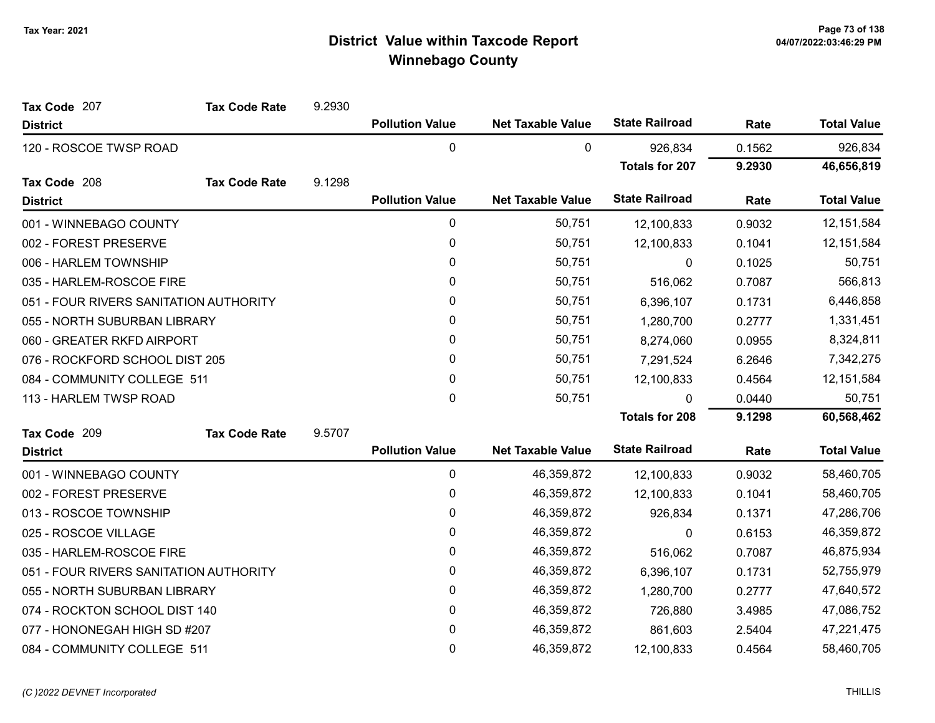| Tax Code 207                           | <b>Tax Code Rate</b> | 9.2930 |                        |                          |                       |        |                    |
|----------------------------------------|----------------------|--------|------------------------|--------------------------|-----------------------|--------|--------------------|
| <b>District</b>                        |                      |        | <b>Pollution Value</b> | <b>Net Taxable Value</b> | <b>State Railroad</b> | Rate   | <b>Total Value</b> |
| 120 - ROSCOE TWSP ROAD                 |                      |        | 0                      | 0                        | 926,834               | 0.1562 | 926,834            |
|                                        |                      |        |                        |                          | <b>Totals for 207</b> | 9.2930 | 46,656,819         |
| Tax Code 208                           | <b>Tax Code Rate</b> | 9.1298 |                        |                          |                       |        |                    |
| <b>District</b>                        |                      |        | <b>Pollution Value</b> | <b>Net Taxable Value</b> | <b>State Railroad</b> | Rate   | <b>Total Value</b> |
| 001 - WINNEBAGO COUNTY                 |                      |        | 0                      | 50,751                   | 12,100,833            | 0.9032 | 12, 151, 584       |
| 002 - FOREST PRESERVE                  |                      |        | 0                      | 50,751                   | 12,100,833            | 0.1041 | 12,151,584         |
| 006 - HARLEM TOWNSHIP                  |                      |        | 0                      | 50,751                   | 0                     | 0.1025 | 50,751             |
| 035 - HARLEM-ROSCOE FIRE               |                      |        | 0                      | 50,751                   | 516,062               | 0.7087 | 566,813            |
| 051 - FOUR RIVERS SANITATION AUTHORITY |                      |        | 0                      | 50,751                   | 6,396,107             | 0.1731 | 6,446,858          |
| 055 - NORTH SUBURBAN LIBRARY           |                      |        | $\mathbf{0}$           | 50,751                   | 1,280,700             | 0.2777 | 1,331,451          |
| 060 - GREATER RKFD AIRPORT             |                      |        | $\mathbf{0}$           | 50,751                   | 8,274,060             | 0.0955 | 8,324,811          |
| 076 - ROCKFORD SCHOOL DIST 205         |                      |        | 0                      | 50,751                   | 7,291,524             | 6.2646 | 7,342,275          |
| 084 - COMMUNITY COLLEGE 511            |                      |        | 0                      | 50,751                   | 12,100,833            | 0.4564 | 12, 151, 584       |
| 113 - HARLEM TWSP ROAD                 |                      |        | 0                      | 50,751                   | 0                     | 0.0440 | 50,751             |
|                                        |                      |        |                        |                          | <b>Totals for 208</b> | 9.1298 | 60,568,462         |
| Tax Code 209                           | <b>Tax Code Rate</b> | 9.5707 |                        |                          |                       |        |                    |
| <b>District</b>                        |                      |        | <b>Pollution Value</b> | <b>Net Taxable Value</b> | <b>State Railroad</b> | Rate   | <b>Total Value</b> |
| 001 - WINNEBAGO COUNTY                 |                      |        | $\mathbf 0$            | 46,359,872               | 12,100,833            | 0.9032 | 58,460,705         |
| 002 - FOREST PRESERVE                  |                      |        | 0                      | 46,359,872               | 12,100,833            | 0.1041 | 58,460,705         |
| 013 - ROSCOE TOWNSHIP                  |                      |        | $\mathbf 0$            | 46,359,872               | 926,834               | 0.1371 | 47,286,706         |
| 025 - ROSCOE VILLAGE                   |                      |        | 0                      | 46,359,872               | 0                     | 0.6153 | 46,359,872         |
| 035 - HARLEM-ROSCOE FIRE               |                      |        | 0                      | 46,359,872               | 516,062               | 0.7087 | 46,875,934         |
| 051 - FOUR RIVERS SANITATION AUTHORITY |                      |        | 0                      | 46,359,872               | 6,396,107             | 0.1731 | 52,755,979         |
| 055 - NORTH SUBURBAN LIBRARY           |                      |        | 0                      | 46,359,872               | 1,280,700             | 0.2777 | 47,640,572         |
| 074 - ROCKTON SCHOOL DIST 140          |                      |        | 0                      | 46,359,872               | 726,880               | 3.4985 | 47,086,752         |
| 077 - HONONEGAH HIGH SD #207           |                      |        | 0                      | 46,359,872               | 861,603               | 2.5404 | 47,221,475         |
| 084 - COMMUNITY COLLEGE 511            |                      |        | 0                      | 46,359,872               | 12,100,833            | 0.4564 | 58,460,705         |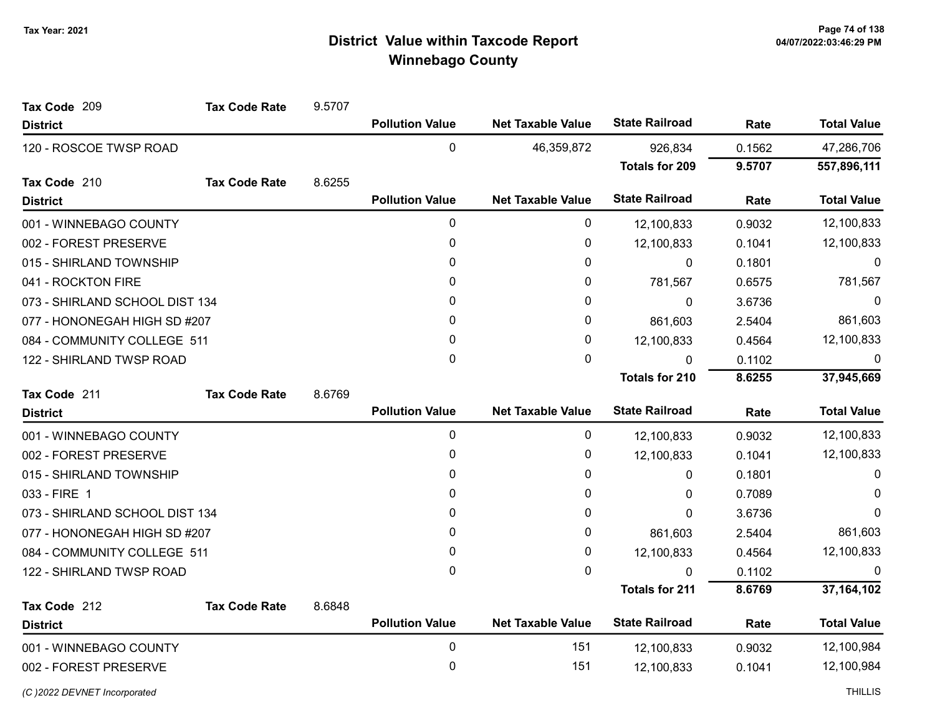| Tax Code 209                   | <b>Tax Code Rate</b> | 9.5707 |                        |                          |                       |        |                    |
|--------------------------------|----------------------|--------|------------------------|--------------------------|-----------------------|--------|--------------------|
| <b>District</b>                |                      |        | <b>Pollution Value</b> | <b>Net Taxable Value</b> | <b>State Railroad</b> | Rate   | <b>Total Value</b> |
| 120 - ROSCOE TWSP ROAD         |                      |        | 0                      | 46,359,872               | 926,834               | 0.1562 | 47,286,706         |
|                                |                      |        |                        |                          | <b>Totals for 209</b> | 9.5707 | 557,896,111        |
| Tax Code 210                   | <b>Tax Code Rate</b> | 8.6255 |                        |                          |                       |        |                    |
| <b>District</b>                |                      |        | <b>Pollution Value</b> | <b>Net Taxable Value</b> | <b>State Railroad</b> | Rate   | <b>Total Value</b> |
| 001 - WINNEBAGO COUNTY         |                      |        | 0                      | 0                        | 12,100,833            | 0.9032 | 12,100,833         |
| 002 - FOREST PRESERVE          |                      |        | 0                      | 0                        | 12,100,833            | 0.1041 | 12,100,833         |
| 015 - SHIRLAND TOWNSHIP        |                      |        | $\mathbf{0}$           | 0                        | 0                     | 0.1801 | $\Omega$           |
| 041 - ROCKTON FIRE             |                      |        | 0                      | 0                        | 781,567               | 0.6575 | 781,567            |
| 073 - SHIRLAND SCHOOL DIST 134 |                      |        | 0                      | 0                        | $\Omega$              | 3.6736 | 0                  |
| 077 - HONONEGAH HIGH SD #207   |                      |        | 0                      | 0                        | 861,603               | 2.5404 | 861,603            |
| 084 - COMMUNITY COLLEGE 511    |                      |        | 0                      | 0                        | 12,100,833            | 0.4564 | 12,100,833         |
| 122 - SHIRLAND TWSP ROAD       |                      |        | $\mathbf 0$            | 0                        | 0                     | 0.1102 | 0                  |
|                                |                      |        |                        |                          | <b>Totals for 210</b> | 8.6255 | 37,945,669         |
| Tax Code 211                   | <b>Tax Code Rate</b> | 8.6769 |                        |                          |                       |        |                    |
| <b>District</b>                |                      |        | <b>Pollution Value</b> | <b>Net Taxable Value</b> | <b>State Railroad</b> | Rate   | <b>Total Value</b> |
| 001 - WINNEBAGO COUNTY         |                      |        | 0                      | 0                        | 12,100,833            | 0.9032 | 12,100,833         |
| 002 - FOREST PRESERVE          |                      |        | 0                      | 0                        | 12,100,833            | 0.1041 | 12,100,833         |
| 015 - SHIRLAND TOWNSHIP        |                      |        | 0                      | 0                        | 0                     | 0.1801 | $\Omega$           |
| 033 - FIRE 1                   |                      |        | 0                      | 0                        | 0                     | 0.7089 | $\Omega$           |
| 073 - SHIRLAND SCHOOL DIST 134 |                      |        | 0                      | 0                        | 0                     | 3.6736 | $\Omega$           |
| 077 - HONONEGAH HIGH SD #207   |                      |        | $\mathbf{0}$           | 0                        | 861,603               | 2.5404 | 861,603            |
| 084 - COMMUNITY COLLEGE 511    |                      |        | $\mathbf{0}$           | 0                        | 12,100,833            | 0.4564 | 12,100,833         |
| 122 - SHIRLAND TWSP ROAD       |                      |        | 0                      | 0                        | 0                     | 0.1102 | $\Omega$           |
|                                |                      |        |                        |                          | <b>Totals for 211</b> | 8.6769 | 37, 164, 102       |
| Tax Code 212                   | <b>Tax Code Rate</b> | 8.6848 |                        |                          |                       |        |                    |
| <b>District</b>                |                      |        | <b>Pollution Value</b> | <b>Net Taxable Value</b> | <b>State Railroad</b> | Rate   | <b>Total Value</b> |
| 001 - WINNEBAGO COUNTY         |                      |        | 0                      | 151                      | 12,100,833            | 0.9032 | 12,100,984         |
| 002 - FOREST PRESERVE          |                      |        | 0                      | 151                      | 12,100,833            | 0.1041 | 12,100,984         |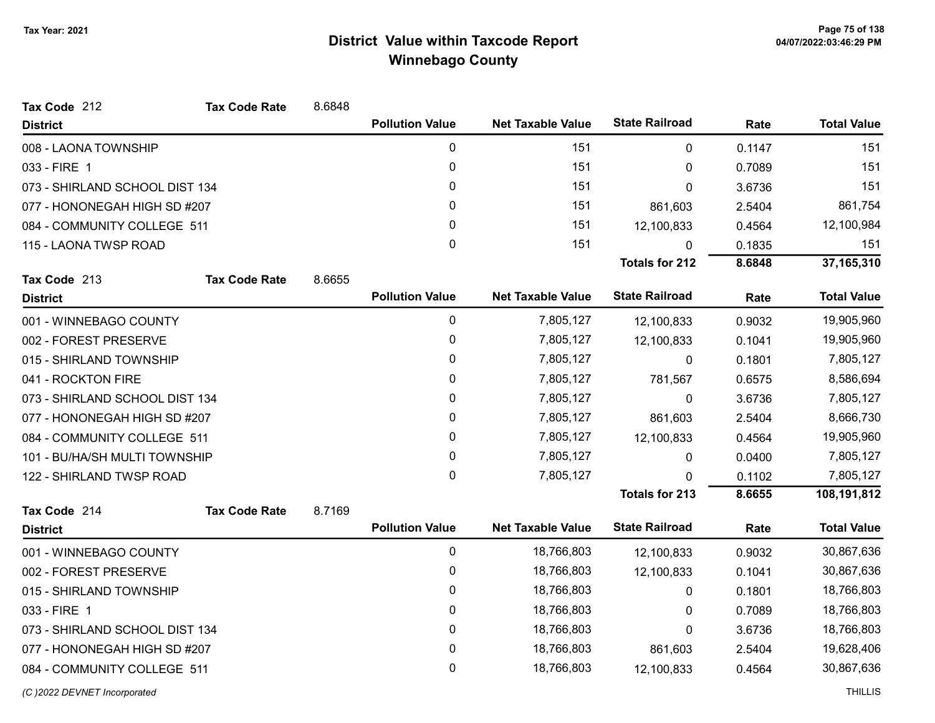| Tax Code 212                   | <b>Tax Code Rate</b> | 8.6848      |                        |                          |                       |            |                    |
|--------------------------------|----------------------|-------------|------------------------|--------------------------|-----------------------|------------|--------------------|
| <b>District</b>                |                      |             | <b>Pollution Value</b> | <b>Net Taxable Value</b> | <b>State Railroad</b> | Rate       | <b>Total Value</b> |
| 008 - LAONA TOWNSHIP           |                      |             | 0                      | 151                      | 0                     | 0.1147     | 151                |
| 033 - FIRE 1                   |                      |             | 0                      | 151                      | 0                     | 0.7089     | 151                |
| 073 - SHIRLAND SCHOOL DIST 134 |                      |             | 0                      | 151                      | 0                     | 3.6736     | 151                |
| 077 - HONONEGAH HIGH SD #207   |                      | 0           | 151                    | 861,603                  | 2.5404                | 861,754    |                    |
| 084 - COMMUNITY COLLEGE 511    |                      |             | 0                      | 151                      | 12,100,833            | 0.4564     | 12,100,984         |
| 115 - LAONA TWSP ROAD          |                      |             | $\mathbf 0$            | 151                      | 0                     | 0.1835     | 151                |
|                                |                      |             |                        |                          | <b>Totals for 212</b> | 8.6848     | 37, 165, 310       |
| Tax Code 213                   | <b>Tax Code Rate</b> | 8.6655      |                        |                          |                       |            |                    |
| <b>District</b>                |                      |             | <b>Pollution Value</b> | <b>Net Taxable Value</b> | <b>State Railroad</b> | Rate       | <b>Total Value</b> |
| 001 - WINNEBAGO COUNTY         |                      |             | 0                      | 7,805,127                | 12,100,833            | 0.9032     | 19,905,960         |
| 002 - FOREST PRESERVE          |                      |             | 0                      | 7,805,127                | 12,100,833            | 0.1041     | 19,905,960         |
| 015 - SHIRLAND TOWNSHIP        |                      |             | 0                      | 7,805,127                | 0                     | 0.1801     | 7,805,127          |
| 041 - ROCKTON FIRE             |                      |             | 0                      | 7,805,127                | 781,567               | 0.6575     | 8,586,694          |
| 073 - SHIRLAND SCHOOL DIST 134 |                      |             | 0                      | 7,805,127                | 0                     | 3.6736     | 7,805,127          |
| 077 - HONONEGAH HIGH SD #207   |                      |             | 0                      | 7,805,127                | 861,603               | 2.5404     | 8,666,730          |
| 084 - COMMUNITY COLLEGE 511    |                      |             | 0                      | 7,805,127                | 12,100,833            | 0.4564     | 19,905,960         |
| 101 - BU/HA/SH MULTI TOWNSHIP  |                      |             | 0                      | 7,805,127                | 0                     | 0.0400     | 7,805,127          |
| 122 - SHIRLAND TWSP ROAD       |                      |             | 0                      | 7,805,127                | $\Omega$              | 0.1102     | 7,805,127          |
|                                |                      |             |                        |                          | <b>Totals for 213</b> | 8.6655     | 108,191,812        |
| Tax Code 214                   | <b>Tax Code Rate</b> | 8.7169      |                        |                          |                       |            |                    |
| <b>District</b>                |                      |             | <b>Pollution Value</b> | <b>Net Taxable Value</b> | <b>State Railroad</b> | Rate       | <b>Total Value</b> |
| 001 - WINNEBAGO COUNTY         |                      |             | $\pmb{0}$              | 18,766,803               | 12,100,833            | 0.9032     | 30,867,636         |
| 002 - FOREST PRESERVE          |                      |             | 0                      | 18,766,803               | 12,100,833            | 0.1041     | 30,867,636         |
| 015 - SHIRLAND TOWNSHIP        |                      |             | 0                      | 18,766,803               | 0                     | 0.1801     | 18,766,803         |
| 033 - FIRE 1                   |                      |             | 0                      | 18,766,803               | 0                     | 0.7089     | 18,766,803         |
| 073 - SHIRLAND SCHOOL DIST 134 |                      | $\mathbf 0$ | 18,766,803             | 0                        | 3.6736                | 18,766,803 |                    |
| 077 - HONONEGAH HIGH SD #207   |                      |             | 0                      | 18,766,803               | 861,603               | 2.5404     | 19,628,406         |
| 084 - COMMUNITY COLLEGE 511    |                      |             | 0                      | 18,766,803               | 12,100,833            | 0.4564     | 30,867,636         |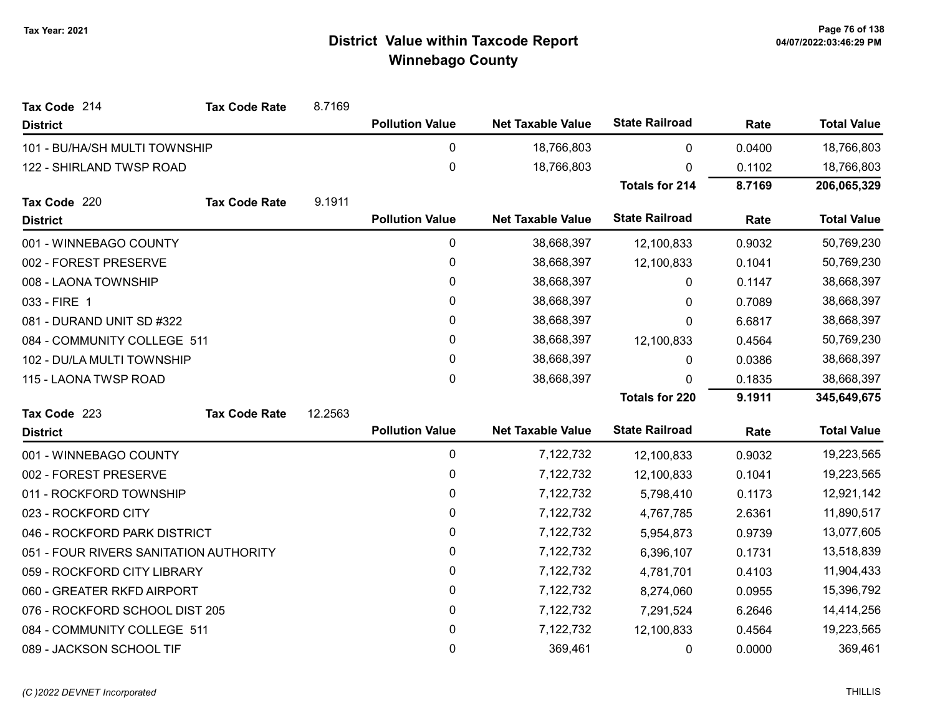| Tax Code 214                           | <b>Tax Code Rate</b> | 8.7169  |                        |                          |                       |        |                    |
|----------------------------------------|----------------------|---------|------------------------|--------------------------|-----------------------|--------|--------------------|
| <b>District</b>                        |                      |         | <b>Pollution Value</b> | <b>Net Taxable Value</b> | <b>State Railroad</b> | Rate   | <b>Total Value</b> |
| 101 - BU/HA/SH MULTI TOWNSHIP          |                      |         | 0                      | 18,766,803               | $\mathbf{0}$          | 0.0400 | 18,766,803         |
| 122 - SHIRLAND TWSP ROAD               |                      |         | 0                      | 18,766,803               | 0                     | 0.1102 | 18,766,803         |
|                                        |                      |         |                        |                          | <b>Totals for 214</b> | 8.7169 | 206,065,329        |
| Tax Code 220                           | <b>Tax Code Rate</b> | 9.1911  |                        |                          |                       |        |                    |
| <b>District</b>                        |                      |         | <b>Pollution Value</b> | <b>Net Taxable Value</b> | <b>State Railroad</b> | Rate   | <b>Total Value</b> |
| 001 - WINNEBAGO COUNTY                 |                      |         | 0                      | 38,668,397               | 12,100,833            | 0.9032 | 50,769,230         |
| 002 - FOREST PRESERVE                  |                      |         | 0                      | 38,668,397               | 12,100,833            | 0.1041 | 50,769,230         |
| 008 - LAONA TOWNSHIP                   |                      |         | 0                      | 38,668,397               | 0                     | 0.1147 | 38,668,397         |
| 033 - FIRE 1                           |                      |         | 0                      | 38,668,397               | $\Omega$              | 0.7089 | 38,668,397         |
| 081 - DURAND UNIT SD #322              |                      |         | 0                      | 38,668,397               | 0                     | 6.6817 | 38,668,397         |
| 084 - COMMUNITY COLLEGE 511            |                      |         | 0                      | 38,668,397               | 12,100,833            | 0.4564 | 50,769,230         |
| 102 - DU/LA MULTI TOWNSHIP             |                      |         | 0                      | 38,668,397               | 0                     | 0.0386 | 38,668,397         |
| 115 - LAONA TWSP ROAD                  |                      |         | 0                      | 38,668,397               | $\Omega$              | 0.1835 | 38,668,397         |
|                                        |                      |         |                        |                          | <b>Totals for 220</b> | 9.1911 | 345,649,675        |
| Tax Code 223                           | <b>Tax Code Rate</b> | 12.2563 |                        |                          |                       |        |                    |
| <b>District</b>                        |                      |         | <b>Pollution Value</b> | <b>Net Taxable Value</b> | <b>State Railroad</b> | Rate   | <b>Total Value</b> |
| 001 - WINNEBAGO COUNTY                 |                      |         | 0                      | 7,122,732                | 12,100,833            | 0.9032 | 19,223,565         |
| 002 - FOREST PRESERVE                  |                      |         | 0                      | 7,122,732                | 12,100,833            | 0.1041 | 19,223,565         |
| 011 - ROCKFORD TOWNSHIP                |                      |         | 0                      | 7,122,732                | 5,798,410             | 0.1173 | 12,921,142         |
| 023 - ROCKFORD CITY                    |                      |         | 0                      | 7,122,732                | 4,767,785             | 2.6361 | 11,890,517         |
| 046 - ROCKFORD PARK DISTRICT           |                      |         | 0                      | 7,122,732                | 5,954,873             | 0.9739 | 13,077,605         |
| 051 - FOUR RIVERS SANITATION AUTHORITY |                      |         | 0                      | 7,122,732                | 6,396,107             | 0.1731 | 13,518,839         |
| 059 - ROCKFORD CITY LIBRARY            |                      |         | 0                      | 7,122,732                | 4,781,701             | 0.4103 | 11,904,433         |
| 060 - GREATER RKFD AIRPORT             |                      |         | 0                      | 7,122,732                | 8,274,060             | 0.0955 | 15,396,792         |
| 076 - ROCKFORD SCHOOL DIST 205         |                      |         | 0                      | 7,122,732                | 7,291,524             | 6.2646 | 14,414,256         |
| 084 - COMMUNITY COLLEGE 511            |                      |         | 0                      | 7,122,732                | 12,100,833            | 0.4564 | 19,223,565         |
| 089 - JACKSON SCHOOL TIF               |                      |         | 0                      | 369,461                  | 0                     | 0.0000 | 369,461            |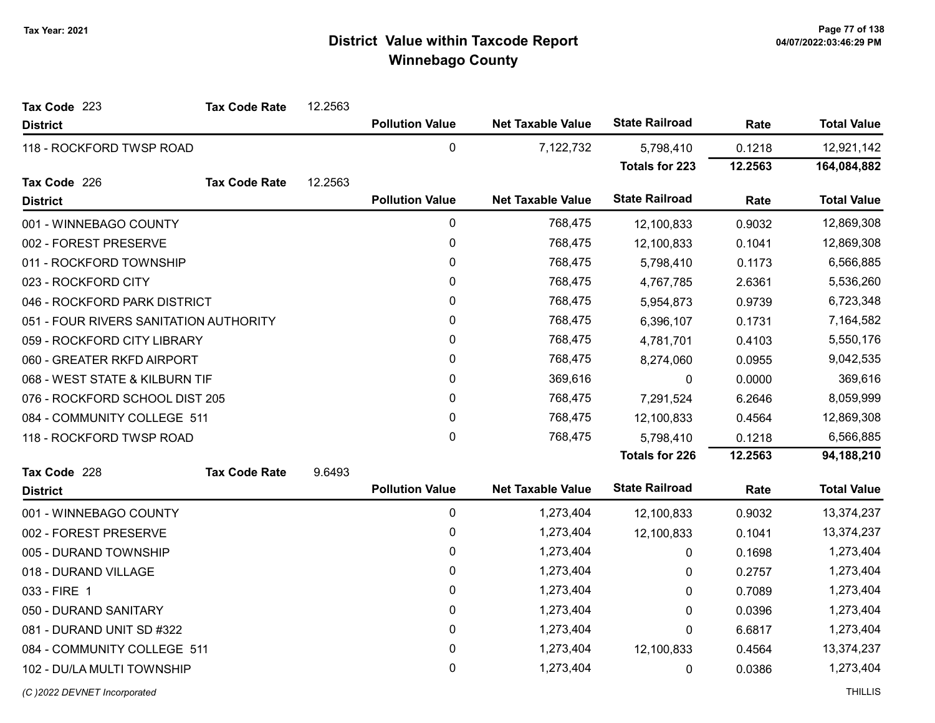| Tax Code 223                           | <b>Tax Code Rate</b> | 12.2563 |                        |                          |                       |         |                    |
|----------------------------------------|----------------------|---------|------------------------|--------------------------|-----------------------|---------|--------------------|
| <b>District</b>                        |                      |         | <b>Pollution Value</b> | <b>Net Taxable Value</b> | <b>State Railroad</b> | Rate    | <b>Total Value</b> |
| 118 - ROCKFORD TWSP ROAD               |                      |         | $\mathbf 0$            | 7,122,732                | 5,798,410             | 0.1218  | 12,921,142         |
|                                        |                      |         |                        |                          | <b>Totals for 223</b> | 12.2563 | 164,084,882        |
| Tax Code 226                           | <b>Tax Code Rate</b> | 12.2563 |                        |                          |                       |         |                    |
| <b>District</b>                        |                      |         | <b>Pollution Value</b> | <b>Net Taxable Value</b> | <b>State Railroad</b> | Rate    | <b>Total Value</b> |
| 001 - WINNEBAGO COUNTY                 |                      |         | 0                      | 768,475                  | 12,100,833            | 0.9032  | 12,869,308         |
| 002 - FOREST PRESERVE                  |                      |         | 0                      | 768,475                  | 12,100,833            | 0.1041  | 12,869,308         |
| 011 - ROCKFORD TOWNSHIP                |                      |         | 0                      | 768,475                  | 5,798,410             | 0.1173  | 6,566,885          |
| 023 - ROCKFORD CITY                    |                      |         | 0                      | 768,475                  | 4,767,785             | 2.6361  | 5,536,260          |
| 046 - ROCKFORD PARK DISTRICT           |                      |         | 0                      | 768,475                  | 5,954,873             | 0.9739  | 6,723,348          |
| 051 - FOUR RIVERS SANITATION AUTHORITY |                      |         | 0                      | 768,475                  | 6,396,107             | 0.1731  | 7,164,582          |
| 059 - ROCKFORD CITY LIBRARY            |                      |         | 0                      | 768,475                  | 4,781,701             | 0.4103  | 5,550,176          |
| 060 - GREATER RKFD AIRPORT             |                      |         | 0                      | 768,475                  | 8,274,060             | 0.0955  | 9,042,535          |
| 068 - WEST STATE & KILBURN TIF         |                      |         | 0                      | 369,616                  | 0                     | 0.0000  | 369,616            |
| 076 - ROCKFORD SCHOOL DIST 205         |                      |         | 0                      | 768,475                  | 7,291,524             | 6.2646  | 8,059,999          |
| 084 - COMMUNITY COLLEGE 511            |                      |         | 0                      | 768,475                  | 12,100,833            | 0.4564  | 12,869,308         |
| 118 - ROCKFORD TWSP ROAD               |                      |         | $\mathbf 0$            | 768,475                  | 5,798,410             | 0.1218  | 6,566,885          |
|                                        |                      |         |                        |                          | <b>Totals for 226</b> | 12.2563 | 94,188,210         |
| Tax Code 228                           | <b>Tax Code Rate</b> | 9.6493  |                        |                          |                       |         |                    |
| <b>District</b>                        |                      |         | <b>Pollution Value</b> | <b>Net Taxable Value</b> | <b>State Railroad</b> | Rate    | <b>Total Value</b> |
| 001 - WINNEBAGO COUNTY                 |                      |         | 0                      | 1,273,404                | 12,100,833            | 0.9032  | 13,374,237         |
| 002 - FOREST PRESERVE                  |                      |         | 0                      | 1,273,404                | 12,100,833            | 0.1041  | 13,374,237         |
| 005 - DURAND TOWNSHIP                  |                      |         | 0                      | 1,273,404                | 0                     | 0.1698  | 1,273,404          |
| 018 - DURAND VILLAGE                   |                      |         | 0                      | 1,273,404                | 0                     | 0.2757  | 1,273,404          |
| 033 - FIRE 1                           |                      |         | 0                      | 1,273,404                | 0                     | 0.7089  | 1,273,404          |
| 050 - DURAND SANITARY                  |                      |         | 0                      | 1,273,404                | 0                     | 0.0396  | 1,273,404          |
| 081 - DURAND UNIT SD #322              |                      |         | 0                      | 1,273,404                | 0                     | 6.6817  | 1,273,404          |
| 084 - COMMUNITY COLLEGE 511            |                      |         | 0                      | 1,273,404                | 12,100,833            | 0.4564  | 13,374,237         |
| 102 - DU/LA MULTI TOWNSHIP             |                      |         | 0                      | 1,273,404                | 0                     | 0.0386  | 1,273,404          |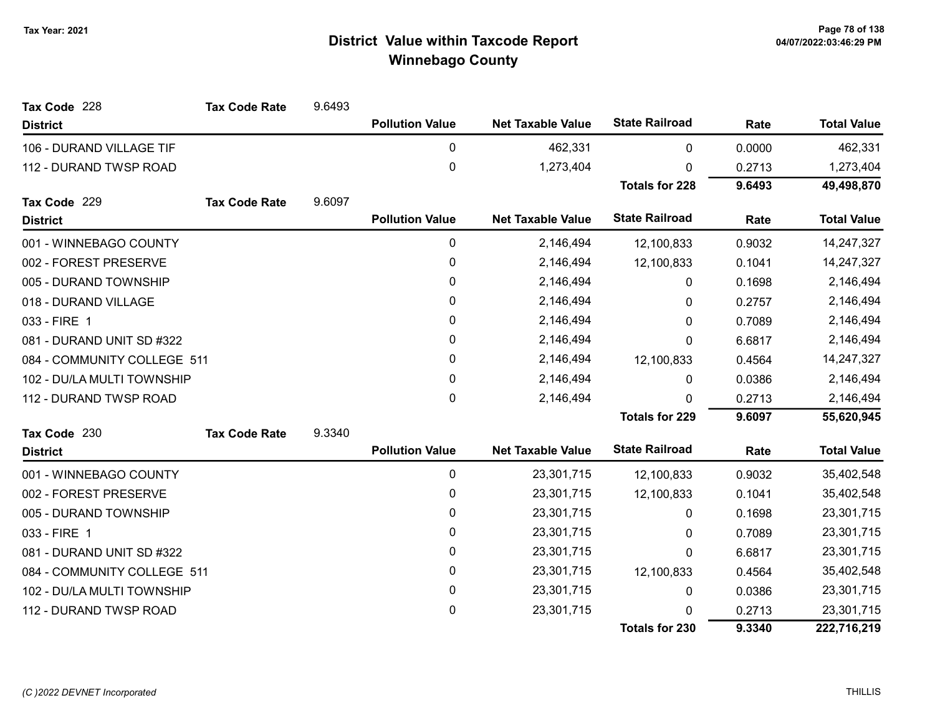| Tax Code 228                | <b>Tax Code Rate</b> | 9.6493 |                        |                          |                       |        |                    |
|-----------------------------|----------------------|--------|------------------------|--------------------------|-----------------------|--------|--------------------|
| <b>District</b>             |                      |        | <b>Pollution Value</b> | <b>Net Taxable Value</b> | <b>State Railroad</b> | Rate   | <b>Total Value</b> |
| 106 - DURAND VILLAGE TIF    |                      |        | $\pmb{0}$              | 462,331                  | 0                     | 0.0000 | 462,331            |
| 112 - DURAND TWSP ROAD      |                      |        | 0                      | 1,273,404                | 0                     | 0.2713 | 1,273,404          |
|                             |                      |        |                        |                          | <b>Totals for 228</b> | 9.6493 | 49,498,870         |
| Tax Code 229                | <b>Tax Code Rate</b> | 9.6097 |                        |                          |                       |        |                    |
| <b>District</b>             |                      |        | <b>Pollution Value</b> | <b>Net Taxable Value</b> | <b>State Railroad</b> | Rate   | <b>Total Value</b> |
| 001 - WINNEBAGO COUNTY      |                      |        | $\pmb{0}$              | 2,146,494                | 12,100,833            | 0.9032 | 14,247,327         |
| 002 - FOREST PRESERVE       |                      |        | 0                      | 2,146,494                | 12,100,833            | 0.1041 | 14,247,327         |
| 005 - DURAND TOWNSHIP       |                      |        | 0                      | 2,146,494                | 0                     | 0.1698 | 2,146,494          |
| 018 - DURAND VILLAGE        |                      |        | $\pmb{0}$              | 2,146,494                | 0                     | 0.2757 | 2,146,494          |
| 033 - FIRE 1                |                      |        | 0                      | 2,146,494                | 0                     | 0.7089 | 2,146,494          |
| 081 - DURAND UNIT SD #322   |                      |        | 0                      | 2,146,494                | 0                     | 6.6817 | 2,146,494          |
| 084 - COMMUNITY COLLEGE 511 |                      |        | 0                      | 2,146,494                | 12,100,833            | 0.4564 | 14,247,327         |
| 102 - DU/LA MULTI TOWNSHIP  |                      |        | $\pmb{0}$              | 2,146,494                | 0                     | 0.0386 | 2,146,494          |
| 112 - DURAND TWSP ROAD      |                      |        | 0                      | 2,146,494                | $\Omega$              | 0.2713 | 2,146,494          |
|                             |                      |        |                        |                          | <b>Totals for 229</b> | 9.6097 | 55,620,945         |
| Tax Code 230                | <b>Tax Code Rate</b> | 9.3340 |                        |                          |                       |        |                    |
| <b>District</b>             |                      |        | <b>Pollution Value</b> | <b>Net Taxable Value</b> | <b>State Railroad</b> | Rate   | <b>Total Value</b> |
| 001 - WINNEBAGO COUNTY      |                      |        | $\pmb{0}$              | 23,301,715               | 12,100,833            | 0.9032 | 35,402,548         |
| 002 - FOREST PRESERVE       |                      |        | 0                      | 23,301,715               | 12,100,833            | 0.1041 | 35,402,548         |
| 005 - DURAND TOWNSHIP       |                      |        | 0                      | 23,301,715               | 0                     | 0.1698 | 23,301,715         |
| 033 - FIRE 1                |                      |        | 0                      | 23,301,715               | 0                     | 0.7089 | 23,301,715         |
| 081 - DURAND UNIT SD #322   |                      |        | $\pmb{0}$              | 23,301,715               | 0                     | 6.6817 | 23,301,715         |
| 084 - COMMUNITY COLLEGE 511 |                      |        | 0                      | 23,301,715               | 12,100,833            | 0.4564 | 35,402,548         |
| 102 - DU/LA MULTI TOWNSHIP  |                      |        | $\pmb{0}$              | 23,301,715               | 0                     | 0.0386 | 23,301,715         |
| 112 - DURAND TWSP ROAD      |                      |        | $\pmb{0}$              | 23,301,715               | U                     | 0.2713 | 23,301,715         |
|                             |                      |        |                        |                          | <b>Totals for 230</b> | 9.3340 | 222,716,219        |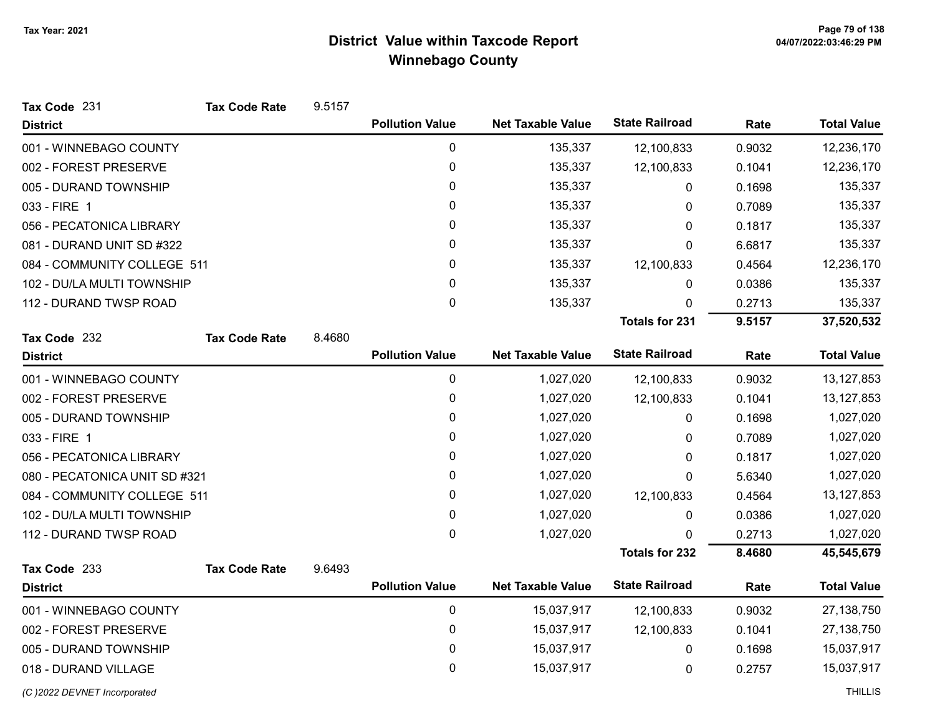| Tax Code 231                  | <b>Tax Code Rate</b> | 9.5157 |                        |                          |                       |        |                    |
|-------------------------------|----------------------|--------|------------------------|--------------------------|-----------------------|--------|--------------------|
| <b>District</b>               |                      |        | <b>Pollution Value</b> | <b>Net Taxable Value</b> | <b>State Railroad</b> | Rate   | <b>Total Value</b> |
| 001 - WINNEBAGO COUNTY        |                      |        | $\pmb{0}$              | 135,337                  | 12,100,833            | 0.9032 | 12,236,170         |
| 002 - FOREST PRESERVE         |                      |        | 0                      | 135,337                  | 12,100,833            | 0.1041 | 12,236,170         |
| 005 - DURAND TOWNSHIP         |                      |        | 0                      | 135,337                  | 0                     | 0.1698 | 135,337            |
| 033 - FIRE 1                  |                      |        | $\mathbf{0}$           | 135,337                  | 0                     | 0.7089 | 135,337            |
| 056 - PECATONICA LIBRARY      |                      |        | 0                      | 135,337                  | 0                     | 0.1817 | 135,337            |
| 081 - DURAND UNIT SD #322     |                      |        | 0                      | 135,337                  | 0                     | 6.6817 | 135,337            |
| 084 - COMMUNITY COLLEGE 511   |                      |        | 0                      | 135,337                  | 12,100,833            | 0.4564 | 12,236,170         |
| 102 - DU/LA MULTI TOWNSHIP    |                      |        | 0                      | 135,337                  | 0                     | 0.0386 | 135,337            |
| 112 - DURAND TWSP ROAD        |                      |        | $\mathbf{0}$           | 135,337                  | $\Omega$              | 0.2713 | 135,337            |
|                               |                      |        |                        |                          | <b>Totals for 231</b> | 9.5157 | 37,520,532         |
| Tax Code 232                  | <b>Tax Code Rate</b> | 8.4680 |                        |                          |                       |        |                    |
| <b>District</b>               |                      |        | <b>Pollution Value</b> | <b>Net Taxable Value</b> | <b>State Railroad</b> | Rate   | <b>Total Value</b> |
| 001 - WINNEBAGO COUNTY        |                      |        | 0                      | 1,027,020                | 12,100,833            | 0.9032 | 13, 127, 853       |
| 002 - FOREST PRESERVE         |                      |        | 0                      | 1,027,020                | 12,100,833            | 0.1041 | 13, 127, 853       |
| 005 - DURAND TOWNSHIP         |                      |        | $\mathbf 0$            | 1,027,020                | 0                     | 0.1698 | 1,027,020          |
| 033 - FIRE 1                  |                      |        | 0                      | 1,027,020                | 0                     | 0.7089 | 1,027,020          |
| 056 - PECATONICA LIBRARY      |                      |        | 0                      | 1,027,020                | 0                     | 0.1817 | 1,027,020          |
| 080 - PECATONICA UNIT SD #321 |                      |        | 0                      | 1,027,020                | 0                     | 5.6340 | 1,027,020          |
| 084 - COMMUNITY COLLEGE 511   |                      |        | 0                      | 1,027,020                | 12,100,833            | 0.4564 | 13, 127, 853       |
| 102 - DU/LA MULTI TOWNSHIP    |                      |        | $\pmb{0}$              | 1,027,020                | 0                     | 0.0386 | 1,027,020          |
| 112 - DURAND TWSP ROAD        |                      |        | $\mathbf 0$            | 1,027,020                | 0                     | 0.2713 | 1,027,020          |
|                               |                      |        |                        |                          | <b>Totals for 232</b> | 8.4680 | 45,545,679         |
| Tax Code 233                  | <b>Tax Code Rate</b> | 9.6493 |                        |                          |                       |        |                    |
| <b>District</b>               |                      |        | <b>Pollution Value</b> | <b>Net Taxable Value</b> | <b>State Railroad</b> | Rate   | <b>Total Value</b> |
| 001 - WINNEBAGO COUNTY        |                      |        | $\pmb{0}$              | 15,037,917               | 12,100,833            | 0.9032 | 27,138,750         |
| 002 - FOREST PRESERVE         |                      |        | 0                      | 15,037,917               | 12,100,833            | 0.1041 | 27,138,750         |
| 005 - DURAND TOWNSHIP         |                      |        | $\mathbf 0$            | 15,037,917               | 0                     | 0.1698 | 15,037,917         |
| 018 - DURAND VILLAGE          |                      |        | $\mathbf 0$            | 15,037,917               | 0                     | 0.2757 | 15,037,917         |
| (C) 2022 DEVNET Incorporated  |                      |        |                        |                          |                       |        | <b>THILLIS</b>     |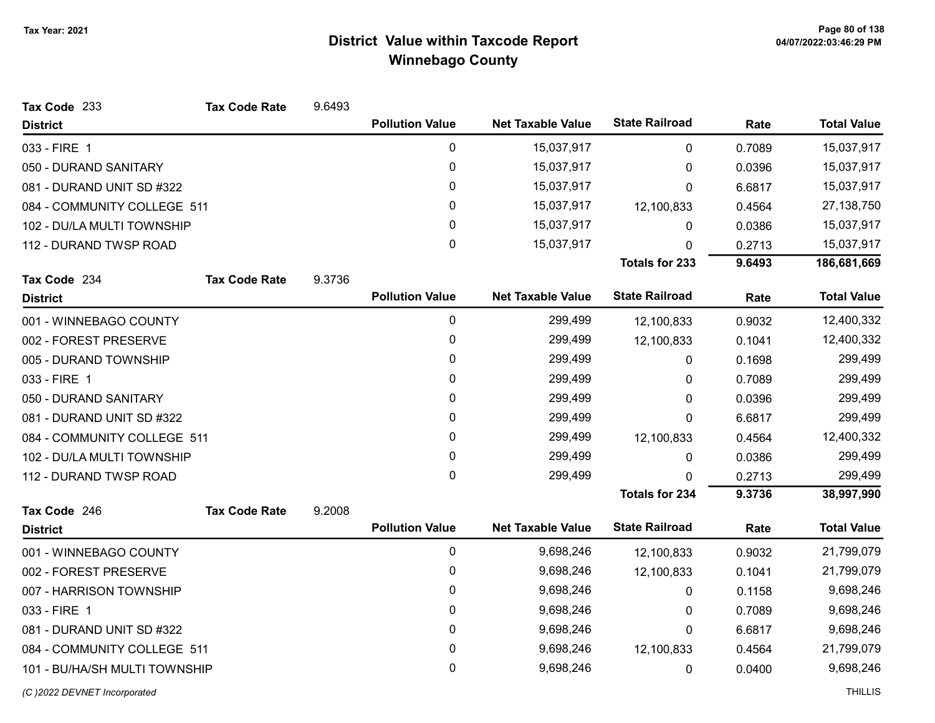| Tax Code 233                  | <b>Tax Code Rate</b> | 9.6493 |                        |                          |                       |        |                    |
|-------------------------------|----------------------|--------|------------------------|--------------------------|-----------------------|--------|--------------------|
| <b>District</b>               |                      |        | <b>Pollution Value</b> | <b>Net Taxable Value</b> | <b>State Railroad</b> | Rate   | <b>Total Value</b> |
| 033 - FIRE 1                  |                      |        | $\mathbf 0$            | 15,037,917               | 0                     | 0.7089 | 15,037,917         |
| 050 - DURAND SANITARY         |                      |        | $\mathbf 0$            | 15,037,917               | 0                     | 0.0396 | 15,037,917         |
| 081 - DURAND UNIT SD #322     |                      |        | 0                      | 15,037,917               | 0                     | 6.6817 | 15,037,917         |
| 084 - COMMUNITY COLLEGE 511   |                      |        | 0                      | 15,037,917               | 12,100,833            | 0.4564 | 27,138,750         |
| 102 - DU/LA MULTI TOWNSHIP    |                      |        | 0                      | 15,037,917               | 0                     | 0.0386 | 15,037,917         |
| 112 - DURAND TWSP ROAD        |                      |        | $\overline{0}$         | 15,037,917               | 0                     | 0.2713 | 15,037,917         |
|                               |                      |        |                        |                          | <b>Totals for 233</b> | 9.6493 | 186,681,669        |
| Tax Code 234                  | <b>Tax Code Rate</b> | 9.3736 |                        |                          |                       |        |                    |
| <b>District</b>               |                      |        | <b>Pollution Value</b> | <b>Net Taxable Value</b> | <b>State Railroad</b> | Rate   | <b>Total Value</b> |
| 001 - WINNEBAGO COUNTY        |                      |        | $\pmb{0}$              | 299,499                  | 12,100,833            | 0.9032 | 12,400,332         |
| 002 - FOREST PRESERVE         |                      |        | 0                      | 299,499                  | 12,100,833            | 0.1041 | 12,400,332         |
| 005 - DURAND TOWNSHIP         |                      |        | 0                      | 299,499                  | 0                     | 0.1698 | 299,499            |
| 033 - FIRE 1                  |                      |        | 0                      | 299,499                  | 0                     | 0.7089 | 299,499            |
| 050 - DURAND SANITARY         |                      |        | 0                      | 299,499                  | 0                     | 0.0396 | 299,499            |
| 081 - DURAND UNIT SD #322     |                      |        | 0                      | 299,499                  | 0                     | 6.6817 | 299,499            |
| 084 - COMMUNITY COLLEGE 511   |                      |        | 0                      | 299,499                  | 12,100,833            | 0.4564 | 12,400,332         |
| 102 - DU/LA MULTI TOWNSHIP    |                      |        | 0                      | 299,499                  | 0                     | 0.0386 | 299,499            |
| 112 - DURAND TWSP ROAD        |                      |        | $\mathbf 0$            | 299,499                  | $\Omega$              | 0.2713 | 299,499            |
|                               |                      |        |                        |                          | <b>Totals for 234</b> | 9.3736 | 38,997,990         |
| Tax Code 246                  | <b>Tax Code Rate</b> | 9.2008 |                        |                          |                       |        |                    |
| <b>District</b>               |                      |        | <b>Pollution Value</b> | <b>Net Taxable Value</b> | <b>State Railroad</b> | Rate   | <b>Total Value</b> |
| 001 - WINNEBAGO COUNTY        |                      |        | $\pmb{0}$              | 9,698,246                | 12,100,833            | 0.9032 | 21,799,079         |
| 002 - FOREST PRESERVE         |                      |        | $\pmb{0}$              | 9,698,246                | 12,100,833            | 0.1041 | 21,799,079         |
| 007 - HARRISON TOWNSHIP       |                      |        | 0                      | 9,698,246                | 0                     | 0.1158 | 9,698,246          |
| 033 - FIRE 1                  |                      |        | $\mathbf{0}$           | 9,698,246                | 0                     | 0.7089 | 9,698,246          |
| 081 - DURAND UNIT SD #322     |                      |        | $\pmb{0}$              | 9,698,246                | 0                     | 6.6817 | 9,698,246          |
| 084 - COMMUNITY COLLEGE 511   |                      |        | 0                      | 9,698,246                | 12,100,833            | 0.4564 | 21,799,079         |
| 101 - BU/HA/SH MULTI TOWNSHIP |                      |        | 0                      | 9,698,246                | 0                     | 0.0400 | 9,698,246          |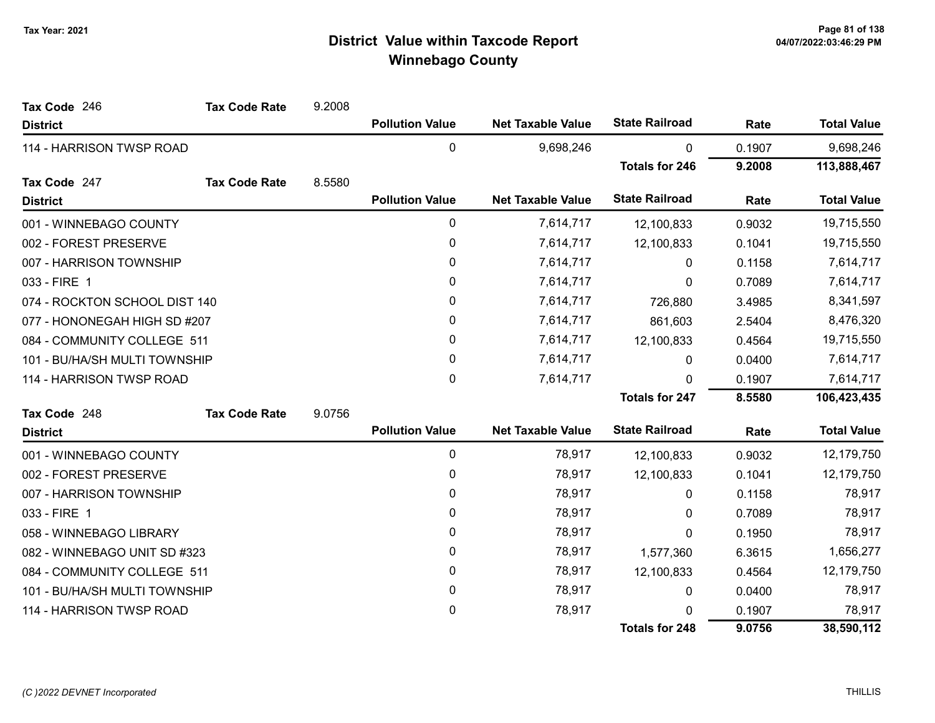| Tax Code 246                  | <b>Tax Code Rate</b> | 9.2008 |                        |                          |                       |        |                    |
|-------------------------------|----------------------|--------|------------------------|--------------------------|-----------------------|--------|--------------------|
| <b>District</b>               |                      |        | <b>Pollution Value</b> | <b>Net Taxable Value</b> | <b>State Railroad</b> | Rate   | <b>Total Value</b> |
| 114 - HARRISON TWSP ROAD      |                      |        | 0                      | 9,698,246                | $\mathbf{0}$          | 0.1907 | 9,698,246          |
|                               |                      |        |                        |                          | <b>Totals for 246</b> | 9.2008 | 113,888,467        |
| Tax Code 247                  | <b>Tax Code Rate</b> | 8.5580 |                        |                          |                       |        |                    |
| <b>District</b>               |                      |        | <b>Pollution Value</b> | <b>Net Taxable Value</b> | <b>State Railroad</b> | Rate   | <b>Total Value</b> |
| 001 - WINNEBAGO COUNTY        |                      |        | 0                      | 7,614,717                | 12,100,833            | 0.9032 | 19,715,550         |
| 002 - FOREST PRESERVE         |                      |        | 0                      | 7,614,717                | 12,100,833            | 0.1041 | 19,715,550         |
| 007 - HARRISON TOWNSHIP       |                      |        | 0                      | 7,614,717                | $\mathbf{0}$          | 0.1158 | 7,614,717          |
| 033 - FIRE 1                  |                      |        | 0                      | 7,614,717                | 0                     | 0.7089 | 7,614,717          |
| 074 - ROCKTON SCHOOL DIST 140 |                      |        | 0                      | 7,614,717                | 726,880               | 3.4985 | 8,341,597          |
| 077 - HONONEGAH HIGH SD #207  |                      |        | 0                      | 7,614,717                | 861,603               | 2.5404 | 8,476,320          |
| 084 - COMMUNITY COLLEGE 511   |                      |        | 0                      | 7,614,717                | 12,100,833            | 0.4564 | 19,715,550         |
| 101 - BU/HA/SH MULTI TOWNSHIP |                      |        | 0                      | 7,614,717                | 0                     | 0.0400 | 7,614,717          |
| 114 - HARRISON TWSP ROAD      |                      |        | 0                      | 7,614,717                | 0                     | 0.1907 | 7,614,717          |
|                               |                      |        |                        |                          | <b>Totals for 247</b> | 8.5580 | 106,423,435        |
| Tax Code 248                  | <b>Tax Code Rate</b> | 9.0756 |                        |                          |                       |        |                    |
| <b>District</b>               |                      |        | <b>Pollution Value</b> | <b>Net Taxable Value</b> | <b>State Railroad</b> | Rate   | <b>Total Value</b> |
| 001 - WINNEBAGO COUNTY        |                      |        | 0                      | 78,917                   | 12,100,833            | 0.9032 | 12,179,750         |
| 002 - FOREST PRESERVE         |                      |        | 0                      | 78,917                   | 12,100,833            | 0.1041 | 12,179,750         |
| 007 - HARRISON TOWNSHIP       |                      |        | 0                      | 78,917                   | $\mathbf{0}$          | 0.1158 | 78,917             |
| 033 - FIRE 1                  |                      |        | 0                      | 78,917                   | 0                     | 0.7089 | 78,917             |
| 058 - WINNEBAGO LIBRARY       |                      |        | 0                      | 78,917                   | 0                     | 0.1950 | 78,917             |
| 082 - WINNEBAGO UNIT SD #323  |                      |        | 0                      | 78,917                   | 1,577,360             | 6.3615 | 1,656,277          |
| 084 - COMMUNITY COLLEGE 511   |                      |        | 0                      | 78,917                   | 12,100,833            | 0.4564 | 12,179,750         |
| 101 - BU/HA/SH MULTI TOWNSHIP |                      |        | 0                      | 78,917                   | 0                     | 0.0400 | 78,917             |
| 114 - HARRISON TWSP ROAD      |                      |        | 0                      | 78,917                   | 0                     | 0.1907 | 78,917             |
|                               |                      |        |                        |                          | <b>Totals for 248</b> | 9.0756 | 38,590,112         |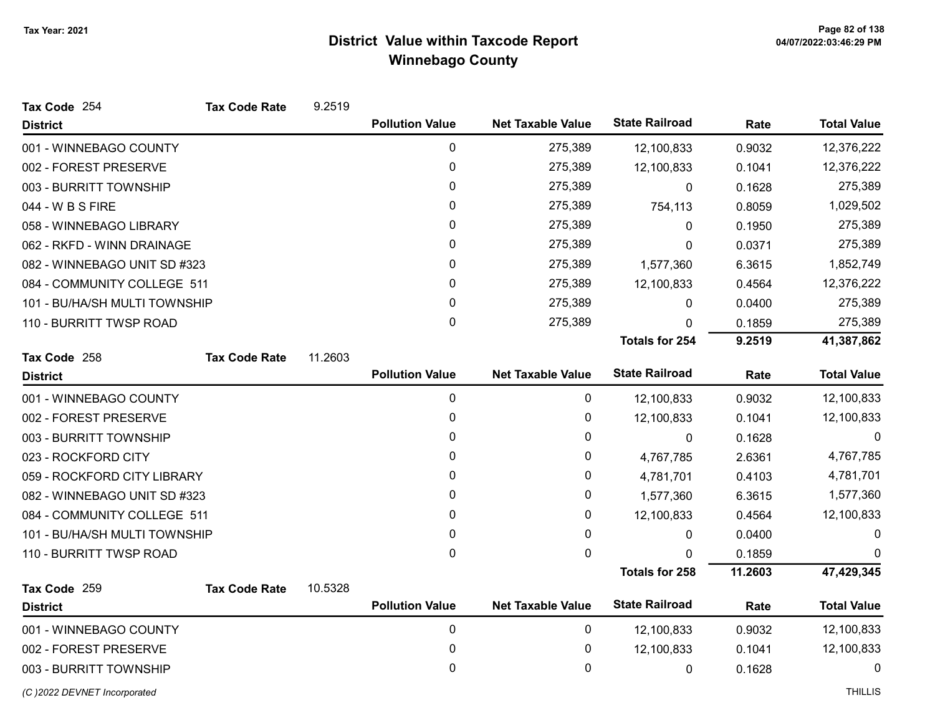| Tax Code 254                  | <b>Tax Code Rate</b> | 9.2519  |                        |                          |                       |         |                    |
|-------------------------------|----------------------|---------|------------------------|--------------------------|-----------------------|---------|--------------------|
| <b>District</b>               |                      |         | <b>Pollution Value</b> | <b>Net Taxable Value</b> | <b>State Railroad</b> | Rate    | <b>Total Value</b> |
| 001 - WINNEBAGO COUNTY        |                      |         | 0                      | 275,389                  | 12,100,833            | 0.9032  | 12,376,222         |
| 002 - FOREST PRESERVE         |                      |         | 0                      | 275,389                  | 12,100,833            | 0.1041  | 12,376,222         |
| 003 - BURRITT TOWNSHIP        |                      |         | 0                      | 275,389                  | $\Omega$              | 0.1628  | 275,389            |
| 044 - W B S FIRE              |                      |         | 0                      | 275,389                  | 754,113               | 0.8059  | 1,029,502          |
| 058 - WINNEBAGO LIBRARY       |                      |         | 0                      | 275,389                  | 0                     | 0.1950  | 275,389            |
| 062 - RKFD - WINN DRAINAGE    |                      |         | 0                      | 275,389                  | 0                     | 0.0371  | 275,389            |
| 082 - WINNEBAGO UNIT SD #323  |                      |         | 0                      | 275,389                  | 1,577,360             | 6.3615  | 1,852,749          |
| 084 - COMMUNITY COLLEGE 511   |                      |         | 0                      | 275,389                  | 12,100,833            | 0.4564  | 12,376,222         |
| 101 - BU/HA/SH MULTI TOWNSHIP |                      |         | 0                      | 275,389                  | 0                     | 0.0400  | 275,389            |
| 110 - BURRITT TWSP ROAD       |                      |         | 0                      | 275,389                  | 0                     | 0.1859  | 275,389            |
|                               |                      |         |                        |                          | <b>Totals for 254</b> | 9.2519  | 41,387,862         |
| Tax Code 258                  | <b>Tax Code Rate</b> | 11.2603 |                        |                          |                       |         |                    |
| <b>District</b>               |                      |         | <b>Pollution Value</b> | <b>Net Taxable Value</b> | <b>State Railroad</b> | Rate    | <b>Total Value</b> |
| 001 - WINNEBAGO COUNTY        |                      |         | $\mathbf 0$            | $\mathbf 0$              | 12,100,833            | 0.9032  | 12,100,833         |
| 002 - FOREST PRESERVE         |                      |         | 0                      | 0                        | 12,100,833            | 0.1041  | 12,100,833         |
| 003 - BURRITT TOWNSHIP        |                      |         | 0                      | 0                        | 0                     | 0.1628  | 0                  |
| 023 - ROCKFORD CITY           |                      |         | 0                      | 0                        | 4,767,785             | 2.6361  | 4,767,785          |
| 059 - ROCKFORD CITY LIBRARY   |                      |         | 0                      | 0                        | 4,781,701             | 0.4103  | 4,781,701          |
| 082 - WINNEBAGO UNIT SD #323  |                      |         | 0                      | 0                        | 1,577,360             | 6.3615  | 1,577,360          |
| 084 - COMMUNITY COLLEGE 511   |                      |         | 0                      | 0                        | 12,100,833            | 0.4564  | 12,100,833         |
| 101 - BU/HA/SH MULTI TOWNSHIP |                      |         | 0                      | 0                        | 0                     | 0.0400  | 0                  |
| 110 - BURRITT TWSP ROAD       |                      |         | $\Omega$               | 0                        | 0                     | 0.1859  | $\Omega$           |
|                               |                      |         |                        |                          | <b>Totals for 258</b> | 11.2603 | 47,429,345         |
| Tax Code 259                  | <b>Tax Code Rate</b> | 10.5328 |                        |                          |                       |         |                    |
| <b>District</b>               |                      |         | <b>Pollution Value</b> | <b>Net Taxable Value</b> | <b>State Railroad</b> | Rate    | <b>Total Value</b> |
| 001 - WINNEBAGO COUNTY        |                      |         | 0                      | 0                        | 12,100,833            | 0.9032  | 12,100,833         |
| 002 - FOREST PRESERVE         |                      |         | 0                      | 0                        | 12,100,833            | 0.1041  | 12,100,833         |
| 003 - BURRITT TOWNSHIP        |                      |         | 0                      | 0                        | 0                     | 0.1628  | 0                  |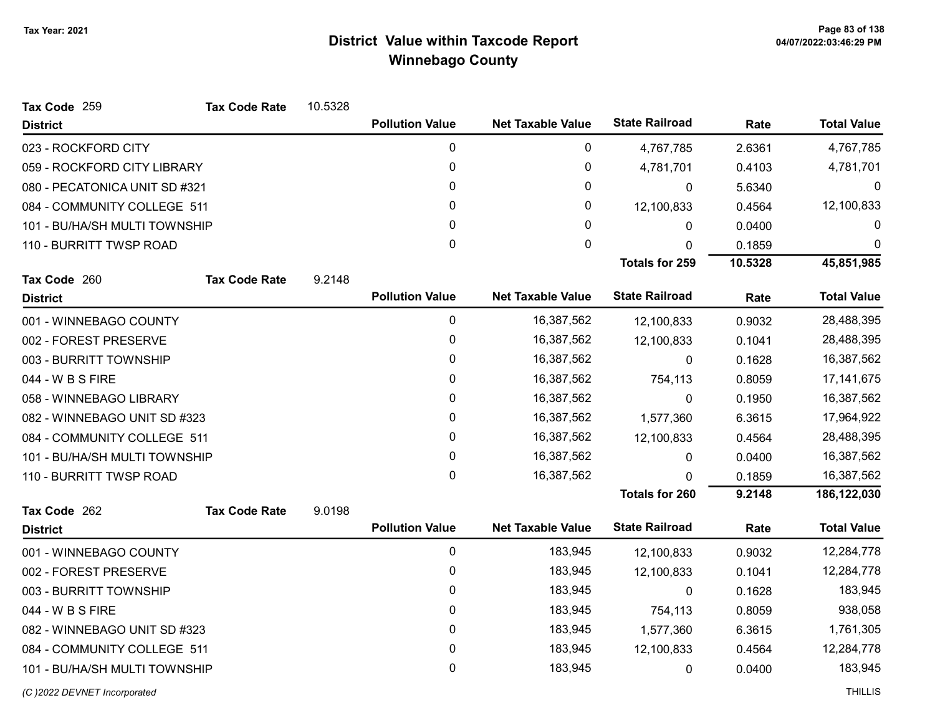| Tax Code 259                  | <b>Tax Code Rate</b> | 10.5328 |                        |                          |                       |         |                    |
|-------------------------------|----------------------|---------|------------------------|--------------------------|-----------------------|---------|--------------------|
| <b>District</b>               |                      |         | <b>Pollution Value</b> | <b>Net Taxable Value</b> | <b>State Railroad</b> | Rate    | <b>Total Value</b> |
| 023 - ROCKFORD CITY           |                      |         | 0                      | 0                        | 4,767,785             | 2.6361  | 4,767,785          |
| 059 - ROCKFORD CITY LIBRARY   |                      |         | 0                      | 0                        | 4,781,701             | 0.4103  | 4,781,701          |
| 080 - PECATONICA UNIT SD #321 |                      |         | 0                      | 0                        | $\mathbf{0}$          | 5.6340  | 0                  |
| 084 - COMMUNITY COLLEGE 511   |                      |         | 0                      | 0                        | 12,100,833            | 0.4564  | 12,100,833         |
| 101 - BU/HA/SH MULTI TOWNSHIP |                      |         | 0                      | 0                        | 0                     | 0.0400  | 0                  |
| 110 - BURRITT TWSP ROAD       |                      |         | 0                      | $\mathbf 0$              | $\mathbf{0}$          | 0.1859  | $\mathbf 0$        |
|                               |                      |         |                        |                          | <b>Totals for 259</b> | 10.5328 | 45,851,985         |
| Tax Code 260                  | <b>Tax Code Rate</b> | 9.2148  |                        |                          |                       |         |                    |
| <b>District</b>               |                      |         | <b>Pollution Value</b> | <b>Net Taxable Value</b> | <b>State Railroad</b> | Rate    | <b>Total Value</b> |
| 001 - WINNEBAGO COUNTY        |                      |         | 0                      | 16,387,562               | 12,100,833            | 0.9032  | 28,488,395         |
| 002 - FOREST PRESERVE         |                      |         | 0                      | 16,387,562               | 12,100,833            | 0.1041  | 28,488,395         |
| 003 - BURRITT TOWNSHIP        |                      |         | 0                      | 16,387,562               | $\Omega$              | 0.1628  | 16,387,562         |
| 044 - W B S FIRE              |                      |         | 0                      | 16,387,562               | 754,113               | 0.8059  | 17, 141, 675       |
| 058 - WINNEBAGO LIBRARY       |                      |         | 0                      | 16,387,562               | 0                     | 0.1950  | 16,387,562         |
| 082 - WINNEBAGO UNIT SD #323  |                      |         | 0                      | 16,387,562               | 1,577,360             | 6.3615  | 17,964,922         |
| 084 - COMMUNITY COLLEGE 511   |                      |         | 0                      | 16,387,562               | 12,100,833            | 0.4564  | 28,488,395         |
| 101 - BU/HA/SH MULTI TOWNSHIP |                      |         | 0                      | 16,387,562               | 0                     | 0.0400  | 16,387,562         |
| 110 - BURRITT TWSP ROAD       |                      |         | 0                      | 16,387,562               | 0                     | 0.1859  | 16,387,562         |
|                               |                      |         |                        |                          | <b>Totals for 260</b> | 9.2148  | 186,122,030        |
| Tax Code 262                  | <b>Tax Code Rate</b> | 9.0198  |                        |                          |                       |         |                    |
| <b>District</b>               |                      |         | <b>Pollution Value</b> | <b>Net Taxable Value</b> | <b>State Railroad</b> | Rate    | <b>Total Value</b> |
| 001 - WINNEBAGO COUNTY        |                      |         | 0                      | 183,945                  | 12,100,833            | 0.9032  | 12,284,778         |
| 002 - FOREST PRESERVE         |                      |         | 0                      | 183,945                  | 12,100,833            | 0.1041  | 12,284,778         |
| 003 - BURRITT TOWNSHIP        |                      |         | 0                      | 183,945                  | 0                     | 0.1628  | 183,945            |
| 044 - W B S FIRE              |                      |         | 0                      | 183,945                  | 754,113               | 0.8059  | 938,058            |
| 082 - WINNEBAGO UNIT SD #323  |                      |         | 0                      | 183,945                  | 1,577,360             | 6.3615  | 1,761,305          |
| 084 - COMMUNITY COLLEGE 511   |                      |         | 0                      | 183,945                  | 12,100,833            | 0.4564  | 12,284,778         |
| 101 - BU/HA/SH MULTI TOWNSHIP |                      |         | 0                      | 183,945                  | $\pmb{0}$             | 0.0400  | 183,945            |

(C)2022 DEVNET Incorporated THILLIS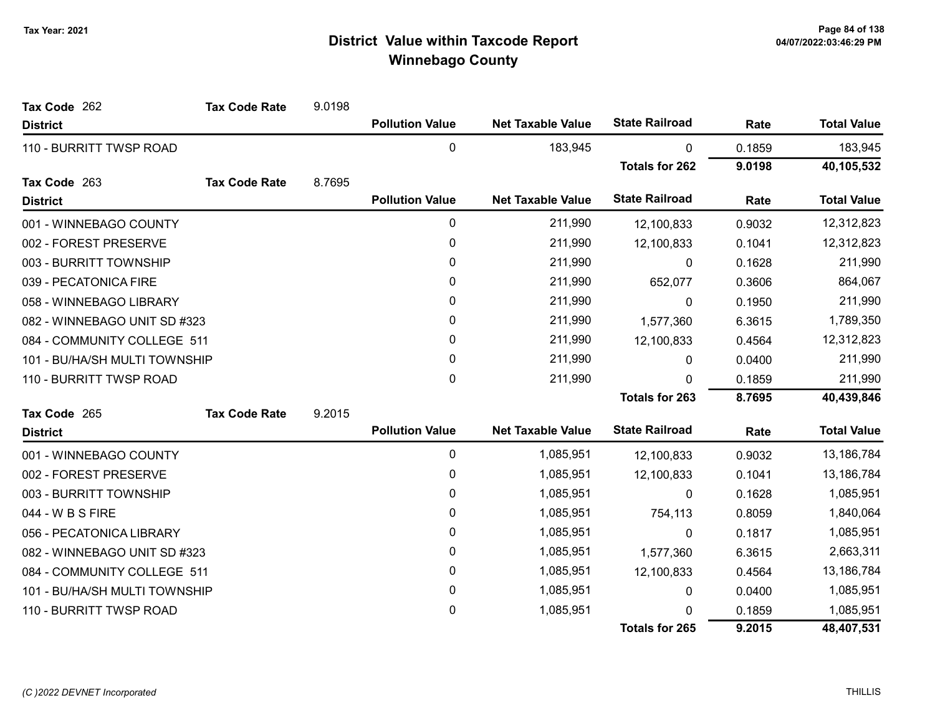| Tax Code 262                  | <b>Tax Code Rate</b> | 9.0198 |                        |                          |                       |        |                    |
|-------------------------------|----------------------|--------|------------------------|--------------------------|-----------------------|--------|--------------------|
| <b>District</b>               |                      |        | <b>Pollution Value</b> | <b>Net Taxable Value</b> | <b>State Railroad</b> | Rate   | <b>Total Value</b> |
| 110 - BURRITT TWSP ROAD       |                      |        | 0                      | 183,945                  | 0                     | 0.1859 | 183,945            |
|                               |                      |        |                        |                          | <b>Totals for 262</b> | 9.0198 | 40,105,532         |
| Tax Code 263                  | <b>Tax Code Rate</b> | 8.7695 |                        |                          |                       |        |                    |
| <b>District</b>               |                      |        | <b>Pollution Value</b> | <b>Net Taxable Value</b> | <b>State Railroad</b> | Rate   | <b>Total Value</b> |
| 001 - WINNEBAGO COUNTY        |                      |        | 0                      | 211,990                  | 12,100,833            | 0.9032 | 12,312,823         |
| 002 - FOREST PRESERVE         |                      |        | 0                      | 211,990                  | 12,100,833            | 0.1041 | 12,312,823         |
| 003 - BURRITT TOWNSHIP        |                      |        | 0                      | 211,990                  | 0                     | 0.1628 | 211,990            |
| 039 - PECATONICA FIRE         |                      |        | 0                      | 211,990                  | 652,077               | 0.3606 | 864,067            |
| 058 - WINNEBAGO LIBRARY       |                      |        | 0                      | 211,990                  | 0                     | 0.1950 | 211,990            |
| 082 - WINNEBAGO UNIT SD #323  |                      |        | 0                      | 211,990                  | 1,577,360             | 6.3615 | 1,789,350          |
| 084 - COMMUNITY COLLEGE 511   |                      |        | 0                      | 211,990                  | 12,100,833            | 0.4564 | 12,312,823         |
| 101 - BU/HA/SH MULTI TOWNSHIP |                      |        | 0                      | 211,990                  | 0                     | 0.0400 | 211,990            |
| 110 - BURRITT TWSP ROAD       |                      |        | 0                      | 211,990                  | $\Omega$              | 0.1859 | 211,990            |
|                               |                      |        |                        |                          | <b>Totals for 263</b> | 8.7695 | 40,439,846         |
| Tax Code 265                  | <b>Tax Code Rate</b> | 9.2015 |                        |                          |                       |        |                    |
| <b>District</b>               |                      |        | <b>Pollution Value</b> | <b>Net Taxable Value</b> | <b>State Railroad</b> | Rate   | <b>Total Value</b> |
| 001 - WINNEBAGO COUNTY        |                      |        | 0                      | 1,085,951                | 12,100,833            | 0.9032 | 13,186,784         |
| 002 - FOREST PRESERVE         |                      |        | 0                      | 1,085,951                | 12,100,833            | 0.1041 | 13,186,784         |
| 003 - BURRITT TOWNSHIP        |                      |        | 0                      | 1,085,951                | 0                     | 0.1628 | 1,085,951          |
| 044 - W B S FIRE              |                      |        | 0                      | 1,085,951                | 754,113               | 0.8059 | 1,840,064          |
| 056 - PECATONICA LIBRARY      |                      |        | 0                      | 1,085,951                | $\mathbf{0}$          | 0.1817 | 1,085,951          |
| 082 - WINNEBAGO UNIT SD #323  |                      |        | 0                      | 1,085,951                | 1,577,360             | 6.3615 | 2,663,311          |
| 084 - COMMUNITY COLLEGE 511   |                      |        | 0                      | 1,085,951                | 12,100,833            | 0.4564 | 13,186,784         |
| 101 - BU/HA/SH MULTI TOWNSHIP |                      |        | 0                      | 1,085,951                | 0                     | 0.0400 | 1,085,951          |
| 110 - BURRITT TWSP ROAD       |                      |        | 0                      | 1,085,951                | 0                     | 0.1859 | 1,085,951          |
|                               |                      |        |                        |                          | <b>Totals for 265</b> | 9.2015 | 48,407,531         |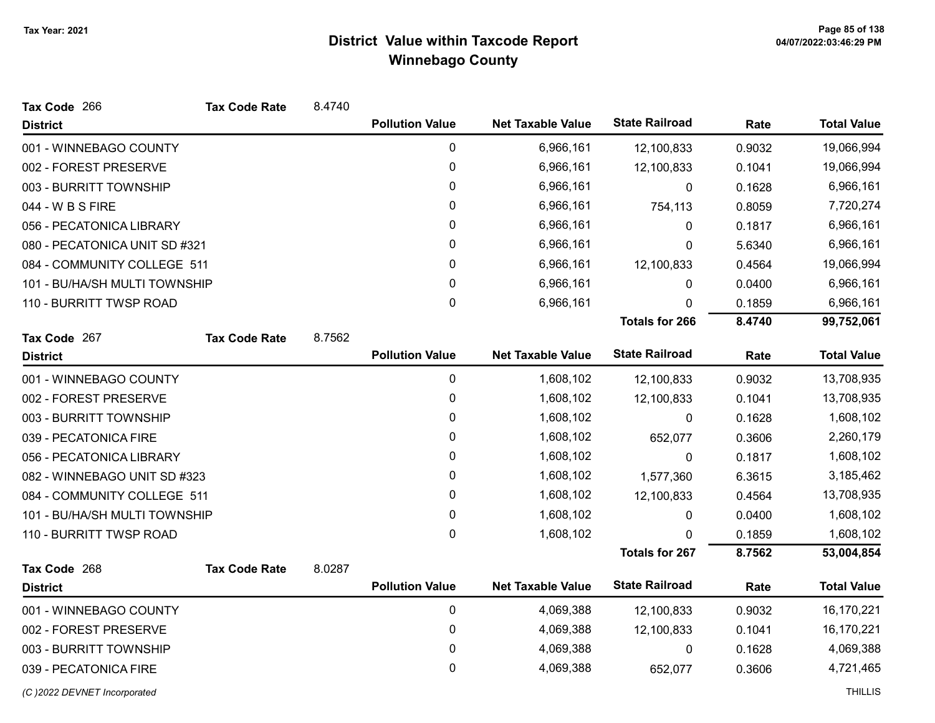| Tax Code 266                  | <b>Tax Code Rate</b> | 8.4740 |                        |                          |                       |        |                    |
|-------------------------------|----------------------|--------|------------------------|--------------------------|-----------------------|--------|--------------------|
| <b>District</b>               |                      |        | <b>Pollution Value</b> | <b>Net Taxable Value</b> | <b>State Railroad</b> | Rate   | <b>Total Value</b> |
| 001 - WINNEBAGO COUNTY        |                      |        | $\pmb{0}$              | 6,966,161                | 12,100,833            | 0.9032 | 19,066,994         |
| 002 - FOREST PRESERVE         |                      |        | $\pmb{0}$              | 6,966,161                | 12,100,833            | 0.1041 | 19,066,994         |
| 003 - BURRITT TOWNSHIP        |                      |        | 0                      | 6,966,161                | 0                     | 0.1628 | 6,966,161          |
| 044 - W B S FIRE              |                      |        | 0                      | 6,966,161                | 754,113               | 0.8059 | 7,720,274          |
| 056 - PECATONICA LIBRARY      |                      |        | 0                      | 6,966,161                | 0                     | 0.1817 | 6,966,161          |
| 080 - PECATONICA UNIT SD #321 |                      |        | 0                      | 6,966,161                | 0                     | 5.6340 | 6,966,161          |
| 084 - COMMUNITY COLLEGE 511   |                      |        | 0                      | 6,966,161                | 12,100,833            | 0.4564 | 19,066,994         |
| 101 - BU/HA/SH MULTI TOWNSHIP |                      |        | 0                      | 6,966,161                | $\mathbf{0}$          | 0.0400 | 6,966,161          |
| 110 - BURRITT TWSP ROAD       |                      |        | 0                      | 6,966,161                | 0                     | 0.1859 | 6,966,161          |
|                               |                      |        |                        |                          | <b>Totals for 266</b> | 8.4740 | 99,752,061         |
| Tax Code 267                  | <b>Tax Code Rate</b> | 8.7562 |                        |                          |                       |        |                    |
| <b>District</b>               |                      |        | <b>Pollution Value</b> | <b>Net Taxable Value</b> | <b>State Railroad</b> | Rate   | <b>Total Value</b> |
| 001 - WINNEBAGO COUNTY        |                      |        | 0                      | 1,608,102                | 12,100,833            | 0.9032 | 13,708,935         |
| 002 - FOREST PRESERVE         |                      |        | $\pmb{0}$              | 1,608,102                | 12,100,833            | 0.1041 | 13,708,935         |
| 003 - BURRITT TOWNSHIP        |                      |        | 0                      | 1,608,102                | 0                     | 0.1628 | 1,608,102          |
| 039 - PECATONICA FIRE         |                      |        | 0                      | 1,608,102                | 652,077               | 0.3606 | 2,260,179          |
| 056 - PECATONICA LIBRARY      |                      |        | 0                      | 1,608,102                | 0                     | 0.1817 | 1,608,102          |
| 082 - WINNEBAGO UNIT SD #323  |                      |        | 0                      | 1,608,102                | 1,577,360             | 6.3615 | 3,185,462          |
| 084 - COMMUNITY COLLEGE 511   |                      |        | 0                      | 1,608,102                | 12,100,833            | 0.4564 | 13,708,935         |
| 101 - BU/HA/SH MULTI TOWNSHIP |                      |        | 0                      | 1,608,102                | 0                     | 0.0400 | 1,608,102          |
| 110 - BURRITT TWSP ROAD       |                      |        | 0                      | 1,608,102                | 0                     | 0.1859 | 1,608,102          |
|                               |                      |        |                        |                          | <b>Totals for 267</b> | 8.7562 | 53,004,854         |
| Tax Code 268                  | <b>Tax Code Rate</b> | 8.0287 |                        |                          |                       |        |                    |
| <b>District</b>               |                      |        | <b>Pollution Value</b> | <b>Net Taxable Value</b> | <b>State Railroad</b> | Rate   | <b>Total Value</b> |
| 001 - WINNEBAGO COUNTY        |                      |        | $\pmb{0}$              | 4,069,388                | 12,100,833            | 0.9032 | 16,170,221         |
| 002 - FOREST PRESERVE         |                      |        | 0                      | 4,069,388                | 12,100,833            | 0.1041 | 16,170,221         |
| 003 - BURRITT TOWNSHIP        |                      |        | 0                      | 4,069,388                | 0                     | 0.1628 | 4,069,388          |
| 039 - PECATONICA FIRE         |                      |        | 0                      | 4,069,388                | 652,077               | 0.3606 | 4,721,465          |
| (C) 2022 DEVNET Incorporated  |                      |        |                        |                          |                       |        | <b>THILLIS</b>     |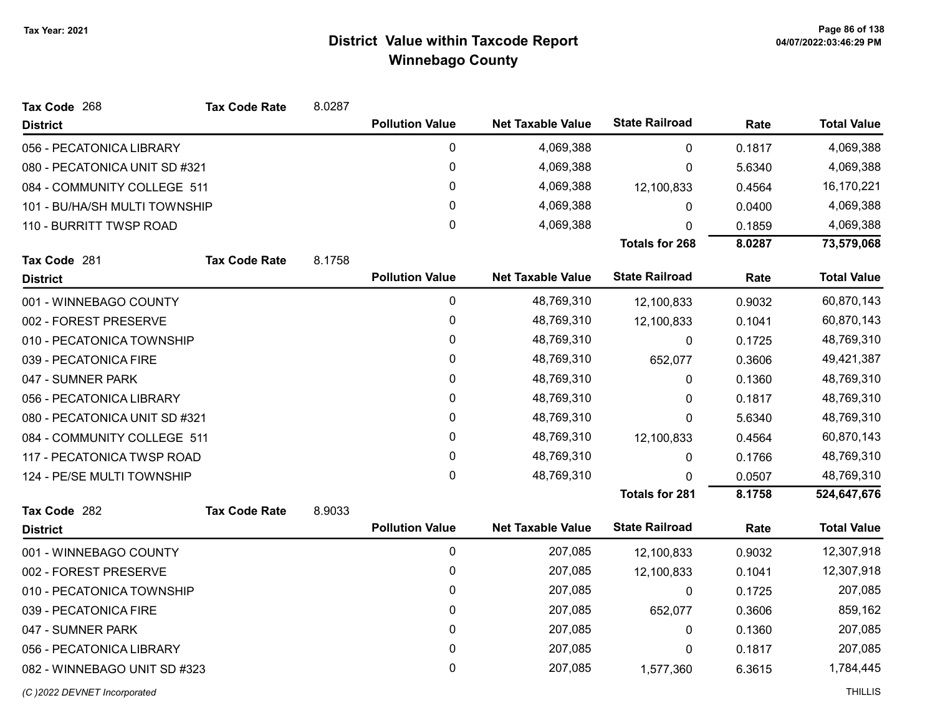| Tax Code 268                  | <b>Tax Code Rate</b>        | 8.0287 |                        |                          |                       |        |                    |
|-------------------------------|-----------------------------|--------|------------------------|--------------------------|-----------------------|--------|--------------------|
| <b>District</b>               |                             |        | <b>Pollution Value</b> | <b>Net Taxable Value</b> | <b>State Railroad</b> | Rate   | <b>Total Value</b> |
| 056 - PECATONICA LIBRARY      |                             |        | 0                      | 4,069,388                | $\Omega$              | 0.1817 | 4,069,388          |
| 080 - PECATONICA UNIT SD #321 |                             |        | 0                      | 4,069,388                | 0                     | 5.6340 | 4,069,388          |
|                               | 084 - COMMUNITY COLLEGE 511 |        | 0                      | 4,069,388                | 12,100,833            | 0.4564 | 16,170,221         |
| 101 - BU/HA/SH MULTI TOWNSHIP |                             |        | 0                      | 4,069,388                | 0                     | 0.0400 | 4,069,388          |
| 110 - BURRITT TWSP ROAD       |                             |        | 0                      | 4,069,388                | 0                     | 0.1859 | 4,069,388          |
|                               |                             |        |                        |                          | <b>Totals for 268</b> | 8.0287 | 73,579,068         |
| Tax Code 281                  | <b>Tax Code Rate</b>        | 8.1758 |                        |                          |                       |        |                    |
| <b>District</b>               |                             |        | <b>Pollution Value</b> | <b>Net Taxable Value</b> | <b>State Railroad</b> | Rate   | <b>Total Value</b> |
| 001 - WINNEBAGO COUNTY        |                             |        | $\mathbf 0$            | 48,769,310               | 12,100,833            | 0.9032 | 60,870,143         |
| 002 - FOREST PRESERVE         |                             |        | 0                      | 48,769,310               | 12,100,833            | 0.1041 | 60,870,143         |
| 010 - PECATONICA TOWNSHIP     |                             |        | 0                      | 48,769,310               | 0                     | 0.1725 | 48,769,310         |
| 039 - PECATONICA FIRE         |                             |        | 0                      | 48,769,310               | 652,077               | 0.3606 | 49,421,387         |
| 047 - SUMNER PARK             |                             |        | 0                      | 48,769,310               | 0                     | 0.1360 | 48,769,310         |
| 056 - PECATONICA LIBRARY      |                             |        | 0                      | 48,769,310               | 0                     | 0.1817 | 48,769,310         |
| 080 - PECATONICA UNIT SD #321 |                             |        | 0                      | 48,769,310               | 0                     | 5.6340 | 48,769,310         |
| 084 - COMMUNITY COLLEGE 511   |                             |        | 0                      | 48,769,310               | 12,100,833            | 0.4564 | 60,870,143         |
| 117 - PECATONICA TWSP ROAD    |                             |        | 0                      | 48,769,310               | 0                     | 0.1766 | 48,769,310         |
| 124 - PE/SE MULTI TOWNSHIP    |                             |        | 0                      | 48,769,310               | $\Omega$              | 0.0507 | 48,769,310         |
|                               |                             |        |                        |                          | <b>Totals for 281</b> | 8.1758 | 524,647,676        |
| Tax Code 282                  | <b>Tax Code Rate</b>        | 8.9033 |                        |                          |                       |        |                    |
| <b>District</b>               |                             |        | <b>Pollution Value</b> | <b>Net Taxable Value</b> | <b>State Railroad</b> | Rate   | <b>Total Value</b> |
| 001 - WINNEBAGO COUNTY        |                             |        | $\mathbf 0$            | 207,085                  | 12,100,833            | 0.9032 | 12,307,918         |
| 002 - FOREST PRESERVE         |                             |        | 0                      | 207,085                  | 12,100,833            | 0.1041 | 12,307,918         |
| 010 - PECATONICA TOWNSHIP     |                             |        | 0                      | 207,085                  | 0                     | 0.1725 | 207,085            |
| 039 - PECATONICA FIRE         |                             |        | 0                      | 207,085                  | 652,077               | 0.3606 | 859,162            |
| 047 - SUMNER PARK             |                             |        | 0                      | 207,085                  | 0                     | 0.1360 | 207,085            |
| 056 - PECATONICA LIBRARY      |                             |        | 0                      | 207,085                  | 0                     | 0.1817 | 207,085            |
| 082 - WINNEBAGO UNIT SD #323  |                             |        | 0                      | 207,085                  | 1,577,360             | 6.3615 | 1,784,445          |
|                               |                             |        |                        |                          |                       |        |                    |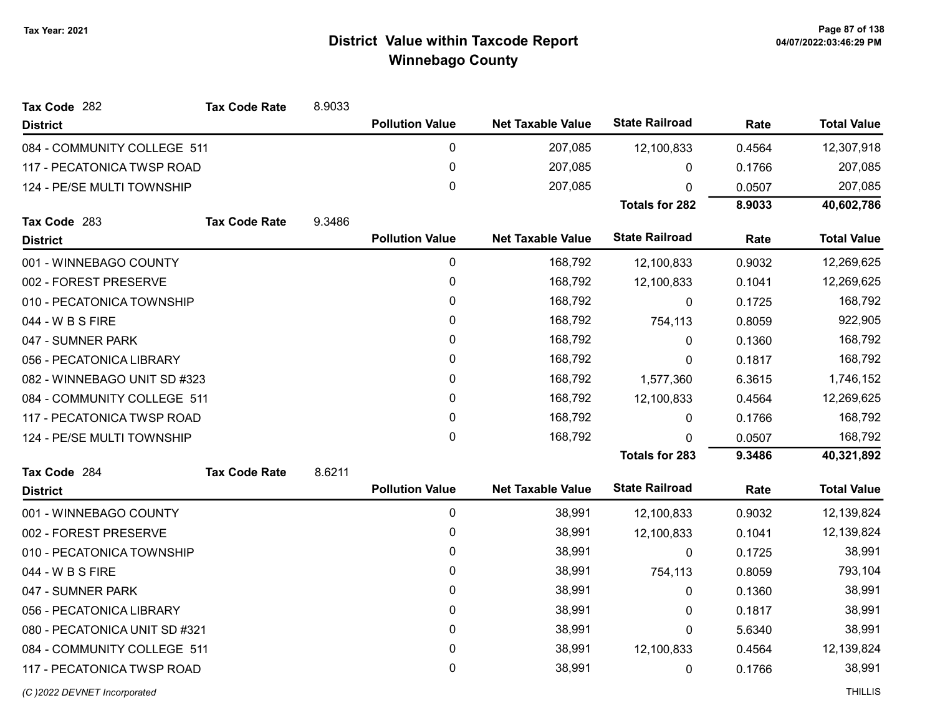| Tax Code 282                  | <b>Tax Code Rate</b> | 8.9033 |                        |                          |                       |        |                    |
|-------------------------------|----------------------|--------|------------------------|--------------------------|-----------------------|--------|--------------------|
| <b>District</b>               |                      |        | <b>Pollution Value</b> | <b>Net Taxable Value</b> | <b>State Railroad</b> | Rate   | <b>Total Value</b> |
| 084 - COMMUNITY COLLEGE 511   |                      |        | 0                      | 207,085                  | 12,100,833            | 0.4564 | 12,307,918         |
| 117 - PECATONICA TWSP ROAD    |                      |        | $\pmb{0}$              | 207,085                  | 0                     | 0.1766 | 207,085            |
| 124 - PE/SE MULTI TOWNSHIP    |                      |        | $\mathbf 0$            | 207,085                  | $\Omega$              | 0.0507 | 207,085            |
|                               |                      |        |                        |                          | <b>Totals for 282</b> | 8.9033 | 40,602,786         |
| Tax Code 283                  | <b>Tax Code Rate</b> | 9.3486 |                        |                          |                       |        |                    |
| <b>District</b>               |                      |        | <b>Pollution Value</b> | <b>Net Taxable Value</b> | <b>State Railroad</b> | Rate   | <b>Total Value</b> |
| 001 - WINNEBAGO COUNTY        |                      |        | $\pmb{0}$              | 168,792                  | 12,100,833            | 0.9032 | 12,269,625         |
| 002 - FOREST PRESERVE         |                      |        | $\pmb{0}$              | 168,792                  | 12,100,833            | 0.1041 | 12,269,625         |
| 010 - PECATONICA TOWNSHIP     |                      |        | $\pmb{0}$              | 168,792                  | 0                     | 0.1725 | 168,792            |
| 044 - W B S FIRE              |                      |        | 0                      | 168,792                  | 754,113               | 0.8059 | 922,905            |
| 047 - SUMNER PARK             |                      |        | $\pmb{0}$              | 168,792                  | 0                     | 0.1360 | 168,792            |
| 056 - PECATONICA LIBRARY      |                      |        | 0                      | 168,792                  | 0                     | 0.1817 | 168,792            |
| 082 - WINNEBAGO UNIT SD #323  |                      |        | $\pmb{0}$              | 168,792                  | 1,577,360             | 6.3615 | 1,746,152          |
| 084 - COMMUNITY COLLEGE 511   |                      |        | 0                      | 168,792                  | 12,100,833            | 0.4564 | 12,269,625         |
| 117 - PECATONICA TWSP ROAD    |                      |        | $\pmb{0}$              | 168,792                  | 0                     | 0.1766 | 168,792            |
| 124 - PE/SE MULTI TOWNSHIP    |                      |        | $\mathbf 0$            | 168,792                  | 0                     | 0.0507 | 168,792            |
|                               |                      |        |                        |                          | <b>Totals for 283</b> | 9.3486 | 40,321,892         |
| Tax Code 284                  | <b>Tax Code Rate</b> | 8.6211 |                        |                          |                       |        |                    |
| <b>District</b>               |                      |        | <b>Pollution Value</b> | <b>Net Taxable Value</b> | <b>State Railroad</b> | Rate   | <b>Total Value</b> |
| 001 - WINNEBAGO COUNTY        |                      |        | $\pmb{0}$              | 38,991                   | 12,100,833            | 0.9032 | 12,139,824         |
| 002 - FOREST PRESERVE         |                      |        | $\pmb{0}$              | 38,991                   | 12,100,833            | 0.1041 | 12,139,824         |
| 010 - PECATONICA TOWNSHIP     |                      |        | $\pmb{0}$              | 38,991                   | 0                     | 0.1725 | 38,991             |
| 044 - W B S FIRE              |                      |        | 0                      | 38,991                   | 754,113               | 0.8059 | 793,104            |
| 047 - SUMNER PARK             |                      |        | $\pmb{0}$              | 38,991                   | 0                     | 0.1360 | 38,991             |
| 056 - PECATONICA LIBRARY      |                      |        | 0                      | 38,991                   | 0                     | 0.1817 | 38,991             |
| 080 - PECATONICA UNIT SD #321 |                      |        | $\mathbf 0$            | 38,991                   | $\Omega$              | 5.6340 | 38,991             |
| 084 - COMMUNITY COLLEGE 511   |                      |        | 0                      | 38,991                   | 12,100,833            | 0.4564 | 12,139,824         |
| 117 - PECATONICA TWSP ROAD    |                      |        | $\mathbf{0}$           | 38,991                   | 0                     | 0.1766 | 38,991             |
|                               |                      |        |                        |                          |                       |        |                    |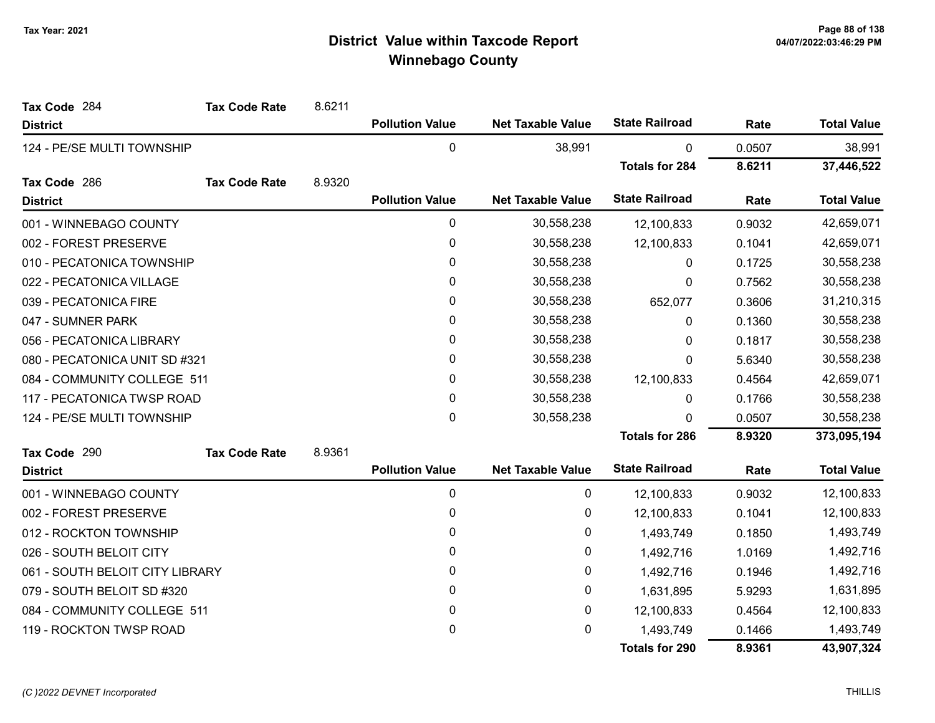| Tax Code 284                    | <b>Tax Code Rate</b> | 8.6211 |                        |                          |                       |        |                    |
|---------------------------------|----------------------|--------|------------------------|--------------------------|-----------------------|--------|--------------------|
| <b>District</b>                 |                      |        | <b>Pollution Value</b> | <b>Net Taxable Value</b> | <b>State Railroad</b> | Rate   | <b>Total Value</b> |
| 124 - PE/SE MULTI TOWNSHIP      |                      |        | $\mathbf 0$            | 38,991                   | $\mathbf{0}$          | 0.0507 | 38,991             |
|                                 |                      |        |                        |                          | <b>Totals for 284</b> | 8.6211 | 37,446,522         |
| Tax Code 286                    | <b>Tax Code Rate</b> | 8.9320 |                        |                          |                       |        |                    |
| <b>District</b>                 |                      |        | <b>Pollution Value</b> | <b>Net Taxable Value</b> | <b>State Railroad</b> | Rate   | <b>Total Value</b> |
| 001 - WINNEBAGO COUNTY          |                      |        | $\mathbf 0$            | 30,558,238               | 12,100,833            | 0.9032 | 42,659,071         |
| 002 - FOREST PRESERVE           |                      |        | 0                      | 30,558,238               | 12,100,833            | 0.1041 | 42,659,071         |
| 010 - PECATONICA TOWNSHIP       |                      |        | $\pmb{0}$              | 30,558,238               | 0                     | 0.1725 | 30,558,238         |
| 022 - PECATONICA VILLAGE        |                      |        | $\mathbf{0}$           | 30,558,238               | 0                     | 0.7562 | 30,558,238         |
| 039 - PECATONICA FIRE           |                      |        | 0                      | 30,558,238               | 652,077               | 0.3606 | 31,210,315         |
| 047 - SUMNER PARK               |                      |        | $\pmb{0}$              | 30,558,238               | 0                     | 0.1360 | 30,558,238         |
| 056 - PECATONICA LIBRARY        |                      |        | 0                      | 30,558,238               | 0                     | 0.1817 | 30,558,238         |
| 080 - PECATONICA UNIT SD #321   |                      |        | 0                      | 30,558,238               | 0                     | 5.6340 | 30,558,238         |
| 084 - COMMUNITY COLLEGE 511     |                      |        | $\pmb{0}$              | 30,558,238               | 12,100,833            | 0.4564 | 42,659,071         |
| 117 - PECATONICA TWSP ROAD      |                      |        | 0                      | 30,558,238               | 0                     | 0.1766 | 30,558,238         |
| 124 - PE/SE MULTI TOWNSHIP      |                      |        | 0                      | 30,558,238               | 0                     | 0.0507 | 30,558,238         |
|                                 |                      |        |                        |                          | <b>Totals for 286</b> | 8.9320 | 373,095,194        |
| Tax Code 290                    | <b>Tax Code Rate</b> | 8.9361 |                        |                          |                       |        |                    |
| <b>District</b>                 |                      |        | <b>Pollution Value</b> | <b>Net Taxable Value</b> | <b>State Railroad</b> | Rate   | <b>Total Value</b> |
| 001 - WINNEBAGO COUNTY          |                      |        | 0                      | 0                        | 12,100,833            | 0.9032 | 12,100,833         |
| 002 - FOREST PRESERVE           |                      |        | 0                      | 0                        | 12,100,833            | 0.1041 | 12,100,833         |
| 012 - ROCKTON TOWNSHIP          |                      |        | 0                      | 0                        | 1,493,749             | 0.1850 | 1,493,749          |
| 026 - SOUTH BELOIT CITY         |                      |        | 0                      | 0                        | 1,492,716             | 1.0169 | 1,492,716          |
| 061 - SOUTH BELOIT CITY LIBRARY |                      |        | 0                      | 0                        | 1,492,716             | 0.1946 | 1,492,716          |
| 079 - SOUTH BELOIT SD #320      |                      |        | 0                      | 0                        | 1,631,895             | 5.9293 | 1,631,895          |
| 084 - COMMUNITY COLLEGE 511     |                      |        | 0                      | 0                        | 12,100,833            | 0.4564 | 12,100,833         |
| 119 - ROCKTON TWSP ROAD         |                      |        | 0                      | 0                        | 1,493,749             | 0.1466 | 1,493,749          |
|                                 |                      |        |                        |                          | <b>Totals for 290</b> | 8.9361 | 43,907,324         |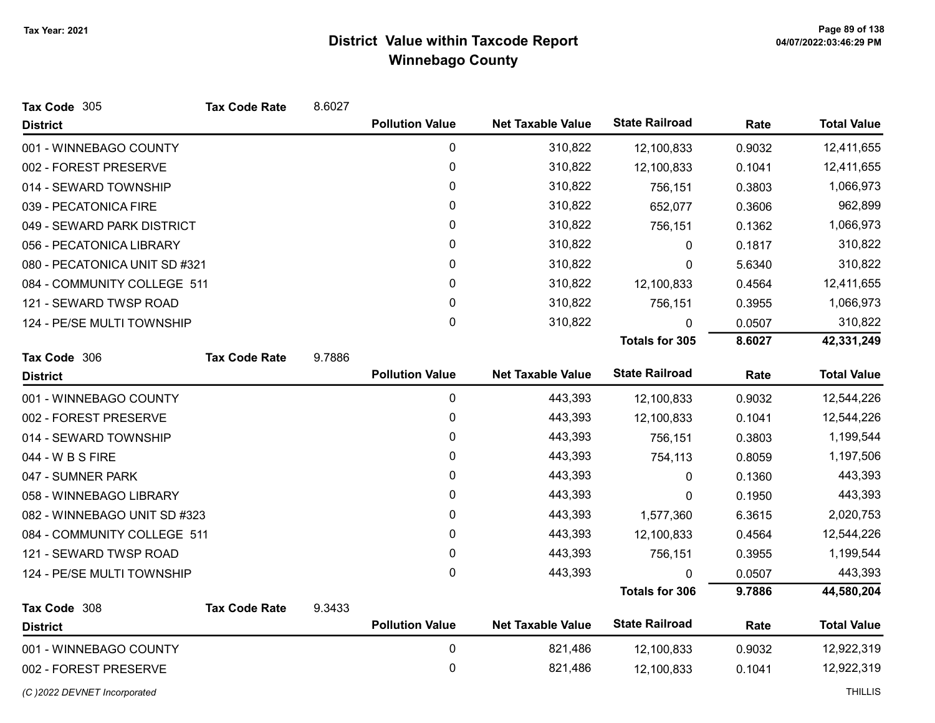| Tax Code 305                    | <b>Tax Code Rate</b> | 8.6027 |                        |                          |                       |        |                    |
|---------------------------------|----------------------|--------|------------------------|--------------------------|-----------------------|--------|--------------------|
| <b>District</b>                 |                      |        | <b>Pollution Value</b> | <b>Net Taxable Value</b> | <b>State Railroad</b> | Rate   | <b>Total Value</b> |
| 001 - WINNEBAGO COUNTY          |                      |        | 0                      | 310,822                  | 12,100,833            | 0.9032 | 12,411,655         |
| 002 - FOREST PRESERVE           |                      |        | 0                      | 310,822                  | 12,100,833            | 0.1041 | 12,411,655         |
| 014 - SEWARD TOWNSHIP           |                      |        | $\pmb{0}$              | 310,822                  | 756,151               | 0.3803 | 1,066,973          |
| 039 - PECATONICA FIRE           |                      |        | 0                      | 310,822                  | 652,077               | 0.3606 | 962,899            |
| 049 - SEWARD PARK DISTRICT      |                      |        | $\pmb{0}$              | 310,822                  | 756,151               | 0.1362 | 1,066,973          |
| 056 - PECATONICA LIBRARY        |                      |        | $\mathbf{0}$           | 310,822                  | $\mathbf{0}$          | 0.1817 | 310,822            |
| 080 - PECATONICA UNIT SD #321   |                      |        | 0                      | 310,822                  | 0                     | 5.6340 | 310,822            |
| 084 - COMMUNITY COLLEGE 511     |                      |        | 0                      | 310,822                  | 12,100,833            | 0.4564 | 12,411,655         |
| 121 - SEWARD TWSP ROAD          |                      |        | 0                      | 310,822                  | 756,151               | 0.3955 | 1,066,973          |
| 124 - PE/SE MULTI TOWNSHIP      |                      |        | $\mathbf 0$            | 310,822                  | $\mathbf{0}$          | 0.0507 | 310,822            |
|                                 |                      |        |                        |                          | <b>Totals for 305</b> | 8.6027 | 42,331,249         |
| Tax Code 306                    | <b>Tax Code Rate</b> | 9.7886 |                        |                          |                       |        |                    |
| <b>District</b>                 |                      |        | <b>Pollution Value</b> | <b>Net Taxable Value</b> | <b>State Railroad</b> | Rate   | <b>Total Value</b> |
| 001 - WINNEBAGO COUNTY          |                      |        | $\pmb{0}$              | 443,393                  | 12,100,833            | 0.9032 | 12,544,226         |
| 002 - FOREST PRESERVE           |                      |        | 0                      | 443,393                  | 12,100,833            | 0.1041 | 12,544,226         |
| 014 - SEWARD TOWNSHIP           |                      |        | $\mathbf 0$            | 443,393                  | 756,151               | 0.3803 | 1,199,544          |
| 044 - W B S FIRE                |                      |        | $\mathbf{0}$           | 443,393                  | 754,113               | 0.8059 | 1,197,506          |
| 047 - SUMNER PARK               |                      |        | $\pmb{0}$              | 443,393                  | 0                     | 0.1360 | 443,393            |
| 058 - WINNEBAGO LIBRARY         |                      |        | 0                      | 443,393                  | 0                     | 0.1950 | 443,393            |
| 082 - WINNEBAGO UNIT SD #323    |                      |        | 0                      | 443,393                  | 1,577,360             | 6.3615 | 2,020,753          |
| 084 - COMMUNITY COLLEGE 511     |                      |        | $\mathbf{0}$           | 443,393                  | 12,100,833            | 0.4564 | 12,544,226         |
| 121 - SEWARD TWSP ROAD          |                      |        | $\mathbf 0$            | 443,393                  | 756,151               | 0.3955 | 1,199,544          |
| 124 - PE/SE MULTI TOWNSHIP      |                      |        | $\mathbf{0}$           | 443,393                  | $\Omega$              | 0.0507 | 443,393            |
|                                 |                      |        |                        |                          | <b>Totals for 306</b> | 9.7886 | 44,580,204         |
| Tax Code 308<br><b>District</b> | <b>Tax Code Rate</b> | 9.3433 | <b>Pollution Value</b> | <b>Net Taxable Value</b> | <b>State Railroad</b> | Rate   | <b>Total Value</b> |
| 001 - WINNEBAGO COUNTY          |                      |        | $\mathbf 0$            | 821,486                  |                       | 0.9032 | 12,922,319         |
|                                 |                      |        | $\mathbf 0$            | 821,486                  | 12,100,833            |        | 12,922,319         |
| 002 - FOREST PRESERVE           |                      |        |                        |                          | 12,100,833            | 0.1041 |                    |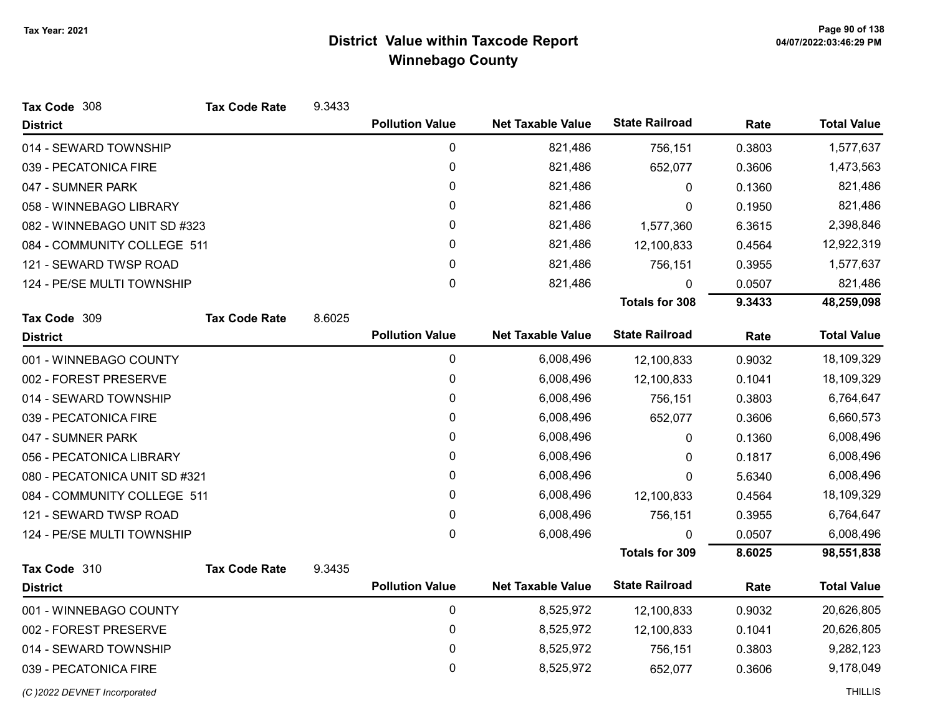| Tax Code 308                  | <b>Tax Code Rate</b> | 9.3433 |                        |                          |                       |        |                    |
|-------------------------------|----------------------|--------|------------------------|--------------------------|-----------------------|--------|--------------------|
| <b>District</b>               |                      |        | <b>Pollution Value</b> | <b>Net Taxable Value</b> | <b>State Railroad</b> | Rate   | <b>Total Value</b> |
| 014 - SEWARD TOWNSHIP         |                      |        | $\pmb{0}$              | 821,486                  | 756,151               | 0.3803 | 1,577,637          |
| 039 - PECATONICA FIRE         |                      |        | $\pmb{0}$              | 821,486                  | 652,077               | 0.3606 | 1,473,563          |
| 047 - SUMNER PARK             |                      |        | 0                      | 821,486                  | 0                     | 0.1360 | 821,486            |
| 058 - WINNEBAGO LIBRARY       |                      |        | 0                      | 821,486                  | 0                     | 0.1950 | 821,486            |
| 082 - WINNEBAGO UNIT SD #323  |                      |        | 0                      | 821,486                  | 1,577,360             | 6.3615 | 2,398,846          |
| 084 - COMMUNITY COLLEGE 511   |                      |        | 0                      | 821,486                  | 12,100,833            | 0.4564 | 12,922,319         |
| 121 - SEWARD TWSP ROAD        |                      |        | 0                      | 821,486                  | 756,151               | 0.3955 | 1,577,637          |
| 124 - PE/SE MULTI TOWNSHIP    |                      |        | 0                      | 821,486                  | 0                     | 0.0507 | 821,486            |
|                               |                      |        |                        |                          | <b>Totals for 308</b> | 9.3433 | 48,259,098         |
| Tax Code 309                  | <b>Tax Code Rate</b> | 8.6025 |                        |                          |                       |        |                    |
| <b>District</b>               |                      |        | <b>Pollution Value</b> | <b>Net Taxable Value</b> | <b>State Railroad</b> | Rate   | <b>Total Value</b> |
| 001 - WINNEBAGO COUNTY        |                      |        | $\pmb{0}$              | 6,008,496                | 12,100,833            | 0.9032 | 18,109,329         |
| 002 - FOREST PRESERVE         |                      |        | 0                      | 6,008,496                | 12,100,833            | 0.1041 | 18,109,329         |
| 014 - SEWARD TOWNSHIP         |                      |        | 0                      | 6,008,496                | 756,151               | 0.3803 | 6,764,647          |
| 039 - PECATONICA FIRE         |                      |        | 0                      | 6,008,496                | 652,077               | 0.3606 | 6,660,573          |
| 047 - SUMNER PARK             |                      |        | 0                      | 6,008,496                | 0                     | 0.1360 | 6,008,496          |
| 056 - PECATONICA LIBRARY      |                      |        | 0                      | 6,008,496                | $\mathbf{0}$          | 0.1817 | 6,008,496          |
| 080 - PECATONICA UNIT SD #321 |                      |        | 0                      | 6,008,496                | $\mathbf{0}$          | 5.6340 | 6,008,496          |
| 084 - COMMUNITY COLLEGE 511   |                      |        | 0                      | 6,008,496                | 12,100,833            | 0.4564 | 18,109,329         |
| 121 - SEWARD TWSP ROAD        |                      |        | 0                      | 6,008,496                | 756,151               | 0.3955 | 6,764,647          |
| 124 - PE/SE MULTI TOWNSHIP    |                      |        | 0                      | 6,008,496                | 0                     | 0.0507 | 6,008,496          |
|                               |                      |        |                        |                          | <b>Totals for 309</b> | 8.6025 | 98,551,838         |
| Tax Code 310                  | <b>Tax Code Rate</b> | 9.3435 |                        |                          |                       |        |                    |
| <b>District</b>               |                      |        | <b>Pollution Value</b> | <b>Net Taxable Value</b> | <b>State Railroad</b> | Rate   | <b>Total Value</b> |
| 001 - WINNEBAGO COUNTY        |                      |        | $\mathbf 0$            | 8,525,972                | 12,100,833            | 0.9032 | 20,626,805         |
| 002 - FOREST PRESERVE         |                      |        | 0                      | 8,525,972                | 12,100,833            | 0.1041 | 20,626,805         |
| 014 - SEWARD TOWNSHIP         |                      |        | 0                      | 8,525,972                | 756,151               | 0.3803 | 9,282,123          |
| 039 - PECATONICA FIRE         |                      |        | 0                      | 8,525,972                | 652,077               | 0.3606 | 9,178,049          |
| (C) 2022 DEVNET Incorporated  |                      |        |                        |                          |                       |        | <b>THILLIS</b>     |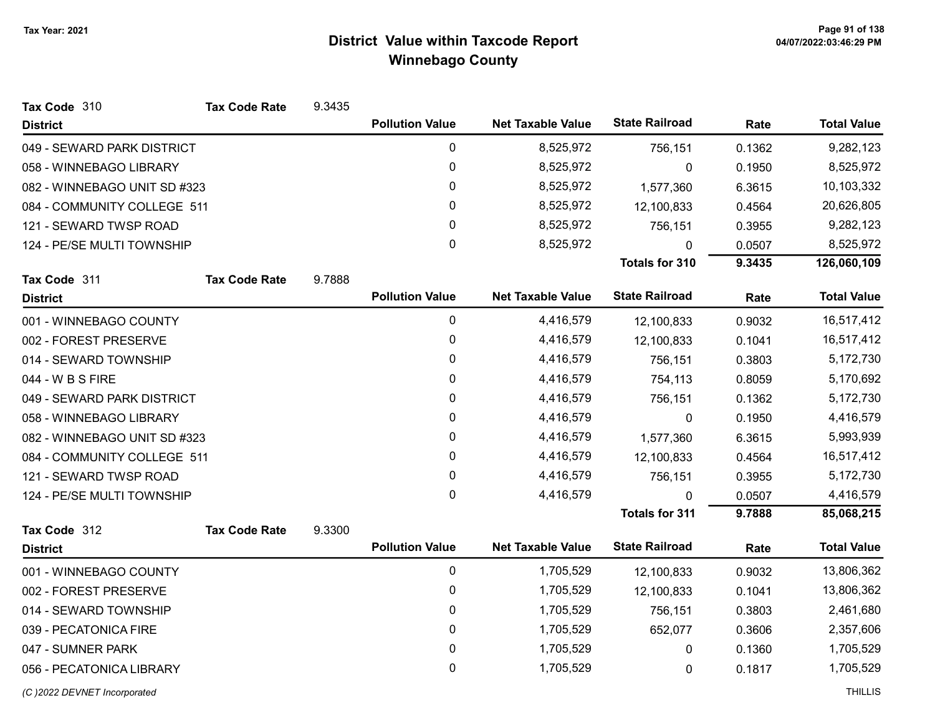| Tax Code 310                 | <b>Tax Code Rate</b> | 9.3435 |                        |                          |                       |        |                    |
|------------------------------|----------------------|--------|------------------------|--------------------------|-----------------------|--------|--------------------|
| <b>District</b>              |                      |        | <b>Pollution Value</b> | <b>Net Taxable Value</b> | <b>State Railroad</b> | Rate   | <b>Total Value</b> |
| 049 - SEWARD PARK DISTRICT   |                      |        | 0                      | 8,525,972                | 756,151               | 0.1362 | 9,282,123          |
| 058 - WINNEBAGO LIBRARY      |                      |        | 0                      | 8,525,972                | 0                     | 0.1950 | 8,525,972          |
| 082 - WINNEBAGO UNIT SD #323 |                      |        | 0                      | 8,525,972                | 1,577,360             | 6.3615 | 10,103,332         |
| 084 - COMMUNITY COLLEGE 511  |                      |        | 0                      | 8,525,972                | 12,100,833            | 0.4564 | 20,626,805         |
| 121 - SEWARD TWSP ROAD       |                      |        | 0                      | 8,525,972                | 756,151               | 0.3955 | 9,282,123          |
| 124 - PE/SE MULTI TOWNSHIP   |                      |        | 0                      | 8,525,972                | $\mathbf{0}$          | 0.0507 | 8,525,972          |
|                              |                      |        |                        |                          | <b>Totals for 310</b> | 9.3435 | 126,060,109        |
| Tax Code 311                 | <b>Tax Code Rate</b> | 9.7888 | <b>Pollution Value</b> | <b>Net Taxable Value</b> | <b>State Railroad</b> | Rate   | <b>Total Value</b> |
| <b>District</b>              |                      |        |                        |                          |                       |        |                    |
| 001 - WINNEBAGO COUNTY       |                      |        | 0                      | 4,416,579                | 12,100,833            | 0.9032 | 16,517,412         |
| 002 - FOREST PRESERVE        |                      |        | 0                      | 4,416,579                | 12,100,833            | 0.1041 | 16,517,412         |
| 014 - SEWARD TOWNSHIP        |                      |        | 0                      | 4,416,579                | 756,151               | 0.3803 | 5,172,730          |
| 044 - W B S FIRE             |                      |        | 0                      | 4,416,579                | 754,113               | 0.8059 | 5,170,692          |
| 049 - SEWARD PARK DISTRICT   |                      |        | 0                      | 4,416,579                | 756,151               | 0.1362 | 5,172,730          |
| 058 - WINNEBAGO LIBRARY      |                      |        | 0                      | 4,416,579                | 0                     | 0.1950 | 4,416,579          |
| 082 - WINNEBAGO UNIT SD #323 |                      |        | 0                      | 4,416,579                | 1,577,360             | 6.3615 | 5,993,939          |
| 084 - COMMUNITY COLLEGE 511  |                      |        | 0                      | 4,416,579                | 12,100,833            | 0.4564 | 16,517,412         |
| 121 - SEWARD TWSP ROAD       |                      |        | 0                      | 4,416,579                | 756,151               | 0.3955 | 5,172,730          |
| 124 - PE/SE MULTI TOWNSHIP   |                      |        | 0                      | 4,416,579                | 0                     | 0.0507 | 4,416,579          |
|                              |                      |        |                        |                          | <b>Totals for 311</b> | 9.7888 | 85,068,215         |
| Tax Code 312                 | <b>Tax Code Rate</b> | 9.3300 |                        |                          |                       |        |                    |
| <b>District</b>              |                      |        | <b>Pollution Value</b> | <b>Net Taxable Value</b> | <b>State Railroad</b> | Rate   | <b>Total Value</b> |
| 001 - WINNEBAGO COUNTY       |                      |        | 0                      | 1,705,529                | 12,100,833            | 0.9032 | 13,806,362         |
| 002 - FOREST PRESERVE        |                      |        | 0                      | 1,705,529                | 12,100,833            | 0.1041 | 13,806,362         |
| 014 - SEWARD TOWNSHIP        |                      |        | 0                      | 1,705,529                | 756,151               | 0.3803 | 2,461,680          |
| 039 - PECATONICA FIRE        |                      |        | 0                      | 1,705,529                | 652,077               | 0.3606 | 2,357,606          |
| 047 - SUMNER PARK            |                      |        | 0                      | 1,705,529                | 0                     | 0.1360 | 1,705,529          |
| 056 - PECATONICA LIBRARY     |                      |        | 0                      | 1,705,529                | 0                     | 0.1817 | 1,705,529          |
|                              |                      |        |                        |                          |                       |        |                    |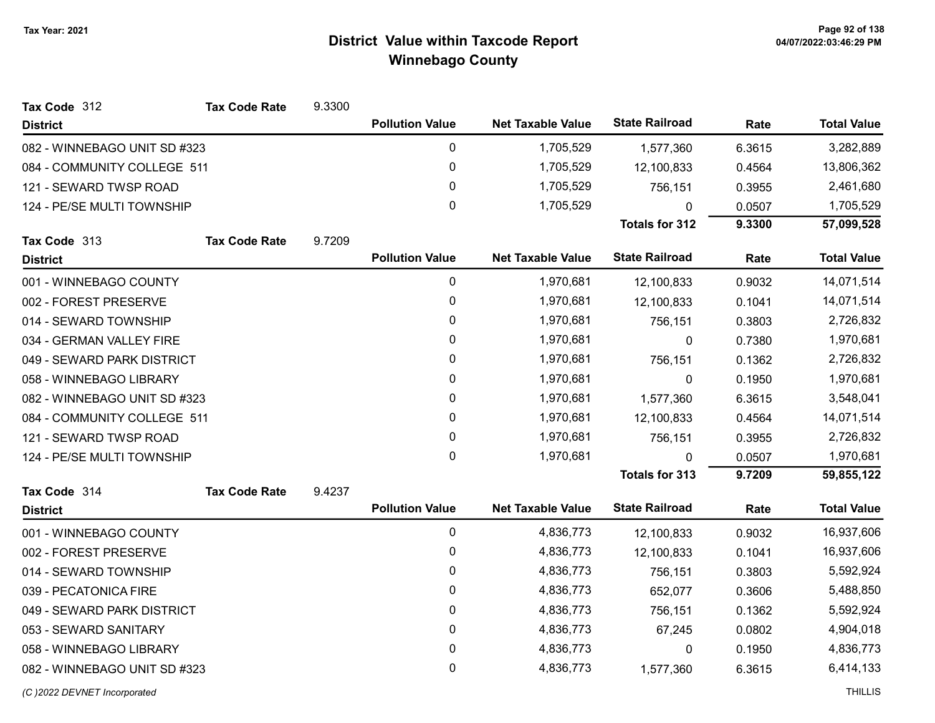| Tax Code 312                 | <b>Tax Code Rate</b> | 9.3300 |                        |                          |                       |           |                    |
|------------------------------|----------------------|--------|------------------------|--------------------------|-----------------------|-----------|--------------------|
| <b>District</b>              |                      |        | <b>Pollution Value</b> | <b>Net Taxable Value</b> | <b>State Railroad</b> | Rate      | <b>Total Value</b> |
| 082 - WINNEBAGO UNIT SD #323 |                      |        | 0                      | 1,705,529                | 1,577,360             | 6.3615    | 3,282,889          |
| 084 - COMMUNITY COLLEGE 511  |                      |        | 0                      | 1,705,529                | 12,100,833            | 0.4564    | 13,806,362         |
| 121 - SEWARD TWSP ROAD       |                      |        | 0                      | 1,705,529                | 756,151               | 0.3955    | 2,461,680          |
| 124 - PE/SE MULTI TOWNSHIP   |                      |        | 0                      | 1,705,529                | $\Omega$              | 0.0507    | 1,705,529          |
|                              |                      |        |                        |                          | <b>Totals for 312</b> | 9.3300    | 57,099,528         |
| Tax Code 313                 | <b>Tax Code Rate</b> | 9.7209 |                        |                          |                       |           |                    |
| <b>District</b>              |                      |        | <b>Pollution Value</b> | <b>Net Taxable Value</b> | <b>State Railroad</b> | Rate      | <b>Total Value</b> |
| 001 - WINNEBAGO COUNTY       |                      |        | 0                      | 1,970,681                | 12,100,833            | 0.9032    | 14,071,514         |
| 002 - FOREST PRESERVE        |                      |        | 0                      | 1,970,681                | 12,100,833            | 0.1041    | 14,071,514         |
| 014 - SEWARD TOWNSHIP        |                      |        | 0                      | 1,970,681                | 756,151               | 0.3803    | 2,726,832          |
| 034 - GERMAN VALLEY FIRE     |                      |        | 0                      | 1,970,681                | 0                     | 0.7380    | 1,970,681          |
| 049 - SEWARD PARK DISTRICT   |                      |        | 0                      | 1,970,681                | 756,151               | 0.1362    | 2,726,832          |
| 058 - WINNEBAGO LIBRARY      |                      | 0      | 1,970,681              | 0                        | 0.1950                | 1,970,681 |                    |
| 082 - WINNEBAGO UNIT SD #323 |                      |        | $\mathbf{0}$           | 1,970,681                | 1,577,360             | 6.3615    | 3,548,041          |
| 084 - COMMUNITY COLLEGE 511  |                      |        | 0                      | 1,970,681                | 12,100,833            | 0.4564    | 14,071,514         |
| 121 - SEWARD TWSP ROAD       |                      |        | 0                      | 1,970,681                | 756,151               | 0.3955    | 2,726,832          |
| 124 - PE/SE MULTI TOWNSHIP   |                      |        | $\mathbf{0}$           | 1,970,681                | $\mathbf{0}$          | 0.0507    | 1,970,681          |
|                              |                      |        |                        |                          | <b>Totals for 313</b> | 9.7209    | 59,855,122         |
| Tax Code 314                 | <b>Tax Code Rate</b> | 9.4237 |                        |                          |                       |           |                    |
| <b>District</b>              |                      |        | <b>Pollution Value</b> | <b>Net Taxable Value</b> | <b>State Railroad</b> | Rate      | <b>Total Value</b> |
| 001 - WINNEBAGO COUNTY       |                      |        | 0                      | 4,836,773                | 12,100,833            | 0.9032    | 16,937,606         |
| 002 - FOREST PRESERVE        |                      |        | 0                      | 4,836,773                | 12,100,833            | 0.1041    | 16,937,606         |
| 014 - SEWARD TOWNSHIP        |                      |        | 0                      | 4,836,773                | 756,151               | 0.3803    | 5,592,924          |
| 039 - PECATONICA FIRE        |                      |        | 0                      | 4,836,773                | 652,077               | 0.3606    | 5,488,850          |
| 049 - SEWARD PARK DISTRICT   |                      |        | 0                      | 4,836,773                | 756,151               | 0.1362    | 5,592,924          |
| 053 - SEWARD SANITARY        |                      |        | 0                      | 4,836,773                | 67,245                | 0.0802    | 4,904,018          |
| 058 - WINNEBAGO LIBRARY      |                      |        | 0                      | 4,836,773                | 0                     | 0.1950    | 4,836,773          |
| 082 - WINNEBAGO UNIT SD #323 |                      |        | 0                      | 4,836,773                | 1,577,360             | 6.3615    | 6,414,133          |
| (C) 2022 DEVNET Incorporated |                      |        |                        |                          |                       |           | <b>THILLIS</b>     |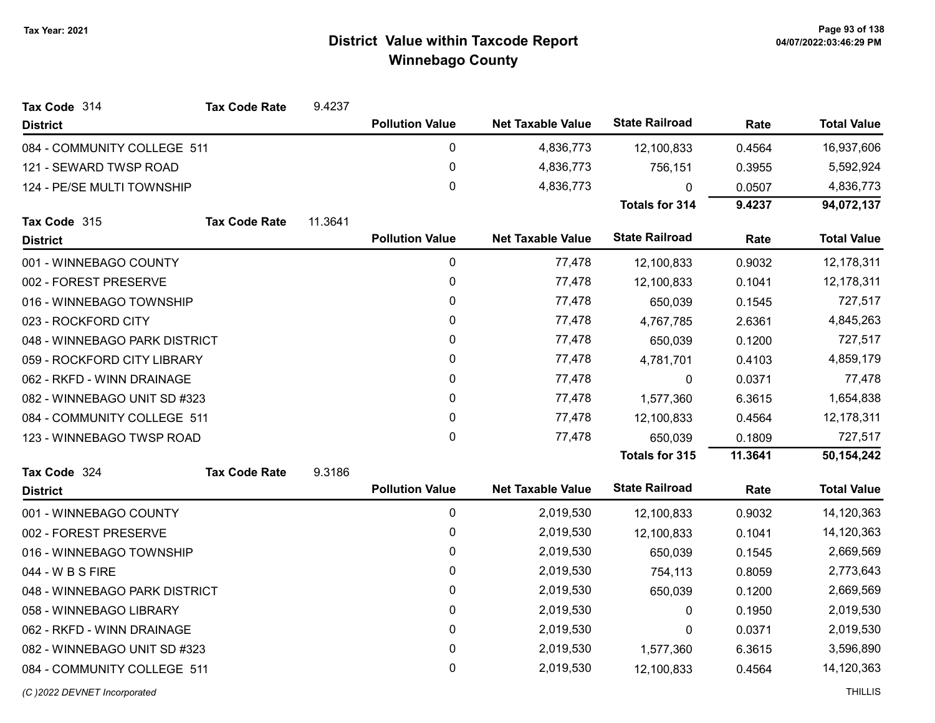| Tax Code 314<br><b>Tax Code Rate</b> | 9.4237  |                        |                          |                       |         |                    |
|--------------------------------------|---------|------------------------|--------------------------|-----------------------|---------|--------------------|
| <b>District</b>                      |         | <b>Pollution Value</b> | <b>Net Taxable Value</b> | <b>State Railroad</b> | Rate    | <b>Total Value</b> |
| 084 - COMMUNITY COLLEGE 511          |         | 0                      | 4,836,773                | 12,100,833            | 0.4564  | 16,937,606         |
| 121 - SEWARD TWSP ROAD               |         | $\pmb{0}$              | 4,836,773                | 756,151               | 0.3955  | 5,592,924          |
| 124 - PE/SE MULTI TOWNSHIP           |         | 0                      | 4,836,773                | $\Omega$              | 0.0507  | 4,836,773          |
|                                      |         |                        |                          | Totals for 314        | 9.4237  | 94,072,137         |
| Tax Code 315<br><b>Tax Code Rate</b> | 11.3641 |                        |                          |                       |         |                    |
| <b>District</b>                      |         | <b>Pollution Value</b> | <b>Net Taxable Value</b> | <b>State Railroad</b> | Rate    | <b>Total Value</b> |
| 001 - WINNEBAGO COUNTY               |         | 0                      | 77,478                   | 12,100,833            | 0.9032  | 12,178,311         |
| 002 - FOREST PRESERVE                |         | $\pmb{0}$              | 77,478                   | 12,100,833            | 0.1041  | 12,178,311         |
| 016 - WINNEBAGO TOWNSHIP             |         | $\pmb{0}$              | 77,478                   | 650,039               | 0.1545  | 727,517            |
| 023 - ROCKFORD CITY                  |         | 0                      | 77,478                   | 4,767,785             | 2.6361  | 4,845,263          |
| 048 - WINNEBAGO PARK DISTRICT        |         | $\pmb{0}$              | 77,478                   | 650,039               | 0.1200  | 727,517            |
| 059 - ROCKFORD CITY LIBRARY          |         | 0                      | 77,478                   | 4,781,701             | 0.4103  | 4,859,179          |
| 062 - RKFD - WINN DRAINAGE           |         | $\pmb{0}$              | 77,478                   | 0                     | 0.0371  | 77,478             |
| 082 - WINNEBAGO UNIT SD #323         |         | 0                      | 77,478                   | 1,577,360             | 6.3615  | 1,654,838          |
| 084 - COMMUNITY COLLEGE 511          |         | $\mathbf 0$            | 77,478                   | 12,100,833            | 0.4564  | 12,178,311         |
| 123 - WINNEBAGO TWSP ROAD            |         | $\mathbf{0}$           | 77,478                   | 650,039               | 0.1809  | 727,517            |
|                                      |         |                        |                          | Totals for 315        | 11.3641 | 50,154,242         |
| Tax Code 324<br><b>Tax Code Rate</b> | 9.3186  |                        |                          |                       |         |                    |
| <b>District</b>                      |         | <b>Pollution Value</b> | <b>Net Taxable Value</b> | <b>State Railroad</b> | Rate    | <b>Total Value</b> |
| 001 - WINNEBAGO COUNTY               |         | 0                      | 2,019,530                | 12,100,833            | 0.9032  | 14,120,363         |
| 002 - FOREST PRESERVE                |         | $\pmb{0}$              | 2,019,530                | 12,100,833            | 0.1041  | 14,120,363         |
| 016 - WINNEBAGO TOWNSHIP             |         | $\pmb{0}$              | 2,019,530                | 650,039               | 0.1545  | 2,669,569          |
| 044 - W B S FIRE                     |         | 0                      | 2,019,530                | 754,113               | 0.8059  | 2,773,643          |
| 048 - WINNEBAGO PARK DISTRICT        |         | 0                      | 2,019,530                | 650,039               | 0.1200  | 2,669,569          |
| 058 - WINNEBAGO LIBRARY              |         | $\pmb{0}$              | 2,019,530                | 0                     | 0.1950  | 2,019,530          |
| 062 - RKFD - WINN DRAINAGE           |         | $\pmb{0}$              | 2,019,530                | 0                     | 0.0371  | 2,019,530          |
| 082 - WINNEBAGO UNIT SD #323         |         | $\pmb{0}$              | 2,019,530                | 1,577,360             | 6.3615  | 3,596,890          |
| 084 - COMMUNITY COLLEGE 511          |         | $\mathbf 0$            | 2,019,530                | 12,100,833            | 0.4564  | 14,120,363         |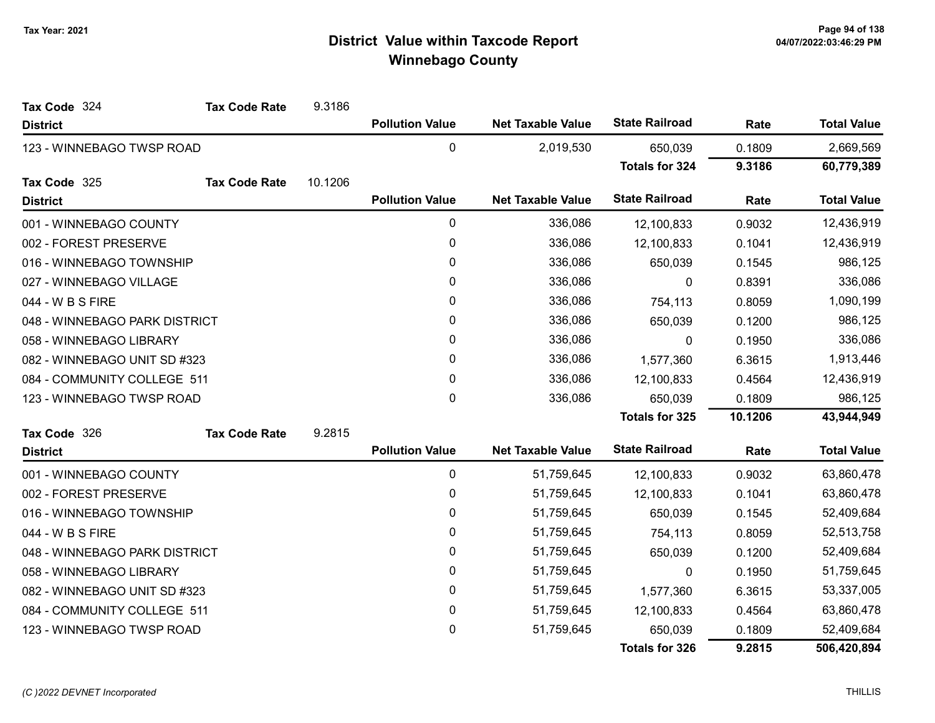| Tax Code 324                  | <b>Tax Code Rate</b> | 9.3186  |                        |                          |                       |           |                    |
|-------------------------------|----------------------|---------|------------------------|--------------------------|-----------------------|-----------|--------------------|
| <b>District</b>               |                      |         | <b>Pollution Value</b> | <b>Net Taxable Value</b> | <b>State Railroad</b> | Rate      | <b>Total Value</b> |
| 123 - WINNEBAGO TWSP ROAD     |                      |         | 0                      | 2,019,530                | 650,039               | 0.1809    | 2,669,569          |
|                               |                      |         |                        |                          | <b>Totals for 324</b> | 9.3186    | 60,779,389         |
| Tax Code 325                  | <b>Tax Code Rate</b> | 10.1206 |                        |                          |                       |           |                    |
| <b>District</b>               |                      |         | <b>Pollution Value</b> | <b>Net Taxable Value</b> | <b>State Railroad</b> | Rate      | <b>Total Value</b> |
| 001 - WINNEBAGO COUNTY        |                      |         | 0                      | 336,086                  | 12,100,833            | 0.9032    | 12,436,919         |
| 002 - FOREST PRESERVE         |                      |         | 0                      | 336,086                  | 12,100,833            | 0.1041    | 12,436,919         |
| 016 - WINNEBAGO TOWNSHIP      |                      |         | 0                      | 336,086                  | 650,039               | 0.1545    | 986,125            |
| 027 - WINNEBAGO VILLAGE       |                      |         | 0                      | 336,086                  | 0                     | 0.8391    | 336,086            |
| 044 - W B S FIRE              |                      |         | 0                      | 336,086                  | 754,113               | 0.8059    | 1,090,199          |
| 048 - WINNEBAGO PARK DISTRICT |                      |         | 0                      | 336,086                  | 650,039               | 0.1200    | 986,125            |
| 058 - WINNEBAGO LIBRARY       |                      |         | 0                      | 336,086                  | 0                     | 0.1950    | 336,086            |
| 082 - WINNEBAGO UNIT SD #323  |                      | 0       | 336,086                | 1,577,360                | 6.3615                | 1,913,446 |                    |
| 084 - COMMUNITY COLLEGE 511   |                      |         | 0                      | 336,086                  | 12,100,833            | 0.4564    | 12,436,919         |
| 123 - WINNEBAGO TWSP ROAD     |                      |         | 0                      | 336,086                  | 650,039               | 0.1809    | 986,125            |
|                               |                      |         |                        |                          | <b>Totals for 325</b> | 10.1206   | 43,944,949         |
| Tax Code 326                  | <b>Tax Code Rate</b> | 9.2815  |                        |                          |                       |           |                    |
| <b>District</b>               |                      |         | <b>Pollution Value</b> | <b>Net Taxable Value</b> | <b>State Railroad</b> | Rate      | <b>Total Value</b> |
| 001 - WINNEBAGO COUNTY        |                      |         | 0                      | 51,759,645               | 12,100,833            | 0.9032    | 63,860,478         |
| 002 - FOREST PRESERVE         |                      |         | 0                      | 51,759,645               | 12,100,833            | 0.1041    | 63,860,478         |
| 016 - WINNEBAGO TOWNSHIP      |                      |         | 0                      | 51,759,645               | 650,039               | 0.1545    | 52,409,684         |
| 044 - W B S FIRE              |                      |         | 0                      | 51,759,645               | 754,113               | 0.8059    | 52,513,758         |
| 048 - WINNEBAGO PARK DISTRICT |                      |         | 0                      | 51,759,645               | 650,039               | 0.1200    | 52,409,684         |
| 058 - WINNEBAGO LIBRARY       |                      |         | 0                      | 51,759,645               | 0                     | 0.1950    | 51,759,645         |
| 082 - WINNEBAGO UNIT SD #323  |                      |         | 0                      | 51,759,645               | 1,577,360             | 6.3615    | 53,337,005         |
| 084 - COMMUNITY COLLEGE 511   |                      |         | 0                      | 51,759,645               | 12,100,833            | 0.4564    | 63,860,478         |
| 123 - WINNEBAGO TWSP ROAD     |                      |         | 0                      | 51,759,645               | 650,039               | 0.1809    | 52,409,684         |
|                               |                      |         |                        |                          | <b>Totals for 326</b> | 9.2815    | 506,420,894        |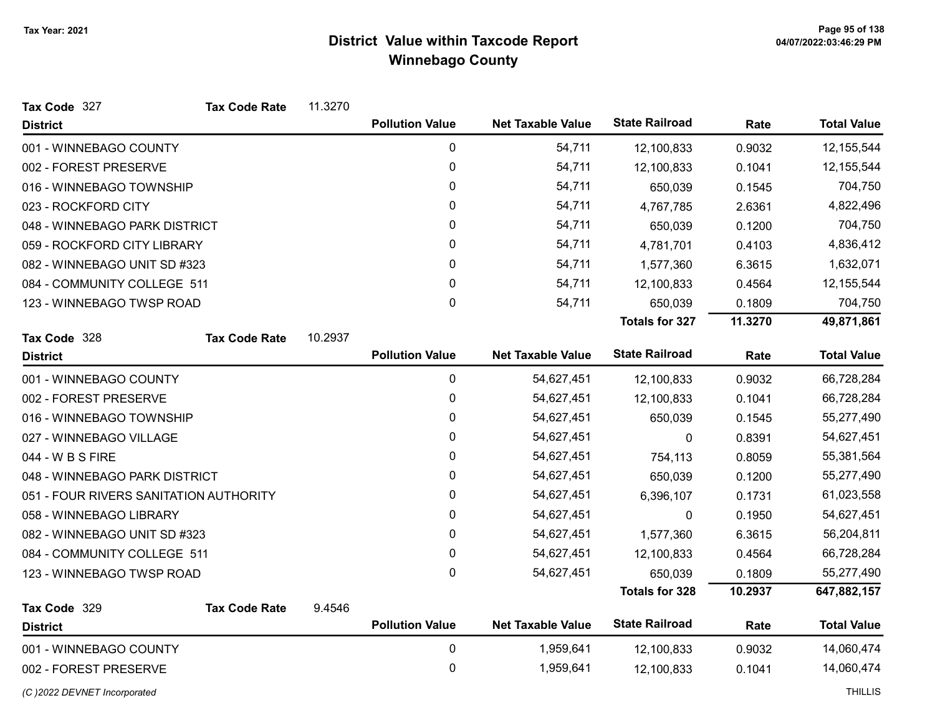| Tax Code 327                           | <b>Tax Code Rate</b> | 11.3270 |                        |                          |                       |         |                    |
|----------------------------------------|----------------------|---------|------------------------|--------------------------|-----------------------|---------|--------------------|
| <b>District</b>                        |                      |         | <b>Pollution Value</b> | <b>Net Taxable Value</b> | <b>State Railroad</b> | Rate    | <b>Total Value</b> |
| 001 - WINNEBAGO COUNTY                 |                      |         | 0                      | 54,711                   | 12,100,833            | 0.9032  | 12, 155, 544       |
| 002 - FOREST PRESERVE                  |                      |         | 0                      | 54,711                   | 12,100,833            | 0.1041  | 12, 155, 544       |
| 016 - WINNEBAGO TOWNSHIP               |                      |         | 0                      | 54,711                   | 650,039               | 0.1545  | 704,750            |
| 023 - ROCKFORD CITY                    |                      |         | $\mathbf{0}$           | 54,711                   | 4,767,785             | 2.6361  | 4,822,496          |
| 048 - WINNEBAGO PARK DISTRICT          |                      |         | 0                      | 54,711                   | 650,039               | 0.1200  | 704,750            |
| 059 - ROCKFORD CITY LIBRARY            |                      |         | 0                      | 54,711                   | 4,781,701             | 0.4103  | 4,836,412          |
| 082 - WINNEBAGO UNIT SD #323           |                      |         | 0                      | 54,711                   | 1,577,360             | 6.3615  | 1,632,071          |
| 084 - COMMUNITY COLLEGE 511            |                      |         | 0                      | 54,711                   | 12,100,833            | 0.4564  | 12, 155, 544       |
| 123 - WINNEBAGO TWSP ROAD              |                      |         | 0                      | 54,711                   | 650,039               | 0.1809  | 704,750            |
|                                        |                      |         |                        |                          | <b>Totals for 327</b> | 11.3270 | 49,871,861         |
| Tax Code 328                           | <b>Tax Code Rate</b> | 10.2937 |                        |                          |                       |         |                    |
| <b>District</b>                        |                      |         | <b>Pollution Value</b> | <b>Net Taxable Value</b> | <b>State Railroad</b> | Rate    | <b>Total Value</b> |
| 001 - WINNEBAGO COUNTY                 |                      |         | 0                      | 54,627,451               | 12,100,833            | 0.9032  | 66,728,284         |
| 002 - FOREST PRESERVE                  |                      |         | 0                      | 54,627,451               | 12,100,833            | 0.1041  | 66,728,284         |
| 016 - WINNEBAGO TOWNSHIP               |                      |         | 0                      | 54,627,451               | 650,039               | 0.1545  | 55,277,490         |
| 027 - WINNEBAGO VILLAGE                |                      |         | 0                      | 54,627,451               | 0                     | 0.8391  | 54,627,451         |
| 044 - W B S FIRE                       |                      |         | 0                      | 54,627,451               | 754,113               | 0.8059  | 55,381,564         |
| 048 - WINNEBAGO PARK DISTRICT          |                      |         | 0                      | 54,627,451               | 650,039               | 0.1200  | 55,277,490         |
| 051 - FOUR RIVERS SANITATION AUTHORITY |                      |         | 0                      | 54,627,451               | 6,396,107             | 0.1731  | 61,023,558         |
| 058 - WINNEBAGO LIBRARY                |                      |         | 0                      | 54,627,451               | 0                     | 0.1950  | 54,627,451         |
| 082 - WINNEBAGO UNIT SD #323           |                      |         | 0                      | 54,627,451               | 1,577,360             | 6.3615  | 56,204,811         |
| 084 - COMMUNITY COLLEGE 511            |                      |         | 0                      | 54,627,451               | 12,100,833            | 0.4564  | 66,728,284         |
| 123 - WINNEBAGO TWSP ROAD              |                      |         | 0                      | 54,627,451               | 650,039               | 0.1809  | 55,277,490         |
|                                        |                      |         |                        |                          | <b>Totals for 328</b> | 10.2937 | 647,882,157        |
| Tax Code 329                           | <b>Tax Code Rate</b> | 9.4546  |                        |                          |                       |         |                    |
| <b>District</b>                        |                      |         | <b>Pollution Value</b> | <b>Net Taxable Value</b> | <b>State Railroad</b> | Rate    | <b>Total Value</b> |
| 001 - WINNEBAGO COUNTY                 |                      |         | 0                      | 1,959,641                | 12,100,833            | 0.9032  | 14,060,474         |
| 002 - FOREST PRESERVE                  |                      |         | 0                      | 1,959,641                | 12,100,833            | 0.1041  | 14,060,474         |
| (C) 2022 DEVNET Incorporated           |                      |         |                        |                          |                       |         | <b>THILLIS</b>     |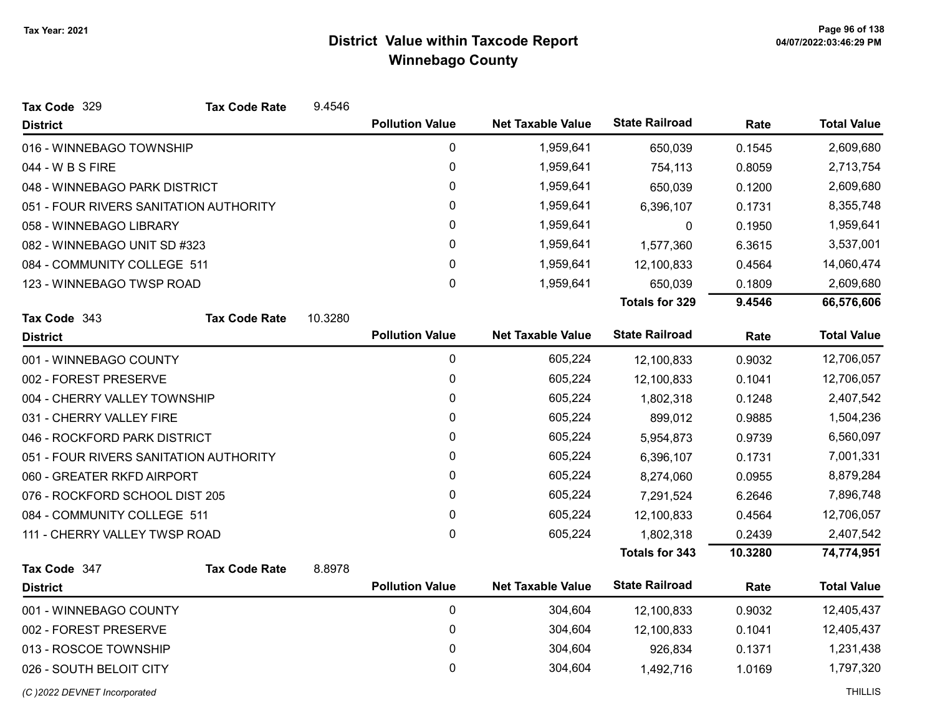| Tax Code 329                           | <b>Tax Code Rate</b> | 9.4546  |                        |                          |                       |         |                    |
|----------------------------------------|----------------------|---------|------------------------|--------------------------|-----------------------|---------|--------------------|
| <b>District</b>                        |                      |         | <b>Pollution Value</b> | <b>Net Taxable Value</b> | <b>State Railroad</b> | Rate    | <b>Total Value</b> |
| 016 - WINNEBAGO TOWNSHIP               |                      |         | 0                      | 1,959,641                | 650,039               | 0.1545  | 2,609,680          |
| 044 - W B S FIRE                       |                      |         | 0                      | 1,959,641                | 754,113               | 0.8059  | 2,713,754          |
| 048 - WINNEBAGO PARK DISTRICT          |                      |         | 0                      | 1,959,641                | 650,039               | 0.1200  | 2,609,680          |
| 051 - FOUR RIVERS SANITATION AUTHORITY |                      |         | 0                      | 1,959,641                | 6,396,107             | 0.1731  | 8,355,748          |
| 058 - WINNEBAGO LIBRARY                |                      |         | 0                      | 1,959,641                | 0                     | 0.1950  | 1,959,641          |
| 082 - WINNEBAGO UNIT SD #323           |                      |         | 0                      | 1,959,641                | 1,577,360             | 6.3615  | 3,537,001          |
| 084 - COMMUNITY COLLEGE 511            |                      |         | 0                      | 1,959,641                | 12,100,833            | 0.4564  | 14,060,474         |
| 123 - WINNEBAGO TWSP ROAD              |                      |         | 0                      | 1,959,641                | 650,039               | 0.1809  | 2,609,680          |
|                                        |                      |         |                        |                          | <b>Totals for 329</b> | 9.4546  | 66,576,606         |
| Tax Code 343                           | <b>Tax Code Rate</b> | 10.3280 |                        |                          |                       |         |                    |
| <b>District</b>                        |                      |         | <b>Pollution Value</b> | <b>Net Taxable Value</b> | <b>State Railroad</b> | Rate    | <b>Total Value</b> |
| 001 - WINNEBAGO COUNTY                 |                      |         | 0                      | 605,224                  | 12,100,833            | 0.9032  | 12,706,057         |
| 002 - FOREST PRESERVE                  |                      |         | 0                      | 605,224                  | 12,100,833            | 0.1041  | 12,706,057         |
| 004 - CHERRY VALLEY TOWNSHIP           |                      |         | 0                      | 605,224                  | 1,802,318             | 0.1248  | 2,407,542          |
| 031 - CHERRY VALLEY FIRE               |                      |         | 0                      | 605,224                  | 899,012               | 0.9885  | 1,504,236          |
| 046 - ROCKFORD PARK DISTRICT           |                      |         | 0                      | 605,224                  | 5,954,873             | 0.9739  | 6,560,097          |
| 051 - FOUR RIVERS SANITATION AUTHORITY |                      |         | 0                      | 605,224                  | 6,396,107             | 0.1731  | 7,001,331          |
| 060 - GREATER RKFD AIRPORT             |                      |         | 0                      | 605,224                  | 8,274,060             | 0.0955  | 8,879,284          |
| 076 - ROCKFORD SCHOOL DIST 205         |                      |         | 0                      | 605,224                  | 7,291,524             | 6.2646  | 7,896,748          |
| 084 - COMMUNITY COLLEGE 511            |                      |         | 0                      | 605,224                  | 12,100,833            | 0.4564  | 12,706,057         |
| 111 - CHERRY VALLEY TWSP ROAD          |                      |         | 0                      | 605,224                  | 1,802,318             | 0.2439  | 2,407,542          |
|                                        |                      |         |                        |                          | <b>Totals for 343</b> | 10.3280 | 74,774,951         |
| Tax Code 347                           | <b>Tax Code Rate</b> | 8.8978  |                        |                          |                       |         |                    |
| <b>District</b>                        |                      |         | <b>Pollution Value</b> | <b>Net Taxable Value</b> | <b>State Railroad</b> | Rate    | <b>Total Value</b> |
| 001 - WINNEBAGO COUNTY                 |                      |         | 0                      | 304,604                  | 12,100,833            | 0.9032  | 12,405,437         |
| 002 - FOREST PRESERVE                  |                      |         | $\mathbf 0$            | 304,604                  | 12,100,833            | 0.1041  | 12,405,437         |
| 013 - ROSCOE TOWNSHIP                  |                      |         | 0                      | 304,604                  | 926,834               | 0.1371  | 1,231,438          |
| 026 - SOUTH BELOIT CITY                |                      |         | 0                      | 304,604                  | 1,492,716             | 1.0169  | 1,797,320          |
|                                        |                      |         |                        |                          |                       |         |                    |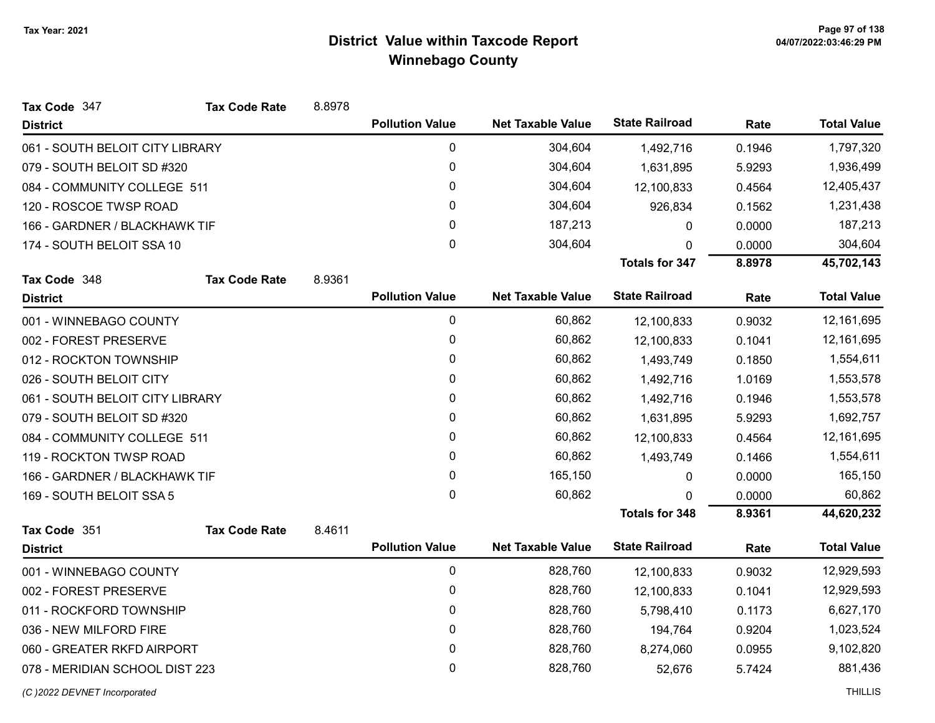| Tax Code 347                    | <b>Tax Code Rate</b> | 8.8978 |                        |                          |                       |        |                    |
|---------------------------------|----------------------|--------|------------------------|--------------------------|-----------------------|--------|--------------------|
| <b>District</b>                 |                      |        | <b>Pollution Value</b> | <b>Net Taxable Value</b> | <b>State Railroad</b> | Rate   | <b>Total Value</b> |
| 061 - SOUTH BELOIT CITY LIBRARY |                      |        | $\mathbf 0$            | 304,604                  | 1,492,716             | 0.1946 | 1,797,320          |
| 079 - SOUTH BELOIT SD #320      |                      |        | $\mathbf 0$            | 304,604                  | 1,631,895             | 5.9293 | 1,936,499          |
| 084 - COMMUNITY COLLEGE 511     |                      |        | 0                      | 304,604                  | 12,100,833            | 0.4564 | 12,405,437         |
| 120 - ROSCOE TWSP ROAD          |                      |        | $\mathbf{0}$           | 304,604                  | 926,834               | 0.1562 | 1,231,438          |
| 166 - GARDNER / BLACKHAWK TIF   |                      |        | 0                      | 187,213                  | 0                     | 0.0000 | 187,213            |
| 174 - SOUTH BELOIT SSA 10       |                      |        | $\mathbf 0$            | 304,604                  | 0                     | 0.0000 | 304,604            |
|                                 |                      |        |                        |                          | Totals for 347        | 8.8978 | 45,702,143         |
| Tax Code 348                    | <b>Tax Code Rate</b> | 8.9361 |                        |                          |                       |        |                    |
| <b>District</b>                 |                      |        | <b>Pollution Value</b> | <b>Net Taxable Value</b> | <b>State Railroad</b> | Rate   | <b>Total Value</b> |
| 001 - WINNEBAGO COUNTY          |                      |        | 0                      | 60,862                   | 12,100,833            | 0.9032 | 12,161,695         |
| 002 - FOREST PRESERVE           |                      |        | $\mathbf 0$            | 60,862                   | 12,100,833            | 0.1041 | 12,161,695         |
| 012 - ROCKTON TOWNSHIP          |                      |        | 0                      | 60,862                   | 1,493,749             | 0.1850 | 1,554,611          |
| 026 - SOUTH BELOIT CITY         |                      |        | 0                      | 60,862                   | 1,492,716             | 1.0169 | 1,553,578          |
| 061 - SOUTH BELOIT CITY LIBRARY |                      |        | 0                      | 60,862                   | 1,492,716             | 0.1946 | 1,553,578          |
| 079 - SOUTH BELOIT SD #320      |                      |        | 0                      | 60,862                   | 1,631,895             | 5.9293 | 1,692,757          |
| 084 - COMMUNITY COLLEGE 511     |                      |        | 0                      | 60,862                   | 12,100,833            | 0.4564 | 12,161,695         |
| 119 - ROCKTON TWSP ROAD         |                      |        | 0                      | 60,862                   | 1,493,749             | 0.1466 | 1,554,611          |
| 166 - GARDNER / BLACKHAWK TIF   |                      |        | 0                      | 165,150                  | 0                     | 0.0000 | 165,150            |
| 169 - SOUTH BELOIT SSA 5        |                      |        | $\mathbf{0}$           | 60,862                   | 0                     | 0.0000 | 60,862             |
|                                 |                      |        |                        |                          | <b>Totals for 348</b> | 8.9361 | 44,620,232         |
| Tax Code 351                    | <b>Tax Code Rate</b> | 8.4611 |                        |                          |                       |        |                    |
| <b>District</b>                 |                      |        | <b>Pollution Value</b> | <b>Net Taxable Value</b> | <b>State Railroad</b> | Rate   | <b>Total Value</b> |
| 001 - WINNEBAGO COUNTY          |                      |        | $\mathbf 0$            | 828,760                  | 12,100,833            | 0.9032 | 12,929,593         |
| 002 - FOREST PRESERVE           |                      |        | 0                      | 828,760                  | 12,100,833            | 0.1041 | 12,929,593         |
| 011 - ROCKFORD TOWNSHIP         |                      |        | 0                      | 828,760                  | 5,798,410             | 0.1173 | 6,627,170          |
| 036 - NEW MILFORD FIRE          |                      |        | 0                      | 828,760                  | 194,764               | 0.9204 | 1,023,524          |
| 060 - GREATER RKFD AIRPORT      |                      |        | 0                      | 828,760                  | 8,274,060             | 0.0955 | 9,102,820          |
| 078 - MERIDIAN SCHOOL DIST 223  |                      |        | 0                      | 828,760                  | 52,676                | 5.7424 | 881,436            |
|                                 |                      |        |                        |                          |                       |        |                    |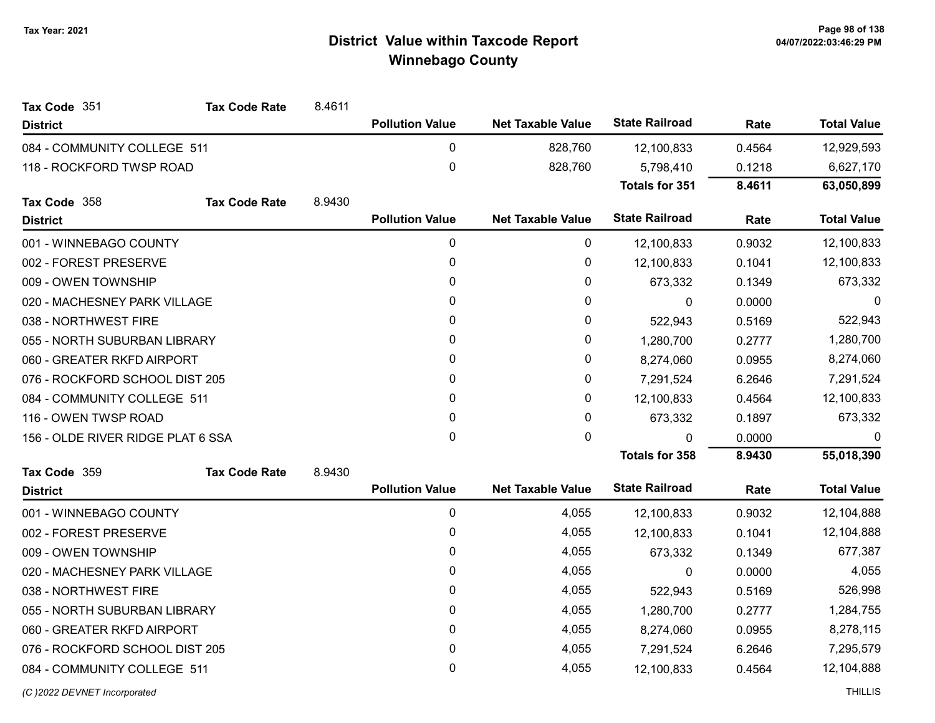| <b>State Railroad</b><br><b>Pollution Value</b><br><b>Net Taxable Value</b><br><b>Total Value</b><br>Rate<br><b>District</b><br>$\mathbf 0$<br>828,760<br>12,929,593<br>084 - COMMUNITY COLLEGE 511<br>0.4564<br>12,100,833<br>0<br>828,760<br>6,627,170<br>118 - ROCKFORD TWSP ROAD<br>0.1218<br>5,798,410<br><b>Totals for 351</b><br>8.4611<br>63,050,899<br><b>Tax Code Rate</b><br>8.9430<br>Tax Code 358<br><b>State Railroad</b><br><b>Pollution Value</b><br><b>Total Value</b><br><b>Net Taxable Value</b><br>Rate<br><b>District</b><br>0<br>12,100,833<br>0<br>001 - WINNEBAGO COUNTY<br>12,100,833<br>0.9032<br>0<br>0<br>12,100,833<br>0.1041<br>002 - FOREST PRESERVE<br>12,100,833<br>0<br>673,332<br>0<br>009 - OWEN TOWNSHIP<br>673,332<br>0.1349<br>0<br>0<br>0<br>020 - MACHESNEY PARK VILLAGE<br>$\boldsymbol{0}$<br>0.0000<br>0<br>522,943<br>0<br>038 - NORTHWEST FIRE<br>522,943<br>0.5169<br>0<br>055 - NORTH SUBURBAN LIBRARY<br>0<br>1,280,700<br>1,280,700<br>0.2777<br>0<br>060 - GREATER RKFD AIRPORT<br>0<br>0.0955<br>8,274,060<br>8,274,060<br>0<br>0<br>7,291,524<br>076 - ROCKFORD SCHOOL DIST 205<br>6.2646<br>7,291,524<br>0<br>0<br>12,100,833<br>084 - COMMUNITY COLLEGE 511<br>12,100,833<br>0.4564<br>0<br>0<br>673,332<br>116 - OWEN TWSP ROAD<br>673,332<br>0.1897<br>0<br>0<br>156 - OLDE RIVER RIDGE PLAT 6 SSA<br>0<br>0.0000<br>0<br>55,018,390<br><b>Totals for 358</b><br>8.9430<br>Tax Code 359<br>8.9430<br><b>Tax Code Rate</b><br><b>State Railroad</b><br><b>Pollution Value</b><br><b>Net Taxable Value</b><br><b>Total Value</b><br>Rate<br><b>District</b><br>0<br>4,055<br>12,104,888<br>001 - WINNEBAGO COUNTY<br>0.9032<br>12,100,833<br>0<br>4,055<br>12,104,888<br>002 - FOREST PRESERVE<br>12,100,833<br>0.1041<br>0<br>4,055<br>677,387<br>009 - OWEN TOWNSHIP<br>673,332<br>0.1349<br>0<br>4,055<br>4,055<br>020 - MACHESNEY PARK VILLAGE<br>0.0000<br>$\mathbf{0}$<br>038 - NORTHWEST FIRE<br>0<br>4,055<br>526,998<br>0.5169<br>522,943<br>0<br>4,055<br>055 - NORTH SUBURBAN LIBRARY<br>1,280,700<br>0.2777<br>1,284,755<br>0<br>4,055<br>8,278,115<br>060 - GREATER RKFD AIRPORT<br>8,274,060<br>0.0955<br>0<br>4,055<br>076 - ROCKFORD SCHOOL DIST 205<br>7,295,579<br>7,291,524<br>6.2646<br>0<br>4,055<br>12,104,888<br>084 - COMMUNITY COLLEGE 511<br>0.4564<br>12,100,833 | Tax Code 351 | <b>Tax Code Rate</b> | 8.4611 |  |  |  |
|----------------------------------------------------------------------------------------------------------------------------------------------------------------------------------------------------------------------------------------------------------------------------------------------------------------------------------------------------------------------------------------------------------------------------------------------------------------------------------------------------------------------------------------------------------------------------------------------------------------------------------------------------------------------------------------------------------------------------------------------------------------------------------------------------------------------------------------------------------------------------------------------------------------------------------------------------------------------------------------------------------------------------------------------------------------------------------------------------------------------------------------------------------------------------------------------------------------------------------------------------------------------------------------------------------------------------------------------------------------------------------------------------------------------------------------------------------------------------------------------------------------------------------------------------------------------------------------------------------------------------------------------------------------------------------------------------------------------------------------------------------------------------------------------------------------------------------------------------------------------------------------------------------------------------------------------------------------------------------------------------------------------------------------------------------------------------------------------------------------------------------------------------------------------------------------------------------------------------------------------------------------------------------------------------------------------------------------------------|--------------|----------------------|--------|--|--|--|
|                                                                                                                                                                                                                                                                                                                                                                                                                                                                                                                                                                                                                                                                                                                                                                                                                                                                                                                                                                                                                                                                                                                                                                                                                                                                                                                                                                                                                                                                                                                                                                                                                                                                                                                                                                                                                                                                                                                                                                                                                                                                                                                                                                                                                                                                                                                                                    |              |                      |        |  |  |  |
|                                                                                                                                                                                                                                                                                                                                                                                                                                                                                                                                                                                                                                                                                                                                                                                                                                                                                                                                                                                                                                                                                                                                                                                                                                                                                                                                                                                                                                                                                                                                                                                                                                                                                                                                                                                                                                                                                                                                                                                                                                                                                                                                                                                                                                                                                                                                                    |              |                      |        |  |  |  |
|                                                                                                                                                                                                                                                                                                                                                                                                                                                                                                                                                                                                                                                                                                                                                                                                                                                                                                                                                                                                                                                                                                                                                                                                                                                                                                                                                                                                                                                                                                                                                                                                                                                                                                                                                                                                                                                                                                                                                                                                                                                                                                                                                                                                                                                                                                                                                    |              |                      |        |  |  |  |
|                                                                                                                                                                                                                                                                                                                                                                                                                                                                                                                                                                                                                                                                                                                                                                                                                                                                                                                                                                                                                                                                                                                                                                                                                                                                                                                                                                                                                                                                                                                                                                                                                                                                                                                                                                                                                                                                                                                                                                                                                                                                                                                                                                                                                                                                                                                                                    |              |                      |        |  |  |  |
|                                                                                                                                                                                                                                                                                                                                                                                                                                                                                                                                                                                                                                                                                                                                                                                                                                                                                                                                                                                                                                                                                                                                                                                                                                                                                                                                                                                                                                                                                                                                                                                                                                                                                                                                                                                                                                                                                                                                                                                                                                                                                                                                                                                                                                                                                                                                                    |              |                      |        |  |  |  |
|                                                                                                                                                                                                                                                                                                                                                                                                                                                                                                                                                                                                                                                                                                                                                                                                                                                                                                                                                                                                                                                                                                                                                                                                                                                                                                                                                                                                                                                                                                                                                                                                                                                                                                                                                                                                                                                                                                                                                                                                                                                                                                                                                                                                                                                                                                                                                    |              |                      |        |  |  |  |
|                                                                                                                                                                                                                                                                                                                                                                                                                                                                                                                                                                                                                                                                                                                                                                                                                                                                                                                                                                                                                                                                                                                                                                                                                                                                                                                                                                                                                                                                                                                                                                                                                                                                                                                                                                                                                                                                                                                                                                                                                                                                                                                                                                                                                                                                                                                                                    |              |                      |        |  |  |  |
|                                                                                                                                                                                                                                                                                                                                                                                                                                                                                                                                                                                                                                                                                                                                                                                                                                                                                                                                                                                                                                                                                                                                                                                                                                                                                                                                                                                                                                                                                                                                                                                                                                                                                                                                                                                                                                                                                                                                                                                                                                                                                                                                                                                                                                                                                                                                                    |              |                      |        |  |  |  |
|                                                                                                                                                                                                                                                                                                                                                                                                                                                                                                                                                                                                                                                                                                                                                                                                                                                                                                                                                                                                                                                                                                                                                                                                                                                                                                                                                                                                                                                                                                                                                                                                                                                                                                                                                                                                                                                                                                                                                                                                                                                                                                                                                                                                                                                                                                                                                    |              |                      |        |  |  |  |
|                                                                                                                                                                                                                                                                                                                                                                                                                                                                                                                                                                                                                                                                                                                                                                                                                                                                                                                                                                                                                                                                                                                                                                                                                                                                                                                                                                                                                                                                                                                                                                                                                                                                                                                                                                                                                                                                                                                                                                                                                                                                                                                                                                                                                                                                                                                                                    |              |                      |        |  |  |  |
|                                                                                                                                                                                                                                                                                                                                                                                                                                                                                                                                                                                                                                                                                                                                                                                                                                                                                                                                                                                                                                                                                                                                                                                                                                                                                                                                                                                                                                                                                                                                                                                                                                                                                                                                                                                                                                                                                                                                                                                                                                                                                                                                                                                                                                                                                                                                                    |              |                      |        |  |  |  |
|                                                                                                                                                                                                                                                                                                                                                                                                                                                                                                                                                                                                                                                                                                                                                                                                                                                                                                                                                                                                                                                                                                                                                                                                                                                                                                                                                                                                                                                                                                                                                                                                                                                                                                                                                                                                                                                                                                                                                                                                                                                                                                                                                                                                                                                                                                                                                    |              |                      |        |  |  |  |
|                                                                                                                                                                                                                                                                                                                                                                                                                                                                                                                                                                                                                                                                                                                                                                                                                                                                                                                                                                                                                                                                                                                                                                                                                                                                                                                                                                                                                                                                                                                                                                                                                                                                                                                                                                                                                                                                                                                                                                                                                                                                                                                                                                                                                                                                                                                                                    |              |                      |        |  |  |  |
|                                                                                                                                                                                                                                                                                                                                                                                                                                                                                                                                                                                                                                                                                                                                                                                                                                                                                                                                                                                                                                                                                                                                                                                                                                                                                                                                                                                                                                                                                                                                                                                                                                                                                                                                                                                                                                                                                                                                                                                                                                                                                                                                                                                                                                                                                                                                                    |              |                      |        |  |  |  |
|                                                                                                                                                                                                                                                                                                                                                                                                                                                                                                                                                                                                                                                                                                                                                                                                                                                                                                                                                                                                                                                                                                                                                                                                                                                                                                                                                                                                                                                                                                                                                                                                                                                                                                                                                                                                                                                                                                                                                                                                                                                                                                                                                                                                                                                                                                                                                    |              |                      |        |  |  |  |
|                                                                                                                                                                                                                                                                                                                                                                                                                                                                                                                                                                                                                                                                                                                                                                                                                                                                                                                                                                                                                                                                                                                                                                                                                                                                                                                                                                                                                                                                                                                                                                                                                                                                                                                                                                                                                                                                                                                                                                                                                                                                                                                                                                                                                                                                                                                                                    |              |                      |        |  |  |  |
|                                                                                                                                                                                                                                                                                                                                                                                                                                                                                                                                                                                                                                                                                                                                                                                                                                                                                                                                                                                                                                                                                                                                                                                                                                                                                                                                                                                                                                                                                                                                                                                                                                                                                                                                                                                                                                                                                                                                                                                                                                                                                                                                                                                                                                                                                                                                                    |              |                      |        |  |  |  |
|                                                                                                                                                                                                                                                                                                                                                                                                                                                                                                                                                                                                                                                                                                                                                                                                                                                                                                                                                                                                                                                                                                                                                                                                                                                                                                                                                                                                                                                                                                                                                                                                                                                                                                                                                                                                                                                                                                                                                                                                                                                                                                                                                                                                                                                                                                                                                    |              |                      |        |  |  |  |
|                                                                                                                                                                                                                                                                                                                                                                                                                                                                                                                                                                                                                                                                                                                                                                                                                                                                                                                                                                                                                                                                                                                                                                                                                                                                                                                                                                                                                                                                                                                                                                                                                                                                                                                                                                                                                                                                                                                                                                                                                                                                                                                                                                                                                                                                                                                                                    |              |                      |        |  |  |  |
|                                                                                                                                                                                                                                                                                                                                                                                                                                                                                                                                                                                                                                                                                                                                                                                                                                                                                                                                                                                                                                                                                                                                                                                                                                                                                                                                                                                                                                                                                                                                                                                                                                                                                                                                                                                                                                                                                                                                                                                                                                                                                                                                                                                                                                                                                                                                                    |              |                      |        |  |  |  |
|                                                                                                                                                                                                                                                                                                                                                                                                                                                                                                                                                                                                                                                                                                                                                                                                                                                                                                                                                                                                                                                                                                                                                                                                                                                                                                                                                                                                                                                                                                                                                                                                                                                                                                                                                                                                                                                                                                                                                                                                                                                                                                                                                                                                                                                                                                                                                    |              |                      |        |  |  |  |
|                                                                                                                                                                                                                                                                                                                                                                                                                                                                                                                                                                                                                                                                                                                                                                                                                                                                                                                                                                                                                                                                                                                                                                                                                                                                                                                                                                                                                                                                                                                                                                                                                                                                                                                                                                                                                                                                                                                                                                                                                                                                                                                                                                                                                                                                                                                                                    |              |                      |        |  |  |  |
|                                                                                                                                                                                                                                                                                                                                                                                                                                                                                                                                                                                                                                                                                                                                                                                                                                                                                                                                                                                                                                                                                                                                                                                                                                                                                                                                                                                                                                                                                                                                                                                                                                                                                                                                                                                                                                                                                                                                                                                                                                                                                                                                                                                                                                                                                                                                                    |              |                      |        |  |  |  |
|                                                                                                                                                                                                                                                                                                                                                                                                                                                                                                                                                                                                                                                                                                                                                                                                                                                                                                                                                                                                                                                                                                                                                                                                                                                                                                                                                                                                                                                                                                                                                                                                                                                                                                                                                                                                                                                                                                                                                                                                                                                                                                                                                                                                                                                                                                                                                    |              |                      |        |  |  |  |
|                                                                                                                                                                                                                                                                                                                                                                                                                                                                                                                                                                                                                                                                                                                                                                                                                                                                                                                                                                                                                                                                                                                                                                                                                                                                                                                                                                                                                                                                                                                                                                                                                                                                                                                                                                                                                                                                                                                                                                                                                                                                                                                                                                                                                                                                                                                                                    |              |                      |        |  |  |  |
|                                                                                                                                                                                                                                                                                                                                                                                                                                                                                                                                                                                                                                                                                                                                                                                                                                                                                                                                                                                                                                                                                                                                                                                                                                                                                                                                                                                                                                                                                                                                                                                                                                                                                                                                                                                                                                                                                                                                                                                                                                                                                                                                                                                                                                                                                                                                                    |              |                      |        |  |  |  |
|                                                                                                                                                                                                                                                                                                                                                                                                                                                                                                                                                                                                                                                                                                                                                                                                                                                                                                                                                                                                                                                                                                                                                                                                                                                                                                                                                                                                                                                                                                                                                                                                                                                                                                                                                                                                                                                                                                                                                                                                                                                                                                                                                                                                                                                                                                                                                    |              |                      |        |  |  |  |
|                                                                                                                                                                                                                                                                                                                                                                                                                                                                                                                                                                                                                                                                                                                                                                                                                                                                                                                                                                                                                                                                                                                                                                                                                                                                                                                                                                                                                                                                                                                                                                                                                                                                                                                                                                                                                                                                                                                                                                                                                                                                                                                                                                                                                                                                                                                                                    |              |                      |        |  |  |  |
|                                                                                                                                                                                                                                                                                                                                                                                                                                                                                                                                                                                                                                                                                                                                                                                                                                                                                                                                                                                                                                                                                                                                                                                                                                                                                                                                                                                                                                                                                                                                                                                                                                                                                                                                                                                                                                                                                                                                                                                                                                                                                                                                                                                                                                                                                                                                                    |              |                      |        |  |  |  |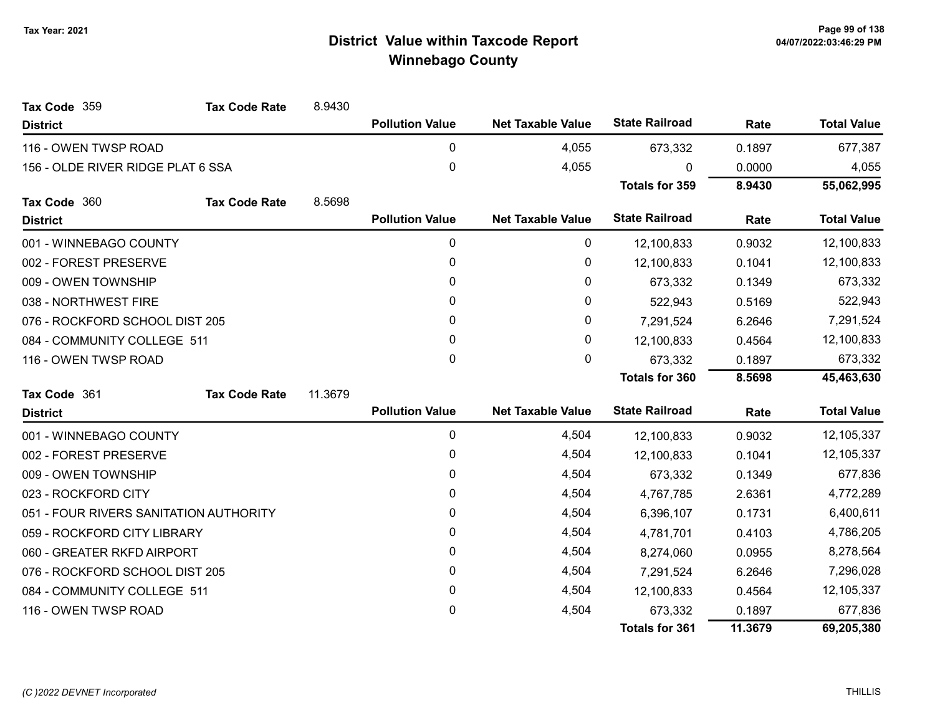| Tax Code 359                           | <b>Tax Code Rate</b> | 8.9430  |                        |                          |                       |         |                    |
|----------------------------------------|----------------------|---------|------------------------|--------------------------|-----------------------|---------|--------------------|
| <b>District</b>                        |                      |         | <b>Pollution Value</b> | <b>Net Taxable Value</b> | <b>State Railroad</b> | Rate    | <b>Total Value</b> |
| 116 - OWEN TWSP ROAD                   |                      |         | $\Omega$               | 4,055                    | 673,332               | 0.1897  | 677,387            |
| 156 - OLDE RIVER RIDGE PLAT 6 SSA      |                      |         | 0                      | 4,055                    | ŋ                     | 0.0000  | 4,055              |
|                                        |                      |         |                        |                          | <b>Totals for 359</b> | 8.9430  | 55,062,995         |
| Tax Code 360                           | <b>Tax Code Rate</b> | 8.5698  |                        |                          |                       |         |                    |
| <b>District</b>                        |                      |         | <b>Pollution Value</b> | <b>Net Taxable Value</b> | <b>State Railroad</b> | Rate    | <b>Total Value</b> |
| 001 - WINNEBAGO COUNTY                 |                      |         | 0                      | 0                        | 12,100,833            | 0.9032  | 12,100,833         |
| 002 - FOREST PRESERVE                  |                      |         | 0                      | 0                        | 12,100,833            | 0.1041  | 12,100,833         |
| 009 - OWEN TOWNSHIP                    |                      |         | 0                      | 0                        | 673,332               | 0.1349  | 673,332            |
| 038 - NORTHWEST FIRE                   |                      |         | 0                      | 0                        | 522,943               | 0.5169  | 522,943            |
| 076 - ROCKFORD SCHOOL DIST 205         |                      |         | 0                      | 0                        | 7,291,524             | 6.2646  | 7,291,524          |
| 084 - COMMUNITY COLLEGE 511            |                      |         | 0                      | 0                        | 12,100,833            | 0.4564  | 12,100,833         |
| 116 - OWEN TWSP ROAD                   |                      |         | 0                      | 0                        | 673,332               | 0.1897  | 673,332            |
|                                        |                      |         |                        |                          | <b>Totals for 360</b> | 8.5698  | 45,463,630         |
| Tax Code 361                           | <b>Tax Code Rate</b> | 11.3679 |                        |                          |                       |         |                    |
| <b>District</b>                        |                      |         | <b>Pollution Value</b> | <b>Net Taxable Value</b> | <b>State Railroad</b> | Rate    | <b>Total Value</b> |
| 001 - WINNEBAGO COUNTY                 |                      |         | 0                      | 4,504                    | 12,100,833            | 0.9032  | 12,105,337         |
| 002 - FOREST PRESERVE                  |                      |         | 0                      | 4,504                    | 12,100,833            | 0.1041  | 12,105,337         |
| 009 - OWEN TOWNSHIP                    |                      |         | 0                      | 4,504                    | 673,332               | 0.1349  | 677,836            |
| 023 - ROCKFORD CITY                    |                      |         | 0                      | 4,504                    | 4,767,785             | 2.6361  | 4,772,289          |
| 051 - FOUR RIVERS SANITATION AUTHORITY |                      |         | 0                      | 4,504                    | 6,396,107             | 0.1731  | 6,400,611          |
| 059 - ROCKFORD CITY LIBRARY            |                      |         | 0                      | 4,504                    | 4,781,701             | 0.4103  | 4,786,205          |
| 060 - GREATER RKFD AIRPORT             |                      |         | 0                      | 4,504                    | 8,274,060             | 0.0955  | 8,278,564          |
| 076 - ROCKFORD SCHOOL DIST 205         |                      |         | $\mathbf{0}$           | 4,504                    | 7,291,524             | 6.2646  | 7,296,028          |
| 084 - COMMUNITY COLLEGE 511            |                      |         | 0                      | 4,504                    | 12,100,833            | 0.4564  | 12,105,337         |
| 116 - OWEN TWSP ROAD                   |                      |         | $\mathbf{0}$           | 4,504                    | 673,332               | 0.1897  | 677,836            |
|                                        |                      |         |                        |                          | <b>Totals for 361</b> | 11.3679 | 69,205,380         |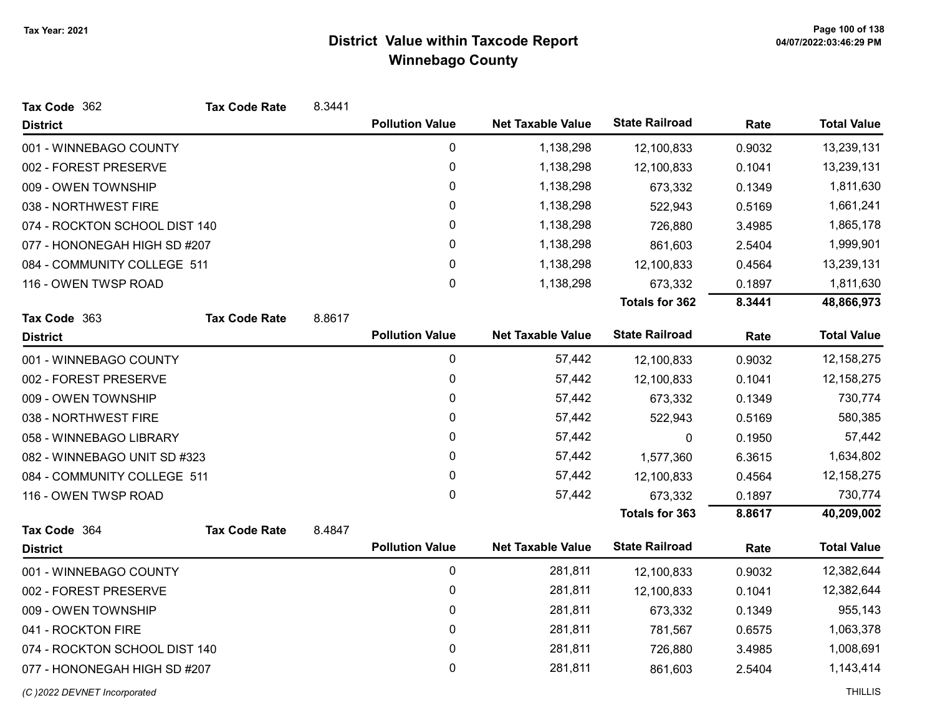| Tax Code 362                  | <b>Tax Code Rate</b> | 8.3441 |                        |                          |                       |        |                    |
|-------------------------------|----------------------|--------|------------------------|--------------------------|-----------------------|--------|--------------------|
| <b>District</b>               |                      |        | <b>Pollution Value</b> | <b>Net Taxable Value</b> | <b>State Railroad</b> | Rate   | <b>Total Value</b> |
| 001 - WINNEBAGO COUNTY        |                      |        | $\pmb{0}$              | 1,138,298                | 12,100,833            | 0.9032 | 13,239,131         |
| 002 - FOREST PRESERVE         |                      |        | $\pmb{0}$              | 1,138,298                | 12,100,833            | 0.1041 | 13,239,131         |
| 009 - OWEN TOWNSHIP           |                      |        | 0                      | 1,138,298                | 673,332               | 0.1349 | 1,811,630          |
| 038 - NORTHWEST FIRE          |                      |        | 0                      | 1,138,298                | 522,943               | 0.5169 | 1,661,241          |
| 074 - ROCKTON SCHOOL DIST 140 |                      |        | 0                      | 1,138,298                | 726,880               | 3.4985 | 1,865,178          |
| 077 - HONONEGAH HIGH SD #207  |                      |        | 0                      | 1,138,298                | 861,603               | 2.5404 | 1,999,901          |
| 084 - COMMUNITY COLLEGE 511   |                      |        | 0                      | 1,138,298                | 12,100,833            | 0.4564 | 13,239,131         |
| 116 - OWEN TWSP ROAD          |                      |        | 0                      | 1,138,298                | 673,332               | 0.1897 | 1,811,630          |
|                               |                      |        |                        |                          | <b>Totals for 362</b> | 8.3441 | 48,866,973         |
| Tax Code 363                  | <b>Tax Code Rate</b> | 8.8617 |                        |                          |                       |        |                    |
| <b>District</b>               |                      |        | <b>Pollution Value</b> | <b>Net Taxable Value</b> | <b>State Railroad</b> | Rate   | <b>Total Value</b> |
| 001 - WINNEBAGO COUNTY        |                      |        | 0                      | 57,442                   | 12,100,833            | 0.9032 | 12, 158, 275       |
| 002 - FOREST PRESERVE         |                      |        | 0                      | 57,442                   | 12,100,833            | 0.1041 | 12, 158, 275       |
| 009 - OWEN TOWNSHIP           |                      |        | 0                      | 57,442                   | 673,332               | 0.1349 | 730,774            |
| 038 - NORTHWEST FIRE          |                      |        | 0                      | 57,442                   | 522,943               | 0.5169 | 580,385            |
| 058 - WINNEBAGO LIBRARY       |                      |        | 0                      | 57,442                   | 0                     | 0.1950 | 57,442             |
| 082 - WINNEBAGO UNIT SD #323  |                      |        | 0                      | 57,442                   | 1,577,360             | 6.3615 | 1,634,802          |
| 084 - COMMUNITY COLLEGE 511   |                      |        | 0                      | 57,442                   | 12,100,833            | 0.4564 | 12, 158, 275       |
| 116 - OWEN TWSP ROAD          |                      |        | 0                      | 57,442                   | 673,332               | 0.1897 | 730,774            |
|                               |                      |        |                        |                          | <b>Totals for 363</b> | 8.8617 | 40,209,002         |
| Tax Code 364                  | <b>Tax Code Rate</b> | 8.4847 |                        |                          |                       |        |                    |
| <b>District</b>               |                      |        | <b>Pollution Value</b> | <b>Net Taxable Value</b> | <b>State Railroad</b> | Rate   | <b>Total Value</b> |
| 001 - WINNEBAGO COUNTY        |                      |        | $\pmb{0}$              | 281,811                  | 12,100,833            | 0.9032 | 12,382,644         |
| 002 - FOREST PRESERVE         |                      |        | 0                      | 281,811                  | 12,100,833            | 0.1041 | 12,382,644         |
| 009 - OWEN TOWNSHIP           |                      |        | 0                      | 281,811                  | 673,332               | 0.1349 | 955,143            |
| 041 - ROCKTON FIRE            |                      |        | 0                      | 281,811                  | 781,567               | 0.6575 | 1,063,378          |
| 074 - ROCKTON SCHOOL DIST 140 |                      |        | 0                      | 281,811                  | 726,880               | 3.4985 | 1,008,691          |
| 077 - HONONEGAH HIGH SD #207  |                      |        | 0                      | 281,811                  | 861,603               | 2.5404 | 1,143,414          |
| (C) 2022 DEVNET Incorporated  |                      |        |                        |                          |                       |        | <b>THILLIS</b>     |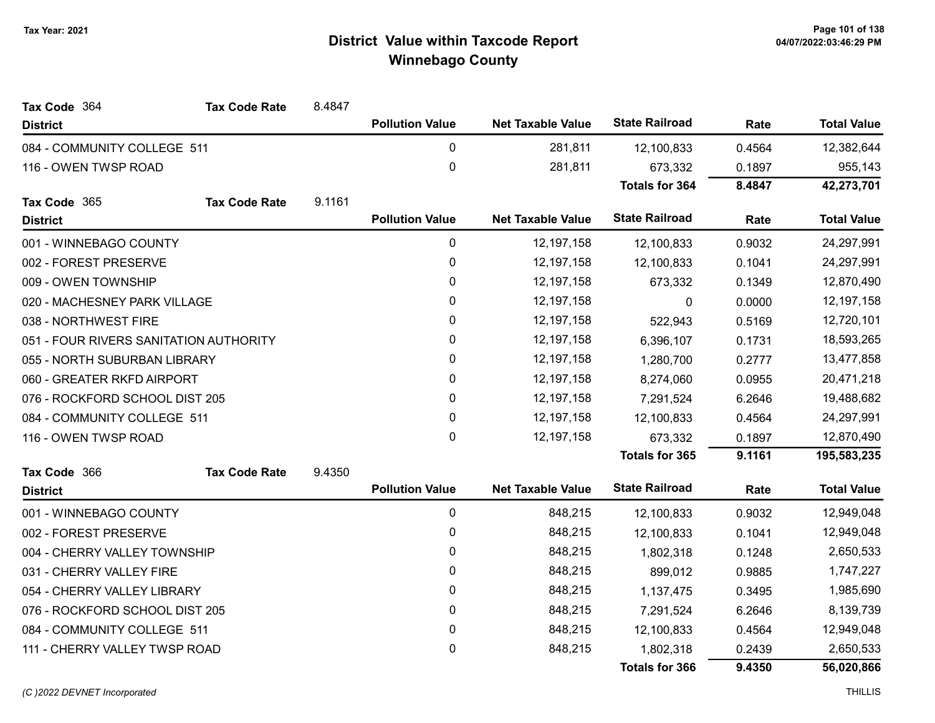| Tax Code 364                           | <b>Tax Code Rate</b> | 8.4847 |                        |                          |                       |        |                    |
|----------------------------------------|----------------------|--------|------------------------|--------------------------|-----------------------|--------|--------------------|
| <b>District</b>                        |                      |        | <b>Pollution Value</b> | <b>Net Taxable Value</b> | <b>State Railroad</b> | Rate   | <b>Total Value</b> |
| 084 - COMMUNITY COLLEGE 511            |                      |        | $\pmb{0}$              | 281,811                  | 12,100,833            | 0.4564 | 12,382,644         |
| 116 - OWEN TWSP ROAD                   |                      |        | $\pmb{0}$              | 281,811                  | 673,332               | 0.1897 | 955,143            |
|                                        |                      |        |                        |                          | <b>Totals for 364</b> | 8.4847 | 42,273,701         |
| Tax Code 365                           | <b>Tax Code Rate</b> | 9.1161 |                        |                          |                       |        |                    |
| <b>District</b>                        |                      |        | <b>Pollution Value</b> | <b>Net Taxable Value</b> | <b>State Railroad</b> | Rate   | <b>Total Value</b> |
| 001 - WINNEBAGO COUNTY                 |                      |        | 0                      | 12, 197, 158             | 12,100,833            | 0.9032 | 24,297,991         |
| 002 - FOREST PRESERVE                  |                      |        | $\pmb{0}$              | 12, 197, 158             | 12,100,833            | 0.1041 | 24,297,991         |
| 009 - OWEN TOWNSHIP                    |                      |        | $\pmb{0}$              | 12, 197, 158             | 673,332               | 0.1349 | 12,870,490         |
| 020 - MACHESNEY PARK VILLAGE           |                      |        | 0                      | 12, 197, 158             | $\mathbf{0}$          | 0.0000 | 12, 197, 158       |
| 038 - NORTHWEST FIRE                   |                      |        | 0                      | 12, 197, 158             | 522,943               | 0.5169 | 12,720,101         |
| 051 - FOUR RIVERS SANITATION AUTHORITY |                      |        | 0                      | 12, 197, 158             | 6,396,107             | 0.1731 | 18,593,265         |
| 055 - NORTH SUBURBAN LIBRARY           |                      |        | $\pmb{0}$              | 12, 197, 158             | 1,280,700             | 0.2777 | 13,477,858         |
| 060 - GREATER RKFD AIRPORT             |                      |        | 0                      | 12, 197, 158             | 8,274,060             | 0.0955 | 20,471,218         |
| 076 - ROCKFORD SCHOOL DIST 205         |                      |        | 0                      | 12, 197, 158             | 7,291,524             | 6.2646 | 19,488,682         |
| 084 - COMMUNITY COLLEGE 511            |                      |        | 0                      | 12, 197, 158             | 12,100,833            | 0.4564 | 24,297,991         |
| 116 - OWEN TWSP ROAD                   |                      |        | $\pmb{0}$              | 12, 197, 158             | 673,332               | 0.1897 | 12,870,490         |
|                                        |                      |        |                        |                          | <b>Totals for 365</b> | 9.1161 | 195,583,235        |
| Tax Code 366                           | <b>Tax Code Rate</b> | 9.4350 |                        |                          |                       |        |                    |
| <b>District</b>                        |                      |        | <b>Pollution Value</b> | <b>Net Taxable Value</b> | <b>State Railroad</b> | Rate   | <b>Total Value</b> |
| 001 - WINNEBAGO COUNTY                 |                      |        | $\pmb{0}$              | 848,215                  | 12,100,833            | 0.9032 | 12,949,048         |
| 002 - FOREST PRESERVE                  |                      |        | 0                      | 848,215                  | 12,100,833            | 0.1041 | 12,949,048         |
| 004 - CHERRY VALLEY TOWNSHIP           |                      |        | $\pmb{0}$              | 848,215                  | 1,802,318             | 0.1248 | 2,650,533          |
| 031 - CHERRY VALLEY FIRE               |                      |        | 0                      | 848,215                  | 899,012               | 0.9885 | 1,747,227          |
| 054 - CHERRY VALLEY LIBRARY            |                      |        | $\pmb{0}$              | 848,215                  | 1,137,475             | 0.3495 | 1,985,690          |
| 076 - ROCKFORD SCHOOL DIST 205         |                      |        | 0                      | 848,215                  | 7,291,524             | 6.2646 | 8,139,739          |
| 084 - COMMUNITY COLLEGE 511            |                      |        | $\pmb{0}$              | 848,215                  | 12,100,833            | 0.4564 | 12,949,048         |
| 111 - CHERRY VALLEY TWSP ROAD          |                      |        | $\pmb{0}$              | 848,215                  | 1,802,318             | 0.2439 | 2,650,533          |
|                                        |                      |        |                        |                          | <b>Totals for 366</b> | 9.4350 | 56,020,866         |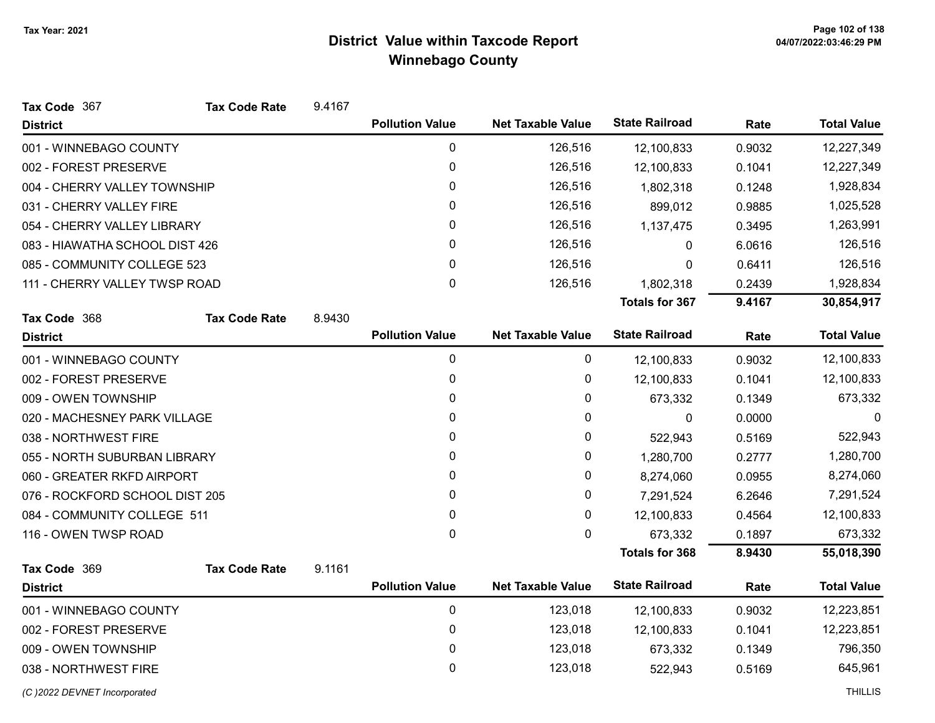| Tax Code 367                   | <b>Tax Code Rate</b> | 9.4167 |                        |                          |                       |        |                    |
|--------------------------------|----------------------|--------|------------------------|--------------------------|-----------------------|--------|--------------------|
| <b>District</b>                |                      |        | <b>Pollution Value</b> | <b>Net Taxable Value</b> | <b>State Railroad</b> | Rate   | <b>Total Value</b> |
| 001 - WINNEBAGO COUNTY         |                      |        | 0                      | 126,516                  | 12,100,833            | 0.9032 | 12,227,349         |
| 002 - FOREST PRESERVE          |                      |        | 0                      | 126,516                  | 12,100,833            | 0.1041 | 12,227,349         |
| 004 - CHERRY VALLEY TOWNSHIP   |                      |        | 0                      | 126,516                  | 1,802,318             | 0.1248 | 1,928,834          |
| 031 - CHERRY VALLEY FIRE       |                      |        | 0                      | 126,516                  | 899,012               | 0.9885 | 1,025,528          |
| 054 - CHERRY VALLEY LIBRARY    |                      |        | 0                      | 126,516                  | 1,137,475             | 0.3495 | 1,263,991          |
| 083 - HIAWATHA SCHOOL DIST 426 |                      |        | 0                      | 126,516                  | 0                     | 6.0616 | 126,516            |
| 085 - COMMUNITY COLLEGE 523    |                      |        | $\mathbf{0}$           | 126,516                  | 0                     | 0.6411 | 126,516            |
| 111 - CHERRY VALLEY TWSP ROAD  |                      |        | $\pmb{0}$              | 126,516                  | 1,802,318             | 0.2439 | 1,928,834          |
|                                |                      |        |                        |                          | Totals for 367        | 9.4167 | 30,854,917         |
| Tax Code 368                   | <b>Tax Code Rate</b> | 8.9430 |                        |                          |                       |        |                    |
| <b>District</b>                |                      |        | <b>Pollution Value</b> | <b>Net Taxable Value</b> | <b>State Railroad</b> | Rate   | <b>Total Value</b> |
| 001 - WINNEBAGO COUNTY         |                      |        | 0                      | 0                        | 12,100,833            | 0.9032 | 12,100,833         |
| 002 - FOREST PRESERVE          |                      |        | $\pmb{0}$              | 0                        | 12,100,833            | 0.1041 | 12,100,833         |
| 009 - OWEN TOWNSHIP            |                      |        | 0                      | 0                        | 673,332               | 0.1349 | 673,332            |
| 020 - MACHESNEY PARK VILLAGE   |                      |        | 0                      | 0                        | $\boldsymbol{0}$      | 0.0000 | 0                  |
| 038 - NORTHWEST FIRE           |                      |        | 0                      | 0                        | 522,943               | 0.5169 | 522,943            |
| 055 - NORTH SUBURBAN LIBRARY   |                      |        | 0                      | 0                        | 1,280,700             | 0.2777 | 1,280,700          |
| 060 - GREATER RKFD AIRPORT     |                      |        | 0                      | 0                        | 8,274,060             | 0.0955 | 8,274,060          |
| 076 - ROCKFORD SCHOOL DIST 205 |                      |        | 0                      | 0                        | 7,291,524             | 6.2646 | 7,291,524          |
| 084 - COMMUNITY COLLEGE 511    |                      |        | $\mathbf 0$            | 0                        | 12,100,833            | 0.4564 | 12,100,833         |
| 116 - OWEN TWSP ROAD           |                      |        | $\mathbf{0}$           | 0                        | 673,332               | 0.1897 | 673,332            |
|                                |                      |        |                        |                          | <b>Totals for 368</b> | 8.9430 | 55,018,390         |
| Tax Code 369                   | <b>Tax Code Rate</b> | 9.1161 |                        |                          |                       |        |                    |
| <b>District</b>                |                      |        | <b>Pollution Value</b> | <b>Net Taxable Value</b> | <b>State Railroad</b> | Rate   | <b>Total Value</b> |
| 001 - WINNEBAGO COUNTY         |                      |        | 0                      | 123,018                  | 12,100,833            | 0.9032 | 12,223,851         |
| 002 - FOREST PRESERVE          |                      |        | 0                      | 123,018                  | 12,100,833            | 0.1041 | 12,223,851         |
| 009 - OWEN TOWNSHIP            |                      |        | 0                      | 123,018                  | 673,332               | 0.1349 | 796,350            |
| 038 - NORTHWEST FIRE           |                      |        | 0                      | 123,018                  | 522,943               | 0.5169 | 645,961            |
| (C) 2022 DEVNET Incorporated   |                      |        |                        |                          |                       |        | <b>THILLIS</b>     |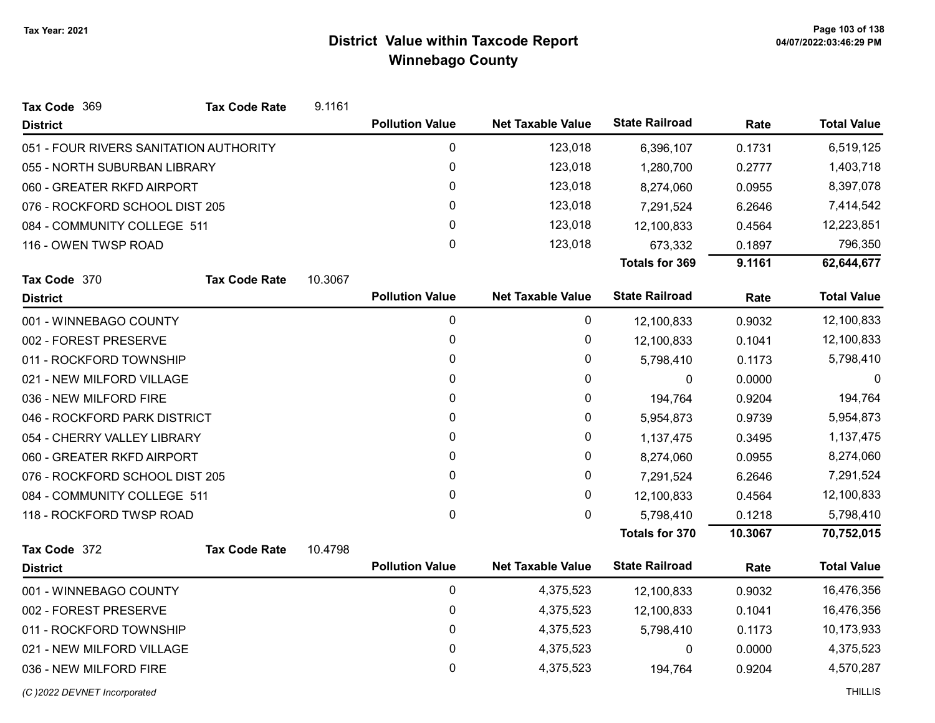| Tax Code 369                           | <b>Tax Code Rate</b> | 9.1161  |                        |                          |                       |         |                    |
|----------------------------------------|----------------------|---------|------------------------|--------------------------|-----------------------|---------|--------------------|
| <b>District</b>                        |                      |         | <b>Pollution Value</b> | <b>Net Taxable Value</b> | <b>State Railroad</b> | Rate    | <b>Total Value</b> |
| 051 - FOUR RIVERS SANITATION AUTHORITY |                      |         | 0                      | 123,018                  | 6,396,107             | 0.1731  | 6,519,125          |
| 055 - NORTH SUBURBAN LIBRARY           |                      |         | 0                      | 123,018                  | 1,280,700             | 0.2777  | 1,403,718          |
| 060 - GREATER RKFD AIRPORT             |                      |         | 0                      | 123,018                  | 8,274,060             | 0.0955  | 8,397,078          |
| 076 - ROCKFORD SCHOOL DIST 205         |                      |         | 0                      | 123,018                  | 7,291,524             | 6.2646  | 7,414,542          |
| 084 - COMMUNITY COLLEGE 511            |                      |         | 0                      | 123,018                  | 12,100,833            | 0.4564  | 12,223,851         |
| 116 - OWEN TWSP ROAD                   |                      |         | 0                      | 123,018                  | 673,332               | 0.1897  | 796,350            |
|                                        |                      |         |                        |                          | <b>Totals for 369</b> | 9.1161  | 62,644,677         |
| Tax Code 370                           | <b>Tax Code Rate</b> | 10.3067 |                        |                          |                       |         |                    |
| <b>District</b>                        |                      |         | <b>Pollution Value</b> | <b>Net Taxable Value</b> | <b>State Railroad</b> | Rate    | <b>Total Value</b> |
| 001 - WINNEBAGO COUNTY                 |                      |         | 0                      | 0                        | 12,100,833            | 0.9032  | 12,100,833         |
| 002 - FOREST PRESERVE                  |                      |         | $\pmb{0}$              | 0                        | 12,100,833            | 0.1041  | 12,100,833         |
| 011 - ROCKFORD TOWNSHIP                |                      |         | 0                      | 0                        | 5,798,410             | 0.1173  | 5,798,410          |
| 021 - NEW MILFORD VILLAGE              |                      |         | 0                      | 0                        | $\mathbf 0$           | 0.0000  | $\Omega$           |
| 036 - NEW MILFORD FIRE                 |                      |         | 0                      | 0                        | 194,764               | 0.9204  | 194,764            |
| 046 - ROCKFORD PARK DISTRICT           |                      |         | 0                      | 0                        | 5,954,873             | 0.9739  | 5,954,873          |
| 054 - CHERRY VALLEY LIBRARY            |                      |         | 0                      | 0                        | 1,137,475             | 0.3495  | 1,137,475          |
| 060 - GREATER RKFD AIRPORT             |                      |         | 0                      | 0                        | 8,274,060             | 0.0955  | 8,274,060          |
| 076 - ROCKFORD SCHOOL DIST 205         |                      |         | 0                      | 0                        | 7,291,524             | 6.2646  | 7,291,524          |
| 084 - COMMUNITY COLLEGE 511            |                      |         | 0                      | 0                        | 12,100,833            | 0.4564  | 12,100,833         |
| 118 - ROCKFORD TWSP ROAD               |                      |         | $\pmb{0}$              | 0                        | 5,798,410             | 0.1218  | 5,798,410          |
|                                        |                      |         |                        |                          | <b>Totals for 370</b> | 10.3067 | 70,752,015         |
| Tax Code 372                           | <b>Tax Code Rate</b> | 10.4798 |                        |                          |                       |         |                    |
| <b>District</b>                        |                      |         | <b>Pollution Value</b> | <b>Net Taxable Value</b> | <b>State Railroad</b> | Rate    | <b>Total Value</b> |
| 001 - WINNEBAGO COUNTY                 |                      |         | 0                      | 4,375,523                | 12,100,833            | 0.9032  | 16,476,356         |
| 002 - FOREST PRESERVE                  |                      |         | 0                      | 4,375,523                | 12,100,833            | 0.1041  | 16,476,356         |
| 011 - ROCKFORD TOWNSHIP                |                      |         | 0                      | 4,375,523                | 5,798,410             | 0.1173  | 10,173,933         |
| 021 - NEW MILFORD VILLAGE              |                      |         | 0                      | 4,375,523                | $\mathbf{0}$          | 0.0000  | 4,375,523          |
| 036 - NEW MILFORD FIRE                 |                      |         | 0                      | 4,375,523                | 194,764               | 0.9204  | 4,570,287          |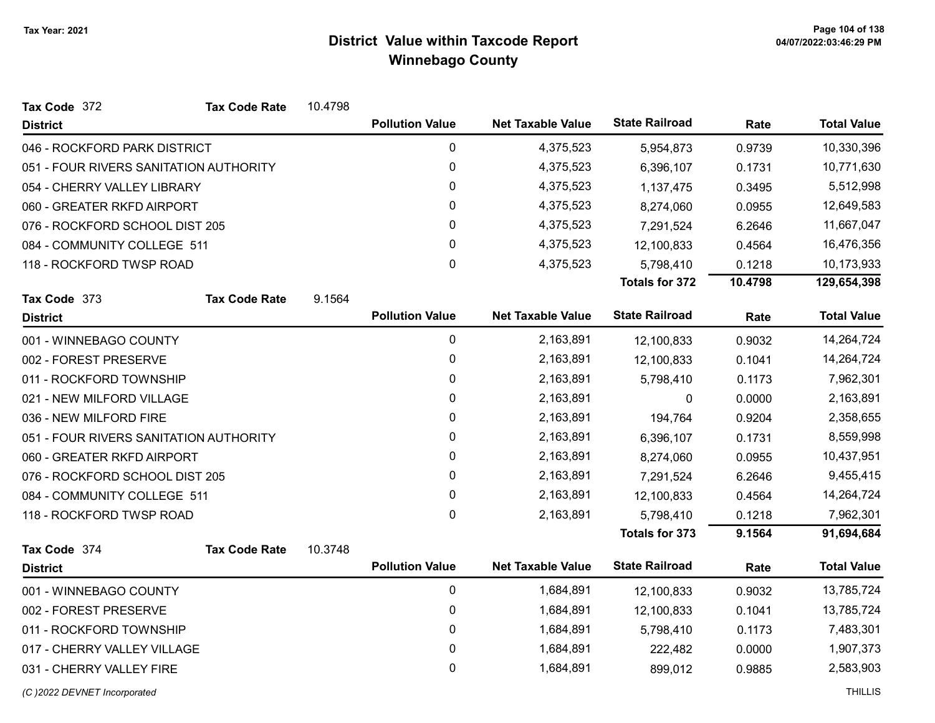| Tax Code 372                           | <b>Tax Code Rate</b> | 10.4798 |                        |                          |                       |         |                    |
|----------------------------------------|----------------------|---------|------------------------|--------------------------|-----------------------|---------|--------------------|
| <b>District</b>                        |                      |         | <b>Pollution Value</b> | <b>Net Taxable Value</b> | <b>State Railroad</b> | Rate    | <b>Total Value</b> |
| 046 - ROCKFORD PARK DISTRICT           |                      |         | 0                      | 4,375,523                | 5,954,873             | 0.9739  | 10,330,396         |
| 051 - FOUR RIVERS SANITATION AUTHORITY |                      |         | 0                      | 4,375,523                | 6,396,107             | 0.1731  | 10,771,630         |
| 054 - CHERRY VALLEY LIBRARY            |                      |         | 0                      | 4,375,523                | 1,137,475             | 0.3495  | 5,512,998          |
| 060 - GREATER RKFD AIRPORT             |                      |         | 0                      | 4,375,523                | 8,274,060             | 0.0955  | 12,649,583         |
| 076 - ROCKFORD SCHOOL DIST 205         |                      |         | $\pmb{0}$              | 4,375,523                | 7,291,524             | 6.2646  | 11,667,047         |
| 084 - COMMUNITY COLLEGE 511            |                      |         | 0                      | 4,375,523                | 12,100,833            | 0.4564  | 16,476,356         |
| 118 - ROCKFORD TWSP ROAD               |                      |         | $\mathbf 0$            | 4,375,523                | 5,798,410             | 0.1218  | 10,173,933         |
|                                        |                      |         |                        |                          | <b>Totals for 372</b> | 10.4798 | 129,654,398        |
| Tax Code 373                           | <b>Tax Code Rate</b> | 9.1564  |                        |                          |                       |         |                    |
| <b>District</b>                        |                      |         | <b>Pollution Value</b> | <b>Net Taxable Value</b> | <b>State Railroad</b> | Rate    | <b>Total Value</b> |
| 001 - WINNEBAGO COUNTY                 |                      |         | $\mathbf 0$            | 2,163,891                | 12,100,833            | 0.9032  | 14,264,724         |
| 002 - FOREST PRESERVE                  |                      |         | 0                      | 2,163,891                | 12,100,833            | 0.1041  | 14,264,724         |
| 011 - ROCKFORD TOWNSHIP                |                      |         | $\pmb{0}$              | 2,163,891                | 5,798,410             | 0.1173  | 7,962,301          |
| 021 - NEW MILFORD VILLAGE              |                      |         | 0                      | 2,163,891                | 0                     | 0.0000  | 2,163,891          |
| 036 - NEW MILFORD FIRE                 |                      |         | $\pmb{0}$              | 2,163,891                | 194,764               | 0.9204  | 2,358,655          |
| 051 - FOUR RIVERS SANITATION AUTHORITY |                      |         | 0                      | 2,163,891                | 6,396,107             | 0.1731  | 8,559,998          |
| 060 - GREATER RKFD AIRPORT             |                      |         | $\pmb{0}$              | 2,163,891                | 8,274,060             | 0.0955  | 10,437,951         |
| 076 - ROCKFORD SCHOOL DIST 205         |                      |         | $\pmb{0}$              | 2,163,891                | 7,291,524             | 6.2646  | 9,455,415          |
| 084 - COMMUNITY COLLEGE 511            |                      |         | $\pmb{0}$              | 2,163,891                | 12,100,833            | 0.4564  | 14,264,724         |
| 118 - ROCKFORD TWSP ROAD               |                      |         | $\mathbf{0}$           | 2,163,891                | 5,798,410             | 0.1218  | 7,962,301          |
|                                        |                      |         |                        |                          | <b>Totals for 373</b> | 9.1564  | 91,694,684         |
| Tax Code 374                           | <b>Tax Code Rate</b> | 10.3748 |                        |                          |                       |         |                    |
| <b>District</b>                        |                      |         | <b>Pollution Value</b> | <b>Net Taxable Value</b> | <b>State Railroad</b> | Rate    | <b>Total Value</b> |
| 001 - WINNEBAGO COUNTY                 |                      |         | 0                      | 1,684,891                | 12,100,833            | 0.9032  | 13,785,724         |
| 002 - FOREST PRESERVE                  |                      |         | $\pmb{0}$              | 1,684,891                | 12,100,833            | 0.1041  | 13,785,724         |
| 011 - ROCKFORD TOWNSHIP                |                      |         | $\pmb{0}$              | 1,684,891                | 5,798,410             | 0.1173  | 7,483,301          |
| 017 - CHERRY VALLEY VILLAGE            |                      |         | 0                      | 1,684,891                | 222,482               | 0.0000  | 1,907,373          |
| 031 - CHERRY VALLEY FIRE               |                      |         | $\pmb{0}$              | 1,684,891                | 899,012               | 0.9885  | 2,583,903          |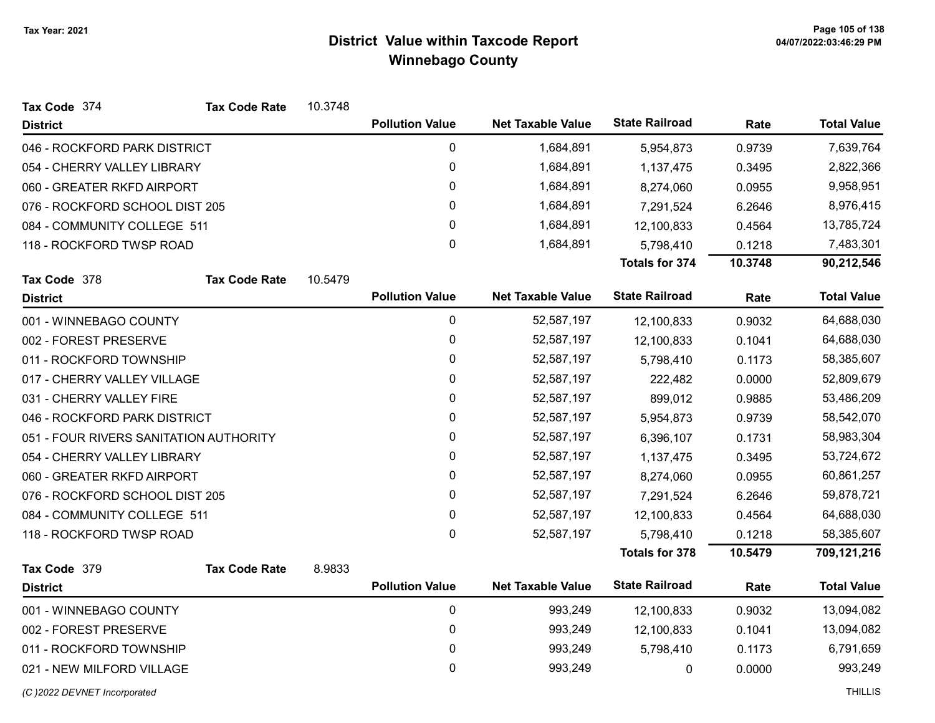| Tax Code 374                           | <b>Tax Code Rate</b> | 10.3748 |                        |                          |                       |         |                    |
|----------------------------------------|----------------------|---------|------------------------|--------------------------|-----------------------|---------|--------------------|
| <b>District</b>                        |                      |         | <b>Pollution Value</b> | <b>Net Taxable Value</b> | <b>State Railroad</b> | Rate    | <b>Total Value</b> |
| 046 - ROCKFORD PARK DISTRICT           |                      |         | 0                      | 1,684,891                | 5,954,873             | 0.9739  | 7,639,764          |
| 054 - CHERRY VALLEY LIBRARY            |                      |         | $\pmb{0}$              | 1,684,891                | 1,137,475             | 0.3495  | 2,822,366          |
| 060 - GREATER RKFD AIRPORT             |                      |         | 0                      | 1,684,891                | 8,274,060             | 0.0955  | 9,958,951          |
| 076 - ROCKFORD SCHOOL DIST 205         |                      |         | $\pmb{0}$              | 1,684,891                | 7,291,524             | 6.2646  | 8,976,415          |
| 084 - COMMUNITY COLLEGE 511            |                      |         | 0                      | 1,684,891                | 12,100,833            | 0.4564  | 13,785,724         |
| 118 - ROCKFORD TWSP ROAD               |                      |         | 0                      | 1,684,891                | 5,798,410             | 0.1218  | 7,483,301          |
|                                        |                      |         |                        |                          | <b>Totals for 374</b> | 10.3748 | 90,212,546         |
| Tax Code 378                           | <b>Tax Code Rate</b> | 10.5479 |                        |                          |                       |         |                    |
| <b>District</b>                        |                      |         | <b>Pollution Value</b> | <b>Net Taxable Value</b> | <b>State Railroad</b> | Rate    | <b>Total Value</b> |
| 001 - WINNEBAGO COUNTY                 |                      |         | $\pmb{0}$              | 52,587,197               | 12,100,833            | 0.9032  | 64,688,030         |
| 002 - FOREST PRESERVE                  |                      |         | 0                      | 52,587,197               | 12,100,833            | 0.1041  | 64,688,030         |
| 011 - ROCKFORD TOWNSHIP                |                      |         | $\mathbf 0$            | 52,587,197               | 5,798,410             | 0.1173  | 58,385,607         |
| 017 - CHERRY VALLEY VILLAGE            |                      |         | 0                      | 52,587,197               | 222,482               | 0.0000  | 52,809,679         |
| 031 - CHERRY VALLEY FIRE               |                      |         | 0                      | 52,587,197               | 899,012               | 0.9885  | 53,486,209         |
| 046 - ROCKFORD PARK DISTRICT           |                      |         | 0                      | 52,587,197               | 5,954,873             | 0.9739  | 58,542,070         |
| 051 - FOUR RIVERS SANITATION AUTHORITY |                      |         | $\pmb{0}$              | 52,587,197               | 6,396,107             | 0.1731  | 58,983,304         |
| 054 - CHERRY VALLEY LIBRARY            |                      |         | 0                      | 52,587,197               | 1,137,475             | 0.3495  | 53,724,672         |
| 060 - GREATER RKFD AIRPORT             |                      |         | 0                      | 52,587,197               | 8,274,060             | 0.0955  | 60,861,257         |
| 076 - ROCKFORD SCHOOL DIST 205         |                      |         | 0                      | 52,587,197               | 7,291,524             | 6.2646  | 59,878,721         |
| 084 - COMMUNITY COLLEGE 511            |                      |         | $\pmb{0}$              | 52,587,197               | 12,100,833            | 0.4564  | 64,688,030         |
| 118 - ROCKFORD TWSP ROAD               |                      |         | 0                      | 52,587,197               | 5,798,410             | 0.1218  | 58,385,607         |
|                                        |                      |         |                        |                          | <b>Totals for 378</b> | 10.5479 | 709,121,216        |
| Tax Code 379                           | <b>Tax Code Rate</b> | 8.9833  |                        |                          |                       |         |                    |
| <b>District</b>                        |                      |         | <b>Pollution Value</b> | <b>Net Taxable Value</b> | <b>State Railroad</b> | Rate    | <b>Total Value</b> |
| 001 - WINNEBAGO COUNTY                 |                      |         | $\pmb{0}$              | 993,249                  | 12,100,833            | 0.9032  | 13,094,082         |
| 002 - FOREST PRESERVE                  |                      |         | 0                      | 993,249                  | 12,100,833            | 0.1041  | 13,094,082         |
| 011 - ROCKFORD TOWNSHIP                |                      |         | $\pmb{0}$              | 993,249                  | 5,798,410             | 0.1173  | 6,791,659          |
| 021 - NEW MILFORD VILLAGE              |                      |         | 0                      | 993,249                  | 0                     | 0.0000  | 993,249            |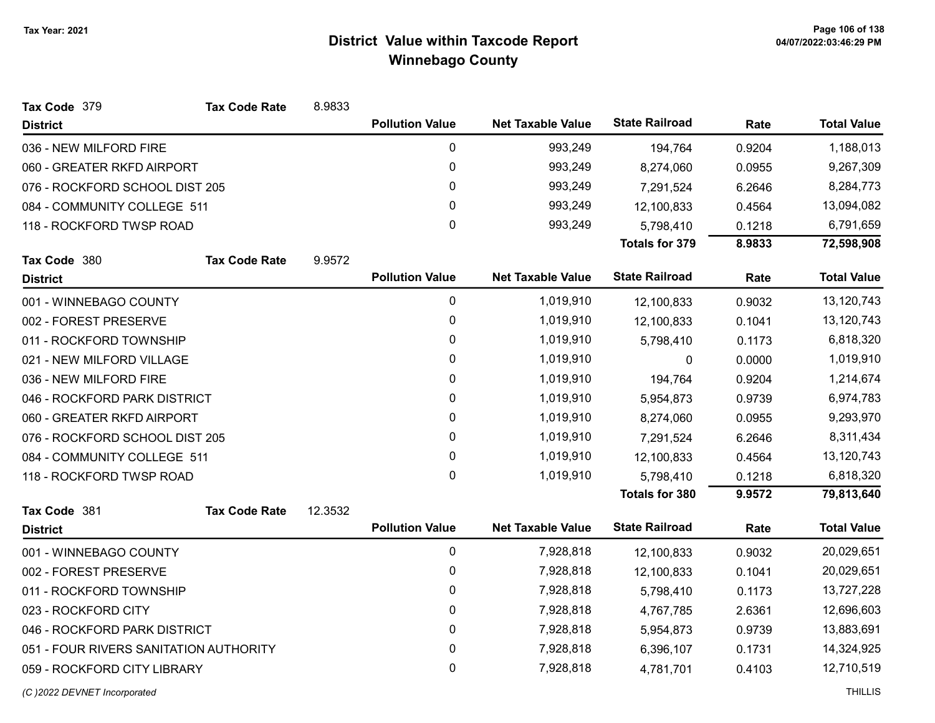| Tax Code 379                           | <b>Tax Code Rate</b> | 8.9833  |                        |                          |                       |            |                    |
|----------------------------------------|----------------------|---------|------------------------|--------------------------|-----------------------|------------|--------------------|
| <b>District</b>                        |                      |         | <b>Pollution Value</b> | <b>Net Taxable Value</b> | <b>State Railroad</b> | Rate       | <b>Total Value</b> |
| 036 - NEW MILFORD FIRE                 |                      |         | $\pmb{0}$              | 993,249                  | 194,764               | 0.9204     | 1,188,013          |
| 060 - GREATER RKFD AIRPORT             |                      |         | 0                      | 993,249                  | 8,274,060             | 0.0955     | 9,267,309          |
| 076 - ROCKFORD SCHOOL DIST 205         |                      |         | 0                      | 993,249                  | 7,291,524             | 6.2646     | 8,284,773          |
| 084 - COMMUNITY COLLEGE 511            |                      |         | 0                      | 993,249                  | 12,100,833            | 0.4564     | 13,094,082         |
| 118 - ROCKFORD TWSP ROAD               |                      |         | 0                      | 993,249                  | 5,798,410             | 0.1218     | 6,791,659          |
|                                        |                      |         |                        |                          | <b>Totals for 379</b> | 8.9833     | 72,598,908         |
| Tax Code 380                           | <b>Tax Code Rate</b> | 9.9572  |                        |                          |                       |            |                    |
| <b>District</b>                        |                      |         | <b>Pollution Value</b> | <b>Net Taxable Value</b> | <b>State Railroad</b> | Rate       | <b>Total Value</b> |
| 001 - WINNEBAGO COUNTY                 |                      |         | $\pmb{0}$              | 1,019,910                | 12,100,833            | 0.9032     | 13,120,743         |
| 002 - FOREST PRESERVE                  |                      |         | 0                      | 1,019,910                | 12,100,833            | 0.1041     | 13,120,743         |
| 011 - ROCKFORD TOWNSHIP                |                      |         | 0                      | 1,019,910                | 5,798,410             | 0.1173     | 6,818,320          |
| 021 - NEW MILFORD VILLAGE              |                      |         | $\mathbf{0}$           | 1,019,910                | $\mathbf{0}$          | 0.0000     | 1,019,910          |
| 036 - NEW MILFORD FIRE                 |                      |         | $\mathbf 0$            | 1,019,910                | 194,764               | 0.9204     | 1,214,674          |
| 046 - ROCKFORD PARK DISTRICT           |                      |         | 0                      | 1,019,910                | 5,954,873             | 0.9739     | 6,974,783          |
| 060 - GREATER RKFD AIRPORT             |                      |         | 0                      | 1,019,910                | 8,274,060             | 0.0955     | 9,293,970          |
| 076 - ROCKFORD SCHOOL DIST 205         |                      |         | 0                      | 1,019,910                | 7,291,524             | 6.2646     | 8,311,434          |
| 084 - COMMUNITY COLLEGE 511            |                      |         | 0                      | 1,019,910                | 12,100,833            | 0.4564     | 13,120,743         |
| 118 - ROCKFORD TWSP ROAD               |                      |         | 0                      | 1,019,910                | 5,798,410             | 0.1218     | 6,818,320          |
|                                        |                      |         |                        |                          | Totals for 380        | 9.9572     | 79,813,640         |
| Tax Code 381                           | <b>Tax Code Rate</b> | 12.3532 |                        |                          |                       |            |                    |
| <b>District</b>                        |                      |         | <b>Pollution Value</b> | <b>Net Taxable Value</b> | <b>State Railroad</b> | Rate       | <b>Total Value</b> |
| 001 - WINNEBAGO COUNTY                 |                      |         | $\pmb{0}$              | 7,928,818                | 12,100,833            | 0.9032     | 20,029,651         |
| 002 - FOREST PRESERVE                  |                      |         | $\pmb{0}$              | 7,928,818                | 12,100,833            | 0.1041     | 20,029,651         |
| 011 - ROCKFORD TOWNSHIP                |                      |         | 0                      | 7,928,818                | 5,798,410             | 0.1173     | 13,727,228         |
| 023 - ROCKFORD CITY                    |                      | 0       | 7,928,818              | 4,767,785                | 2.6361                | 12,696,603 |                    |
| 046 - ROCKFORD PARK DISTRICT           |                      | 0       | 7,928,818              | 5,954,873                | 0.9739                | 13,883,691 |                    |
| 051 - FOUR RIVERS SANITATION AUTHORITY |                      |         | 0                      | 7,928,818                | 6,396,107             | 0.1731     | 14,324,925         |
| 059 - ROCKFORD CITY LIBRARY            |                      |         | 0                      | 7,928,818                | 4,781,701             | 0.4103     | 12,710,519         |
|                                        |                      |         |                        |                          |                       |            |                    |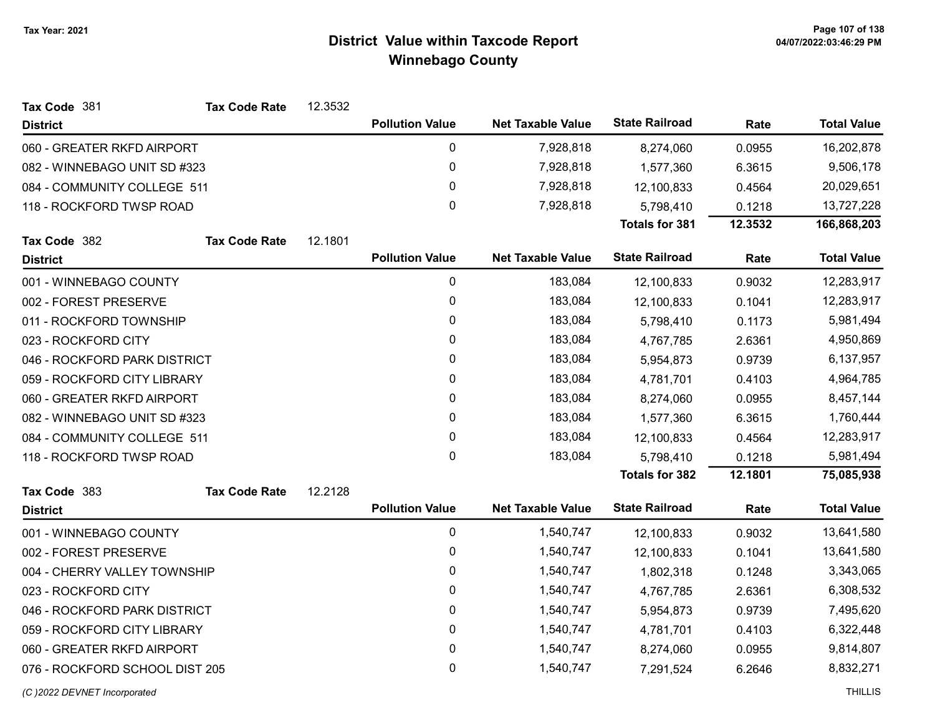| Tax Code 381                   | <b>Tax Code Rate</b> | 12.3532 |                        |                          |                       |         |                    |
|--------------------------------|----------------------|---------|------------------------|--------------------------|-----------------------|---------|--------------------|
| <b>District</b>                |                      |         | <b>Pollution Value</b> | <b>Net Taxable Value</b> | <b>State Railroad</b> | Rate    | <b>Total Value</b> |
| 060 - GREATER RKFD AIRPORT     |                      |         | $\pmb{0}$              | 7,928,818                | 8,274,060             | 0.0955  | 16,202,878         |
| 082 - WINNEBAGO UNIT SD #323   |                      |         | 0                      | 7,928,818                | 1,577,360             | 6.3615  | 9,506,178          |
| 084 - COMMUNITY COLLEGE 511    |                      |         | $\pmb{0}$              | 7,928,818                | 12,100,833            | 0.4564  | 20,029,651         |
| 118 - ROCKFORD TWSP ROAD       |                      |         | $\mathbf 0$            | 7,928,818                | 5,798,410             | 0.1218  | 13,727,228         |
|                                |                      |         |                        |                          | <b>Totals for 381</b> | 12.3532 | 166,868,203        |
| Tax Code 382                   | <b>Tax Code Rate</b> | 12.1801 |                        |                          |                       |         |                    |
| <b>District</b>                |                      |         | <b>Pollution Value</b> | <b>Net Taxable Value</b> | <b>State Railroad</b> | Rate    | <b>Total Value</b> |
| 001 - WINNEBAGO COUNTY         |                      |         | $\pmb{0}$              | 183,084                  | 12,100,833            | 0.9032  | 12,283,917         |
| 002 - FOREST PRESERVE          |                      |         | $\pmb{0}$              | 183,084                  | 12,100,833            | 0.1041  | 12,283,917         |
| 011 - ROCKFORD TOWNSHIP        |                      |         | 0                      | 183,084                  | 5,798,410             | 0.1173  | 5,981,494          |
| 023 - ROCKFORD CITY            |                      |         | $\pmb{0}$              | 183,084                  | 4,767,785             | 2.6361  | 4,950,869          |
| 046 - ROCKFORD PARK DISTRICT   |                      |         | 0                      | 183,084                  | 5,954,873             | 0.9739  | 6,137,957          |
| 059 - ROCKFORD CITY LIBRARY    |                      |         | $\pmb{0}$              | 183,084                  | 4,781,701             | 0.4103  | 4,964,785          |
| 060 - GREATER RKFD AIRPORT     |                      |         | $\mathbf{0}$           | 183,084                  | 8,274,060             | 0.0955  | 8,457,144          |
| 082 - WINNEBAGO UNIT SD #323   |                      |         | 0                      | 183,084                  | 1,577,360             | 6.3615  | 1,760,444          |
| 084 - COMMUNITY COLLEGE 511    |                      |         | 0                      | 183,084                  | 12,100,833            | 0.4564  | 12,283,917         |
| 118 - ROCKFORD TWSP ROAD       |                      |         | $\mathbf{0}$           | 183,084                  | 5,798,410             | 0.1218  | 5,981,494          |
|                                |                      |         |                        |                          | <b>Totals for 382</b> | 12.1801 | 75,085,938         |
| Tax Code 383                   | <b>Tax Code Rate</b> | 12.2128 |                        |                          |                       |         |                    |
| <b>District</b>                |                      |         | <b>Pollution Value</b> | <b>Net Taxable Value</b> | <b>State Railroad</b> | Rate    | <b>Total Value</b> |
| 001 - WINNEBAGO COUNTY         |                      |         | $\pmb{0}$              | 1,540,747                | 12,100,833            | 0.9032  | 13,641,580         |
| 002 - FOREST PRESERVE          |                      |         | $\pmb{0}$              | 1,540,747                | 12,100,833            | 0.1041  | 13,641,580         |
| 004 - CHERRY VALLEY TOWNSHIP   |                      |         | $\mathbf 0$            | 1,540,747                | 1,802,318             | 0.1248  | 3,343,065          |
| 023 - ROCKFORD CITY            |                      |         | 0                      | 1,540,747                | 4,767,785             | 2.6361  | 6,308,532          |
| 046 - ROCKFORD PARK DISTRICT   |                      |         | $\mathbf 0$            | 1,540,747                | 5,954,873             | 0.9739  | 7,495,620          |
| 059 - ROCKFORD CITY LIBRARY    |                      |         | 0                      | 1,540,747                | 4,781,701             | 0.4103  | 6,322,448          |
| 060 - GREATER RKFD AIRPORT     |                      |         | $\pmb{0}$              | 1,540,747                | 8,274,060             | 0.0955  | 9,814,807          |
| 076 - ROCKFORD SCHOOL DIST 205 |                      |         | 0                      | 1,540,747                | 7,291,524             | 6.2646  | 8,832,271          |
| (C) 2022 DEVNET Incorporated   |                      |         |                        |                          |                       |         | <b>THILLIS</b>     |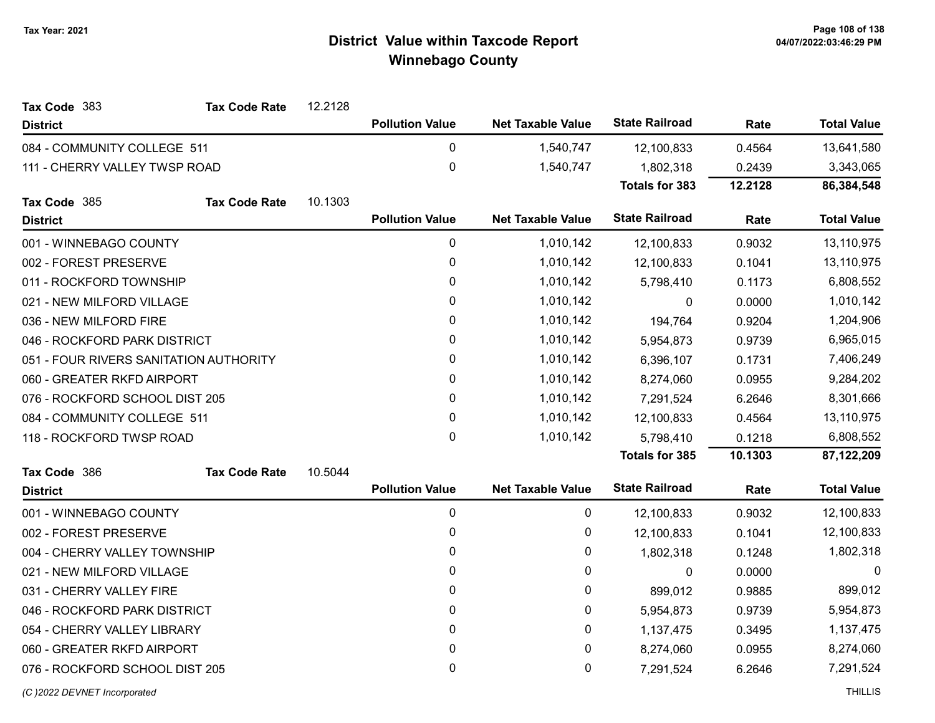| Tax Code 383                           | <b>Tax Code Rate</b> | 12.2128 |                        |                          |                       |         |                    |
|----------------------------------------|----------------------|---------|------------------------|--------------------------|-----------------------|---------|--------------------|
| <b>District</b>                        |                      |         | <b>Pollution Value</b> | <b>Net Taxable Value</b> | <b>State Railroad</b> | Rate    | <b>Total Value</b> |
| 084 - COMMUNITY COLLEGE 511            |                      |         | 0                      | 1,540,747                | 12,100,833            | 0.4564  | 13,641,580         |
| 111 - CHERRY VALLEY TWSP ROAD          |                      |         | $\mathbf 0$            | 1,540,747                | 1,802,318             | 0.2439  | 3,343,065          |
|                                        |                      |         |                        |                          | <b>Totals for 383</b> | 12.2128 | 86,384,548         |
| Tax Code 385                           | <b>Tax Code Rate</b> | 10.1303 |                        |                          |                       |         |                    |
| <b>District</b>                        |                      |         | <b>Pollution Value</b> | <b>Net Taxable Value</b> | <b>State Railroad</b> | Rate    | <b>Total Value</b> |
| 001 - WINNEBAGO COUNTY                 |                      |         | 0                      | 1,010,142                | 12,100,833            | 0.9032  | 13,110,975         |
| 002 - FOREST PRESERVE                  |                      |         | 0                      | 1,010,142                | 12,100,833            | 0.1041  | 13,110,975         |
| 011 - ROCKFORD TOWNSHIP                |                      |         | 0                      | 1,010,142                | 5,798,410             | 0.1173  | 6,808,552          |
| 021 - NEW MILFORD VILLAGE              |                      |         | 0                      | 1,010,142                | $\mathbf{0}$          | 0.0000  | 1,010,142          |
| 036 - NEW MILFORD FIRE                 |                      |         | 0                      | 1,010,142                | 194,764               | 0.9204  | 1,204,906          |
| 046 - ROCKFORD PARK DISTRICT           |                      |         | 0                      | 1,010,142                | 5,954,873             | 0.9739  | 6,965,015          |
| 051 - FOUR RIVERS SANITATION AUTHORITY |                      |         | 0                      | 1,010,142                | 6,396,107             | 0.1731  | 7,406,249          |
| 060 - GREATER RKFD AIRPORT             |                      |         | 0                      | 1,010,142                | 8,274,060             | 0.0955  | 9,284,202          |
| 076 - ROCKFORD SCHOOL DIST 205         |                      |         | 0                      | 1,010,142                | 7,291,524             | 6.2646  | 8,301,666          |
| 084 - COMMUNITY COLLEGE 511            |                      |         | 0                      | 1,010,142                | 12,100,833            | 0.4564  | 13,110,975         |
| 118 - ROCKFORD TWSP ROAD               |                      |         | 0                      | 1,010,142                | 5,798,410             | 0.1218  | 6,808,552          |
|                                        |                      |         |                        |                          | <b>Totals for 385</b> | 10.1303 | 87,122,209         |
| Tax Code 386                           | <b>Tax Code Rate</b> | 10.5044 |                        |                          |                       |         |                    |
| <b>District</b>                        |                      |         | <b>Pollution Value</b> | <b>Net Taxable Value</b> | <b>State Railroad</b> | Rate    | <b>Total Value</b> |
| 001 - WINNEBAGO COUNTY                 |                      |         | 0                      | 0                        | 12,100,833            | 0.9032  | 12,100,833         |
| 002 - FOREST PRESERVE                  |                      |         | 0                      | 0                        | 12,100,833            | 0.1041  | 12,100,833         |
| 004 - CHERRY VALLEY TOWNSHIP           |                      |         | 0                      | 0                        | 1,802,318             | 0.1248  | 1,802,318          |
| 021 - NEW MILFORD VILLAGE              |                      |         | 0                      | 0                        | $\mathbf 0$           | 0.0000  | 0                  |
| 031 - CHERRY VALLEY FIRE               |                      |         | 0                      | 0                        | 899,012               | 0.9885  | 899,012            |
| 046 - ROCKFORD PARK DISTRICT           |                      |         | 0                      | 0                        | 5,954,873             | 0.9739  | 5,954,873          |
| 054 - CHERRY VALLEY LIBRARY            |                      |         | 0                      | 0                        | 1,137,475             | 0.3495  | 1,137,475          |
| 060 - GREATER RKFD AIRPORT             |                      |         | 0                      | 0                        | 8,274,060             | 0.0955  | 8,274,060          |
| 076 - ROCKFORD SCHOOL DIST 205         |                      |         | 0                      | 0                        | 7,291,524             | 6.2646  | 7,291,524          |
| (C) 2022 DEVNET Incorporated           |                      |         |                        |                          |                       |         | <b>THILLIS</b>     |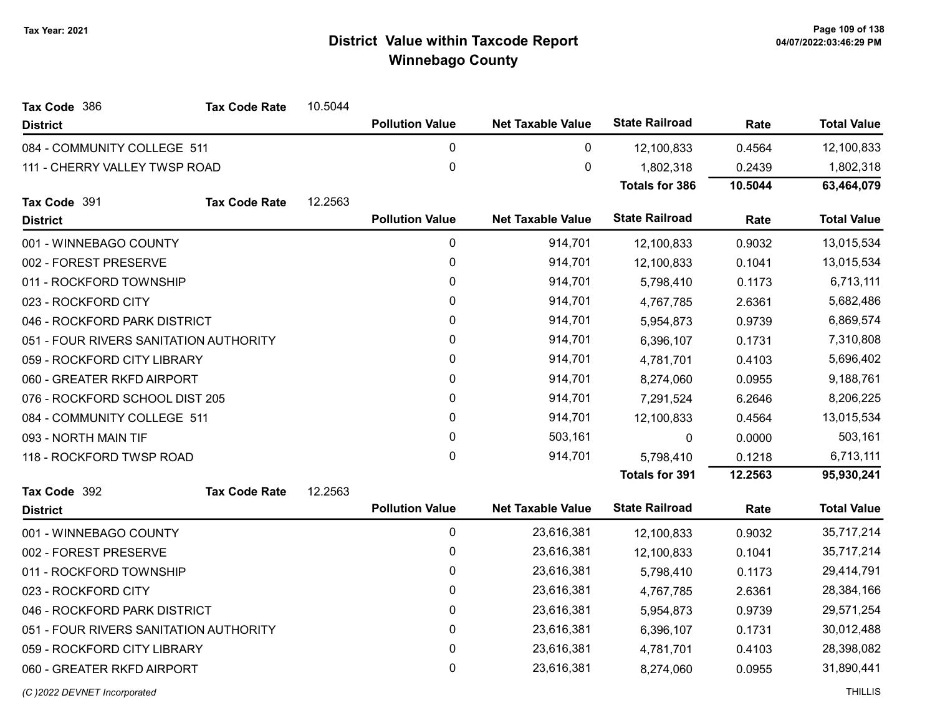| Tax Code 386                           | <b>Tax Code Rate</b> | 10.5044 |                        |                          |                       |         |                    |
|----------------------------------------|----------------------|---------|------------------------|--------------------------|-----------------------|---------|--------------------|
| <b>District</b>                        |                      |         | <b>Pollution Value</b> | <b>Net Taxable Value</b> | <b>State Railroad</b> | Rate    | <b>Total Value</b> |
| 084 - COMMUNITY COLLEGE 511            |                      |         | 0                      | 0                        | 12,100,833            | 0.4564  | 12,100,833         |
| 111 - CHERRY VALLEY TWSP ROAD          |                      |         | $\mathbf 0$            | 0                        | 1,802,318             | 0.2439  | 1,802,318          |
|                                        |                      |         |                        |                          | <b>Totals for 386</b> | 10.5044 | 63,464,079         |
| Tax Code 391                           | <b>Tax Code Rate</b> | 12.2563 |                        |                          |                       |         |                    |
| <b>District</b>                        |                      |         | <b>Pollution Value</b> | <b>Net Taxable Value</b> | <b>State Railroad</b> | Rate    | <b>Total Value</b> |
| 001 - WINNEBAGO COUNTY                 |                      |         | $\pmb{0}$              | 914,701                  | 12,100,833            | 0.9032  | 13,015,534         |
| 002 - FOREST PRESERVE                  |                      |         | $\pmb{0}$              | 914,701                  | 12,100,833            | 0.1041  | 13,015,534         |
| 011 - ROCKFORD TOWNSHIP                |                      |         | 0                      | 914,701                  | 5,798,410             | 0.1173  | 6,713,111          |
| 023 - ROCKFORD CITY                    |                      |         | $\pmb{0}$              | 914,701                  | 4,767,785             | 2.6361  | 5,682,486          |
| 046 - ROCKFORD PARK DISTRICT           |                      |         | 0                      | 914,701                  | 5,954,873             | 0.9739  | 6,869,574          |
| 051 - FOUR RIVERS SANITATION AUTHORITY |                      |         | $\pmb{0}$              | 914,701                  | 6,396,107             | 0.1731  | 7,310,808          |
| 059 - ROCKFORD CITY LIBRARY            |                      |         | 0                      | 914,701                  | 4,781,701             | 0.4103  | 5,696,402          |
| 060 - GREATER RKFD AIRPORT             |                      |         | $\pmb{0}$              | 914,701                  | 8,274,060             | 0.0955  | 9,188,761          |
| 076 - ROCKFORD SCHOOL DIST 205         |                      |         | 0                      | 914,701                  | 7,291,524             | 6.2646  | 8,206,225          |
| 084 - COMMUNITY COLLEGE 511            |                      |         | 0                      | 914,701                  | 12,100,833            | 0.4564  | 13,015,534         |
| 093 - NORTH MAIN TIF                   |                      |         | 0                      | 503,161                  | 0                     | 0.0000  | 503,161            |
| 118 - ROCKFORD TWSP ROAD               |                      |         | $\pmb{0}$              | 914,701                  | 5,798,410             | 0.1218  | 6,713,111          |
|                                        |                      |         |                        |                          | <b>Totals for 391</b> | 12.2563 | 95,930,241         |
| Tax Code 392                           | <b>Tax Code Rate</b> | 12.2563 |                        |                          |                       |         |                    |
| <b>District</b>                        |                      |         | <b>Pollution Value</b> | <b>Net Taxable Value</b> | <b>State Railroad</b> | Rate    | <b>Total Value</b> |
| 001 - WINNEBAGO COUNTY                 |                      |         | $\pmb{0}$              | 23,616,381               | 12,100,833            | 0.9032  | 35,717,214         |
| 002 - FOREST PRESERVE                  |                      |         | $\pmb{0}$              | 23,616,381               | 12,100,833            | 0.1041  | 35,717,214         |
| 011 - ROCKFORD TOWNSHIP                |                      |         | 0                      | 23,616,381               | 5,798,410             | 0.1173  | 29,414,791         |
| 023 - ROCKFORD CITY                    |                      |         | $\mathbf 0$            | 23,616,381               | 4,767,785             | 2.6361  | 28,384,166         |
| 046 - ROCKFORD PARK DISTRICT           |                      |         | 0                      | 23,616,381               | 5,954,873             | 0.9739  | 29,571,254         |
| 051 - FOUR RIVERS SANITATION AUTHORITY |                      |         | $\pmb{0}$              | 23,616,381               | 6,396,107             | 0.1731  | 30,012,488         |
| 059 - ROCKFORD CITY LIBRARY            |                      |         | $\pmb{0}$              | 23,616,381               | 4,781,701             | 0.4103  | 28,398,082         |
| 060 - GREATER RKFD AIRPORT             |                      |         | $\mathbf 0$            | 23,616,381               | 8,274,060             | 0.0955  | 31,890,441         |
|                                        |                      |         |                        |                          |                       |         |                    |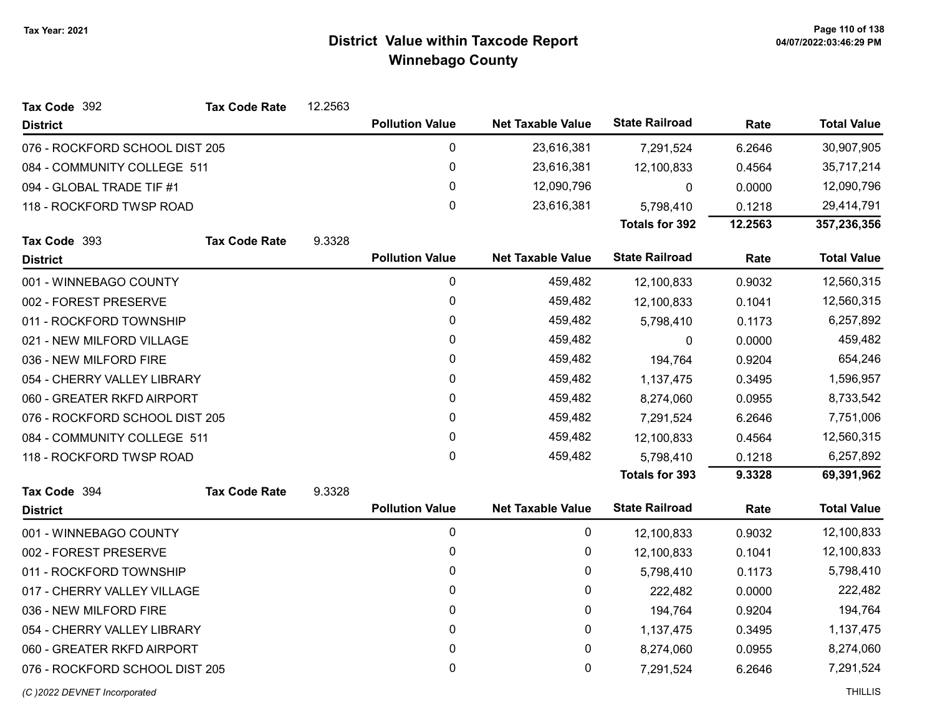| Tax Code 392                   | <b>Tax Code Rate</b> | 12.2563 |                        |                          |                       |           |                    |
|--------------------------------|----------------------|---------|------------------------|--------------------------|-----------------------|-----------|--------------------|
| <b>District</b>                |                      |         | <b>Pollution Value</b> | <b>Net Taxable Value</b> | <b>State Railroad</b> | Rate      | <b>Total Value</b> |
| 076 - ROCKFORD SCHOOL DIST 205 |                      |         | 0                      | 23,616,381               | 7,291,524             | 6.2646    | 30,907,905         |
| 084 - COMMUNITY COLLEGE 511    |                      |         | 0                      | 23,616,381               | 12,100,833            | 0.4564    | 35,717,214         |
| 094 - GLOBAL TRADE TIF #1      |                      |         | 0                      | 12,090,796               | 0                     | 0.0000    | 12,090,796         |
| 118 - ROCKFORD TWSP ROAD       |                      |         | $\mathbf{0}$           | 23,616,381               | 5,798,410             | 0.1218    | 29,414,791         |
|                                |                      |         |                        |                          | <b>Totals for 392</b> | 12.2563   | 357,236,356        |
| Tax Code 393                   | <b>Tax Code Rate</b> | 9.3328  |                        |                          |                       |           |                    |
| <b>District</b>                |                      |         | <b>Pollution Value</b> | <b>Net Taxable Value</b> | <b>State Railroad</b> | Rate      | <b>Total Value</b> |
| 001 - WINNEBAGO COUNTY         |                      |         | 0                      | 459,482                  | 12,100,833            | 0.9032    | 12,560,315         |
| 002 - FOREST PRESERVE          |                      |         | 0                      | 459,482                  | 12,100,833            | 0.1041    | 12,560,315         |
| 011 - ROCKFORD TOWNSHIP        |                      |         | 0                      | 459,482                  | 5,798,410             | 0.1173    | 6,257,892          |
| 021 - NEW MILFORD VILLAGE      |                      |         | 0                      | 459,482                  | 0                     | 0.0000    | 459,482            |
| 036 - NEW MILFORD FIRE         |                      | 0       | 459,482                | 194,764                  | 0.9204                | 654,246   |                    |
| 054 - CHERRY VALLEY LIBRARY    |                      | 0       | 459,482                | 1,137,475                | 0.3495                | 1,596,957 |                    |
| 060 - GREATER RKFD AIRPORT     |                      | 0       | 459,482                | 8,274,060                | 0.0955                | 8,733,542 |                    |
| 076 - ROCKFORD SCHOOL DIST 205 |                      |         | 0                      | 459,482                  | 7,291,524             | 6.2646    | 7,751,006          |
| 084 - COMMUNITY COLLEGE 511    |                      |         | 0                      | 459,482                  | 12,100,833            | 0.4564    | 12,560,315         |
| 118 - ROCKFORD TWSP ROAD       |                      |         | 0                      | 459,482                  | 5,798,410             | 0.1218    | 6,257,892          |
|                                |                      |         |                        |                          | <b>Totals for 393</b> | 9.3328    | 69,391,962         |
| Tax Code 394                   | <b>Tax Code Rate</b> | 9.3328  |                        |                          |                       |           |                    |
| <b>District</b>                |                      |         | <b>Pollution Value</b> | <b>Net Taxable Value</b> | <b>State Railroad</b> | Rate      | <b>Total Value</b> |
| 001 - WINNEBAGO COUNTY         |                      |         | 0                      | 0                        | 12,100,833            | 0.9032    | 12,100,833         |
| 002 - FOREST PRESERVE          |                      |         | 0                      | 0                        | 12,100,833            | 0.1041    | 12,100,833         |
| 011 - ROCKFORD TOWNSHIP        |                      |         | 0                      | 0                        | 5,798,410             | 0.1173    | 5,798,410          |
| 017 - CHERRY VALLEY VILLAGE    |                      |         | 0                      | 0                        | 222,482               | 0.0000    | 222,482            |
| 036 - NEW MILFORD FIRE         |                      |         | 0                      | 0                        | 194,764               | 0.9204    | 194,764            |
| 054 - CHERRY VALLEY LIBRARY    |                      |         | 0                      | 0                        | 1,137,475             | 0.3495    | 1,137,475          |
| 060 - GREATER RKFD AIRPORT     |                      |         | 0                      | 0                        | 8,274,060             | 0.0955    | 8,274,060          |
| 076 - ROCKFORD SCHOOL DIST 205 |                      |         | 0                      | 0                        | 7,291,524             | 6.2646    | 7,291,524          |
| (C) 2022 DEVNET Incorporated   |                      |         |                        |                          |                       |           | <b>THILLIS</b>     |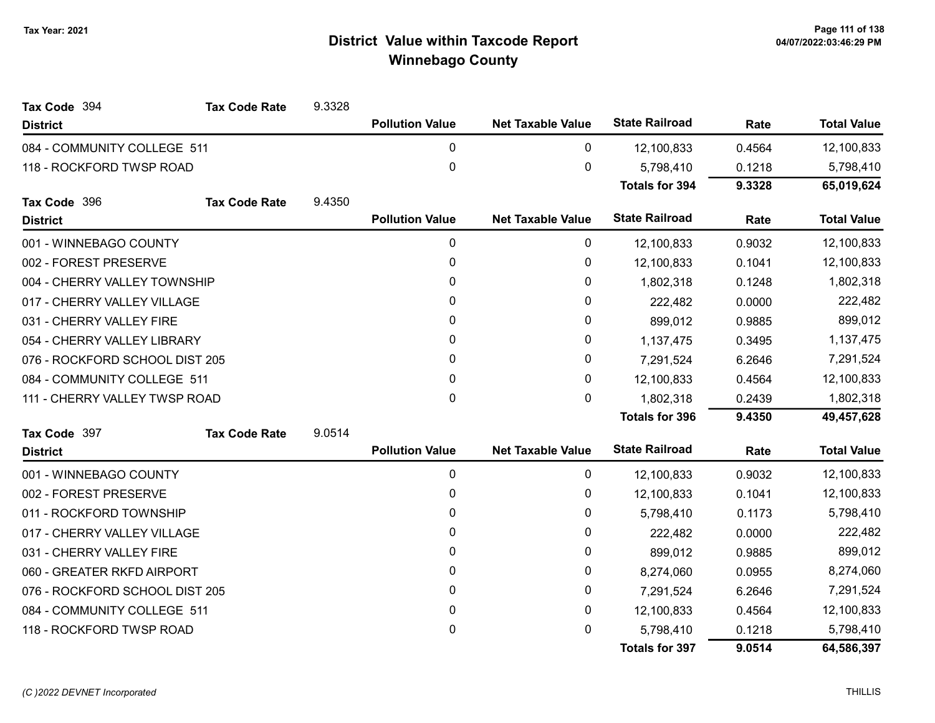| Tax Code 394                   | <b>Tax Code Rate</b> | 9.3328 |                        |                          |                       |           |                    |
|--------------------------------|----------------------|--------|------------------------|--------------------------|-----------------------|-----------|--------------------|
| <b>District</b>                |                      |        | <b>Pollution Value</b> | <b>Net Taxable Value</b> | <b>State Railroad</b> | Rate      | <b>Total Value</b> |
| 084 - COMMUNITY COLLEGE 511    |                      |        | $\mathbf{0}$           | 0                        | 12,100,833            | 0.4564    | 12,100,833         |
| 118 - ROCKFORD TWSP ROAD       |                      |        | $\mathbf 0$            | 0                        | 5,798,410             | 0.1218    | 5,798,410          |
|                                |                      |        |                        |                          | <b>Totals for 394</b> | 9.3328    | 65,019,624         |
| Tax Code 396                   | <b>Tax Code Rate</b> | 9.4350 |                        |                          |                       |           |                    |
| <b>District</b>                |                      |        | <b>Pollution Value</b> | <b>Net Taxable Value</b> | <b>State Railroad</b> | Rate      | <b>Total Value</b> |
| 001 - WINNEBAGO COUNTY         |                      |        | $\mathbf 0$            | 0                        | 12,100,833            | 0.9032    | 12,100,833         |
| 002 - FOREST PRESERVE          |                      |        | $\mathbf{0}$           | 0                        | 12,100,833            | 0.1041    | 12,100,833         |
| 004 - CHERRY VALLEY TOWNSHIP   |                      |        | $\mathbf{0}$           | 0                        | 1,802,318             | 0.1248    | 1,802,318          |
| 017 - CHERRY VALLEY VILLAGE    |                      |        | 0                      | 0                        | 222,482               | 0.0000    | 222,482            |
| 031 - CHERRY VALLEY FIRE       |                      |        | $\mathbf{0}$           | 0                        | 899,012               | 0.9885    | 899,012            |
| 054 - CHERRY VALLEY LIBRARY    |                      | 0      | 0                      | 1,137,475                | 0.3495                | 1,137,475 |                    |
| 076 - ROCKFORD SCHOOL DIST 205 |                      | 0      | 0                      | 7,291,524                | 6.2646                | 7,291,524 |                    |
| 084 - COMMUNITY COLLEGE 511    |                      |        | $\Omega$               | 0                        | 12,100,833            | 0.4564    | 12,100,833         |
| 111 - CHERRY VALLEY TWSP ROAD  |                      |        | $\mathbf 0$            | 0                        | 1,802,318             | 0.2439    | 1,802,318          |
|                                |                      |        |                        |                          | <b>Totals for 396</b> | 9.4350    | 49,457,628         |
| Tax Code 397                   | <b>Tax Code Rate</b> | 9.0514 |                        |                          |                       |           |                    |
| <b>District</b>                |                      |        | <b>Pollution Value</b> | <b>Net Taxable Value</b> | <b>State Railroad</b> | Rate      | <b>Total Value</b> |
| 001 - WINNEBAGO COUNTY         |                      |        | $\mathbf 0$            | 0                        | 12,100,833            | 0.9032    | 12,100,833         |
| 002 - FOREST PRESERVE          |                      |        | 0                      | 0                        | 12,100,833            | 0.1041    | 12,100,833         |
| 011 - ROCKFORD TOWNSHIP        |                      |        | $\mathbf{0}$           | 0                        | 5,798,410             | 0.1173    | 5,798,410          |
| 017 - CHERRY VALLEY VILLAGE    |                      |        | $\mathbf{0}$           | 0                        | 222,482               | 0.0000    | 222,482            |
| 031 - CHERRY VALLEY FIRE       |                      |        | $\mathbf{0}$           | 0                        | 899,012               | 0.9885    | 899,012            |
| 060 - GREATER RKFD AIRPORT     |                      |        | 0                      | 0                        | 8,274,060             | 0.0955    | 8,274,060          |
| 076 - ROCKFORD SCHOOL DIST 205 |                      |        | 0                      | 0                        | 7,291,524             | 6.2646    | 7,291,524          |
| 084 - COMMUNITY COLLEGE 511    |                      |        | 0                      | 0                        | 12,100,833            | 0.4564    | 12,100,833         |
| 118 - ROCKFORD TWSP ROAD       |                      |        | 0                      | 0                        | 5,798,410             | 0.1218    | 5,798,410          |
|                                |                      |        |                        |                          | <b>Totals for 397</b> | 9.0514    | 64,586,397         |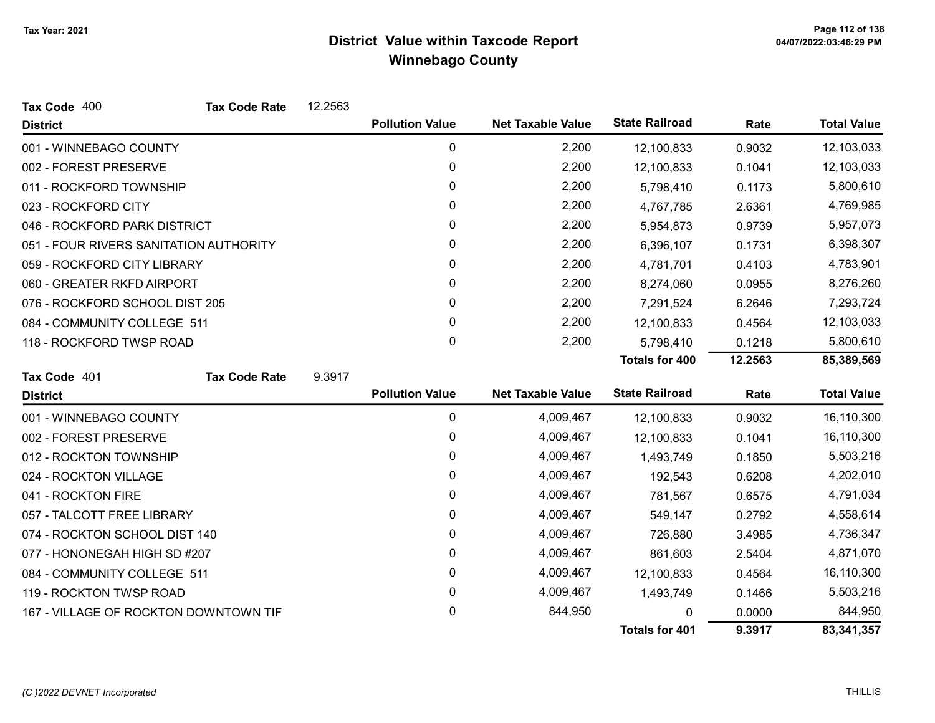| Tax Code 400                           | <b>Tax Code Rate</b> | 12.2563 |                        |                          |                       |         |                    |
|----------------------------------------|----------------------|---------|------------------------|--------------------------|-----------------------|---------|--------------------|
| <b>District</b>                        |                      |         | <b>Pollution Value</b> | <b>Net Taxable Value</b> | <b>State Railroad</b> | Rate    | <b>Total Value</b> |
| 001 - WINNEBAGO COUNTY                 |                      |         | 0                      | 2,200                    | 12,100,833            | 0.9032  | 12,103,033         |
| 002 - FOREST PRESERVE                  |                      |         | 0                      | 2,200                    | 12,100,833            | 0.1041  | 12,103,033         |
| 011 - ROCKFORD TOWNSHIP                |                      |         | 0                      | 2,200                    | 5,798,410             | 0.1173  | 5,800,610          |
| 023 - ROCKFORD CITY                    |                      |         | 0                      | 2,200                    | 4,767,785             | 2.6361  | 4,769,985          |
| 046 - ROCKFORD PARK DISTRICT           |                      |         | 0                      | 2,200                    | 5,954,873             | 0.9739  | 5,957,073          |
| 051 - FOUR RIVERS SANITATION AUTHORITY |                      |         | 0                      | 2,200                    | 6,396,107             | 0.1731  | 6,398,307          |
| 059 - ROCKFORD CITY LIBRARY            |                      |         | 0                      | 2,200                    | 4,781,701             | 0.4103  | 4,783,901          |
| 060 - GREATER RKFD AIRPORT             |                      |         | 0                      | 2,200                    | 8,274,060             | 0.0955  | 8,276,260          |
| 076 - ROCKFORD SCHOOL DIST 205         |                      |         | 0                      | 2,200                    | 7,291,524             | 6.2646  | 7,293,724          |
| 084 - COMMUNITY COLLEGE 511            |                      |         | 0                      | 2,200                    | 12,100,833            | 0.4564  | 12,103,033         |
| 118 - ROCKFORD TWSP ROAD               |                      |         | 0                      | 2,200                    | 5,798,410             | 0.1218  | 5,800,610          |
|                                        |                      |         |                        |                          | <b>Totals for 400</b> | 12.2563 | 85,389,569         |
| Tax Code 401                           | <b>Tax Code Rate</b> | 9.3917  |                        |                          |                       |         |                    |
| <b>District</b>                        |                      |         | <b>Pollution Value</b> | <b>Net Taxable Value</b> | <b>State Railroad</b> | Rate    | <b>Total Value</b> |
| 001 - WINNEBAGO COUNTY                 |                      |         | 0                      | 4,009,467                | 12,100,833            | 0.9032  | 16,110,300         |
| 002 - FOREST PRESERVE                  |                      |         | 0                      | 4,009,467                | 12,100,833            | 0.1041  | 16,110,300         |
| 012 - ROCKTON TOWNSHIP                 |                      |         | 0                      | 4,009,467                | 1,493,749             | 0.1850  | 5,503,216          |
| 024 - ROCKTON VILLAGE                  |                      |         | 0                      | 4,009,467                | 192,543               | 0.6208  | 4,202,010          |
| 041 - ROCKTON FIRE                     |                      |         | 0                      | 4,009,467                | 781,567               | 0.6575  | 4,791,034          |
| 057 - TALCOTT FREE LIBRARY             |                      |         | 0                      | 4,009,467                | 549,147               | 0.2792  | 4,558,614          |
| 074 - ROCKTON SCHOOL DIST 140          |                      |         | 0                      | 4,009,467                | 726,880               | 3.4985  | 4,736,347          |
| 077 - HONONEGAH HIGH SD #207           |                      |         | 0                      | 4,009,467                | 861,603               | 2.5404  | 4,871,070          |
| 084 - COMMUNITY COLLEGE 511            |                      |         | 0                      | 4,009,467                | 12,100,833            | 0.4564  | 16,110,300         |
| 119 - ROCKTON TWSP ROAD                |                      |         | 0                      | 4,009,467                | 1,493,749             | 0.1466  | 5,503,216          |
| 167 - VILLAGE OF ROCKTON DOWNTOWN TIF  |                      |         | 0                      | 844,950                  | 0                     | 0.0000  | 844,950            |
|                                        |                      |         |                        |                          | <b>Totals for 401</b> | 9.3917  | 83,341,357         |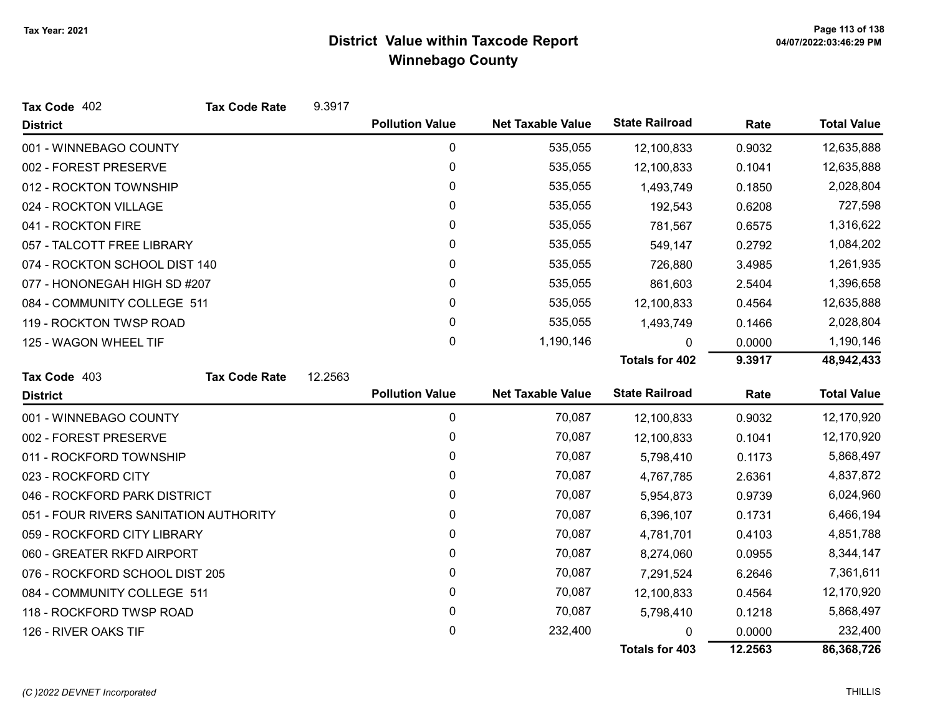| Tax Code 402                           | <b>Tax Code Rate</b> | 9.3917  |                        |                          |                       |         |                    |
|----------------------------------------|----------------------|---------|------------------------|--------------------------|-----------------------|---------|--------------------|
| <b>District</b>                        |                      |         | <b>Pollution Value</b> | <b>Net Taxable Value</b> | <b>State Railroad</b> | Rate    | <b>Total Value</b> |
| 001 - WINNEBAGO COUNTY                 |                      |         | 0                      | 535,055                  | 12,100,833            | 0.9032  | 12,635,888         |
| 002 - FOREST PRESERVE                  |                      |         | $\mathbf 0$            | 535,055                  | 12,100,833            | 0.1041  | 12,635,888         |
| 012 - ROCKTON TOWNSHIP                 |                      |         | 0                      | 535,055                  | 1,493,749             | 0.1850  | 2,028,804          |
| 024 - ROCKTON VILLAGE                  |                      |         | 0                      | 535,055                  | 192,543               | 0.6208  | 727,598            |
| 041 - ROCKTON FIRE                     |                      |         | 0                      | 535,055                  | 781,567               | 0.6575  | 1,316,622          |
| 057 - TALCOTT FREE LIBRARY             |                      |         | 0                      | 535,055                  | 549,147               | 0.2792  | 1,084,202          |
| 074 - ROCKTON SCHOOL DIST 140          |                      |         | 0                      | 535,055                  | 726,880               | 3.4985  | 1,261,935          |
| 077 - HONONEGAH HIGH SD #207           |                      |         | $\mathbf{0}$           | 535,055                  | 861,603               | 2.5404  | 1,396,658          |
| 084 - COMMUNITY COLLEGE 511            |                      |         | 0                      | 535,055                  | 12,100,833            | 0.4564  | 12,635,888         |
| 119 - ROCKTON TWSP ROAD                |                      |         | $\mathbf 0$            | 535,055                  | 1,493,749             | 0.1466  | 2,028,804          |
| 125 - WAGON WHEEL TIF                  |                      |         | 0                      | 1,190,146                | $\mathbf{0}$          | 0.0000  | 1,190,146          |
|                                        |                      |         |                        |                          | <b>Totals for 402</b> | 9.3917  | 48,942,433         |
| Tax Code 403                           | <b>Tax Code Rate</b> | 12.2563 |                        |                          |                       |         |                    |
| <b>District</b>                        |                      |         | <b>Pollution Value</b> | <b>Net Taxable Value</b> | <b>State Railroad</b> | Rate    | <b>Total Value</b> |
| 001 - WINNEBAGO COUNTY                 |                      |         | $\mathbf 0$            | 70,087                   | 12,100,833            | 0.9032  | 12,170,920         |
| 002 - FOREST PRESERVE                  |                      |         | 0                      | 70,087                   | 12,100,833            | 0.1041  | 12,170,920         |
| 011 - ROCKFORD TOWNSHIP                |                      |         | $\mathbf 0$            | 70,087                   | 5,798,410             | 0.1173  | 5,868,497          |
| 023 - ROCKFORD CITY                    |                      |         | 0                      | 70,087                   | 4,767,785             | 2.6361  | 4,837,872          |
| 046 - ROCKFORD PARK DISTRICT           |                      |         | 0                      | 70,087                   | 5,954,873             | 0.9739  | 6,024,960          |
| 051 - FOUR RIVERS SANITATION AUTHORITY |                      |         | 0                      | 70,087                   | 6,396,107             | 0.1731  | 6,466,194          |
| 059 - ROCKFORD CITY LIBRARY            |                      |         | $\mathbf{0}$           | 70,087                   | 4,781,701             | 0.4103  | 4,851,788          |
| 060 - GREATER RKFD AIRPORT             |                      |         | 0                      | 70,087                   | 8,274,060             | 0.0955  | 8,344,147          |
| 076 - ROCKFORD SCHOOL DIST 205         |                      |         | 0                      | 70,087                   | 7,291,524             | 6.2646  | 7,361,611          |
| 084 - COMMUNITY COLLEGE 511            |                      |         | 0                      | 70,087                   | 12,100,833            | 0.4564  | 12,170,920         |
| 118 - ROCKFORD TWSP ROAD               |                      |         | 0                      | 70,087                   | 5,798,410             | 0.1218  | 5,868,497          |
| 126 - RIVER OAKS TIF                   |                      |         | 0                      | 232,400                  | 0                     | 0.0000  | 232,400            |
|                                        |                      |         |                        |                          | <b>Totals for 403</b> | 12.2563 | 86,368,726         |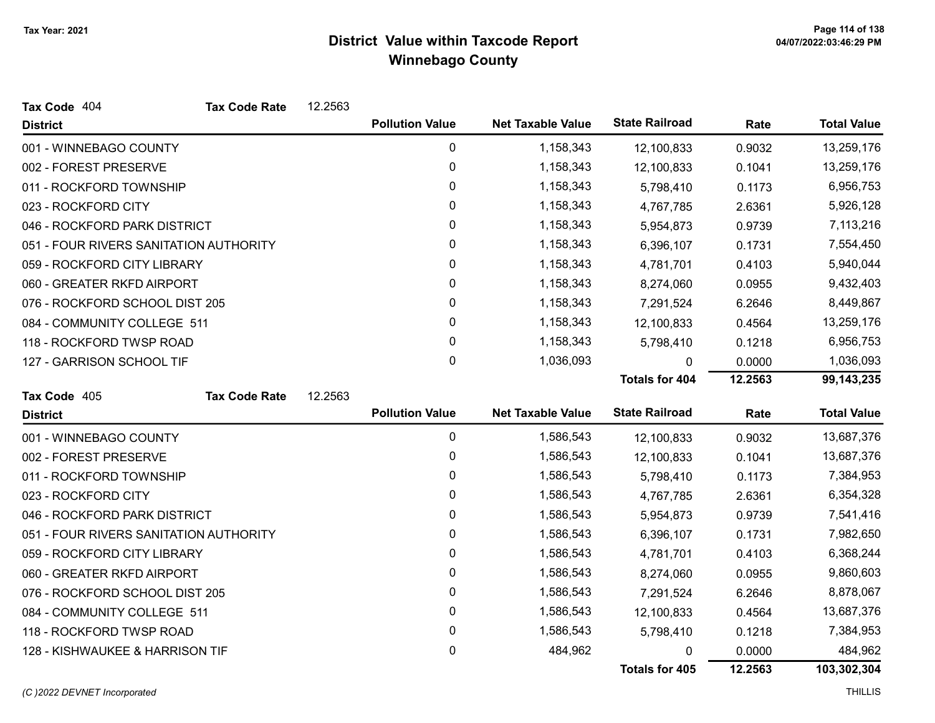| Tax Code 404                           | <b>Tax Code Rate</b> | 12.2563 |                        |                          |                       |         |                    |
|----------------------------------------|----------------------|---------|------------------------|--------------------------|-----------------------|---------|--------------------|
| <b>District</b>                        |                      |         | <b>Pollution Value</b> | <b>Net Taxable Value</b> | <b>State Railroad</b> | Rate    | <b>Total Value</b> |
| 001 - WINNEBAGO COUNTY                 |                      |         | 0                      | 1,158,343                | 12,100,833            | 0.9032  | 13,259,176         |
| 002 - FOREST PRESERVE                  |                      |         | $\pmb{0}$              | 1,158,343                | 12,100,833            | 0.1041  | 13,259,176         |
| 011 - ROCKFORD TOWNSHIP                |                      |         | 0                      | 1,158,343                | 5,798,410             | 0.1173  | 6,956,753          |
| 023 - ROCKFORD CITY                    |                      |         | 0                      | 1,158,343                | 4,767,785             | 2.6361  | 5,926,128          |
| 046 - ROCKFORD PARK DISTRICT           |                      |         | 0                      | 1,158,343                | 5,954,873             | 0.9739  | 7,113,216          |
| 051 - FOUR RIVERS SANITATION AUTHORITY |                      |         | 0                      | 1,158,343                | 6,396,107             | 0.1731  | 7,554,450          |
| 059 - ROCKFORD CITY LIBRARY            |                      |         | 0                      | 1,158,343                | 4,781,701             | 0.4103  | 5,940,044          |
| 060 - GREATER RKFD AIRPORT             |                      |         | 0                      | 1,158,343                | 8,274,060             | 0.0955  | 9,432,403          |
| 076 - ROCKFORD SCHOOL DIST 205         |                      |         | 0                      | 1,158,343                | 7,291,524             | 6.2646  | 8,449,867          |
| 084 - COMMUNITY COLLEGE 511            |                      |         | 0                      | 1,158,343                | 12,100,833            | 0.4564  | 13,259,176         |
| 118 - ROCKFORD TWSP ROAD               |                      |         | 0                      | 1,158,343                | 5,798,410             | 0.1218  | 6,956,753          |
| 127 - GARRISON SCHOOL TIF              |                      |         | 0                      | 1,036,093                | 0                     | 0.0000  | 1,036,093          |
|                                        |                      |         |                        |                          | <b>Totals for 404</b> | 12.2563 | 99, 143, 235       |
| Tax Code 405                           | <b>Tax Code Rate</b> | 12.2563 |                        |                          |                       |         |                    |
| <b>District</b>                        |                      |         | <b>Pollution Value</b> | <b>Net Taxable Value</b> | <b>State Railroad</b> | Rate    | <b>Total Value</b> |
| 001 - WINNEBAGO COUNTY                 |                      |         | $\pmb{0}$              | 1,586,543                | 12,100,833            | 0.9032  | 13,687,376         |
| 002 - FOREST PRESERVE                  |                      |         | 0                      | 1,586,543                | 12,100,833            | 0.1041  | 13,687,376         |
| 011 - ROCKFORD TOWNSHIP                |                      |         | 0                      | 1,586,543                | 5,798,410             | 0.1173  | 7,384,953          |
| 023 - ROCKFORD CITY                    |                      |         | 0                      | 1,586,543                | 4,767,785             | 2.6361  | 6,354,328          |
| 046 - ROCKFORD PARK DISTRICT           |                      |         | 0                      | 1,586,543                | 5,954,873             | 0.9739  | 7,541,416          |
| 051 - FOUR RIVERS SANITATION AUTHORITY |                      |         | 0                      | 1,586,543                | 6,396,107             | 0.1731  | 7,982,650          |
| 059 - ROCKFORD CITY LIBRARY            |                      |         | 0                      | 1,586,543                | 4,781,701             | 0.4103  | 6,368,244          |
| 060 - GREATER RKFD AIRPORT             |                      |         | 0                      | 1,586,543                | 8,274,060             | 0.0955  | 9,860,603          |
| 076 - ROCKFORD SCHOOL DIST 205         |                      |         | 0                      | 1,586,543                | 7,291,524             | 6.2646  | 8,878,067          |
| 084 - COMMUNITY COLLEGE 511            |                      |         | 0                      | 1,586,543                | 12,100,833            | 0.4564  | 13,687,376         |
| 118 - ROCKFORD TWSP ROAD               |                      |         | 0                      | 1,586,543                | 5,798,410             | 0.1218  | 7,384,953          |
| 128 - KISHWAUKEE & HARRISON TIF        |                      |         | 0                      | 484,962                  | 0                     | 0.0000  | 484,962            |
|                                        |                      |         |                        |                          | Totals for 405        | 12.2563 | 103,302,304        |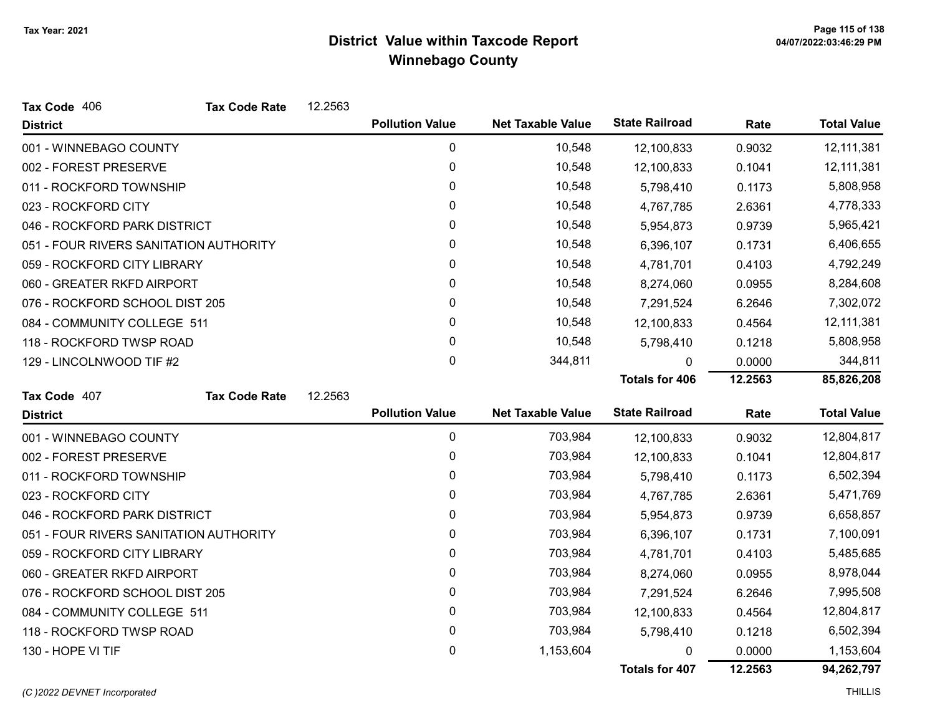| Tax Code 406                           | <b>Tax Code Rate</b> | 12.2563 |                        |                          |                       |         |                    |
|----------------------------------------|----------------------|---------|------------------------|--------------------------|-----------------------|---------|--------------------|
| <b>District</b>                        |                      |         | <b>Pollution Value</b> | <b>Net Taxable Value</b> | <b>State Railroad</b> | Rate    | <b>Total Value</b> |
| 001 - WINNEBAGO COUNTY                 |                      |         | 0                      | 10,548                   | 12,100,833            | 0.9032  | 12,111,381         |
| 002 - FOREST PRESERVE                  |                      |         | 0                      | 10,548                   | 12,100,833            | 0.1041  | 12,111,381         |
| 011 - ROCKFORD TOWNSHIP                |                      |         | 0                      | 10,548                   | 5,798,410             | 0.1173  | 5,808,958          |
| 023 - ROCKFORD CITY                    |                      |         | 0                      | 10,548                   | 4,767,785             | 2.6361  | 4,778,333          |
| 046 - ROCKFORD PARK DISTRICT           |                      |         | $\mathbf{0}$           | 10,548                   | 5,954,873             | 0.9739  | 5,965,421          |
| 051 - FOUR RIVERS SANITATION AUTHORITY |                      |         | 0                      | 10,548                   | 6,396,107             | 0.1731  | 6,406,655          |
| 059 - ROCKFORD CITY LIBRARY            |                      |         | $\mathbf{0}$           | 10,548                   | 4,781,701             | 0.4103  | 4,792,249          |
| 060 - GREATER RKFD AIRPORT             |                      |         | 0                      | 10,548                   | 8,274,060             | 0.0955  | 8,284,608          |
| 076 - ROCKFORD SCHOOL DIST 205         |                      |         | $\mathbf{0}$           | 10,548                   | 7,291,524             | 6.2646  | 7,302,072          |
| 084 - COMMUNITY COLLEGE 511            |                      |         | 0                      | 10,548                   | 12,100,833            | 0.4564  | 12,111,381         |
| 118 - ROCKFORD TWSP ROAD               |                      |         | $\mathbf{0}$           | 10,548                   | 5,798,410             | 0.1218  | 5,808,958          |
| 129 - LINCOLNWOOD TIF #2               |                      |         | $\mathbf 0$            | 344,811                  | 0                     | 0.0000  | 344,811            |
|                                        |                      |         |                        |                          | <b>Totals for 406</b> | 12.2563 | 85,826,208         |
| Tax Code 407                           | <b>Tax Code Rate</b> | 12.2563 |                        |                          |                       |         |                    |
| <b>District</b>                        |                      |         | <b>Pollution Value</b> | <b>Net Taxable Value</b> | <b>State Railroad</b> | Rate    | <b>Total Value</b> |
| 001 - WINNEBAGO COUNTY                 |                      |         | 0                      | 703,984                  | 12,100,833            | 0.9032  | 12,804,817         |
| 002 - FOREST PRESERVE                  |                      |         | 0                      | 703,984                  | 12,100,833            | 0.1041  | 12,804,817         |
| 011 - ROCKFORD TOWNSHIP                |                      |         | 0                      | 703,984                  | 5,798,410             | 0.1173  | 6,502,394          |
| 023 - ROCKFORD CITY                    |                      |         | $\mathbf{0}$           | 703,984                  | 4,767,785             | 2.6361  | 5,471,769          |
| 046 - ROCKFORD PARK DISTRICT           |                      |         | 0                      | 703,984                  | 5,954,873             | 0.9739  | 6,658,857          |
| 051 - FOUR RIVERS SANITATION AUTHORITY |                      |         | $\mathbf{0}$           | 703,984                  | 6,396,107             | 0.1731  | 7,100,091          |
| 059 - ROCKFORD CITY LIBRARY            |                      |         | 0                      | 703,984                  | 4,781,701             | 0.4103  | 5,485,685          |
| 060 - GREATER RKFD AIRPORT             |                      |         | 0                      | 703,984                  | 8,274,060             | 0.0955  | 8,978,044          |
| 076 - ROCKFORD SCHOOL DIST 205         |                      |         | 0                      | 703,984                  | 7,291,524             | 6.2646  | 7,995,508          |
| 084 - COMMUNITY COLLEGE 511            |                      |         | $\mathbf{0}$           | 703,984                  | 12,100,833            | 0.4564  | 12,804,817         |
| 118 - ROCKFORD TWSP ROAD               |                      |         | $\pmb{0}$              | 703,984                  | 5,798,410             | 0.1218  | 6,502,394          |
| 130 - HOPE VI TIF                      |                      |         | 0                      | 1,153,604                |                       | 0.0000  | 1,153,604          |
|                                        |                      |         |                        |                          | <b>Totals for 407</b> | 12.2563 | 94,262,797         |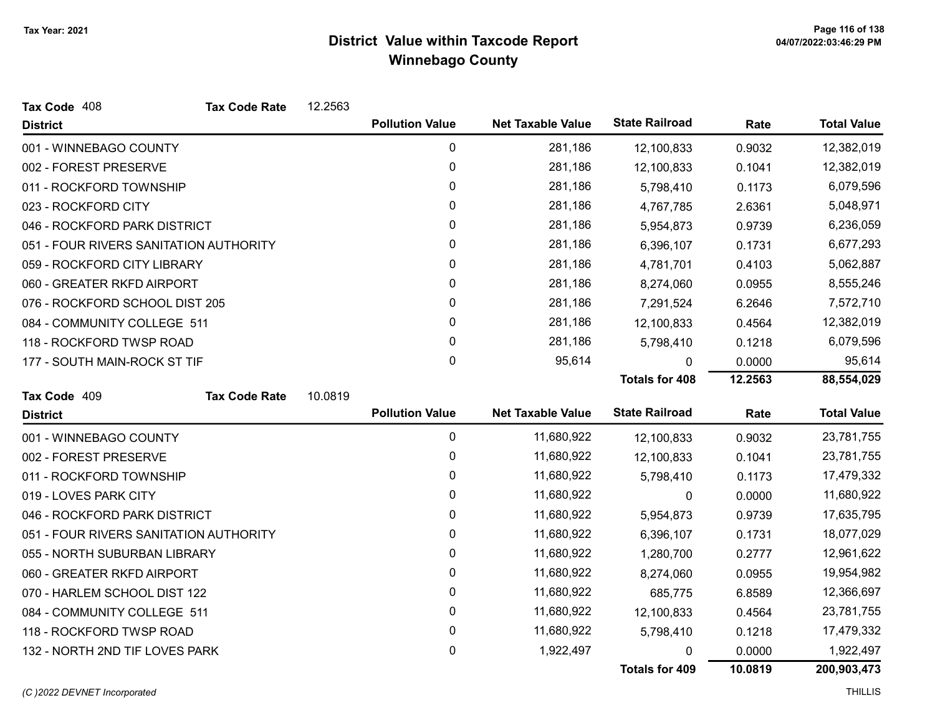| Tax Code 408                           | <b>Tax Code Rate</b> | 12.2563 |                        |                          |                       |         |                    |
|----------------------------------------|----------------------|---------|------------------------|--------------------------|-----------------------|---------|--------------------|
| <b>District</b>                        |                      |         | <b>Pollution Value</b> | <b>Net Taxable Value</b> | <b>State Railroad</b> | Rate    | <b>Total Value</b> |
| 001 - WINNEBAGO COUNTY                 |                      |         | 0                      | 281,186                  | 12,100,833            | 0.9032  | 12,382,019         |
| 002 - FOREST PRESERVE                  |                      |         | 0                      | 281,186                  | 12,100,833            | 0.1041  | 12,382,019         |
| 011 - ROCKFORD TOWNSHIP                |                      |         | 0                      | 281,186                  | 5,798,410             | 0.1173  | 6,079,596          |
| 023 - ROCKFORD CITY                    |                      |         | 0                      | 281,186                  | 4,767,785             | 2.6361  | 5,048,971          |
| 046 - ROCKFORD PARK DISTRICT           |                      |         | 0                      | 281,186                  | 5,954,873             | 0.9739  | 6,236,059          |
| 051 - FOUR RIVERS SANITATION AUTHORITY |                      |         | 0                      | 281,186                  | 6,396,107             | 0.1731  | 6,677,293          |
| 059 - ROCKFORD CITY LIBRARY            |                      |         | 0                      | 281,186                  | 4,781,701             | 0.4103  | 5,062,887          |
| 060 - GREATER RKFD AIRPORT             |                      |         | 0                      | 281,186                  | 8,274,060             | 0.0955  | 8,555,246          |
| 076 - ROCKFORD SCHOOL DIST 205         |                      |         | 0                      | 281,186                  | 7,291,524             | 6.2646  | 7,572,710          |
| 084 - COMMUNITY COLLEGE 511            |                      |         | 0                      | 281,186                  | 12,100,833            | 0.4564  | 12,382,019         |
| 118 - ROCKFORD TWSP ROAD               |                      |         | 0                      | 281,186                  | 5,798,410             | 0.1218  | 6,079,596          |
| 177 - SOUTH MAIN-ROCK ST TIF           |                      |         | 0                      | 95,614                   | 0                     | 0.0000  | 95,614             |
|                                        |                      |         |                        |                          | <b>Totals for 408</b> | 12.2563 | 88,554,029         |
| Tax Code 409                           | <b>Tax Code Rate</b> | 10.0819 |                        |                          |                       |         |                    |
| <b>District</b>                        |                      |         | <b>Pollution Value</b> | <b>Net Taxable Value</b> | <b>State Railroad</b> | Rate    | <b>Total Value</b> |
| 001 - WINNEBAGO COUNTY                 |                      |         | $\pmb{0}$              | 11,680,922               | 12,100,833            | 0.9032  | 23,781,755         |
| 002 - FOREST PRESERVE                  |                      |         | 0                      | 11,680,922               | 12,100,833            | 0.1041  | 23,781,755         |
| 011 - ROCKFORD TOWNSHIP                |                      |         | 0                      | 11,680,922               | 5,798,410             | 0.1173  | 17,479,332         |
| 019 - LOVES PARK CITY                  |                      |         | 0                      | 11,680,922               | 0                     | 0.0000  | 11,680,922         |
| 046 - ROCKFORD PARK DISTRICT           |                      |         | 0                      | 11,680,922               | 5,954,873             | 0.9739  | 17,635,795         |
| 051 - FOUR RIVERS SANITATION AUTHORITY |                      |         | 0                      | 11,680,922               | 6,396,107             | 0.1731  | 18,077,029         |
| 055 - NORTH SUBURBAN LIBRARY           |                      |         | 0                      | 11,680,922               | 1,280,700             | 0.2777  | 12,961,622         |
| 060 - GREATER RKFD AIRPORT             |                      |         | 0                      | 11,680,922               | 8,274,060             | 0.0955  | 19,954,982         |
| 070 - HARLEM SCHOOL DIST 122           |                      |         | 0                      | 11,680,922               | 685,775               | 6.8589  | 12,366,697         |
| 084 - COMMUNITY COLLEGE 511            |                      |         | 0                      | 11,680,922               | 12,100,833            | 0.4564  | 23,781,755         |
| 118 - ROCKFORD TWSP ROAD               |                      |         | 0                      | 11,680,922               | 5,798,410             | 0.1218  | 17,479,332         |
| 132 - NORTH 2ND TIF LOVES PARK         |                      |         | 0                      | 1,922,497                | 0                     | 0.0000  | 1,922,497          |
|                                        |                      |         |                        |                          | Totals for 409        | 10.0819 | 200,903,473        |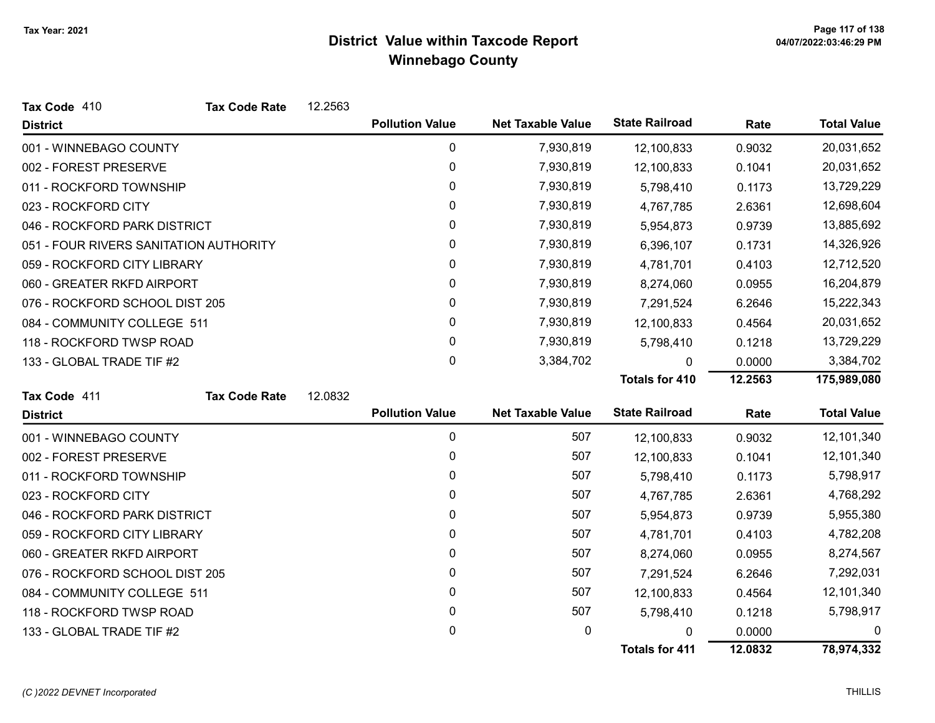| Tax Code 410                           | <b>Tax Code Rate</b> | 12.2563 |                        |                          |                       |         |                    |
|----------------------------------------|----------------------|---------|------------------------|--------------------------|-----------------------|---------|--------------------|
| <b>District</b>                        |                      |         | <b>Pollution Value</b> | <b>Net Taxable Value</b> | <b>State Railroad</b> | Rate    | <b>Total Value</b> |
| 001 - WINNEBAGO COUNTY                 |                      |         | 0                      | 7,930,819                | 12,100,833            | 0.9032  | 20,031,652         |
| 002 - FOREST PRESERVE                  |                      |         | 0                      | 7,930,819                | 12,100,833            | 0.1041  | 20,031,652         |
| 011 - ROCKFORD TOWNSHIP                |                      |         | 0                      | 7,930,819                | 5,798,410             | 0.1173  | 13,729,229         |
| 023 - ROCKFORD CITY                    |                      |         | 0                      | 7,930,819                | 4,767,785             | 2.6361  | 12,698,604         |
| 046 - ROCKFORD PARK DISTRICT           |                      |         | 0                      | 7,930,819                | 5,954,873             | 0.9739  | 13,885,692         |
| 051 - FOUR RIVERS SANITATION AUTHORITY |                      |         | 0                      | 7,930,819                | 6,396,107             | 0.1731  | 14,326,926         |
| 059 - ROCKFORD CITY LIBRARY            |                      |         | 0                      | 7,930,819                | 4,781,701             | 0.4103  | 12,712,520         |
| 060 - GREATER RKFD AIRPORT             |                      |         | 0                      | 7,930,819                | 8,274,060             | 0.0955  | 16,204,879         |
| 076 - ROCKFORD SCHOOL DIST 205         |                      |         | 0                      | 7,930,819                | 7,291,524             | 6.2646  | 15,222,343         |
| 084 - COMMUNITY COLLEGE 511            |                      |         | 0                      | 7,930,819                | 12,100,833            | 0.4564  | 20,031,652         |
| 118 - ROCKFORD TWSP ROAD               |                      |         | 0                      | 7,930,819                | 5,798,410             | 0.1218  | 13,729,229         |
| 133 - GLOBAL TRADE TIF #2              |                      |         | 0                      | 3,384,702                | $\Omega$              | 0.0000  | 3,384,702          |
|                                        |                      |         |                        |                          | <b>Totals for 410</b> | 12.2563 | 175,989,080        |
| Tax Code 411                           | <b>Tax Code Rate</b> | 12.0832 |                        |                          |                       |         |                    |
| <b>District</b>                        |                      |         | <b>Pollution Value</b> | <b>Net Taxable Value</b> | <b>State Railroad</b> | Rate    | <b>Total Value</b> |
| 001 - WINNEBAGO COUNTY                 |                      |         | 0                      | 507                      | 12,100,833            | 0.9032  | 12,101,340         |
| 002 - FOREST PRESERVE                  |                      |         | 0                      | 507                      | 12,100,833            | 0.1041  | 12,101,340         |
| 011 - ROCKFORD TOWNSHIP                |                      |         | 0                      | 507                      | 5,798,410             | 0.1173  | 5,798,917          |
| 023 - ROCKFORD CITY                    |                      |         | 0                      | 507                      | 4,767,785             | 2.6361  | 4,768,292          |
| 046 - ROCKFORD PARK DISTRICT           |                      |         | 0                      | 507                      | 5,954,873             | 0.9739  | 5,955,380          |
| 059 - ROCKFORD CITY LIBRARY            |                      |         | 0                      | 507                      | 4,781,701             | 0.4103  | 4,782,208          |
| 060 - GREATER RKFD AIRPORT             |                      |         | 0                      | 507                      | 8,274,060             | 0.0955  | 8,274,567          |
| 076 - ROCKFORD SCHOOL DIST 205         |                      |         | 0                      | 507                      | 7,291,524             | 6.2646  | 7,292,031          |
| 084 - COMMUNITY COLLEGE 511            |                      |         | 0                      | 507                      | 12,100,833            | 0.4564  | 12,101,340         |
| 118 - ROCKFORD TWSP ROAD               |                      |         | 0                      | 507                      | 5,798,410             | 0.1218  | 5,798,917          |
| 133 - GLOBAL TRADE TIF #2              |                      |         | 0                      | 0                        | 0                     | 0.0000  | 0                  |
|                                        |                      |         |                        |                          | <b>Totals for 411</b> | 12.0832 | 78,974,332         |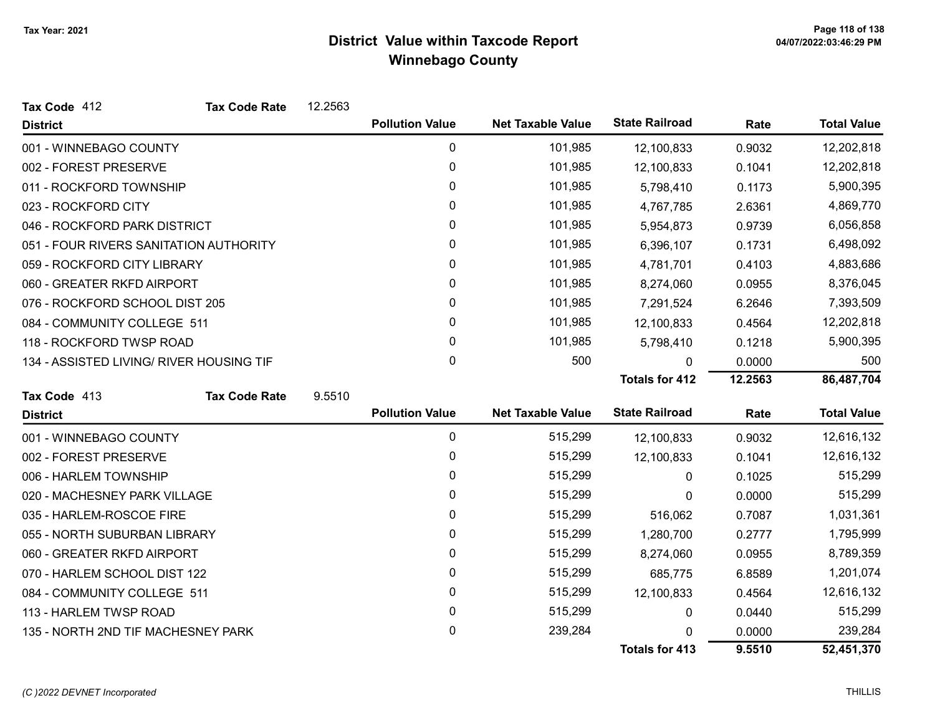| Tax Code 412                             | <b>Tax Code Rate</b> | 12.2563 |                        |                          |                       |         |                    |
|------------------------------------------|----------------------|---------|------------------------|--------------------------|-----------------------|---------|--------------------|
| <b>District</b>                          |                      |         | <b>Pollution Value</b> | <b>Net Taxable Value</b> | <b>State Railroad</b> | Rate    | <b>Total Value</b> |
| 001 - WINNEBAGO COUNTY                   |                      |         | 0                      | 101,985                  | 12,100,833            | 0.9032  | 12,202,818         |
| 002 - FOREST PRESERVE                    |                      |         | $\mathbf 0$            | 101,985                  | 12,100,833            | 0.1041  | 12,202,818         |
| 011 - ROCKFORD TOWNSHIP                  |                      |         | $\mathbf{0}$           | 101,985                  | 5,798,410             | 0.1173  | 5,900,395          |
| 023 - ROCKFORD CITY                      |                      |         | 0                      | 101,985                  | 4,767,785             | 2.6361  | 4,869,770          |
| 046 - ROCKFORD PARK DISTRICT             |                      |         | 0                      | 101,985                  | 5,954,873             | 0.9739  | 6,056,858          |
| 051 - FOUR RIVERS SANITATION AUTHORITY   |                      |         | 0                      | 101,985                  | 6,396,107             | 0.1731  | 6,498,092          |
| 059 - ROCKFORD CITY LIBRARY              |                      |         | 0                      | 101,985                  | 4,781,701             | 0.4103  | 4,883,686          |
| 060 - GREATER RKFD AIRPORT               |                      |         | 0                      | 101,985                  | 8,274,060             | 0.0955  | 8,376,045          |
| 076 - ROCKFORD SCHOOL DIST 205           |                      |         | $\mathbf{0}$           | 101,985                  | 7,291,524             | 6.2646  | 7,393,509          |
| 084 - COMMUNITY COLLEGE 511              |                      |         | 0                      | 101,985                  | 12,100,833            | 0.4564  | 12,202,818         |
| 118 - ROCKFORD TWSP ROAD                 |                      |         | 0                      | 101,985                  | 5,798,410             | 0.1218  | 5,900,395          |
| 134 - ASSISTED LIVING/ RIVER HOUSING TIF |                      |         | 0                      | 500                      | U                     | 0.0000  | 500                |
|                                          |                      |         |                        |                          | <b>Totals for 412</b> | 12.2563 | 86,487,704         |
| Tax Code 413                             | <b>Tax Code Rate</b> | 9.5510  |                        |                          |                       |         |                    |
| <b>District</b>                          |                      |         | <b>Pollution Value</b> | <b>Net Taxable Value</b> | <b>State Railroad</b> | Rate    | <b>Total Value</b> |
| 001 - WINNEBAGO COUNTY                   |                      |         | 0                      | 515,299                  | 12,100,833            | 0.9032  | 12,616,132         |
| 002 - FOREST PRESERVE                    |                      |         | 0                      | 515,299                  | 12,100,833            | 0.1041  | 12,616,132         |
| 006 - HARLEM TOWNSHIP                    |                      |         | 0                      | 515,299                  | $\mathbf{0}$          | 0.1025  | 515,299            |
| 020 - MACHESNEY PARK VILLAGE             |                      |         | 0                      | 515,299                  | 0                     | 0.0000  | 515,299            |
| 035 - HARLEM-ROSCOE FIRE                 |                      |         | 0                      | 515,299                  | 516,062               | 0.7087  | 1,031,361          |
| 055 - NORTH SUBURBAN LIBRARY             |                      |         | 0                      | 515,299                  | 1,280,700             | 0.2777  | 1,795,999          |
| 060 - GREATER RKFD AIRPORT               |                      |         | 0                      | 515,299                  | 8,274,060             | 0.0955  | 8,789,359          |
| 070 - HARLEM SCHOOL DIST 122             |                      |         | 0                      | 515,299                  | 685,775               | 6.8589  | 1,201,074          |
| 084 - COMMUNITY COLLEGE 511              |                      |         | 0                      | 515,299                  | 12,100,833            | 0.4564  | 12,616,132         |
| 113 - HARLEM TWSP ROAD                   |                      |         | 0                      | 515,299                  | 0                     | 0.0440  | 515,299            |
| 135 - NORTH 2ND TIF MACHESNEY PARK       |                      |         | 0                      | 239,284                  | 0                     | 0.0000  | 239,284            |
|                                          |                      |         |                        |                          | <b>Totals for 413</b> | 9.5510  | 52,451,370         |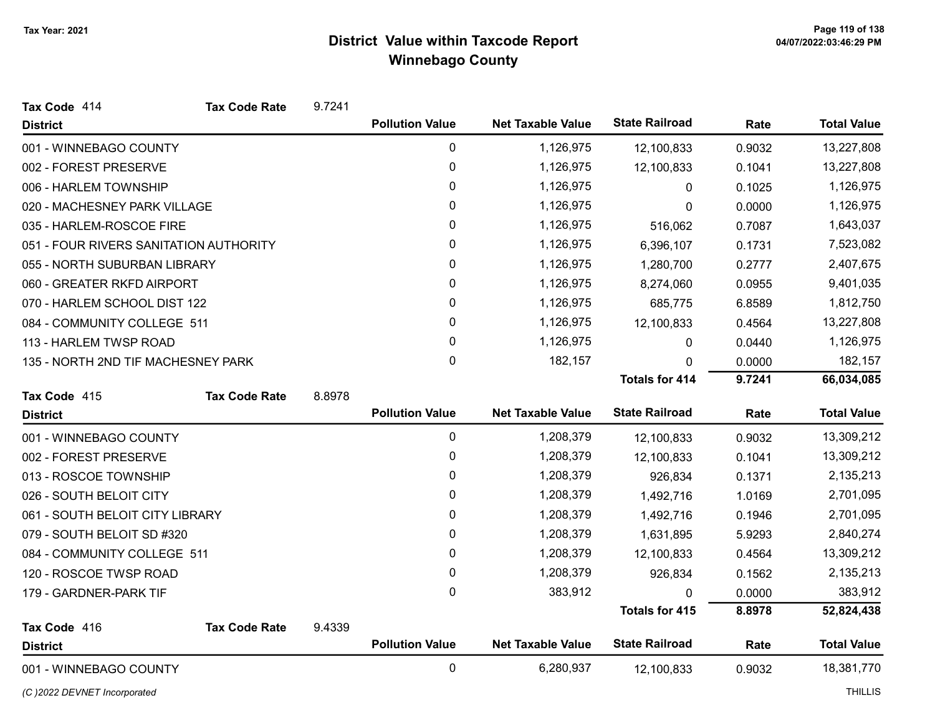| Tax Code 414                           | <b>Tax Code Rate</b> | 9.7241 |                        |                          |                       |        |                    |
|----------------------------------------|----------------------|--------|------------------------|--------------------------|-----------------------|--------|--------------------|
| <b>District</b>                        |                      |        | <b>Pollution Value</b> | <b>Net Taxable Value</b> | <b>State Railroad</b> | Rate   | <b>Total Value</b> |
| 001 - WINNEBAGO COUNTY                 |                      |        | 0                      | 1,126,975                | 12,100,833            | 0.9032 | 13,227,808         |
| 002 - FOREST PRESERVE                  |                      |        | $\mathbf 0$            | 1,126,975                | 12,100,833            | 0.1041 | 13,227,808         |
| 006 - HARLEM TOWNSHIP                  |                      |        | $\mathbf{0}$           | 1,126,975                | 0                     | 0.1025 | 1,126,975          |
| 020 - MACHESNEY PARK VILLAGE           |                      |        | 0                      | 1,126,975                | 0                     | 0.0000 | 1,126,975          |
| 035 - HARLEM-ROSCOE FIRE               |                      |        | 0                      | 1,126,975                | 516,062               | 0.7087 | 1,643,037          |
| 051 - FOUR RIVERS SANITATION AUTHORITY |                      |        | 0                      | 1,126,975                | 6,396,107             | 0.1731 | 7,523,082          |
| 055 - NORTH SUBURBAN LIBRARY           |                      |        | 0                      | 1,126,975                | 1,280,700             | 0.2777 | 2,407,675          |
| 060 - GREATER RKFD AIRPORT             |                      |        | 0                      | 1,126,975                | 8,274,060             | 0.0955 | 9,401,035          |
| 070 - HARLEM SCHOOL DIST 122           |                      |        | 0                      | 1,126,975                | 685,775               | 6.8589 | 1,812,750          |
| 084 - COMMUNITY COLLEGE 511            |                      |        | 0                      | 1,126,975                | 12,100,833            | 0.4564 | 13,227,808         |
| 113 - HARLEM TWSP ROAD                 |                      |        | 0                      | 1,126,975                | 0                     | 0.0440 | 1,126,975          |
| 135 - NORTH 2ND TIF MACHESNEY PARK     |                      |        | 0                      | 182,157                  | 0                     | 0.0000 | 182,157            |
|                                        |                      |        |                        |                          | <b>Totals for 414</b> | 9.7241 | 66,034,085         |
| Tax Code 415                           | <b>Tax Code Rate</b> | 8.8978 |                        |                          |                       |        |                    |
| <b>District</b>                        |                      |        | <b>Pollution Value</b> | <b>Net Taxable Value</b> | <b>State Railroad</b> | Rate   | <b>Total Value</b> |
| 001 - WINNEBAGO COUNTY                 |                      |        | 0                      | 1,208,379                | 12,100,833            | 0.9032 | 13,309,212         |
| 002 - FOREST PRESERVE                  |                      |        | 0                      | 1,208,379                | 12,100,833            | 0.1041 | 13,309,212         |
| 013 - ROSCOE TOWNSHIP                  |                      |        | 0                      | 1,208,379                | 926,834               | 0.1371 | 2,135,213          |
| 026 - SOUTH BELOIT CITY                |                      |        | 0                      | 1,208,379                | 1,492,716             | 1.0169 | 2,701,095          |
| 061 - SOUTH BELOIT CITY LIBRARY        |                      |        | 0                      | 1,208,379                | 1,492,716             | 0.1946 | 2,701,095          |
| 079 - SOUTH BELOIT SD #320             |                      |        | 0                      | 1,208,379                | 1,631,895             | 5.9293 | 2,840,274          |
| 084 - COMMUNITY COLLEGE 511            |                      |        | 0                      | 1,208,379                | 12,100,833            | 0.4564 | 13,309,212         |
| 120 - ROSCOE TWSP ROAD                 |                      |        | 0                      | 1,208,379                | 926,834               | 0.1562 | 2,135,213          |
| 179 - GARDNER-PARK TIF                 |                      |        | 0                      | 383,912                  | 0                     | 0.0000 | 383,912            |
|                                        |                      |        |                        |                          | <b>Totals for 415</b> | 8.8978 | 52,824,438         |
| Tax Code 416                           | <b>Tax Code Rate</b> | 9.4339 |                        |                          |                       |        |                    |
| <b>District</b>                        |                      |        | <b>Pollution Value</b> | <b>Net Taxable Value</b> | <b>State Railroad</b> | Rate   | <b>Total Value</b> |
| 001 - WINNEBAGO COUNTY                 |                      |        | $\mathbf 0$            | 6,280,937                | 12,100,833            | 0.9032 | 18,381,770         |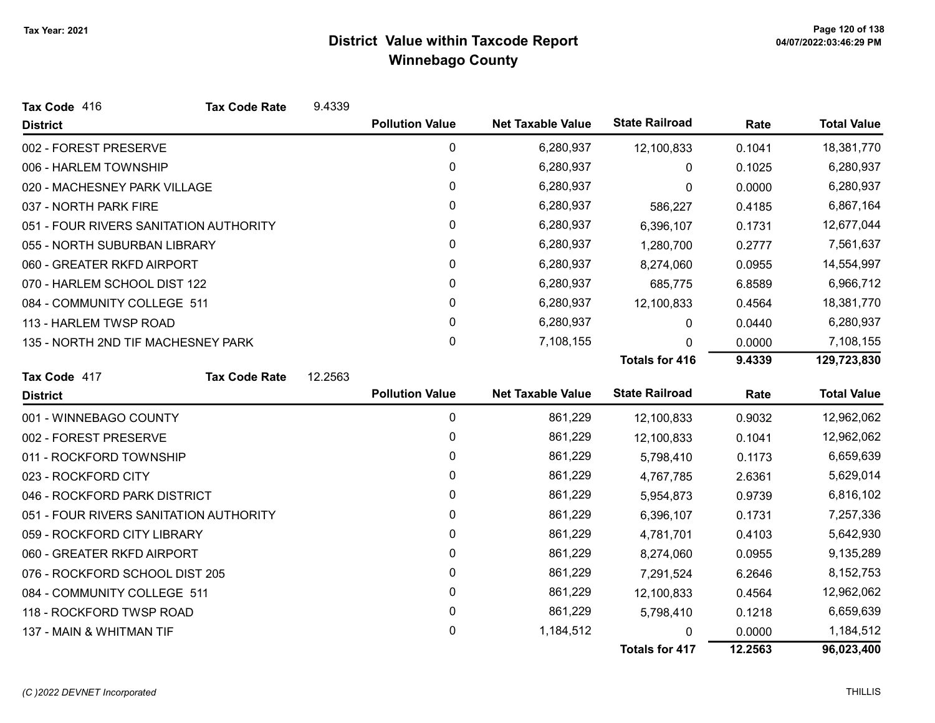| Tax Code 416                           | <b>Tax Code Rate</b> | 9.4339  |                        |                          |                       |         |                    |
|----------------------------------------|----------------------|---------|------------------------|--------------------------|-----------------------|---------|--------------------|
| <b>District</b>                        |                      |         | <b>Pollution Value</b> | <b>Net Taxable Value</b> | <b>State Railroad</b> | Rate    | <b>Total Value</b> |
| 002 - FOREST PRESERVE                  |                      |         | 0                      | 6,280,937                | 12,100,833            | 0.1041  | 18,381,770         |
| 006 - HARLEM TOWNSHIP                  |                      |         | $\pmb{0}$              | 6,280,937                | $\Omega$              | 0.1025  | 6,280,937          |
| 020 - MACHESNEY PARK VILLAGE           |                      |         | $\mathbf{0}$           | 6,280,937                | 0                     | 0.0000  | 6,280,937          |
| 037 - NORTH PARK FIRE                  |                      |         | $\mathbf{0}$           | 6,280,937                | 586,227               | 0.4185  | 6,867,164          |
| 051 - FOUR RIVERS SANITATION AUTHORITY |                      |         | 0                      | 6,280,937                | 6,396,107             | 0.1731  | 12,677,044         |
| 055 - NORTH SUBURBAN LIBRARY           |                      |         | 0                      | 6,280,937                | 1,280,700             | 0.2777  | 7,561,637          |
| 060 - GREATER RKFD AIRPORT             |                      |         | $\pmb{0}$              | 6,280,937                | 8,274,060             | 0.0955  | 14,554,997         |
| 070 - HARLEM SCHOOL DIST 122           |                      |         | 0                      | 6,280,937                | 685,775               | 6.8589  | 6,966,712          |
| 084 - COMMUNITY COLLEGE 511            |                      |         | 0                      | 6,280,937                | 12,100,833            | 0.4564  | 18,381,770         |
| 113 - HARLEM TWSP ROAD                 |                      |         | 0                      | 6,280,937                | 0                     | 0.0440  | 6,280,937          |
| 135 - NORTH 2ND TIF MACHESNEY PARK     |                      |         | $\mathbf{0}$           | 7,108,155                | 0                     | 0.0000  | 7,108,155          |
|                                        |                      |         |                        |                          | <b>Totals for 416</b> | 9.4339  | 129,723,830        |
| Tax Code 417                           | <b>Tax Code Rate</b> | 12.2563 |                        |                          |                       |         |                    |
| <b>District</b>                        |                      |         | <b>Pollution Value</b> | <b>Net Taxable Value</b> | <b>State Railroad</b> | Rate    | <b>Total Value</b> |
| 001 - WINNEBAGO COUNTY                 |                      |         | 0                      | 861,229                  | 12,100,833            | 0.9032  | 12,962,062         |
| 002 - FOREST PRESERVE                  |                      |         | 0                      | 861,229                  | 12,100,833            | 0.1041  | 12,962,062         |
| 011 - ROCKFORD TOWNSHIP                |                      |         | $\mathbf 0$            | 861,229                  | 5,798,410             | 0.1173  | 6,659,639          |
| 023 - ROCKFORD CITY                    |                      |         | $\mathbf{0}$           | 861,229                  | 4,767,785             | 2.6361  | 5,629,014          |
| 046 - ROCKFORD PARK DISTRICT           |                      |         | 0                      | 861,229                  | 5,954,873             | 0.9739  | 6,816,102          |
| 051 - FOUR RIVERS SANITATION AUTHORITY |                      |         | $\pmb{0}$              | 861,229                  | 6,396,107             | 0.1731  | 7,257,336          |
| 059 - ROCKFORD CITY LIBRARY            |                      |         | 0                      | 861,229                  | 4,781,701             | 0.4103  | 5,642,930          |
| 060 - GREATER RKFD AIRPORT             |                      |         | 0                      | 861,229                  | 8,274,060             | 0.0955  | 9,135,289          |
| 076 - ROCKFORD SCHOOL DIST 205         |                      |         | 0                      | 861,229                  | 7,291,524             | 6.2646  | 8,152,753          |
| 084 - COMMUNITY COLLEGE 511            |                      |         | 0                      | 861,229                  | 12,100,833            | 0.4564  | 12,962,062         |
| 118 - ROCKFORD TWSP ROAD               |                      |         | 0                      | 861,229                  | 5,798,410             | 0.1218  | 6,659,639          |
| 137 - MAIN & WHITMAN TIF               |                      |         | 0                      | 1,184,512                | O                     | 0.0000  | 1,184,512          |
|                                        |                      |         |                        |                          | <b>Totals for 417</b> | 12.2563 | 96,023,400         |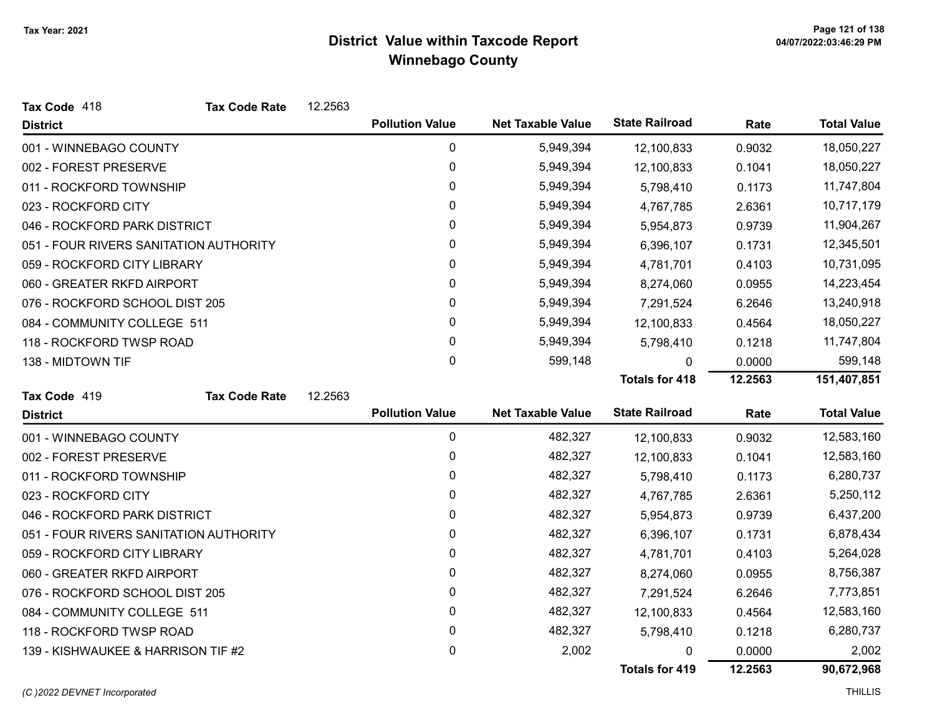| Tax Code 418                           | <b>Tax Code Rate</b> | 12.2563 |                        |                          |                       |         |                    |
|----------------------------------------|----------------------|---------|------------------------|--------------------------|-----------------------|---------|--------------------|
| <b>District</b>                        |                      |         | <b>Pollution Value</b> | <b>Net Taxable Value</b> | <b>State Railroad</b> | Rate    | <b>Total Value</b> |
| 001 - WINNEBAGO COUNTY                 |                      |         | 0                      | 5,949,394                | 12,100,833            | 0.9032  | 18,050,227         |
| 002 - FOREST PRESERVE                  |                      |         | 0                      | 5,949,394                | 12,100,833            | 0.1041  | 18,050,227         |
| 011 - ROCKFORD TOWNSHIP                |                      |         | 0                      | 5,949,394                | 5,798,410             | 0.1173  | 11,747,804         |
| 023 - ROCKFORD CITY                    |                      |         | 0                      | 5,949,394                | 4,767,785             | 2.6361  | 10,717,179         |
| 046 - ROCKFORD PARK DISTRICT           |                      |         | 0                      | 5,949,394                | 5,954,873             | 0.9739  | 11,904,267         |
| 051 - FOUR RIVERS SANITATION AUTHORITY |                      |         | 0                      | 5,949,394                | 6,396,107             | 0.1731  | 12,345,501         |
| 059 - ROCKFORD CITY LIBRARY            |                      |         | 0                      | 5,949,394                | 4,781,701             | 0.4103  | 10,731,095         |
| 060 - GREATER RKFD AIRPORT             |                      |         | 0                      | 5,949,394                | 8,274,060             | 0.0955  | 14,223,454         |
| 076 - ROCKFORD SCHOOL DIST 205         |                      |         | $\mathbf{0}$           | 5,949,394                | 7,291,524             | 6.2646  | 13,240,918         |
| 084 - COMMUNITY COLLEGE 511            |                      |         | 0                      | 5,949,394                | 12,100,833            | 0.4564  | 18,050,227         |
| 118 - ROCKFORD TWSP ROAD               |                      |         | $\mathbf{0}$           | 5,949,394                | 5,798,410             | 0.1218  | 11,747,804         |
| 138 - MIDTOWN TIF                      |                      |         | 0                      | 599,148                  | 0                     | 0.0000  | 599,148            |
|                                        |                      |         |                        |                          | <b>Totals for 418</b> | 12.2563 | 151,407,851        |
| Tax Code 419                           | <b>Tax Code Rate</b> | 12.2563 |                        |                          |                       |         |                    |
| <b>District</b>                        |                      |         | <b>Pollution Value</b> | <b>Net Taxable Value</b> | <b>State Railroad</b> | Rate    | <b>Total Value</b> |
| 001 - WINNEBAGO COUNTY                 |                      |         | $\pmb{0}$              | 482,327                  | 12,100,833            | 0.9032  | 12,583,160         |
| 002 - FOREST PRESERVE                  |                      |         | 0                      | 482,327                  | 12,100,833            | 0.1041  | 12,583,160         |
| 011 - ROCKFORD TOWNSHIP                |                      |         | 0                      | 482,327                  | 5,798,410             | 0.1173  | 6,280,737          |
| 023 - ROCKFORD CITY                    |                      |         | 0                      | 482,327                  | 4,767,785             | 2.6361  | 5,250,112          |
| 046 - ROCKFORD PARK DISTRICT           |                      |         | 0                      | 482,327                  | 5,954,873             | 0.9739  | 6,437,200          |
| 051 - FOUR RIVERS SANITATION AUTHORITY |                      |         | 0                      | 482,327                  | 6,396,107             | 0.1731  | 6,878,434          |
| 059 - ROCKFORD CITY LIBRARY            |                      |         | 0                      | 482,327                  | 4,781,701             | 0.4103  | 5,264,028          |
| 060 - GREATER RKFD AIRPORT             |                      |         | 0                      | 482,327                  | 8,274,060             | 0.0955  | 8,756,387          |
| 076 - ROCKFORD SCHOOL DIST 205         |                      |         | 0                      | 482,327                  | 7,291,524             | 6.2646  | 7,773,851          |
| 084 - COMMUNITY COLLEGE 511            |                      |         | 0                      | 482,327                  | 12,100,833            | 0.4564  | 12,583,160         |
| 118 - ROCKFORD TWSP ROAD               |                      |         | 0                      | 482,327                  | 5,798,410             | 0.1218  | 6,280,737          |
| 139 - KISHWAUKEE & HARRISON TIF #2     |                      |         | 0                      | 2,002                    | 0                     | 0.0000  | 2,002              |
|                                        |                      |         |                        |                          | Totals for 419        | 12.2563 | 90,672,968         |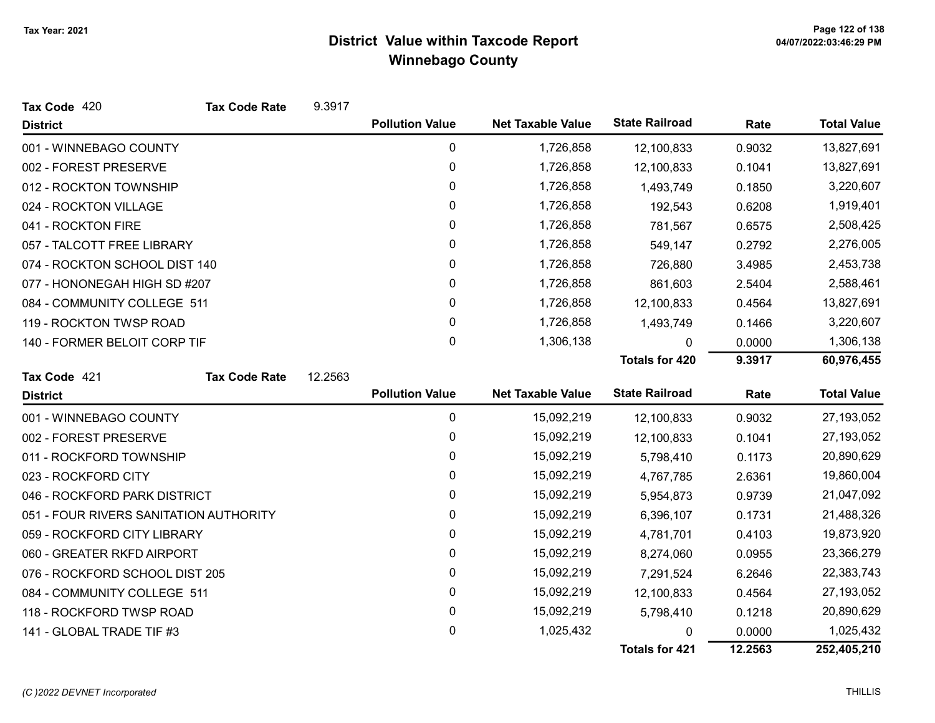| Tax Code 420                           | <b>Tax Code Rate</b> | 9.3917  |                        |                          |                       |        |                    |
|----------------------------------------|----------------------|---------|------------------------|--------------------------|-----------------------|--------|--------------------|
| <b>District</b>                        |                      |         | <b>Pollution Value</b> | <b>Net Taxable Value</b> | <b>State Railroad</b> | Rate   | <b>Total Value</b> |
| 001 - WINNEBAGO COUNTY                 |                      |         | 0                      | 1,726,858                | 12,100,833            | 0.9032 | 13,827,691         |
| 002 - FOREST PRESERVE                  |                      |         | 0                      | 1,726,858                | 12,100,833            | 0.1041 | 13,827,691         |
| 012 - ROCKTON TOWNSHIP                 |                      |         | 0                      | 1,726,858                | 1,493,749             | 0.1850 | 3,220,607          |
| 024 - ROCKTON VILLAGE                  |                      |         | 0                      | 1,726,858                | 192,543               | 0.6208 | 1,919,401          |
| 041 - ROCKTON FIRE                     |                      |         | 0                      | 1,726,858                | 781,567               | 0.6575 | 2,508,425          |
| 057 - TALCOTT FREE LIBRARY             |                      |         | 0                      | 1,726,858                | 549,147               | 0.2792 | 2,276,005          |
| 074 - ROCKTON SCHOOL DIST 140          |                      |         | 0                      | 1,726,858                | 726,880               | 3.4985 | 2,453,738          |
| 077 - HONONEGAH HIGH SD #207           |                      |         | 0                      | 1,726,858                | 861,603               | 2.5404 | 2,588,461          |
| 084 - COMMUNITY COLLEGE 511            |                      |         | 0                      | 1,726,858                | 12,100,833            | 0.4564 | 13,827,691         |
| 119 - ROCKTON TWSP ROAD                |                      |         | 0                      | 1,726,858                | 1,493,749             | 0.1466 | 3,220,607          |
| 140 - FORMER BELOIT CORP TIF           |                      |         | 0                      | 1,306,138                | 0                     | 0.0000 | 1,306,138          |
|                                        |                      |         |                        |                          | <b>Totals for 420</b> | 9.3917 | 60,976,455         |
| Tax Code 421                           | <b>Tax Code Rate</b> | 12.2563 |                        |                          |                       |        |                    |
| <b>District</b>                        |                      |         | <b>Pollution Value</b> | <b>Net Taxable Value</b> | <b>State Railroad</b> | Rate   | <b>Total Value</b> |
| 001 - WINNEBAGO COUNTY                 |                      |         | 0                      | 15,092,219               | 12,100,833            | 0.9032 | 27,193,052         |
| 002 - FOREST PRESERVE                  |                      |         | 0                      | 15,092,219               | 12,100,833            | 0.1041 | 27,193,052         |
| 011 - ROCKFORD TOWNSHIP                |                      |         | 0                      | 15,092,219               | 5,798,410             | 0.1173 | 20,890,629         |
| 023 - ROCKFORD CITY                    |                      |         | 0                      | 15,092,219               | 4,767,785             | 2.6361 | 19,860,004         |
| 046 - ROCKFORD PARK DISTRICT           |                      |         | 0                      | 15,092,219               | 5,954,873             | 0.9739 | 21,047,092         |
| 051 - FOUR RIVERS SANITATION AUTHORITY |                      |         | 0                      | 15,092,219               | 6,396,107             | 0.1731 | 21,488,326         |
| 059 - ROCKFORD CITY LIBRARY            |                      |         |                        |                          |                       |        | 19,873,920         |
|                                        |                      |         | 0                      | 15,092,219               | 4,781,701             | 0.4103 |                    |
| 060 - GREATER RKFD AIRPORT             |                      |         | 0                      | 15,092,219               | 8,274,060             | 0.0955 | 23,366,279         |
| 076 - ROCKFORD SCHOOL DIST 205         |                      |         | 0                      | 15,092,219               | 7,291,524             | 6.2646 | 22,383,743         |
| 084 - COMMUNITY COLLEGE 511            |                      |         | 0                      | 15,092,219               | 12,100,833            | 0.4564 | 27,193,052         |
| 118 - ROCKFORD TWSP ROAD               |                      |         | 0                      | 15,092,219               | 5,798,410             | 0.1218 | 20,890,629         |
| 141 - GLOBAL TRADE TIF #3              |                      |         | 0                      | 1,025,432                | 0                     | 0.0000 | 1,025,432          |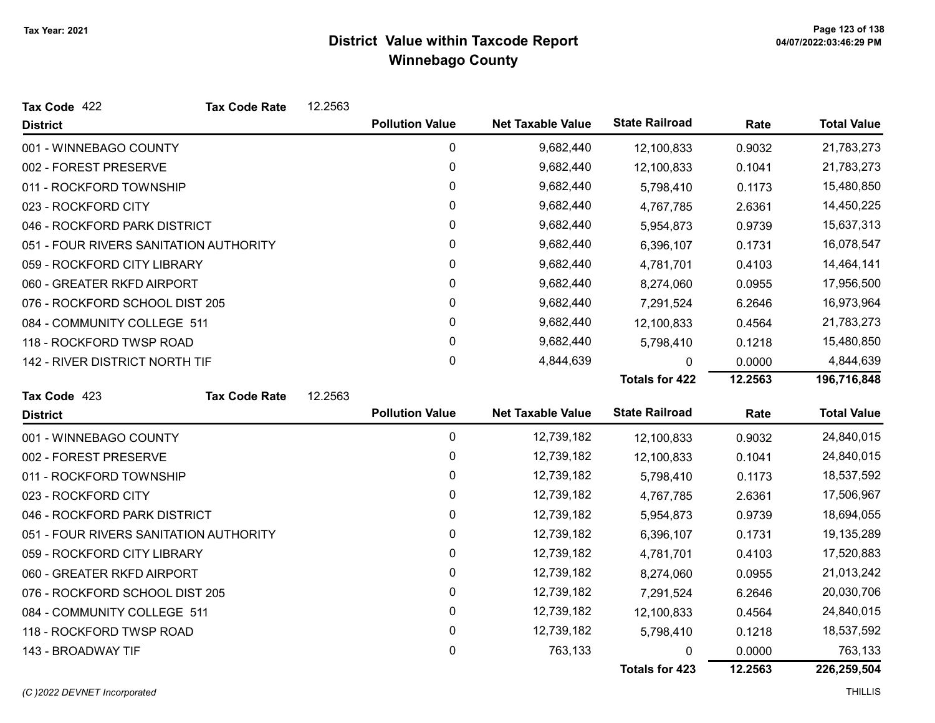| Tax Code 422                           | <b>Tax Code Rate</b> | 12.2563 |                        |                          |                       |         |                    |
|----------------------------------------|----------------------|---------|------------------------|--------------------------|-----------------------|---------|--------------------|
| <b>District</b>                        |                      |         | <b>Pollution Value</b> | <b>Net Taxable Value</b> | <b>State Railroad</b> | Rate    | <b>Total Value</b> |
| 001 - WINNEBAGO COUNTY                 |                      |         | 0                      | 9,682,440                | 12,100,833            | 0.9032  | 21,783,273         |
| 002 - FOREST PRESERVE                  |                      |         | 0                      | 9,682,440                | 12,100,833            | 0.1041  | 21,783,273         |
| 011 - ROCKFORD TOWNSHIP                |                      |         | 0                      | 9,682,440                | 5,798,410             | 0.1173  | 15,480,850         |
| 023 - ROCKFORD CITY                    |                      |         | 0                      | 9,682,440                | 4,767,785             | 2.6361  | 14,450,225         |
| 046 - ROCKFORD PARK DISTRICT           |                      |         | 0                      | 9,682,440                | 5,954,873             | 0.9739  | 15,637,313         |
| 051 - FOUR RIVERS SANITATION AUTHORITY |                      |         | 0                      | 9,682,440                | 6,396,107             | 0.1731  | 16,078,547         |
| 059 - ROCKFORD CITY LIBRARY            |                      |         | 0                      | 9,682,440                | 4,781,701             | 0.4103  | 14,464,141         |
| 060 - GREATER RKFD AIRPORT             |                      |         | 0                      | 9,682,440                | 8,274,060             | 0.0955  | 17,956,500         |
| 076 - ROCKFORD SCHOOL DIST 205         |                      |         | 0                      | 9,682,440                | 7,291,524             | 6.2646  | 16,973,964         |
| 084 - COMMUNITY COLLEGE 511            |                      |         | 0                      | 9,682,440                | 12,100,833            | 0.4564  | 21,783,273         |
| 118 - ROCKFORD TWSP ROAD               |                      |         | 0                      | 9,682,440                | 5,798,410             | 0.1218  | 15,480,850         |
| 142 - RIVER DISTRICT NORTH TIF         |                      |         | 0                      | 4,844,639                | 0                     | 0.0000  | 4,844,639          |
|                                        |                      |         |                        |                          | <b>Totals for 422</b> | 12.2563 | 196,716,848        |
| Tax Code 423                           | <b>Tax Code Rate</b> | 12.2563 |                        |                          |                       |         |                    |
| <b>District</b>                        |                      |         | <b>Pollution Value</b> | <b>Net Taxable Value</b> | <b>State Railroad</b> | Rate    | <b>Total Value</b> |
| 001 - WINNEBAGO COUNTY                 |                      |         | 0                      | 12,739,182               | 12,100,833            | 0.9032  | 24,840,015         |
| 002 - FOREST PRESERVE                  |                      |         | 0                      | 12,739,182               | 12,100,833            | 0.1041  | 24,840,015         |
| 011 - ROCKFORD TOWNSHIP                |                      |         | 0                      | 12,739,182               | 5,798,410             | 0.1173  | 18,537,592         |
| 023 - ROCKFORD CITY                    |                      |         | 0                      | 12,739,182               | 4,767,785             | 2.6361  | 17,506,967         |
| 046 - ROCKFORD PARK DISTRICT           |                      |         | 0                      | 12,739,182               | 5,954,873             | 0.9739  | 18,694,055         |
| 051 - FOUR RIVERS SANITATION AUTHORITY |                      |         | 0                      | 12,739,182               | 6,396,107             | 0.1731  | 19,135,289         |
| 059 - ROCKFORD CITY LIBRARY            |                      |         | 0                      | 12,739,182               | 4,781,701             | 0.4103  | 17,520,883         |
| 060 - GREATER RKFD AIRPORT             |                      |         | 0                      | 12,739,182               | 8,274,060             | 0.0955  | 21,013,242         |
| 076 - ROCKFORD SCHOOL DIST 205         |                      |         | 0                      | 12,739,182               | 7,291,524             | 6.2646  | 20,030,706         |
| 084 - COMMUNITY COLLEGE 511            |                      |         | 0                      | 12,739,182               | 12,100,833            | 0.4564  | 24,840,015         |
| 118 - ROCKFORD TWSP ROAD               |                      |         | 0                      | 12,739,182               | 5,798,410             | 0.1218  | 18,537,592         |
| 143 - BROADWAY TIF                     |                      |         | 0                      | 763,133                  | 0                     | 0.0000  | 763,133            |
|                                        |                      |         |                        |                          | <b>Totals for 423</b> | 12.2563 | 226,259,504        |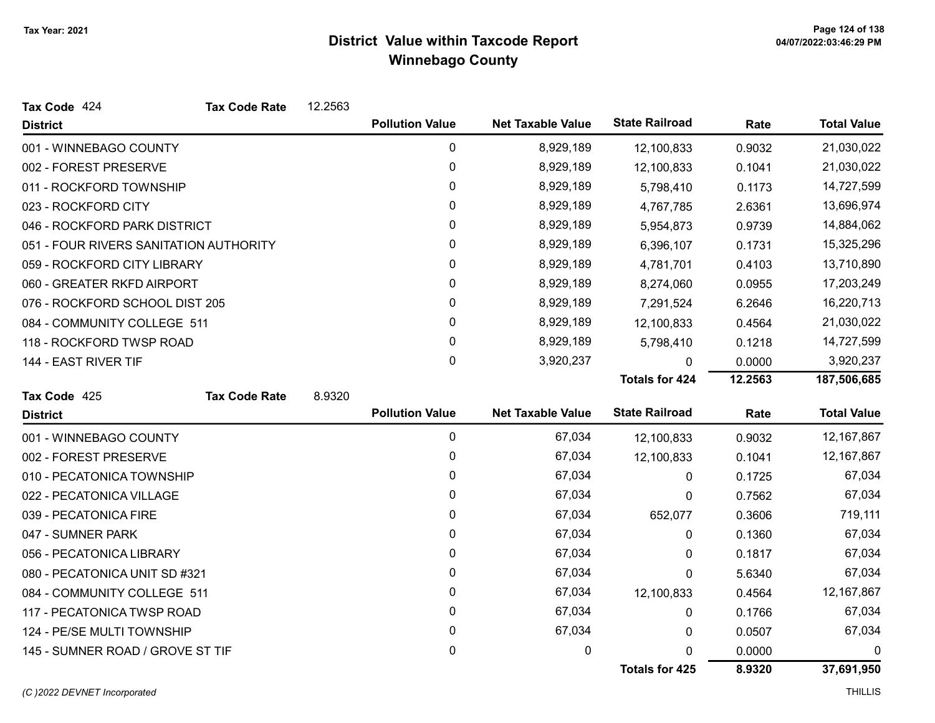| Tax Code 424                           | <b>Tax Code Rate</b> | 12.2563 |                        |                          |                       |         |                    |
|----------------------------------------|----------------------|---------|------------------------|--------------------------|-----------------------|---------|--------------------|
| <b>District</b>                        |                      |         | <b>Pollution Value</b> | <b>Net Taxable Value</b> | <b>State Railroad</b> | Rate    | <b>Total Value</b> |
| 001 - WINNEBAGO COUNTY                 |                      |         | 0                      | 8,929,189                | 12,100,833            | 0.9032  | 21,030,022         |
| 002 - FOREST PRESERVE                  |                      |         | 0                      | 8,929,189                | 12,100,833            | 0.1041  | 21,030,022         |
| 011 - ROCKFORD TOWNSHIP                |                      |         | 0                      | 8,929,189                | 5,798,410             | 0.1173  | 14,727,599         |
| 023 - ROCKFORD CITY                    |                      |         | 0                      | 8,929,189                | 4,767,785             | 2.6361  | 13,696,974         |
| 046 - ROCKFORD PARK DISTRICT           |                      |         | 0                      | 8,929,189                | 5,954,873             | 0.9739  | 14,884,062         |
| 051 - FOUR RIVERS SANITATION AUTHORITY |                      |         | 0                      | 8,929,189                | 6,396,107             | 0.1731  | 15,325,296         |
| 059 - ROCKFORD CITY LIBRARY            |                      |         | 0                      | 8,929,189                | 4,781,701             | 0.4103  | 13,710,890         |
| 060 - GREATER RKFD AIRPORT             |                      |         | 0                      | 8,929,189                | 8,274,060             | 0.0955  | 17,203,249         |
| 076 - ROCKFORD SCHOOL DIST 205         |                      |         | $\mathbf{0}$           | 8,929,189                | 7,291,524             | 6.2646  | 16,220,713         |
| 084 - COMMUNITY COLLEGE 511            |                      |         | 0                      | 8,929,189                | 12,100,833            | 0.4564  | 21,030,022         |
| 118 - ROCKFORD TWSP ROAD               |                      |         | 0                      | 8,929,189                | 5,798,410             | 0.1218  | 14,727,599         |
| 144 - EAST RIVER TIF                   |                      |         | 0                      | 3,920,237                | 0                     | 0.0000  | 3,920,237          |
|                                        |                      |         |                        |                          | <b>Totals for 424</b> | 12.2563 | 187,506,685        |
| Tax Code 425                           | <b>Tax Code Rate</b> | 8.9320  |                        |                          |                       |         |                    |
| <b>District</b>                        |                      |         | <b>Pollution Value</b> | <b>Net Taxable Value</b> | <b>State Railroad</b> | Rate    | <b>Total Value</b> |
| 001 - WINNEBAGO COUNTY                 |                      |         | 0                      | 67,034                   | 12,100,833            | 0.9032  | 12, 167, 867       |
| 002 - FOREST PRESERVE                  |                      |         | 0                      | 67,034                   | 12,100,833            | 0.1041  | 12, 167, 867       |
| 010 - PECATONICA TOWNSHIP              |                      |         | 0                      | 67,034                   | 0                     | 0.1725  | 67,034             |
| 022 - PECATONICA VILLAGE               |                      |         | $\mathbf{0}$           | 67,034                   | 0                     | 0.7562  | 67,034             |
| 039 - PECATONICA FIRE                  |                      |         | 0                      | 67,034                   | 652,077               | 0.3606  | 719,111            |
| 047 - SUMNER PARK                      |                      |         | $\mathbf{0}$           | 67,034                   | 0                     | 0.1360  | 67,034             |
| 056 - PECATONICA LIBRARY               |                      |         | 0                      | 67,034                   | 0                     | 0.1817  | 67,034             |
| 080 - PECATONICA UNIT SD #321          |                      |         | 0                      | 67,034                   | $\mathbf{0}$          | 5.6340  | 67,034             |
| 084 - COMMUNITY COLLEGE 511            |                      |         | 0                      | 67,034                   | 12,100,833            | 0.4564  | 12, 167, 867       |
| 117 - PECATONICA TWSP ROAD             |                      |         | 0                      | 67,034                   | 0                     | 0.1766  | 67,034             |
| 124 - PE/SE MULTI TOWNSHIP             |                      |         |                        |                          | 0                     |         | 67,034             |
|                                        |                      |         | 0                      | 67,034                   |                       | 0.0507  |                    |
| 145 - SUMNER ROAD / GROVE ST TIF       |                      |         | 0                      | 0                        | 0                     | 0.0000  | 0                  |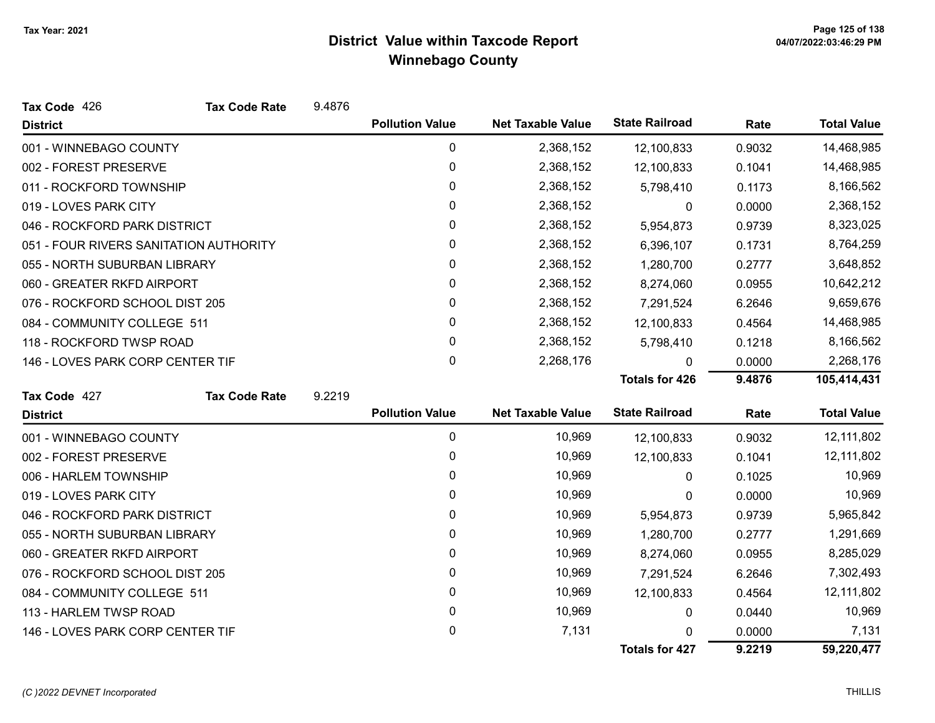| Tax Code 426                           | <b>Tax Code Rate</b> | 9.4876 |                        |                          |                       |        |                    |
|----------------------------------------|----------------------|--------|------------------------|--------------------------|-----------------------|--------|--------------------|
| <b>District</b>                        |                      |        | <b>Pollution Value</b> | <b>Net Taxable Value</b> | <b>State Railroad</b> | Rate   | <b>Total Value</b> |
| 001 - WINNEBAGO COUNTY                 |                      |        | 0                      | 2,368,152                | 12,100,833            | 0.9032 | 14,468,985         |
| 002 - FOREST PRESERVE                  |                      |        | 0                      | 2,368,152                | 12,100,833            | 0.1041 | 14,468,985         |
| 011 - ROCKFORD TOWNSHIP                |                      |        | 0                      | 2,368,152                | 5,798,410             | 0.1173 | 8,166,562          |
| 019 - LOVES PARK CITY                  |                      |        | 0                      | 2,368,152                | 0                     | 0.0000 | 2,368,152          |
| 046 - ROCKFORD PARK DISTRICT           |                      |        | 0                      | 2,368,152                | 5,954,873             | 0.9739 | 8,323,025          |
| 051 - FOUR RIVERS SANITATION AUTHORITY |                      |        | 0                      | 2,368,152                | 6,396,107             | 0.1731 | 8,764,259          |
| 055 - NORTH SUBURBAN LIBRARY           |                      |        | 0                      | 2,368,152                | 1,280,700             | 0.2777 | 3,648,852          |
| 060 - GREATER RKFD AIRPORT             |                      |        | $\mathbf 0$            | 2,368,152                | 8,274,060             | 0.0955 | 10,642,212         |
| 076 - ROCKFORD SCHOOL DIST 205         |                      |        | 0                      | 2,368,152                | 7,291,524             | 6.2646 | 9,659,676          |
| 084 - COMMUNITY COLLEGE 511            |                      |        | $\mathbf 0$            | 2,368,152                | 12,100,833            | 0.4564 | 14,468,985         |
| 118 - ROCKFORD TWSP ROAD               |                      |        | $\mathbf 0$            | 2,368,152                | 5,798,410             | 0.1218 | 8,166,562          |
| 146 - LOVES PARK CORP CENTER TIF       |                      |        | $\mathbf 0$            | 2,268,176                | U                     | 0.0000 | 2,268,176          |
|                                        |                      |        |                        |                          | <b>Totals for 426</b> | 9.4876 | 105,414,431        |
| Tax Code 427                           | <b>Tax Code Rate</b> | 9.2219 |                        |                          |                       |        |                    |
| <b>District</b>                        |                      |        | <b>Pollution Value</b> | <b>Net Taxable Value</b> | <b>State Railroad</b> | Rate   | <b>Total Value</b> |
| 001 - WINNEBAGO COUNTY                 |                      |        | 0                      | 10,969                   | 12,100,833            | 0.9032 | 12,111,802         |
| 002 - FOREST PRESERVE                  |                      |        | 0                      | 10,969                   | 12,100,833            | 0.1041 | 12,111,802         |
| 006 - HARLEM TOWNSHIP                  |                      |        | 0                      | 10,969                   | $\mathbf{0}$          | 0.1025 | 10,969             |
| 019 - LOVES PARK CITY                  |                      |        | 0                      | 10,969                   | 0                     | 0.0000 | 10,969             |
| 046 - ROCKFORD PARK DISTRICT           |                      |        | 0                      | 10,969                   | 5,954,873             | 0.9739 | 5,965,842          |
| 055 - NORTH SUBURBAN LIBRARY           |                      |        | 0                      | 10,969                   | 1,280,700             | 0.2777 | 1,291,669          |
| 060 - GREATER RKFD AIRPORT             |                      |        | 0                      | 10,969                   | 8,274,060             | 0.0955 | 8,285,029          |
| 076 - ROCKFORD SCHOOL DIST 205         |                      |        | 0                      | 10,969                   | 7,291,524             | 6.2646 | 7,302,493          |
| 084 - COMMUNITY COLLEGE 511            |                      |        | $\mathbf 0$            | 10,969                   | 12,100,833            | 0.4564 | 12,111,802         |
| 113 - HARLEM TWSP ROAD                 |                      |        | 0                      | 10,969                   | $\mathbf{0}$          | 0.0440 | 10,969             |
| 146 - LOVES PARK CORP CENTER TIF       |                      |        | 0                      | 7,131                    | O                     | 0.0000 | 7,131              |
|                                        |                      |        |                        |                          | <b>Totals for 427</b> | 9.2219 | 59,220,477         |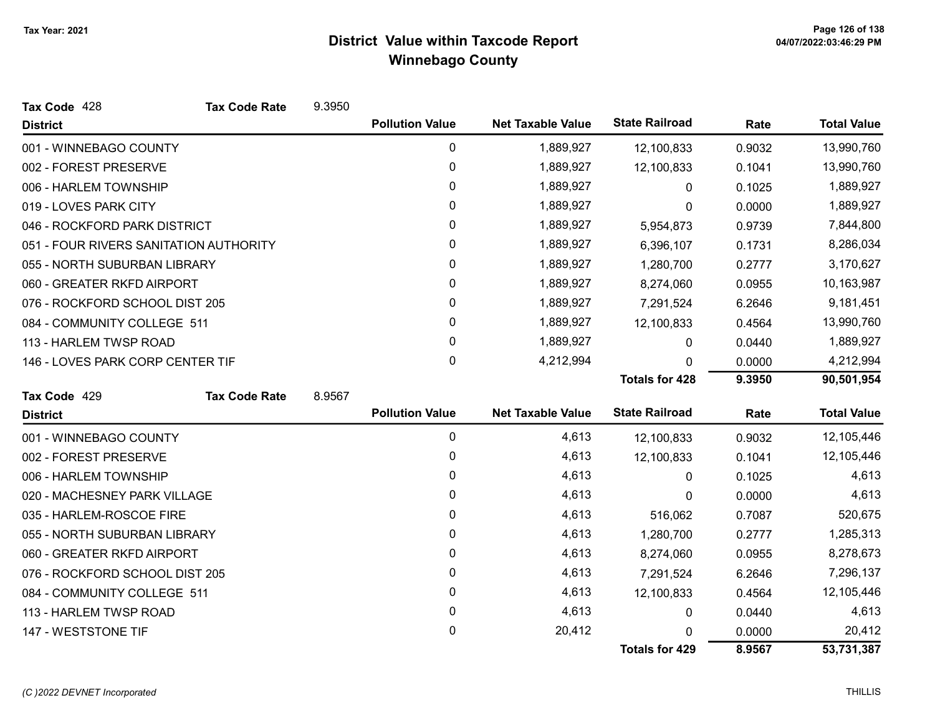| Tax Code 428                           | <b>Tax Code Rate</b> | 9.3950 |                        |                          |                       |        |                    |
|----------------------------------------|----------------------|--------|------------------------|--------------------------|-----------------------|--------|--------------------|
| <b>District</b>                        |                      |        | <b>Pollution Value</b> | <b>Net Taxable Value</b> | <b>State Railroad</b> | Rate   | <b>Total Value</b> |
| 001 - WINNEBAGO COUNTY                 |                      |        | 0                      | 1,889,927                | 12,100,833            | 0.9032 | 13,990,760         |
| 002 - FOREST PRESERVE                  |                      |        | $\pmb{0}$              | 1,889,927                | 12,100,833            | 0.1041 | 13,990,760         |
| 006 - HARLEM TOWNSHIP                  |                      |        | 0                      | 1,889,927                | 0                     | 0.1025 | 1,889,927          |
| 019 - LOVES PARK CITY                  |                      |        | 0                      | 1,889,927                | 0                     | 0.0000 | 1,889,927          |
| 046 - ROCKFORD PARK DISTRICT           |                      |        | 0                      | 1,889,927                | 5,954,873             | 0.9739 | 7,844,800          |
| 051 - FOUR RIVERS SANITATION AUTHORITY |                      |        | 0                      | 1,889,927                | 6,396,107             | 0.1731 | 8,286,034          |
| 055 - NORTH SUBURBAN LIBRARY           |                      |        | 0                      | 1,889,927                | 1,280,700             | 0.2777 | 3,170,627          |
| 060 - GREATER RKFD AIRPORT             |                      |        | $\mathbf{0}$           | 1,889,927                | 8,274,060             | 0.0955 | 10,163,987         |
| 076 - ROCKFORD SCHOOL DIST 205         |                      |        | 0                      | 1,889,927                | 7,291,524             | 6.2646 | 9,181,451          |
| 084 - COMMUNITY COLLEGE 511            |                      |        | $\pmb{0}$              | 1,889,927                | 12,100,833            | 0.4564 | 13,990,760         |
| 113 - HARLEM TWSP ROAD                 |                      |        | 0                      | 1,889,927                | 0                     | 0.0440 | 1,889,927          |
| 146 - LOVES PARK CORP CENTER TIF       |                      |        | 0                      | 4,212,994                | <sup>0</sup>          | 0.0000 | 4,212,994          |
|                                        |                      |        |                        |                          | <b>Totals for 428</b> | 9.3950 | 90,501,954         |
| Tax Code 429                           | <b>Tax Code Rate</b> | 8.9567 |                        |                          |                       |        |                    |
| <b>District</b>                        |                      |        | <b>Pollution Value</b> | <b>Net Taxable Value</b> | <b>State Railroad</b> | Rate   | <b>Total Value</b> |
| 001 - WINNEBAGO COUNTY                 |                      |        | 0                      | 4,613                    | 12,100,833            | 0.9032 | 12,105,446         |
| 002 - FOREST PRESERVE                  |                      |        | $\pmb{0}$              | 4,613                    | 12,100,833            | 0.1041 | 12,105,446         |
| 006 - HARLEM TOWNSHIP                  |                      |        | 0                      | 4,613                    | 0                     | 0.1025 | 4,613              |
| 020 - MACHESNEY PARK VILLAGE           |                      |        | 0                      | 4,613                    | 0                     | 0.0000 | 4,613              |
| 035 - HARLEM-ROSCOE FIRE               |                      |        | 0                      | 4,613                    | 516,062               | 0.7087 | 520,675            |
| 055 - NORTH SUBURBAN LIBRARY           |                      |        | $\mathbf{0}$           | 4,613                    | 1,280,700             | 0.2777 | 1,285,313          |
| 060 - GREATER RKFD AIRPORT             |                      |        | 0                      | 4,613                    | 8,274,060             | 0.0955 | 8,278,673          |
| 076 - ROCKFORD SCHOOL DIST 205         |                      |        | 0                      | 4,613                    | 7,291,524             | 6.2646 | 7,296,137          |
| 084 - COMMUNITY COLLEGE 511            |                      |        | 0                      | 4,613                    | 12,100,833            | 0.4564 | 12,105,446         |
| 113 - HARLEM TWSP ROAD                 |                      |        | 0                      | 4,613                    | 0                     | 0.0440 | 4,613              |
| 147 - WESTSTONE TIF                    |                      |        | 0                      | 20,412                   | n                     | 0.0000 | 20,412             |
|                                        |                      |        |                        |                          | <b>Totals for 429</b> | 8.9567 | 53,731,387         |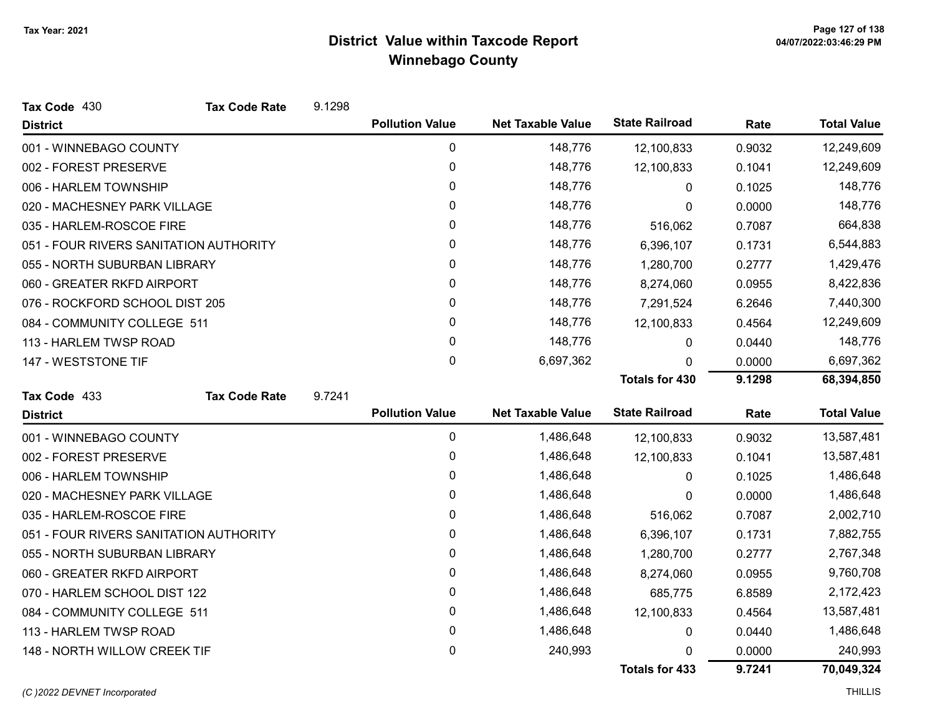| Tax Code 430                           | <b>Tax Code Rate</b> | 9.1298 |                        |                          |                       |        |                    |
|----------------------------------------|----------------------|--------|------------------------|--------------------------|-----------------------|--------|--------------------|
| <b>District</b>                        |                      |        | <b>Pollution Value</b> | <b>Net Taxable Value</b> | <b>State Railroad</b> | Rate   | <b>Total Value</b> |
| 001 - WINNEBAGO COUNTY                 |                      |        | 0                      | 148,776                  | 12,100,833            | 0.9032 | 12,249,609         |
| 002 - FOREST PRESERVE                  |                      |        | $\mathbf 0$            | 148,776                  | 12,100,833            | 0.1041 | 12,249,609         |
| 006 - HARLEM TOWNSHIP                  |                      |        | 0                      | 148,776                  | 0                     | 0.1025 | 148,776            |
| 020 - MACHESNEY PARK VILLAGE           |                      |        | 0                      | 148,776                  | 0                     | 0.0000 | 148,776            |
| 035 - HARLEM-ROSCOE FIRE               |                      |        | 0                      | 148,776                  | 516,062               | 0.7087 | 664,838            |
| 051 - FOUR RIVERS SANITATION AUTHORITY |                      |        | 0                      | 148,776                  | 6,396,107             | 0.1731 | 6,544,883          |
| 055 - NORTH SUBURBAN LIBRARY           |                      |        | 0                      | 148,776                  | 1,280,700             | 0.2777 | 1,429,476          |
| 060 - GREATER RKFD AIRPORT             |                      |        | 0                      | 148,776                  | 8,274,060             | 0.0955 | 8,422,836          |
| 076 - ROCKFORD SCHOOL DIST 205         |                      |        | 0                      | 148,776                  | 7,291,524             | 6.2646 | 7,440,300          |
| 084 - COMMUNITY COLLEGE 511            |                      |        | 0                      | 148,776                  | 12,100,833            | 0.4564 | 12,249,609         |
| 113 - HARLEM TWSP ROAD                 |                      |        | 0                      | 148,776                  | 0                     | 0.0440 | 148,776            |
| 147 - WESTSTONE TIF                    |                      |        | $\mathbf 0$            | 6,697,362                | 0                     | 0.0000 | 6,697,362          |
|                                        |                      |        |                        |                          | <b>Totals for 430</b> | 9.1298 | 68,394,850         |
| Tax Code 433                           | <b>Tax Code Rate</b> | 9.7241 |                        |                          |                       |        |                    |
| <b>District</b>                        |                      |        | <b>Pollution Value</b> | <b>Net Taxable Value</b> | <b>State Railroad</b> | Rate   | <b>Total Value</b> |
| 001 - WINNEBAGO COUNTY                 |                      |        | 0                      | 1,486,648                | 12,100,833            | 0.9032 | 13,587,481         |
| 002 - FOREST PRESERVE                  |                      |        | 0                      | 1,486,648                | 12,100,833            | 0.1041 | 13,587,481         |
| 006 - HARLEM TOWNSHIP                  |                      |        | 0                      | 1,486,648                | 0                     | 0.1025 | 1,486,648          |
| 020 - MACHESNEY PARK VILLAGE           |                      |        | 0                      | 1,486,648                | 0                     | 0.0000 | 1,486,648          |
| 035 - HARLEM-ROSCOE FIRE               |                      |        | 0                      | 1,486,648                | 516,062               | 0.7087 | 2,002,710          |
| 051 - FOUR RIVERS SANITATION AUTHORITY |                      |        | 0                      | 1,486,648                | 6,396,107             | 0.1731 | 7,882,755          |
| 055 - NORTH SUBURBAN LIBRARY           |                      |        | 0                      | 1,486,648                | 1,280,700             | 0.2777 | 2,767,348          |
| 060 - GREATER RKFD AIRPORT             |                      |        | 0                      | 1,486,648                | 8,274,060             | 0.0955 | 9,760,708          |
| 070 - HARLEM SCHOOL DIST 122           |                      |        | 0                      | 1,486,648                | 685,775               | 6.8589 | 2,172,423          |
| 084 - COMMUNITY COLLEGE 511            |                      |        | 0                      | 1,486,648                | 12,100,833            | 0.4564 | 13,587,481         |
| 113 - HARLEM TWSP ROAD                 |                      |        | 0                      | 1,486,648                | 0                     | 0.0440 | 1,486,648          |
| 148 - NORTH WILLOW CREEK TIF           |                      |        | 0                      | 240,993                  | 0                     | 0.0000 | 240,993            |
|                                        |                      |        |                        |                          | <b>Totals for 433</b> | 9.7241 | 70,049,324         |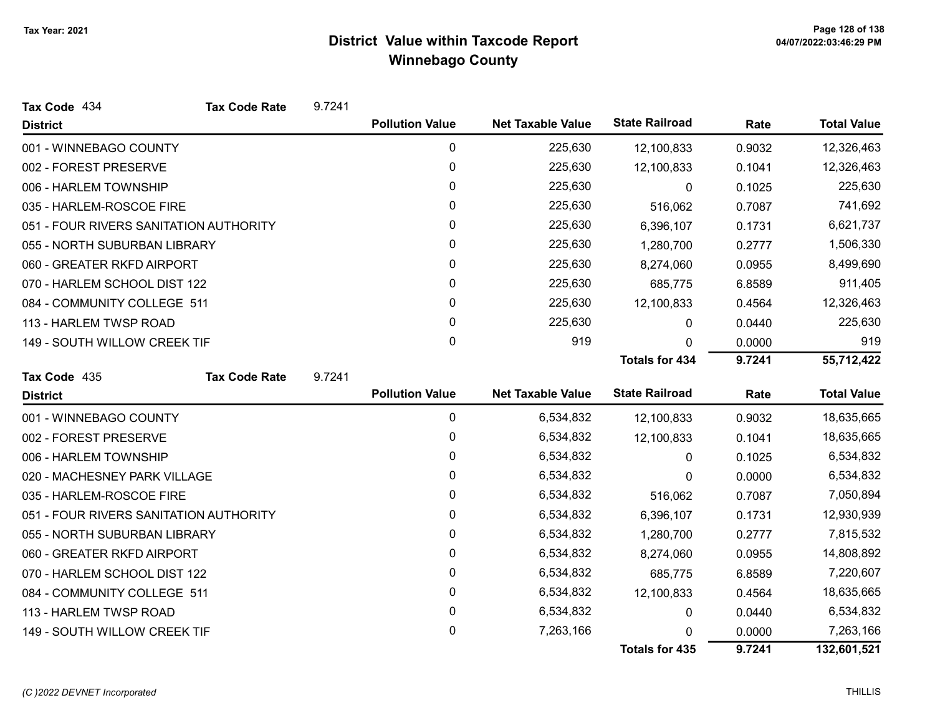| Tax Code 434                           | <b>Tax Code Rate</b> | 9.7241 |                        |                          |                       |        |                    |
|----------------------------------------|----------------------|--------|------------------------|--------------------------|-----------------------|--------|--------------------|
| <b>District</b>                        |                      |        | <b>Pollution Value</b> | <b>Net Taxable Value</b> | <b>State Railroad</b> | Rate   | <b>Total Value</b> |
| 001 - WINNEBAGO COUNTY                 |                      |        | 0                      | 225,630                  | 12,100,833            | 0.9032 | 12,326,463         |
| 002 - FOREST PRESERVE                  |                      |        | $\pmb{0}$              | 225,630                  | 12,100,833            | 0.1041 | 12,326,463         |
| 006 - HARLEM TOWNSHIP                  |                      |        | 0                      | 225,630                  | 0                     | 0.1025 | 225,630            |
| 035 - HARLEM-ROSCOE FIRE               |                      |        | $\mathbf{0}$           | 225,630                  | 516,062               | 0.7087 | 741,692            |
| 051 - FOUR RIVERS SANITATION AUTHORITY |                      |        | 0                      | 225,630                  | 6,396,107             | 0.1731 | 6,621,737          |
| 055 - NORTH SUBURBAN LIBRARY           |                      |        | 0                      | 225,630                  | 1,280,700             | 0.2777 | 1,506,330          |
| 060 - GREATER RKFD AIRPORT             |                      |        | $\pmb{0}$              | 225,630                  | 8,274,060             | 0.0955 | 8,499,690          |
| 070 - HARLEM SCHOOL DIST 122           |                      |        | 0                      | 225,630                  | 685,775               | 6.8589 | 911,405            |
| 084 - COMMUNITY COLLEGE 511            |                      |        | $\mathbf{0}$           | 225,630                  | 12,100,833            | 0.4564 | 12,326,463         |
| 113 - HARLEM TWSP ROAD                 |                      |        | 0                      | 225,630                  | 0                     | 0.0440 | 225,630            |
| 149 - SOUTH WILLOW CREEK TIF           |                      |        | $\mathbf 0$            | 919                      | 0                     | 0.0000 | 919                |
|                                        |                      |        |                        |                          | <b>Totals for 434</b> | 9.7241 | 55,712,422         |
| Tax Code 435                           | <b>Tax Code Rate</b> | 9.7241 |                        |                          |                       |        |                    |
| <b>District</b>                        |                      |        | <b>Pollution Value</b> | <b>Net Taxable Value</b> | <b>State Railroad</b> | Rate   | <b>Total Value</b> |
| 001 - WINNEBAGO COUNTY                 |                      |        | 0                      | 6,534,832                | 12,100,833            | 0.9032 | 18,635,665         |
| 002 - FOREST PRESERVE                  |                      |        | 0                      | 6,534,832                | 12,100,833            | 0.1041 | 18,635,665         |
| 006 - HARLEM TOWNSHIP                  |                      |        | $\pmb{0}$              | 6,534,832                | 0                     | 0.1025 | 6,534,832          |
| 020 - MACHESNEY PARK VILLAGE           |                      |        | 0                      | 6,534,832                | 0                     | 0.0000 | 6,534,832          |
| 035 - HARLEM-ROSCOE FIRE               |                      |        | 0                      | 6,534,832                | 516,062               | 0.7087 | 7,050,894          |
| 051 - FOUR RIVERS SANITATION AUTHORITY |                      |        | 0                      | 6,534,832                | 6,396,107             | 0.1731 | 12,930,939         |
| 055 - NORTH SUBURBAN LIBRARY           |                      |        | 0                      | 6,534,832                | 1,280,700             | 0.2777 | 7,815,532          |
| 060 - GREATER RKFD AIRPORT             |                      |        | 0                      | 6,534,832                | 8,274,060             | 0.0955 | 14,808,892         |
| 070 - HARLEM SCHOOL DIST 122           |                      |        | $\mathbf{0}$           | 6,534,832                | 685,775               | 6.8589 | 7,220,607          |
| 084 - COMMUNITY COLLEGE 511            |                      |        | 0                      | 6,534,832                | 12,100,833            | 0.4564 | 18,635,665         |
| 113 - HARLEM TWSP ROAD                 |                      |        | $\pmb{0}$              | 6,534,832                | 0                     | 0.0440 | 6,534,832          |
| 149 - SOUTH WILLOW CREEK TIF           |                      |        | 0                      | 7,263,166                |                       | 0.0000 | 7,263,166          |
|                                        |                      |        |                        |                          | <b>Totals for 435</b> | 9.7241 | 132,601,521        |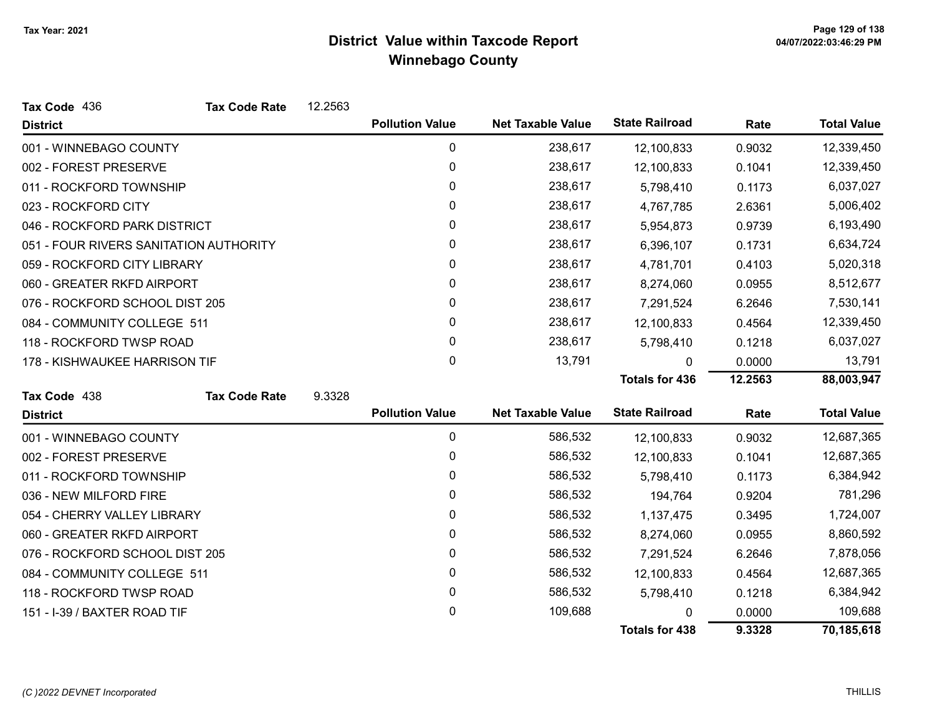| Tax Code 436                           | <b>Tax Code Rate</b> | 12.2563 |                        |                          |                       |         |                    |
|----------------------------------------|----------------------|---------|------------------------|--------------------------|-----------------------|---------|--------------------|
| <b>District</b>                        |                      |         | <b>Pollution Value</b> | <b>Net Taxable Value</b> | <b>State Railroad</b> | Rate    | <b>Total Value</b> |
| 001 - WINNEBAGO COUNTY                 |                      |         | 0                      | 238,617                  | 12,100,833            | 0.9032  | 12,339,450         |
| 002 - FOREST PRESERVE                  |                      |         | 0                      | 238,617                  | 12,100,833            | 0.1041  | 12,339,450         |
| 011 - ROCKFORD TOWNSHIP                |                      |         | 0                      | 238,617                  | 5,798,410             | 0.1173  | 6,037,027          |
| 023 - ROCKFORD CITY                    |                      |         | 0                      | 238,617                  | 4,767,785             | 2.6361  | 5,006,402          |
| 046 - ROCKFORD PARK DISTRICT           |                      |         | 0                      | 238,617                  | 5,954,873             | 0.9739  | 6,193,490          |
| 051 - FOUR RIVERS SANITATION AUTHORITY |                      |         | 0                      | 238,617                  | 6,396,107             | 0.1731  | 6,634,724          |
| 059 - ROCKFORD CITY LIBRARY            |                      |         | 0                      | 238,617                  | 4,781,701             | 0.4103  | 5,020,318          |
| 060 - GREATER RKFD AIRPORT             |                      |         | 0                      | 238,617                  | 8,274,060             | 0.0955  | 8,512,677          |
| 076 - ROCKFORD SCHOOL DIST 205         |                      |         | 0                      | 238,617                  | 7,291,524             | 6.2646  | 7,530,141          |
| 084 - COMMUNITY COLLEGE 511            |                      |         | 0                      | 238,617                  | 12,100,833            | 0.4564  | 12,339,450         |
| 118 - ROCKFORD TWSP ROAD               |                      |         | 0                      | 238,617                  | 5,798,410             | 0.1218  | 6,037,027          |
| 178 - KISHWAUKEE HARRISON TIF          |                      |         | 0                      | 13,791                   | 0                     | 0.0000  | 13,791             |
|                                        |                      |         |                        |                          | <b>Totals for 436</b> | 12.2563 | 88,003,947         |
| Tax Code 438                           | <b>Tax Code Rate</b> | 9.3328  |                        |                          |                       |         |                    |
| <b>District</b>                        |                      |         | <b>Pollution Value</b> | <b>Net Taxable Value</b> | <b>State Railroad</b> | Rate    | <b>Total Value</b> |
| 001 - WINNEBAGO COUNTY                 |                      |         | $\mathbf 0$            | 586,532                  | 12,100,833            | 0.9032  | 12,687,365         |
| 002 - FOREST PRESERVE                  |                      |         | 0                      | 586,532                  | 12,100,833            | 0.1041  | 12,687,365         |
| 011 - ROCKFORD TOWNSHIP                |                      |         | 0                      | 586,532                  | 5,798,410             | 0.1173  | 6,384,942          |
| 036 - NEW MILFORD FIRE                 |                      |         | 0                      | 586,532                  | 194,764               | 0.9204  | 781,296            |
| 054 - CHERRY VALLEY LIBRARY            |                      |         | 0                      | 586,532                  | 1,137,475             | 0.3495  | 1,724,007          |
| 060 - GREATER RKFD AIRPORT             |                      |         | 0                      | 586,532                  | 8,274,060             | 0.0955  | 8,860,592          |
| 076 - ROCKFORD SCHOOL DIST 205         |                      |         | 0                      | 586,532                  | 7,291,524             | 6.2646  | 7,878,056          |
| 084 - COMMUNITY COLLEGE 511            |                      |         | 0                      | 586,532                  | 12,100,833            | 0.4564  | 12,687,365         |
| 118 - ROCKFORD TWSP ROAD               |                      |         | 0                      | 586,532                  | 5,798,410             | 0.1218  | 6,384,942          |
| 151 - I-39 / BAXTER ROAD TIF           |                      |         | 0                      | 109,688                  |                       | 0.0000  | 109,688            |
|                                        |                      |         |                        |                          | <b>Totals for 438</b> | 9.3328  | 70,185,618         |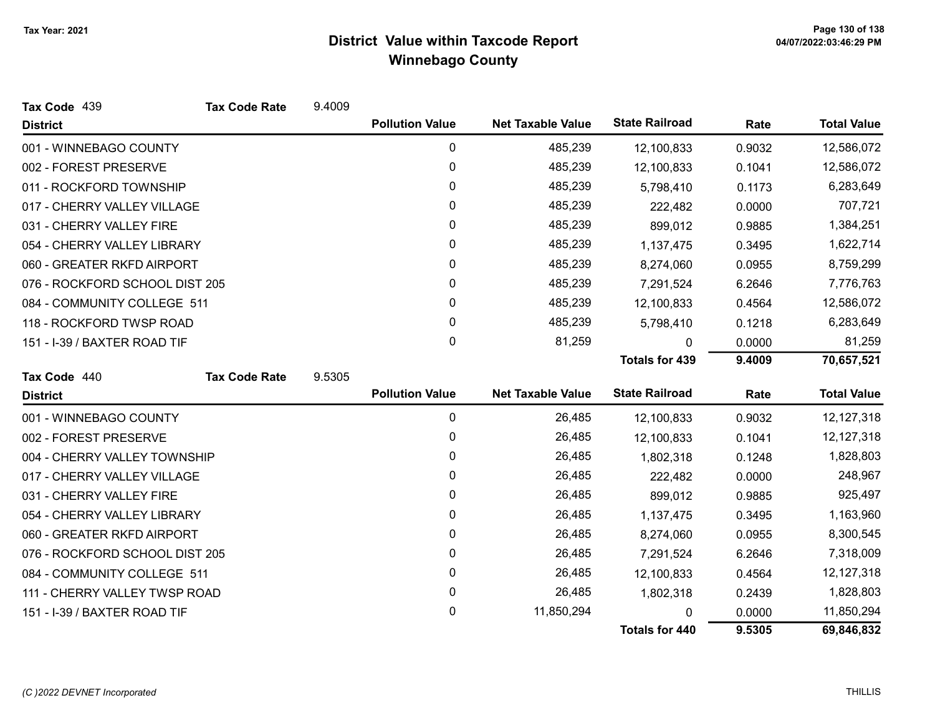| Tax Code 439                   | <b>Tax Code Rate</b> | 9.4009 |                        |                          |                       |        |                    |
|--------------------------------|----------------------|--------|------------------------|--------------------------|-----------------------|--------|--------------------|
| <b>District</b>                |                      |        | <b>Pollution Value</b> | <b>Net Taxable Value</b> | <b>State Railroad</b> | Rate   | <b>Total Value</b> |
| 001 - WINNEBAGO COUNTY         |                      |        | 0                      | 485,239                  | 12,100,833            | 0.9032 | 12,586,072         |
| 002 - FOREST PRESERVE          |                      |        | 0                      | 485,239                  | 12,100,833            | 0.1041 | 12,586,072         |
| 011 - ROCKFORD TOWNSHIP        |                      |        | 0                      | 485,239                  | 5,798,410             | 0.1173 | 6,283,649          |
| 017 - CHERRY VALLEY VILLAGE    |                      |        | 0                      | 485,239                  | 222,482               | 0.0000 | 707,721            |
| 031 - CHERRY VALLEY FIRE       |                      |        | 0                      | 485,239                  | 899,012               | 0.9885 | 1,384,251          |
| 054 - CHERRY VALLEY LIBRARY    |                      |        | 0                      | 485,239                  | 1,137,475             | 0.3495 | 1,622,714          |
| 060 - GREATER RKFD AIRPORT     |                      |        | 0                      | 485,239                  | 8,274,060             | 0.0955 | 8,759,299          |
| 076 - ROCKFORD SCHOOL DIST 205 |                      |        | 0                      | 485,239                  | 7,291,524             | 6.2646 | 7,776,763          |
| 084 - COMMUNITY COLLEGE 511    |                      |        | 0                      | 485,239                  | 12,100,833            | 0.4564 | 12,586,072         |
| 118 - ROCKFORD TWSP ROAD       |                      |        | 0                      | 485,239                  | 5,798,410             | 0.1218 | 6,283,649          |
| 151 - I-39 / BAXTER ROAD TIF   |                      |        | 0                      | 81,259                   | 0                     | 0.0000 | 81,259             |
|                                |                      |        |                        |                          | <b>Totals for 439</b> | 9.4009 | 70,657,521         |
| Tax Code 440                   | <b>Tax Code Rate</b> | 9.5305 |                        |                          |                       |        |                    |
| <b>District</b>                |                      |        | <b>Pollution Value</b> | <b>Net Taxable Value</b> | <b>State Railroad</b> | Rate   | <b>Total Value</b> |
| 001 - WINNEBAGO COUNTY         |                      |        | 0                      | 26,485                   | 12,100,833            | 0.9032 | 12,127,318         |
| 002 - FOREST PRESERVE          |                      |        | 0                      | 26,485                   | 12,100,833            | 0.1041 | 12,127,318         |
| 004 - CHERRY VALLEY TOWNSHIP   |                      |        | 0                      | 26,485                   | 1,802,318             | 0.1248 | 1,828,803          |
| 017 - CHERRY VALLEY VILLAGE    |                      |        | 0                      | 26,485                   | 222,482               | 0.0000 | 248,967            |
| 031 - CHERRY VALLEY FIRE       |                      |        | 0                      | 26,485                   | 899,012               | 0.9885 | 925,497            |
| 054 - CHERRY VALLEY LIBRARY    |                      |        | 0                      | 26,485                   | 1,137,475             | 0.3495 | 1,163,960          |
| 060 - GREATER RKFD AIRPORT     |                      |        | 0                      | 26,485                   | 8,274,060             | 0.0955 | 8,300,545          |
| 076 - ROCKFORD SCHOOL DIST 205 |                      |        | 0                      | 26,485                   | 7,291,524             | 6.2646 | 7,318,009          |
| 084 - COMMUNITY COLLEGE 511    |                      |        | 0                      | 26,485                   | 12,100,833            | 0.4564 | 12, 127, 318       |
| 111 - CHERRY VALLEY TWSP ROAD  |                      |        | 0                      | 26,485                   | 1,802,318             | 0.2439 | 1,828,803          |
| 151 - I-39 / BAXTER ROAD TIF   |                      |        | 0                      | 11,850,294               |                       | 0.0000 | 11,850,294         |
|                                |                      |        |                        |                          | <b>Totals for 440</b> | 9.5305 | 69,846,832         |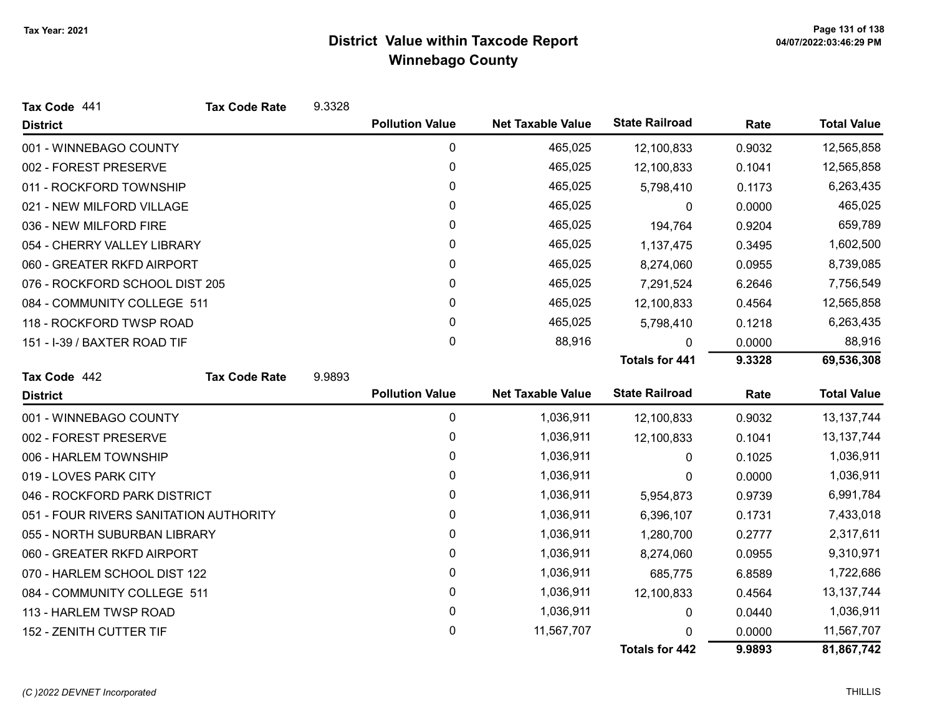| Tax Code 441                           | <b>Tax Code Rate</b> | 9.3328 |                        |                          |                       |        |                    |
|----------------------------------------|----------------------|--------|------------------------|--------------------------|-----------------------|--------|--------------------|
| <b>District</b>                        |                      |        | <b>Pollution Value</b> | <b>Net Taxable Value</b> | <b>State Railroad</b> | Rate   | <b>Total Value</b> |
| 001 - WINNEBAGO COUNTY                 |                      |        | 0                      | 465,025                  | 12,100,833            | 0.9032 | 12,565,858         |
| 002 - FOREST PRESERVE                  |                      |        | 0                      | 465,025                  | 12,100,833            | 0.1041 | 12,565,858         |
| 011 - ROCKFORD TOWNSHIP                |                      |        | 0                      | 465,025                  | 5,798,410             | 0.1173 | 6,263,435          |
| 021 - NEW MILFORD VILLAGE              |                      |        | 0                      | 465,025                  | 0                     | 0.0000 | 465,025            |
| 036 - NEW MILFORD FIRE                 |                      |        | 0                      | 465,025                  | 194,764               | 0.9204 | 659,789            |
| 054 - CHERRY VALLEY LIBRARY            |                      |        | 0                      | 465,025                  | 1,137,475             | 0.3495 | 1,602,500          |
| 060 - GREATER RKFD AIRPORT             |                      |        | 0                      | 465,025                  | 8,274,060             | 0.0955 | 8,739,085          |
| 076 - ROCKFORD SCHOOL DIST 205         |                      |        | 0                      | 465,025                  | 7,291,524             | 6.2646 | 7,756,549          |
| 084 - COMMUNITY COLLEGE 511            |                      |        | 0                      | 465,025                  | 12,100,833            | 0.4564 | 12,565,858         |
| 118 - ROCKFORD TWSP ROAD               |                      |        | 0                      | 465,025                  | 5,798,410             | 0.1218 | 6,263,435          |
| 151 - I-39 / BAXTER ROAD TIF           |                      |        | 0                      | 88,916                   | $\mathbf{0}$          | 0.0000 | 88,916             |
|                                        |                      |        |                        |                          | <b>Totals for 441</b> | 9.3328 | 69,536,308         |
| Tax Code 442                           | <b>Tax Code Rate</b> | 9.9893 |                        |                          |                       |        |                    |
| <b>District</b>                        |                      |        | <b>Pollution Value</b> | <b>Net Taxable Value</b> | <b>State Railroad</b> | Rate   | <b>Total Value</b> |
| 001 - WINNEBAGO COUNTY                 |                      |        | 0                      | 1,036,911                | 12,100,833            | 0.9032 | 13, 137, 744       |
| 002 - FOREST PRESERVE                  |                      |        | 0                      | 1,036,911                | 12,100,833            | 0.1041 | 13, 137, 744       |
| 006 - HARLEM TOWNSHIP                  |                      |        | 0                      | 1,036,911                | 0                     | 0.1025 | 1,036,911          |
| 019 - LOVES PARK CITY                  |                      |        | 0                      | 1,036,911                | 0                     | 0.0000 | 1,036,911          |
| 046 - ROCKFORD PARK DISTRICT           |                      |        | 0                      | 1,036,911                | 5,954,873             | 0.9739 | 6,991,784          |
| 051 - FOUR RIVERS SANITATION AUTHORITY |                      |        | 0                      | 1,036,911                | 6,396,107             | 0.1731 | 7,433,018          |
| 055 - NORTH SUBURBAN LIBRARY           |                      |        | 0                      | 1,036,911                | 1,280,700             | 0.2777 | 2,317,611          |
| 060 - GREATER RKFD AIRPORT             |                      |        | 0                      | 1,036,911                | 8,274,060             | 0.0955 | 9,310,971          |
| 070 - HARLEM SCHOOL DIST 122           |                      |        | 0                      | 1,036,911                | 685,775               | 6.8589 | 1,722,686          |
| 084 - COMMUNITY COLLEGE 511            |                      |        |                        |                          |                       |        |                    |
|                                        |                      |        | 0                      | 1,036,911                | 12,100,833            | 0.4564 | 13, 137, 744       |
| 113 - HARLEM TWSP ROAD                 |                      |        | 0                      | 1,036,911                | 0                     | 0.0440 | 1,036,911          |
| 152 - ZENITH CUTTER TIF                |                      |        | 0                      | 11,567,707               | 0                     | 0.0000 | 11,567,707         |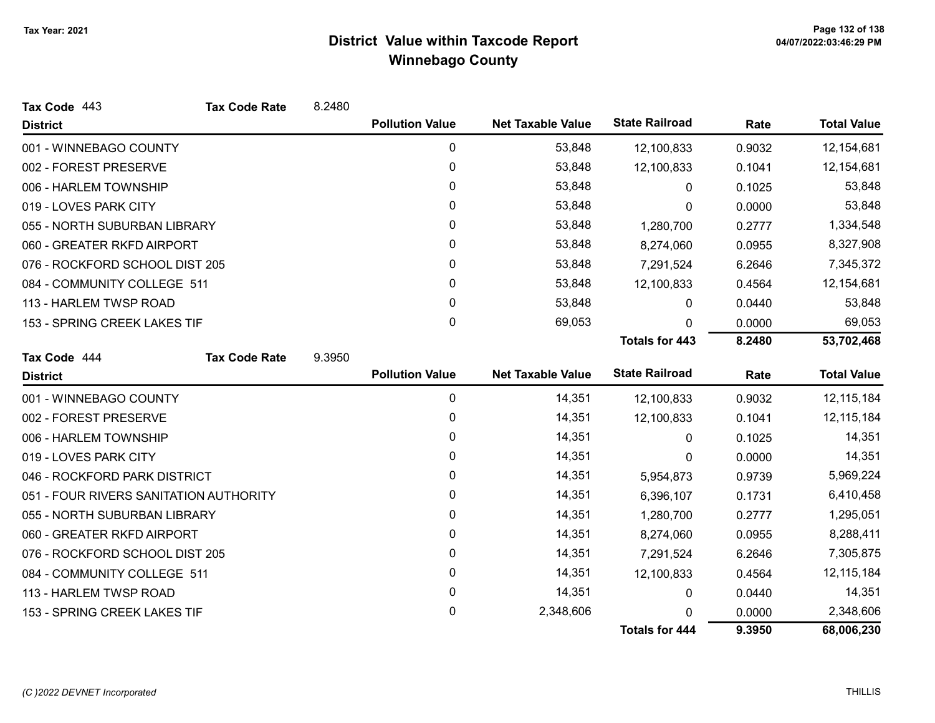| Tax Code 443                           | <b>Tax Code Rate</b> | 8.2480 |                        |                          |                       |        |                    |
|----------------------------------------|----------------------|--------|------------------------|--------------------------|-----------------------|--------|--------------------|
| <b>District</b>                        |                      |        | <b>Pollution Value</b> | <b>Net Taxable Value</b> | <b>State Railroad</b> | Rate   | <b>Total Value</b> |
| 001 - WINNEBAGO COUNTY                 |                      |        | 0                      | 53,848                   | 12,100,833            | 0.9032 | 12,154,681         |
| 002 - FOREST PRESERVE                  |                      |        | $\mathbf 0$            | 53,848                   | 12,100,833            | 0.1041 | 12,154,681         |
| 006 - HARLEM TOWNSHIP                  |                      |        | 0                      | 53,848                   | $\mathbf{0}$          | 0.1025 | 53,848             |
| 019 - LOVES PARK CITY                  |                      |        | $\mathbf{0}$           | 53,848                   | 0                     | 0.0000 | 53,848             |
| 055 - NORTH SUBURBAN LIBRARY           |                      |        | 0                      | 53,848                   | 1,280,700             | 0.2777 | 1,334,548          |
| 060 - GREATER RKFD AIRPORT             |                      |        | 0                      | 53,848                   | 8,274,060             | 0.0955 | 8,327,908          |
| 076 - ROCKFORD SCHOOL DIST 205         |                      |        | 0                      | 53,848                   | 7,291,524             | 6.2646 | 7,345,372          |
| 084 - COMMUNITY COLLEGE 511            |                      |        | $\mathbf{0}$           | 53,848                   | 12,100,833            | 0.4564 | 12,154,681         |
| 113 - HARLEM TWSP ROAD                 |                      |        | 0                      | 53,848                   | 0                     | 0.0440 | 53,848             |
| 153 - SPRING CREEK LAKES TIF           |                      |        | $\mathbf 0$            | 69,053                   | 0                     | 0.0000 | 69,053             |
|                                        |                      |        |                        |                          | <b>Totals for 443</b> | 8.2480 | 53,702,468         |
| Tax Code 444                           | <b>Tax Code Rate</b> | 9.3950 |                        |                          |                       |        |                    |
| <b>District</b>                        |                      |        | <b>Pollution Value</b> | <b>Net Taxable Value</b> | <b>State Railroad</b> | Rate   | <b>Total Value</b> |
| 001 - WINNEBAGO COUNTY                 |                      |        | 0                      | 14,351                   | 12,100,833            | 0.9032 | 12, 115, 184       |
| 002 - FOREST PRESERVE                  |                      |        | 0                      | 14,351                   | 12,100,833            | 0.1041 | 12, 115, 184       |
| 006 - HARLEM TOWNSHIP                  |                      |        | 0                      | 14,351                   | $\mathbf{0}$          | 0.1025 | 14,351             |
| 019 - LOVES PARK CITY                  |                      |        | 0                      | 14,351                   | 0                     | 0.0000 | 14,351             |
| 046 - ROCKFORD PARK DISTRICT           |                      |        | 0                      | 14,351                   | 5,954,873             | 0.9739 | 5,969,224          |
| 051 - FOUR RIVERS SANITATION AUTHORITY |                      |        | 0                      | 14,351                   | 6,396,107             | 0.1731 | 6,410,458          |
| 055 - NORTH SUBURBAN LIBRARY           |                      |        | 0                      | 14,351                   | 1,280,700             | 0.2777 | 1,295,051          |
| 060 - GREATER RKFD AIRPORT             |                      |        | $\mathbf{0}$           | 14,351                   | 8,274,060             | 0.0955 | 8,288,411          |
| 076 - ROCKFORD SCHOOL DIST 205         |                      |        | 0                      | 14,351                   | 7,291,524             | 6.2646 | 7,305,875          |
| 084 - COMMUNITY COLLEGE 511            |                      |        | $\pmb{0}$              | 14,351                   | 12,100,833            | 0.4564 | 12, 115, 184       |
| 113 - HARLEM TWSP ROAD                 |                      |        | 0                      | 14,351                   | 0                     | 0.0440 | 14,351             |
| 153 - SPRING CREEK LAKES TIF           |                      |        | 0                      | 2,348,606                |                       | 0.0000 | 2,348,606          |
|                                        |                      |        |                        |                          | <b>Totals for 444</b> | 9.3950 | 68,006,230         |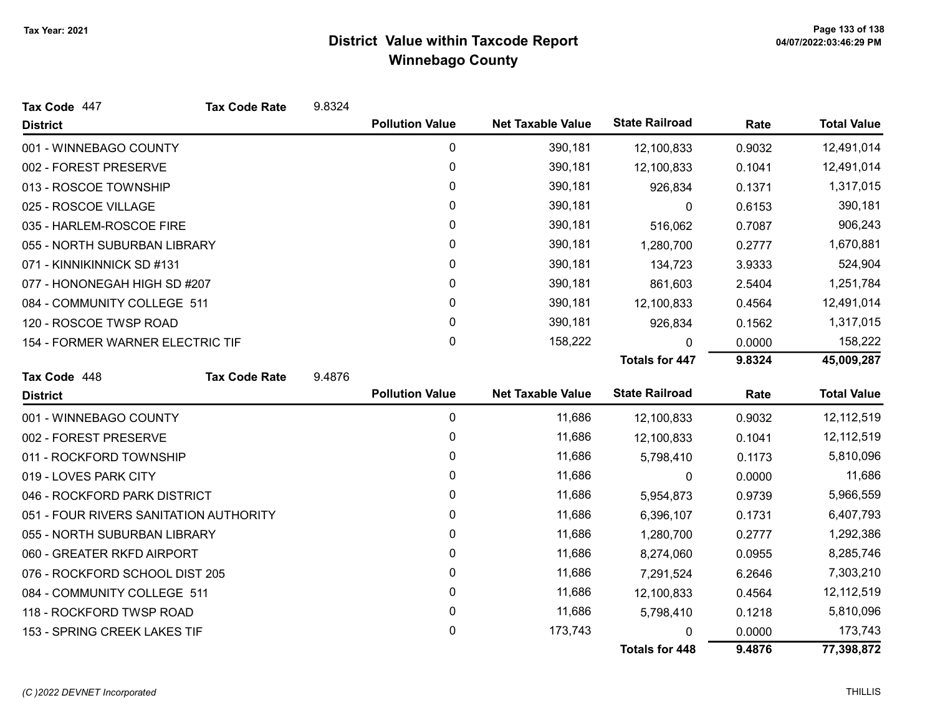| Tax Code 447                           | <b>Tax Code Rate</b> | 9.8324 |                        |                          |                       |            |                    |
|----------------------------------------|----------------------|--------|------------------------|--------------------------|-----------------------|------------|--------------------|
| <b>District</b>                        |                      |        | <b>Pollution Value</b> | <b>Net Taxable Value</b> | <b>State Railroad</b> | Rate       | <b>Total Value</b> |
| 001 - WINNEBAGO COUNTY                 |                      |        | 0                      | 390,181                  | 12,100,833            | 0.9032     | 12,491,014         |
| 002 - FOREST PRESERVE                  |                      |        | 0                      | 390,181                  | 12,100,833            | 0.1041     | 12,491,014         |
| 013 - ROSCOE TOWNSHIP                  |                      |        | 0                      | 390,181                  | 926,834               | 0.1371     | 1,317,015          |
| 025 - ROSCOE VILLAGE                   |                      |        | 0                      | 390,181                  | 0                     | 0.6153     | 390,181            |
| 035 - HARLEM-ROSCOE FIRE               |                      |        | 0                      | 390,181                  | 516,062               | 0.7087     | 906,243            |
| 055 - NORTH SUBURBAN LIBRARY           |                      |        | 0                      | 390,181                  | 1,280,700             | 0.2777     | 1,670,881          |
| 071 - KINNIKINNICK SD #131             |                      |        | 0                      | 390,181                  | 134,723               | 3.9333     | 524,904            |
| 077 - HONONEGAH HIGH SD #207           |                      |        | 0                      | 390,181                  | 861,603               | 2.5404     | 1,251,784          |
| 084 - COMMUNITY COLLEGE 511            |                      |        | 0                      | 390,181                  | 12,100,833            | 0.4564     | 12,491,014         |
| 120 - ROSCOE TWSP ROAD                 |                      |        | 0                      | 390,181                  | 926,834               | 0.1562     | 1,317,015          |
| 154 - FORMER WARNER ELECTRIC TIF       |                      |        | 0                      | 158,222                  | 0                     | 0.0000     | 158,222            |
|                                        |                      |        |                        |                          | <b>Totals for 447</b> | 9.8324     | 45,009,287         |
| Tax Code 448                           | <b>Tax Code Rate</b> | 9.4876 |                        |                          |                       |            |                    |
| <b>District</b>                        |                      |        | <b>Pollution Value</b> | <b>Net Taxable Value</b> | <b>State Railroad</b> | Rate       | <b>Total Value</b> |
| 001 - WINNEBAGO COUNTY                 |                      |        | 0                      | 11,686                   | 12,100,833            | 0.9032     | 12,112,519         |
| 002 - FOREST PRESERVE                  |                      |        | 0                      | 11,686                   | 12,100,833            | 0.1041     | 12,112,519         |
| 011 - ROCKFORD TOWNSHIP                |                      |        | 0                      | 11,686                   | 5,798,410             | 0.1173     | 5,810,096          |
| 019 - LOVES PARK CITY                  |                      |        | 0                      | 11,686                   | 0                     | 0.0000     | 11,686             |
| 046 - ROCKFORD PARK DISTRICT           |                      |        | 0                      | 11,686                   | 5,954,873             | 0.9739     | 5,966,559          |
| 051 - FOUR RIVERS SANITATION AUTHORITY |                      |        | 0                      | 11,686                   | 6,396,107             | 0.1731     | 6,407,793          |
| 055 - NORTH SUBURBAN LIBRARY           |                      |        | 0                      | 11,686                   | 1,280,700             | 0.2777     | 1,292,386          |
| 060 - GREATER RKFD AIRPORT             |                      | 0      | 11,686                 | 8,274,060                | 0.0955                | 8,285,746  |                    |
| 076 - ROCKFORD SCHOOL DIST 205         |                      | 0      | 11,686                 | 7,291,524                | 6.2646                | 7,303,210  |                    |
| 084 - COMMUNITY COLLEGE 511            |                      | 0      | 11,686                 | 12,100,833               | 0.4564                | 12,112,519 |                    |
| 118 - ROCKFORD TWSP ROAD               |                      |        |                        |                          |                       |            |                    |
|                                        |                      |        | 0                      | 11,686                   | 5,798,410             | 0.1218     | 5,810,096          |
| 153 - SPRING CREEK LAKES TIF           |                      |        | 0                      | 173,743                  |                       | 0.0000     | 173,743            |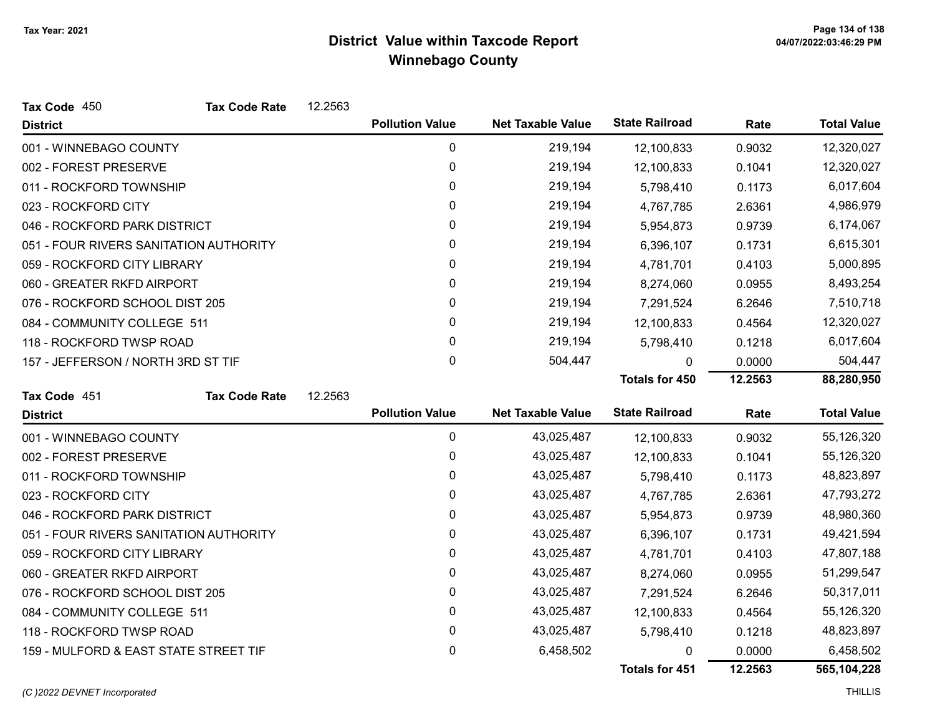| Tax Code 450                           | <b>Tax Code Rate</b>           | 12.2563 |                        |                          |                       |                      |                    |
|----------------------------------------|--------------------------------|---------|------------------------|--------------------------|-----------------------|----------------------|--------------------|
| <b>District</b>                        |                                |         | <b>Pollution Value</b> | <b>Net Taxable Value</b> | <b>State Railroad</b> | Rate                 | <b>Total Value</b> |
| 001 - WINNEBAGO COUNTY                 |                                |         | 0                      | 219,194                  | 12,100,833            | 0.9032               | 12,320,027         |
| 002 - FOREST PRESERVE                  |                                |         | 0                      | 219,194                  | 12,100,833            | 0.1041               | 12,320,027         |
| 011 - ROCKFORD TOWNSHIP                |                                |         | 0                      | 219,194                  | 5,798,410             | 0.1173               | 6,017,604          |
| 023 - ROCKFORD CITY                    |                                |         | 0                      | 219,194                  | 4,767,785             | 2.6361               | 4,986,979          |
| 046 - ROCKFORD PARK DISTRICT           |                                |         | 0                      | 219,194                  | 5,954,873             | 0.9739               | 6,174,067          |
| 051 - FOUR RIVERS SANITATION AUTHORITY |                                |         | 0                      | 219,194                  | 6,396,107             | 0.1731               | 6,615,301          |
| 059 - ROCKFORD CITY LIBRARY            |                                |         | 0                      | 219,194                  | 4,781,701             | 0.4103               | 5,000,895          |
| 060 - GREATER RKFD AIRPORT             |                                |         | 0                      | 219,194                  | 8,274,060             | 0.0955               | 8,493,254          |
| 076 - ROCKFORD SCHOOL DIST 205         |                                |         | $\mathbf{0}$           | 219,194                  | 7,291,524             | 6.2646               | 7,510,718          |
| 084 - COMMUNITY COLLEGE 511            |                                |         | $\mathbf 0$            | 219,194                  | 12,100,833            | 0.4564               | 12,320,027         |
| 118 - ROCKFORD TWSP ROAD               |                                |         | $\mathbf{0}$           | 219,194                  | 5,798,410             | 0.1218               | 6,017,604          |
| 157 - JEFFERSON / NORTH 3RD ST TIF     |                                |         | $\pmb{0}$              | 504,447                  | 0                     | 0.0000               | 504,447            |
|                                        |                                |         |                        |                          | <b>Totals for 450</b> | 12.2563              | 88,280,950         |
| Tax Code 451                           | <b>Tax Code Rate</b>           | 12.2563 |                        |                          |                       |                      |                    |
| <b>District</b>                        |                                |         | <b>Pollution Value</b> | <b>Net Taxable Value</b> | <b>State Railroad</b> | Rate                 | <b>Total Value</b> |
| 001 - WINNEBAGO COUNTY                 |                                |         | 0                      | 43,025,487               | 12,100,833            | 0.9032               | 55,126,320         |
| 002 - FOREST PRESERVE                  |                                |         | 0                      | 43,025,487               | 12,100,833            | 0.1041               | 55,126,320         |
| 011 - ROCKFORD TOWNSHIP                |                                |         | 0                      | 43,025,487               | 5,798,410             | 0.1173               | 48,823,897         |
| 023 - ROCKFORD CITY                    |                                |         | $\mathbf{0}$           | 43,025,487               | 4,767,785             | 2.6361               | 47,793,272         |
| 046 - ROCKFORD PARK DISTRICT           |                                |         | $\pmb{0}$              | 43,025,487               | 5,954,873             | 0.9739               | 48,980,360         |
| 051 - FOUR RIVERS SANITATION AUTHORITY |                                |         | 0                      | 43,025,487               | 6,396,107             | 0.1731               | 49,421,594         |
| 059 - ROCKFORD CITY LIBRARY            |                                |         | 0                      | 43,025,487               | 4,781,701             | 0.4103               | 47,807,188         |
| 060 - GREATER RKFD AIRPORT             |                                | 0       | 43,025,487             | 8,274,060                | 0.0955                | 51,299,547           |                    |
|                                        | 076 - ROCKFORD SCHOOL DIST 205 |         | $\pmb{0}$              | 43,025,487               | 7,291,524             | 6.2646               | 50,317,011         |
| 084 - COMMUNITY COLLEGE 511            |                                |         | 0                      | 43,025,487               | 12,100,833            | 55,126,320<br>0.4564 |                    |
| 118 - ROCKFORD TWSP ROAD               |                                |         | 0                      | 43,025,487               | 5,798,410             | 0.1218               | 48,823,897         |
| 159 - MULFORD & EAST STATE STREET TIF  |                                |         | 0                      | 6,458,502                | 0                     | 0.0000               | 6,458,502          |
|                                        |                                |         |                        |                          | Totals for 451        | 12.2563              | 565,104,228        |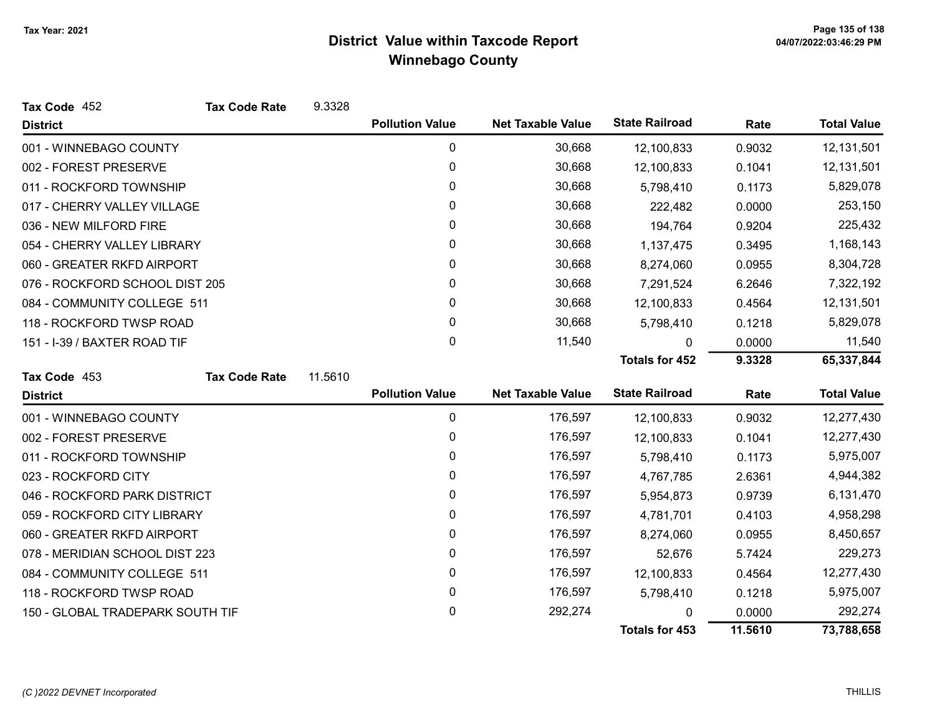| Tax Code 452                     | <b>Tax Code Rate</b> | 9.3328    |                        |                          |                       |            |                    |
|----------------------------------|----------------------|-----------|------------------------|--------------------------|-----------------------|------------|--------------------|
| <b>District</b>                  |                      |           | <b>Pollution Value</b> | <b>Net Taxable Value</b> | <b>State Railroad</b> | Rate       | <b>Total Value</b> |
| 001 - WINNEBAGO COUNTY           |                      |           | 0                      | 30,668                   | 12,100,833            | 0.9032     | 12,131,501         |
| 002 - FOREST PRESERVE            |                      |           | 0                      | 30,668                   | 12,100,833            | 0.1041     | 12,131,501         |
| 011 - ROCKFORD TOWNSHIP          |                      |           | 0                      | 30,668                   | 5,798,410             | 0.1173     | 5,829,078          |
| 017 - CHERRY VALLEY VILLAGE      |                      |           | 0                      | 30,668                   | 222,482               | 0.0000     | 253,150            |
| 036 - NEW MILFORD FIRE           |                      |           | 0                      | 30,668                   | 194,764               | 0.9204     | 225,432            |
| 054 - CHERRY VALLEY LIBRARY      |                      |           | 0                      | 30,668                   | 1,137,475             | 0.3495     | 1,168,143          |
| 060 - GREATER RKFD AIRPORT       |                      |           | 0                      | 30,668                   | 8,274,060             | 0.0955     | 8,304,728          |
| 076 - ROCKFORD SCHOOL DIST 205   |                      |           | 0                      | 30,668                   | 7,291,524             | 6.2646     | 7,322,192          |
| 084 - COMMUNITY COLLEGE 511      |                      |           | 0                      | 30,668                   | 12,100,833            | 0.4564     | 12,131,501         |
| 118 - ROCKFORD TWSP ROAD         |                      |           | 0                      | 30,668                   | 5,798,410             | 0.1218     | 5,829,078          |
| 151 - I-39 / BAXTER ROAD TIF     |                      |           | 0                      | 11,540                   | 0                     | 0.0000     | 11,540             |
|                                  |                      |           |                        |                          | <b>Totals for 452</b> | 9.3328     | 65,337,844         |
| Tax Code 453                     | <b>Tax Code Rate</b> | 11.5610   |                        |                          |                       |            |                    |
| <b>District</b>                  |                      |           | <b>Pollution Value</b> | <b>Net Taxable Value</b> | <b>State Railroad</b> | Rate       | <b>Total Value</b> |
| 001 - WINNEBAGO COUNTY           |                      |           | 0                      | 176,597                  | 12,100,833            | 0.9032     | 12,277,430         |
| 002 - FOREST PRESERVE            |                      |           | 0                      | 176,597                  | 12,100,833            | 0.1041     | 12,277,430         |
| 011 - ROCKFORD TOWNSHIP          |                      |           | 0                      | 176,597                  | 5,798,410             | 0.1173     | 5,975,007          |
| 023 - ROCKFORD CITY              |                      |           | 0                      | 176,597                  | 4,767,785             | 2.6361     | 4,944,382          |
| 046 - ROCKFORD PARK DISTRICT     |                      |           | 0                      | 176,597                  | 5,954,873             | 0.9739     | 6,131,470          |
| 059 - ROCKFORD CITY LIBRARY      |                      |           | 0                      | 176,597                  | 4,781,701             | 0.4103     | 4,958,298          |
| 060 - GREATER RKFD AIRPORT       |                      | 0         | 176,597                | 8,274,060                | 0.0955                | 8,450,657  |                    |
| 078 - MERIDIAN SCHOOL DIST 223   |                      | 0         | 176,597                | 52,676                   | 5.7424                | 229,273    |                    |
| 084 - COMMUNITY COLLEGE 511      |                      | $\pmb{0}$ | 176,597                | 12,100,833               | 0.4564                | 12,277,430 |                    |
| 118 - ROCKFORD TWSP ROAD         |                      |           | 0                      | 176,597                  | 5,798,410             | 0.1218     | 5,975,007          |
| 150 - GLOBAL TRADEPARK SOUTH TIF |                      |           | 0                      | 292,274                  |                       | 0.0000     | 292,274            |
|                                  |                      |           |                        |                          | <b>Totals for 453</b> | 11.5610    | 73,788,658         |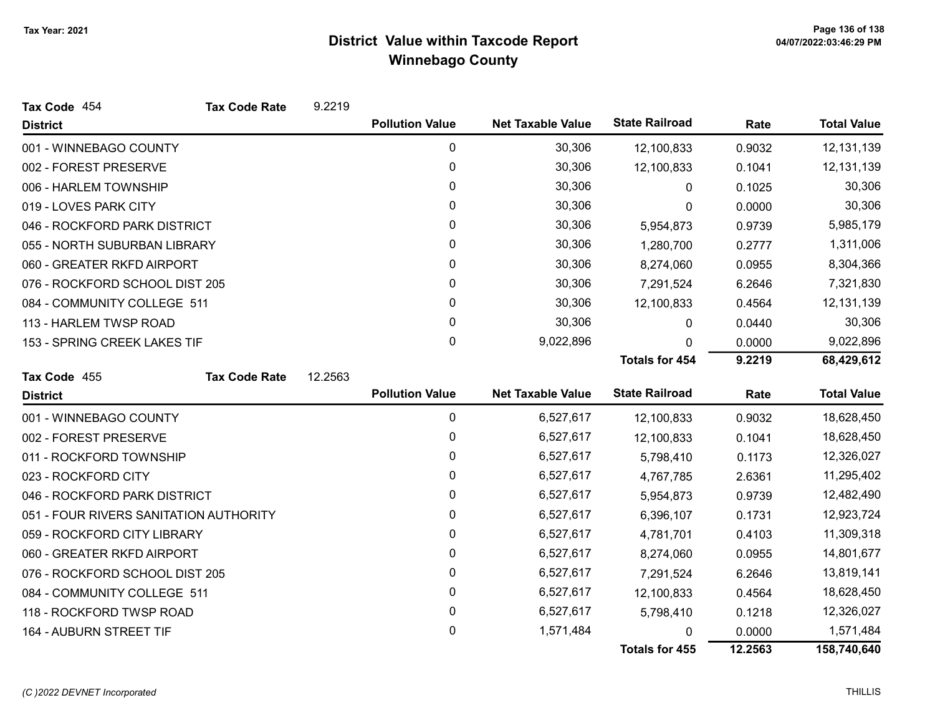| Tax Code 454                           | <b>Tax Code Rate</b> | 9.2219  |                        |                          |                       |            |                    |  |
|----------------------------------------|----------------------|---------|------------------------|--------------------------|-----------------------|------------|--------------------|--|
| <b>District</b>                        |                      |         | <b>Pollution Value</b> | <b>Net Taxable Value</b> | <b>State Railroad</b> | Rate       | <b>Total Value</b> |  |
| 001 - WINNEBAGO COUNTY                 |                      |         | $\mathbf 0$            | 30,306                   | 12,100,833            | 0.9032     | 12, 131, 139       |  |
| 002 - FOREST PRESERVE                  |                      |         | 0                      | 30,306                   | 12,100,833            | 0.1041     | 12, 131, 139       |  |
| 006 - HARLEM TOWNSHIP                  |                      |         | 0                      | 30,306                   | 0                     | 0.1025     | 30,306             |  |
| 019 - LOVES PARK CITY                  |                      |         | 0                      | 30,306                   | 0                     | 0.0000     | 30,306             |  |
| 046 - ROCKFORD PARK DISTRICT           |                      |         | 0                      | 30,306                   | 5,954,873             | 0.9739     | 5,985,179          |  |
| 055 - NORTH SUBURBAN LIBRARY           |                      |         | 0                      | 30,306                   | 1,280,700             | 0.2777     | 1,311,006          |  |
| 060 - GREATER RKFD AIRPORT             |                      |         | 0                      | 30,306                   | 8,274,060             | 0.0955     | 8,304,366          |  |
| 076 - ROCKFORD SCHOOL DIST 205         |                      |         | 0                      | 30,306                   | 7,291,524             | 6.2646     | 7,321,830          |  |
| 084 - COMMUNITY COLLEGE 511            |                      |         | 0                      | 30,306                   | 12,100,833            | 0.4564     | 12, 131, 139       |  |
| 113 - HARLEM TWSP ROAD                 |                      |         | 0                      | 30,306                   | 0                     | 0.0440     | 30,306             |  |
| 153 - SPRING CREEK LAKES TIF           |                      |         | 0                      | 9,022,896                | 0                     | 0.0000     | 9,022,896          |  |
|                                        |                      |         |                        |                          | <b>Totals for 454</b> | 9.2219     | 68,429,612         |  |
| Tax Code 455                           | <b>Tax Code Rate</b> | 12.2563 |                        |                          |                       |            |                    |  |
| <b>District</b>                        |                      |         | <b>Pollution Value</b> | <b>Net Taxable Value</b> | <b>State Railroad</b> | Rate       | <b>Total Value</b> |  |
| 001 - WINNEBAGO COUNTY                 |                      |         | $\mathbf 0$            | 6,527,617                | 12,100,833            | 0.9032     | 18,628,450         |  |
| 002 - FOREST PRESERVE                  |                      |         | 0                      | 6,527,617                | 12,100,833            | 0.1041     | 18,628,450         |  |
| 011 - ROCKFORD TOWNSHIP                |                      |         | 0                      | 6,527,617                | 5,798,410             | 0.1173     | 12,326,027         |  |
| 023 - ROCKFORD CITY                    |                      |         | 0                      | 6,527,617                | 4,767,785             | 2.6361     | 11,295,402         |  |
| 046 - ROCKFORD PARK DISTRICT           |                      |         | 0                      | 6,527,617                | 5,954,873             | 0.9739     | 12,482,490         |  |
| 051 - FOUR RIVERS SANITATION AUTHORITY |                      |         | 0                      | 6,527,617                | 6,396,107             | 0.1731     | 12,923,724         |  |
| 059 - ROCKFORD CITY LIBRARY            |                      |         | $\mathbf{0}$           | 6,527,617                | 4,781,701             | 0.4103     | 11,309,318         |  |
| 060 - GREATER RKFD AIRPORT             |                      | 0       | 6,527,617              | 8,274,060                | 0.0955                | 14,801,677 |                    |  |
| 076 - ROCKFORD SCHOOL DIST 205         |                      | 0       | 6,527,617              | 7,291,524                | 6.2646                | 13,819,141 |                    |  |
| 084 - COMMUNITY COLLEGE 511            |                      | 0       | 6,527,617              | 12,100,833               | 0.4564                | 18,628,450 |                    |  |
| 118 - ROCKFORD TWSP ROAD               |                      |         | 0                      | 6,527,617                | 5,798,410             | 0.1218     | 12,326,027         |  |
| 164 - AUBURN STREET TIF                |                      |         | 0                      | 1,571,484                |                       | 0.0000     | 1,571,484          |  |
|                                        |                      |         |                        |                          | <b>Totals for 455</b> | 12.2563    | 158,740,640        |  |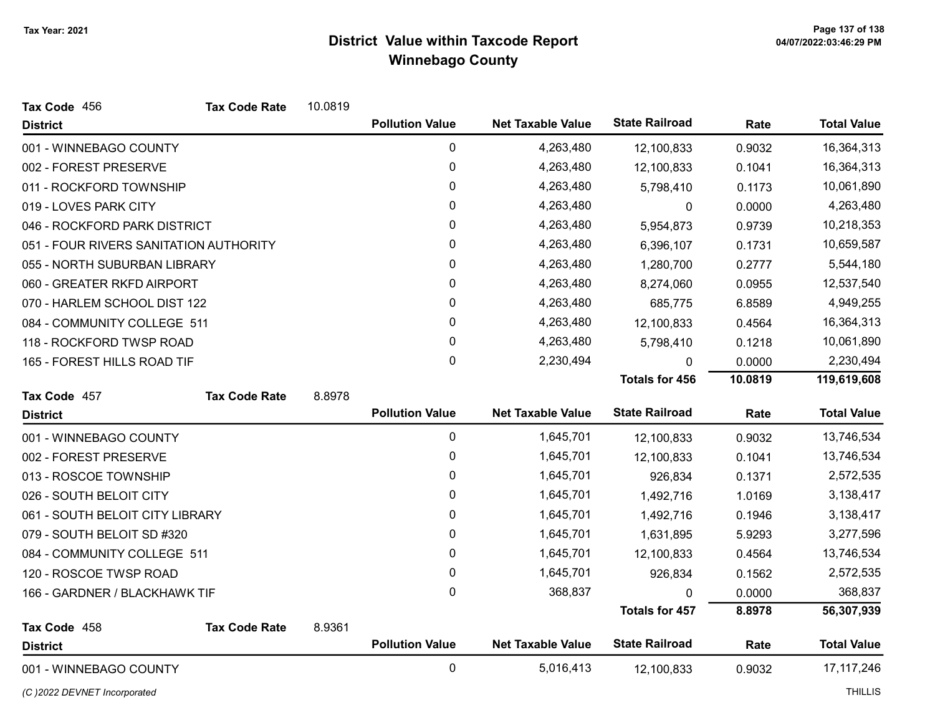| Tax Code 456                           | <b>Tax Code Rate</b> | 10.0819 |                        |                          |                       |         |                    |
|----------------------------------------|----------------------|---------|------------------------|--------------------------|-----------------------|---------|--------------------|
| <b>District</b>                        |                      |         | <b>Pollution Value</b> | <b>Net Taxable Value</b> | <b>State Railroad</b> | Rate    | <b>Total Value</b> |
| 001 - WINNEBAGO COUNTY                 |                      |         | $\mathbf 0$            | 4,263,480                | 12,100,833            | 0.9032  | 16,364,313         |
| 002 - FOREST PRESERVE                  |                      |         | 0                      | 4,263,480                | 12,100,833            | 0.1041  | 16,364,313         |
| 011 - ROCKFORD TOWNSHIP                |                      |         | 0                      | 4,263,480                | 5,798,410             | 0.1173  | 10,061,890         |
| 019 - LOVES PARK CITY                  |                      |         | 0                      | 4,263,480                | 0                     | 0.0000  | 4,263,480          |
| 046 - ROCKFORD PARK DISTRICT           |                      |         | 0                      | 4,263,480                | 5,954,873             | 0.9739  | 10,218,353         |
| 051 - FOUR RIVERS SANITATION AUTHORITY |                      |         | 0                      | 4,263,480                | 6,396,107             | 0.1731  | 10,659,587         |
| 055 - NORTH SUBURBAN LIBRARY           |                      |         | 0                      | 4,263,480                | 1,280,700             | 0.2777  | 5,544,180          |
| 060 - GREATER RKFD AIRPORT             |                      |         | 0                      | 4,263,480                | 8,274,060             | 0.0955  | 12,537,540         |
| 070 - HARLEM SCHOOL DIST 122           |                      |         | 0                      | 4,263,480                | 685,775               | 6.8589  | 4,949,255          |
| 084 - COMMUNITY COLLEGE 511            |                      |         | 0                      | 4,263,480                | 12,100,833            | 0.4564  | 16,364,313         |
| 118 - ROCKFORD TWSP ROAD               |                      |         | 0                      | 4,263,480                | 5,798,410             | 0.1218  | 10,061,890         |
| 165 - FOREST HILLS ROAD TIF            |                      |         | 0                      | 2,230,494                | 0                     | 0.0000  | 2,230,494          |
|                                        |                      |         |                        |                          | <b>Totals for 456</b> | 10.0819 | 119,619,608        |
| Tax Code 457                           | <b>Tax Code Rate</b> | 8.8978  |                        |                          |                       |         |                    |
| <b>District</b>                        |                      |         | <b>Pollution Value</b> | <b>Net Taxable Value</b> | <b>State Railroad</b> | Rate    | <b>Total Value</b> |
| 001 - WINNEBAGO COUNTY                 |                      |         | 0                      | 1,645,701                | 12,100,833            | 0.9032  | 13,746,534         |
| 002 - FOREST PRESERVE                  |                      |         | 0                      | 1,645,701                | 12,100,833            | 0.1041  | 13,746,534         |
| 013 - ROSCOE TOWNSHIP                  |                      |         | 0                      | 1,645,701                | 926,834               | 0.1371  | 2,572,535          |
| 026 - SOUTH BELOIT CITY                |                      |         | 0                      | 1,645,701                | 1,492,716             | 1.0169  | 3,138,417          |
| 061 - SOUTH BELOIT CITY LIBRARY        |                      |         | 0                      | 1,645,701                | 1,492,716             | 0.1946  | 3,138,417          |
| 079 - SOUTH BELOIT SD #320             |                      |         | 0                      | 1,645,701                | 1,631,895             | 5.9293  | 3,277,596          |
| 084 - COMMUNITY COLLEGE 511            |                      |         | 0                      | 1,645,701                | 12,100,833            | 0.4564  | 13,746,534         |
| 120 - ROSCOE TWSP ROAD                 |                      |         | 0                      | 1,645,701                | 926,834               | 0.1562  | 2,572,535          |
| 166 - GARDNER / BLACKHAWK TIF          |                      | 0       | 368,837                | 0                        | 0.0000                | 368,837 |                    |
|                                        |                      |         |                        |                          | <b>Totals for 457</b> | 8.8978  | 56,307,939         |
| Tax Code 458                           | <b>Tax Code Rate</b> | 8.9361  |                        |                          |                       |         |                    |
| <b>District</b>                        |                      |         | <b>Pollution Value</b> | <b>Net Taxable Value</b> | <b>State Railroad</b> | Rate    | <b>Total Value</b> |
| 001 - WINNEBAGO COUNTY                 |                      |         | $\mathbf 0$            | 5,016,413                | 12,100,833            | 0.9032  | 17, 117, 246       |

(C)2022 DEVNET Incorporated THILLIS